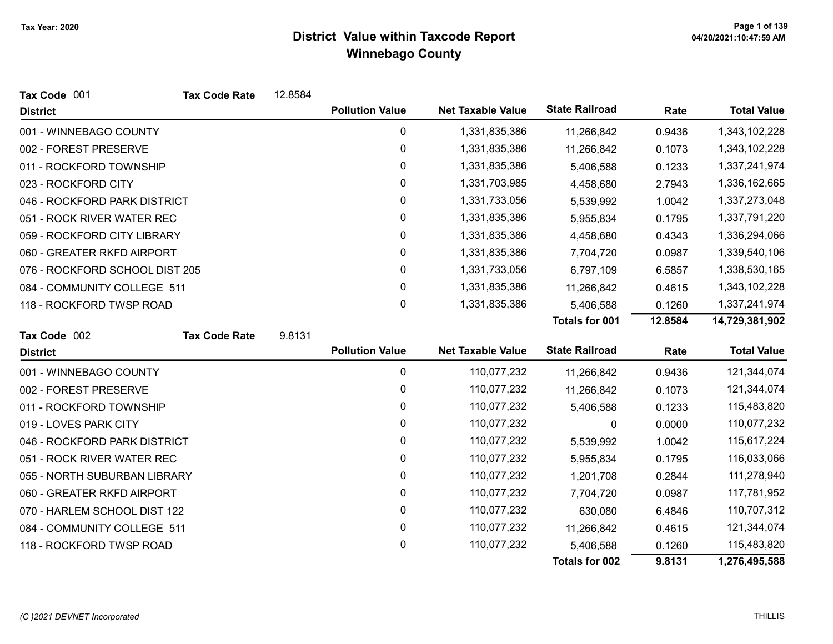| Tax Code 001                   | <b>Tax Code Rate</b> | 12.8584 |                        |                          |                       |         |                    |
|--------------------------------|----------------------|---------|------------------------|--------------------------|-----------------------|---------|--------------------|
| <b>District</b>                |                      |         | <b>Pollution Value</b> | <b>Net Taxable Value</b> | <b>State Railroad</b> | Rate    | <b>Total Value</b> |
| 001 - WINNEBAGO COUNTY         |                      |         | 0                      | 1,331,835,386            | 11,266,842            | 0.9436  | 1,343,102,228      |
| 002 - FOREST PRESERVE          |                      |         | 0                      | 1,331,835,386            | 11,266,842            | 0.1073  | 1,343,102,228      |
| 011 - ROCKFORD TOWNSHIP        |                      |         | 0                      | 1,331,835,386            | 5,406,588             | 0.1233  | 1,337,241,974      |
| 023 - ROCKFORD CITY            |                      |         | 0                      | 1,331,703,985            | 4,458,680             | 2.7943  | 1,336,162,665      |
| 046 - ROCKFORD PARK DISTRICT   |                      |         | 0                      | 1,331,733,056            | 5,539,992             | 1.0042  | 1,337,273,048      |
| 051 - ROCK RIVER WATER REC     |                      |         | 0                      | 1,331,835,386            | 5,955,834             | 0.1795  | 1,337,791,220      |
| 059 - ROCKFORD CITY LIBRARY    |                      |         | 0                      | 1,331,835,386            | 4,458,680             | 0.4343  | 1,336,294,066      |
| 060 - GREATER RKFD AIRPORT     |                      |         | 0                      | 1,331,835,386            | 7,704,720             | 0.0987  | 1,339,540,106      |
| 076 - ROCKFORD SCHOOL DIST 205 |                      |         | 0                      | 1,331,733,056            | 6,797,109             | 6.5857  | 1,338,530,165      |
| 084 - COMMUNITY COLLEGE 511    |                      |         | 0                      | 1,331,835,386            | 11,266,842            | 0.4615  | 1,343,102,228      |
| 118 - ROCKFORD TWSP ROAD       |                      |         | 0                      | 1,331,835,386            | 5,406,588             | 0.1260  | 1,337,241,974      |
|                                |                      |         |                        |                          | <b>Totals for 001</b> | 12.8584 | 14,729,381,902     |
| Tax Code 002                   | <b>Tax Code Rate</b> | 9.8131  |                        |                          |                       |         |                    |
| <b>District</b>                |                      |         | <b>Pollution Value</b> | <b>Net Taxable Value</b> | <b>State Railroad</b> | Rate    | <b>Total Value</b> |
| 001 - WINNEBAGO COUNTY         |                      |         | 0                      | 110,077,232              | 11,266,842            | 0.9436  | 121,344,074        |
| 002 - FOREST PRESERVE          |                      |         | 0                      | 110,077,232              | 11,266,842            | 0.1073  | 121,344,074        |
| 011 - ROCKFORD TOWNSHIP        |                      |         | 0                      | 110,077,232              | 5,406,588             | 0.1233  | 115,483,820        |
| 019 - LOVES PARK CITY          |                      |         | 0                      | 110,077,232              | 0                     | 0.0000  | 110,077,232        |
| 046 - ROCKFORD PARK DISTRICT   |                      |         | 0                      | 110,077,232              | 5,539,992             | 1.0042  | 115,617,224        |
| 051 - ROCK RIVER WATER REC     |                      |         | 0                      | 110,077,232              | 5,955,834             | 0.1795  | 116,033,066        |
| 055 - NORTH SUBURBAN LIBRARY   |                      |         | 0                      | 110,077,232              | 1,201,708             | 0.2844  | 111,278,940        |
| 060 - GREATER RKFD AIRPORT     |                      |         | 0                      | 110,077,232              | 7,704,720             | 0.0987  | 117,781,952        |
| 070 - HARLEM SCHOOL DIST 122   |                      |         | 0                      | 110,077,232              | 630,080               | 6.4846  | 110,707,312        |
| 084 - COMMUNITY COLLEGE 511    |                      |         | 0                      | 110,077,232              | 11,266,842            | 0.4615  | 121,344,074        |
| 118 - ROCKFORD TWSP ROAD       |                      |         | 0                      | 110,077,232              | 5,406,588             | 0.1260  | 115,483,820        |
|                                |                      |         |                        |                          | <b>Totals for 002</b> | 9.8131  | 1,276,495,588      |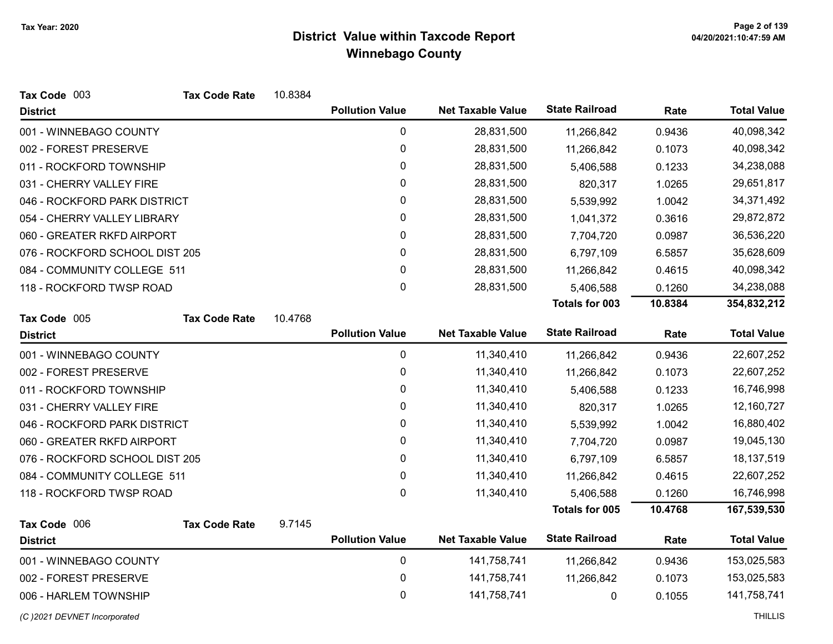| Tax Code 003                   | <b>Tax Code Rate</b> | 10.8384 |                        |                          |                       |         |                    |
|--------------------------------|----------------------|---------|------------------------|--------------------------|-----------------------|---------|--------------------|
| <b>District</b>                |                      |         | <b>Pollution Value</b> | <b>Net Taxable Value</b> | <b>State Railroad</b> | Rate    | <b>Total Value</b> |
| 001 - WINNEBAGO COUNTY         |                      |         | 0                      | 28,831,500               | 11,266,842            | 0.9436  | 40,098,342         |
| 002 - FOREST PRESERVE          |                      |         | $\pmb{0}$              | 28,831,500               | 11,266,842            | 0.1073  | 40,098,342         |
| 011 - ROCKFORD TOWNSHIP        |                      |         | 0                      | 28,831,500               | 5,406,588             | 0.1233  | 34,238,088         |
| 031 - CHERRY VALLEY FIRE       |                      |         | 0                      | 28,831,500               | 820,317               | 1.0265  | 29,651,817         |
| 046 - ROCKFORD PARK DISTRICT   |                      |         | 0                      | 28,831,500               | 5,539,992             | 1.0042  | 34,371,492         |
| 054 - CHERRY VALLEY LIBRARY    |                      |         | 0                      | 28,831,500               | 1,041,372             | 0.3616  | 29,872,872         |
| 060 - GREATER RKFD AIRPORT     |                      |         | 0                      | 28,831,500               | 7,704,720             | 0.0987  | 36,536,220         |
| 076 - ROCKFORD SCHOOL DIST 205 |                      |         | 0                      | 28,831,500               | 6,797,109             | 6.5857  | 35,628,609         |
| 084 - COMMUNITY COLLEGE 511    |                      |         | 0                      | 28,831,500               | 11,266,842            | 0.4615  | 40,098,342         |
| 118 - ROCKFORD TWSP ROAD       |                      |         | 0                      | 28,831,500               | 5,406,588             | 0.1260  | 34,238,088         |
|                                |                      |         |                        |                          | Totals for 003        | 10.8384 | 354,832,212        |
| Tax Code 005                   | <b>Tax Code Rate</b> | 10.4768 |                        |                          |                       |         |                    |
| <b>District</b>                |                      |         | <b>Pollution Value</b> | <b>Net Taxable Value</b> | <b>State Railroad</b> | Rate    | <b>Total Value</b> |
| 001 - WINNEBAGO COUNTY         |                      |         | $\pmb{0}$              | 11,340,410               | 11,266,842            | 0.9436  | 22,607,252         |
| 002 - FOREST PRESERVE          |                      |         | 0                      | 11,340,410               | 11,266,842            | 0.1073  | 22,607,252         |
| 011 - ROCKFORD TOWNSHIP        |                      |         | 0                      | 11,340,410               | 5,406,588             | 0.1233  | 16,746,998         |
| 031 - CHERRY VALLEY FIRE       |                      |         | 0                      | 11,340,410               | 820,317               | 1.0265  | 12,160,727         |
| 046 - ROCKFORD PARK DISTRICT   |                      |         | 0                      | 11,340,410               | 5,539,992             | 1.0042  | 16,880,402         |
| 060 - GREATER RKFD AIRPORT     |                      |         | 0                      | 11,340,410               | 7,704,720             | 0.0987  | 19,045,130         |
| 076 - ROCKFORD SCHOOL DIST 205 |                      |         | 0                      | 11,340,410               | 6,797,109             | 6.5857  | 18,137,519         |
| 084 - COMMUNITY COLLEGE 511    |                      |         | 0                      | 11,340,410               | 11,266,842            | 0.4615  | 22,607,252         |
| 118 - ROCKFORD TWSP ROAD       |                      |         | 0                      | 11,340,410               | 5,406,588             | 0.1260  | 16,746,998         |
|                                |                      |         |                        |                          | Totals for 005        | 10.4768 | 167,539,530        |
| Tax Code 006                   | <b>Tax Code Rate</b> | 9.7145  |                        |                          |                       |         |                    |
| <b>District</b>                |                      |         | <b>Pollution Value</b> | <b>Net Taxable Value</b> | <b>State Railroad</b> | Rate    | <b>Total Value</b> |
| 001 - WINNEBAGO COUNTY         |                      |         | 0                      | 141,758,741              | 11,266,842            | 0.9436  | 153,025,583        |
| 002 - FOREST PRESERVE          |                      |         | 0                      | 141,758,741              | 11,266,842            | 0.1073  | 153,025,583        |
| 006 - HARLEM TOWNSHIP          |                      |         | 0                      | 141,758,741              | 0                     | 0.1055  | 141,758,741        |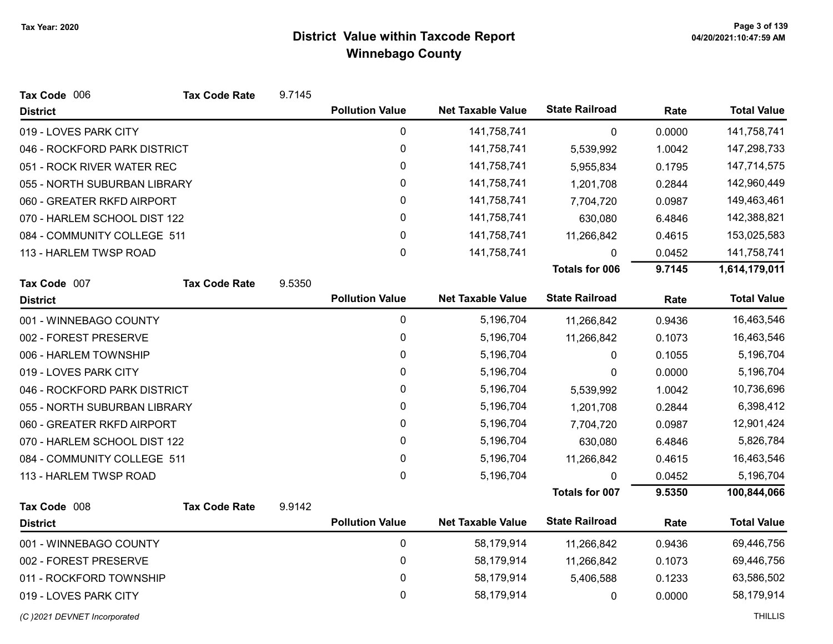| Tax Code 006                 | <b>Tax Code Rate</b> | 9.7145 |                        |                          |                       |        |                    |
|------------------------------|----------------------|--------|------------------------|--------------------------|-----------------------|--------|--------------------|
| <b>District</b>              |                      |        | <b>Pollution Value</b> | <b>Net Taxable Value</b> | <b>State Railroad</b> | Rate   | <b>Total Value</b> |
| 019 - LOVES PARK CITY        |                      |        | $\pmb{0}$              | 141,758,741              | $\mathbf 0$           | 0.0000 | 141,758,741        |
| 046 - ROCKFORD PARK DISTRICT |                      |        | $\mathbf 0$            | 141,758,741              | 5,539,992             | 1.0042 | 147,298,733        |
| 051 - ROCK RIVER WATER REC   |                      |        | $\pmb{0}$              | 141,758,741              | 5,955,834             | 0.1795 | 147,714,575        |
| 055 - NORTH SUBURBAN LIBRARY |                      |        | 0                      | 141,758,741              | 1,201,708             | 0.2844 | 142,960,449        |
| 060 - GREATER RKFD AIRPORT   |                      |        | 0                      | 141,758,741              | 7,704,720             | 0.0987 | 149,463,461        |
| 070 - HARLEM SCHOOL DIST 122 |                      |        | 0                      | 141,758,741              | 630,080               | 6.4846 | 142,388,821        |
| 084 - COMMUNITY COLLEGE 511  |                      |        | 0                      | 141,758,741              | 11,266,842            | 0.4615 | 153,025,583        |
| 113 - HARLEM TWSP ROAD       |                      |        | 0                      | 141,758,741              | $\mathbf{0}$          | 0.0452 | 141,758,741        |
|                              |                      |        |                        |                          | <b>Totals for 006</b> | 9.7145 | 1,614,179,011      |
| Tax Code 007                 | <b>Tax Code Rate</b> | 9.5350 |                        |                          |                       |        |                    |
| <b>District</b>              |                      |        | <b>Pollution Value</b> | <b>Net Taxable Value</b> | <b>State Railroad</b> | Rate   | <b>Total Value</b> |
| 001 - WINNEBAGO COUNTY       |                      |        | 0                      | 5,196,704                | 11,266,842            | 0.9436 | 16,463,546         |
| 002 - FOREST PRESERVE        |                      |        | $\mathbf 0$            | 5,196,704                | 11,266,842            | 0.1073 | 16,463,546         |
| 006 - HARLEM TOWNSHIP        |                      |        | 0                      | 5,196,704                | 0                     | 0.1055 | 5,196,704          |
| 019 - LOVES PARK CITY        |                      |        | 0                      | 5,196,704                | 0                     | 0.0000 | 5,196,704          |
| 046 - ROCKFORD PARK DISTRICT |                      |        | 0                      | 5,196,704                | 5,539,992             | 1.0042 | 10,736,696         |
| 055 - NORTH SUBURBAN LIBRARY |                      |        | $\pmb{0}$              | 5,196,704                | 1,201,708             | 0.2844 | 6,398,412          |
| 060 - GREATER RKFD AIRPORT   |                      |        | $\pmb{0}$              | 5,196,704                | 7,704,720             | 0.0987 | 12,901,424         |
| 070 - HARLEM SCHOOL DIST 122 |                      |        | $\mathbf{0}$           | 5,196,704                | 630,080               | 6.4846 | 5,826,784          |
| 084 - COMMUNITY COLLEGE 511  |                      |        | $\mathbf 0$            | 5,196,704                | 11,266,842            | 0.4615 | 16,463,546         |
| 113 - HARLEM TWSP ROAD       |                      |        | $\mathbf{0}$           | 5,196,704                | $\Omega$              | 0.0452 | 5,196,704          |
|                              |                      |        |                        |                          | <b>Totals for 007</b> | 9.5350 | 100,844,066        |
| Tax Code 008                 | <b>Tax Code Rate</b> | 9.9142 |                        |                          |                       |        |                    |
| <b>District</b>              |                      |        | <b>Pollution Value</b> | <b>Net Taxable Value</b> | <b>State Railroad</b> | Rate   | <b>Total Value</b> |
| 001 - WINNEBAGO COUNTY       |                      |        | $\mathbf 0$            | 58,179,914               | 11,266,842            | 0.9436 | 69,446,756         |
| 002 - FOREST PRESERVE        |                      |        | 0                      | 58,179,914               | 11,266,842            | 0.1073 | 69,446,756         |
| 011 - ROCKFORD TOWNSHIP      |                      |        | $\pmb{0}$              | 58,179,914               | 5,406,588             | 0.1233 | 63,586,502         |
| 019 - LOVES PARK CITY        |                      |        | 0                      | 58,179,914               | $\mathbf{0}$          | 0.0000 | 58,179,914         |
| (C) 2021 DEVNET Incorporated |                      |        |                        |                          |                       |        | <b>THILLIS</b>     |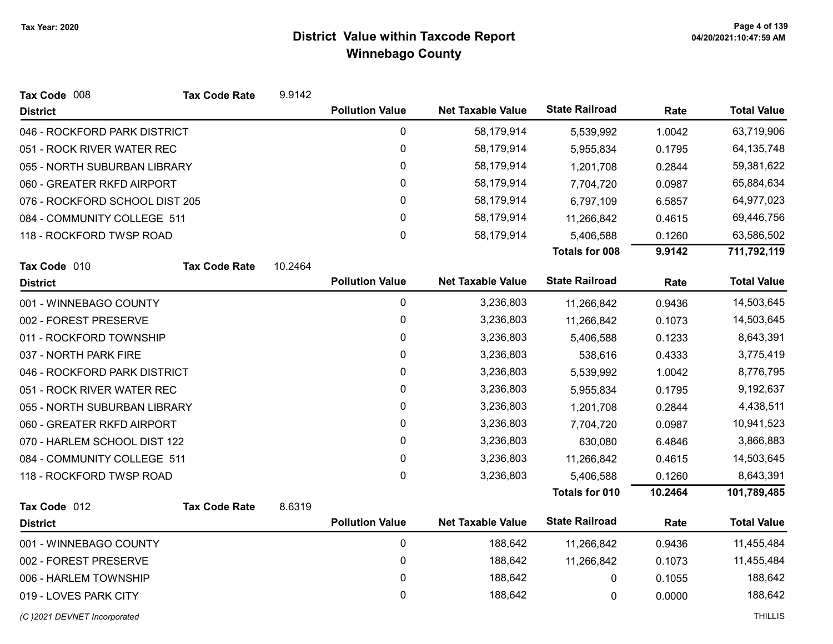| Tax Code 008                   | <b>Tax Code Rate</b> | 9.9142  |                        |                          |                       |         |                    |
|--------------------------------|----------------------|---------|------------------------|--------------------------|-----------------------|---------|--------------------|
| <b>District</b>                |                      |         | <b>Pollution Value</b> | <b>Net Taxable Value</b> | <b>State Railroad</b> | Rate    | <b>Total Value</b> |
| 046 - ROCKFORD PARK DISTRICT   |                      |         | 0                      | 58,179,914               | 5,539,992             | 1.0042  | 63,719,906         |
| 051 - ROCK RIVER WATER REC     |                      |         | $\pmb{0}$              | 58,179,914               | 5,955,834             | 0.1795  | 64, 135, 748       |
| 055 - NORTH SUBURBAN LIBRARY   |                      |         | $\pmb{0}$              | 58,179,914               | 1,201,708             | 0.2844  | 59,381,622         |
| 060 - GREATER RKFD AIRPORT     |                      |         | 0                      | 58,179,914               | 7,704,720             | 0.0987  | 65,884,634         |
| 076 - ROCKFORD SCHOOL DIST 205 |                      |         | 0                      | 58,179,914               | 6,797,109             | 6.5857  | 64,977,023         |
| 084 - COMMUNITY COLLEGE 511    |                      |         | 0                      | 58,179,914               | 11,266,842            | 0.4615  | 69,446,756         |
| 118 - ROCKFORD TWSP ROAD       |                      |         | $\mathbf 0$            | 58,179,914               | 5,406,588             | 0.1260  | 63,586,502         |
|                                |                      |         |                        |                          | <b>Totals for 008</b> | 9.9142  | 711,792,119        |
| Tax Code 010                   | <b>Tax Code Rate</b> | 10.2464 |                        |                          |                       |         |                    |
| <b>District</b>                |                      |         | <b>Pollution Value</b> | <b>Net Taxable Value</b> | <b>State Railroad</b> | Rate    | <b>Total Value</b> |
| 001 - WINNEBAGO COUNTY         |                      |         | $\mathbf 0$            | 3,236,803                | 11,266,842            | 0.9436  | 14,503,645         |
| 002 - FOREST PRESERVE          |                      |         | 0                      | 3,236,803                | 11,266,842            | 0.1073  | 14,503,645         |
| 011 - ROCKFORD TOWNSHIP        |                      |         | $\pmb{0}$              | 3,236,803                | 5,406,588             | 0.1233  | 8,643,391          |
| 037 - NORTH PARK FIRE          |                      |         | 0                      | 3,236,803                | 538,616               | 0.4333  | 3,775,419          |
| 046 - ROCKFORD PARK DISTRICT   |                      |         | 0                      | 3,236,803                | 5,539,992             | 1.0042  | 8,776,795          |
| 051 - ROCK RIVER WATER REC     |                      |         | 0                      | 3,236,803                | 5,955,834             | 0.1795  | 9,192,637          |
| 055 - NORTH SUBURBAN LIBRARY   |                      |         | 0                      | 3,236,803                | 1,201,708             | 0.2844  | 4,438,511          |
| 060 - GREATER RKFD AIRPORT     |                      |         | 0                      | 3,236,803                | 7,704,720             | 0.0987  | 10,941,523         |
| 070 - HARLEM SCHOOL DIST 122   |                      |         | 0                      | 3,236,803                | 630,080               | 6.4846  | 3,866,883          |
| 084 - COMMUNITY COLLEGE 511    |                      |         | $\pmb{0}$              | 3,236,803                | 11,266,842            | 0.4615  | 14,503,645         |
| 118 - ROCKFORD TWSP ROAD       |                      |         | 0                      | 3,236,803                | 5,406,588             | 0.1260  | 8,643,391          |
|                                |                      |         |                        |                          | Totals for 010        | 10.2464 | 101,789,485        |
| Tax Code 012                   | <b>Tax Code Rate</b> | 8.6319  |                        |                          |                       |         |                    |
| <b>District</b>                |                      |         | <b>Pollution Value</b> | <b>Net Taxable Value</b> | <b>State Railroad</b> | Rate    | <b>Total Value</b> |
| 001 - WINNEBAGO COUNTY         |                      |         | $\mathbf 0$            | 188,642                  | 11,266,842            | 0.9436  | 11,455,484         |
| 002 - FOREST PRESERVE          |                      |         | 0                      | 188,642                  | 11,266,842            | 0.1073  | 11,455,484         |
| 006 - HARLEM TOWNSHIP          |                      |         | 0                      | 188,642                  | 0                     | 0.1055  | 188,642            |
| 019 - LOVES PARK CITY          |                      |         | 0                      | 188,642                  | 0                     | 0.0000  | 188,642            |
| (C) 2021 DEVNET Incorporated   |                      |         |                        |                          |                       |         | <b>THILLIS</b>     |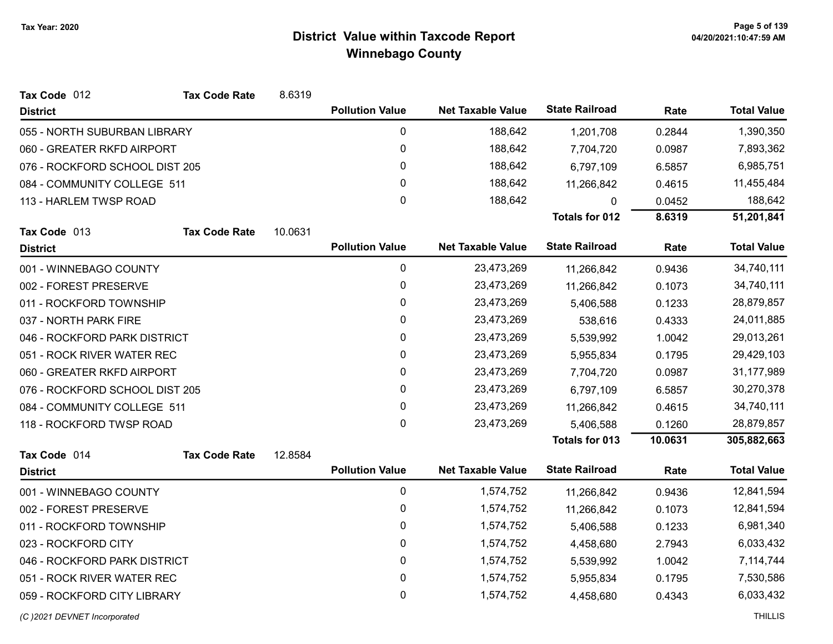| Tax Code 012                   | <b>Tax Code Rate</b> | 8.6319  |                        |                          |                       |         |                    |
|--------------------------------|----------------------|---------|------------------------|--------------------------|-----------------------|---------|--------------------|
| <b>District</b>                |                      |         | <b>Pollution Value</b> | <b>Net Taxable Value</b> | <b>State Railroad</b> | Rate    | <b>Total Value</b> |
| 055 - NORTH SUBURBAN LIBRARY   |                      |         | 0                      | 188,642                  | 1,201,708             | 0.2844  | 1,390,350          |
| 060 - GREATER RKFD AIRPORT     |                      |         | 0                      | 188,642                  | 7,704,720             | 0.0987  | 7,893,362          |
| 076 - ROCKFORD SCHOOL DIST 205 |                      |         | 0                      | 188,642                  | 6,797,109             | 6.5857  | 6,985,751          |
| 084 - COMMUNITY COLLEGE 511    |                      |         | 0                      | 188,642                  | 11,266,842            | 0.4615  | 11,455,484         |
| 113 - HARLEM TWSP ROAD         |                      |         | 0                      | 188,642                  | 0                     | 0.0452  | 188,642            |
|                                |                      |         |                        |                          | <b>Totals for 012</b> | 8.6319  | 51,201,841         |
| Tax Code 013                   | <b>Tax Code Rate</b> | 10.0631 |                        |                          |                       |         |                    |
| <b>District</b>                |                      |         | <b>Pollution Value</b> | <b>Net Taxable Value</b> | <b>State Railroad</b> | Rate    | <b>Total Value</b> |
| 001 - WINNEBAGO COUNTY         |                      |         | $\mathbf 0$            | 23,473,269               | 11,266,842            | 0.9436  | 34,740,111         |
| 002 - FOREST PRESERVE          |                      |         | 0                      | 23,473,269               | 11,266,842            | 0.1073  | 34,740,111         |
| 011 - ROCKFORD TOWNSHIP        |                      |         | 0                      | 23,473,269               | 5,406,588             | 0.1233  | 28,879,857         |
| 037 - NORTH PARK FIRE          |                      |         | 0                      | 23,473,269               | 538,616               | 0.4333  | 24,011,885         |
| 046 - ROCKFORD PARK DISTRICT   |                      |         | 0                      | 23,473,269               | 5,539,992             | 1.0042  | 29,013,261         |
| 051 - ROCK RIVER WATER REC     |                      |         | 0                      | 23,473,269               | 5,955,834             | 0.1795  | 29,429,103         |
| 060 - GREATER RKFD AIRPORT     |                      |         | 0                      | 23,473,269               | 7,704,720             | 0.0987  | 31,177,989         |
| 076 - ROCKFORD SCHOOL DIST 205 |                      |         | 0                      | 23,473,269               | 6,797,109             | 6.5857  | 30,270,378         |
| 084 - COMMUNITY COLLEGE 511    |                      |         | 0                      | 23,473,269               | 11,266,842            | 0.4615  | 34,740,111         |
| 118 - ROCKFORD TWSP ROAD       |                      |         | 0                      | 23,473,269               | 5,406,588             | 0.1260  | 28,879,857         |
|                                |                      |         |                        |                          | <b>Totals for 013</b> | 10.0631 | 305,882,663        |
| Tax Code 014                   | <b>Tax Code Rate</b> | 12.8584 |                        |                          |                       |         |                    |
| <b>District</b>                |                      |         | <b>Pollution Value</b> | <b>Net Taxable Value</b> | <b>State Railroad</b> | Rate    | <b>Total Value</b> |
| 001 - WINNEBAGO COUNTY         |                      |         | $\mathbf 0$            | 1,574,752                | 11,266,842            | 0.9436  | 12,841,594         |
| 002 - FOREST PRESERVE          |                      |         | 0                      | 1,574,752                | 11,266,842            | 0.1073  | 12,841,594         |
| 011 - ROCKFORD TOWNSHIP        |                      |         | 0                      | 1,574,752                | 5,406,588             | 0.1233  | 6,981,340          |
| 023 - ROCKFORD CITY            |                      |         | 0                      | 1,574,752                | 4,458,680             | 2.7943  | 6,033,432          |
| 046 - ROCKFORD PARK DISTRICT   |                      |         | $\mathbf 0$            | 1,574,752                | 5,539,992             | 1.0042  | 7,114,744          |
| 051 - ROCK RIVER WATER REC     |                      |         | 0                      | 1,574,752                | 5,955,834             | 0.1795  | 7,530,586          |
| 059 - ROCKFORD CITY LIBRARY    |                      |         | 0                      | 1,574,752                | 4,458,680             | 0.4343  | 6,033,432          |
|                                |                      |         |                        |                          |                       |         |                    |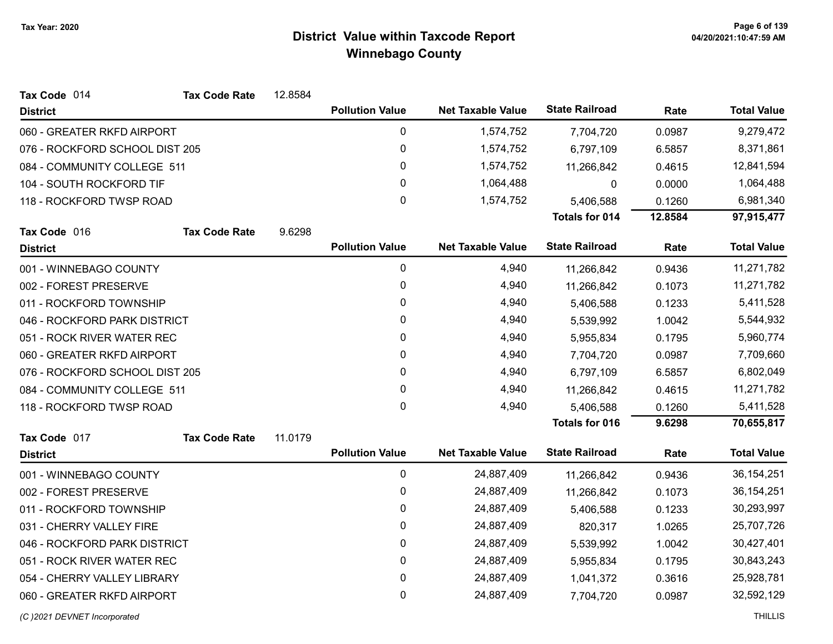| Tax Code 014                   | <b>Tax Code Rate</b>       | 12.8584 |                        |                          |                       |         |                    |
|--------------------------------|----------------------------|---------|------------------------|--------------------------|-----------------------|---------|--------------------|
| <b>District</b>                |                            |         | <b>Pollution Value</b> | <b>Net Taxable Value</b> | <b>State Railroad</b> | Rate    | <b>Total Value</b> |
| 060 - GREATER RKFD AIRPORT     |                            |         | $\pmb{0}$              | 1,574,752                | 7,704,720             | 0.0987  | 9,279,472          |
| 076 - ROCKFORD SCHOOL DIST 205 |                            |         | $\pmb{0}$              | 1,574,752                | 6,797,109             | 6.5857  | 8,371,861          |
| 084 - COMMUNITY COLLEGE 511    |                            |         | 0                      | 1,574,752                | 11,266,842            | 0.4615  | 12,841,594         |
| 104 - SOUTH ROCKFORD TIF       |                            |         | 0                      | 1,064,488                | 0                     | 0.0000  | 1,064,488          |
| 118 - ROCKFORD TWSP ROAD       |                            |         | 0                      | 1,574,752                | 5,406,588             | 0.1260  | 6,981,340          |
|                                |                            |         |                        |                          | <b>Totals for 014</b> | 12.8584 | 97,915,477         |
| Tax Code 016                   | <b>Tax Code Rate</b>       | 9.6298  |                        |                          |                       |         |                    |
| <b>District</b>                |                            |         | <b>Pollution Value</b> | <b>Net Taxable Value</b> | <b>State Railroad</b> | Rate    | <b>Total Value</b> |
| 001 - WINNEBAGO COUNTY         |                            |         | $\mathbf 0$            | 4,940                    | 11,266,842            | 0.9436  | 11,271,782         |
| 002 - FOREST PRESERVE          |                            |         | 0                      | 4,940                    | 11,266,842            | 0.1073  | 11,271,782         |
| 011 - ROCKFORD TOWNSHIP        |                            |         | 0                      | 4,940                    | 5,406,588             | 0.1233  | 5,411,528          |
| 046 - ROCKFORD PARK DISTRICT   |                            |         | 0                      | 4,940                    | 5,539,992             | 1.0042  | 5,544,932          |
|                                | 051 - ROCK RIVER WATER REC |         | 0                      | 4,940                    | 5,955,834             | 0.1795  | 5,960,774          |
|                                | 060 - GREATER RKFD AIRPORT |         | 0                      | 4,940                    | 7,704,720             | 0.0987  | 7,709,660          |
| 076 - ROCKFORD SCHOOL DIST 205 |                            |         | 0                      | 4,940                    | 6,797,109             | 6.5857  | 6,802,049          |
| 084 - COMMUNITY COLLEGE 511    |                            |         | 0                      | 4,940                    | 11,266,842            | 0.4615  | 11,271,782         |
| 118 - ROCKFORD TWSP ROAD       |                            |         | 0                      | 4,940                    | 5,406,588             | 0.1260  | 5,411,528          |
|                                |                            |         |                        |                          | <b>Totals for 016</b> | 9.6298  | 70,655,817         |
| Tax Code 017                   | <b>Tax Code Rate</b>       | 11.0179 |                        |                          |                       |         |                    |
| <b>District</b>                |                            |         | <b>Pollution Value</b> | <b>Net Taxable Value</b> | <b>State Railroad</b> | Rate    | <b>Total Value</b> |
| 001 - WINNEBAGO COUNTY         |                            |         | $\pmb{0}$              | 24,887,409               | 11,266,842            | 0.9436  | 36, 154, 251       |
| 002 - FOREST PRESERVE          |                            |         | 0                      | 24,887,409               | 11,266,842            | 0.1073  | 36, 154, 251       |
| 011 - ROCKFORD TOWNSHIP        |                            |         | 0                      | 24,887,409               | 5,406,588             | 0.1233  | 30,293,997         |
| 031 - CHERRY VALLEY FIRE       |                            |         | 0                      | 24,887,409               | 820,317               | 1.0265  | 25,707,726         |
| 046 - ROCKFORD PARK DISTRICT   |                            |         | 0                      | 24,887,409               | 5,539,992             | 1.0042  | 30,427,401         |
| 051 - ROCK RIVER WATER REC     |                            |         | 0                      | 24,887,409               | 5,955,834             | 0.1795  | 30,843,243         |
| 054 - CHERRY VALLEY LIBRARY    |                            |         | $\pmb{0}$              | 24,887,409               | 1,041,372             | 0.3616  | 25,928,781         |
| 060 - GREATER RKFD AIRPORT     |                            |         | 0                      | 24,887,409               | 7,704,720             | 0.0987  | 32,592,129         |
|                                |                            |         |                        |                          |                       |         |                    |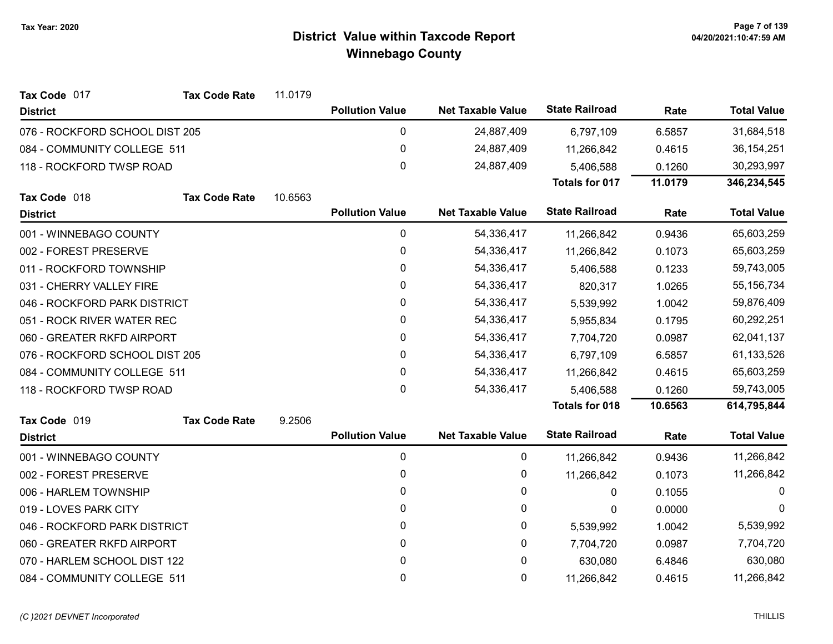| Tax Code 017                   | <b>Tax Code Rate</b>       | 11.0179 |                        |                          |                       |         |                    |
|--------------------------------|----------------------------|---------|------------------------|--------------------------|-----------------------|---------|--------------------|
| <b>District</b>                |                            |         | <b>Pollution Value</b> | <b>Net Taxable Value</b> | <b>State Railroad</b> | Rate    | <b>Total Value</b> |
| 076 - ROCKFORD SCHOOL DIST 205 |                            |         | 0                      | 24,887,409               | 6,797,109             | 6.5857  | 31,684,518         |
| 084 - COMMUNITY COLLEGE 511    |                            |         | 0                      | 24,887,409               | 11,266,842            | 0.4615  | 36, 154, 251       |
| 118 - ROCKFORD TWSP ROAD       |                            |         | 0                      | 24,887,409               | 5,406,588             | 0.1260  | 30,293,997         |
|                                |                            |         |                        |                          | <b>Totals for 017</b> | 11.0179 | 346,234,545        |
| Tax Code 018                   | <b>Tax Code Rate</b>       | 10.6563 |                        |                          |                       |         |                    |
| <b>District</b>                |                            |         | <b>Pollution Value</b> | <b>Net Taxable Value</b> | <b>State Railroad</b> | Rate    | <b>Total Value</b> |
| 001 - WINNEBAGO COUNTY         |                            |         | 0                      | 54,336,417               | 11,266,842            | 0.9436  | 65,603,259         |
| 002 - FOREST PRESERVE          |                            |         | 0                      | 54,336,417               | 11,266,842            | 0.1073  | 65,603,259         |
| 011 - ROCKFORD TOWNSHIP        |                            |         | 0                      | 54,336,417               | 5,406,588             | 0.1233  | 59,743,005         |
| 031 - CHERRY VALLEY FIRE       |                            |         | 0                      | 54,336,417               | 820,317               | 1.0265  | 55, 156, 734       |
| 046 - ROCKFORD PARK DISTRICT   |                            |         | 0                      | 54,336,417               | 5,539,992             | 1.0042  | 59,876,409         |
|                                | 051 - ROCK RIVER WATER REC |         | 0                      | 54,336,417               | 5,955,834             | 0.1795  | 60,292,251         |
|                                | 060 - GREATER RKFD AIRPORT |         | 0                      | 54,336,417               | 7,704,720             | 0.0987  | 62,041,137         |
| 076 - ROCKFORD SCHOOL DIST 205 |                            |         | 0                      | 54,336,417               | 6,797,109             | 6.5857  | 61,133,526         |
| 084 - COMMUNITY COLLEGE 511    |                            |         | 0                      | 54,336,417               | 11,266,842            | 0.4615  | 65,603,259         |
| 118 - ROCKFORD TWSP ROAD       |                            |         | 0                      | 54,336,417               | 5,406,588             | 0.1260  | 59,743,005         |
|                                |                            |         |                        |                          | <b>Totals for 018</b> | 10.6563 | 614,795,844        |
| Tax Code 019                   | <b>Tax Code Rate</b>       | 9.2506  |                        |                          |                       |         |                    |
| <b>District</b>                |                            |         | <b>Pollution Value</b> | <b>Net Taxable Value</b> | <b>State Railroad</b> | Rate    | <b>Total Value</b> |
| 001 - WINNEBAGO COUNTY         |                            |         | 0                      | 0                        | 11,266,842            | 0.9436  | 11,266,842         |
| 002 - FOREST PRESERVE          |                            |         | 0                      | 0                        | 11,266,842            | 0.1073  | 11,266,842         |
| 006 - HARLEM TOWNSHIP          |                            |         | $\mathbf{0}$           | 0                        | 0                     | 0.1055  | $\Omega$           |
| 019 - LOVES PARK CITY          |                            |         | 0                      | 0                        | 0                     | 0.0000  | $\Omega$           |
| 046 - ROCKFORD PARK DISTRICT   |                            |         | 0                      | 0                        | 5,539,992             | 1.0042  | 5,539,992          |
| 060 - GREATER RKFD AIRPORT     |                            |         | 0                      | 0                        | 7,704,720             | 0.0987  | 7,704,720          |
| 070 - HARLEM SCHOOL DIST 122   |                            |         | 0                      | 0                        | 630,080               | 6.4846  | 630,080            |
| 084 - COMMUNITY COLLEGE 511    |                            |         | 0                      | 0                        | 11,266,842            | 0.4615  | 11,266,842         |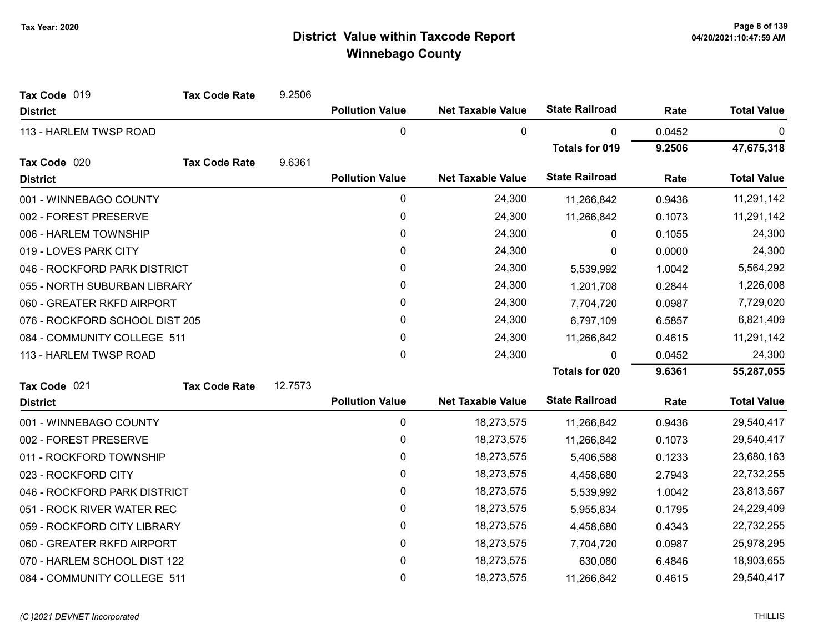| Tax Code 019                   | <b>Tax Code Rate</b> | 9.2506  |                        |                          |                       |        |                    |
|--------------------------------|----------------------|---------|------------------------|--------------------------|-----------------------|--------|--------------------|
| <b>District</b>                |                      |         | <b>Pollution Value</b> | <b>Net Taxable Value</b> | <b>State Railroad</b> | Rate   | <b>Total Value</b> |
| 113 - HARLEM TWSP ROAD         |                      |         | 0                      | 0                        | 0                     | 0.0452 | 0                  |
|                                |                      |         |                        |                          | <b>Totals for 019</b> | 9.2506 | 47,675,318         |
| Tax Code 020                   | <b>Tax Code Rate</b> | 9.6361  |                        |                          |                       |        |                    |
| <b>District</b>                |                      |         | <b>Pollution Value</b> | <b>Net Taxable Value</b> | <b>State Railroad</b> | Rate   | <b>Total Value</b> |
| 001 - WINNEBAGO COUNTY         |                      |         | 0                      | 24,300                   | 11,266,842            | 0.9436 | 11,291,142         |
| 002 - FOREST PRESERVE          |                      |         | 0                      | 24,300                   | 11,266,842            | 0.1073 | 11,291,142         |
| 006 - HARLEM TOWNSHIP          |                      |         | 0                      | 24,300                   | $\Omega$              | 0.1055 | 24,300             |
| 019 - LOVES PARK CITY          |                      |         | 0                      | 24,300                   | $\mathbf{0}$          | 0.0000 | 24,300             |
| 046 - ROCKFORD PARK DISTRICT   |                      |         | 0                      | 24,300                   | 5,539,992             | 1.0042 | 5,564,292          |
| 055 - NORTH SUBURBAN LIBRARY   |                      |         | 0                      | 24,300                   | 1,201,708             | 0.2844 | 1,226,008          |
| 060 - GREATER RKFD AIRPORT     |                      |         | 0                      | 24,300                   | 7,704,720             | 0.0987 | 7,729,020          |
| 076 - ROCKFORD SCHOOL DIST 205 |                      |         | 0                      | 24,300                   | 6,797,109             | 6.5857 | 6,821,409          |
| 084 - COMMUNITY COLLEGE 511    |                      |         | 0                      | 24,300                   | 11,266,842            | 0.4615 | 11,291,142         |
| 113 - HARLEM TWSP ROAD         |                      |         | 0                      | 24,300                   | 0                     | 0.0452 | 24,300             |
|                                |                      |         |                        |                          | <b>Totals for 020</b> | 9.6361 | 55,287,055         |
| Tax Code 021                   | <b>Tax Code Rate</b> | 12.7573 |                        |                          |                       |        |                    |
| <b>District</b>                |                      |         | <b>Pollution Value</b> | <b>Net Taxable Value</b> | <b>State Railroad</b> | Rate   | <b>Total Value</b> |
| 001 - WINNEBAGO COUNTY         |                      |         | 0                      | 18,273,575               | 11,266,842            | 0.9436 | 29,540,417         |
| 002 - FOREST PRESERVE          |                      |         | 0                      | 18,273,575               | 11,266,842            | 0.1073 | 29,540,417         |
| 011 - ROCKFORD TOWNSHIP        |                      |         | 0                      | 18,273,575               | 5,406,588             | 0.1233 | 23,680,163         |
| 023 - ROCKFORD CITY            |                      |         | 0                      | 18,273,575               | 4,458,680             | 2.7943 | 22,732,255         |
| 046 - ROCKFORD PARK DISTRICT   |                      |         | 0                      | 18,273,575               | 5,539,992             | 1.0042 | 23,813,567         |
| 051 - ROCK RIVER WATER REC     |                      |         | 0                      | 18,273,575               | 5,955,834             | 0.1795 | 24,229,409         |
| 059 - ROCKFORD CITY LIBRARY    |                      |         | 0                      | 18,273,575               | 4,458,680             | 0.4343 | 22,732,255         |
| 060 - GREATER RKFD AIRPORT     |                      |         | 0                      | 18,273,575               | 7,704,720             | 0.0987 | 25,978,295         |
| 070 - HARLEM SCHOOL DIST 122   |                      |         | 0                      | 18,273,575               | 630,080               | 6.4846 | 18,903,655         |
| 084 - COMMUNITY COLLEGE 511    |                      |         | 0                      | 18,273,575               | 11,266,842            | 0.4615 | 29,540,417         |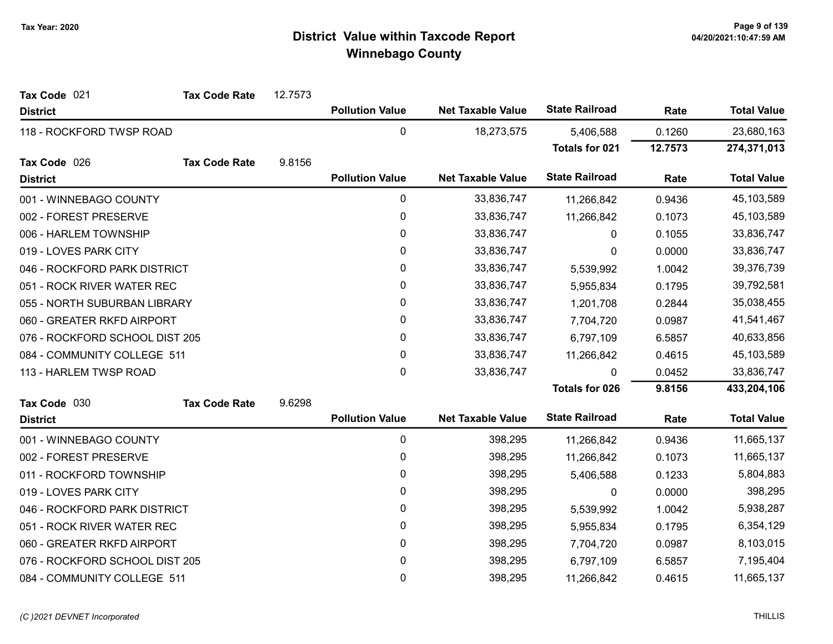| Tax Code 021                   | <b>Tax Code Rate</b> | 12.7573 |                        |                          |                       |         |                    |
|--------------------------------|----------------------|---------|------------------------|--------------------------|-----------------------|---------|--------------------|
| <b>District</b>                |                      |         | <b>Pollution Value</b> | <b>Net Taxable Value</b> | <b>State Railroad</b> | Rate    | <b>Total Value</b> |
| 118 - ROCKFORD TWSP ROAD       |                      |         | $\pmb{0}$              | 18,273,575               | 5,406,588             | 0.1260  | 23,680,163         |
|                                |                      |         |                        |                          | Totals for 021        | 12.7573 | 274,371,013        |
| Tax Code 026                   | <b>Tax Code Rate</b> | 9.8156  |                        |                          |                       |         |                    |
| <b>District</b>                |                      |         | <b>Pollution Value</b> | <b>Net Taxable Value</b> | <b>State Railroad</b> | Rate    | <b>Total Value</b> |
| 001 - WINNEBAGO COUNTY         |                      |         | 0                      | 33,836,747               | 11,266,842            | 0.9436  | 45,103,589         |
| 002 - FOREST PRESERVE          |                      |         | 0                      | 33,836,747               | 11,266,842            | 0.1073  | 45,103,589         |
| 006 - HARLEM TOWNSHIP          |                      |         | 0                      | 33,836,747               | 0                     | 0.1055  | 33,836,747         |
| 019 - LOVES PARK CITY          |                      |         | 0                      | 33,836,747               | 0                     | 0.0000  | 33,836,747         |
| 046 - ROCKFORD PARK DISTRICT   |                      |         | $\pmb{0}$              | 33,836,747               | 5,539,992             | 1.0042  | 39,376,739         |
| 051 - ROCK RIVER WATER REC     |                      |         | $\pmb{0}$              | 33,836,747               | 5,955,834             | 0.1795  | 39,792,581         |
| 055 - NORTH SUBURBAN LIBRARY   |                      |         | 0                      | 33,836,747               | 1,201,708             | 0.2844  | 35,038,455         |
| 060 - GREATER RKFD AIRPORT     |                      |         | 0                      | 33,836,747               | 7,704,720             | 0.0987  | 41,541,467         |
| 076 - ROCKFORD SCHOOL DIST 205 |                      |         | 0                      | 33,836,747               | 6,797,109             | 6.5857  | 40,633,856         |
| 084 - COMMUNITY COLLEGE 511    |                      |         | 0                      | 33,836,747               | 11,266,842            | 0.4615  | 45,103,589         |
| 113 - HARLEM TWSP ROAD         |                      |         | 0                      | 33,836,747               | $\mathbf{0}$          | 0.0452  | 33,836,747         |
|                                |                      |         |                        |                          | <b>Totals for 026</b> | 9.8156  | 433,204,106        |
| Tax Code 030                   | <b>Tax Code Rate</b> | 9.6298  |                        |                          |                       |         |                    |
| <b>District</b>                |                      |         | <b>Pollution Value</b> | <b>Net Taxable Value</b> | <b>State Railroad</b> | Rate    | <b>Total Value</b> |
| 001 - WINNEBAGO COUNTY         |                      |         | $\pmb{0}$              | 398,295                  | 11,266,842            | 0.9436  | 11,665,137         |
| 002 - FOREST PRESERVE          |                      |         | 0                      | 398,295                  | 11,266,842            | 0.1073  | 11,665,137         |
| 011 - ROCKFORD TOWNSHIP        |                      |         | 0                      | 398,295                  | 5,406,588             | 0.1233  | 5,804,883          |
| 019 - LOVES PARK CITY          |                      |         | 0                      | 398,295                  | $\mathbf{0}$          | 0.0000  | 398,295            |
| 046 - ROCKFORD PARK DISTRICT   |                      |         | 0                      | 398,295                  | 5,539,992             | 1.0042  | 5,938,287          |
| 051 - ROCK RIVER WATER REC     |                      |         | $\pmb{0}$              | 398,295                  | 5,955,834             | 0.1795  | 6,354,129          |
| 060 - GREATER RKFD AIRPORT     |                      |         | 0                      | 398,295                  | 7,704,720             | 0.0987  | 8,103,015          |
| 076 - ROCKFORD SCHOOL DIST 205 |                      |         | 0                      | 398,295                  | 6,797,109             | 6.5857  | 7,195,404          |
| 084 - COMMUNITY COLLEGE 511    |                      |         | $\mathbf 0$            | 398,295                  | 11,266,842            | 0.4615  | 11,665,137         |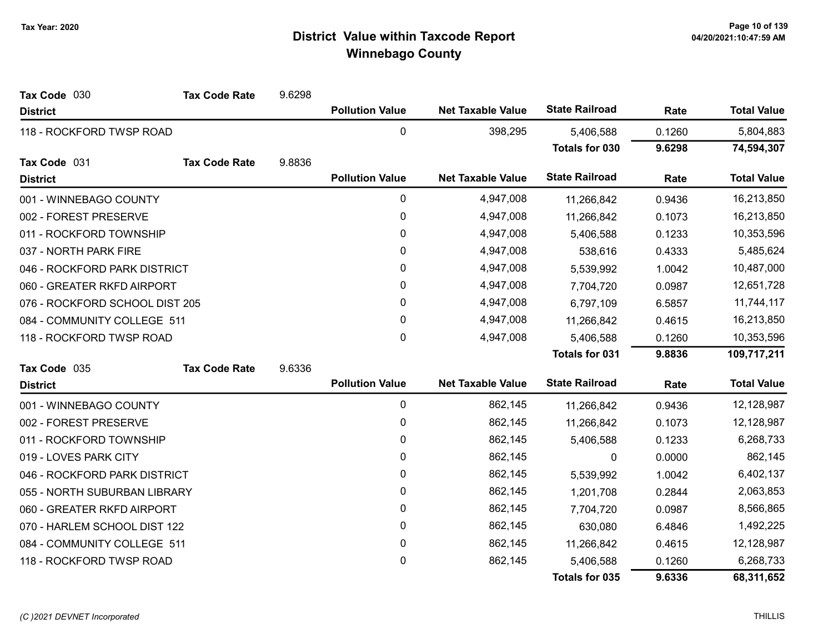| Tax Code 030                   | <b>Tax Code Rate</b> | 9.6298 |                        |                          |                       |        |                    |
|--------------------------------|----------------------|--------|------------------------|--------------------------|-----------------------|--------|--------------------|
| <b>District</b>                |                      |        | <b>Pollution Value</b> | <b>Net Taxable Value</b> | <b>State Railroad</b> | Rate   | <b>Total Value</b> |
| 118 - ROCKFORD TWSP ROAD       |                      |        | 0                      | 398,295                  | 5,406,588             | 0.1260 | 5,804,883          |
|                                |                      |        |                        |                          | Totals for 030        | 9.6298 | 74,594,307         |
| Tax Code 031                   | <b>Tax Code Rate</b> | 9.8836 |                        |                          |                       |        |                    |
| <b>District</b>                |                      |        | <b>Pollution Value</b> | <b>Net Taxable Value</b> | <b>State Railroad</b> | Rate   | <b>Total Value</b> |
| 001 - WINNEBAGO COUNTY         |                      |        | $\pmb{0}$              | 4,947,008                | 11,266,842            | 0.9436 | 16,213,850         |
| 002 - FOREST PRESERVE          |                      |        | $\pmb{0}$              | 4,947,008                | 11,266,842            | 0.1073 | 16,213,850         |
| 011 - ROCKFORD TOWNSHIP        |                      |        | 0                      | 4,947,008                | 5,406,588             | 0.1233 | 10,353,596         |
| 037 - NORTH PARK FIRE          |                      |        | $\mathbf{0}$           | 4,947,008                | 538,616               | 0.4333 | 5,485,624          |
| 046 - ROCKFORD PARK DISTRICT   |                      |        | $\pmb{0}$              | 4,947,008                | 5,539,992             | 1.0042 | 10,487,000         |
| 060 - GREATER RKFD AIRPORT     |                      |        | 0                      | 4,947,008                | 7,704,720             | 0.0987 | 12,651,728         |
| 076 - ROCKFORD SCHOOL DIST 205 |                      |        | 0                      | 4,947,008                | 6,797,109             | 6.5857 | 11,744,117         |
| 084 - COMMUNITY COLLEGE 511    |                      |        | $\pmb{0}$              | 4,947,008                | 11,266,842            | 0.4615 | 16,213,850         |
| 118 - ROCKFORD TWSP ROAD       |                      |        | $\mathbf{0}$           | 4,947,008                | 5,406,588             | 0.1260 | 10,353,596         |
|                                |                      |        |                        |                          | <b>Totals for 031</b> | 9.8836 | 109,717,211        |
| Tax Code 035                   | <b>Tax Code Rate</b> | 9.6336 |                        |                          |                       |        |                    |
| <b>District</b>                |                      |        | <b>Pollution Value</b> | <b>Net Taxable Value</b> | <b>State Railroad</b> | Rate   | <b>Total Value</b> |
| 001 - WINNEBAGO COUNTY         |                      |        | $\pmb{0}$              | 862,145                  | 11,266,842            | 0.9436 | 12,128,987         |
| 002 - FOREST PRESERVE          |                      |        | 0                      | 862,145                  | 11,266,842            | 0.1073 | 12,128,987         |
| 011 - ROCKFORD TOWNSHIP        |                      |        | 0                      | 862,145                  | 5,406,588             | 0.1233 | 6,268,733          |
| 019 - LOVES PARK CITY          |                      |        | 0                      | 862,145                  | 0                     | 0.0000 | 862,145            |
| 046 - ROCKFORD PARK DISTRICT   |                      |        | 0                      | 862,145                  | 5,539,992             | 1.0042 | 6,402,137          |
| 055 - NORTH SUBURBAN LIBRARY   |                      |        | 0                      | 862,145                  | 1,201,708             | 0.2844 | 2,063,853          |
| 060 - GREATER RKFD AIRPORT     |                      |        | 0                      | 862,145                  | 7,704,720             | 0.0987 | 8,566,865          |
| 070 - HARLEM SCHOOL DIST 122   |                      |        | 0                      | 862,145                  | 630,080               | 6.4846 | 1,492,225          |
| 084 - COMMUNITY COLLEGE 511    |                      |        | 0                      | 862,145                  | 11,266,842            | 0.4615 | 12,128,987         |
| 118 - ROCKFORD TWSP ROAD       |                      |        | 0                      | 862,145                  | 5,406,588             | 0.1260 | 6,268,733          |
|                                |                      |        |                        |                          | <b>Totals for 035</b> | 9.6336 | 68,311,652         |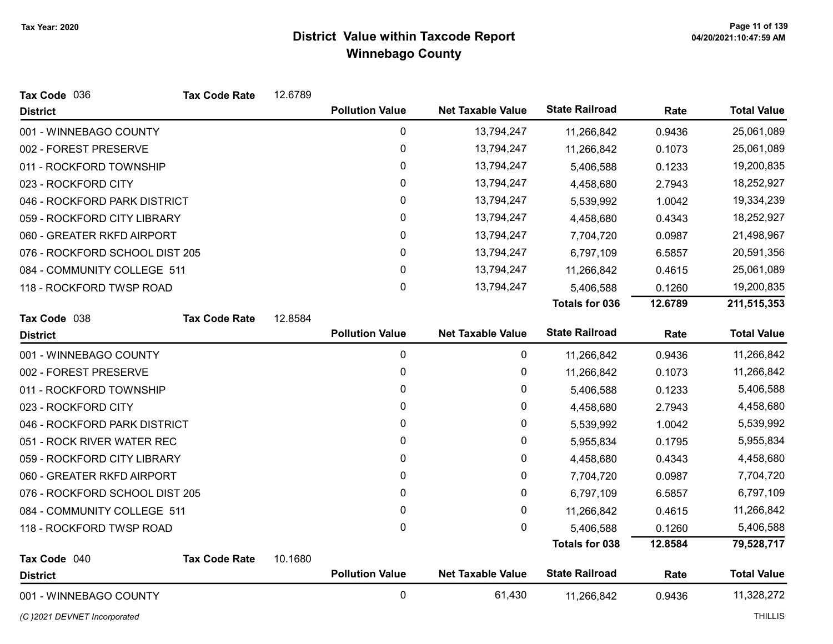| Tax Code 036                   | <b>Tax Code Rate</b> | 12.6789 |                        |                          |                       |         |                    |
|--------------------------------|----------------------|---------|------------------------|--------------------------|-----------------------|---------|--------------------|
| <b>District</b>                |                      |         | <b>Pollution Value</b> | <b>Net Taxable Value</b> | <b>State Railroad</b> | Rate    | <b>Total Value</b> |
| 001 - WINNEBAGO COUNTY         |                      |         | 0                      | 13,794,247               | 11,266,842            | 0.9436  | 25,061,089         |
| 002 - FOREST PRESERVE          |                      |         | 0                      | 13,794,247               | 11,266,842            | 0.1073  | 25,061,089         |
| 011 - ROCKFORD TOWNSHIP        |                      |         | 0                      | 13,794,247               | 5,406,588             | 0.1233  | 19,200,835         |
| 023 - ROCKFORD CITY            |                      |         | 0                      | 13,794,247               | 4,458,680             | 2.7943  | 18,252,927         |
| 046 - ROCKFORD PARK DISTRICT   |                      |         | 0                      | 13,794,247               | 5,539,992             | 1.0042  | 19,334,239         |
| 059 - ROCKFORD CITY LIBRARY    |                      |         | 0                      | 13,794,247               | 4,458,680             | 0.4343  | 18,252,927         |
| 060 - GREATER RKFD AIRPORT     |                      |         | 0                      | 13,794,247               | 7,704,720             | 0.0987  | 21,498,967         |
| 076 - ROCKFORD SCHOOL DIST 205 |                      |         | 0                      | 13,794,247               | 6,797,109             | 6.5857  | 20,591,356         |
| 084 - COMMUNITY COLLEGE 511    |                      |         | 0                      | 13,794,247               | 11,266,842            | 0.4615  | 25,061,089         |
| 118 - ROCKFORD TWSP ROAD       |                      |         | 0                      | 13,794,247               | 5,406,588             | 0.1260  | 19,200,835         |
|                                |                      |         |                        |                          | <b>Totals for 036</b> | 12.6789 | 211,515,353        |
| Tax Code 038                   | <b>Tax Code Rate</b> | 12.8584 |                        |                          |                       |         |                    |
| <b>District</b>                |                      |         | <b>Pollution Value</b> | <b>Net Taxable Value</b> | <b>State Railroad</b> | Rate    | <b>Total Value</b> |
| 001 - WINNEBAGO COUNTY         |                      |         | $\mathbf 0$            | 0                        | 11,266,842            | 0.9436  | 11,266,842         |
| 002 - FOREST PRESERVE          |                      |         | 0                      | 0                        | 11,266,842            | 0.1073  | 11,266,842         |
| 011 - ROCKFORD TOWNSHIP        |                      |         | 0                      | 0                        | 5,406,588             | 0.1233  | 5,406,588          |
| 023 - ROCKFORD CITY            |                      |         | 0                      | 0                        | 4,458,680             | 2.7943  | 4,458,680          |
| 046 - ROCKFORD PARK DISTRICT   |                      |         | 0                      | $\pmb{0}$                | 5,539,992             | 1.0042  | 5,539,992          |
| 051 - ROCK RIVER WATER REC     |                      |         | 0                      | 0                        | 5,955,834             | 0.1795  | 5,955,834          |
| 059 - ROCKFORD CITY LIBRARY    |                      |         | 0                      | 0                        | 4,458,680             | 0.4343  | 4,458,680          |
| 060 - GREATER RKFD AIRPORT     |                      |         | 0                      | 0                        | 7,704,720             | 0.0987  | 7,704,720          |
| 076 - ROCKFORD SCHOOL DIST 205 |                      |         | 0                      | $\pmb{0}$                | 6,797,109             | 6.5857  | 6,797,109          |
| 084 - COMMUNITY COLLEGE 511    |                      |         | 0                      | 0                        | 11,266,842            | 0.4615  | 11,266,842         |
| 118 - ROCKFORD TWSP ROAD       |                      |         | $\mathbf 0$            | $\mathbf 0$              | 5,406,588             | 0.1260  | 5,406,588          |
|                                |                      |         |                        |                          | <b>Totals for 038</b> | 12.8584 | 79,528,717         |
| Tax Code 040                   | <b>Tax Code Rate</b> | 10.1680 |                        |                          |                       |         |                    |
| <b>District</b>                |                      |         | <b>Pollution Value</b> | <b>Net Taxable Value</b> | <b>State Railroad</b> | Rate    | <b>Total Value</b> |
| 001 - WINNEBAGO COUNTY         |                      |         | 0                      | 61,430                   | 11,266,842            | 0.9436  | 11,328,272         |

(C)2021 DEVNET Incorporated THILLIS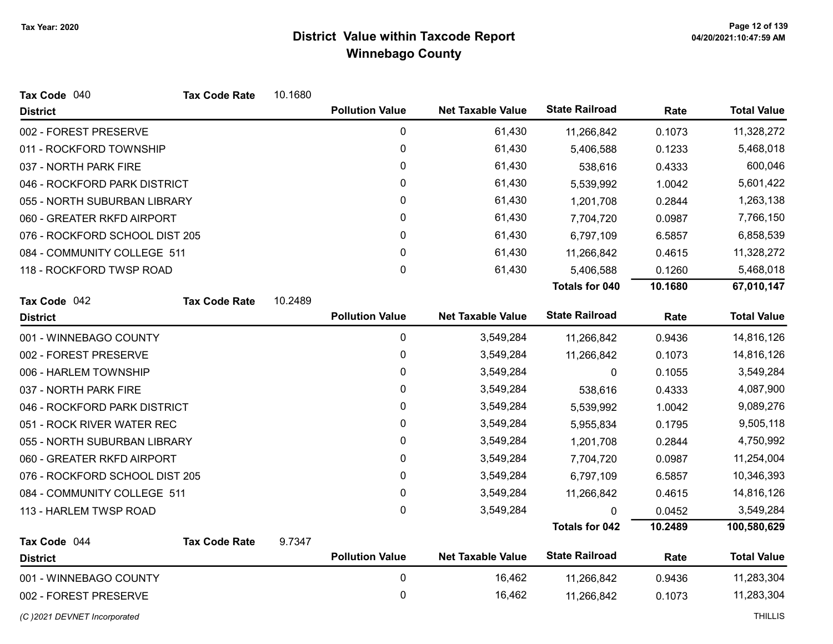| Tax Code 040                   | <b>Tax Code Rate</b> | 10.1680 |                        |                          |                       |         |                    |
|--------------------------------|----------------------|---------|------------------------|--------------------------|-----------------------|---------|--------------------|
| <b>District</b>                |                      |         | <b>Pollution Value</b> | <b>Net Taxable Value</b> | <b>State Railroad</b> | Rate    | <b>Total Value</b> |
| 002 - FOREST PRESERVE          |                      |         | 0                      | 61,430                   | 11,266,842            | 0.1073  | 11,328,272         |
| 011 - ROCKFORD TOWNSHIP        |                      |         | $\pmb{0}$              | 61,430                   | 5,406,588             | 0.1233  | 5,468,018          |
| 037 - NORTH PARK FIRE          |                      |         | 0                      | 61,430                   | 538,616               | 0.4333  | 600,046            |
| 046 - ROCKFORD PARK DISTRICT   |                      |         | 0                      | 61,430                   | 5,539,992             | 1.0042  | 5,601,422          |
| 055 - NORTH SUBURBAN LIBRARY   |                      |         | 0                      | 61,430                   | 1,201,708             | 0.2844  | 1,263,138          |
| 060 - GREATER RKFD AIRPORT     |                      |         | $\mathbf{0}$           | 61,430                   | 7,704,720             | 0.0987  | 7,766,150          |
| 076 - ROCKFORD SCHOOL DIST 205 |                      |         | 0                      | 61,430                   | 6,797,109             | 6.5857  | 6,858,539          |
| 084 - COMMUNITY COLLEGE 511    |                      |         | 0                      | 61,430                   | 11,266,842            | 0.4615  | 11,328,272         |
| 118 - ROCKFORD TWSP ROAD       |                      |         | $\mathbf 0$            | 61,430                   | 5,406,588             | 0.1260  | 5,468,018          |
|                                |                      |         |                        |                          | <b>Totals for 040</b> | 10.1680 | 67,010,147         |
| Tax Code 042                   | <b>Tax Code Rate</b> | 10.2489 |                        |                          |                       |         |                    |
| <b>District</b>                |                      |         | <b>Pollution Value</b> | <b>Net Taxable Value</b> | <b>State Railroad</b> | Rate    | <b>Total Value</b> |
| 001 - WINNEBAGO COUNTY         |                      |         | $\pmb{0}$              | 3,549,284                | 11,266,842            | 0.9436  | 14,816,126         |
| 002 - FOREST PRESERVE          |                      |         | $\pmb{0}$              | 3,549,284                | 11,266,842            | 0.1073  | 14,816,126         |
| 006 - HARLEM TOWNSHIP          |                      |         | 0                      | 3,549,284                | $\mathbf{0}$          | 0.1055  | 3,549,284          |
| 037 - NORTH PARK FIRE          |                      |         | 0                      | 3,549,284                | 538,616               | 0.4333  | 4,087,900          |
| 046 - ROCKFORD PARK DISTRICT   |                      |         | $\pmb{0}$              | 3,549,284                | 5,539,992             | 1.0042  | 9,089,276          |
| 051 - ROCK RIVER WATER REC     |                      |         | $\pmb{0}$              | 3,549,284                | 5,955,834             | 0.1795  | 9,505,118          |
| 055 - NORTH SUBURBAN LIBRARY   |                      |         | 0                      | 3,549,284                | 1,201,708             | 0.2844  | 4,750,992          |
| 060 - GREATER RKFD AIRPORT     |                      |         | 0                      | 3,549,284                | 7,704,720             | 0.0987  | 11,254,004         |
| 076 - ROCKFORD SCHOOL DIST 205 |                      |         | 0                      | 3,549,284                | 6,797,109             | 6.5857  | 10,346,393         |
| 084 - COMMUNITY COLLEGE 511    |                      |         | $\pmb{0}$              | 3,549,284                | 11,266,842            | 0.4615  | 14,816,126         |
| 113 - HARLEM TWSP ROAD         |                      |         | $\mathbf{0}$           | 3,549,284                | $\Omega$              | 0.0452  | 3,549,284          |
|                                |                      |         |                        |                          | <b>Totals for 042</b> | 10.2489 | 100,580,629        |
| Tax Code 044                   | <b>Tax Code Rate</b> | 9.7347  |                        |                          |                       |         |                    |
| <b>District</b>                |                      |         | <b>Pollution Value</b> | <b>Net Taxable Value</b> | <b>State Railroad</b> | Rate    | <b>Total Value</b> |
| 001 - WINNEBAGO COUNTY         |                      |         | 0                      | 16,462                   | 11,266,842            | 0.9436  | 11,283,304         |
| 002 - FOREST PRESERVE          |                      |         | $\pmb{0}$              | 16,462                   | 11,266,842            | 0.1073  | 11,283,304         |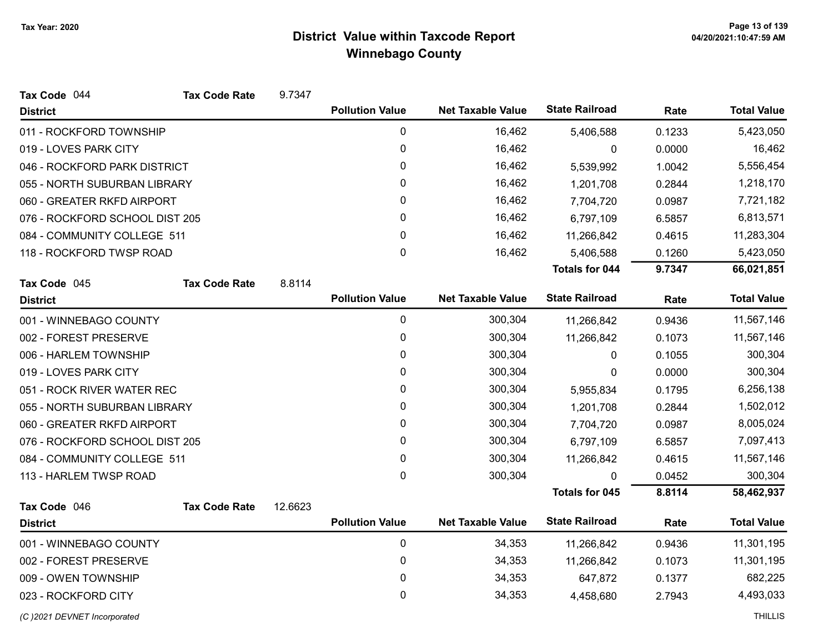| Tax Code 044                   | <b>Tax Code Rate</b> | 9.7347  |                        |                          |                       |        |                    |
|--------------------------------|----------------------|---------|------------------------|--------------------------|-----------------------|--------|--------------------|
| <b>District</b>                |                      |         | <b>Pollution Value</b> | <b>Net Taxable Value</b> | <b>State Railroad</b> | Rate   | <b>Total Value</b> |
| 011 - ROCKFORD TOWNSHIP        |                      |         | 0                      | 16,462                   | 5,406,588             | 0.1233 | 5,423,050          |
| 019 - LOVES PARK CITY          |                      |         | 0                      | 16,462                   | 0                     | 0.0000 | 16,462             |
| 046 - ROCKFORD PARK DISTRICT   |                      |         | 0                      | 16,462                   | 5,539,992             | 1.0042 | 5,556,454          |
| 055 - NORTH SUBURBAN LIBRARY   |                      |         | 0                      | 16,462                   | 1,201,708             | 0.2844 | 1,218,170          |
| 060 - GREATER RKFD AIRPORT     |                      |         | 0                      | 16,462                   | 7,704,720             | 0.0987 | 7,721,182          |
| 076 - ROCKFORD SCHOOL DIST 205 |                      |         | 0                      | 16,462                   | 6,797,109             | 6.5857 | 6,813,571          |
| 084 - COMMUNITY COLLEGE 511    |                      |         | 0                      | 16,462                   | 11,266,842            | 0.4615 | 11,283,304         |
| 118 - ROCKFORD TWSP ROAD       |                      |         | 0                      | 16,462                   | 5,406,588             | 0.1260 | 5,423,050          |
|                                |                      |         |                        |                          | <b>Totals for 044</b> | 9.7347 | 66,021,851         |
| Tax Code 045                   | <b>Tax Code Rate</b> | 8.8114  |                        |                          |                       |        |                    |
| <b>District</b>                |                      |         | <b>Pollution Value</b> | <b>Net Taxable Value</b> | <b>State Railroad</b> | Rate   | <b>Total Value</b> |
| 001 - WINNEBAGO COUNTY         |                      |         | $\pmb{0}$              | 300,304                  | 11,266,842            | 0.9436 | 11,567,146         |
| 002 - FOREST PRESERVE          |                      |         | 0                      | 300,304                  | 11,266,842            | 0.1073 | 11,567,146         |
| 006 - HARLEM TOWNSHIP          |                      |         | 0                      | 300,304                  | 0                     | 0.1055 | 300,304            |
| 019 - LOVES PARK CITY          |                      |         | 0                      | 300,304                  | 0                     | 0.0000 | 300,304            |
| 051 - ROCK RIVER WATER REC     |                      |         | 0                      | 300,304                  | 5,955,834             | 0.1795 | 6,256,138          |
| 055 - NORTH SUBURBAN LIBRARY   |                      |         | 0                      | 300,304                  | 1,201,708             | 0.2844 | 1,502,012          |
| 060 - GREATER RKFD AIRPORT     |                      |         | 0                      | 300,304                  | 7,704,720             | 0.0987 | 8,005,024          |
| 076 - ROCKFORD SCHOOL DIST 205 |                      |         | 0                      | 300,304                  | 6,797,109             | 6.5857 | 7,097,413          |
| 084 - COMMUNITY COLLEGE 511    |                      |         | 0                      | 300,304                  | 11,266,842            | 0.4615 | 11,567,146         |
| 113 - HARLEM TWSP ROAD         |                      |         | 0                      | 300,304                  | 0                     | 0.0452 | 300,304            |
|                                |                      |         |                        |                          | <b>Totals for 045</b> | 8.8114 | 58,462,937         |
| Tax Code 046                   | <b>Tax Code Rate</b> | 12.6623 |                        |                          |                       |        |                    |
| <b>District</b>                |                      |         | <b>Pollution Value</b> | <b>Net Taxable Value</b> | <b>State Railroad</b> | Rate   | <b>Total Value</b> |
| 001 - WINNEBAGO COUNTY         |                      |         | $\pmb{0}$              | 34,353                   | 11,266,842            | 0.9436 | 11,301,195         |
| 002 - FOREST PRESERVE          |                      |         | 0                      | 34,353                   | 11,266,842            | 0.1073 | 11,301,195         |
| 009 - OWEN TOWNSHIP            |                      |         | 0                      | 34,353                   | 647,872               | 0.1377 | 682,225            |
| 023 - ROCKFORD CITY            |                      |         | 0                      | 34,353                   | 4,458,680             | 2.7943 | 4,493,033          |
| (C) 2021 DEVNET Incorporated   |                      |         |                        |                          |                       |        | <b>THILLIS</b>     |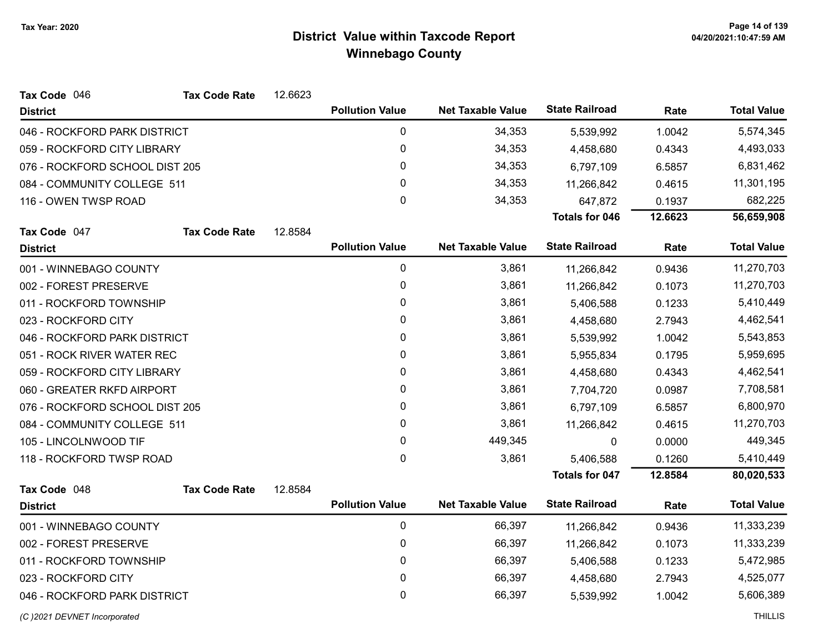| Tax Code 046                   | <b>Tax Code Rate</b> | 12.6623 |                        |                          |                       |         |                    |
|--------------------------------|----------------------|---------|------------------------|--------------------------|-----------------------|---------|--------------------|
| <b>District</b>                |                      |         | <b>Pollution Value</b> | <b>Net Taxable Value</b> | <b>State Railroad</b> | Rate    | <b>Total Value</b> |
| 046 - ROCKFORD PARK DISTRICT   |                      |         | $\pmb{0}$              | 34,353                   | 5,539,992             | 1.0042  | 5,574,345          |
| 059 - ROCKFORD CITY LIBRARY    |                      |         | $\mathbf 0$            | 34,353                   | 4,458,680             | 0.4343  | 4,493,033          |
| 076 - ROCKFORD SCHOOL DIST 205 |                      |         | 0                      | 34,353                   | 6,797,109             | 6.5857  | 6,831,462          |
| 084 - COMMUNITY COLLEGE 511    |                      |         | 0                      | 34,353                   | 11,266,842            | 0.4615  | 11,301,195         |
| 116 - OWEN TWSP ROAD           |                      |         | 0                      | 34,353                   | 647,872               | 0.1937  | 682,225            |
|                                |                      |         |                        |                          | <b>Totals for 046</b> | 12.6623 | 56,659,908         |
| Tax Code 047                   | <b>Tax Code Rate</b> | 12.8584 |                        |                          |                       |         |                    |
| <b>District</b>                |                      |         | <b>Pollution Value</b> | <b>Net Taxable Value</b> | <b>State Railroad</b> | Rate    | <b>Total Value</b> |
| 001 - WINNEBAGO COUNTY         |                      |         | $\pmb{0}$              | 3,861                    | 11,266,842            | 0.9436  | 11,270,703         |
| 002 - FOREST PRESERVE          |                      |         | $\pmb{0}$              | 3,861                    | 11,266,842            | 0.1073  | 11,270,703         |
| 011 - ROCKFORD TOWNSHIP        |                      |         | 0                      | 3,861                    | 5,406,588             | 0.1233  | 5,410,449          |
| 023 - ROCKFORD CITY            |                      |         | 0                      | 3,861                    | 4,458,680             | 2.7943  | 4,462,541          |
| 046 - ROCKFORD PARK DISTRICT   |                      |         | 0                      | 3,861                    | 5,539,992             | 1.0042  | 5,543,853          |
| 051 - ROCK RIVER WATER REC     |                      |         | 0                      | 3,861                    | 5,955,834             | 0.1795  | 5,959,695          |
| 059 - ROCKFORD CITY LIBRARY    |                      |         | 0                      | 3,861                    | 4,458,680             | 0.4343  | 4,462,541          |
| 060 - GREATER RKFD AIRPORT     |                      |         | 0                      | 3,861                    | 7,704,720             | 0.0987  | 7,708,581          |
| 076 - ROCKFORD SCHOOL DIST 205 |                      |         | 0                      | 3,861                    | 6,797,109             | 6.5857  | 6,800,970          |
| 084 - COMMUNITY COLLEGE 511    |                      |         | 0                      | 3,861                    | 11,266,842            | 0.4615  | 11,270,703         |
| 105 - LINCOLNWOOD TIF          |                      |         | 0                      | 449,345                  | 0                     | 0.0000  | 449,345            |
| 118 - ROCKFORD TWSP ROAD       |                      |         | 0                      | 3,861                    | 5,406,588             | 0.1260  | 5,410,449          |
|                                |                      |         |                        |                          | <b>Totals for 047</b> | 12.8584 | 80,020,533         |
| Tax Code 048                   | <b>Tax Code Rate</b> | 12.8584 |                        |                          |                       |         |                    |
| <b>District</b>                |                      |         | <b>Pollution Value</b> | <b>Net Taxable Value</b> | <b>State Railroad</b> | Rate    | <b>Total Value</b> |
| 001 - WINNEBAGO COUNTY         |                      |         | 0                      | 66,397                   | 11,266,842            | 0.9436  | 11,333,239         |
| 002 - FOREST PRESERVE          |                      |         | 0                      | 66,397                   | 11,266,842            | 0.1073  | 11,333,239         |
| 011 - ROCKFORD TOWNSHIP        |                      |         | $\pmb{0}$              | 66,397                   | 5,406,588             | 0.1233  | 5,472,985          |
| 023 - ROCKFORD CITY            |                      |         | 0                      | 66,397                   | 4,458,680             | 2.7943  | 4,525,077          |
| 046 - ROCKFORD PARK DISTRICT   |                      |         | 0                      | 66,397                   | 5,539,992             | 1.0042  | 5,606,389          |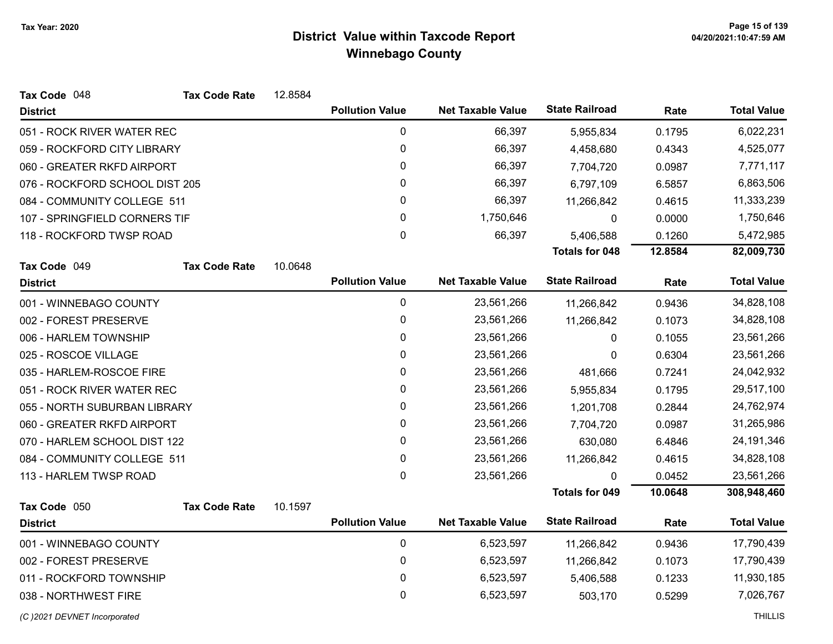| Tax Code 048                   | <b>Tax Code Rate</b> | 12.8584 |                        |                          |                       |         |                    |
|--------------------------------|----------------------|---------|------------------------|--------------------------|-----------------------|---------|--------------------|
| <b>District</b>                |                      |         | <b>Pollution Value</b> | <b>Net Taxable Value</b> | <b>State Railroad</b> | Rate    | <b>Total Value</b> |
| 051 - ROCK RIVER WATER REC     |                      |         | $\pmb{0}$              | 66,397                   | 5,955,834             | 0.1795  | 6,022,231          |
| 059 - ROCKFORD CITY LIBRARY    |                      |         | $\pmb{0}$              | 66,397                   | 4,458,680             | 0.4343  | 4,525,077          |
| 060 - GREATER RKFD AIRPORT     |                      |         | 0                      | 66,397                   | 7,704,720             | 0.0987  | 7,771,117          |
| 076 - ROCKFORD SCHOOL DIST 205 |                      |         | 0                      | 66,397                   | 6,797,109             | 6.5857  | 6,863,506          |
| 084 - COMMUNITY COLLEGE 511    |                      |         | 0                      | 66,397                   | 11,266,842            | 0.4615  | 11,333,239         |
| 107 - SPRINGFIELD CORNERS TIF  |                      |         | $\pmb{0}$              | 1,750,646                | 0                     | 0.0000  | 1,750,646          |
| 118 - ROCKFORD TWSP ROAD       |                      |         | $\mathbf 0$            | 66,397                   | 5,406,588             | 0.1260  | 5,472,985          |
|                                |                      |         |                        |                          | <b>Totals for 048</b> | 12.8584 | 82,009,730         |
| Tax Code 049                   | <b>Tax Code Rate</b> | 10.0648 |                        |                          |                       |         |                    |
| <b>District</b>                |                      |         | <b>Pollution Value</b> | <b>Net Taxable Value</b> | <b>State Railroad</b> | Rate    | <b>Total Value</b> |
| 001 - WINNEBAGO COUNTY         |                      |         | $\pmb{0}$              | 23,561,266               | 11,266,842            | 0.9436  | 34,828,108         |
| 002 - FOREST PRESERVE          |                      |         | 0                      | 23,561,266               | 11,266,842            | 0.1073  | 34,828,108         |
| 006 - HARLEM TOWNSHIP          |                      |         | $\pmb{0}$              | 23,561,266               | 0                     | 0.1055  | 23,561,266         |
| 025 - ROSCOE VILLAGE           |                      |         | 0                      | 23,561,266               | 0                     | 0.6304  | 23,561,266         |
| 035 - HARLEM-ROSCOE FIRE       |                      |         | $\pmb{0}$              | 23,561,266               | 481,666               | 0.7241  | 24,042,932         |
| 051 - ROCK RIVER WATER REC     |                      |         | $\pmb{0}$              | 23,561,266               | 5,955,834             | 0.1795  | 29,517,100         |
| 055 - NORTH SUBURBAN LIBRARY   |                      |         | 0                      | 23,561,266               | 1,201,708             | 0.2844  | 24,762,974         |
| 060 - GREATER RKFD AIRPORT     |                      |         | 0                      | 23,561,266               | 7,704,720             | 0.0987  | 31,265,986         |
| 070 - HARLEM SCHOOL DIST 122   |                      |         | 0                      | 23,561,266               | 630,080               | 6.4846  | 24,191,346         |
| 084 - COMMUNITY COLLEGE 511    |                      |         | 0                      | 23,561,266               | 11,266,842            | 0.4615  | 34,828,108         |
| 113 - HARLEM TWSP ROAD         |                      |         | $\mathbf 0$            | 23,561,266               | 0                     | 0.0452  | 23,561,266         |
|                                |                      |         |                        |                          | Totals for 049        | 10.0648 | 308,948,460        |
| Tax Code 050                   | <b>Tax Code Rate</b> | 10.1597 |                        |                          |                       |         |                    |
| <b>District</b>                |                      |         | <b>Pollution Value</b> | <b>Net Taxable Value</b> | <b>State Railroad</b> | Rate    | <b>Total Value</b> |
| 001 - WINNEBAGO COUNTY         |                      |         | $\pmb{0}$              | 6,523,597                | 11,266,842            | 0.9436  | 17,790,439         |
| 002 - FOREST PRESERVE          |                      |         | $\pmb{0}$              | 6,523,597                | 11,266,842            | 0.1073  | 17,790,439         |
| 011 - ROCKFORD TOWNSHIP        |                      |         | 0                      | 6,523,597                | 5,406,588             | 0.1233  | 11,930,185         |
| 038 - NORTHWEST FIRE           |                      |         | 0                      | 6,523,597                | 503,170               | 0.5299  | 7,026,767          |
| (C) 2021 DEVNET Incorporated   |                      |         |                        |                          |                       |         | <b>THILLIS</b>     |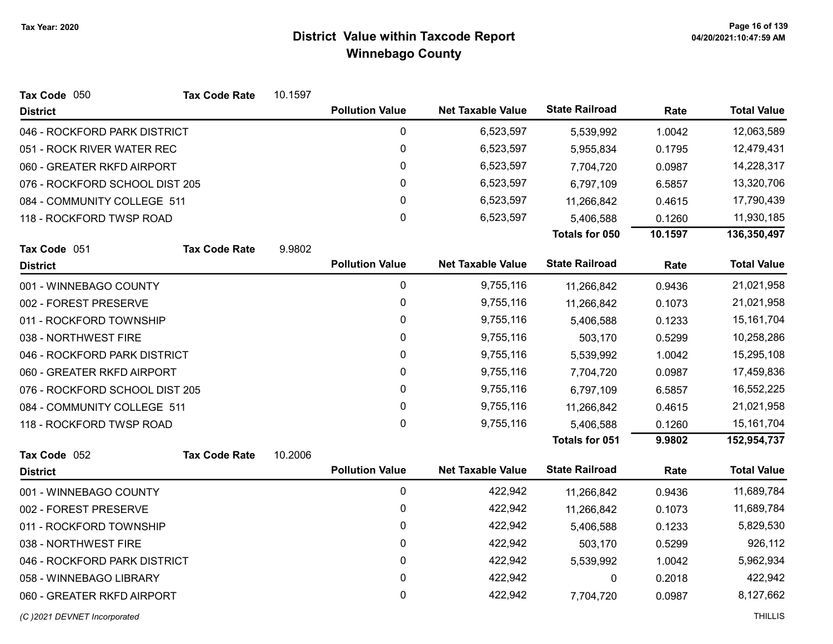| Tax Code 050                   | <b>Tax Code Rate</b> | 10.1597 |                        |                          |                       |         |                    |
|--------------------------------|----------------------|---------|------------------------|--------------------------|-----------------------|---------|--------------------|
| <b>District</b>                |                      |         | <b>Pollution Value</b> | <b>Net Taxable Value</b> | <b>State Railroad</b> | Rate    | <b>Total Value</b> |
| 046 - ROCKFORD PARK DISTRICT   |                      |         | 0                      | 6,523,597                | 5,539,992             | 1.0042  | 12,063,589         |
| 051 - ROCK RIVER WATER REC     |                      |         | 0                      | 6,523,597                | 5,955,834             | 0.1795  | 12,479,431         |
| 060 - GREATER RKFD AIRPORT     |                      |         | 0                      | 6,523,597                | 7,704,720             | 0.0987  | 14,228,317         |
| 076 - ROCKFORD SCHOOL DIST 205 |                      |         | 0                      | 6,523,597                | 6,797,109             | 6.5857  | 13,320,706         |
| 084 - COMMUNITY COLLEGE 511    |                      |         | 0                      | 6,523,597                | 11,266,842            | 0.4615  | 17,790,439         |
| 118 - ROCKFORD TWSP ROAD       |                      |         | $\mathbf 0$            | 6,523,597                | 5,406,588             | 0.1260  | 11,930,185         |
|                                |                      |         |                        |                          | Totals for 050        | 10.1597 | 136,350,497        |
| Tax Code 051                   | <b>Tax Code Rate</b> | 9.9802  |                        |                          |                       |         |                    |
| <b>District</b>                |                      |         | <b>Pollution Value</b> | <b>Net Taxable Value</b> | <b>State Railroad</b> | Rate    | <b>Total Value</b> |
| 001 - WINNEBAGO COUNTY         |                      |         | 0                      | 9,755,116                | 11,266,842            | 0.9436  | 21,021,958         |
| 002 - FOREST PRESERVE          |                      |         | $\mathbf 0$            | 9,755,116                | 11,266,842            | 0.1073  | 21,021,958         |
| 011 - ROCKFORD TOWNSHIP        |                      |         | 0                      | 9,755,116                | 5,406,588             | 0.1233  | 15,161,704         |
| 038 - NORTHWEST FIRE           |                      |         | 0                      | 9,755,116                | 503,170               | 0.5299  | 10,258,286         |
| 046 - ROCKFORD PARK DISTRICT   |                      |         | 0                      | 9,755,116                | 5,539,992             | 1.0042  | 15,295,108         |
| 060 - GREATER RKFD AIRPORT     |                      |         | 0                      | 9,755,116                | 7,704,720             | 0.0987  | 17,459,836         |
| 076 - ROCKFORD SCHOOL DIST 205 |                      |         | 0                      | 9,755,116                | 6,797,109             | 6.5857  | 16,552,225         |
| 084 - COMMUNITY COLLEGE 511    |                      |         | 0                      | 9,755,116                | 11,266,842            | 0.4615  | 21,021,958         |
| 118 - ROCKFORD TWSP ROAD       |                      |         | $\mathbf 0$            | 9,755,116                | 5,406,588             | 0.1260  | 15, 161, 704       |
|                                |                      |         |                        |                          | <b>Totals for 051</b> | 9.9802  | 152,954,737        |
| Tax Code 052                   | <b>Tax Code Rate</b> | 10.2006 |                        |                          |                       |         |                    |
| <b>District</b>                |                      |         | <b>Pollution Value</b> | <b>Net Taxable Value</b> | <b>State Railroad</b> | Rate    | <b>Total Value</b> |
| 001 - WINNEBAGO COUNTY         |                      |         | $\boldsymbol{0}$       | 422,942                  | 11,266,842            | 0.9436  | 11,689,784         |
| 002 - FOREST PRESERVE          |                      |         | 0                      | 422,942                  | 11,266,842            | 0.1073  | 11,689,784         |
| 011 - ROCKFORD TOWNSHIP        |                      |         | 0                      | 422,942                  | 5,406,588             | 0.1233  | 5,829,530          |
| 038 - NORTHWEST FIRE           |                      |         | $\mathbf{0}$           | 422,942                  | 503,170               | 0.5299  | 926,112            |
| 046 - ROCKFORD PARK DISTRICT   |                      |         | $\mathbf 0$            | 422,942                  | 5,539,992             | 1.0042  | 5,962,934          |
| 058 - WINNEBAGO LIBRARY        |                      |         | 0                      | 422,942                  | 0                     | 0.2018  | 422,942            |
| 060 - GREATER RKFD AIRPORT     |                      |         | 0                      | 422,942                  | 7,704,720             | 0.0987  | 8,127,662          |
|                                |                      |         |                        |                          |                       |         |                    |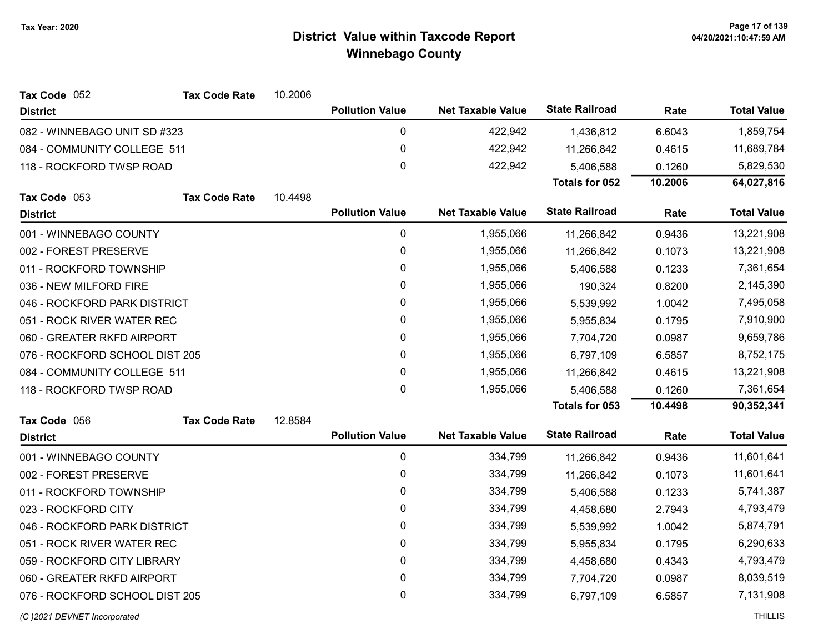| Tax Code 052                   | <b>Tax Code Rate</b> | 10.2006 |                        |                          |                       |         |                    |
|--------------------------------|----------------------|---------|------------------------|--------------------------|-----------------------|---------|--------------------|
| <b>District</b>                |                      |         | <b>Pollution Value</b> | <b>Net Taxable Value</b> | <b>State Railroad</b> | Rate    | <b>Total Value</b> |
| 082 - WINNEBAGO UNIT SD #323   |                      |         | $\mathbf 0$            | 422,942                  | 1,436,812             | 6.6043  | 1,859,754          |
| 084 - COMMUNITY COLLEGE 511    |                      |         | 0                      | 422,942                  | 11,266,842            | 0.4615  | 11,689,784         |
| 118 - ROCKFORD TWSP ROAD       |                      |         | $\pmb{0}$              | 422,942                  | 5,406,588             | 0.1260  | 5,829,530          |
|                                |                      |         |                        |                          | Totals for 052        | 10.2006 | 64,027,816         |
| Tax Code 053                   | <b>Tax Code Rate</b> | 10.4498 |                        |                          |                       |         |                    |
| <b>District</b>                |                      |         | <b>Pollution Value</b> | <b>Net Taxable Value</b> | <b>State Railroad</b> | Rate    | <b>Total Value</b> |
| 001 - WINNEBAGO COUNTY         |                      |         | $\mathbf 0$            | 1,955,066                | 11,266,842            | 0.9436  | 13,221,908         |
| 002 - FOREST PRESERVE          |                      |         | $\pmb{0}$              | 1,955,066                | 11,266,842            | 0.1073  | 13,221,908         |
| 011 - ROCKFORD TOWNSHIP        |                      |         | $\pmb{0}$              | 1,955,066                | 5,406,588             | 0.1233  | 7,361,654          |
| 036 - NEW MILFORD FIRE         |                      |         | $\pmb{0}$              | 1,955,066                | 190,324               | 0.8200  | 2,145,390          |
| 046 - ROCKFORD PARK DISTRICT   |                      |         | 0                      | 1,955,066                | 5,539,992             | 1.0042  | 7,495,058          |
| 051 - ROCK RIVER WATER REC     |                      |         | 0                      | 1,955,066                | 5,955,834             | 0.1795  | 7,910,900          |
| 060 - GREATER RKFD AIRPORT     |                      |         | 0                      | 1,955,066                | 7,704,720             | 0.0987  | 9,659,786          |
| 076 - ROCKFORD SCHOOL DIST 205 |                      |         | 0                      | 1,955,066                | 6,797,109             | 6.5857  | 8,752,175          |
| 084 - COMMUNITY COLLEGE 511    |                      |         | $\mathbf 0$            | 1,955,066                | 11,266,842            | 0.4615  | 13,221,908         |
| 118 - ROCKFORD TWSP ROAD       |                      |         | 0                      | 1,955,066                | 5,406,588             | 0.1260  | 7,361,654          |
|                                |                      |         |                        |                          | <b>Totals for 053</b> | 10.4498 | 90,352,341         |
| Tax Code 056                   | <b>Tax Code Rate</b> | 12.8584 |                        |                          |                       |         |                    |
| <b>District</b>                |                      |         | <b>Pollution Value</b> | <b>Net Taxable Value</b> | <b>State Railroad</b> | Rate    | <b>Total Value</b> |
| 001 - WINNEBAGO COUNTY         |                      |         | $\mathbf 0$            | 334,799                  | 11,266,842            | 0.9436  | 11,601,641         |
| 002 - FOREST PRESERVE          |                      |         | 0                      | 334,799                  | 11,266,842            | 0.1073  | 11,601,641         |
| 011 - ROCKFORD TOWNSHIP        |                      |         | $\mathbf 0$            | 334,799                  | 5,406,588             | 0.1233  | 5,741,387          |
| 023 - ROCKFORD CITY            |                      |         | 0                      | 334,799                  | 4,458,680             | 2.7943  | 4,793,479          |
| 046 - ROCKFORD PARK DISTRICT   |                      |         | 0                      | 334,799                  | 5,539,992             | 1.0042  | 5,874,791          |
| 051 - ROCK RIVER WATER REC     |                      |         | 0                      | 334,799                  | 5,955,834             | 0.1795  | 6,290,633          |
| 059 - ROCKFORD CITY LIBRARY    |                      |         | $\mathbf 0$            | 334,799                  | 4,458,680             | 0.4343  | 4,793,479          |
| 060 - GREATER RKFD AIRPORT     |                      |         | 0                      | 334,799                  | 7,704,720             | 0.0987  | 8,039,519          |
| 076 - ROCKFORD SCHOOL DIST 205 |                      |         | 0                      | 334,799                  | 6,797,109             | 6.5857  | 7,131,908          |
|                                |                      |         |                        |                          |                       |         |                    |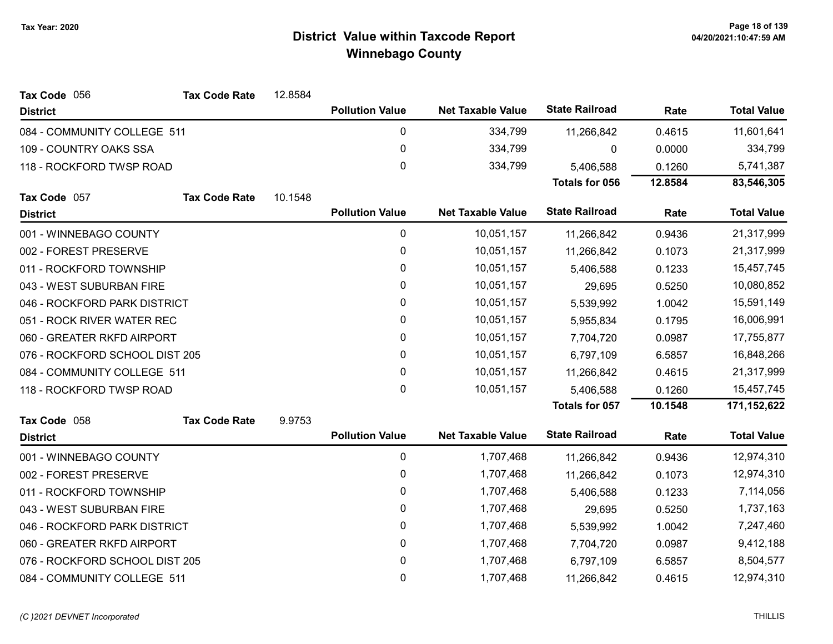| Tax Code 056                   | <b>Tax Code Rate</b> | 12.8584 |                        |                          |                       |         |                    |
|--------------------------------|----------------------|---------|------------------------|--------------------------|-----------------------|---------|--------------------|
| <b>District</b>                |                      |         | <b>Pollution Value</b> | <b>Net Taxable Value</b> | <b>State Railroad</b> | Rate    | <b>Total Value</b> |
| 084 - COMMUNITY COLLEGE 511    |                      |         | 0                      | 334,799                  | 11,266,842            | 0.4615  | 11,601,641         |
| 109 - COUNTRY OAKS SSA         |                      |         | 0                      | 334,799                  | 0                     | 0.0000  | 334,799            |
| 118 - ROCKFORD TWSP ROAD       |                      |         | 0                      | 334,799                  | 5,406,588             | 0.1260  | 5,741,387          |
|                                |                      |         |                        |                          | <b>Totals for 056</b> | 12.8584 | 83,546,305         |
| Tax Code 057                   | <b>Tax Code Rate</b> | 10.1548 |                        |                          |                       |         |                    |
| <b>District</b>                |                      |         | <b>Pollution Value</b> | <b>Net Taxable Value</b> | <b>State Railroad</b> | Rate    | <b>Total Value</b> |
| 001 - WINNEBAGO COUNTY         |                      |         | 0                      | 10,051,157               | 11,266,842            | 0.9436  | 21,317,999         |
| 002 - FOREST PRESERVE          |                      |         | 0                      | 10,051,157               | 11,266,842            | 0.1073  | 21,317,999         |
| 011 - ROCKFORD TOWNSHIP        |                      |         | 0                      | 10,051,157               | 5,406,588             | 0.1233  | 15,457,745         |
| 043 - WEST SUBURBAN FIRE       |                      |         | 0                      | 10,051,157               | 29,695                | 0.5250  | 10,080,852         |
| 046 - ROCKFORD PARK DISTRICT   |                      |         | 0                      | 10,051,157               | 5,539,992             | 1.0042  | 15,591,149         |
| 051 - ROCK RIVER WATER REC     |                      |         | 0                      | 10,051,157               | 5,955,834             | 0.1795  | 16,006,991         |
| 060 - GREATER RKFD AIRPORT     |                      |         | 0                      | 10,051,157               | 7,704,720             | 0.0987  | 17,755,877         |
| 076 - ROCKFORD SCHOOL DIST 205 |                      |         | 0                      | 10,051,157               | 6,797,109             | 6.5857  | 16,848,266         |
| 084 - COMMUNITY COLLEGE 511    |                      |         | 0                      | 10,051,157               | 11,266,842            | 0.4615  | 21,317,999         |
| 118 - ROCKFORD TWSP ROAD       |                      |         | 0                      | 10,051,157               | 5,406,588             | 0.1260  | 15,457,745         |
|                                |                      |         |                        |                          | Totals for 057        | 10.1548 | 171,152,622        |
| Tax Code 058                   | <b>Tax Code Rate</b> | 9.9753  |                        |                          |                       |         |                    |
| <b>District</b>                |                      |         | <b>Pollution Value</b> | <b>Net Taxable Value</b> | <b>State Railroad</b> | Rate    | <b>Total Value</b> |
| 001 - WINNEBAGO COUNTY         |                      |         | 0                      | 1,707,468                | 11,266,842            | 0.9436  | 12,974,310         |
| 002 - FOREST PRESERVE          |                      |         | 0                      | 1,707,468                | 11,266,842            | 0.1073  | 12,974,310         |
| 011 - ROCKFORD TOWNSHIP        |                      |         | 0                      | 1,707,468                | 5,406,588             | 0.1233  | 7,114,056          |
| 043 - WEST SUBURBAN FIRE       |                      |         | 0                      | 1,707,468                | 29,695                | 0.5250  | 1,737,163          |
| 046 - ROCKFORD PARK DISTRICT   |                      |         | 0                      | 1,707,468                | 5,539,992             | 1.0042  | 7,247,460          |
| 060 - GREATER RKFD AIRPORT     |                      |         | 0                      | 1,707,468                | 7,704,720             | 0.0987  | 9,412,188          |
| 076 - ROCKFORD SCHOOL DIST 205 |                      |         | 0                      | 1,707,468                | 6,797,109             | 6.5857  | 8,504,577          |
| 084 - COMMUNITY COLLEGE 511    |                      |         | 0                      | 1,707,468                | 11,266,842            | 0.4615  | 12,974,310         |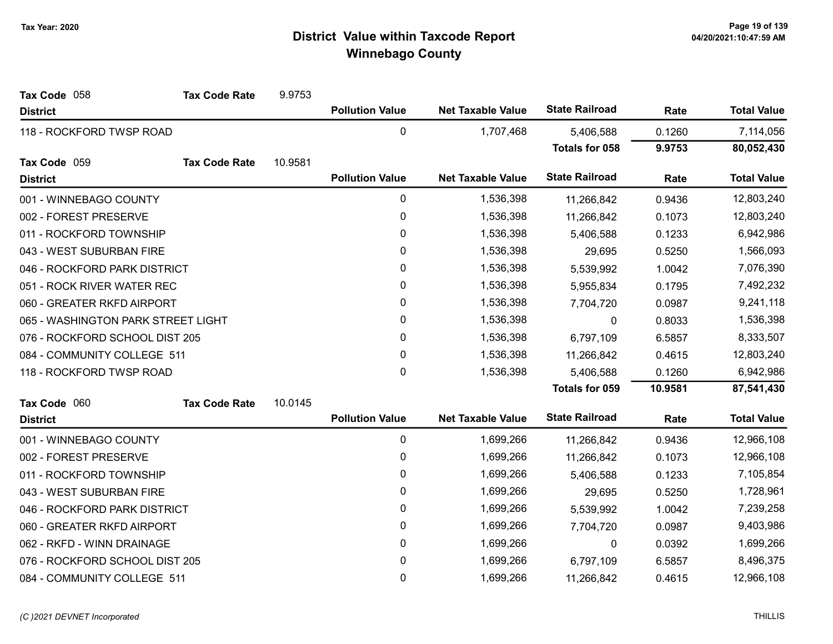| Tax Code 058                       | <b>Tax Code Rate</b> | 9.9753  |                        |                          |                       |           |                    |
|------------------------------------|----------------------|---------|------------------------|--------------------------|-----------------------|-----------|--------------------|
| <b>District</b>                    |                      |         | <b>Pollution Value</b> | <b>Net Taxable Value</b> | <b>State Railroad</b> | Rate      | <b>Total Value</b> |
| 118 - ROCKFORD TWSP ROAD           |                      |         | 0                      | 1,707,468                | 5,406,588             | 0.1260    | 7,114,056          |
|                                    |                      |         |                        |                          | <b>Totals for 058</b> | 9.9753    | 80,052,430         |
| Tax Code 059                       | <b>Tax Code Rate</b> | 10.9581 |                        |                          |                       |           |                    |
| <b>District</b>                    |                      |         | <b>Pollution Value</b> | <b>Net Taxable Value</b> | <b>State Railroad</b> | Rate      | <b>Total Value</b> |
| 001 - WINNEBAGO COUNTY             |                      |         | 0                      | 1,536,398                | 11,266,842            | 0.9436    | 12,803,240         |
| 002 - FOREST PRESERVE              |                      |         | 0                      | 1,536,398                | 11,266,842            | 0.1073    | 12,803,240         |
| 011 - ROCKFORD TOWNSHIP            |                      |         | 0                      | 1,536,398                | 5,406,588             | 0.1233    | 6,942,986          |
| 043 - WEST SUBURBAN FIRE           |                      |         | 0                      | 1,536,398                | 29,695                | 0.5250    | 1,566,093          |
| 046 - ROCKFORD PARK DISTRICT       |                      |         | 0                      | 1,536,398                | 5,539,992             | 1.0042    | 7,076,390          |
| 051 - ROCK RIVER WATER REC         |                      |         | 0                      | 1,536,398                | 5,955,834             | 0.1795    | 7,492,232          |
| 060 - GREATER RKFD AIRPORT         |                      | 0       | 1,536,398              | 7,704,720                | 0.0987                | 9,241,118 |                    |
| 065 - WASHINGTON PARK STREET LIGHT |                      |         | 0                      | 1,536,398                | 0                     | 0.8033    | 1,536,398          |
| 076 - ROCKFORD SCHOOL DIST 205     |                      |         | $\mathbf 0$            | 1,536,398                | 6,797,109             | 6.5857    | 8,333,507          |
| 084 - COMMUNITY COLLEGE 511        |                      |         | 0                      | 1,536,398                | 11,266,842            | 0.4615    | 12,803,240         |
| 118 - ROCKFORD TWSP ROAD           |                      |         | $\mathbf{0}$           | 1,536,398                | 5,406,588             | 0.1260    | 6,942,986          |
|                                    |                      |         |                        |                          | Totals for 059        | 10.9581   | 87,541,430         |
| Tax Code 060                       | <b>Tax Code Rate</b> | 10.0145 |                        |                          |                       |           |                    |
| <b>District</b>                    |                      |         | <b>Pollution Value</b> | <b>Net Taxable Value</b> | <b>State Railroad</b> | Rate      | <b>Total Value</b> |
| 001 - WINNEBAGO COUNTY             |                      |         | $\mathbf 0$            | 1,699,266                | 11,266,842            | 0.9436    | 12,966,108         |
| 002 - FOREST PRESERVE              |                      |         | 0                      | 1,699,266                | 11,266,842            | 0.1073    | 12,966,108         |
| 011 - ROCKFORD TOWNSHIP            |                      |         | 0                      | 1,699,266                | 5,406,588             | 0.1233    | 7,105,854          |
| 043 - WEST SUBURBAN FIRE           |                      |         | 0                      | 1,699,266                | 29,695                | 0.5250    | 1,728,961          |
| 046 - ROCKFORD PARK DISTRICT       |                      |         | 0                      | 1,699,266                | 5,539,992             | 1.0042    | 7,239,258          |
| 060 - GREATER RKFD AIRPORT         |                      |         | 0                      | 1,699,266                | 7,704,720             | 0.0987    | 9,403,986          |
| 062 - RKFD - WINN DRAINAGE         |                      |         | 0                      | 1,699,266                | $\mathbf{0}$          | 0.0392    | 1,699,266          |
| 076 - ROCKFORD SCHOOL DIST 205     |                      |         | 0                      | 1,699,266                | 6,797,109             | 6.5857    | 8,496,375          |
| 084 - COMMUNITY COLLEGE 511        |                      |         | 0                      | 1,699,266                | 11,266,842            | 0.4615    | 12,966,108         |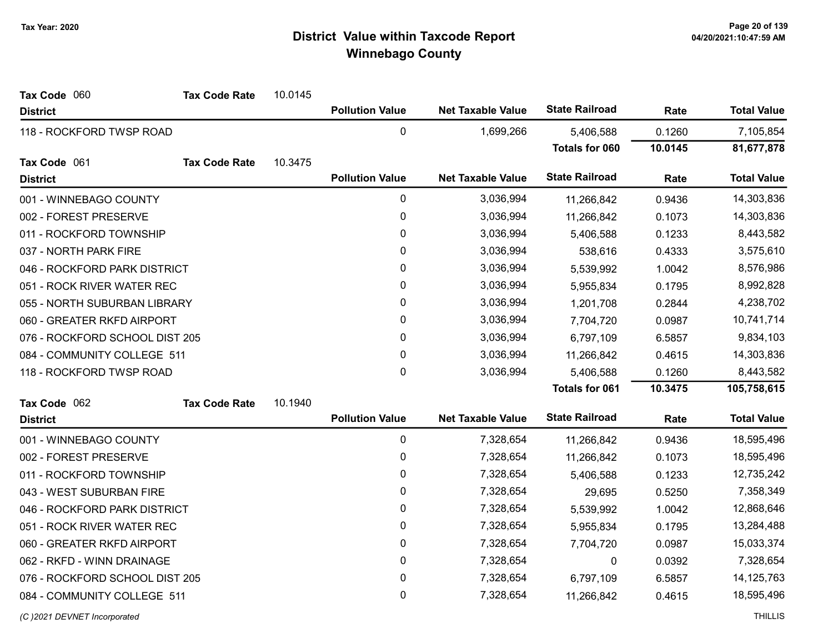| Tax Code 060                   | <b>Tax Code Rate</b> | 10.0145 |                        |                          |                       |            |                    |
|--------------------------------|----------------------|---------|------------------------|--------------------------|-----------------------|------------|--------------------|
| <b>District</b>                |                      |         | <b>Pollution Value</b> | <b>Net Taxable Value</b> | <b>State Railroad</b> | Rate       | <b>Total Value</b> |
| 118 - ROCKFORD TWSP ROAD       |                      |         | $\mathbf 0$            | 1,699,266                | 5,406,588             | 0.1260     | 7,105,854          |
|                                |                      |         |                        |                          | Totals for 060        | 10.0145    | 81,677,878         |
| Tax Code 061                   | <b>Tax Code Rate</b> | 10.3475 |                        |                          |                       |            |                    |
| <b>District</b>                |                      |         | <b>Pollution Value</b> | <b>Net Taxable Value</b> | <b>State Railroad</b> | Rate       | <b>Total Value</b> |
| 001 - WINNEBAGO COUNTY         |                      |         | $\pmb{0}$              | 3,036,994                | 11,266,842            | 0.9436     | 14,303,836         |
| 002 - FOREST PRESERVE          |                      |         | $\mathbf 0$            | 3,036,994                | 11,266,842            | 0.1073     | 14,303,836         |
| 011 - ROCKFORD TOWNSHIP        |                      |         | 0                      | 3,036,994                | 5,406,588             | 0.1233     | 8,443,582          |
| 037 - NORTH PARK FIRE          |                      |         | 0                      | 3,036,994                | 538,616               | 0.4333     | 3,575,610          |
| 046 - ROCKFORD PARK DISTRICT   |                      |         | 0                      | 3,036,994                | 5,539,992             | 1.0042     | 8,576,986          |
| 051 - ROCK RIVER WATER REC     |                      |         | 0                      | 3,036,994                | 5,955,834             | 0.1795     | 8,992,828          |
| 055 - NORTH SUBURBAN LIBRARY   |                      |         | 0                      | 3,036,994                | 1,201,708             | 0.2844     | 4,238,702          |
| 060 - GREATER RKFD AIRPORT     |                      | 0       | 3,036,994              | 7,704,720                | 0.0987                | 10,741,714 |                    |
| 076 - ROCKFORD SCHOOL DIST 205 |                      | 0       | 3,036,994              | 6,797,109                | 6.5857                | 9,834,103  |                    |
| 084 - COMMUNITY COLLEGE 511    |                      |         | 0                      | 3,036,994                | 11,266,842            | 0.4615     | 14,303,836         |
| 118 - ROCKFORD TWSP ROAD       |                      |         | $\mathbf 0$            | 3,036,994                | 5,406,588             | 0.1260     | 8,443,582          |
|                                |                      |         |                        |                          | Totals for 061        | 10.3475    | 105,758,615        |
| Tax Code 062                   | <b>Tax Code Rate</b> | 10.1940 |                        |                          |                       |            |                    |
| <b>District</b>                |                      |         | <b>Pollution Value</b> | <b>Net Taxable Value</b> | <b>State Railroad</b> | Rate       | <b>Total Value</b> |
| 001 - WINNEBAGO COUNTY         |                      |         | $\mathbf 0$            | 7,328,654                | 11,266,842            | 0.9436     | 18,595,496         |
| 002 - FOREST PRESERVE          |                      |         | 0                      | 7,328,654                | 11,266,842            | 0.1073     | 18,595,496         |
| 011 - ROCKFORD TOWNSHIP        |                      |         | 0                      | 7,328,654                | 5,406,588             | 0.1233     | 12,735,242         |
| 043 - WEST SUBURBAN FIRE       |                      |         | 0                      | 7,328,654                | 29,695                | 0.5250     | 7,358,349          |
| 046 - ROCKFORD PARK DISTRICT   |                      |         | 0                      | 7,328,654                | 5,539,992             | 1.0042     | 12,868,646         |
| 051 - ROCK RIVER WATER REC     |                      |         | 0                      | 7,328,654                | 5,955,834             | 0.1795     | 13,284,488         |
| 060 - GREATER RKFD AIRPORT     |                      |         | 0                      | 7,328,654                | 7,704,720             | 0.0987     | 15,033,374         |
| 062 - RKFD - WINN DRAINAGE     |                      |         | 0                      | 7,328,654                | 0                     | 0.0392     | 7,328,654          |
| 076 - ROCKFORD SCHOOL DIST 205 |                      |         | 0                      | 7,328,654                | 6,797,109             | 6.5857     | 14,125,763         |
| 084 - COMMUNITY COLLEGE 511    |                      |         | 0                      | 7,328,654                | 11,266,842            | 0.4615     | 18,595,496         |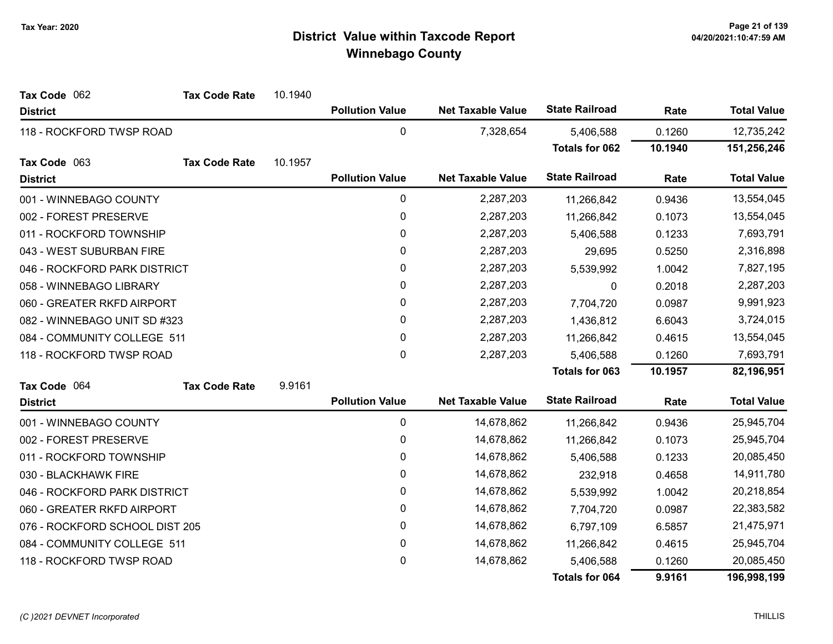| Tax Code 062                   | <b>Tax Code Rate</b> | 10.1940   |                        |                          |                       |           |                    |
|--------------------------------|----------------------|-----------|------------------------|--------------------------|-----------------------|-----------|--------------------|
| <b>District</b>                |                      |           | <b>Pollution Value</b> | <b>Net Taxable Value</b> | <b>State Railroad</b> | Rate      | <b>Total Value</b> |
| 118 - ROCKFORD TWSP ROAD       |                      |           | 0                      | 7,328,654                | 5,406,588             | 0.1260    | 12,735,242         |
|                                |                      |           |                        |                          | <b>Totals for 062</b> | 10.1940   | 151,256,246        |
| Tax Code 063                   | <b>Tax Code Rate</b> | 10.1957   |                        |                          |                       |           |                    |
| <b>District</b>                |                      |           | <b>Pollution Value</b> | <b>Net Taxable Value</b> | <b>State Railroad</b> | Rate      | <b>Total Value</b> |
| 001 - WINNEBAGO COUNTY         |                      |           | $\pmb{0}$              | 2,287,203                | 11,266,842            | 0.9436    | 13,554,045         |
| 002 - FOREST PRESERVE          |                      |           | $\pmb{0}$              | 2,287,203                | 11,266,842            | 0.1073    | 13,554,045         |
| 011 - ROCKFORD TOWNSHIP        |                      |           | $\pmb{0}$              | 2,287,203                | 5,406,588             | 0.1233    | 7,693,791          |
| 043 - WEST SUBURBAN FIRE       |                      |           | 0                      | 2,287,203                | 29,695                | 0.5250    | 2,316,898          |
| 046 - ROCKFORD PARK DISTRICT   |                      |           | $\pmb{0}$              | 2,287,203                | 5,539,992             | 1.0042    | 7,827,195          |
| 058 - WINNEBAGO LIBRARY        |                      |           | $\pmb{0}$              | 2,287,203                | 0                     | 0.2018    | 2,287,203          |
| 060 - GREATER RKFD AIRPORT     |                      |           | 0                      | 2,287,203                | 7,704,720             | 0.0987    | 9,991,923          |
| 082 - WINNEBAGO UNIT SD #323   |                      | $\pmb{0}$ | 2,287,203              | 1,436,812                | 6.6043                | 3,724,015 |                    |
| 084 - COMMUNITY COLLEGE 511    |                      |           | $\mathbf{0}$           | 2,287,203                | 11,266,842            | 0.4615    | 13,554,045         |
| 118 - ROCKFORD TWSP ROAD       |                      |           | $\mathbf 0$            | 2,287,203                | 5,406,588             | 0.1260    | 7,693,791          |
|                                |                      |           |                        |                          | <b>Totals for 063</b> | 10.1957   | 82,196,951         |
| Tax Code 064                   | <b>Tax Code Rate</b> | 9.9161    |                        |                          |                       |           |                    |
| <b>District</b>                |                      |           | <b>Pollution Value</b> | <b>Net Taxable Value</b> | <b>State Railroad</b> | Rate      | <b>Total Value</b> |
| 001 - WINNEBAGO COUNTY         |                      |           | 0                      | 14,678,862               | 11,266,842            | 0.9436    | 25,945,704         |
| 002 - FOREST PRESERVE          |                      |           | 0                      | 14,678,862               | 11,266,842            | 0.1073    | 25,945,704         |
| 011 - ROCKFORD TOWNSHIP        |                      |           | 0                      | 14,678,862               | 5,406,588             | 0.1233    | 20,085,450         |
| 030 - BLACKHAWK FIRE           |                      |           | 0                      | 14,678,862               | 232,918               | 0.4658    | 14,911,780         |
| 046 - ROCKFORD PARK DISTRICT   |                      |           | $\pmb{0}$              | 14,678,862               | 5,539,992             | 1.0042    | 20,218,854         |
| 060 - GREATER RKFD AIRPORT     |                      |           | 0                      | 14,678,862               | 7,704,720             | 0.0987    | 22,383,582         |
| 076 - ROCKFORD SCHOOL DIST 205 |                      |           | $\pmb{0}$              | 14,678,862               | 6,797,109             | 6.5857    | 21,475,971         |
| 084 - COMMUNITY COLLEGE 511    |                      |           | $\pmb{0}$              | 14,678,862               | 11,266,842            | 0.4615    | 25,945,704         |
| 118 - ROCKFORD TWSP ROAD       |                      |           | 0                      | 14,678,862               | 5,406,588             | 0.1260    | 20,085,450         |
|                                |                      |           |                        |                          | Totals for 064        | 9.9161    | 196,998,199        |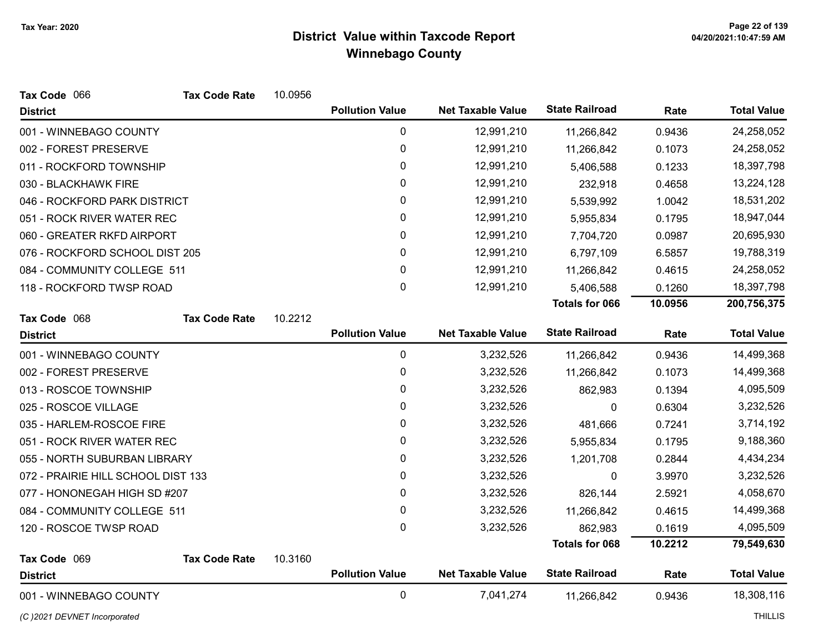| Tax Code 066                       | <b>Tax Code Rate</b> | 10.0956 |                        |                          |                       |         |                                  |
|------------------------------------|----------------------|---------|------------------------|--------------------------|-----------------------|---------|----------------------------------|
| <b>District</b>                    |                      |         | <b>Pollution Value</b> | <b>Net Taxable Value</b> | <b>State Railroad</b> | Rate    | <b>Total Value</b>               |
| 001 - WINNEBAGO COUNTY             |                      |         | 0                      | 12,991,210               | 11,266,842            | 0.9436  | 24,258,052                       |
| 002 - FOREST PRESERVE              |                      |         | 0                      | 12,991,210               | 11,266,842            | 0.1073  | 24,258,052                       |
| 011 - ROCKFORD TOWNSHIP            |                      |         | 0                      | 12,991,210               | 5,406,588             | 0.1233  | 18,397,798                       |
| 030 - BLACKHAWK FIRE               |                      |         | 0                      | 12,991,210               | 232,918               | 0.4658  | 13,224,128                       |
| 046 - ROCKFORD PARK DISTRICT       |                      |         | 0                      | 12,991,210               | 5,539,992             | 1.0042  | 18,531,202                       |
| 051 - ROCK RIVER WATER REC         |                      |         | 0                      | 12,991,210               | 5,955,834             | 0.1795  | 18,947,044                       |
| 060 - GREATER RKFD AIRPORT         |                      |         | 0                      | 12,991,210               | 7,704,720             | 0.0987  | 20,695,930                       |
| 076 - ROCKFORD SCHOOL DIST 205     |                      |         | 0                      | 12,991,210               | 6,797,109             | 6.5857  | 19,788,319                       |
| 084 - COMMUNITY COLLEGE 511        |                      |         | 0                      | 12,991,210               | 11,266,842            | 0.4615  | 24,258,052                       |
| 118 - ROCKFORD TWSP ROAD           |                      |         | 0                      | 12,991,210               | 5,406,588             | 0.1260  | 18,397,798                       |
|                                    |                      |         |                        |                          | <b>Totals for 066</b> | 10.0956 | 200,756,375                      |
| Tax Code 068                       | <b>Tax Code Rate</b> | 10.2212 |                        |                          |                       |         |                                  |
| <b>District</b>                    |                      |         | <b>Pollution Value</b> | <b>Net Taxable Value</b> | <b>State Railroad</b> | Rate    | <b>Total Value</b>               |
| 001 - WINNEBAGO COUNTY             |                      |         | $\mathbf 0$            | 3,232,526                | 11,266,842            | 0.9436  | 14,499,368                       |
| 002 - FOREST PRESERVE              |                      |         | 0                      | 3,232,526                | 11,266,842            | 0.1073  | 14,499,368                       |
| 013 - ROSCOE TOWNSHIP              |                      |         | 0                      | 3,232,526                | 862,983               | 0.1394  | 4,095,509                        |
| 025 - ROSCOE VILLAGE               |                      |         | 0                      | 3,232,526                | $\mathbf 0$           | 0.6304  | 3,232,526                        |
| 035 - HARLEM-ROSCOE FIRE           |                      |         | 0                      | 3,232,526                | 481,666               | 0.7241  | 3,714,192                        |
| 051 - ROCK RIVER WATER REC         |                      |         | 0                      | 3,232,526                | 5,955,834             | 0.1795  | 9,188,360                        |
| 055 - NORTH SUBURBAN LIBRARY       |                      |         | 0                      | 3,232,526                | 1,201,708             | 0.2844  | 4,434,234                        |
| 072 - PRAIRIE HILL SCHOOL DIST 133 |                      |         | 0                      | 3,232,526                | 0                     | 3.9970  | 3,232,526                        |
|                                    |                      |         | $\pmb{0}$              | 3,232,526                | 826,144               | 2.5921  | 4,058,670                        |
| 077 - HONONEGAH HIGH SD #207       |                      |         |                        |                          |                       |         |                                  |
| 084 - COMMUNITY COLLEGE 511        |                      |         | $\pmb{0}$              | 3,232,526                | 11,266,842            | 0.4615  | 14,499,368                       |
| 120 - ROSCOE TWSP ROAD             |                      |         | 0                      | 3,232,526                | 862,983               | 0.1619  | 4,095,509                        |
|                                    |                      |         |                        |                          | <b>Totals for 068</b> | 10.2212 | 79,549,630                       |
| Tax Code 069                       | <b>Tax Code Rate</b> | 10.3160 |                        |                          |                       |         |                                  |
| <b>District</b>                    |                      |         | <b>Pollution Value</b> | <b>Net Taxable Value</b> | <b>State Railroad</b> | Rate    | <b>Total Value</b><br>18,308,116 |

(C)2021 DEVNET Incorporated THILLIS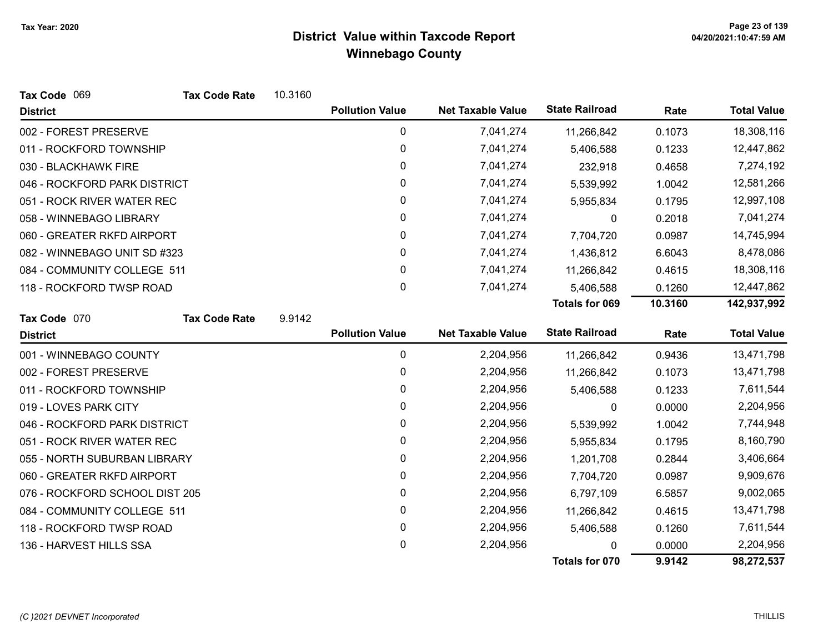| Tax Code 069                   | <b>Tax Code Rate</b> | 10.3160 |                        |                          |                       |         |                    |
|--------------------------------|----------------------|---------|------------------------|--------------------------|-----------------------|---------|--------------------|
| <b>District</b>                |                      |         | <b>Pollution Value</b> | <b>Net Taxable Value</b> | <b>State Railroad</b> | Rate    | <b>Total Value</b> |
| 002 - FOREST PRESERVE          |                      |         | 0                      | 7,041,274                | 11,266,842            | 0.1073  | 18,308,116         |
| 011 - ROCKFORD TOWNSHIP        |                      |         | 0                      | 7,041,274                | 5,406,588             | 0.1233  | 12,447,862         |
| 030 - BLACKHAWK FIRE           |                      |         | $\pmb{0}$              | 7,041,274                | 232,918               | 0.4658  | 7,274,192          |
| 046 - ROCKFORD PARK DISTRICT   |                      |         | 0                      | 7,041,274                | 5,539,992             | 1.0042  | 12,581,266         |
| 051 - ROCK RIVER WATER REC     |                      |         | 0                      | 7,041,274                | 5,955,834             | 0.1795  | 12,997,108         |
| 058 - WINNEBAGO LIBRARY        |                      |         | $\pmb{0}$              | 7,041,274                | 0                     | 0.2018  | 7,041,274          |
| 060 - GREATER RKFD AIRPORT     |                      |         | 0                      | 7,041,274                | 7,704,720             | 0.0987  | 14,745,994         |
| 082 - WINNEBAGO UNIT SD #323   |                      |         | 0                      | 7,041,274                | 1,436,812             | 6.6043  | 8,478,086          |
| 084 - COMMUNITY COLLEGE 511    |                      |         | 0                      | 7,041,274                | 11,266,842            | 0.4615  | 18,308,116         |
| 118 - ROCKFORD TWSP ROAD       |                      |         | 0                      | 7,041,274                | 5,406,588             | 0.1260  | 12,447,862         |
|                                |                      |         |                        |                          | <b>Totals for 069</b> | 10.3160 | 142,937,992        |
| Tax Code 070                   | <b>Tax Code Rate</b> | 9.9142  |                        |                          |                       |         |                    |
| <b>District</b>                |                      |         | <b>Pollution Value</b> | <b>Net Taxable Value</b> | <b>State Railroad</b> | Rate    | <b>Total Value</b> |
| 001 - WINNEBAGO COUNTY         |                      |         | $\pmb{0}$              | 2,204,956                | 11,266,842            | 0.9436  | 13,471,798         |
| 002 - FOREST PRESERVE          |                      |         | 0                      | 2,204,956                | 11,266,842            | 0.1073  | 13,471,798         |
| 011 - ROCKFORD TOWNSHIP        |                      |         | 0                      | 2,204,956                | 5,406,588             | 0.1233  | 7,611,544          |
| 019 - LOVES PARK CITY          |                      |         | $\pmb{0}$              | 2,204,956                | 0                     | 0.0000  | 2,204,956          |
| 046 - ROCKFORD PARK DISTRICT   |                      |         | 0                      | 2,204,956                | 5,539,992             | 1.0042  | 7,744,948          |
| 051 - ROCK RIVER WATER REC     |                      |         | 0                      | 2,204,956                | 5,955,834             | 0.1795  | 8,160,790          |
| 055 - NORTH SUBURBAN LIBRARY   |                      |         | $\pmb{0}$              | 2,204,956                | 1,201,708             | 0.2844  | 3,406,664          |
| 060 - GREATER RKFD AIRPORT     |                      |         | 0                      | 2,204,956                | 7,704,720             | 0.0987  | 9,909,676          |
| 076 - ROCKFORD SCHOOL DIST 205 |                      |         | 0                      | 2,204,956                | 6,797,109             | 6.5857  | 9,002,065          |
| 084 - COMMUNITY COLLEGE 511    |                      |         | 0                      | 2,204,956                | 11,266,842            | 0.4615  | 13,471,798         |
| 118 - ROCKFORD TWSP ROAD       |                      |         | 0                      | 2,204,956                | 5,406,588             | 0.1260  | 7,611,544          |
| 136 - HARVEST HILLS SSA        |                      |         | 0                      | 2,204,956                |                       | 0.0000  | 2,204,956          |
|                                |                      |         |                        |                          | Totals for 070        | 9.9142  | 98,272,537         |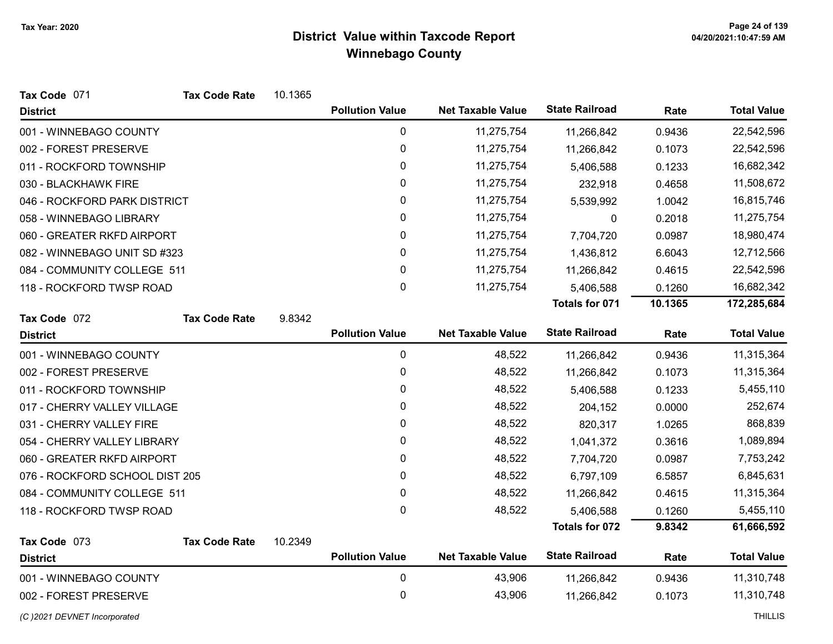| Tax Code 071                   | <b>Tax Code Rate</b> | 10.1365 |                        |                          |                       |         |                    |
|--------------------------------|----------------------|---------|------------------------|--------------------------|-----------------------|---------|--------------------|
| <b>District</b>                |                      |         | <b>Pollution Value</b> | <b>Net Taxable Value</b> | <b>State Railroad</b> | Rate    | <b>Total Value</b> |
| 001 - WINNEBAGO COUNTY         |                      |         | $\mathbf 0$            | 11,275,754               | 11,266,842            | 0.9436  | 22,542,596         |
| 002 - FOREST PRESERVE          |                      |         | 0                      | 11,275,754               | 11,266,842            | 0.1073  | 22,542,596         |
| 011 - ROCKFORD TOWNSHIP        |                      |         | 0                      | 11,275,754               | 5,406,588             | 0.1233  | 16,682,342         |
| 030 - BLACKHAWK FIRE           |                      |         | 0                      | 11,275,754               | 232,918               | 0.4658  | 11,508,672         |
| 046 - ROCKFORD PARK DISTRICT   |                      |         | $\pmb{0}$              | 11,275,754               | 5,539,992             | 1.0042  | 16,815,746         |
| 058 - WINNEBAGO LIBRARY        |                      |         | 0                      | 11,275,754               | 0                     | 0.2018  | 11,275,754         |
| 060 - GREATER RKFD AIRPORT     |                      |         | 0                      | 11,275,754               | 7,704,720             | 0.0987  | 18,980,474         |
| 082 - WINNEBAGO UNIT SD #323   |                      |         | 0                      | 11,275,754               | 1,436,812             | 6.6043  | 12,712,566         |
| 084 - COMMUNITY COLLEGE 511    |                      |         | $\mathbf 0$            | 11,275,754               | 11,266,842            | 0.4615  | 22,542,596         |
| 118 - ROCKFORD TWSP ROAD       |                      |         | $\pmb{0}$              | 11,275,754               | 5,406,588             | 0.1260  | 16,682,342         |
|                                |                      |         |                        |                          | Totals for 071        | 10.1365 | 172,285,684        |
| Tax Code 072                   | <b>Tax Code Rate</b> | 9.8342  |                        |                          |                       |         |                    |
| <b>District</b>                |                      |         | <b>Pollution Value</b> | <b>Net Taxable Value</b> | <b>State Railroad</b> | Rate    | <b>Total Value</b> |
| 001 - WINNEBAGO COUNTY         |                      |         | 0                      | 48,522                   | 11,266,842            | 0.9436  | 11,315,364         |
| 002 - FOREST PRESERVE          |                      |         | $\pmb{0}$              | 48,522                   | 11,266,842            | 0.1073  | 11,315,364         |
| 011 - ROCKFORD TOWNSHIP        |                      |         | 0                      | 48,522                   | 5,406,588             | 0.1233  | 5,455,110          |
| 017 - CHERRY VALLEY VILLAGE    |                      |         | 0                      | 48,522                   | 204,152               | 0.0000  | 252,674            |
| 031 - CHERRY VALLEY FIRE       |                      |         | 0                      | 48,522                   | 820,317               | 1.0265  | 868,839            |
| 054 - CHERRY VALLEY LIBRARY    |                      |         | 0                      | 48,522                   | 1,041,372             | 0.3616  | 1,089,894          |
| 060 - GREATER RKFD AIRPORT     |                      |         | 0                      | 48,522                   | 7,704,720             | 0.0987  | 7,753,242          |
| 076 - ROCKFORD SCHOOL DIST 205 |                      |         | 0                      | 48,522                   | 6,797,109             | 6.5857  | 6,845,631          |
| 084 - COMMUNITY COLLEGE 511    |                      |         | 0                      | 48,522                   | 11,266,842            | 0.4615  | 11,315,364         |
| 118 - ROCKFORD TWSP ROAD       |                      |         | 0                      | 48,522                   | 5,406,588             | 0.1260  | 5,455,110          |
|                                |                      |         |                        |                          | Totals for 072        | 9.8342  | 61,666,592         |
| Tax Code 073                   | <b>Tax Code Rate</b> | 10.2349 |                        |                          |                       |         |                    |
| <b>District</b>                |                      |         | <b>Pollution Value</b> | <b>Net Taxable Value</b> | <b>State Railroad</b> | Rate    | <b>Total Value</b> |
| 001 - WINNEBAGO COUNTY         |                      |         | 0                      | 43,906                   | 11,266,842            | 0.9436  | 11,310,748         |
| 002 - FOREST PRESERVE          |                      |         | 0                      | 43,906                   | 11,266,842            | 0.1073  | 11,310,748         |
| (C) 2021 DEVNET Incorporated   |                      |         |                        |                          |                       |         | <b>THILLIS</b>     |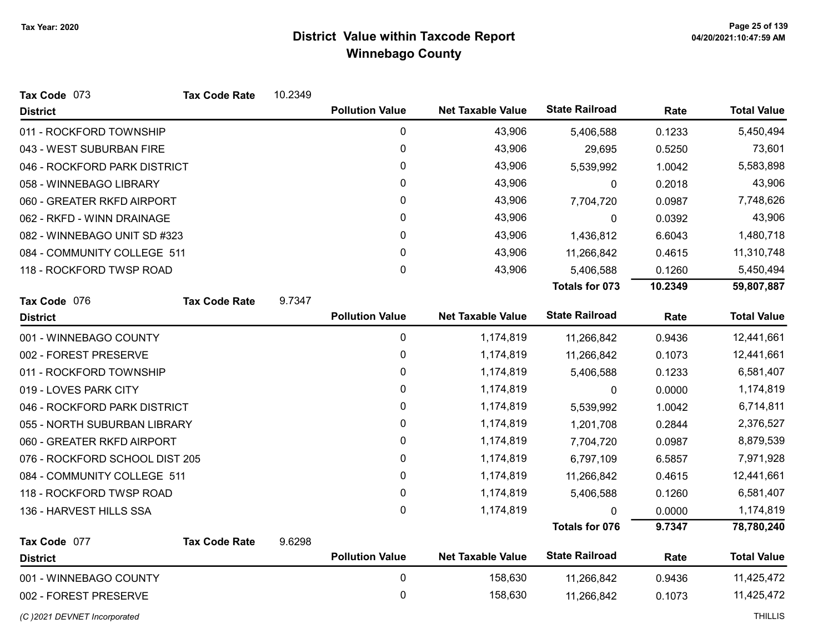| Tax Code 073                   | <b>Tax Code Rate</b> | 10.2349 |                        |                          |                       |         |                    |
|--------------------------------|----------------------|---------|------------------------|--------------------------|-----------------------|---------|--------------------|
| <b>District</b>                |                      |         | <b>Pollution Value</b> | <b>Net Taxable Value</b> | <b>State Railroad</b> | Rate    | <b>Total Value</b> |
| 011 - ROCKFORD TOWNSHIP        |                      |         | 0                      | 43,906                   | 5,406,588             | 0.1233  | 5,450,494          |
| 043 - WEST SUBURBAN FIRE       |                      |         | 0                      | 43,906                   | 29,695                | 0.5250  | 73,601             |
| 046 - ROCKFORD PARK DISTRICT   |                      |         | 0                      | 43,906                   | 5,539,992             | 1.0042  | 5,583,898          |
| 058 - WINNEBAGO LIBRARY        |                      |         | 0                      | 43,906                   | 0                     | 0.2018  | 43,906             |
| 060 - GREATER RKFD AIRPORT     |                      |         | 0                      | 43,906                   | 7,704,720             | 0.0987  | 7,748,626          |
| 062 - RKFD - WINN DRAINAGE     |                      |         | 0                      | 43,906                   | $\mathbf 0$           | 0.0392  | 43,906             |
| 082 - WINNEBAGO UNIT SD #323   |                      |         | 0                      | 43,906                   | 1,436,812             | 6.6043  | 1,480,718          |
| 084 - COMMUNITY COLLEGE 511    |                      |         | $\mathbf{0}$           | 43,906                   | 11,266,842            | 0.4615  | 11,310,748         |
| 118 - ROCKFORD TWSP ROAD       |                      |         | 0                      | 43,906                   | 5,406,588             | 0.1260  | 5,450,494          |
|                                |                      |         |                        |                          | Totals for 073        | 10.2349 | 59,807,887         |
| Tax Code 076                   | <b>Tax Code Rate</b> | 9.7347  |                        |                          |                       |         |                    |
| <b>District</b>                |                      |         | <b>Pollution Value</b> | <b>Net Taxable Value</b> | <b>State Railroad</b> | Rate    | <b>Total Value</b> |
| 001 - WINNEBAGO COUNTY         |                      |         | 0                      | 1,174,819                | 11,266,842            | 0.9436  | 12,441,661         |
| 002 - FOREST PRESERVE          |                      |         | 0                      | 1,174,819                | 11,266,842            | 0.1073  | 12,441,661         |
| 011 - ROCKFORD TOWNSHIP        |                      |         | 0                      | 1,174,819                | 5,406,588             | 0.1233  | 6,581,407          |
| 019 - LOVES PARK CITY          |                      |         | 0                      | 1,174,819                | $\mathbf{0}$          | 0.0000  | 1,174,819          |
| 046 - ROCKFORD PARK DISTRICT   |                      |         | 0                      | 1,174,819                | 5,539,992             | 1.0042  | 6,714,811          |
| 055 - NORTH SUBURBAN LIBRARY   |                      |         | 0                      | 1,174,819                | 1,201,708             | 0.2844  | 2,376,527          |
| 060 - GREATER RKFD AIRPORT     |                      |         | 0                      | 1,174,819                | 7,704,720             | 0.0987  | 8,879,539          |
| 076 - ROCKFORD SCHOOL DIST 205 |                      |         | 0                      | 1,174,819                | 6,797,109             | 6.5857  | 7,971,928          |
| 084 - COMMUNITY COLLEGE 511    |                      |         | 0                      | 1,174,819                | 11,266,842            | 0.4615  | 12,441,661         |
| 118 - ROCKFORD TWSP ROAD       |                      |         | 0                      | 1,174,819                | 5,406,588             | 0.1260  | 6,581,407          |
| 136 - HARVEST HILLS SSA        |                      |         | $\mathbf{0}$           | 1,174,819                | $\Omega$              | 0.0000  | 1,174,819          |
|                                |                      |         |                        |                          | <b>Totals for 076</b> | 9.7347  | 78,780,240         |
| Tax Code 077                   | <b>Tax Code Rate</b> | 9.6298  |                        |                          |                       |         |                    |
| <b>District</b>                |                      |         | <b>Pollution Value</b> | <b>Net Taxable Value</b> | <b>State Railroad</b> | Rate    | <b>Total Value</b> |
| 001 - WINNEBAGO COUNTY         |                      |         | 0                      | 158,630                  | 11,266,842            | 0.9436  | 11,425,472         |
| 002 - FOREST PRESERVE          |                      |         | 0                      | 158,630                  | 11,266,842            | 0.1073  | 11,425,472         |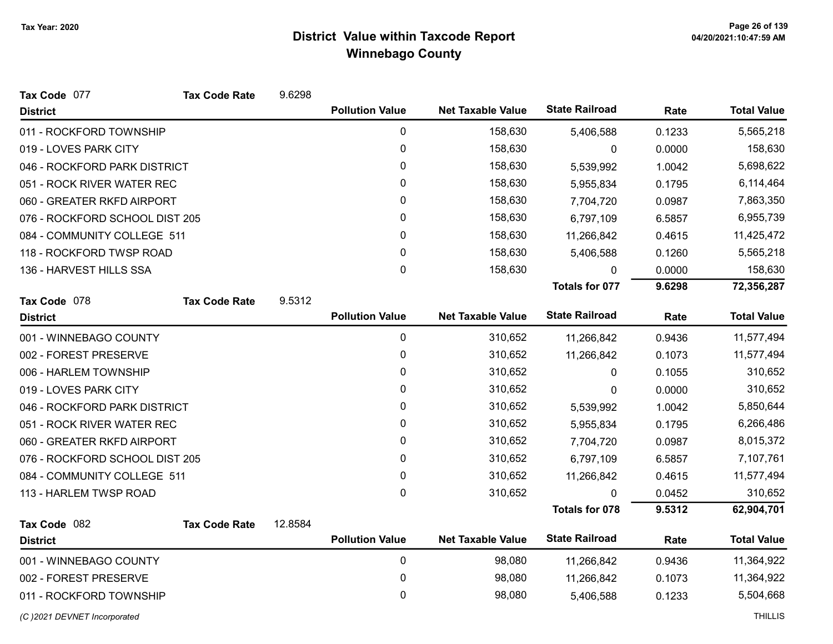| Tax Code 077                   | <b>Tax Code Rate</b> | 9.6298  |                        |                          |                       |        |                    |
|--------------------------------|----------------------|---------|------------------------|--------------------------|-----------------------|--------|--------------------|
| <b>District</b>                |                      |         | <b>Pollution Value</b> | <b>Net Taxable Value</b> | <b>State Railroad</b> | Rate   | <b>Total Value</b> |
| 011 - ROCKFORD TOWNSHIP        |                      |         | 0                      | 158,630                  | 5,406,588             | 0.1233 | 5,565,218          |
| 019 - LOVES PARK CITY          |                      |         | 0                      | 158,630                  | 0                     | 0.0000 | 158,630            |
| 046 - ROCKFORD PARK DISTRICT   |                      |         | 0                      | 158,630                  | 5,539,992             | 1.0042 | 5,698,622          |
| 051 - ROCK RIVER WATER REC     |                      |         | 0                      | 158,630                  | 5,955,834             | 0.1795 | 6,114,464          |
| 060 - GREATER RKFD AIRPORT     |                      |         | 0                      | 158,630                  | 7,704,720             | 0.0987 | 7,863,350          |
| 076 - ROCKFORD SCHOOL DIST 205 |                      |         | 0                      | 158,630                  | 6,797,109             | 6.5857 | 6,955,739          |
| 084 - COMMUNITY COLLEGE 511    |                      |         | 0                      | 158,630                  | 11,266,842            | 0.4615 | 11,425,472         |
| 118 - ROCKFORD TWSP ROAD       |                      |         | $\mathbf{0}$           | 158,630                  | 5,406,588             | 0.1260 | 5,565,218          |
| 136 - HARVEST HILLS SSA        |                      |         | 0                      | 158,630                  | $\mathbf{0}$          | 0.0000 | 158,630            |
|                                |                      |         |                        |                          | <b>Totals for 077</b> | 9.6298 | 72,356,287         |
| Tax Code 078                   | <b>Tax Code Rate</b> | 9.5312  |                        |                          |                       |        |                    |
| <b>District</b>                |                      |         | <b>Pollution Value</b> | <b>Net Taxable Value</b> | <b>State Railroad</b> | Rate   | <b>Total Value</b> |
| 001 - WINNEBAGO COUNTY         |                      |         | $\pmb{0}$              | 310,652                  | 11,266,842            | 0.9436 | 11,577,494         |
| 002 - FOREST PRESERVE          |                      |         | 0                      | 310,652                  | 11,266,842            | 0.1073 | 11,577,494         |
| 006 - HARLEM TOWNSHIP          |                      |         | $\mathbf{0}$           | 310,652                  | 0                     | 0.1055 | 310,652            |
| 019 - LOVES PARK CITY          |                      |         | $\mathbf{0}$           | 310,652                  | 0                     | 0.0000 | 310,652            |
| 046 - ROCKFORD PARK DISTRICT   |                      |         | $\mathbf 0$            | 310,652                  | 5,539,992             | 1.0042 | 5,850,644          |
| 051 - ROCK RIVER WATER REC     |                      |         | $\mathbf{0}$           | 310,652                  | 5,955,834             | 0.1795 | 6,266,486          |
| 060 - GREATER RKFD AIRPORT     |                      |         | $\mathbf 0$            | 310,652                  | 7,704,720             | 0.0987 | 8,015,372          |
| 076 - ROCKFORD SCHOOL DIST 205 |                      |         | $\mathbf{0}$           | 310,652                  | 6,797,109             | 6.5857 | 7,107,761          |
| 084 - COMMUNITY COLLEGE 511    |                      |         | $\mathbf 0$            | 310,652                  | 11,266,842            | 0.4615 | 11,577,494         |
| 113 - HARLEM TWSP ROAD         |                      |         | $\mathbf{0}$           | 310,652                  | $\Omega$              | 0.0452 | 310,652            |
|                                |                      |         |                        |                          | <b>Totals for 078</b> | 9.5312 | 62,904,701         |
| Tax Code 082                   | <b>Tax Code Rate</b> | 12.8584 |                        |                          |                       |        |                    |
| <b>District</b>                |                      |         | <b>Pollution Value</b> | <b>Net Taxable Value</b> | <b>State Railroad</b> | Rate   | <b>Total Value</b> |
| 001 - WINNEBAGO COUNTY         |                      |         | $\pmb{0}$              | 98,080                   | 11,266,842            | 0.9436 | 11,364,922         |
| 002 - FOREST PRESERVE          |                      |         | 0                      | 98,080                   | 11,266,842            | 0.1073 | 11,364,922         |
| 011 - ROCKFORD TOWNSHIP        |                      |         | 0                      | 98,080                   | 5,406,588             | 0.1233 | 5,504,668          |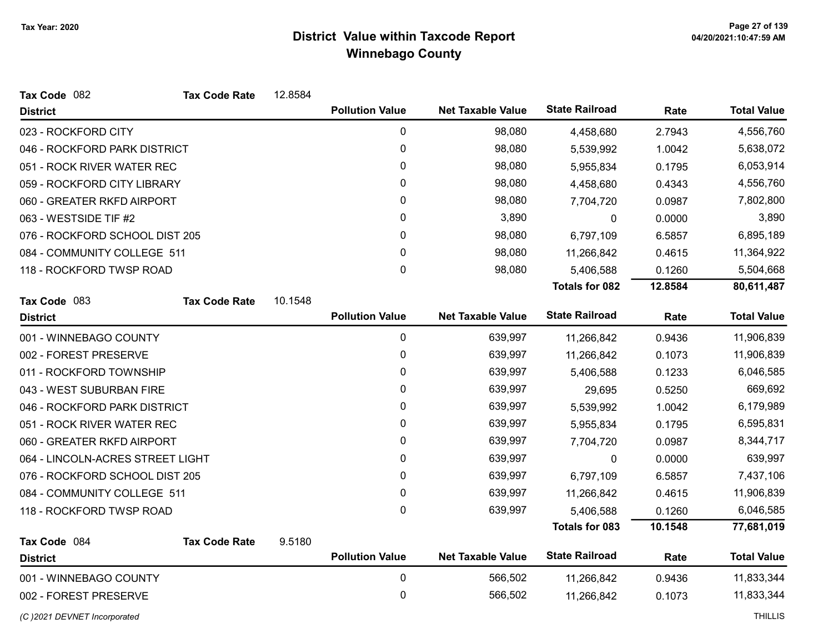| Tax Code 082                     | <b>Tax Code Rate</b> | 12.8584 |                        |                          |                       |         |                    |
|----------------------------------|----------------------|---------|------------------------|--------------------------|-----------------------|---------|--------------------|
| <b>District</b>                  |                      |         | <b>Pollution Value</b> | <b>Net Taxable Value</b> | <b>State Railroad</b> | Rate    | <b>Total Value</b> |
| 023 - ROCKFORD CITY              |                      |         | 0                      | 98,080                   | 4,458,680             | 2.7943  | 4,556,760          |
| 046 - ROCKFORD PARK DISTRICT     |                      |         | 0                      | 98,080                   | 5,539,992             | 1.0042  | 5,638,072          |
| 051 - ROCK RIVER WATER REC       |                      |         | 0                      | 98,080                   | 5,955,834             | 0.1795  | 6,053,914          |
| 059 - ROCKFORD CITY LIBRARY      |                      |         | 0                      | 98,080                   | 4,458,680             | 0.4343  | 4,556,760          |
| 060 - GREATER RKFD AIRPORT       |                      |         | 0                      | 98,080                   | 7,704,720             | 0.0987  | 7,802,800          |
| 063 - WESTSIDE TIF #2            |                      |         | 0                      | 3,890                    | 0                     | 0.0000  | 3,890              |
| 076 - ROCKFORD SCHOOL DIST 205   |                      |         | 0                      | 98,080                   | 6,797,109             | 6.5857  | 6,895,189          |
| 084 - COMMUNITY COLLEGE 511      |                      |         | $\mathbf{0}$           | 98,080                   | 11,266,842            | 0.4615  | 11,364,922         |
| 118 - ROCKFORD TWSP ROAD         |                      |         | $\mathbf 0$            | 98,080                   | 5,406,588             | 0.1260  | 5,504,668          |
|                                  |                      |         |                        |                          | <b>Totals for 082</b> | 12.8584 | 80,611,487         |
| Tax Code 083                     | <b>Tax Code Rate</b> | 10.1548 |                        |                          |                       |         |                    |
| <b>District</b>                  |                      |         | <b>Pollution Value</b> | <b>Net Taxable Value</b> | <b>State Railroad</b> | Rate    | <b>Total Value</b> |
| 001 - WINNEBAGO COUNTY           |                      |         | 0                      | 639,997                  | 11,266,842            | 0.9436  | 11,906,839         |
| 002 - FOREST PRESERVE            |                      |         | $\pmb{0}$              | 639,997                  | 11,266,842            | 0.1073  | 11,906,839         |
| 011 - ROCKFORD TOWNSHIP          |                      |         | $\mathbf{0}$           | 639,997                  | 5,406,588             | 0.1233  | 6,046,585          |
| 043 - WEST SUBURBAN FIRE         |                      |         | $\pmb{0}$              | 639,997                  | 29,695                | 0.5250  | 669,692            |
| 046 - ROCKFORD PARK DISTRICT     |                      |         | 0                      | 639,997                  | 5,539,992             | 1.0042  | 6,179,989          |
| 051 - ROCK RIVER WATER REC       |                      |         | $\pmb{0}$              | 639,997                  | 5,955,834             | 0.1795  | 6,595,831          |
| 060 - GREATER RKFD AIRPORT       |                      |         | $\mathbf{0}$           | 639,997                  | 7,704,720             | 0.0987  | 8,344,717          |
| 064 - LINCOLN-ACRES STREET LIGHT |                      |         | 0                      | 639,997                  | 0                     | 0.0000  | 639,997            |
| 076 - ROCKFORD SCHOOL DIST 205   |                      |         | $\mathbf{0}$           | 639,997                  | 6,797,109             | 6.5857  | 7,437,106          |
| 084 - COMMUNITY COLLEGE 511      |                      |         | $\mathbf 0$            | 639,997                  | 11,266,842            | 0.4615  | 11,906,839         |
| 118 - ROCKFORD TWSP ROAD         |                      |         | $\mathbf 0$            | 639,997                  | 5,406,588             | 0.1260  | 6,046,585          |
|                                  |                      |         |                        |                          | <b>Totals for 083</b> | 10.1548 | 77,681,019         |
| Tax Code 084                     | <b>Tax Code Rate</b> | 9.5180  |                        |                          |                       |         |                    |
| <b>District</b>                  |                      |         | <b>Pollution Value</b> | <b>Net Taxable Value</b> | <b>State Railroad</b> | Rate    | <b>Total Value</b> |
| 001 - WINNEBAGO COUNTY           |                      |         | 0                      | 566,502                  | 11,266,842            | 0.9436  | 11,833,344         |
| 002 - FOREST PRESERVE            |                      |         | 0                      | 566,502                  | 11,266,842            | 0.1073  | 11,833,344         |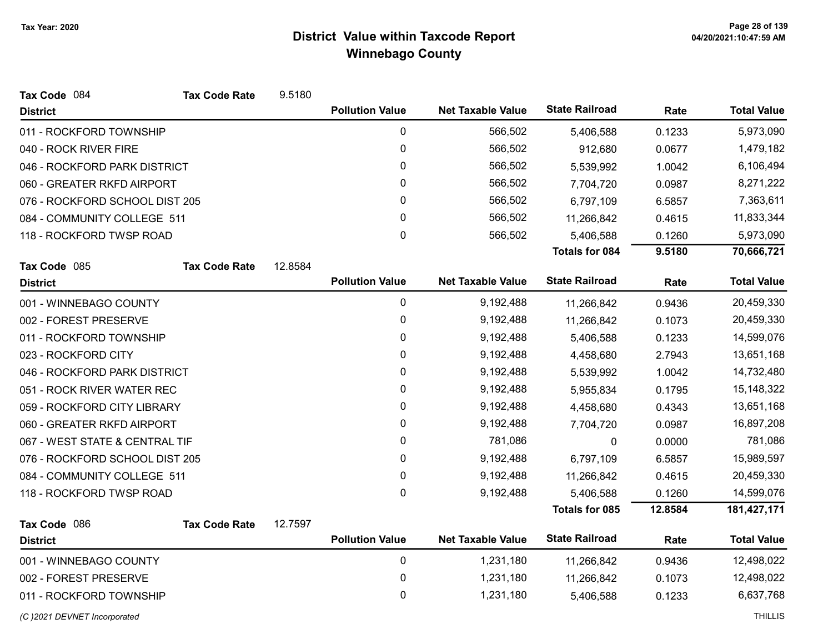| <b>District</b>                |                      |         | <b>Pollution Value</b> | <b>Net Taxable Value</b> | <b>State Railroad</b> | Rate    | <b>Total Value</b> |
|--------------------------------|----------------------|---------|------------------------|--------------------------|-----------------------|---------|--------------------|
| 011 - ROCKFORD TOWNSHIP        |                      |         | $\pmb{0}$              | 566,502                  | 5,406,588             | 0.1233  | 5,973,090          |
| 040 - ROCK RIVER FIRE          |                      |         | 0                      | 566,502                  | 912,680               | 0.0677  | 1,479,182          |
| 046 - ROCKFORD PARK DISTRICT   |                      |         | 0                      | 566,502                  | 5,539,992             | 1.0042  | 6,106,494          |
| 060 - GREATER RKFD AIRPORT     |                      |         | 0                      | 566,502                  | 7,704,720             | 0.0987  | 8,271,222          |
| 076 - ROCKFORD SCHOOL DIST 205 |                      |         | $\pmb{0}$              | 566,502                  | 6,797,109             | 6.5857  | 7,363,611          |
| 084 - COMMUNITY COLLEGE 511    |                      |         | 0                      | 566,502                  | 11,266,842            | 0.4615  | 11,833,344         |
| 118 - ROCKFORD TWSP ROAD       |                      |         | 0                      | 566,502                  | 5,406,588             | 0.1260  | 5,973,090          |
|                                |                      |         |                        |                          | <b>Totals for 084</b> | 9.5180  | 70,666,721         |
| Tax Code 085                   | <b>Tax Code Rate</b> | 12.8584 |                        |                          |                       |         |                    |
| <b>District</b>                |                      |         | <b>Pollution Value</b> | <b>Net Taxable Value</b> | <b>State Railroad</b> | Rate    | <b>Total Value</b> |
| 001 - WINNEBAGO COUNTY         |                      |         | 0                      | 9,192,488                | 11,266,842            | 0.9436  | 20,459,330         |
| 002 - FOREST PRESERVE          |                      |         | 0                      | 9,192,488                | 11,266,842            | 0.1073  | 20,459,330         |
| 011 - ROCKFORD TOWNSHIP        |                      |         | $\pmb{0}$              | 9,192,488                | 5,406,588             | 0.1233  | 14,599,076         |
| 023 - ROCKFORD CITY            |                      |         | 0                      | 9,192,488                | 4,458,680             | 2.7943  | 13,651,168         |
| 046 - ROCKFORD PARK DISTRICT   |                      |         | $\pmb{0}$              | 9,192,488                | 5,539,992             | 1.0042  | 14,732,480         |
| 051 - ROCK RIVER WATER REC     |                      |         | 0                      | 9,192,488                | 5,955,834             | 0.1795  | 15,148,322         |
| 059 - ROCKFORD CITY LIBRARY    |                      |         | $\mathbf 0$            | 9,192,488                | 4,458,680             | 0.4343  | 13,651,168         |
| 060 - GREATER RKFD AIRPORT     |                      |         | 0                      | 9,192,488                | 7,704,720             | 0.0987  | 16,897,208         |
| 067 - WEST STATE & CENTRAL TIF |                      |         | 0                      | 781,086                  | 0                     | 0.0000  | 781,086            |
| 076 - ROCKFORD SCHOOL DIST 205 |                      |         | 0                      | 9,192,488                | 6,797,109             | 6.5857  | 15,989,597         |
| 084 - COMMUNITY COLLEGE 511    |                      |         | 0                      | 9,192,488                | 11,266,842            | 0.4615  | 20,459,330         |
| 118 - ROCKFORD TWSP ROAD       |                      |         | $\mathbf 0$            | 9,192,488                | 5,406,588             | 0.1260  | 14,599,076         |
|                                |                      |         |                        |                          | <b>Totals for 085</b> | 12.8584 | 181,427,171        |
| Tax Code 086                   | <b>Tax Code Rate</b> | 12.7597 |                        |                          |                       |         |                    |
| <b>District</b>                |                      |         | <b>Pollution Value</b> | <b>Net Taxable Value</b> | <b>State Railroad</b> | Rate    | <b>Total Value</b> |
| 001 - WINNEBAGO COUNTY         |                      |         | $\pmb{0}$              | 1,231,180                | 11,266,842            | 0.9436  | 12,498,022         |
| 002 - FOREST PRESERVE          |                      |         | $\pmb{0}$              | 1,231,180                | 11,266,842            | 0.1073  | 12,498,022         |
| 011 - ROCKFORD TOWNSHIP        |                      |         | 0                      | 1,231,180                | 5,406,588             | 0.1233  | 6,637,768          |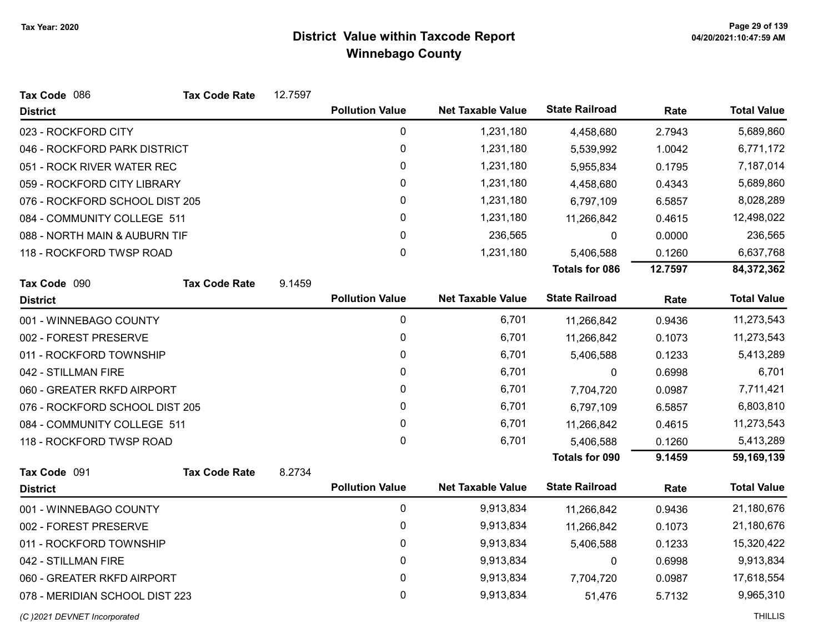| Tax Code 086                   | <b>Tax Code Rate</b> | 12.7597 |                        |                          |                       |         |                    |
|--------------------------------|----------------------|---------|------------------------|--------------------------|-----------------------|---------|--------------------|
| <b>District</b>                |                      |         | <b>Pollution Value</b> | <b>Net Taxable Value</b> | <b>State Railroad</b> | Rate    | <b>Total Value</b> |
| 023 - ROCKFORD CITY            |                      |         | 0                      | 1,231,180                | 4,458,680             | 2.7943  | 5,689,860          |
| 046 - ROCKFORD PARK DISTRICT   |                      |         | 0                      | 1,231,180                | 5,539,992             | 1.0042  | 6,771,172          |
| 051 - ROCK RIVER WATER REC     |                      |         | 0                      | 1,231,180                | 5,955,834             | 0.1795  | 7,187,014          |
| 059 - ROCKFORD CITY LIBRARY    |                      |         | 0                      | 1,231,180                | 4,458,680             | 0.4343  | 5,689,860          |
| 076 - ROCKFORD SCHOOL DIST 205 |                      |         | $\mathbf{0}$           | 1,231,180                | 6,797,109             | 6.5857  | 8,028,289          |
| 084 - COMMUNITY COLLEGE 511    |                      |         | 0                      | 1,231,180                | 11,266,842            | 0.4615  | 12,498,022         |
| 088 - NORTH MAIN & AUBURN TIF  |                      |         | 0                      | 236,565                  | 0                     | 0.0000  | 236,565            |
| 118 - ROCKFORD TWSP ROAD       |                      |         | $\mathbf 0$            | 1,231,180                | 5,406,588             | 0.1260  | 6,637,768          |
|                                |                      |         |                        |                          | <b>Totals for 086</b> | 12.7597 | 84,372,362         |
| Tax Code 090                   | <b>Tax Code Rate</b> | 9.1459  |                        |                          |                       |         |                    |
| <b>District</b>                |                      |         | <b>Pollution Value</b> | <b>Net Taxable Value</b> | <b>State Railroad</b> | Rate    | <b>Total Value</b> |
| 001 - WINNEBAGO COUNTY         |                      |         | 0                      | 6,701                    | 11,266,842            | 0.9436  | 11,273,543         |
| 002 - FOREST PRESERVE          |                      |         | 0                      | 6,701                    | 11,266,842            | 0.1073  | 11,273,543         |
| 011 - ROCKFORD TOWNSHIP        |                      |         | 0                      | 6,701                    | 5,406,588             | 0.1233  | 5,413,289          |
| 042 - STILLMAN FIRE            |                      |         | $\mathbf{0}$           | 6,701                    | 0                     | 0.6998  | 6,701              |
| 060 - GREATER RKFD AIRPORT     |                      |         | 0                      | 6,701                    | 7,704,720             | 0.0987  | 7,711,421          |
| 076 - ROCKFORD SCHOOL DIST 205 |                      |         | $\mathbf{0}$           | 6,701                    | 6,797,109             | 6.5857  | 6,803,810          |
| 084 - COMMUNITY COLLEGE 511    |                      |         | 0                      | 6,701                    | 11,266,842            | 0.4615  | 11,273,543         |
| 118 - ROCKFORD TWSP ROAD       |                      |         | $\mathbf 0$            | 6,701                    | 5,406,588             | 0.1260  | 5,413,289          |
|                                |                      |         |                        |                          | <b>Totals for 090</b> | 9.1459  | 59,169,139         |
| Tax Code 091                   | <b>Tax Code Rate</b> | 8.2734  |                        |                          |                       |         |                    |
| <b>District</b>                |                      |         | <b>Pollution Value</b> | <b>Net Taxable Value</b> | <b>State Railroad</b> | Rate    | <b>Total Value</b> |
| 001 - WINNEBAGO COUNTY         |                      |         | 0                      | 9,913,834                | 11,266,842            | 0.9436  | 21,180,676         |
| 002 - FOREST PRESERVE          |                      |         | 0                      | 9,913,834                | 11,266,842            | 0.1073  | 21,180,676         |
| 011 - ROCKFORD TOWNSHIP        |                      |         | 0                      | 9,913,834                | 5,406,588             | 0.1233  | 15,320,422         |
| 042 - STILLMAN FIRE            |                      |         | 0                      | 9,913,834                | 0                     | 0.6998  | 9,913,834          |
| 060 - GREATER RKFD AIRPORT     |                      |         | 0                      | 9,913,834                | 7,704,720             | 0.0987  | 17,618,554         |
| 078 - MERIDIAN SCHOOL DIST 223 |                      |         | 0                      | 9,913,834                | 51,476                | 5.7132  | 9,965,310          |
| (C) 2021 DEVNET Incorporated   |                      |         |                        |                          |                       |         | <b>THILLIS</b>     |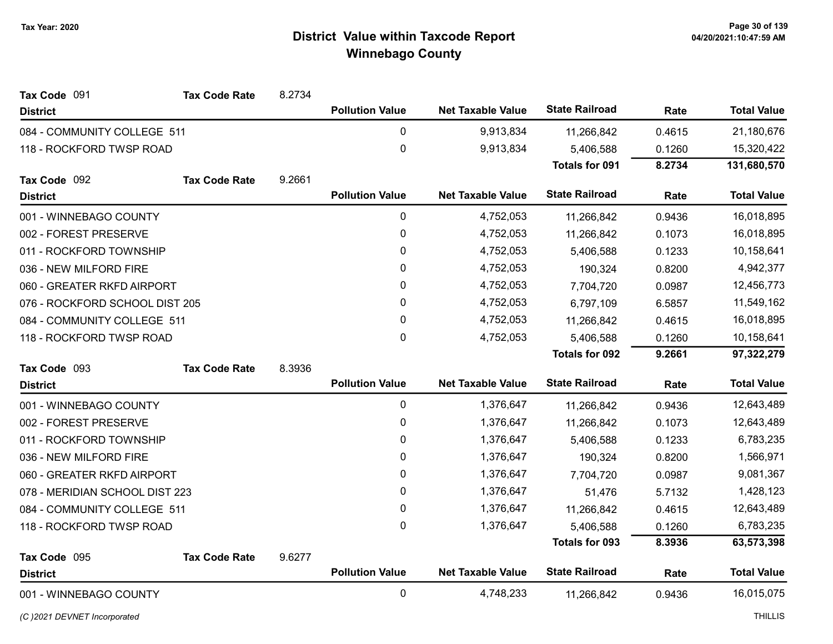| Tax Code 091                   | <b>Tax Code Rate</b> | 8.2734 |                        |                          |                       |        |                    |
|--------------------------------|----------------------|--------|------------------------|--------------------------|-----------------------|--------|--------------------|
| <b>District</b>                |                      |        | <b>Pollution Value</b> | <b>Net Taxable Value</b> | <b>State Railroad</b> | Rate   | <b>Total Value</b> |
| 084 - COMMUNITY COLLEGE 511    |                      |        | $\mathbf 0$            | 9,913,834                | 11,266,842            | 0.4615 | 21,180,676         |
| 118 - ROCKFORD TWSP ROAD       |                      |        | 0                      | 9,913,834                | 5,406,588             | 0.1260 | 15,320,422         |
|                                |                      |        |                        |                          | <b>Totals for 091</b> | 8.2734 | 131,680,570        |
| Tax Code 092                   | <b>Tax Code Rate</b> | 9.2661 |                        |                          |                       |        |                    |
| <b>District</b>                |                      |        | <b>Pollution Value</b> | <b>Net Taxable Value</b> | <b>State Railroad</b> | Rate   | <b>Total Value</b> |
| 001 - WINNEBAGO COUNTY         |                      |        | $\mathbf 0$            | 4,752,053                | 11,266,842            | 0.9436 | 16,018,895         |
| 002 - FOREST PRESERVE          |                      |        | 0                      | 4,752,053                | 11,266,842            | 0.1073 | 16,018,895         |
| 011 - ROCKFORD TOWNSHIP        |                      |        | 0                      | 4,752,053                | 5,406,588             | 0.1233 | 10,158,641         |
| 036 - NEW MILFORD FIRE         |                      |        | 0                      | 4,752,053                | 190,324               | 0.8200 | 4,942,377          |
| 060 - GREATER RKFD AIRPORT     |                      |        | 0                      | 4,752,053                | 7,704,720             | 0.0987 | 12,456,773         |
| 076 - ROCKFORD SCHOOL DIST 205 |                      |        | 0                      | 4,752,053                | 6,797,109             | 6.5857 | 11,549,162         |
| 084 - COMMUNITY COLLEGE 511    |                      |        | 0                      | 4,752,053                | 11,266,842            | 0.4615 | 16,018,895         |
| 118 - ROCKFORD TWSP ROAD       |                      |        | 0                      | 4,752,053                | 5,406,588             | 0.1260 | 10,158,641         |
|                                |                      |        |                        |                          | <b>Totals for 092</b> | 9.2661 | 97,322,279         |
| Tax Code 093                   | <b>Tax Code Rate</b> | 8.3936 |                        |                          |                       |        |                    |
| <b>District</b>                |                      |        | <b>Pollution Value</b> | <b>Net Taxable Value</b> | <b>State Railroad</b> | Rate   | <b>Total Value</b> |
| 001 - WINNEBAGO COUNTY         |                      |        | $\pmb{0}$              | 1,376,647                | 11,266,842            | 0.9436 | 12,643,489         |
| 002 - FOREST PRESERVE          |                      |        | 0                      | 1,376,647                | 11,266,842            | 0.1073 | 12,643,489         |
| 011 - ROCKFORD TOWNSHIP        |                      |        | 0                      | 1,376,647                | 5,406,588             | 0.1233 | 6,783,235          |
| 036 - NEW MILFORD FIRE         |                      |        | 0                      | 1,376,647                | 190,324               | 0.8200 | 1,566,971          |
| 060 - GREATER RKFD AIRPORT     |                      |        | 0                      | 1,376,647                | 7,704,720             | 0.0987 | 9,081,367          |
| 078 - MERIDIAN SCHOOL DIST 223 |                      |        | 0                      | 1,376,647                | 51,476                | 5.7132 | 1,428,123          |
| 084 - COMMUNITY COLLEGE 511    |                      |        | 0                      | 1,376,647                | 11,266,842            | 0.4615 | 12,643,489         |
| 118 - ROCKFORD TWSP ROAD       |                      |        | 0                      | 1,376,647                | 5,406,588             | 0.1260 | 6,783,235          |
|                                |                      |        |                        |                          | <b>Totals for 093</b> | 8.3936 | 63,573,398         |
| Tax Code 095                   | <b>Tax Code Rate</b> | 9.6277 |                        |                          |                       |        |                    |
| <b>District</b>                |                      |        | <b>Pollution Value</b> | <b>Net Taxable Value</b> | <b>State Railroad</b> | Rate   | <b>Total Value</b> |
| 001 - WINNEBAGO COUNTY         |                      |        | $\mathbf 0$            | 4,748,233                | 11,266,842            | 0.9436 | 16,015,075         |

(C)2021 DEVNET Incorporated THILLIS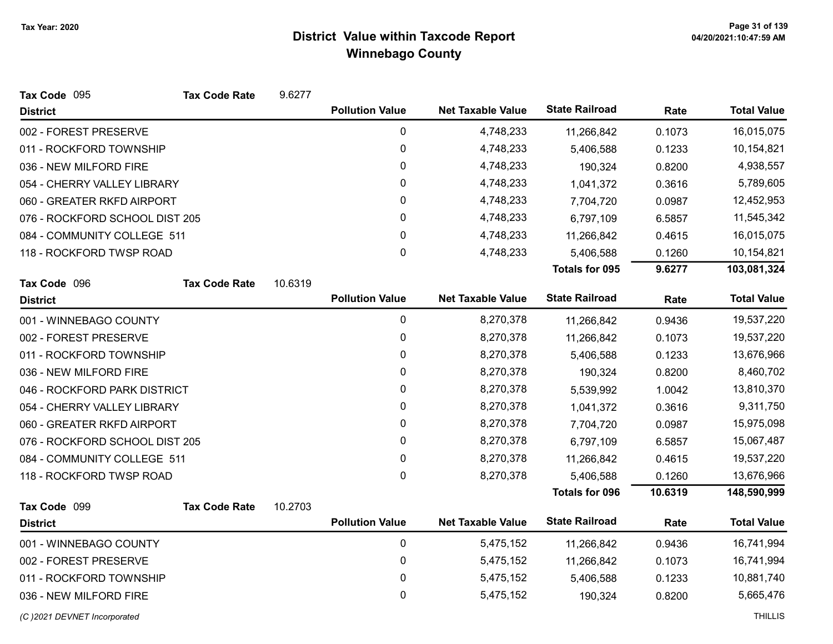| Tax Code 095                   | <b>Tax Code Rate</b> | 9.6277  |                        |                          |                       |         |                    |
|--------------------------------|----------------------|---------|------------------------|--------------------------|-----------------------|---------|--------------------|
| <b>District</b>                |                      |         | <b>Pollution Value</b> | <b>Net Taxable Value</b> | <b>State Railroad</b> | Rate    | <b>Total Value</b> |
| 002 - FOREST PRESERVE          |                      |         | 0                      | 4,748,233                | 11,266,842            | 0.1073  | 16,015,075         |
| 011 - ROCKFORD TOWNSHIP        |                      |         | 0                      | 4,748,233                | 5,406,588             | 0.1233  | 10,154,821         |
| 036 - NEW MILFORD FIRE         |                      |         | 0                      | 4,748,233                | 190,324               | 0.8200  | 4,938,557          |
| 054 - CHERRY VALLEY LIBRARY    |                      |         | $\mathbf{0}$           | 4,748,233                | 1,041,372             | 0.3616  | 5,789,605          |
| 060 - GREATER RKFD AIRPORT     |                      |         | $\pmb{0}$              | 4,748,233                | 7,704,720             | 0.0987  | 12,452,953         |
| 076 - ROCKFORD SCHOOL DIST 205 |                      |         | $\pmb{0}$              | 4,748,233                | 6,797,109             | 6.5857  | 11,545,342         |
| 084 - COMMUNITY COLLEGE 511    |                      |         | $\pmb{0}$              | 4,748,233                | 11,266,842            | 0.4615  | 16,015,075         |
| 118 - ROCKFORD TWSP ROAD       |                      |         | $\pmb{0}$              | 4,748,233                | 5,406,588             | 0.1260  | 10,154,821         |
|                                |                      |         |                        |                          | <b>Totals for 095</b> | 9.6277  | 103,081,324        |
| Tax Code 096                   | <b>Tax Code Rate</b> | 10.6319 |                        |                          |                       |         |                    |
| <b>District</b>                |                      |         | <b>Pollution Value</b> | <b>Net Taxable Value</b> | <b>State Railroad</b> | Rate    | <b>Total Value</b> |
| 001 - WINNEBAGO COUNTY         |                      |         | 0                      | 8,270,378                | 11,266,842            | 0.9436  | 19,537,220         |
| 002 - FOREST PRESERVE          |                      |         | $\pmb{0}$              | 8,270,378                | 11,266,842            | 0.1073  | 19,537,220         |
| 011 - ROCKFORD TOWNSHIP        |                      |         | 0                      | 8,270,378                | 5,406,588             | 0.1233  | 13,676,966         |
| 036 - NEW MILFORD FIRE         |                      |         | 0                      | 8,270,378                | 190,324               | 0.8200  | 8,460,702          |
| 046 - ROCKFORD PARK DISTRICT   |                      |         | 0                      | 8,270,378                | 5,539,992             | 1.0042  | 13,810,370         |
| 054 - CHERRY VALLEY LIBRARY    |                      |         | 0                      | 8,270,378                | 1,041,372             | 0.3616  | 9,311,750          |
| 060 - GREATER RKFD AIRPORT     |                      |         | 0                      | 8,270,378                | 7,704,720             | 0.0987  | 15,975,098         |
| 076 - ROCKFORD SCHOOL DIST 205 |                      |         | 0                      | 8,270,378                | 6,797,109             | 6.5857  | 15,067,487         |
| 084 - COMMUNITY COLLEGE 511    |                      |         | $\mathbf 0$            | 8,270,378                | 11,266,842            | 0.4615  | 19,537,220         |
| 118 - ROCKFORD TWSP ROAD       |                      |         | $\mathbf{0}$           | 8,270,378                | 5,406,588             | 0.1260  | 13,676,966         |
|                                |                      |         |                        |                          | <b>Totals for 096</b> | 10.6319 | 148,590,999        |
| Tax Code 099                   | <b>Tax Code Rate</b> | 10.2703 |                        |                          |                       |         |                    |
| <b>District</b>                |                      |         | <b>Pollution Value</b> | <b>Net Taxable Value</b> | <b>State Railroad</b> | Rate    | <b>Total Value</b> |
| 001 - WINNEBAGO COUNTY         |                      |         | $\pmb{0}$              | 5,475,152                | 11,266,842            | 0.9436  | 16,741,994         |
| 002 - FOREST PRESERVE          |                      |         | 0                      | 5,475,152                | 11,266,842            | 0.1073  | 16,741,994         |
| 011 - ROCKFORD TOWNSHIP        |                      |         | $\boldsymbol{0}$       | 5,475,152                | 5,406,588             | 0.1233  | 10,881,740         |
| 036 - NEW MILFORD FIRE         |                      |         | 0                      | 5,475,152                | 190,324               | 0.8200  | 5,665,476          |
| (C) 2021 DEVNET Incorporated   |                      |         |                        |                          |                       |         | <b>THILLIS</b>     |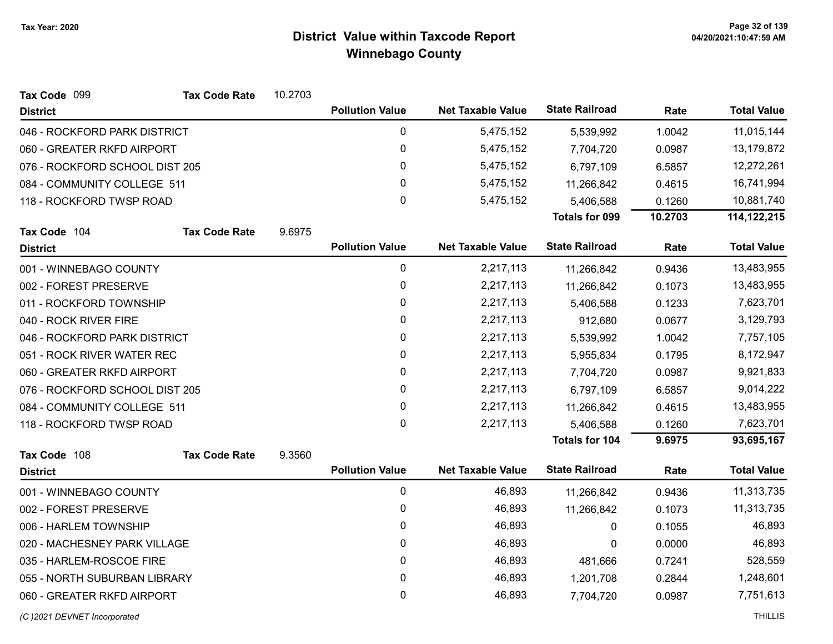| Tax Code 099                   | <b>Tax Code Rate</b> | 10.2703 |                        |                          |                       |         |                    |
|--------------------------------|----------------------|---------|------------------------|--------------------------|-----------------------|---------|--------------------|
| <b>District</b>                |                      |         | <b>Pollution Value</b> | <b>Net Taxable Value</b> | <b>State Railroad</b> | Rate    | <b>Total Value</b> |
| 046 - ROCKFORD PARK DISTRICT   |                      |         | 0                      | 5,475,152                | 5,539,992             | 1.0042  | 11,015,144         |
| 060 - GREATER RKFD AIRPORT     |                      |         | $\mathbf 0$            | 5,475,152                | 7,704,720             | 0.0987  | 13,179,872         |
| 076 - ROCKFORD SCHOOL DIST 205 |                      |         | 0                      | 5,475,152                | 6,797,109             | 6.5857  | 12,272,261         |
| 084 - COMMUNITY COLLEGE 511    |                      |         | $\mathbf 0$            | 5,475,152                | 11,266,842            | 0.4615  | 16,741,994         |
| 118 - ROCKFORD TWSP ROAD       |                      |         | $\pmb{0}$              | 5,475,152                | 5,406,588             | 0.1260  | 10,881,740         |
|                                |                      |         |                        |                          | Totals for 099        | 10.2703 | 114, 122, 215      |
| Tax Code 104                   | <b>Tax Code Rate</b> | 9.6975  |                        |                          |                       |         |                    |
| <b>District</b>                |                      |         | <b>Pollution Value</b> | <b>Net Taxable Value</b> | <b>State Railroad</b> | Rate    | <b>Total Value</b> |
| 001 - WINNEBAGO COUNTY         |                      |         | $\pmb{0}$              | 2,217,113                | 11,266,842            | 0.9436  | 13,483,955         |
| 002 - FOREST PRESERVE          |                      |         | $\mathbf 0$            | 2,217,113                | 11,266,842            | 0.1073  | 13,483,955         |
| 011 - ROCKFORD TOWNSHIP        |                      |         | 0                      | 2,217,113                | 5,406,588             | 0.1233  | 7,623,701          |
| 040 - ROCK RIVER FIRE          |                      |         | 0                      | 2,217,113                | 912,680               | 0.0677  | 3,129,793          |
| 046 - ROCKFORD PARK DISTRICT   |                      |         | $\pmb{0}$              | 2,217,113                | 5,539,992             | 1.0042  | 7,757,105          |
| 051 - ROCK RIVER WATER REC     |                      |         | 0                      | 2,217,113                | 5,955,834             | 0.1795  | 8,172,947          |
| 060 - GREATER RKFD AIRPORT     |                      |         | 0                      | 2,217,113                | 7,704,720             | 0.0987  | 9,921,833          |
| 076 - ROCKFORD SCHOOL DIST 205 |                      |         | 0                      | 2,217,113                | 6,797,109             | 6.5857  | 9,014,222          |
| 084 - COMMUNITY COLLEGE 511    |                      |         | 0                      | 2,217,113                | 11,266,842            | 0.4615  | 13,483,955         |
| 118 - ROCKFORD TWSP ROAD       |                      |         | $\mathbf 0$            | 2,217,113                | 5,406,588             | 0.1260  | 7,623,701          |
|                                |                      |         |                        |                          | Totals for 104        | 9.6975  | 93,695,167         |
| Tax Code 108                   | <b>Tax Code Rate</b> | 9.3560  |                        |                          |                       |         |                    |
| <b>District</b>                |                      |         | <b>Pollution Value</b> | <b>Net Taxable Value</b> | <b>State Railroad</b> | Rate    | <b>Total Value</b> |
| 001 - WINNEBAGO COUNTY         |                      |         | $\pmb{0}$              | 46,893                   | 11,266,842            | 0.9436  | 11,313,735         |
| 002 - FOREST PRESERVE          |                      |         | 0                      | 46,893                   | 11,266,842            | 0.1073  | 11,313,735         |
| 006 - HARLEM TOWNSHIP          |                      |         | $\mathbf 0$            | 46,893                   | 0                     | 0.1055  | 46,893             |
| 020 - MACHESNEY PARK VILLAGE   |                      |         | $\mathbf 0$            | 46,893                   | 0                     | 0.0000  | 46,893             |
| 035 - HARLEM-ROSCOE FIRE       |                      |         | 0                      | 46,893                   | 481,666               | 0.7241  | 528,559            |
| 055 - NORTH SUBURBAN LIBRARY   |                      |         | 0                      | 46,893                   | 1,201,708             | 0.2844  | 1,248,601          |
| 060 - GREATER RKFD AIRPORT     |                      |         | $\mathbf 0$            | 46,893                   | 7,704,720             | 0.0987  | 7,751,613          |
|                                |                      |         |                        |                          |                       |         |                    |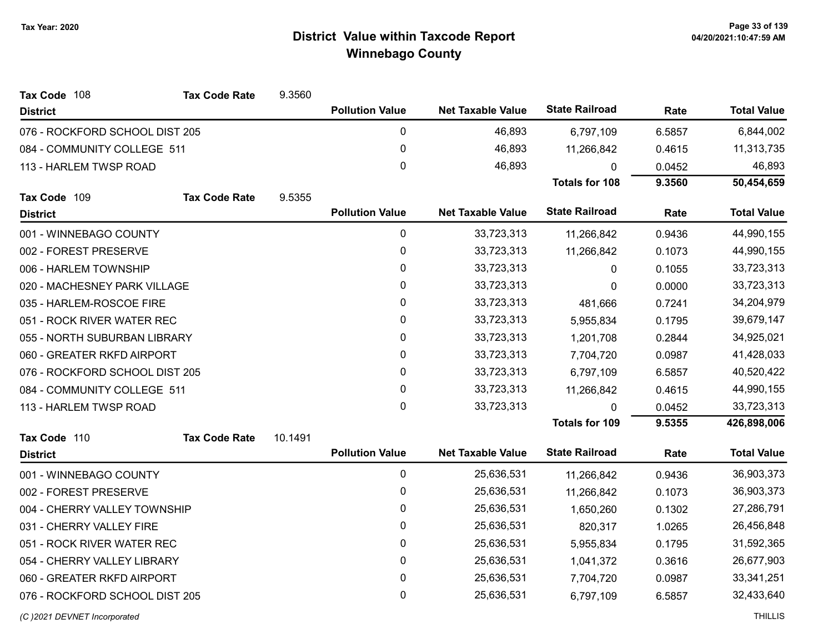| Tax Code 108                   | <b>Tax Code Rate</b> | 9.3560  |                        |                          |                       |        |                    |
|--------------------------------|----------------------|---------|------------------------|--------------------------|-----------------------|--------|--------------------|
| <b>District</b>                |                      |         | <b>Pollution Value</b> | <b>Net Taxable Value</b> | <b>State Railroad</b> | Rate   | <b>Total Value</b> |
| 076 - ROCKFORD SCHOOL DIST 205 |                      |         | $\pmb{0}$              | 46,893                   | 6,797,109             | 6.5857 | 6,844,002          |
| 084 - COMMUNITY COLLEGE 511    |                      |         | $\pmb{0}$              | 46,893                   | 11,266,842            | 0.4615 | 11,313,735         |
| 113 - HARLEM TWSP ROAD         |                      |         | $\mathbf 0$            | 46,893                   | 0                     | 0.0452 | 46,893             |
|                                |                      |         |                        |                          | <b>Totals for 108</b> | 9.3560 | 50,454,659         |
| Tax Code 109                   | <b>Tax Code Rate</b> | 9.5355  |                        |                          |                       |        |                    |
| <b>District</b>                |                      |         | <b>Pollution Value</b> | <b>Net Taxable Value</b> | <b>State Railroad</b> | Rate   | <b>Total Value</b> |
| 001 - WINNEBAGO COUNTY         |                      |         | 0                      | 33,723,313               | 11,266,842            | 0.9436 | 44,990,155         |
| 002 - FOREST PRESERVE          |                      |         | $\pmb{0}$              | 33,723,313               | 11,266,842            | 0.1073 | 44,990,155         |
| 006 - HARLEM TOWNSHIP          |                      |         | 0                      | 33,723,313               | 0                     | 0.1055 | 33,723,313         |
| 020 - MACHESNEY PARK VILLAGE   |                      |         | 0                      | 33,723,313               | $\Omega$              | 0.0000 | 33,723,313         |
| 035 - HARLEM-ROSCOE FIRE       |                      |         | $\pmb{0}$              | 33,723,313               | 481,666               | 0.7241 | 34,204,979         |
| 051 - ROCK RIVER WATER REC     |                      |         | 0                      | 33,723,313               | 5,955,834             | 0.1795 | 39,679,147         |
| 055 - NORTH SUBURBAN LIBRARY   |                      |         | 0                      | 33,723,313               | 1,201,708             | 0.2844 | 34,925,021         |
| 060 - GREATER RKFD AIRPORT     |                      |         | 0                      | 33,723,313               | 7,704,720             | 0.0987 | 41,428,033         |
| 076 - ROCKFORD SCHOOL DIST 205 |                      |         | 0                      | 33,723,313               | 6,797,109             | 6.5857 | 40,520,422         |
| 084 - COMMUNITY COLLEGE 511    |                      |         | $\pmb{0}$              | 33,723,313               | 11,266,842            | 0.4615 | 44,990,155         |
| 113 - HARLEM TWSP ROAD         |                      |         | $\mathbf 0$            | 33,723,313               | $\mathbf{0}$          | 0.0452 | 33,723,313         |
|                                |                      |         |                        |                          | <b>Totals for 109</b> | 9.5355 | 426,898,006        |
| Tax Code 110                   | <b>Tax Code Rate</b> | 10.1491 |                        |                          |                       |        |                    |
| <b>District</b>                |                      |         | <b>Pollution Value</b> | <b>Net Taxable Value</b> | <b>State Railroad</b> | Rate   | <b>Total Value</b> |
| 001 - WINNEBAGO COUNTY         |                      |         | $\pmb{0}$              | 25,636,531               | 11,266,842            | 0.9436 | 36,903,373         |
| 002 - FOREST PRESERVE          |                      |         | $\pmb{0}$              | 25,636,531               | 11,266,842            | 0.1073 | 36,903,373         |
| 004 - CHERRY VALLEY TOWNSHIP   |                      |         | $\pmb{0}$              | 25,636,531               | 1,650,260             | 0.1302 | 27,286,791         |
| 031 - CHERRY VALLEY FIRE       |                      |         | $\mathbf{0}$           | 25,636,531               | 820,317               | 1.0265 | 26,456,848         |
| 051 - ROCK RIVER WATER REC     |                      |         | $\mathbf 0$            | 25,636,531               | 5,955,834             | 0.1795 | 31,592,365         |
| 054 - CHERRY VALLEY LIBRARY    |                      |         | 0                      | 25,636,531               | 1,041,372             | 0.3616 | 26,677,903         |
| 060 - GREATER RKFD AIRPORT     |                      |         | $\pmb{0}$              | 25,636,531               | 7,704,720             | 0.0987 | 33, 341, 251       |
| 076 - ROCKFORD SCHOOL DIST 205 |                      |         | 0                      | 25,636,531               | 6,797,109             | 6.5857 | 32,433,640         |
| (C)2021 DEVNET Incorporated    |                      |         |                        |                          |                       |        | <b>THILLIS</b>     |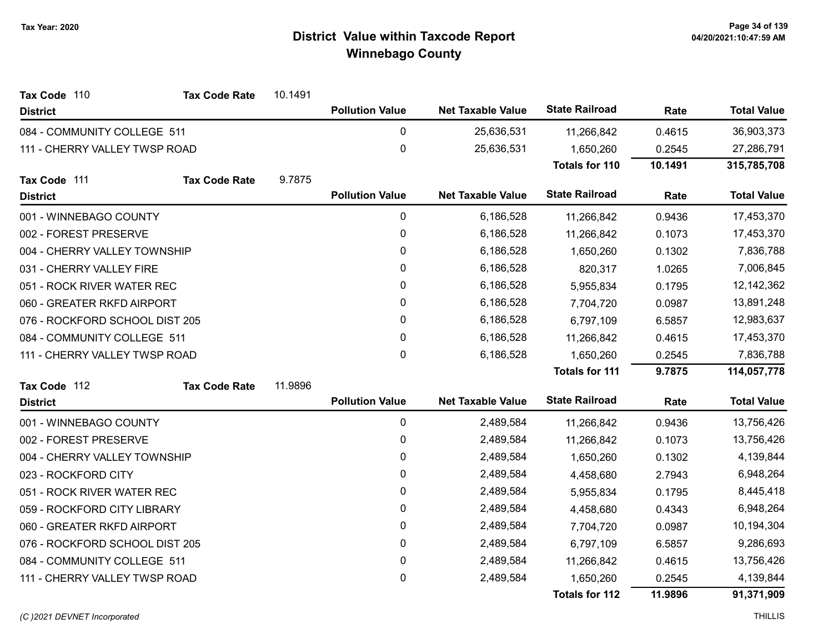| Tax Code 110                   | <b>Tax Code Rate</b> | 10.1491 |                        |                          |                       |            |                    |
|--------------------------------|----------------------|---------|------------------------|--------------------------|-----------------------|------------|--------------------|
| <b>District</b>                |                      |         | <b>Pollution Value</b> | <b>Net Taxable Value</b> | <b>State Railroad</b> | Rate       | <b>Total Value</b> |
| 084 - COMMUNITY COLLEGE 511    |                      |         | 0                      | 25,636,531               | 11,266,842            | 0.4615     | 36,903,373         |
| 111 - CHERRY VALLEY TWSP ROAD  |                      |         | $\boldsymbol{0}$       | 25,636,531               | 1,650,260             | 0.2545     | 27,286,791         |
|                                |                      |         |                        |                          | <b>Totals for 110</b> | 10.1491    | 315,785,708        |
| Tax Code 111                   | <b>Tax Code Rate</b> | 9.7875  |                        |                          |                       |            |                    |
| <b>District</b>                |                      |         | <b>Pollution Value</b> | <b>Net Taxable Value</b> | <b>State Railroad</b> | Rate       | <b>Total Value</b> |
| 001 - WINNEBAGO COUNTY         |                      |         | 0                      | 6,186,528                | 11,266,842            | 0.9436     | 17,453,370         |
| 002 - FOREST PRESERVE          |                      |         | 0                      | 6,186,528                | 11,266,842            | 0.1073     | 17,453,370         |
| 004 - CHERRY VALLEY TOWNSHIP   |                      |         | 0                      | 6,186,528                | 1,650,260             | 0.1302     | 7,836,788          |
| 031 - CHERRY VALLEY FIRE       |                      |         | 0                      | 6,186,528                | 820,317               | 1.0265     | 7,006,845          |
| 051 - ROCK RIVER WATER REC     |                      |         | $\mathbf{0}$           | 6,186,528                | 5,955,834             | 0.1795     | 12,142,362         |
| 060 - GREATER RKFD AIRPORT     |                      |         | 0                      | 6,186,528                | 7,704,720             | 0.0987     | 13,891,248         |
| 076 - ROCKFORD SCHOOL DIST 205 |                      | 0       | 6,186,528              | 6,797,109                | 6.5857                | 12,983,637 |                    |
| 084 - COMMUNITY COLLEGE 511    |                      |         | $\mathbf{0}$           | 6,186,528                | 11,266,842            | 0.4615     | 17,453,370         |
| 111 - CHERRY VALLEY TWSP ROAD  |                      |         | $\mathbf 0$            | 6,186,528                | 1,650,260             | 0.2545     | 7,836,788          |
|                                |                      |         |                        |                          | <b>Totals for 111</b> | 9.7875     | 114,057,778        |
| Tax Code 112                   | <b>Tax Code Rate</b> | 11.9896 |                        |                          |                       |            |                    |
| <b>District</b>                |                      |         | <b>Pollution Value</b> | <b>Net Taxable Value</b> | <b>State Railroad</b> | Rate       | <b>Total Value</b> |
| 001 - WINNEBAGO COUNTY         |                      |         | $\pmb{0}$              | 2,489,584                | 11,266,842            | 0.9436     | 13,756,426         |
| 002 - FOREST PRESERVE          |                      |         | 0                      | 2,489,584                | 11,266,842            | 0.1073     | 13,756,426         |
| 004 - CHERRY VALLEY TOWNSHIP   |                      |         | $\pmb{0}$              | 2,489,584                | 1,650,260             | 0.1302     | 4,139,844          |
| 023 - ROCKFORD CITY            |                      |         | 0                      | 2,489,584                | 4,458,680             | 2.7943     | 6,948,264          |
| 051 - ROCK RIVER WATER REC     |                      |         | $\pmb{0}$              | 2,489,584                | 5,955,834             | 0.1795     | 8,445,418          |
| 059 - ROCKFORD CITY LIBRARY    |                      |         | 0                      | 2,489,584                | 4,458,680             | 0.4343     | 6,948,264          |
| 060 - GREATER RKFD AIRPORT     |                      |         | $\pmb{0}$              | 2,489,584                | 7,704,720             | 0.0987     | 10,194,304         |
| 076 - ROCKFORD SCHOOL DIST 205 |                      |         | 0                      | 2,489,584                | 6,797,109             | 6.5857     | 9,286,693          |
| 084 - COMMUNITY COLLEGE 511    |                      |         | $\pmb{0}$              | 2,489,584                | 11,266,842            | 0.4615     | 13,756,426         |
| 111 - CHERRY VALLEY TWSP ROAD  |                      |         | 0                      | 2,489,584                | 1,650,260             | 0.2545     | 4,139,844          |
|                                |                      |         |                        |                          | <b>Totals for 112</b> | 11.9896    | 91,371,909         |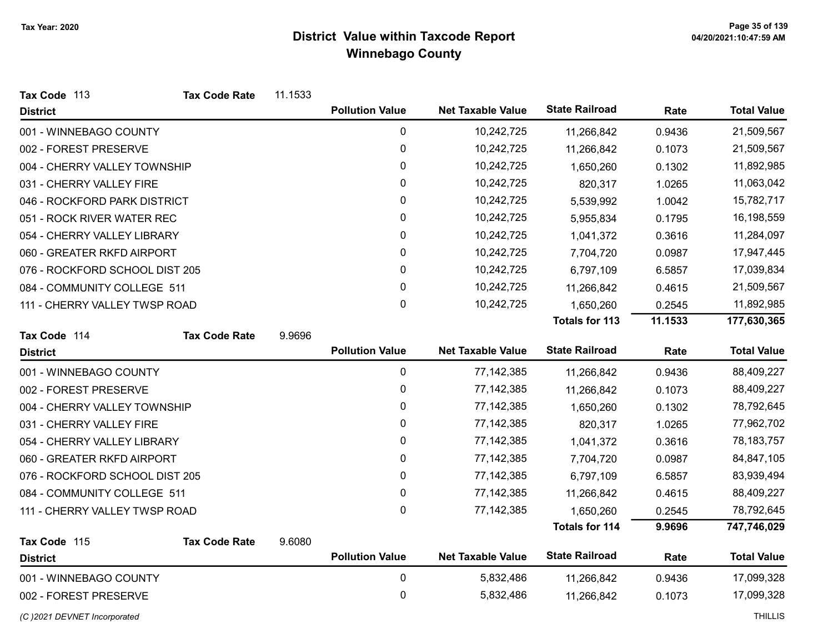| Tax Code 113                   | <b>Tax Code Rate</b> | 11.1533 |                        |                          |                       |         |                    |
|--------------------------------|----------------------|---------|------------------------|--------------------------|-----------------------|---------|--------------------|
| <b>District</b>                |                      |         | <b>Pollution Value</b> | <b>Net Taxable Value</b> | <b>State Railroad</b> | Rate    | <b>Total Value</b> |
| 001 - WINNEBAGO COUNTY         |                      |         | $\pmb{0}$              | 10,242,725               | 11,266,842            | 0.9436  | 21,509,567         |
| 002 - FOREST PRESERVE          |                      |         | 0                      | 10,242,725               | 11,266,842            | 0.1073  | 21,509,567         |
| 004 - CHERRY VALLEY TOWNSHIP   |                      |         | 0                      | 10,242,725               | 1,650,260             | 0.1302  | 11,892,985         |
| 031 - CHERRY VALLEY FIRE       |                      |         | 0                      | 10,242,725               | 820,317               | 1.0265  | 11,063,042         |
| 046 - ROCKFORD PARK DISTRICT   |                      |         | 0                      | 10,242,725               | 5,539,992             | 1.0042  | 15,782,717         |
| 051 - ROCK RIVER WATER REC     |                      |         | 0                      | 10,242,725               | 5,955,834             | 0.1795  | 16,198,559         |
| 054 - CHERRY VALLEY LIBRARY    |                      |         | 0                      | 10,242,725               | 1,041,372             | 0.3616  | 11,284,097         |
| 060 - GREATER RKFD AIRPORT     |                      |         | 0                      | 10,242,725               | 7,704,720             | 0.0987  | 17,947,445         |
| 076 - ROCKFORD SCHOOL DIST 205 |                      |         | 0                      | 10,242,725               | 6,797,109             | 6.5857  | 17,039,834         |
| 084 - COMMUNITY COLLEGE 511    |                      |         | 0                      | 10,242,725               | 11,266,842            | 0.4615  | 21,509,567         |
| 111 - CHERRY VALLEY TWSP ROAD  |                      |         | 0                      | 10,242,725               | 1,650,260             | 0.2545  | 11,892,985         |
|                                |                      |         |                        |                          | Totals for 113        | 11.1533 | 177,630,365        |
| Tax Code 114                   | <b>Tax Code Rate</b> | 9.9696  |                        |                          |                       |         |                    |
| <b>District</b>                |                      |         | <b>Pollution Value</b> | <b>Net Taxable Value</b> | <b>State Railroad</b> | Rate    | <b>Total Value</b> |
| 001 - WINNEBAGO COUNTY         |                      |         | $\pmb{0}$              | 77, 142, 385             | 11,266,842            | 0.9436  | 88,409,227         |
| 002 - FOREST PRESERVE          |                      |         | 0                      | 77, 142, 385             | 11,266,842            | 0.1073  | 88,409,227         |
| 004 - CHERRY VALLEY TOWNSHIP   |                      |         | 0                      | 77, 142, 385             | 1,650,260             | 0.1302  | 78,792,645         |
| 031 - CHERRY VALLEY FIRE       |                      |         | 0                      | 77, 142, 385             | 820,317               | 1.0265  | 77,962,702         |
| 054 - CHERRY VALLEY LIBRARY    |                      |         | 0                      | 77, 142, 385             | 1,041,372             | 0.3616  | 78, 183, 757       |
| 060 - GREATER RKFD AIRPORT     |                      |         | $\pmb{0}$              | 77, 142, 385             | 7,704,720             | 0.0987  | 84,847,105         |
| 076 - ROCKFORD SCHOOL DIST 205 |                      |         | 0                      | 77, 142, 385             | 6,797,109             | 6.5857  | 83,939,494         |
| 084 - COMMUNITY COLLEGE 511    |                      |         | $\mathbf 0$            | 77, 142, 385             | 11,266,842            | 0.4615  | 88,409,227         |
| 111 - CHERRY VALLEY TWSP ROAD  |                      |         | 0                      | 77, 142, 385             | 1,650,260             | 0.2545  | 78,792,645         |
|                                |                      |         |                        |                          | <b>Totals for 114</b> | 9.9696  | 747,746,029        |
| Tax Code 115                   | <b>Tax Code Rate</b> | 9.6080  |                        |                          |                       |         |                    |
| <b>District</b>                |                      |         | <b>Pollution Value</b> | <b>Net Taxable Value</b> | <b>State Railroad</b> | Rate    | <b>Total Value</b> |
| 001 - WINNEBAGO COUNTY         |                      |         | $\pmb{0}$              | 5,832,486                | 11,266,842            | 0.9436  | 17,099,328         |
| 002 - FOREST PRESERVE          |                      |         | 0                      | 5,832,486                | 11,266,842            | 0.1073  | 17,099,328         |
| (C) 2021 DEVNET Incorporated   |                      |         |                        |                          |                       |         | <b>THILLIS</b>     |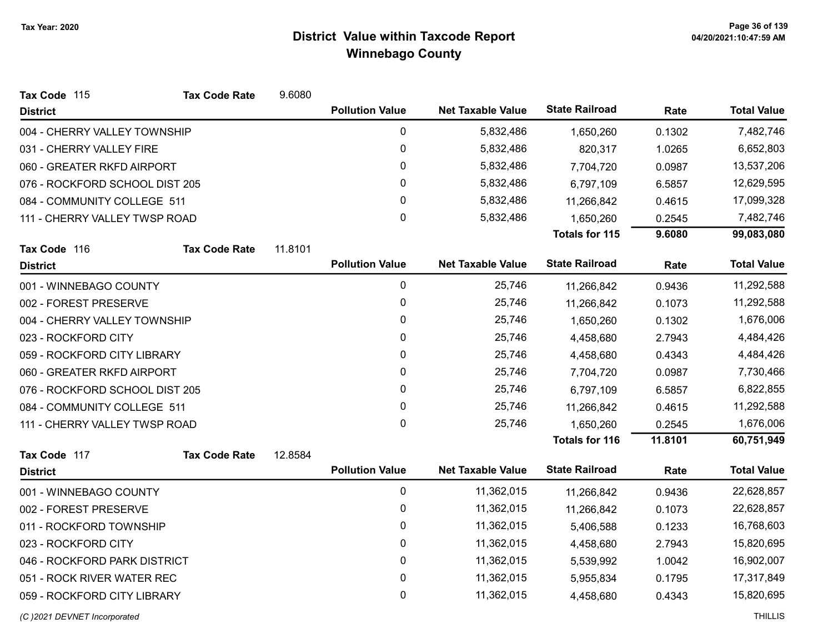| Tax Code 115                   | <b>Tax Code Rate</b> | 9.6080  |                        |                          |                       |         |                    |
|--------------------------------|----------------------|---------|------------------------|--------------------------|-----------------------|---------|--------------------|
| <b>District</b>                |                      |         | <b>Pollution Value</b> | <b>Net Taxable Value</b> | <b>State Railroad</b> | Rate    | <b>Total Value</b> |
| 004 - CHERRY VALLEY TOWNSHIP   |                      |         | 0                      | 5,832,486                | 1,650,260             | 0.1302  | 7,482,746          |
| 031 - CHERRY VALLEY FIRE       |                      |         | 0                      | 5,832,486                | 820,317               | 1.0265  | 6,652,803          |
| 060 - GREATER RKFD AIRPORT     |                      |         | 0                      | 5,832,486                | 7,704,720             | 0.0987  | 13,537,206         |
| 076 - ROCKFORD SCHOOL DIST 205 |                      |         | $\mathbf 0$            | 5,832,486                | 6,797,109             | 6.5857  | 12,629,595         |
| 084 - COMMUNITY COLLEGE 511    |                      |         | 0                      | 5,832,486                | 11,266,842            | 0.4615  | 17,099,328         |
| 111 - CHERRY VALLEY TWSP ROAD  |                      |         | 0                      | 5,832,486                | 1,650,260             | 0.2545  | 7,482,746          |
|                                |                      |         |                        |                          | <b>Totals for 115</b> | 9.6080  | 99,083,080         |
| Tax Code 116                   | <b>Tax Code Rate</b> | 11.8101 |                        |                          |                       |         |                    |
| <b>District</b>                |                      |         | <b>Pollution Value</b> | <b>Net Taxable Value</b> | <b>State Railroad</b> | Rate    | <b>Total Value</b> |
| 001 - WINNEBAGO COUNTY         |                      |         | 0                      | 25,746                   | 11,266,842            | 0.9436  | 11,292,588         |
| 002 - FOREST PRESERVE          |                      |         | 0                      | 25,746                   | 11,266,842            | 0.1073  | 11,292,588         |
| 004 - CHERRY VALLEY TOWNSHIP   |                      |         | 0                      | 25,746                   | 1,650,260             | 0.1302  | 1,676,006          |
| 023 - ROCKFORD CITY            |                      |         | 0                      | 25,746                   | 4,458,680             | 2.7943  | 4,484,426          |
| 059 - ROCKFORD CITY LIBRARY    |                      |         | 0                      | 25,746                   | 4,458,680             | 0.4343  | 4,484,426          |
| 060 - GREATER RKFD AIRPORT     |                      |         | $\mathbf 0$            | 25,746                   | 7,704,720             | 0.0987  | 7,730,466          |
| 076 - ROCKFORD SCHOOL DIST 205 |                      |         | 0                      | 25,746                   | 6,797,109             | 6.5857  | 6,822,855          |
| 084 - COMMUNITY COLLEGE 511    |                      |         | 0                      | 25,746                   | 11,266,842            | 0.4615  | 11,292,588         |
| 111 - CHERRY VALLEY TWSP ROAD  |                      |         | $\mathbf 0$            | 25,746                   | 1,650,260             | 0.2545  | 1,676,006          |
|                                |                      |         |                        |                          | <b>Totals for 116</b> | 11.8101 | 60,751,949         |
| Tax Code 117                   | <b>Tax Code Rate</b> | 12.8584 |                        |                          |                       |         |                    |
| <b>District</b>                |                      |         | <b>Pollution Value</b> | <b>Net Taxable Value</b> | <b>State Railroad</b> | Rate    | <b>Total Value</b> |
| 001 - WINNEBAGO COUNTY         |                      |         | 0                      | 11,362,015               | 11,266,842            | 0.9436  | 22,628,857         |
| 002 - FOREST PRESERVE          |                      |         | $\mathbf 0$            | 11,362,015               | 11,266,842            | 0.1073  | 22,628,857         |
| 011 - ROCKFORD TOWNSHIP        |                      |         | 0                      | 11,362,015               | 5,406,588             | 0.1233  | 16,768,603         |
| 023 - ROCKFORD CITY            |                      |         | 0                      | 11,362,015               | 4,458,680             | 2.7943  | 15,820,695         |
| 046 - ROCKFORD PARK DISTRICT   |                      |         | $\mathbf 0$            | 11,362,015               | 5,539,992             | 1.0042  | 16,902,007         |
| 051 - ROCK RIVER WATER REC     |                      |         | 0                      | 11,362,015               | 5,955,834             | 0.1795  | 17,317,849         |
| 059 - ROCKFORD CITY LIBRARY    |                      |         | 0                      | 11,362,015               | 4,458,680             | 0.4343  | 15,820,695         |
|                                |                      |         |                        |                          |                       |         |                    |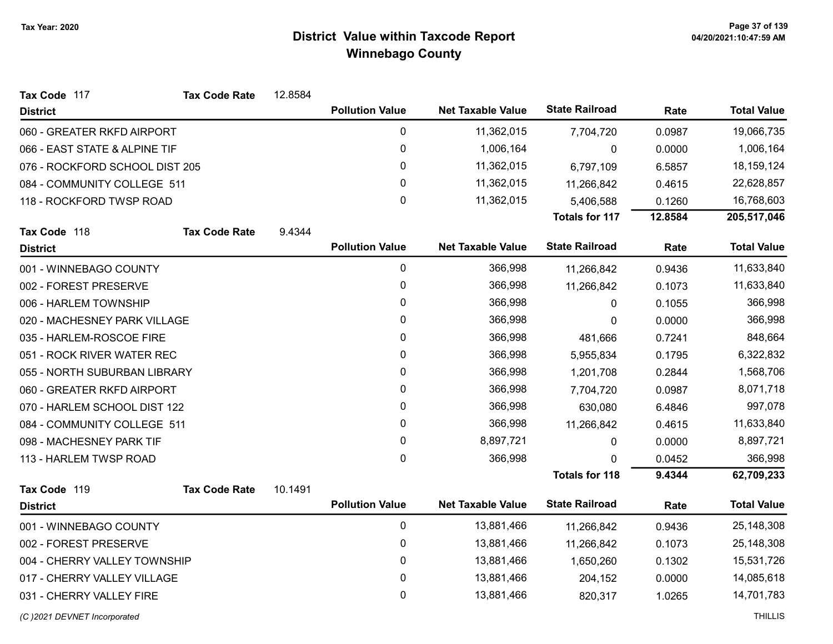| Tax Code 117                   | <b>Tax Code Rate</b> | 12.8584 |                        |                          |                       |         |                    |
|--------------------------------|----------------------|---------|------------------------|--------------------------|-----------------------|---------|--------------------|
| <b>District</b>                |                      |         | <b>Pollution Value</b> | <b>Net Taxable Value</b> | <b>State Railroad</b> | Rate    | <b>Total Value</b> |
| 060 - GREATER RKFD AIRPORT     |                      |         | 0                      | 11,362,015               | 7,704,720             | 0.0987  | 19,066,735         |
| 066 - EAST STATE & ALPINE TIF  |                      |         | $\mathbf 0$            | 1,006,164                | 0                     | 0.0000  | 1,006,164          |
| 076 - ROCKFORD SCHOOL DIST 205 |                      |         | 0                      | 11,362,015               | 6,797,109             | 6.5857  | 18, 159, 124       |
| 084 - COMMUNITY COLLEGE 511    |                      |         | 0                      | 11,362,015               | 11,266,842            | 0.4615  | 22,628,857         |
| 118 - ROCKFORD TWSP ROAD       |                      |         | $\mathbf 0$            | 11,362,015               | 5,406,588             | 0.1260  | 16,768,603         |
|                                |                      |         |                        |                          | <b>Totals for 117</b> | 12.8584 | 205,517,046        |
| Tax Code 118                   | <b>Tax Code Rate</b> | 9.4344  |                        |                          |                       |         |                    |
| <b>District</b>                |                      |         | <b>Pollution Value</b> | <b>Net Taxable Value</b> | <b>State Railroad</b> | Rate    | <b>Total Value</b> |
| 001 - WINNEBAGO COUNTY         |                      |         | $\mathbf 0$            | 366,998                  | 11,266,842            | 0.9436  | 11,633,840         |
| 002 - FOREST PRESERVE          |                      |         | 0                      | 366,998                  | 11,266,842            | 0.1073  | 11,633,840         |
| 006 - HARLEM TOWNSHIP          |                      |         | 0                      | 366,998                  | 0                     | 0.1055  | 366,998            |
| 020 - MACHESNEY PARK VILLAGE   |                      |         | 0                      | 366,998                  | 0                     | 0.0000  | 366,998            |
| 035 - HARLEM-ROSCOE FIRE       |                      |         | 0                      | 366,998                  | 481,666               | 0.7241  | 848,664            |
| 051 - ROCK RIVER WATER REC     |                      |         | 0                      | 366,998                  | 5,955,834             | 0.1795  | 6,322,832          |
| 055 - NORTH SUBURBAN LIBRARY   |                      |         | 0                      | 366,998                  | 1,201,708             | 0.2844  | 1,568,706          |
| 060 - GREATER RKFD AIRPORT     |                      |         | 0                      | 366,998                  | 7,704,720             | 0.0987  | 8,071,718          |
| 070 - HARLEM SCHOOL DIST 122   |                      |         | 0                      | 366,998                  | 630,080               | 6.4846  | 997,078            |
| 084 - COMMUNITY COLLEGE 511    |                      |         | 0                      | 366,998                  | 11,266,842            | 0.4615  | 11,633,840         |
| 098 - MACHESNEY PARK TIF       |                      |         | 0                      | 8,897,721                | 0                     | 0.0000  | 8,897,721          |
| 113 - HARLEM TWSP ROAD         |                      |         | 0                      | 366,998                  |                       | 0.0452  | 366,998            |
|                                |                      |         |                        |                          | <b>Totals for 118</b> | 9.4344  | 62,709,233         |
| Tax Code 119                   | <b>Tax Code Rate</b> | 10.1491 |                        |                          |                       |         |                    |
| <b>District</b>                |                      |         | <b>Pollution Value</b> | <b>Net Taxable Value</b> | <b>State Railroad</b> | Rate    | <b>Total Value</b> |
| 001 - WINNEBAGO COUNTY         |                      |         | $\mathbf 0$            | 13,881,466               | 11,266,842            | 0.9436  | 25,148,308         |
| 002 - FOREST PRESERVE          |                      |         | 0                      | 13,881,466               | 11,266,842            | 0.1073  | 25,148,308         |
| 004 - CHERRY VALLEY TOWNSHIP   |                      |         | $\mathbf 0$            | 13,881,466               | 1,650,260             | 0.1302  | 15,531,726         |
| 017 - CHERRY VALLEY VILLAGE    |                      |         | 0                      | 13,881,466               | 204,152               | 0.0000  | 14,085,618         |
| 031 - CHERRY VALLEY FIRE       |                      |         | 0                      | 13,881,466               | 820,317               | 1.0265  | 14,701,783         |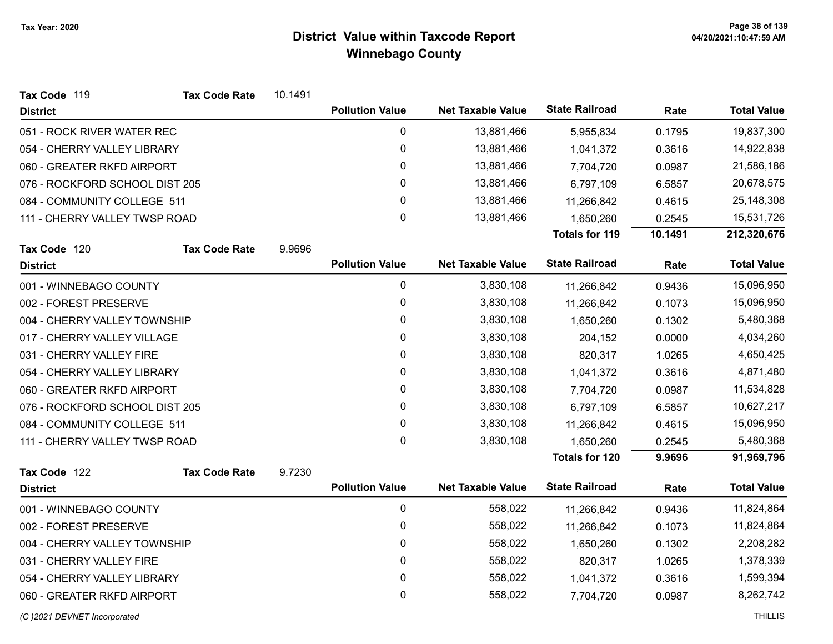| Tax Code 119                   | <b>Tax Code Rate</b> | 10.1491 |                        |                          |                       |         |                    |
|--------------------------------|----------------------|---------|------------------------|--------------------------|-----------------------|---------|--------------------|
| <b>District</b>                |                      |         | <b>Pollution Value</b> | <b>Net Taxable Value</b> | <b>State Railroad</b> | Rate    | <b>Total Value</b> |
| 051 - ROCK RIVER WATER REC     |                      |         | $\mathbf 0$            | 13,881,466               | 5,955,834             | 0.1795  | 19,837,300         |
| 054 - CHERRY VALLEY LIBRARY    |                      |         | 0                      | 13,881,466               | 1,041,372             | 0.3616  | 14,922,838         |
| 060 - GREATER RKFD AIRPORT     |                      |         | 0                      | 13,881,466               | 7,704,720             | 0.0987  | 21,586,186         |
| 076 - ROCKFORD SCHOOL DIST 205 |                      |         | 0                      | 13,881,466               | 6,797,109             | 6.5857  | 20,678,575         |
| 084 - COMMUNITY COLLEGE 511    |                      |         | $\mathbf 0$            | 13,881,466               | 11,266,842            | 0.4615  | 25,148,308         |
| 111 - CHERRY VALLEY TWSP ROAD  |                      |         | 0                      | 13,881,466               | 1,650,260             | 0.2545  | 15,531,726         |
|                                |                      |         |                        |                          | <b>Totals for 119</b> | 10.1491 | 212,320,676        |
| Tax Code 120                   | <b>Tax Code Rate</b> | 9.9696  |                        |                          |                       |         |                    |
| <b>District</b>                |                      |         | <b>Pollution Value</b> | <b>Net Taxable Value</b> | <b>State Railroad</b> | Rate    | <b>Total Value</b> |
| 001 - WINNEBAGO COUNTY         |                      |         | $\mathbf 0$            | 3,830,108                | 11,266,842            | 0.9436  | 15,096,950         |
| 002 - FOREST PRESERVE          |                      |         | 0                      | 3,830,108                | 11,266,842            | 0.1073  | 15,096,950         |
| 004 - CHERRY VALLEY TOWNSHIP   |                      |         | 0                      | 3,830,108                | 1,650,260             | 0.1302  | 5,480,368          |
| 017 - CHERRY VALLEY VILLAGE    |                      |         | 0                      | 3,830,108                | 204,152               | 0.0000  | 4,034,260          |
| 031 - CHERRY VALLEY FIRE       |                      |         | 0                      | 3,830,108                | 820,317               | 1.0265  | 4,650,425          |
| 054 - CHERRY VALLEY LIBRARY    |                      |         | 0                      | 3,830,108                | 1,041,372             | 0.3616  | 4,871,480          |
| 060 - GREATER RKFD AIRPORT     |                      |         | 0                      | 3,830,108                | 7,704,720             | 0.0987  | 11,534,828         |
| 076 - ROCKFORD SCHOOL DIST 205 |                      |         | 0                      | 3,830,108                | 6,797,109             | 6.5857  | 10,627,217         |
| 084 - COMMUNITY COLLEGE 511    |                      |         | $\mathbf 0$            | 3,830,108                | 11,266,842            | 0.4615  | 15,096,950         |
| 111 - CHERRY VALLEY TWSP ROAD  |                      |         | $\mathbf{0}$           | 3,830,108                | 1,650,260             | 0.2545  | 5,480,368          |
|                                |                      |         |                        |                          | <b>Totals for 120</b> | 9.9696  | 91,969,796         |
| Tax Code 122                   | <b>Tax Code Rate</b> | 9.7230  |                        |                          |                       |         |                    |
| <b>District</b>                |                      |         | <b>Pollution Value</b> | <b>Net Taxable Value</b> | <b>State Railroad</b> | Rate    | <b>Total Value</b> |
| 001 - WINNEBAGO COUNTY         |                      |         | $\mathbf 0$            | 558,022                  | 11,266,842            | 0.9436  | 11,824,864         |
| 002 - FOREST PRESERVE          |                      |         | 0                      | 558,022                  | 11,266,842            | 0.1073  | 11,824,864         |
| 004 - CHERRY VALLEY TOWNSHIP   |                      |         | 0                      | 558,022                  | 1,650,260             | 0.1302  | 2,208,282          |
| 031 - CHERRY VALLEY FIRE       |                      |         | 0                      | 558,022                  | 820,317               | 1.0265  | 1,378,339          |
| 054 - CHERRY VALLEY LIBRARY    |                      |         | 0                      | 558,022                  | 1,041,372             | 0.3616  | 1,599,394          |
| 060 - GREATER RKFD AIRPORT     |                      |         | 0                      | 558,022                  | 7,704,720             | 0.0987  | 8,262,742          |
|                                |                      |         |                        |                          |                       |         |                    |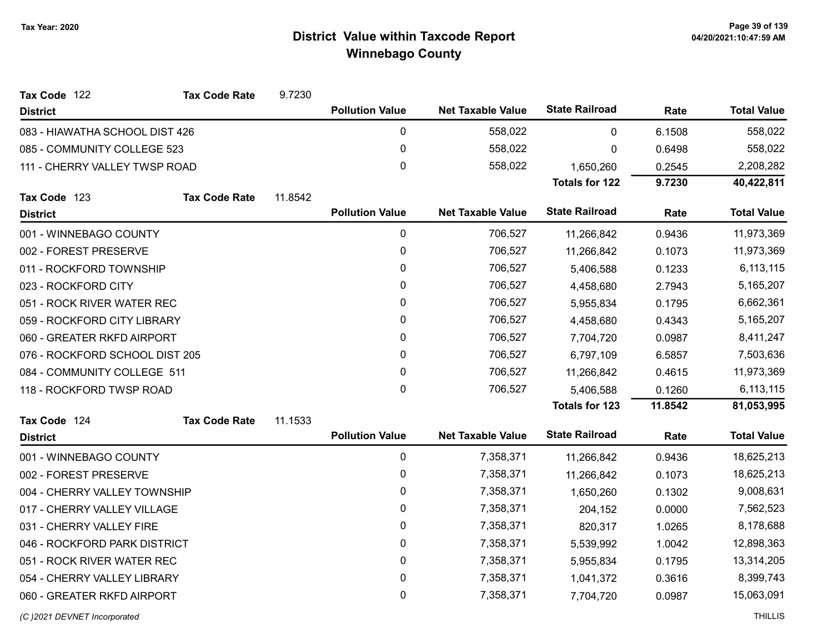| Tax Code 122                   | <b>Tax Code Rate</b> | 9.7230  |                        |                          |                       |         |                    |
|--------------------------------|----------------------|---------|------------------------|--------------------------|-----------------------|---------|--------------------|
| <b>District</b>                |                      |         | <b>Pollution Value</b> | <b>Net Taxable Value</b> | <b>State Railroad</b> | Rate    | <b>Total Value</b> |
| 083 - HIAWATHA SCHOOL DIST 426 |                      |         | $\pmb{0}$              | 558,022                  | 0                     | 6.1508  | 558,022            |
| 085 - COMMUNITY COLLEGE 523    |                      |         | $\pmb{0}$              | 558,022                  | 0                     | 0.6498  | 558,022            |
| 111 - CHERRY VALLEY TWSP ROAD  |                      |         | 0                      | 558,022                  | 1,650,260             | 0.2545  | 2,208,282          |
|                                |                      |         |                        |                          | <b>Totals for 122</b> | 9.7230  | 40,422,811         |
| Tax Code 123                   | <b>Tax Code Rate</b> | 11.8542 |                        |                          |                       |         |                    |
| <b>District</b>                |                      |         | <b>Pollution Value</b> | <b>Net Taxable Value</b> | <b>State Railroad</b> | Rate    | <b>Total Value</b> |
| 001 - WINNEBAGO COUNTY         |                      |         | $\pmb{0}$              | 706,527                  | 11,266,842            | 0.9436  | 11,973,369         |
| 002 - FOREST PRESERVE          |                      |         | $\pmb{0}$              | 706,527                  | 11,266,842            | 0.1073  | 11,973,369         |
| 011 - ROCKFORD TOWNSHIP        |                      |         | $\pmb{0}$              | 706,527                  | 5,406,588             | 0.1233  | 6,113,115          |
| 023 - ROCKFORD CITY            |                      |         | 0                      | 706,527                  | 4,458,680             | 2.7943  | 5,165,207          |
| 051 - ROCK RIVER WATER REC     |                      |         | 0                      | 706,527                  | 5,955,834             | 0.1795  | 6,662,361          |
| 059 - ROCKFORD CITY LIBRARY    |                      |         | 0                      | 706,527                  | 4,458,680             | 0.4343  | 5,165,207          |
| 060 - GREATER RKFD AIRPORT     |                      |         | $\mathbf 0$            | 706,527                  | 7,704,720             | 0.0987  | 8,411,247          |
| 076 - ROCKFORD SCHOOL DIST 205 |                      |         | $\mathbf 0$            | 706,527                  | 6,797,109             | 6.5857  | 7,503,636          |
| 084 - COMMUNITY COLLEGE 511    |                      |         | 0                      | 706,527                  | 11,266,842            | 0.4615  | 11,973,369         |
| 118 - ROCKFORD TWSP ROAD       |                      |         | 0                      | 706,527                  | 5,406,588             | 0.1260  | 6,113,115          |
|                                |                      |         |                        |                          | <b>Totals for 123</b> | 11.8542 | 81,053,995         |
| Tax Code 124                   | <b>Tax Code Rate</b> | 11.1533 |                        |                          |                       |         |                    |
| <b>District</b>                |                      |         | <b>Pollution Value</b> | <b>Net Taxable Value</b> | <b>State Railroad</b> | Rate    | <b>Total Value</b> |
| 001 - WINNEBAGO COUNTY         |                      |         | $\mathbf 0$            | 7,358,371                | 11,266,842            | 0.9436  | 18,625,213         |
| 002 - FOREST PRESERVE          |                      |         | $\pmb{0}$              | 7,358,371                | 11,266,842            | 0.1073  | 18,625,213         |
| 004 - CHERRY VALLEY TOWNSHIP   |                      |         | $\pmb{0}$              | 7,358,371                | 1,650,260             | 0.1302  | 9,008,631          |
| 017 - CHERRY VALLEY VILLAGE    |                      |         | $\pmb{0}$              | 7,358,371                | 204,152               | 0.0000  | 7,562,523          |
| 031 - CHERRY VALLEY FIRE       |                      |         | $\pmb{0}$              | 7,358,371                | 820,317               | 1.0265  | 8,178,688          |
| 046 - ROCKFORD PARK DISTRICT   |                      |         | 0                      | 7,358,371                | 5,539,992             | 1.0042  | 12,898,363         |
| 051 - ROCK RIVER WATER REC     |                      |         | $\pmb{0}$              | 7,358,371                | 5,955,834             | 0.1795  | 13,314,205         |
| 054 - CHERRY VALLEY LIBRARY    |                      |         | $\pmb{0}$              | 7,358,371                | 1,041,372             | 0.3616  | 8,399,743          |
| 060 - GREATER RKFD AIRPORT     |                      |         | 0                      | 7,358,371                | 7,704,720             | 0.0987  | 15,063,091         |
|                                |                      |         |                        |                          |                       |         |                    |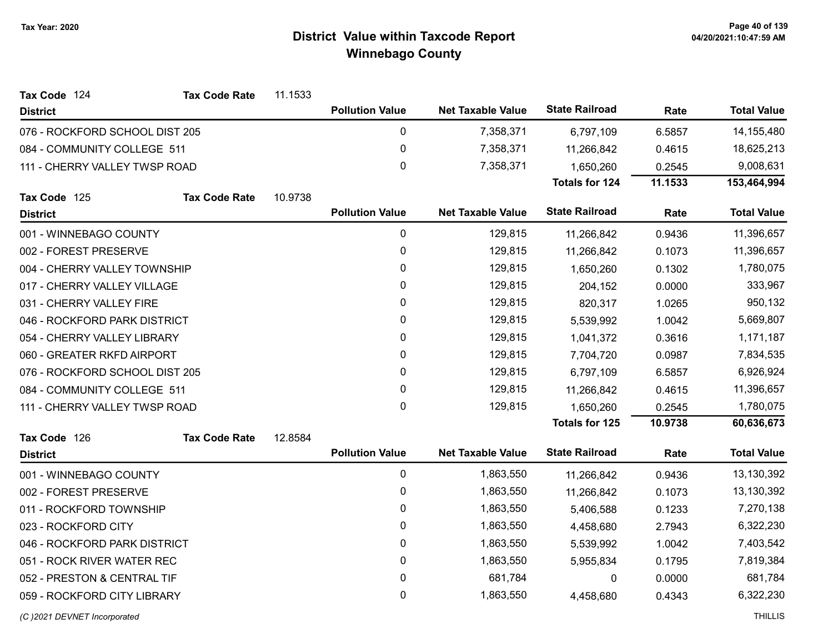| Tax Code 124                   | <b>Tax Code Rate</b> | 11.1533 |                        |                          |                       |         |                    |
|--------------------------------|----------------------|---------|------------------------|--------------------------|-----------------------|---------|--------------------|
| <b>District</b>                |                      |         | <b>Pollution Value</b> | <b>Net Taxable Value</b> | <b>State Railroad</b> | Rate    | <b>Total Value</b> |
| 076 - ROCKFORD SCHOOL DIST 205 |                      |         | $\pmb{0}$              | 7,358,371                | 6,797,109             | 6.5857  | 14,155,480         |
| 084 - COMMUNITY COLLEGE 511    |                      |         | 0                      | 7,358,371                | 11,266,842            | 0.4615  | 18,625,213         |
| 111 - CHERRY VALLEY TWSP ROAD  |                      |         | $\mathbf 0$            | 7,358,371                | 1,650,260             | 0.2545  | 9,008,631          |
|                                |                      |         |                        |                          | Totals for 124        | 11.1533 | 153,464,994        |
| Tax Code 125                   | <b>Tax Code Rate</b> | 10.9738 |                        |                          |                       |         |                    |
| <b>District</b>                |                      |         | <b>Pollution Value</b> | <b>Net Taxable Value</b> | <b>State Railroad</b> | Rate    | <b>Total Value</b> |
| 001 - WINNEBAGO COUNTY         |                      |         | 0                      | 129,815                  | 11,266,842            | 0.9436  | 11,396,657         |
| 002 - FOREST PRESERVE          |                      |         | $\pmb{0}$              | 129,815                  | 11,266,842            | 0.1073  | 11,396,657         |
| 004 - CHERRY VALLEY TOWNSHIP   |                      |         | 0                      | 129,815                  | 1,650,260             | 0.1302  | 1,780,075          |
| 017 - CHERRY VALLEY VILLAGE    |                      |         | 0                      | 129,815                  | 204,152               | 0.0000  | 333,967            |
| 031 - CHERRY VALLEY FIRE       |                      |         | $\pmb{0}$              | 129,815                  | 820,317               | 1.0265  | 950,132            |
| 046 - ROCKFORD PARK DISTRICT   |                      |         | 0                      | 129,815                  | 5,539,992             | 1.0042  | 5,669,807          |
| 054 - CHERRY VALLEY LIBRARY    |                      |         | $\pmb{0}$              | 129,815                  | 1,041,372             | 0.3616  | 1,171,187          |
| 060 - GREATER RKFD AIRPORT     |                      |         | $\mathbf{0}$           | 129,815                  | 7,704,720             | 0.0987  | 7,834,535          |
| 076 - ROCKFORD SCHOOL DIST 205 |                      |         | 0                      | 129,815                  | 6,797,109             | 6.5857  | 6,926,924          |
| 084 - COMMUNITY COLLEGE 511    |                      |         | 0                      | 129,815                  | 11,266,842            | 0.4615  | 11,396,657         |
| 111 - CHERRY VALLEY TWSP ROAD  |                      |         | $\mathbf{0}$           | 129,815                  | 1,650,260             | 0.2545  | 1,780,075          |
|                                |                      |         |                        |                          | <b>Totals for 125</b> | 10.9738 | 60,636,673         |
| Tax Code 126                   | <b>Tax Code Rate</b> | 12.8584 |                        |                          |                       |         |                    |
| <b>District</b>                |                      |         | <b>Pollution Value</b> | <b>Net Taxable Value</b> | <b>State Railroad</b> | Rate    | <b>Total Value</b> |
| 001 - WINNEBAGO COUNTY         |                      |         | $\pmb{0}$              | 1,863,550                | 11,266,842            | 0.9436  | 13,130,392         |
| 002 - FOREST PRESERVE          |                      |         | $\pmb{0}$              | 1,863,550                | 11,266,842            | 0.1073  | 13,130,392         |
| 011 - ROCKFORD TOWNSHIP        |                      |         | $\mathbf 0$            | 1,863,550                | 5,406,588             | 0.1233  | 7,270,138          |
| 023 - ROCKFORD CITY            |                      |         | 0                      | 1,863,550                | 4,458,680             | 2.7943  | 6,322,230          |
| 046 - ROCKFORD PARK DISTRICT   |                      |         | $\mathbf 0$            | 1,863,550                | 5,539,992             | 1.0042  | 7,403,542          |
| 051 - ROCK RIVER WATER REC     |                      |         | 0                      | 1,863,550                | 5,955,834             | 0.1795  | 7,819,384          |
| 052 - PRESTON & CENTRAL TIF    |                      |         | $\pmb{0}$              | 681,784                  | 0                     | 0.0000  | 681,784            |
| 059 - ROCKFORD CITY LIBRARY    |                      |         | 0                      | 1,863,550                | 4,458,680             | 0.4343  | 6,322,230          |
| (C)2021 DEVNET Incorporated    |                      |         |                        |                          |                       |         | <b>THILLIS</b>     |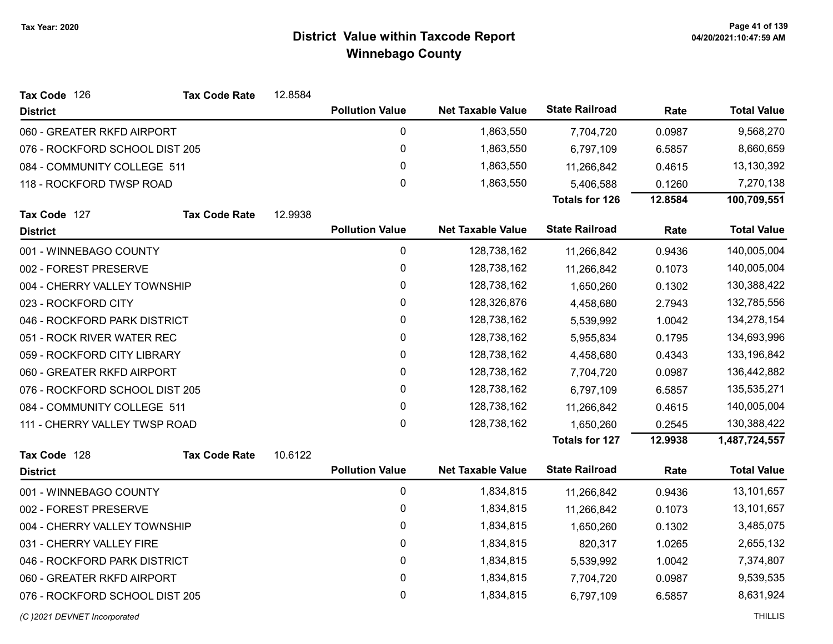| Tax Code 126                   | <b>Tax Code Rate</b> | 12.8584 |                        |                          |                       |         |                    |
|--------------------------------|----------------------|---------|------------------------|--------------------------|-----------------------|---------|--------------------|
| <b>District</b>                |                      |         | <b>Pollution Value</b> | <b>Net Taxable Value</b> | <b>State Railroad</b> | Rate    | <b>Total Value</b> |
| 060 - GREATER RKFD AIRPORT     |                      |         | 0                      | 1,863,550                | 7,704,720             | 0.0987  | 9,568,270          |
| 076 - ROCKFORD SCHOOL DIST 205 |                      |         | 0                      | 1,863,550                | 6,797,109             | 6.5857  | 8,660,659          |
| 084 - COMMUNITY COLLEGE 511    |                      |         | 0                      | 1,863,550                | 11,266,842            | 0.4615  | 13,130,392         |
| 118 - ROCKFORD TWSP ROAD       |                      |         | $\Omega$               | 1,863,550                | 5,406,588             | 0.1260  | 7,270,138          |
|                                |                      |         |                        |                          | <b>Totals for 126</b> | 12.8584 | 100,709,551        |
| Tax Code 127                   | <b>Tax Code Rate</b> | 12.9938 |                        |                          |                       |         |                    |
| <b>District</b>                |                      |         | <b>Pollution Value</b> | <b>Net Taxable Value</b> | <b>State Railroad</b> | Rate    | <b>Total Value</b> |
| 001 - WINNEBAGO COUNTY         |                      |         | 0                      | 128,738,162              | 11,266,842            | 0.9436  | 140,005,004        |
| 002 - FOREST PRESERVE          |                      |         | 0                      | 128,738,162              | 11,266,842            | 0.1073  | 140,005,004        |
| 004 - CHERRY VALLEY TOWNSHIP   |                      |         | 0                      | 128,738,162              | 1,650,260             | 0.1302  | 130,388,422        |
| 023 - ROCKFORD CITY            |                      |         | 0                      | 128,326,876              | 4,458,680             | 2.7943  | 132,785,556        |
| 046 - ROCKFORD PARK DISTRICT   |                      |         | 0                      | 128,738,162              | 5,539,992             | 1.0042  | 134,278,154        |
| 051 - ROCK RIVER WATER REC     |                      |         | 0                      | 128,738,162              | 5,955,834             | 0.1795  | 134,693,996        |
| 059 - ROCKFORD CITY LIBRARY    |                      |         | 0                      | 128,738,162              | 4,458,680             | 0.4343  | 133,196,842        |
| 060 - GREATER RKFD AIRPORT     |                      |         | 0                      | 128,738,162              | 7,704,720             | 0.0987  | 136,442,882        |
| 076 - ROCKFORD SCHOOL DIST 205 |                      |         | 0                      | 128,738,162              | 6,797,109             | 6.5857  | 135,535,271        |
| 084 - COMMUNITY COLLEGE 511    |                      |         | 0                      | 128,738,162              | 11,266,842            | 0.4615  | 140,005,004        |
| 111 - CHERRY VALLEY TWSP ROAD  |                      |         | 0                      | 128,738,162              | 1,650,260             | 0.2545  | 130,388,422        |
|                                |                      |         |                        |                          | <b>Totals for 127</b> | 12.9938 | 1,487,724,557      |
| Tax Code 128                   | <b>Tax Code Rate</b> | 10.6122 |                        |                          |                       |         |                    |
| <b>District</b>                |                      |         | <b>Pollution Value</b> | <b>Net Taxable Value</b> | <b>State Railroad</b> | Rate    | <b>Total Value</b> |
| 001 - WINNEBAGO COUNTY         |                      |         | 0                      | 1,834,815                | 11,266,842            | 0.9436  | 13,101,657         |
| 002 - FOREST PRESERVE          |                      |         | 0                      | 1,834,815                | 11,266,842            | 0.1073  | 13,101,657         |
| 004 - CHERRY VALLEY TOWNSHIP   |                      |         | 0                      | 1,834,815                | 1,650,260             | 0.1302  | 3,485,075          |
| 031 - CHERRY VALLEY FIRE       |                      |         | 0                      | 1,834,815                | 820,317               | 1.0265  | 2,655,132          |
| 046 - ROCKFORD PARK DISTRICT   |                      |         | 0                      | 1,834,815                | 5,539,992             | 1.0042  | 7,374,807          |
| 060 - GREATER RKFD AIRPORT     |                      |         | 0                      | 1,834,815                | 7,704,720             | 0.0987  | 9,539,535          |
| 076 - ROCKFORD SCHOOL DIST 205 |                      |         | 0                      | 1,834,815                | 6,797,109             | 6.5857  | 8,631,924          |
| (C) 2021 DEVNET Incorporated   |                      |         |                        |                          |                       |         | <b>THILLIS</b>     |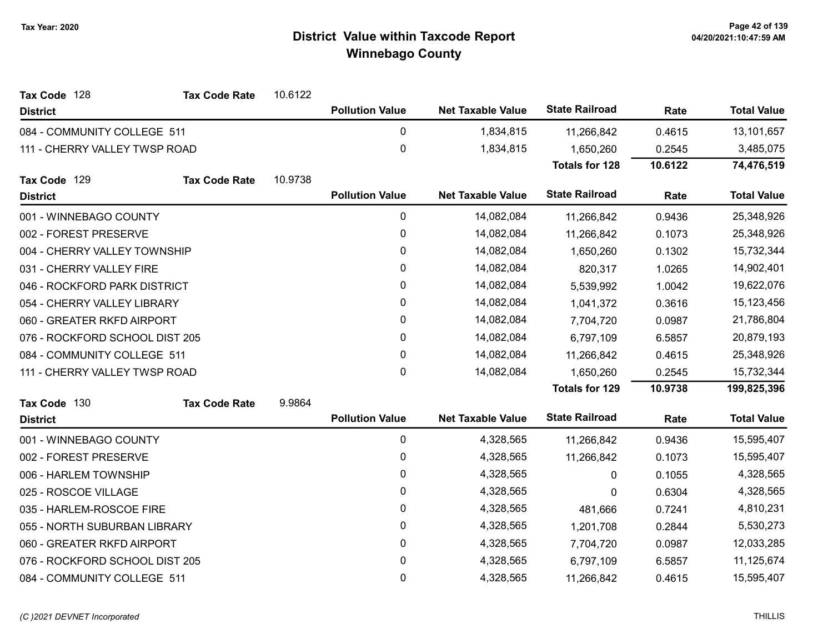| Tax Code 128                   | <b>Tax Code Rate</b> | 10.6122 |                        |                          |                       |         |                    |
|--------------------------------|----------------------|---------|------------------------|--------------------------|-----------------------|---------|--------------------|
| <b>District</b>                |                      |         | <b>Pollution Value</b> | <b>Net Taxable Value</b> | <b>State Railroad</b> | Rate    | <b>Total Value</b> |
| 084 - COMMUNITY COLLEGE 511    |                      |         | 0                      | 1,834,815                | 11,266,842            | 0.4615  | 13,101,657         |
| 111 - CHERRY VALLEY TWSP ROAD  |                      |         | 0                      | 1,834,815                | 1,650,260             | 0.2545  | 3,485,075          |
|                                |                      |         |                        |                          | <b>Totals for 128</b> | 10.6122 | 74,476,519         |
| Tax Code 129                   | <b>Tax Code Rate</b> | 10.9738 |                        |                          |                       |         |                    |
| <b>District</b>                |                      |         | <b>Pollution Value</b> | <b>Net Taxable Value</b> | <b>State Railroad</b> | Rate    | <b>Total Value</b> |
| 001 - WINNEBAGO COUNTY         |                      |         | 0                      | 14,082,084               | 11,266,842            | 0.9436  | 25,348,926         |
| 002 - FOREST PRESERVE          |                      |         | $\mathbf 0$            | 14,082,084               | 11,266,842            | 0.1073  | 25,348,926         |
| 004 - CHERRY VALLEY TOWNSHIP   |                      |         | 0                      | 14,082,084               | 1,650,260             | 0.1302  | 15,732,344         |
| 031 - CHERRY VALLEY FIRE       |                      |         | 0                      | 14,082,084               | 820,317               | 1.0265  | 14,902,401         |
| 046 - ROCKFORD PARK DISTRICT   |                      |         | 0                      | 14,082,084               | 5,539,992             | 1.0042  | 19,622,076         |
| 054 - CHERRY VALLEY LIBRARY    |                      |         | 0                      | 14,082,084               | 1,041,372             | 0.3616  | 15,123,456         |
| 060 - GREATER RKFD AIRPORT     |                      |         | 0                      | 14,082,084               | 7,704,720             | 0.0987  | 21,786,804         |
| 076 - ROCKFORD SCHOOL DIST 205 |                      |         | 0                      | 14,082,084               | 6,797,109             | 6.5857  | 20,879,193         |
| 084 - COMMUNITY COLLEGE 511    |                      |         | 0                      | 14,082,084               | 11,266,842            | 0.4615  | 25,348,926         |
| 111 - CHERRY VALLEY TWSP ROAD  |                      |         | 0                      | 14,082,084               | 1,650,260             | 0.2545  | 15,732,344         |
|                                |                      |         |                        |                          | <b>Totals for 129</b> | 10.9738 | 199,825,396        |
| Tax Code 130                   | <b>Tax Code Rate</b> | 9.9864  |                        |                          |                       |         |                    |
| <b>District</b>                |                      |         | <b>Pollution Value</b> | <b>Net Taxable Value</b> | <b>State Railroad</b> | Rate    | <b>Total Value</b> |
| 001 - WINNEBAGO COUNTY         |                      |         | $\mathbf 0$            | 4,328,565                | 11,266,842            | 0.9436  | 15,595,407         |
| 002 - FOREST PRESERVE          |                      |         | 0                      | 4,328,565                | 11,266,842            | 0.1073  | 15,595,407         |
| 006 - HARLEM TOWNSHIP          |                      |         | 0                      | 4,328,565                | 0                     | 0.1055  | 4,328,565          |
| 025 - ROSCOE VILLAGE           |                      |         | 0                      | 4,328,565                | 0                     | 0.6304  | 4,328,565          |
| 035 - HARLEM-ROSCOE FIRE       |                      |         | 0                      | 4,328,565                | 481,666               | 0.7241  | 4,810,231          |
| 055 - NORTH SUBURBAN LIBRARY   |                      |         | $\pmb{0}$              | 4,328,565                | 1,201,708             | 0.2844  | 5,530,273          |
| 060 - GREATER RKFD AIRPORT     |                      |         | 0                      | 4,328,565                | 7,704,720             | 0.0987  | 12,033,285         |
| 076 - ROCKFORD SCHOOL DIST 205 |                      |         | 0                      | 4,328,565                | 6,797,109             | 6.5857  | 11,125,674         |
| 084 - COMMUNITY COLLEGE 511    |                      |         | 0                      | 4,328,565                | 11,266,842            | 0.4615  | 15,595,407         |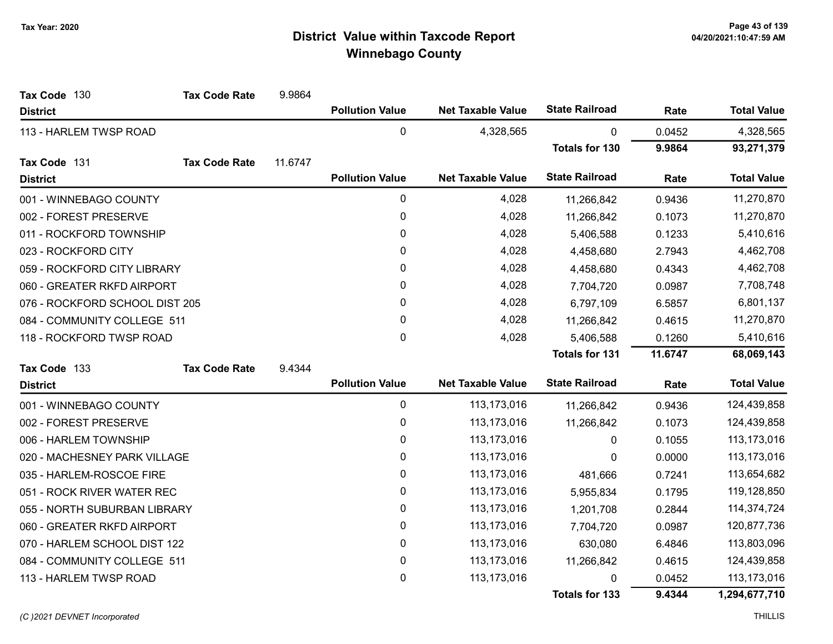| Tax Code 130                   | <b>Tax Code Rate</b> | 9.9864  |                        |                          |                       |         |                    |
|--------------------------------|----------------------|---------|------------------------|--------------------------|-----------------------|---------|--------------------|
| <b>District</b>                |                      |         | <b>Pollution Value</b> | <b>Net Taxable Value</b> | <b>State Railroad</b> | Rate    | <b>Total Value</b> |
| 113 - HARLEM TWSP ROAD         |                      |         | $\mathbf 0$            | 4,328,565                | 0                     | 0.0452  | 4,328,565          |
|                                |                      |         |                        |                          | <b>Totals for 130</b> | 9.9864  | 93,271,379         |
| Tax Code 131                   | <b>Tax Code Rate</b> | 11.6747 |                        |                          |                       |         |                    |
| <b>District</b>                |                      |         | <b>Pollution Value</b> | <b>Net Taxable Value</b> | <b>State Railroad</b> | Rate    | <b>Total Value</b> |
| 001 - WINNEBAGO COUNTY         |                      |         | $\pmb{0}$              | 4,028                    | 11,266,842            | 0.9436  | 11,270,870         |
| 002 - FOREST PRESERVE          |                      |         | 0                      | 4,028                    | 11,266,842            | 0.1073  | 11,270,870         |
| 011 - ROCKFORD TOWNSHIP        |                      |         | 0                      | 4,028                    | 5,406,588             | 0.1233  | 5,410,616          |
| 023 - ROCKFORD CITY            |                      |         | 0                      | 4,028                    | 4,458,680             | 2.7943  | 4,462,708          |
| 059 - ROCKFORD CITY LIBRARY    |                      |         | 0                      | 4,028                    | 4,458,680             | 0.4343  | 4,462,708          |
| 060 - GREATER RKFD AIRPORT     |                      |         | 0                      | 4,028                    | 7,704,720             | 0.0987  | 7,708,748          |
| 076 - ROCKFORD SCHOOL DIST 205 |                      |         | 0                      | 4,028                    | 6,797,109             | 6.5857  | 6,801,137          |
| 084 - COMMUNITY COLLEGE 511    |                      |         | 0                      | 4,028                    | 11,266,842            | 0.4615  | 11,270,870         |
| 118 - ROCKFORD TWSP ROAD       |                      |         | 0                      | 4,028                    | 5,406,588             | 0.1260  | 5,410,616          |
|                                |                      |         |                        |                          | <b>Totals for 131</b> | 11.6747 | 68,069,143         |
| Tax Code 133                   | <b>Tax Code Rate</b> | 9.4344  |                        |                          |                       |         |                    |
| <b>District</b>                |                      |         | <b>Pollution Value</b> | <b>Net Taxable Value</b> | <b>State Railroad</b> | Rate    | <b>Total Value</b> |
| 001 - WINNEBAGO COUNTY         |                      |         | 0                      | 113,173,016              | 11,266,842            | 0.9436  | 124,439,858        |
| 002 - FOREST PRESERVE          |                      |         | $\pmb{0}$              | 113, 173, 016            | 11,266,842            | 0.1073  | 124,439,858        |
| 006 - HARLEM TOWNSHIP          |                      |         | 0                      | 113, 173, 016            | 0                     | 0.1055  | 113,173,016        |
| 020 - MACHESNEY PARK VILLAGE   |                      |         | $\pmb{0}$              | 113,173,016              | 0                     | 0.0000  | 113,173,016        |
| 035 - HARLEM-ROSCOE FIRE       |                      |         | 0                      | 113, 173, 016            | 481,666               | 0.7241  | 113,654,682        |
| 051 - ROCK RIVER WATER REC     |                      |         | 0                      | 113,173,016              | 5,955,834             | 0.1795  | 119,128,850        |
| 055 - NORTH SUBURBAN LIBRARY   |                      |         | 0                      | 113, 173, 016            | 1,201,708             | 0.2844  | 114,374,724        |
| 060 - GREATER RKFD AIRPORT     |                      |         | $\pmb{0}$              | 113, 173, 016            | 7,704,720             | 0.0987  | 120,877,736        |
| 070 - HARLEM SCHOOL DIST 122   |                      |         | 0                      | 113, 173, 016            | 630,080               | 6.4846  | 113,803,096        |
| 084 - COMMUNITY COLLEGE 511    |                      |         | 0                      | 113,173,016              | 11,266,842            | 0.4615  | 124,439,858        |
| 113 - HARLEM TWSP ROAD         |                      |         | 0                      | 113,173,016              | 0                     | 0.0452  | 113,173,016        |
|                                |                      |         |                        |                          | <b>Totals for 133</b> | 9.4344  | 1,294,677,710      |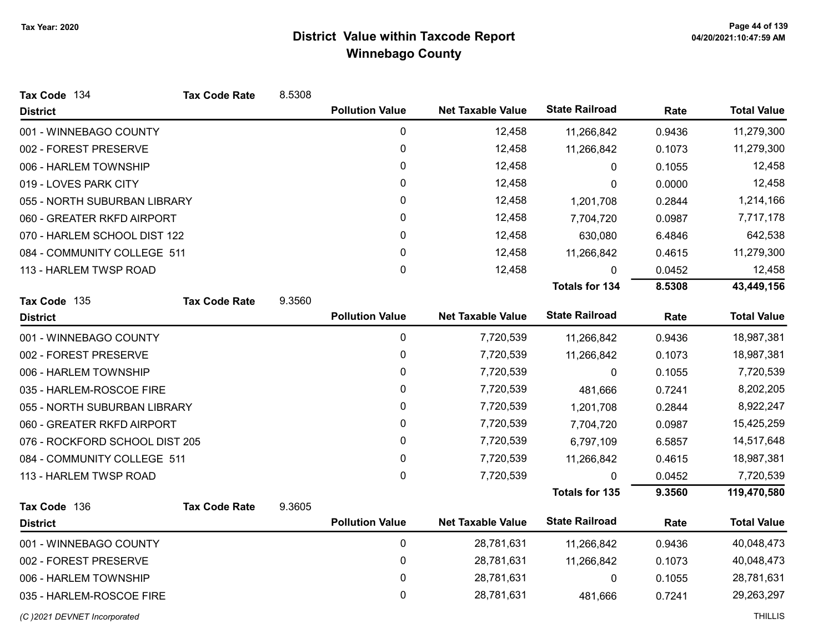| Tax Code 134                   | <b>Tax Code Rate</b> | 8.5308 |                        |                          |                       |        |                    |
|--------------------------------|----------------------|--------|------------------------|--------------------------|-----------------------|--------|--------------------|
| <b>District</b>                |                      |        | <b>Pollution Value</b> | <b>Net Taxable Value</b> | <b>State Railroad</b> | Rate   | <b>Total Value</b> |
| 001 - WINNEBAGO COUNTY         |                      |        | 0                      | 12,458                   | 11,266,842            | 0.9436 | 11,279,300         |
| 002 - FOREST PRESERVE          |                      |        | $\pmb{0}$              | 12,458                   | 11,266,842            | 0.1073 | 11,279,300         |
| 006 - HARLEM TOWNSHIP          |                      |        | 0                      | 12,458                   | 0                     | 0.1055 | 12,458             |
| 019 - LOVES PARK CITY          |                      |        | 0                      | 12,458                   | 0                     | 0.0000 | 12,458             |
| 055 - NORTH SUBURBAN LIBRARY   |                      |        | 0                      | 12,458                   | 1,201,708             | 0.2844 | 1,214,166          |
| 060 - GREATER RKFD AIRPORT     |                      |        | 0                      | 12,458                   | 7,704,720             | 0.0987 | 7,717,178          |
| 070 - HARLEM SCHOOL DIST 122   |                      |        | 0                      | 12,458                   | 630,080               | 6.4846 | 642,538            |
| 084 - COMMUNITY COLLEGE 511    |                      |        | 0                      | 12,458                   | 11,266,842            | 0.4615 | 11,279,300         |
| 113 - HARLEM TWSP ROAD         |                      |        | 0                      | 12,458                   | 0                     | 0.0452 | 12,458             |
|                                |                      |        |                        |                          | <b>Totals for 134</b> | 8.5308 | 43,449,156         |
| Tax Code 135                   | <b>Tax Code Rate</b> | 9.3560 |                        |                          |                       |        |                    |
| <b>District</b>                |                      |        | <b>Pollution Value</b> | <b>Net Taxable Value</b> | <b>State Railroad</b> | Rate   | <b>Total Value</b> |
| 001 - WINNEBAGO COUNTY         |                      |        | 0                      | 7,720,539                | 11,266,842            | 0.9436 | 18,987,381         |
| 002 - FOREST PRESERVE          |                      |        | 0                      | 7,720,539                | 11,266,842            | 0.1073 | 18,987,381         |
| 006 - HARLEM TOWNSHIP          |                      |        | 0                      | 7,720,539                | 0                     | 0.1055 | 7,720,539          |
| 035 - HARLEM-ROSCOE FIRE       |                      |        | 0                      | 7,720,539                | 481,666               | 0.7241 | 8,202,205          |
| 055 - NORTH SUBURBAN LIBRARY   |                      |        | 0                      | 7,720,539                | 1,201,708             | 0.2844 | 8,922,247          |
| 060 - GREATER RKFD AIRPORT     |                      |        | 0                      | 7,720,539                | 7,704,720             | 0.0987 | 15,425,259         |
| 076 - ROCKFORD SCHOOL DIST 205 |                      |        | 0                      | 7,720,539                | 6,797,109             | 6.5857 | 14,517,648         |
| 084 - COMMUNITY COLLEGE 511    |                      |        | 0                      | 7,720,539                | 11,266,842            | 0.4615 | 18,987,381         |
| 113 - HARLEM TWSP ROAD         |                      |        | 0                      | 7,720,539                | $\Omega$              | 0.0452 | 7,720,539          |
|                                |                      |        |                        |                          | <b>Totals for 135</b> | 9.3560 | 119,470,580        |
| Tax Code 136                   | <b>Tax Code Rate</b> | 9.3605 |                        |                          |                       |        |                    |
| <b>District</b>                |                      |        | <b>Pollution Value</b> | <b>Net Taxable Value</b> | <b>State Railroad</b> | Rate   | <b>Total Value</b> |
| 001 - WINNEBAGO COUNTY         |                      |        | $\pmb{0}$              | 28,781,631               | 11,266,842            | 0.9436 | 40,048,473         |
| 002 - FOREST PRESERVE          |                      |        | 0                      | 28,781,631               | 11,266,842            | 0.1073 | 40,048,473         |
| 006 - HARLEM TOWNSHIP          |                      |        | $\pmb{0}$              | 28,781,631               | 0                     | 0.1055 | 28,781,631         |
| 035 - HARLEM-ROSCOE FIRE       |                      |        | 0                      | 28,781,631               | 481,666               | 0.7241 | 29,263,297         |
| (C) 2021 DEVNET Incorporated   |                      |        |                        |                          |                       |        | <b>THILLIS</b>     |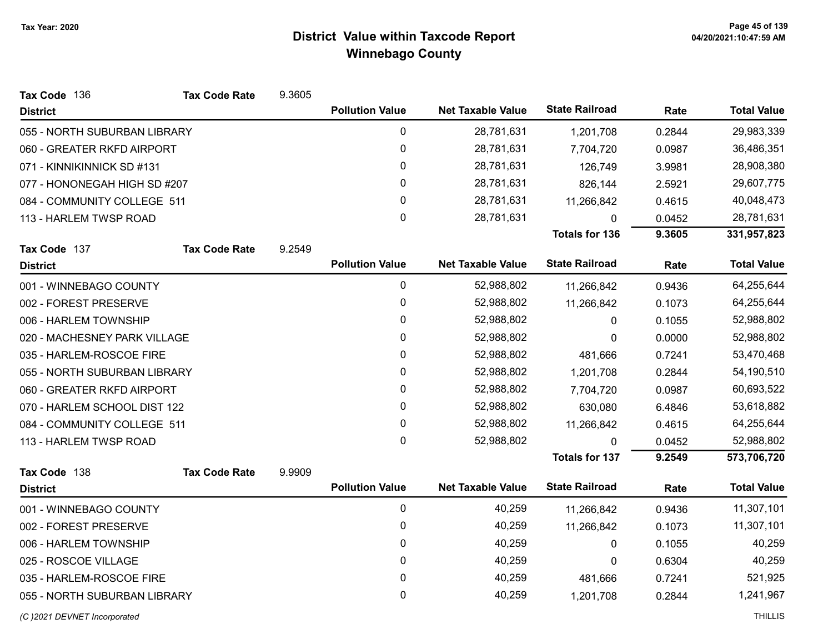| Tax Code 136                 | <b>Tax Code Rate</b> | 9.3605 |                        |                          |                       |        |                    |
|------------------------------|----------------------|--------|------------------------|--------------------------|-----------------------|--------|--------------------|
| <b>District</b>              |                      |        | <b>Pollution Value</b> | <b>Net Taxable Value</b> | <b>State Railroad</b> | Rate   | <b>Total Value</b> |
| 055 - NORTH SUBURBAN LIBRARY |                      |        | $\pmb{0}$              | 28,781,631               | 1,201,708             | 0.2844 | 29,983,339         |
| 060 - GREATER RKFD AIRPORT   |                      |        | 0                      | 28,781,631               | 7,704,720             | 0.0987 | 36,486,351         |
| 071 - KINNIKINNICK SD #131   |                      |        | $\pmb{0}$              | 28,781,631               | 126,749               | 3.9981 | 28,908,380         |
| 077 - HONONEGAH HIGH SD #207 |                      |        | 0                      | 28,781,631               | 826,144               | 2.5921 | 29,607,775         |
| 084 - COMMUNITY COLLEGE 511  |                      |        | 0                      | 28,781,631               | 11,266,842            | 0.4615 | 40,048,473         |
| 113 - HARLEM TWSP ROAD       |                      |        | 0                      | 28,781,631               | 0                     | 0.0452 | 28,781,631         |
|                              |                      |        |                        |                          | <b>Totals for 136</b> | 9.3605 | 331,957,823        |
| Tax Code 137                 | <b>Tax Code Rate</b> | 9.2549 |                        |                          |                       |        |                    |
| <b>District</b>              |                      |        | <b>Pollution Value</b> | <b>Net Taxable Value</b> | <b>State Railroad</b> | Rate   | <b>Total Value</b> |
| 001 - WINNEBAGO COUNTY       |                      |        | $\pmb{0}$              | 52,988,802               | 11,266,842            | 0.9436 | 64,255,644         |
| 002 - FOREST PRESERVE        |                      |        | $\pmb{0}$              | 52,988,802               | 11,266,842            | 0.1073 | 64,255,644         |
| 006 - HARLEM TOWNSHIP        |                      |        | 0                      | 52,988,802               | 0                     | 0.1055 | 52,988,802         |
| 020 - MACHESNEY PARK VILLAGE |                      |        | 0                      | 52,988,802               | 0                     | 0.0000 | 52,988,802         |
| 035 - HARLEM-ROSCOE FIRE     |                      |        | $\pmb{0}$              | 52,988,802               | 481,666               | 0.7241 | 53,470,468         |
| 055 - NORTH SUBURBAN LIBRARY |                      |        | 0                      | 52,988,802               | 1,201,708             | 0.2844 | 54,190,510         |
| 060 - GREATER RKFD AIRPORT   |                      |        | 0                      | 52,988,802               | 7,704,720             | 0.0987 | 60,693,522         |
| 070 - HARLEM SCHOOL DIST 122 |                      |        | 0                      | 52,988,802               | 630,080               | 6.4846 | 53,618,882         |
| 084 - COMMUNITY COLLEGE 511  |                      |        | 0                      | 52,988,802               | 11,266,842            | 0.4615 | 64,255,644         |
| 113 - HARLEM TWSP ROAD       |                      |        | 0                      | 52,988,802               | $\Omega$              | 0.0452 | 52,988,802         |
|                              |                      |        |                        |                          | <b>Totals for 137</b> | 9.2549 | 573,706,720        |
| Tax Code 138                 | <b>Tax Code Rate</b> | 9.9909 |                        |                          |                       |        |                    |
| <b>District</b>              |                      |        | <b>Pollution Value</b> | <b>Net Taxable Value</b> | <b>State Railroad</b> | Rate   | <b>Total Value</b> |
| 001 - WINNEBAGO COUNTY       |                      |        | $\mathbf 0$            | 40,259                   | 11,266,842            | 0.9436 | 11,307,101         |
| 002 - FOREST PRESERVE        |                      |        | 0                      | 40,259                   | 11,266,842            | 0.1073 | 11,307,101         |
| 006 - HARLEM TOWNSHIP        |                      |        | 0                      | 40,259                   | 0                     | 0.1055 | 40,259             |
| 025 - ROSCOE VILLAGE         |                      |        | 0                      | 40,259                   | 0                     | 0.6304 | 40,259             |
| 035 - HARLEM-ROSCOE FIRE     |                      |        | $\mathbf 0$            | 40,259                   | 481,666               | 0.7241 | 521,925            |
| 055 - NORTH SUBURBAN LIBRARY |                      |        | 0                      | 40,259                   | 1,201,708             | 0.2844 | 1,241,967          |
| (C)2021 DEVNET Incorporated  |                      |        |                        |                          |                       |        | <b>THILLIS</b>     |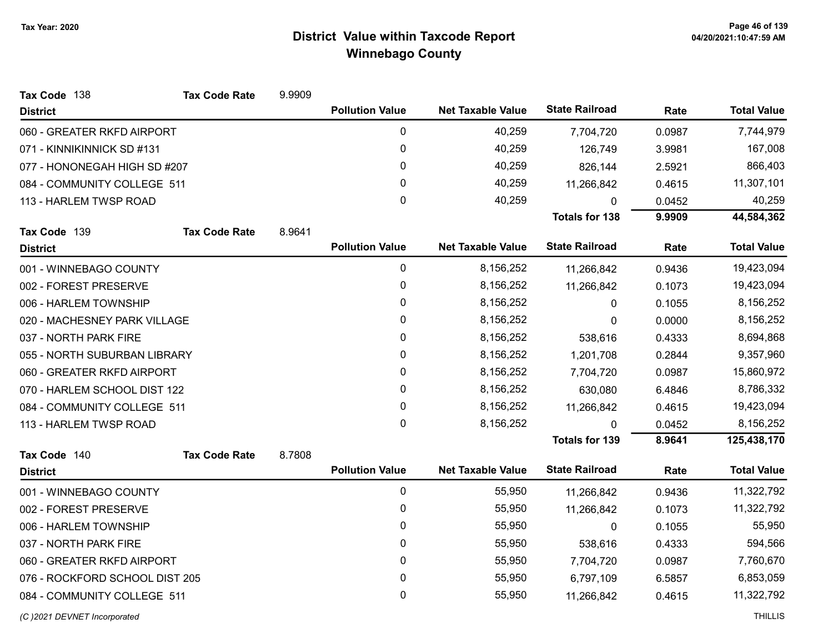| Tax Code 138                   | <b>Tax Code Rate</b> | 9.9909 |                        |                          |                       |        |                    |
|--------------------------------|----------------------|--------|------------------------|--------------------------|-----------------------|--------|--------------------|
| <b>District</b>                |                      |        | <b>Pollution Value</b> | <b>Net Taxable Value</b> | <b>State Railroad</b> | Rate   | <b>Total Value</b> |
| 060 - GREATER RKFD AIRPORT     |                      |        | 0                      | 40,259                   | 7,704,720             | 0.0987 | 7,744,979          |
| 071 - KINNIKINNICK SD #131     |                      |        | 0                      | 40,259                   | 126,749               | 3.9981 | 167,008            |
| 077 - HONONEGAH HIGH SD #207   |                      |        | 0                      | 40,259                   | 826,144               | 2.5921 | 866,403            |
| 084 - COMMUNITY COLLEGE 511    |                      |        | 0                      | 40,259                   | 11,266,842            | 0.4615 | 11,307,101         |
| 113 - HARLEM TWSP ROAD         |                      |        | 0                      | 40,259                   | 0                     | 0.0452 | 40,259             |
|                                |                      |        |                        |                          | <b>Totals for 138</b> | 9.9909 | 44,584,362         |
| Tax Code 139                   | <b>Tax Code Rate</b> | 8.9641 |                        |                          |                       |        |                    |
| <b>District</b>                |                      |        | <b>Pollution Value</b> | <b>Net Taxable Value</b> | <b>State Railroad</b> | Rate   | <b>Total Value</b> |
| 001 - WINNEBAGO COUNTY         |                      |        | 0                      | 8,156,252                | 11,266,842            | 0.9436 | 19,423,094         |
| 002 - FOREST PRESERVE          |                      |        | 0                      | 8,156,252                | 11,266,842            | 0.1073 | 19,423,094         |
| 006 - HARLEM TOWNSHIP          |                      |        | 0                      | 8,156,252                | 0                     | 0.1055 | 8,156,252          |
| 020 - MACHESNEY PARK VILLAGE   |                      |        | 0                      | 8,156,252                | 0                     | 0.0000 | 8,156,252          |
| 037 - NORTH PARK FIRE          |                      |        | 0                      | 8,156,252                | 538,616               | 0.4333 | 8,694,868          |
| 055 - NORTH SUBURBAN LIBRARY   |                      |        | 0                      | 8,156,252                | 1,201,708             | 0.2844 | 9,357,960          |
| 060 - GREATER RKFD AIRPORT     |                      |        | 0                      | 8,156,252                | 7,704,720             | 0.0987 | 15,860,972         |
| 070 - HARLEM SCHOOL DIST 122   |                      |        | 0                      | 8,156,252                | 630,080               | 6.4846 | 8,786,332          |
| 084 - COMMUNITY COLLEGE 511    |                      |        | 0                      | 8,156,252                | 11,266,842            | 0.4615 | 19,423,094         |
| 113 - HARLEM TWSP ROAD         |                      |        | 0                      | 8,156,252                | 0                     | 0.0452 | 8,156,252          |
|                                |                      |        |                        |                          | <b>Totals for 139</b> | 8.9641 | 125,438,170        |
| Tax Code 140                   | <b>Tax Code Rate</b> | 8.7808 |                        |                          |                       |        |                    |
| <b>District</b>                |                      |        | <b>Pollution Value</b> | <b>Net Taxable Value</b> | <b>State Railroad</b> | Rate   | <b>Total Value</b> |
| 001 - WINNEBAGO COUNTY         |                      |        | $\mathbf 0$            | 55,950                   | 11,266,842            | 0.9436 | 11,322,792         |
| 002 - FOREST PRESERVE          |                      |        | 0                      | 55,950                   | 11,266,842            | 0.1073 | 11,322,792         |
| 006 - HARLEM TOWNSHIP          |                      |        | 0                      | 55,950                   | 0                     | 0.1055 | 55,950             |
| 037 - NORTH PARK FIRE          |                      |        | 0                      | 55,950                   | 538,616               | 0.4333 | 594,566            |
| 060 - GREATER RKFD AIRPORT     |                      |        | 0                      | 55,950                   | 7,704,720             | 0.0987 | 7,760,670          |
| 076 - ROCKFORD SCHOOL DIST 205 |                      |        | 0                      | 55,950                   | 6,797,109             | 6.5857 | 6,853,059          |
| 084 - COMMUNITY COLLEGE 511    |                      |        | 0                      | 55,950                   | 11,266,842            | 0.4615 | 11,322,792         |
|                                |                      |        |                        |                          |                       |        |                    |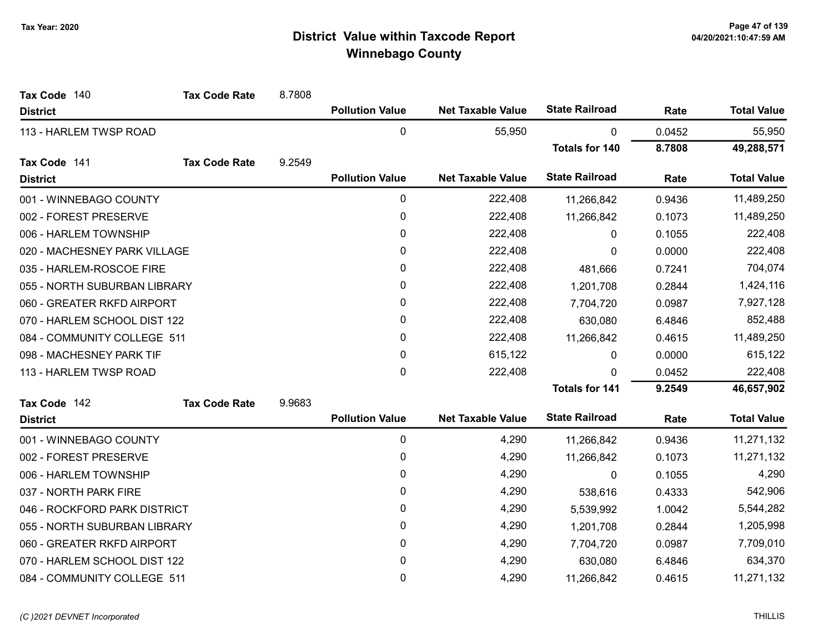| Tax Code 140                 | <b>Tax Code Rate</b> | 8.7808 |                        |                          |                       |        |                    |
|------------------------------|----------------------|--------|------------------------|--------------------------|-----------------------|--------|--------------------|
| <b>District</b>              |                      |        | <b>Pollution Value</b> | <b>Net Taxable Value</b> | <b>State Railroad</b> | Rate   | <b>Total Value</b> |
| 113 - HARLEM TWSP ROAD       |                      |        | $\mathbf 0$            | 55,950                   | $\mathbf{0}$          | 0.0452 | 55,950             |
|                              |                      |        |                        |                          | <b>Totals for 140</b> | 8.7808 | 49,288,571         |
| Tax Code 141                 | <b>Tax Code Rate</b> | 9.2549 |                        |                          |                       |        |                    |
| <b>District</b>              |                      |        | <b>Pollution Value</b> | <b>Net Taxable Value</b> | <b>State Railroad</b> | Rate   | <b>Total Value</b> |
| 001 - WINNEBAGO COUNTY       |                      |        | 0                      | 222,408                  | 11,266,842            | 0.9436 | 11,489,250         |
| 002 - FOREST PRESERVE        |                      |        | 0                      | 222,408                  | 11,266,842            | 0.1073 | 11,489,250         |
| 006 - HARLEM TOWNSHIP        |                      |        | 0                      | 222,408                  | 0                     | 0.1055 | 222,408            |
| 020 - MACHESNEY PARK VILLAGE |                      |        | 0                      | 222,408                  | $\Omega$              | 0.0000 | 222,408            |
| 035 - HARLEM-ROSCOE FIRE     |                      |        | 0                      | 222,408                  | 481,666               | 0.7241 | 704,074            |
| 055 - NORTH SUBURBAN LIBRARY |                      |        | 0                      | 222,408                  | 1,201,708             | 0.2844 | 1,424,116          |
| 060 - GREATER RKFD AIRPORT   |                      |        | 0                      | 222,408                  | 7,704,720             | 0.0987 | 7,927,128          |
| 070 - HARLEM SCHOOL DIST 122 |                      |        | 0                      | 222,408                  | 630,080               | 6.4846 | 852,488            |
| 084 - COMMUNITY COLLEGE 511  |                      |        | 0                      | 222,408                  | 11,266,842            | 0.4615 | 11,489,250         |
| 098 - MACHESNEY PARK TIF     |                      |        | 0                      | 615,122                  | 0                     | 0.0000 | 615,122            |
| 113 - HARLEM TWSP ROAD       |                      |        | 0                      | 222,408                  | 0                     | 0.0452 | 222,408            |
|                              |                      |        |                        |                          | <b>Totals for 141</b> | 9.2549 | 46,657,902         |
| Tax Code 142                 | <b>Tax Code Rate</b> | 9.9683 |                        |                          |                       |        |                    |
| <b>District</b>              |                      |        | <b>Pollution Value</b> | <b>Net Taxable Value</b> | <b>State Railroad</b> | Rate   | <b>Total Value</b> |
| 001 - WINNEBAGO COUNTY       |                      |        | 0                      | 4,290                    | 11,266,842            | 0.9436 | 11,271,132         |
| 002 - FOREST PRESERVE        |                      |        | 0                      | 4,290                    | 11,266,842            | 0.1073 | 11,271,132         |
| 006 - HARLEM TOWNSHIP        |                      |        | 0                      | 4,290                    | $\mathbf{0}$          | 0.1055 | 4,290              |
| 037 - NORTH PARK FIRE        |                      |        | 0                      | 4,290                    | 538,616               | 0.4333 | 542,906            |
| 046 - ROCKFORD PARK DISTRICT |                      |        | 0                      | 4,290                    | 5,539,992             | 1.0042 | 5,544,282          |
| 055 - NORTH SUBURBAN LIBRARY |                      |        | 0                      | 4,290                    | 1,201,708             | 0.2844 | 1,205,998          |
| 060 - GREATER RKFD AIRPORT   |                      |        | 0                      | 4,290                    | 7,704,720             | 0.0987 | 7,709,010          |
| 070 - HARLEM SCHOOL DIST 122 |                      |        | 0                      | 4,290                    | 630,080               | 6.4846 | 634,370            |
| 084 - COMMUNITY COLLEGE 511  |                      |        | 0                      | 4,290                    | 11,266,842            | 0.4615 | 11,271,132         |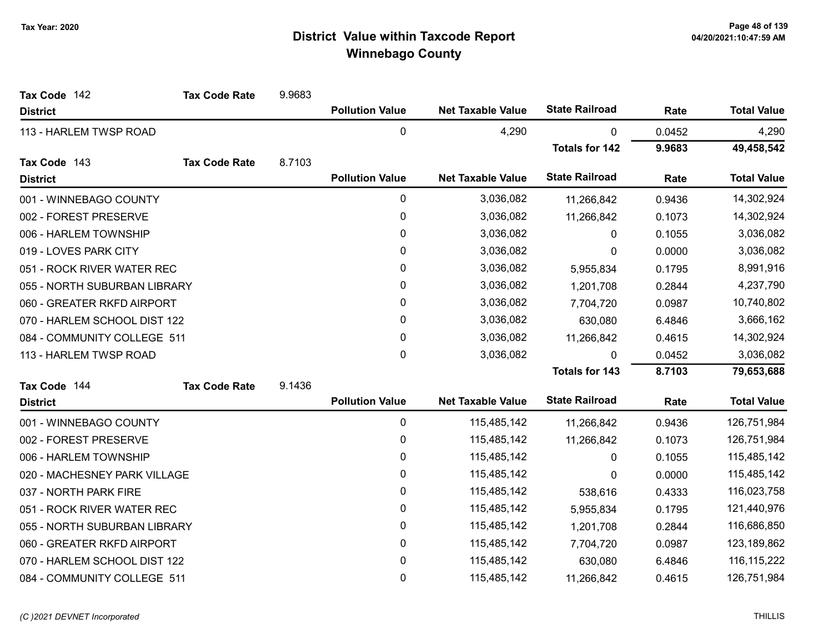| Tax Code 142                 | <b>Tax Code Rate</b> | 9.9683 |                        |                          |                       |        |                    |
|------------------------------|----------------------|--------|------------------------|--------------------------|-----------------------|--------|--------------------|
| <b>District</b>              |                      |        | <b>Pollution Value</b> | <b>Net Taxable Value</b> | <b>State Railroad</b> | Rate   | <b>Total Value</b> |
| 113 - HARLEM TWSP ROAD       |                      |        | 0                      | 4,290                    | $\mathbf{0}$          | 0.0452 | 4,290              |
|                              |                      |        |                        |                          | <b>Totals for 142</b> | 9.9683 | 49,458,542         |
| Tax Code 143                 | <b>Tax Code Rate</b> | 8.7103 |                        |                          |                       |        |                    |
| <b>District</b>              |                      |        | <b>Pollution Value</b> | <b>Net Taxable Value</b> | <b>State Railroad</b> | Rate   | <b>Total Value</b> |
| 001 - WINNEBAGO COUNTY       |                      |        | 0                      | 3,036,082                | 11,266,842            | 0.9436 | 14,302,924         |
| 002 - FOREST PRESERVE        |                      |        | 0                      | 3,036,082                | 11,266,842            | 0.1073 | 14,302,924         |
| 006 - HARLEM TOWNSHIP        |                      |        | 0                      | 3,036,082                | 0                     | 0.1055 | 3,036,082          |
| 019 - LOVES PARK CITY        |                      |        | 0                      | 3,036,082                | 0                     | 0.0000 | 3,036,082          |
| 051 - ROCK RIVER WATER REC   |                      |        | 0                      | 3,036,082                | 5,955,834             | 0.1795 | 8,991,916          |
| 055 - NORTH SUBURBAN LIBRARY |                      |        | 0                      | 3,036,082                | 1,201,708             | 0.2844 | 4,237,790          |
| 060 - GREATER RKFD AIRPORT   |                      |        | 0                      | 3,036,082                | 7,704,720             | 0.0987 | 10,740,802         |
| 070 - HARLEM SCHOOL DIST 122 |                      |        | 0                      | 3,036,082                | 630,080               | 6.4846 | 3,666,162          |
| 084 - COMMUNITY COLLEGE 511  |                      |        | 0                      | 3,036,082                | 11,266,842            | 0.4615 | 14,302,924         |
| 113 - HARLEM TWSP ROAD       |                      |        | $\mathbf 0$            | 3,036,082                | 0                     | 0.0452 | 3,036,082          |
|                              |                      |        |                        |                          | <b>Totals for 143</b> | 8.7103 | 79,653,688         |
| Tax Code 144                 | <b>Tax Code Rate</b> | 9.1436 |                        |                          |                       |        |                    |
| <b>District</b>              |                      |        | <b>Pollution Value</b> | <b>Net Taxable Value</b> | <b>State Railroad</b> | Rate   | <b>Total Value</b> |
| 001 - WINNEBAGO COUNTY       |                      |        | 0                      | 115,485,142              | 11,266,842            | 0.9436 | 126,751,984        |
| 002 - FOREST PRESERVE        |                      |        | 0                      | 115,485,142              | 11,266,842            | 0.1073 | 126,751,984        |
| 006 - HARLEM TOWNSHIP        |                      |        | 0                      | 115,485,142              | 0                     | 0.1055 | 115,485,142        |
| 020 - MACHESNEY PARK VILLAGE |                      |        | 0                      | 115,485,142              | 0                     | 0.0000 | 115,485,142        |
| 037 - NORTH PARK FIRE        |                      |        | 0                      | 115,485,142              | 538,616               | 0.4333 | 116,023,758        |
| 051 - ROCK RIVER WATER REC   |                      |        | 0                      | 115,485,142              | 5,955,834             | 0.1795 | 121,440,976        |
| 055 - NORTH SUBURBAN LIBRARY |                      |        | 0                      | 115,485,142              | 1,201,708             | 0.2844 | 116,686,850        |
| 060 - GREATER RKFD AIRPORT   |                      |        | 0                      | 115,485,142              | 7,704,720             | 0.0987 | 123,189,862        |
| 070 - HARLEM SCHOOL DIST 122 |                      |        | 0                      | 115,485,142              | 630,080               | 6.4846 | 116, 115, 222      |
| 084 - COMMUNITY COLLEGE 511  |                      |        | $\mathbf 0$            | 115,485,142              | 11,266,842            | 0.4615 | 126,751,984        |

#### (C)2021 DEVNET Incorporated THILLIS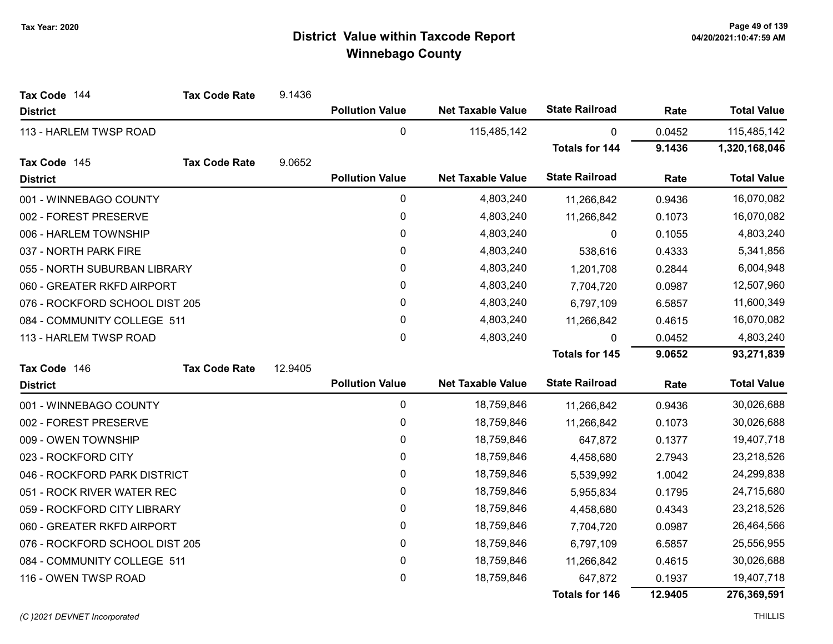| Tax Code 144                   | <b>Tax Code Rate</b> | 9.1436  |                        |                          |                       |         |                    |
|--------------------------------|----------------------|---------|------------------------|--------------------------|-----------------------|---------|--------------------|
| <b>District</b>                |                      |         | <b>Pollution Value</b> | <b>Net Taxable Value</b> | <b>State Railroad</b> | Rate    | <b>Total Value</b> |
| 113 - HARLEM TWSP ROAD         |                      |         | $\mathbf 0$            | 115,485,142              | $\mathbf{0}$          | 0.0452  | 115,485,142        |
|                                |                      |         |                        |                          | <b>Totals for 144</b> | 9.1436  | 1,320,168,046      |
| Tax Code 145                   | <b>Tax Code Rate</b> | 9.0652  |                        |                          |                       |         |                    |
| <b>District</b>                |                      |         | <b>Pollution Value</b> | <b>Net Taxable Value</b> | <b>State Railroad</b> | Rate    | <b>Total Value</b> |
| 001 - WINNEBAGO COUNTY         |                      |         | 0                      | 4,803,240                | 11,266,842            | 0.9436  | 16,070,082         |
| 002 - FOREST PRESERVE          |                      |         | 0                      | 4,803,240                | 11,266,842            | 0.1073  | 16,070,082         |
| 006 - HARLEM TOWNSHIP          |                      |         | 0                      | 4,803,240                | 0                     | 0.1055  | 4,803,240          |
| 037 - NORTH PARK FIRE          |                      |         | 0                      | 4,803,240                | 538,616               | 0.4333  | 5,341,856          |
| 055 - NORTH SUBURBAN LIBRARY   |                      |         | 0                      | 4,803,240                | 1,201,708             | 0.2844  | 6,004,948          |
| 060 - GREATER RKFD AIRPORT     |                      |         | 0                      | 4,803,240                | 7,704,720             | 0.0987  | 12,507,960         |
| 076 - ROCKFORD SCHOOL DIST 205 |                      |         | 0                      | 4,803,240                | 6,797,109             | 6.5857  | 11,600,349         |
| 084 - COMMUNITY COLLEGE 511    |                      |         | 0                      | 4,803,240                | 11,266,842            | 0.4615  | 16,070,082         |
| 113 - HARLEM TWSP ROAD         |                      |         | 0                      | 4,803,240                | 0                     | 0.0452  | 4,803,240          |
|                                |                      |         |                        |                          | <b>Totals for 145</b> | 9.0652  | 93,271,839         |
| Tax Code 146                   | <b>Tax Code Rate</b> | 12.9405 |                        |                          |                       |         |                    |
| <b>District</b>                |                      |         | <b>Pollution Value</b> | <b>Net Taxable Value</b> | <b>State Railroad</b> | Rate    | <b>Total Value</b> |
| 001 - WINNEBAGO COUNTY         |                      |         | 0                      | 18,759,846               | 11,266,842            | 0.9436  | 30,026,688         |
| 002 - FOREST PRESERVE          |                      |         | $\mathbf 0$            | 18,759,846               | 11,266,842            | 0.1073  | 30,026,688         |
| 009 - OWEN TOWNSHIP            |                      |         | 0                      | 18,759,846               | 647,872               | 0.1377  | 19,407,718         |
| 023 - ROCKFORD CITY            |                      |         | $\pmb{0}$              | 18,759,846               | 4,458,680             | 2.7943  | 23,218,526         |
| 046 - ROCKFORD PARK DISTRICT   |                      |         | 0                      | 18,759,846               | 5,539,992             | 1.0042  | 24,299,838         |
| 051 - ROCK RIVER WATER REC     |                      |         | 0                      | 18,759,846               | 5,955,834             | 0.1795  | 24,715,680         |
| 059 - ROCKFORD CITY LIBRARY    |                      |         | 0                      | 18,759,846               | 4,458,680             | 0.4343  | 23,218,526         |
| 060 - GREATER RKFD AIRPORT     |                      |         | $\pmb{0}$              | 18,759,846               | 7,704,720             | 0.0987  | 26,464,566         |
| 076 - ROCKFORD SCHOOL DIST 205 |                      |         | 0                      | 18,759,846               | 6,797,109             | 6.5857  | 25,556,955         |
| 084 - COMMUNITY COLLEGE 511    |                      |         | 0                      | 18,759,846               | 11,266,842            | 0.4615  | 30,026,688         |
| 116 - OWEN TWSP ROAD           |                      |         | 0                      | 18,759,846               | 647,872               | 0.1937  | 19,407,718         |
|                                |                      |         |                        |                          | Totals for 146        | 12.9405 | 276,369,591        |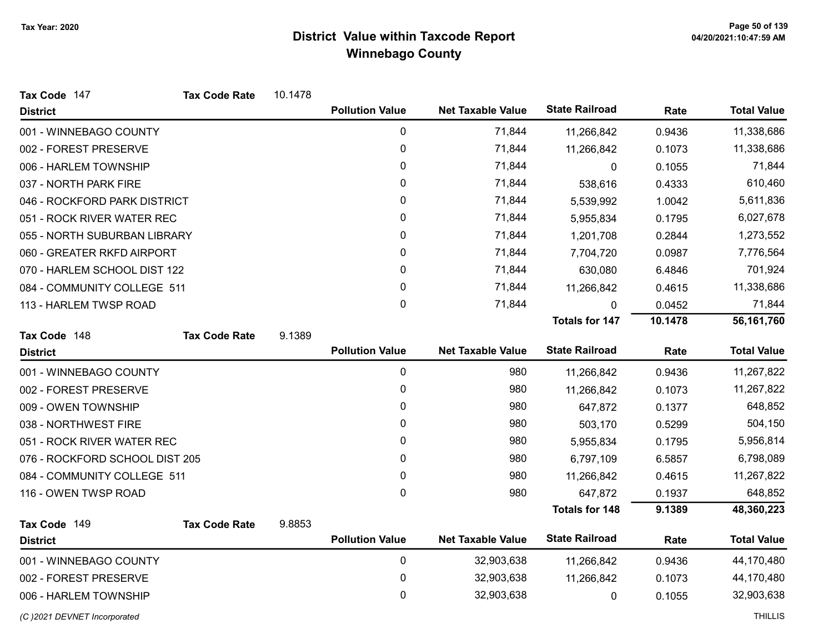| Tax Code 147                   | <b>Tax Code Rate</b> | 10.1478 |                        |                          |                       |         |                    |
|--------------------------------|----------------------|---------|------------------------|--------------------------|-----------------------|---------|--------------------|
| <b>District</b>                |                      |         | <b>Pollution Value</b> | <b>Net Taxable Value</b> | <b>State Railroad</b> | Rate    | <b>Total Value</b> |
| 001 - WINNEBAGO COUNTY         |                      |         | 0                      | 71,844                   | 11,266,842            | 0.9436  | 11,338,686         |
| 002 - FOREST PRESERVE          |                      |         | 0                      | 71,844                   | 11,266,842            | 0.1073  | 11,338,686         |
| 006 - HARLEM TOWNSHIP          |                      |         | 0                      | 71,844                   | 0                     | 0.1055  | 71,844             |
| 037 - NORTH PARK FIRE          |                      |         | 0                      | 71,844                   | 538,616               | 0.4333  | 610,460            |
| 046 - ROCKFORD PARK DISTRICT   |                      |         | 0                      | 71,844                   | 5,539,992             | 1.0042  | 5,611,836          |
| 051 - ROCK RIVER WATER REC     |                      |         | 0                      | 71,844                   | 5,955,834             | 0.1795  | 6,027,678          |
| 055 - NORTH SUBURBAN LIBRARY   |                      |         | 0                      | 71,844                   | 1,201,708             | 0.2844  | 1,273,552          |
| 060 - GREATER RKFD AIRPORT     |                      |         | 0                      | 71,844                   | 7,704,720             | 0.0987  | 7,776,564          |
| 070 - HARLEM SCHOOL DIST 122   |                      |         | $\mathbf{0}$           | 71,844                   | 630,080               | 6.4846  | 701,924            |
| 084 - COMMUNITY COLLEGE 511    |                      |         | 0                      | 71,844                   | 11,266,842            | 0.4615  | 11,338,686         |
| 113 - HARLEM TWSP ROAD         |                      |         | 0                      | 71,844                   | 0                     | 0.0452  | 71,844             |
|                                |                      |         |                        |                          | <b>Totals for 147</b> | 10.1478 | 56,161,760         |
| Tax Code 148                   | <b>Tax Code Rate</b> | 9.1389  |                        |                          |                       |         |                    |
| <b>District</b>                |                      |         | <b>Pollution Value</b> | <b>Net Taxable Value</b> | <b>State Railroad</b> | Rate    | <b>Total Value</b> |
| 001 - WINNEBAGO COUNTY         |                      |         | $\mathbf 0$            | 980                      | 11,266,842            | 0.9436  | 11,267,822         |
| 002 - FOREST PRESERVE          |                      |         | 0                      | 980                      | 11,266,842            | 0.1073  | 11,267,822         |
| 009 - OWEN TOWNSHIP            |                      |         | 0                      | 980                      | 647,872               | 0.1377  | 648,852            |
| 038 - NORTHWEST FIRE           |                      |         | 0                      | 980                      | 503,170               | 0.5299  | 504,150            |
| 051 - ROCK RIVER WATER REC     |                      |         | 0                      | 980                      | 5,955,834             | 0.1795  | 5,956,814          |
| 076 - ROCKFORD SCHOOL DIST 205 |                      |         | 0                      | 980                      | 6,797,109             | 6.5857  | 6,798,089          |
| 084 - COMMUNITY COLLEGE 511    |                      |         | 0                      | 980                      | 11,266,842            | 0.4615  | 11,267,822         |
| 116 - OWEN TWSP ROAD           |                      |         | 0                      | 980                      | 647,872               | 0.1937  | 648,852            |
|                                |                      |         |                        |                          | <b>Totals for 148</b> | 9.1389  | 48,360,223         |
| Tax Code 149                   | <b>Tax Code Rate</b> | 9.8853  |                        |                          |                       |         |                    |
| <b>District</b>                |                      |         | <b>Pollution Value</b> | <b>Net Taxable Value</b> | <b>State Railroad</b> | Rate    | <b>Total Value</b> |
| 001 - WINNEBAGO COUNTY         |                      |         | 0                      | 32,903,638               | 11,266,842            | 0.9436  | 44,170,480         |
| 002 - FOREST PRESERVE          |                      |         | 0                      | 32,903,638               | 11,266,842            | 0.1073  | 44,170,480         |
| 006 - HARLEM TOWNSHIP          |                      |         | 0                      | 32,903,638               | 0                     | 0.1055  | 32,903,638         |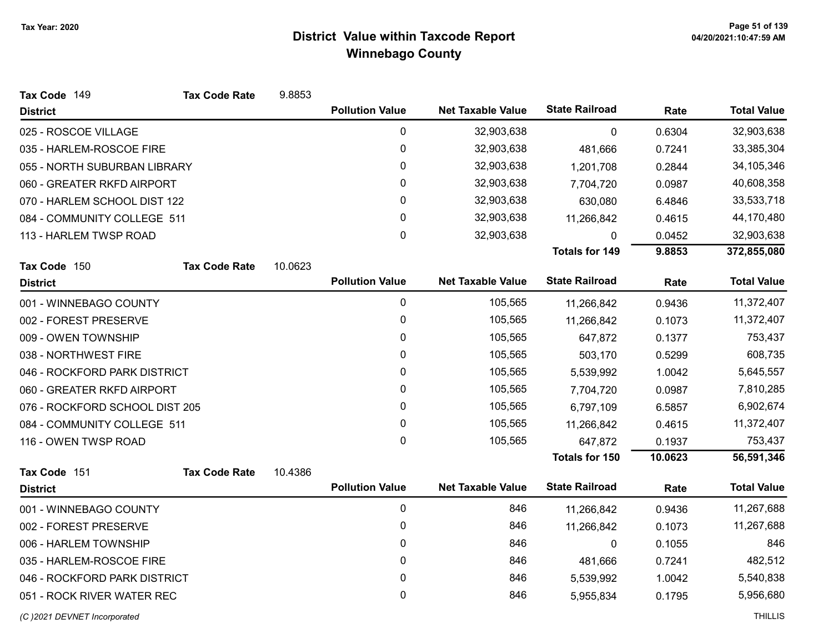| Tax Code 149                   | <b>Tax Code Rate</b> | 9.8853  |                        |                          |                       |         |                    |
|--------------------------------|----------------------|---------|------------------------|--------------------------|-----------------------|---------|--------------------|
| <b>District</b>                |                      |         | <b>Pollution Value</b> | <b>Net Taxable Value</b> | <b>State Railroad</b> | Rate    | <b>Total Value</b> |
| 025 - ROSCOE VILLAGE           |                      |         | 0                      | 32,903,638               | $\mathbf 0$           | 0.6304  | 32,903,638         |
| 035 - HARLEM-ROSCOE FIRE       |                      |         | $\pmb{0}$              | 32,903,638               | 481,666               | 0.7241  | 33,385,304         |
| 055 - NORTH SUBURBAN LIBRARY   |                      |         | $\pmb{0}$              | 32,903,638               | 1,201,708             | 0.2844  | 34,105,346         |
| 060 - GREATER RKFD AIRPORT     |                      |         | 0                      | 32,903,638               | 7,704,720             | 0.0987  | 40,608,358         |
| 070 - HARLEM SCHOOL DIST 122   |                      |         | 0                      | 32,903,638               | 630,080               | 6.4846  | 33,533,718         |
| 084 - COMMUNITY COLLEGE 511    |                      |         | $\pmb{0}$              | 32,903,638               | 11,266,842            | 0.4615  | 44,170,480         |
| 113 - HARLEM TWSP ROAD         |                      |         | $\mathbf 0$            | 32,903,638               | 0                     | 0.0452  | 32,903,638         |
|                                |                      |         |                        |                          | <b>Totals for 149</b> | 9.8853  | 372,855,080        |
| Tax Code 150                   | <b>Tax Code Rate</b> | 10.0623 |                        |                          |                       |         |                    |
| <b>District</b>                |                      |         | <b>Pollution Value</b> | <b>Net Taxable Value</b> | <b>State Railroad</b> | Rate    | <b>Total Value</b> |
| 001 - WINNEBAGO COUNTY         |                      |         | $\mathbf 0$            | 105,565                  | 11,266,842            | 0.9436  | 11,372,407         |
| 002 - FOREST PRESERVE          |                      |         | 0                      | 105,565                  | 11,266,842            | 0.1073  | 11,372,407         |
| 009 - OWEN TOWNSHIP            |                      |         | 0                      | 105,565                  | 647,872               | 0.1377  | 753,437            |
| 038 - NORTHWEST FIRE           |                      |         | 0                      | 105,565                  | 503,170               | 0.5299  | 608,735            |
| 046 - ROCKFORD PARK DISTRICT   |                      |         | $\pmb{0}$              | 105,565                  | 5,539,992             | 1.0042  | 5,645,557          |
| 060 - GREATER RKFD AIRPORT     |                      |         | 0                      | 105,565                  | 7,704,720             | 0.0987  | 7,810,285          |
| 076 - ROCKFORD SCHOOL DIST 205 |                      |         | 0                      | 105,565                  | 6,797,109             | 6.5857  | 6,902,674          |
| 084 - COMMUNITY COLLEGE 511    |                      |         | 0                      | 105,565                  | 11,266,842            | 0.4615  | 11,372,407         |
| 116 - OWEN TWSP ROAD           |                      |         | $\mathbf 0$            | 105,565                  | 647,872               | 0.1937  | 753,437            |
|                                |                      |         |                        |                          | <b>Totals for 150</b> | 10.0623 | 56,591,346         |
| Tax Code 151                   | <b>Tax Code Rate</b> | 10.4386 |                        |                          |                       |         |                    |
| <b>District</b>                |                      |         | <b>Pollution Value</b> | <b>Net Taxable Value</b> | <b>State Railroad</b> | Rate    | <b>Total Value</b> |
| 001 - WINNEBAGO COUNTY         |                      |         | $\mathbf 0$            | 846                      | 11,266,842            | 0.9436  | 11,267,688         |
| 002 - FOREST PRESERVE          |                      |         | 0                      | 846                      | 11,266,842            | 0.1073  | 11,267,688         |
| 006 - HARLEM TOWNSHIP          |                      |         | 0                      | 846                      | $\pmb{0}$             | 0.1055  | 846                |
| 035 - HARLEM-ROSCOE FIRE       |                      |         | 0                      | 846                      | 481,666               | 0.7241  | 482,512            |
| 046 - ROCKFORD PARK DISTRICT   |                      |         | $\pmb{0}$              | 846                      | 5,539,992             | 1.0042  | 5,540,838          |
| 051 - ROCK RIVER WATER REC     |                      |         | 0                      | 846                      | 5,955,834             | 0.1795  | 5,956,680          |
| (C) 2021 DEVNET Incorporated   |                      |         |                        |                          |                       |         | <b>THILLIS</b>     |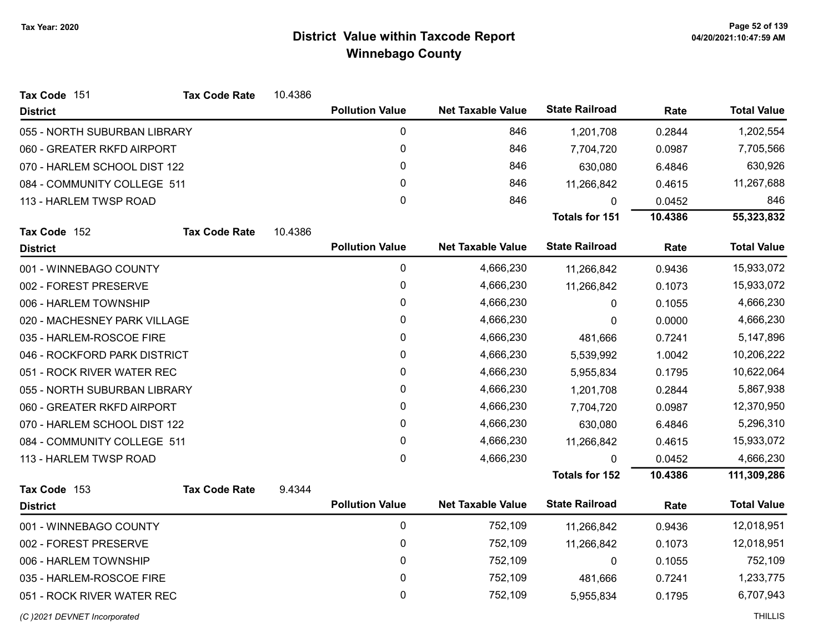| Tax Code 151                 | <b>Tax Code Rate</b> | 10.4386 |                        |                          |                       |         |                    |
|------------------------------|----------------------|---------|------------------------|--------------------------|-----------------------|---------|--------------------|
| <b>District</b>              |                      |         | <b>Pollution Value</b> | <b>Net Taxable Value</b> | <b>State Railroad</b> | Rate    | <b>Total Value</b> |
| 055 - NORTH SUBURBAN LIBRARY |                      |         | $\mathbf 0$            | 846                      | 1,201,708             | 0.2844  | 1,202,554          |
| 060 - GREATER RKFD AIRPORT   |                      |         | 0                      | 846                      | 7,704,720             | 0.0987  | 7,705,566          |
| 070 - HARLEM SCHOOL DIST 122 |                      |         | $\Omega$               | 846                      | 630,080               | 6.4846  | 630,926            |
| 084 - COMMUNITY COLLEGE 511  |                      |         | 0                      | 846                      | 11,266,842            | 0.4615  | 11,267,688         |
| 113 - HARLEM TWSP ROAD       |                      |         | 0                      | 846                      | 0                     | 0.0452  | 846                |
|                              |                      |         |                        |                          | Totals for 151        | 10.4386 | 55,323,832         |
| Tax Code 152                 | <b>Tax Code Rate</b> | 10.4386 |                        |                          |                       |         |                    |
| <b>District</b>              |                      |         | <b>Pollution Value</b> | <b>Net Taxable Value</b> | <b>State Railroad</b> | Rate    | <b>Total Value</b> |
| 001 - WINNEBAGO COUNTY       |                      |         | $\pmb{0}$              | 4,666,230                | 11,266,842            | 0.9436  | 15,933,072         |
| 002 - FOREST PRESERVE        |                      |         | 0                      | 4,666,230                | 11,266,842            | 0.1073  | 15,933,072         |
| 006 - HARLEM TOWNSHIP        |                      |         | 0                      | 4,666,230                | 0                     | 0.1055  | 4,666,230          |
| 020 - MACHESNEY PARK VILLAGE |                      |         | 0                      | 4,666,230                | 0                     | 0.0000  | 4,666,230          |
| 035 - HARLEM-ROSCOE FIRE     |                      |         | 0                      | 4,666,230                | 481,666               | 0.7241  | 5,147,896          |
| 046 - ROCKFORD PARK DISTRICT |                      |         | 0                      | 4,666,230                | 5,539,992             | 1.0042  | 10,206,222         |
| 051 - ROCK RIVER WATER REC   |                      |         | 0                      | 4,666,230                | 5,955,834             | 0.1795  | 10,622,064         |
| 055 - NORTH SUBURBAN LIBRARY |                      |         | 0                      | 4,666,230                | 1,201,708             | 0.2844  | 5,867,938          |
| 060 - GREATER RKFD AIRPORT   |                      |         | 0                      | 4,666,230                | 7,704,720             | 0.0987  | 12,370,950         |
| 070 - HARLEM SCHOOL DIST 122 |                      |         | 0                      | 4,666,230                | 630,080               | 6.4846  | 5,296,310          |
| 084 - COMMUNITY COLLEGE 511  |                      |         | 0                      | 4,666,230                | 11,266,842            | 0.4615  | 15,933,072         |
| 113 - HARLEM TWSP ROAD       |                      |         | 0                      | 4,666,230                |                       | 0.0452  | 4,666,230          |
|                              |                      |         |                        |                          | <b>Totals for 152</b> | 10.4386 | 111,309,286        |
| Tax Code 153                 | <b>Tax Code Rate</b> | 9.4344  |                        |                          |                       |         |                    |
| <b>District</b>              |                      |         | <b>Pollution Value</b> | <b>Net Taxable Value</b> | <b>State Railroad</b> | Rate    | <b>Total Value</b> |
| 001 - WINNEBAGO COUNTY       |                      |         | $\mathbf 0$            | 752,109                  | 11,266,842            | 0.9436  | 12,018,951         |
| 002 - FOREST PRESERVE        |                      |         | 0                      | 752,109                  | 11,266,842            | 0.1073  | 12,018,951         |
| 006 - HARLEM TOWNSHIP        |                      |         | 0                      | 752,109                  | 0                     | 0.1055  | 752,109            |
| 035 - HARLEM-ROSCOE FIRE     |                      |         | 0                      | 752,109                  | 481,666               | 0.7241  | 1,233,775          |
| 051 - ROCK RIVER WATER REC   |                      |         | 0                      | 752,109                  | 5,955,834             | 0.1795  | 6,707,943          |
|                              |                      |         |                        |                          |                       |         |                    |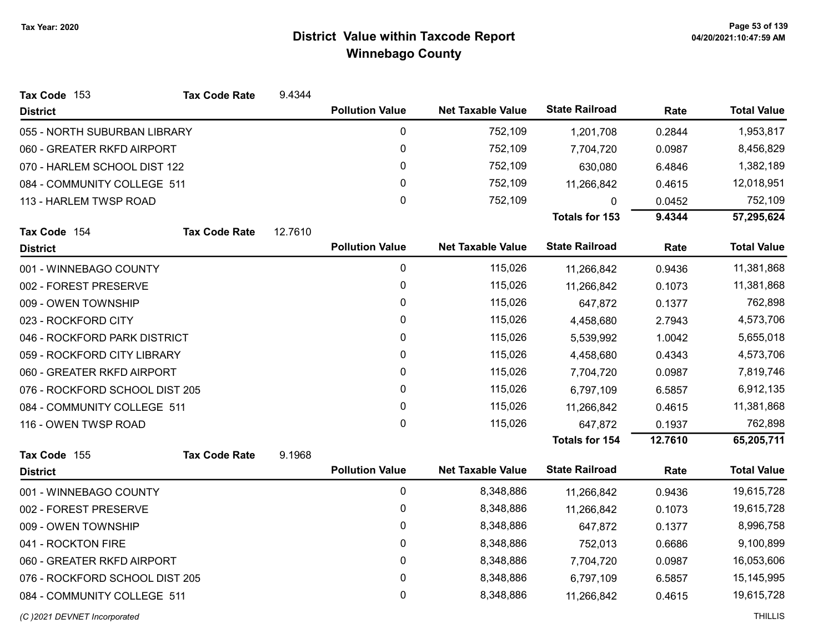| Tax Code 153                   | <b>Tax Code Rate</b> | 9.4344  |                        |                          |                       |         |                    |
|--------------------------------|----------------------|---------|------------------------|--------------------------|-----------------------|---------|--------------------|
| <b>District</b>                |                      |         | <b>Pollution Value</b> | <b>Net Taxable Value</b> | <b>State Railroad</b> | Rate    | <b>Total Value</b> |
| 055 - NORTH SUBURBAN LIBRARY   |                      |         | 0                      | 752,109                  | 1,201,708             | 0.2844  | 1,953,817          |
| 060 - GREATER RKFD AIRPORT     |                      |         | 0                      | 752,109                  | 7,704,720             | 0.0987  | 8,456,829          |
| 070 - HARLEM SCHOOL DIST 122   |                      |         | 0                      | 752,109                  | 630,080               | 6.4846  | 1,382,189          |
| 084 - COMMUNITY COLLEGE 511    |                      |         | 0                      | 752,109                  | 11,266,842            | 0.4615  | 12,018,951         |
| 113 - HARLEM TWSP ROAD         |                      |         | 0                      | 752,109                  | 0                     | 0.0452  | 752,109            |
|                                |                      |         |                        |                          | <b>Totals for 153</b> | 9.4344  | 57,295,624         |
| Tax Code 154                   | <b>Tax Code Rate</b> | 12.7610 |                        |                          |                       |         |                    |
| <b>District</b>                |                      |         | <b>Pollution Value</b> | <b>Net Taxable Value</b> | <b>State Railroad</b> | Rate    | <b>Total Value</b> |
| 001 - WINNEBAGO COUNTY         |                      |         | 0                      | 115,026                  | 11,266,842            | 0.9436  | 11,381,868         |
| 002 - FOREST PRESERVE          |                      |         | 0                      | 115,026                  | 11,266,842            | 0.1073  | 11,381,868         |
| 009 - OWEN TOWNSHIP            |                      |         | 0                      | 115,026                  | 647,872               | 0.1377  | 762,898            |
| 023 - ROCKFORD CITY            |                      |         | 0                      | 115,026                  | 4,458,680             | 2.7943  | 4,573,706          |
| 046 - ROCKFORD PARK DISTRICT   |                      |         | 0                      | 115,026                  | 5,539,992             | 1.0042  | 5,655,018          |
| 059 - ROCKFORD CITY LIBRARY    |                      |         | 0                      | 115,026                  | 4,458,680             | 0.4343  | 4,573,706          |
| 060 - GREATER RKFD AIRPORT     |                      |         | 0                      | 115,026                  | 7,704,720             | 0.0987  | 7,819,746          |
| 076 - ROCKFORD SCHOOL DIST 205 |                      |         | 0                      | 115,026                  | 6,797,109             | 6.5857  | 6,912,135          |
| 084 - COMMUNITY COLLEGE 511    |                      |         | 0                      | 115,026                  | 11,266,842            | 0.4615  | 11,381,868         |
| 116 - OWEN TWSP ROAD           |                      |         | 0                      | 115,026                  | 647,872               | 0.1937  | 762,898            |
|                                |                      |         |                        |                          | <b>Totals for 154</b> | 12.7610 | 65,205,711         |
| Tax Code 155                   | <b>Tax Code Rate</b> | 9.1968  |                        |                          |                       |         |                    |
| <b>District</b>                |                      |         | <b>Pollution Value</b> | <b>Net Taxable Value</b> | <b>State Railroad</b> | Rate    | <b>Total Value</b> |
| 001 - WINNEBAGO COUNTY         |                      |         | $\mathbf 0$            | 8,348,886                | 11,266,842            | 0.9436  | 19,615,728         |
| 002 - FOREST PRESERVE          |                      |         | 0                      | 8,348,886                | 11,266,842            | 0.1073  | 19,615,728         |
| 009 - OWEN TOWNSHIP            |                      |         | 0                      | 8,348,886                | 647,872               | 0.1377  | 8,996,758          |
| 041 - ROCKTON FIRE             |                      |         | $\mathbf{0}$           | 8,348,886                | 752,013               | 0.6686  | 9,100,899          |
| 060 - GREATER RKFD AIRPORT     |                      |         | $\mathbf 0$            | 8,348,886                | 7,704,720             | 0.0987  | 16,053,606         |
| 076 - ROCKFORD SCHOOL DIST 205 |                      |         | 0                      | 8,348,886                | 6,797,109             | 6.5857  | 15,145,995         |
| 084 - COMMUNITY COLLEGE 511    |                      |         | 0                      | 8,348,886                | 11,266,842            | 0.4615  | 19,615,728         |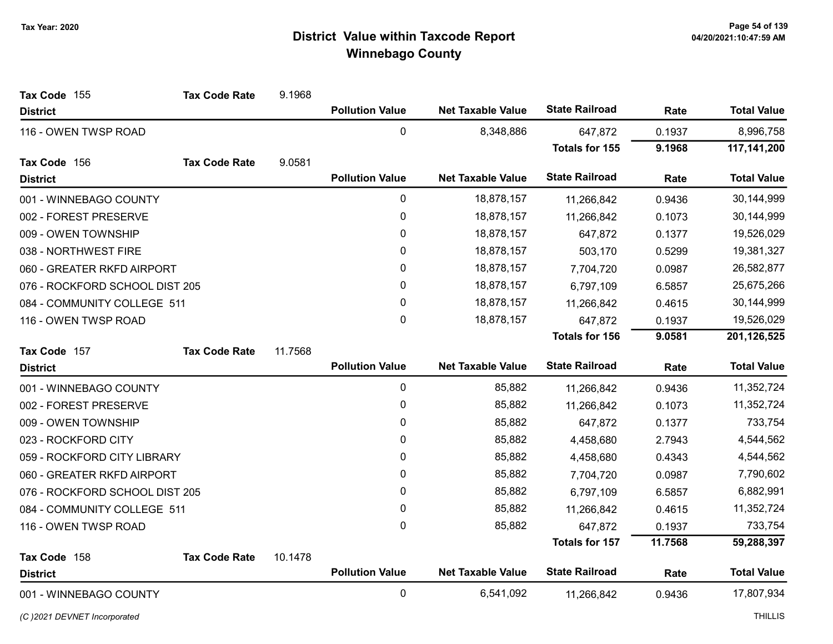| Tax Code 155                   | <b>Tax Code Rate</b> | 9.1968  |                        |                          |                       |         |                    |
|--------------------------------|----------------------|---------|------------------------|--------------------------|-----------------------|---------|--------------------|
| <b>District</b>                |                      |         | <b>Pollution Value</b> | <b>Net Taxable Value</b> | <b>State Railroad</b> | Rate    | <b>Total Value</b> |
| 116 - OWEN TWSP ROAD           |                      |         | $\mathbf 0$            | 8,348,886                | 647,872               | 0.1937  | 8,996,758          |
|                                |                      |         |                        |                          | <b>Totals for 155</b> | 9.1968  | 117,141,200        |
| Tax Code 156                   | <b>Tax Code Rate</b> | 9.0581  |                        |                          |                       |         |                    |
| <b>District</b>                |                      |         | <b>Pollution Value</b> | <b>Net Taxable Value</b> | <b>State Railroad</b> | Rate    | <b>Total Value</b> |
| 001 - WINNEBAGO COUNTY         |                      |         | $\pmb{0}$              | 18,878,157               | 11,266,842            | 0.9436  | 30,144,999         |
| 002 - FOREST PRESERVE          |                      |         | 0                      | 18,878,157               | 11,266,842            | 0.1073  | 30,144,999         |
| 009 - OWEN TOWNSHIP            |                      |         | 0                      | 18,878,157               | 647,872               | 0.1377  | 19,526,029         |
| 038 - NORTHWEST FIRE           |                      |         | 0                      | 18,878,157               | 503,170               | 0.5299  | 19,381,327         |
| 060 - GREATER RKFD AIRPORT     |                      |         | $\pmb{0}$              | 18,878,157               | 7,704,720             | 0.0987  | 26,582,877         |
| 076 - ROCKFORD SCHOOL DIST 205 |                      |         | 0                      | 18,878,157               | 6,797,109             | 6.5857  | 25,675,266         |
| 084 - COMMUNITY COLLEGE 511    |                      |         | 0                      | 18,878,157               | 11,266,842            | 0.4615  | 30,144,999         |
| 116 - OWEN TWSP ROAD           |                      |         | 0                      | 18,878,157               | 647,872               | 0.1937  | 19,526,029         |
|                                |                      |         |                        |                          | <b>Totals for 156</b> | 9.0581  | 201,126,525        |
| Tax Code 157                   | <b>Tax Code Rate</b> | 11.7568 |                        |                          |                       |         |                    |
| <b>District</b>                |                      |         | <b>Pollution Value</b> | <b>Net Taxable Value</b> | <b>State Railroad</b> | Rate    | <b>Total Value</b> |
| 001 - WINNEBAGO COUNTY         |                      |         | $\pmb{0}$              | 85,882                   | 11,266,842            | 0.9436  | 11,352,724         |
| 002 - FOREST PRESERVE          |                      |         | $\mathbf 0$            | 85,882                   | 11,266,842            | 0.1073  | 11,352,724         |
| 009 - OWEN TOWNSHIP            |                      |         | 0                      | 85,882                   | 647,872               | 0.1377  | 733,754            |
| 023 - ROCKFORD CITY            |                      |         | 0                      | 85,882                   | 4,458,680             | 2.7943  | 4,544,562          |
| 059 - ROCKFORD CITY LIBRARY    |                      |         | 0                      | 85,882                   | 4,458,680             | 0.4343  | 4,544,562          |
| 060 - GREATER RKFD AIRPORT     |                      |         | 0                      | 85,882                   | 7,704,720             | 0.0987  | 7,790,602          |
| 076 - ROCKFORD SCHOOL DIST 205 |                      |         | 0                      | 85,882                   | 6,797,109             | 6.5857  | 6,882,991          |
| 084 - COMMUNITY COLLEGE 511    |                      |         | $\pmb{0}$              | 85,882                   | 11,266,842            | 0.4615  | 11,352,724         |
| 116 - OWEN TWSP ROAD           |                      |         | 0                      | 85,882                   | 647,872               | 0.1937  | 733,754            |
|                                |                      |         |                        |                          | Totals for 157        | 11.7568 | 59,288,397         |
| Tax Code 158                   | <b>Tax Code Rate</b> | 10.1478 |                        |                          |                       |         |                    |
| <b>District</b>                |                      |         | <b>Pollution Value</b> | <b>Net Taxable Value</b> | <b>State Railroad</b> | Rate    | <b>Total Value</b> |
| 001 - WINNEBAGO COUNTY         |                      |         | $\mathbf 0$            | 6,541,092                | 11,266,842            | 0.9436  | 17,807,934         |

(C)2021 DEVNET Incorporated THILLIS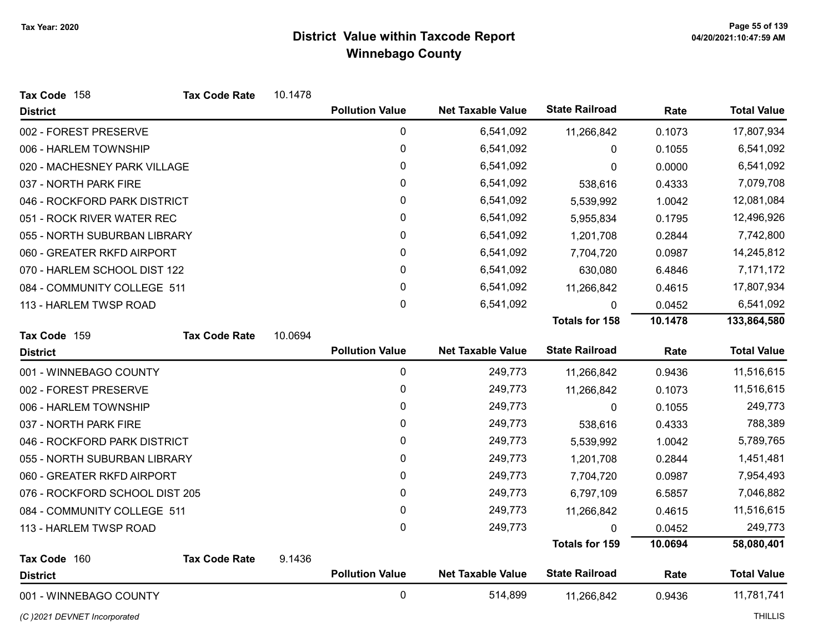| Tax Code 158                   | <b>Tax Code Rate</b> | 10.1478 |                        |                          |                       |         |                    |
|--------------------------------|----------------------|---------|------------------------|--------------------------|-----------------------|---------|--------------------|
| <b>District</b>                |                      |         | <b>Pollution Value</b> | <b>Net Taxable Value</b> | <b>State Railroad</b> | Rate    | <b>Total Value</b> |
| 002 - FOREST PRESERVE          |                      |         | $\pmb{0}$              | 6,541,092                | 11,266,842            | 0.1073  | 17,807,934         |
| 006 - HARLEM TOWNSHIP          |                      |         | 0                      | 6,541,092                | 0                     | 0.1055  | 6,541,092          |
| 020 - MACHESNEY PARK VILLAGE   |                      |         | 0                      | 6,541,092                | 0                     | 0.0000  | 6,541,092          |
| 037 - NORTH PARK FIRE          |                      |         | $\mathbf 0$            | 6,541,092                | 538,616               | 0.4333  | 7,079,708          |
| 046 - ROCKFORD PARK DISTRICT   |                      |         | 0                      | 6,541,092                | 5,539,992             | 1.0042  | 12,081,084         |
| 051 - ROCK RIVER WATER REC     |                      |         | 0                      | 6,541,092                | 5,955,834             | 0.1795  | 12,496,926         |
| 055 - NORTH SUBURBAN LIBRARY   |                      |         | 0                      | 6,541,092                | 1,201,708             | 0.2844  | 7,742,800          |
| 060 - GREATER RKFD AIRPORT     |                      |         | 0                      | 6,541,092                | 7,704,720             | 0.0987  | 14,245,812         |
| 070 - HARLEM SCHOOL DIST 122   |                      |         | 0                      | 6,541,092                | 630,080               | 6.4846  | 7,171,172          |
| 084 - COMMUNITY COLLEGE 511    |                      |         | 0                      | 6,541,092                | 11,266,842            | 0.4615  | 17,807,934         |
| 113 - HARLEM TWSP ROAD         |                      |         | 0                      | 6,541,092                | 0                     | 0.0452  | 6,541,092          |
|                                |                      |         |                        |                          | <b>Totals for 158</b> | 10.1478 | 133,864,580        |
| Tax Code 159                   | <b>Tax Code Rate</b> | 10.0694 |                        |                          |                       |         |                    |
| <b>District</b>                |                      |         | <b>Pollution Value</b> | <b>Net Taxable Value</b> | <b>State Railroad</b> | Rate    | <b>Total Value</b> |
| 001 - WINNEBAGO COUNTY         |                      |         | $\mathbf 0$            | 249,773                  | 11,266,842            | 0.9436  | 11,516,615         |
| 002 - FOREST PRESERVE          |                      |         | 0                      | 249,773                  | 11,266,842            | 0.1073  | 11,516,615         |
| 006 - HARLEM TOWNSHIP          |                      |         | 0                      | 249,773                  | $\mathbf 0$           | 0.1055  | 249,773            |
| 037 - NORTH PARK FIRE          |                      |         | 0                      | 249,773                  | 538,616               | 0.4333  | 788,389            |
| 046 - ROCKFORD PARK DISTRICT   |                      |         | 0                      | 249,773                  | 5,539,992             | 1.0042  | 5,789,765          |
| 055 - NORTH SUBURBAN LIBRARY   |                      |         | 0                      | 249,773                  | 1,201,708             | 0.2844  | 1,451,481          |
| 060 - GREATER RKFD AIRPORT     |                      |         | 0                      | 249,773                  | 7,704,720             | 0.0987  | 7,954,493          |
| 076 - ROCKFORD SCHOOL DIST 205 |                      |         | 0                      | 249,773                  | 6,797,109             | 6.5857  | 7,046,882          |
| 084 - COMMUNITY COLLEGE 511    |                      |         | 0                      | 249,773                  | 11,266,842            | 0.4615  | 11,516,615         |
| 113 - HARLEM TWSP ROAD         |                      |         | 0                      | 249,773                  | 0                     | 0.0452  | 249,773            |
|                                |                      |         |                        |                          | <b>Totals for 159</b> | 10.0694 | 58,080,401         |
| Tax Code 160                   | <b>Tax Code Rate</b> | 9.1436  |                        |                          |                       |         |                    |
| <b>District</b>                |                      |         | <b>Pollution Value</b> | <b>Net Taxable Value</b> | <b>State Railroad</b> | Rate    | <b>Total Value</b> |
| 001 - WINNEBAGO COUNTY         |                      |         | $\mathbf 0$            | 514,899                  | 11,266,842            | 0.9436  | 11,781,741         |

(C)2021 DEVNET Incorporated THILLIS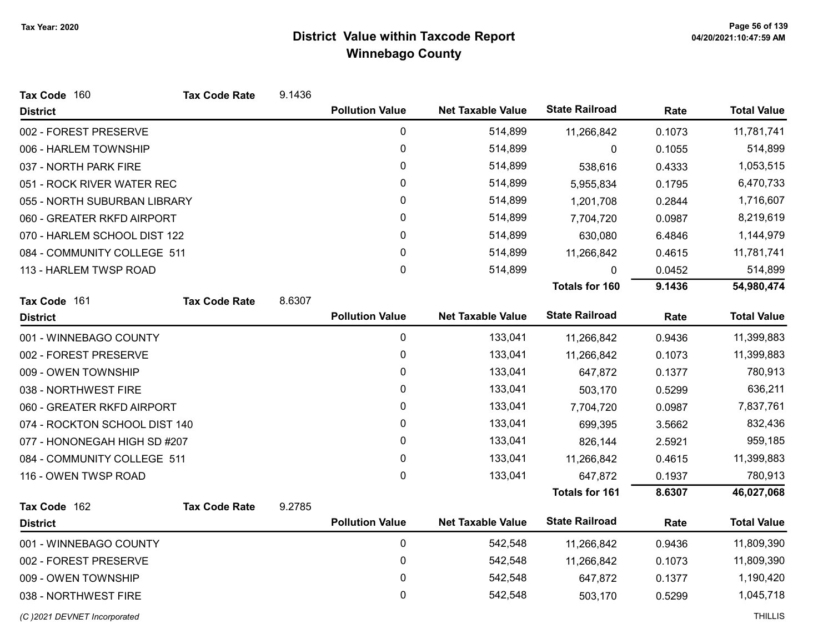| Tax Code 160                  | <b>Tax Code Rate</b> | 9.1436 |                        |                          |                       |        |                    |
|-------------------------------|----------------------|--------|------------------------|--------------------------|-----------------------|--------|--------------------|
| <b>District</b>               |                      |        | <b>Pollution Value</b> | <b>Net Taxable Value</b> | <b>State Railroad</b> | Rate   | <b>Total Value</b> |
| 002 - FOREST PRESERVE         |                      |        | $\pmb{0}$              | 514,899                  | 11,266,842            | 0.1073 | 11,781,741         |
| 006 - HARLEM TOWNSHIP         |                      |        | $\pmb{0}$              | 514,899                  | 0                     | 0.1055 | 514,899            |
| 037 - NORTH PARK FIRE         |                      |        | 0                      | 514,899                  | 538,616               | 0.4333 | 1,053,515          |
| 051 - ROCK RIVER WATER REC    |                      |        | 0                      | 514,899                  | 5,955,834             | 0.1795 | 6,470,733          |
| 055 - NORTH SUBURBAN LIBRARY  |                      |        | 0                      | 514,899                  | 1,201,708             | 0.2844 | 1,716,607          |
| 060 - GREATER RKFD AIRPORT    |                      |        | 0                      | 514,899                  | 7,704,720             | 0.0987 | 8,219,619          |
| 070 - HARLEM SCHOOL DIST 122  |                      |        | 0                      | 514,899                  | 630,080               | 6.4846 | 1,144,979          |
| 084 - COMMUNITY COLLEGE 511   |                      |        | 0                      | 514,899                  | 11,266,842            | 0.4615 | 11,781,741         |
| 113 - HARLEM TWSP ROAD        |                      |        | 0                      | 514,899                  | 0                     | 0.0452 | 514,899            |
|                               |                      |        |                        |                          | <b>Totals for 160</b> | 9.1436 | 54,980,474         |
| Tax Code 161                  | <b>Tax Code Rate</b> | 8.6307 |                        |                          |                       |        |                    |
| <b>District</b>               |                      |        | <b>Pollution Value</b> | <b>Net Taxable Value</b> | <b>State Railroad</b> | Rate   | <b>Total Value</b> |
| 001 - WINNEBAGO COUNTY        |                      |        | 0                      | 133,041                  | 11,266,842            | 0.9436 | 11,399,883         |
| 002 - FOREST PRESERVE         |                      |        | 0                      | 133,041                  | 11,266,842            | 0.1073 | 11,399,883         |
| 009 - OWEN TOWNSHIP           |                      |        | $\pmb{0}$              | 133,041                  | 647,872               | 0.1377 | 780,913            |
| 038 - NORTHWEST FIRE          |                      |        | 0                      | 133,041                  | 503,170               | 0.5299 | 636,211            |
| 060 - GREATER RKFD AIRPORT    |                      |        | 0                      | 133,041                  | 7,704,720             | 0.0987 | 7,837,761          |
| 074 - ROCKTON SCHOOL DIST 140 |                      |        | 0                      | 133,041                  | 699,395               | 3.5662 | 832,436            |
| 077 - HONONEGAH HIGH SD #207  |                      |        | 0                      | 133,041                  | 826,144               | 2.5921 | 959,185            |
| 084 - COMMUNITY COLLEGE 511   |                      |        | $\pmb{0}$              | 133,041                  | 11,266,842            | 0.4615 | 11,399,883         |
| 116 - OWEN TWSP ROAD          |                      |        | $\mathbf{0}$           | 133,041                  | 647,872               | 0.1937 | 780,913            |
|                               |                      |        |                        |                          | <b>Totals for 161</b> | 8.6307 | 46,027,068         |
| Tax Code 162                  | <b>Tax Code Rate</b> | 9.2785 |                        |                          |                       |        |                    |
| <b>District</b>               |                      |        | <b>Pollution Value</b> | <b>Net Taxable Value</b> | <b>State Railroad</b> | Rate   | <b>Total Value</b> |
| 001 - WINNEBAGO COUNTY        |                      |        | $\pmb{0}$              | 542,548                  | 11,266,842            | 0.9436 | 11,809,390         |
| 002 - FOREST PRESERVE         |                      |        | 0                      | 542,548                  | 11,266,842            | 0.1073 | 11,809,390         |
| 009 - OWEN TOWNSHIP           |                      |        | $\mathbf 0$            | 542,548                  | 647,872               | 0.1377 | 1,190,420          |
| 038 - NORTHWEST FIRE          |                      |        | 0                      | 542,548                  | 503,170               | 0.5299 | 1,045,718          |
| (C)2021 DEVNET Incorporated   |                      |        |                        |                          |                       |        | <b>THILLIS</b>     |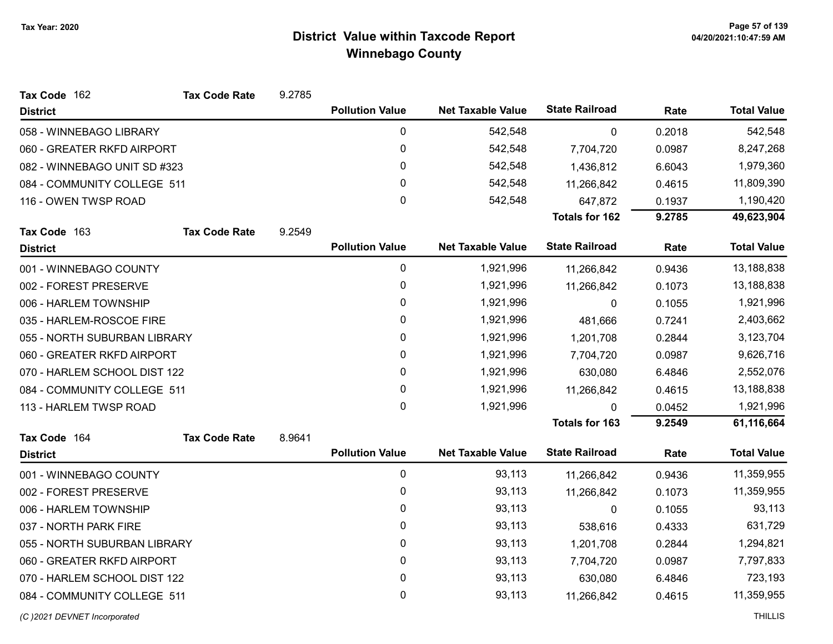| Tax Code 162                 | <b>Tax Code Rate</b> | 9.2785 |                        |                          |                       |           |                    |
|------------------------------|----------------------|--------|------------------------|--------------------------|-----------------------|-----------|--------------------|
| <b>District</b>              |                      |        | <b>Pollution Value</b> | <b>Net Taxable Value</b> | <b>State Railroad</b> | Rate      | <b>Total Value</b> |
| 058 - WINNEBAGO LIBRARY      |                      |        | 0                      | 542,548                  | $\mathbf 0$           | 0.2018    | 542,548            |
| 060 - GREATER RKFD AIRPORT   |                      |        | 0                      | 542,548                  | 7,704,720             | 0.0987    | 8,247,268          |
| 082 - WINNEBAGO UNIT SD #323 |                      |        | 0                      | 542,548                  | 1,436,812             | 6.6043    | 1,979,360          |
| 084 - COMMUNITY COLLEGE 511  |                      |        | 0                      | 542,548                  | 11,266,842            | 0.4615    | 11,809,390         |
| 116 - OWEN TWSP ROAD         |                      |        | 0                      | 542,548                  | 647,872               | 0.1937    | 1,190,420          |
|                              |                      |        |                        |                          | Totals for 162        | 9.2785    | 49,623,904         |
| Tax Code 163                 | <b>Tax Code Rate</b> | 9.2549 |                        |                          |                       |           |                    |
| <b>District</b>              |                      |        | <b>Pollution Value</b> | <b>Net Taxable Value</b> | <b>State Railroad</b> | Rate      | <b>Total Value</b> |
| 001 - WINNEBAGO COUNTY       |                      |        | 0                      | 1,921,996                | 11,266,842            | 0.9436    | 13,188,838         |
| 002 - FOREST PRESERVE        |                      |        | 0                      | 1,921,996                | 11,266,842            | 0.1073    | 13,188,838         |
| 006 - HARLEM TOWNSHIP        |                      |        | 0                      | 1,921,996                | 0                     | 0.1055    | 1,921,996          |
| 035 - HARLEM-ROSCOE FIRE     |                      |        | 0                      | 1,921,996                | 481,666               | 0.7241    | 2,403,662          |
| 055 - NORTH SUBURBAN LIBRARY |                      | 0      | 1,921,996              | 1,201,708                | 0.2844                | 3,123,704 |                    |
| 060 - GREATER RKFD AIRPORT   |                      |        | 0                      | 1,921,996                | 7,704,720             | 0.0987    | 9,626,716          |
| 070 - HARLEM SCHOOL DIST 122 |                      |        | 0                      | 1,921,996                | 630,080               | 6.4846    | 2,552,076          |
| 084 - COMMUNITY COLLEGE 511  |                      |        | 0                      | 1,921,996                | 11,266,842            | 0.4615    | 13,188,838         |
| 113 - HARLEM TWSP ROAD       |                      |        | 0                      | 1,921,996                | $\Omega$              | 0.0452    | 1,921,996          |
|                              |                      |        |                        |                          | <b>Totals for 163</b> | 9.2549    | 61,116,664         |
| Tax Code 164                 | <b>Tax Code Rate</b> | 8.9641 |                        |                          |                       |           |                    |
| <b>District</b>              |                      |        | <b>Pollution Value</b> | <b>Net Taxable Value</b> | <b>State Railroad</b> | Rate      | <b>Total Value</b> |
| 001 - WINNEBAGO COUNTY       |                      |        | $\pmb{0}$              | 93,113                   | 11,266,842            | 0.9436    | 11,359,955         |
| 002 - FOREST PRESERVE        |                      |        | 0                      | 93,113                   | 11,266,842            | 0.1073    | 11,359,955         |
| 006 - HARLEM TOWNSHIP        |                      |        | 0                      | 93,113                   | 0                     | 0.1055    | 93,113             |
| 037 - NORTH PARK FIRE        |                      |        | 0                      | 93,113                   | 538,616               | 0.4333    | 631,729            |
| 055 - NORTH SUBURBAN LIBRARY |                      |        | 0                      | 93,113                   | 1,201,708             | 0.2844    | 1,294,821          |
| 060 - GREATER RKFD AIRPORT   |                      |        | 0                      | 93,113                   | 7,704,720             | 0.0987    | 7,797,833          |
| 070 - HARLEM SCHOOL DIST 122 |                      |        | 0                      | 93,113                   | 630,080               | 6.4846    | 723,193            |
| 084 - COMMUNITY COLLEGE 511  |                      |        | 0                      | 93,113                   | 11,266,842            | 0.4615    | 11,359,955         |
| (C) 2021 DEVNET Incorporated |                      |        |                        |                          |                       |           | <b>THILLIS</b>     |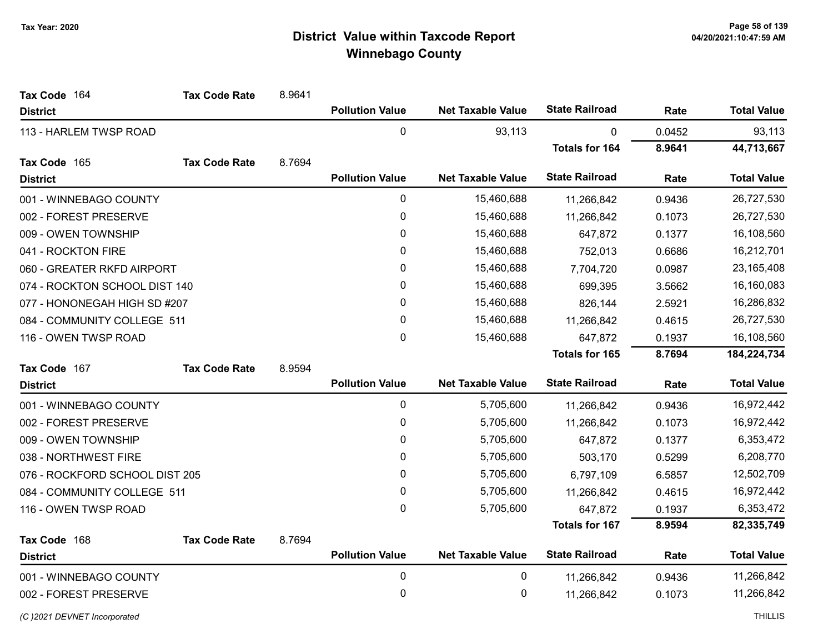| Tax Code 164                   | <b>Tax Code Rate</b> | 8.9641      |                        |                          |                       |            |                    |
|--------------------------------|----------------------|-------------|------------------------|--------------------------|-----------------------|------------|--------------------|
| <b>District</b>                |                      |             | <b>Pollution Value</b> | <b>Net Taxable Value</b> | <b>State Railroad</b> | Rate       | <b>Total Value</b> |
| 113 - HARLEM TWSP ROAD         |                      |             | 0                      | 93,113                   | 0                     | 0.0452     | 93,113             |
|                                |                      |             |                        |                          | <b>Totals for 164</b> | 8.9641     | 44,713,667         |
| Tax Code 165                   | <b>Tax Code Rate</b> | 8.7694      |                        |                          |                       |            |                    |
| <b>District</b>                |                      |             | <b>Pollution Value</b> | <b>Net Taxable Value</b> | <b>State Railroad</b> | Rate       | <b>Total Value</b> |
| 001 - WINNEBAGO COUNTY         |                      |             | 0                      | 15,460,688               | 11,266,842            | 0.9436     | 26,727,530         |
| 002 - FOREST PRESERVE          |                      |             | $\mathbf 0$            | 15,460,688               | 11,266,842            | 0.1073     | 26,727,530         |
| 009 - OWEN TOWNSHIP            |                      |             | 0                      | 15,460,688               | 647,872               | 0.1377     | 16,108,560         |
| 041 - ROCKTON FIRE             |                      | 0           | 15,460,688             | 752,013                  | 0.6686                | 16,212,701 |                    |
| 060 - GREATER RKFD AIRPORT     |                      | 0           | 15,460,688             | 7,704,720                | 0.0987                | 23,165,408 |                    |
| 074 - ROCKTON SCHOOL DIST 140  |                      |             | 0                      | 15,460,688               | 699,395               | 3.5662     | 16,160,083         |
| 077 - HONONEGAH HIGH SD #207   |                      |             | $\mathbf{0}$           | 15,460,688               | 826,144               | 2.5921     | 16,286,832         |
| 084 - COMMUNITY COLLEGE 511    |                      | $\mathbf 0$ | 15,460,688             | 11,266,842               | 0.4615                | 26,727,530 |                    |
| 116 - OWEN TWSP ROAD           |                      |             | $\mathbf 0$            | 15,460,688               | 647,872               | 0.1937     | 16,108,560         |
|                                |                      |             |                        |                          | Totals for 165        | 8.7694     | 184,224,734        |
| Tax Code 167                   | <b>Tax Code Rate</b> | 8.9594      |                        |                          |                       |            |                    |
| <b>District</b>                |                      |             | <b>Pollution Value</b> | <b>Net Taxable Value</b> | <b>State Railroad</b> | Rate       | <b>Total Value</b> |
| 001 - WINNEBAGO COUNTY         |                      |             | $\pmb{0}$              | 5,705,600                | 11,266,842            | 0.9436     | 16,972,442         |
| 002 - FOREST PRESERVE          |                      |             | $\mathbf 0$            | 5,705,600                | 11,266,842            | 0.1073     | 16,972,442         |
| 009 - OWEN TOWNSHIP            |                      |             | 0                      | 5,705,600                | 647,872               | 0.1377     | 6,353,472          |
| 038 - NORTHWEST FIRE           |                      |             | 0                      | 5,705,600                | 503,170               | 0.5299     | 6,208,770          |
| 076 - ROCKFORD SCHOOL DIST 205 |                      |             | 0                      | 5,705,600                | 6,797,109             | 6.5857     | 12,502,709         |
| 084 - COMMUNITY COLLEGE 511    |                      |             | $\mathbf 0$            | 5,705,600                | 11,266,842            | 0.4615     | 16,972,442         |
| 116 - OWEN TWSP ROAD           |                      |             | $\mathbf 0$            | 5,705,600                | 647,872               | 0.1937     | 6,353,472          |
|                                |                      |             |                        |                          | <b>Totals for 167</b> | 8.9594     | 82,335,749         |
| Tax Code 168                   | <b>Tax Code Rate</b> | 8.7694      |                        |                          |                       |            |                    |
| <b>District</b>                |                      |             | <b>Pollution Value</b> | <b>Net Taxable Value</b> | <b>State Railroad</b> | Rate       | <b>Total Value</b> |
| 001 - WINNEBAGO COUNTY         |                      | $\pmb{0}$   | 0                      | 11,266,842               | 0.9436                | 11,266,842 |                    |
| 002 - FOREST PRESERVE          |                      | 0           | 0                      | 11,266,842               | 0.1073                | 11,266,842 |                    |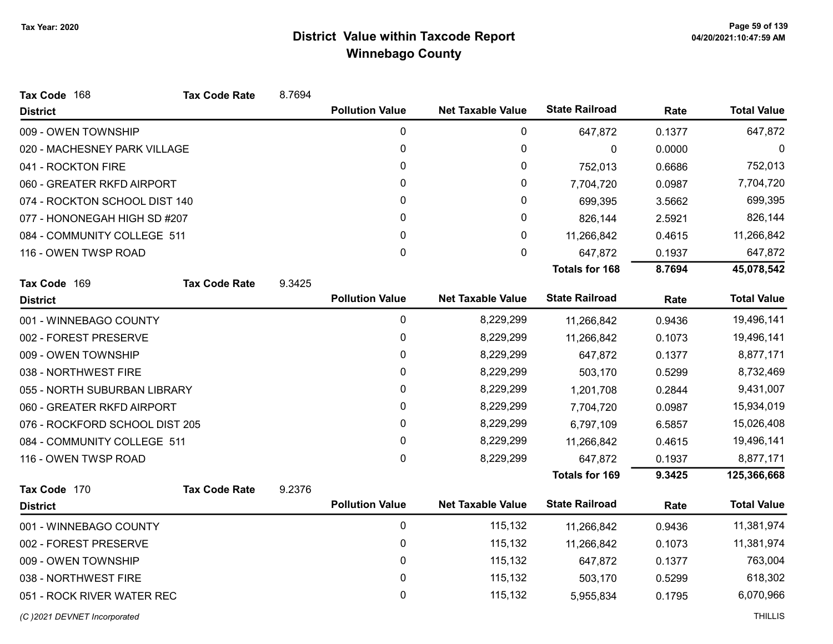| Tax Code 168                   | <b>Tax Code Rate</b> | 8.7694 |                        |                          |                       |        |                    |
|--------------------------------|----------------------|--------|------------------------|--------------------------|-----------------------|--------|--------------------|
| <b>District</b>                |                      |        | <b>Pollution Value</b> | <b>Net Taxable Value</b> | <b>State Railroad</b> | Rate   | <b>Total Value</b> |
| 009 - OWEN TOWNSHIP            |                      |        | 0                      | 0                        | 647,872               | 0.1377 | 647,872            |
| 020 - MACHESNEY PARK VILLAGE   |                      |        | 0                      | 0                        | $\mathbf 0$           | 0.0000 | 0                  |
| 041 - ROCKTON FIRE             |                      |        | 0                      | 0                        | 752,013               | 0.6686 | 752,013            |
| 060 - GREATER RKFD AIRPORT     |                      |        | 0                      | 0                        | 7,704,720             | 0.0987 | 7,704,720          |
| 074 - ROCKTON SCHOOL DIST 140  |                      |        | 0                      | 0                        | 699,395               | 3.5662 | 699,395            |
| 077 - HONONEGAH HIGH SD #207   |                      |        | 0                      | 0                        | 826,144               | 2.5921 | 826,144            |
| 084 - COMMUNITY COLLEGE 511    |                      |        | 0                      | 0                        | 11,266,842            | 0.4615 | 11,266,842         |
| 116 - OWEN TWSP ROAD           |                      |        | 0                      | 0                        | 647,872               | 0.1937 | 647,872            |
|                                |                      |        |                        |                          | <b>Totals for 168</b> | 8.7694 | 45,078,542         |
| Tax Code 169                   | <b>Tax Code Rate</b> | 9.3425 |                        |                          |                       |        |                    |
| <b>District</b>                |                      |        | <b>Pollution Value</b> | <b>Net Taxable Value</b> | <b>State Railroad</b> | Rate   | <b>Total Value</b> |
| 001 - WINNEBAGO COUNTY         |                      |        | 0                      | 8,229,299                | 11,266,842            | 0.9436 | 19,496,141         |
| 002 - FOREST PRESERVE          |                      |        | 0                      | 8,229,299                | 11,266,842            | 0.1073 | 19,496,141         |
| 009 - OWEN TOWNSHIP            |                      |        | 0                      | 8,229,299                | 647,872               | 0.1377 | 8,877,171          |
| 038 - NORTHWEST FIRE           |                      |        | 0                      | 8,229,299                | 503,170               | 0.5299 | 8,732,469          |
| 055 - NORTH SUBURBAN LIBRARY   |                      |        | 0                      | 8,229,299                | 1,201,708             | 0.2844 | 9,431,007          |
| 060 - GREATER RKFD AIRPORT     |                      |        | 0                      | 8,229,299                | 7,704,720             | 0.0987 | 15,934,019         |
| 076 - ROCKFORD SCHOOL DIST 205 |                      |        | 0                      | 8,229,299                | 6,797,109             | 6.5857 | 15,026,408         |
| 084 - COMMUNITY COLLEGE 511    |                      |        | 0                      | 8,229,299                | 11,266,842            | 0.4615 | 19,496,141         |
| 116 - OWEN TWSP ROAD           |                      |        | 0                      | 8,229,299                | 647,872               | 0.1937 | 8,877,171          |
|                                |                      |        |                        |                          | <b>Totals for 169</b> | 9.3425 | 125,366,668        |
| Tax Code 170                   | <b>Tax Code Rate</b> | 9.2376 |                        |                          |                       |        |                    |
| <b>District</b>                |                      |        | <b>Pollution Value</b> | <b>Net Taxable Value</b> | <b>State Railroad</b> | Rate   | <b>Total Value</b> |
| 001 - WINNEBAGO COUNTY         |                      |        | 0                      | 115,132                  | 11,266,842            | 0.9436 | 11,381,974         |
| 002 - FOREST PRESERVE          |                      |        | 0                      | 115,132                  | 11,266,842            | 0.1073 | 11,381,974         |
| 009 - OWEN TOWNSHIP            |                      |        | 0                      | 115,132                  | 647,872               | 0.1377 | 763,004            |
| 038 - NORTHWEST FIRE           |                      |        | 0                      | 115,132                  | 503,170               | 0.5299 | 618,302            |
| 051 - ROCK RIVER WATER REC     |                      |        | 0                      | 115,132                  | 5,955,834             | 0.1795 | 6,070,966          |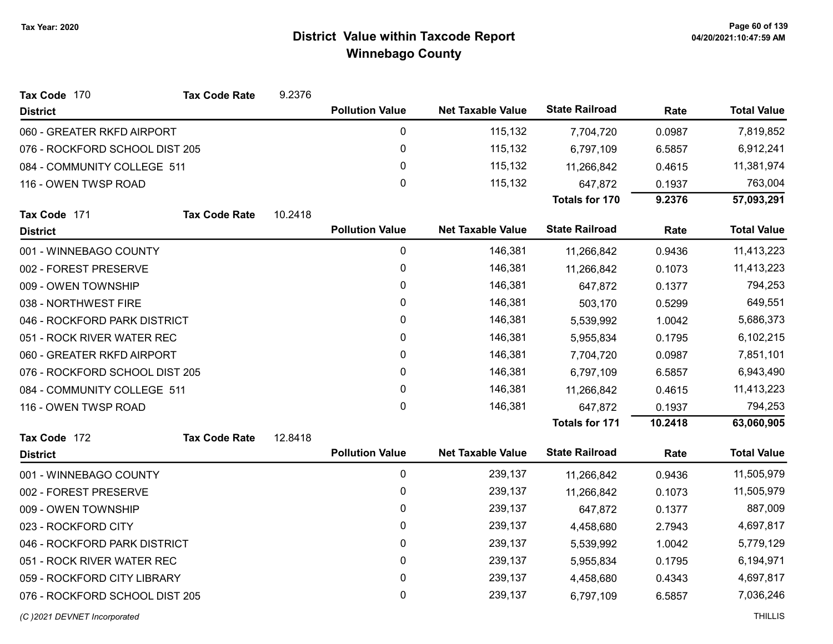| Tax Code 170                   | <b>Tax Code Rate</b> | 9.2376       |                        |                          |                       |           |                    |
|--------------------------------|----------------------|--------------|------------------------|--------------------------|-----------------------|-----------|--------------------|
| <b>District</b>                |                      |              | <b>Pollution Value</b> | <b>Net Taxable Value</b> | <b>State Railroad</b> | Rate      | <b>Total Value</b> |
| 060 - GREATER RKFD AIRPORT     |                      |              | 0                      | 115,132                  | 7,704,720             | 0.0987    | 7,819,852          |
| 076 - ROCKFORD SCHOOL DIST 205 |                      |              | 0                      | 115,132                  | 6,797,109             | 6.5857    | 6,912,241          |
| 084 - COMMUNITY COLLEGE 511    |                      |              | 0                      | 115,132                  | 11,266,842            | 0.4615    | 11,381,974         |
| 116 - OWEN TWSP ROAD           |                      |              | 0                      | 115,132                  | 647,872               | 0.1937    | 763,004            |
|                                |                      |              |                        |                          | Totals for 170        | 9.2376    | 57,093,291         |
| Tax Code 171                   | <b>Tax Code Rate</b> | 10.2418      |                        |                          |                       |           |                    |
| <b>District</b>                |                      |              | <b>Pollution Value</b> | <b>Net Taxable Value</b> | <b>State Railroad</b> | Rate      | <b>Total Value</b> |
| 001 - WINNEBAGO COUNTY         |                      |              | 0                      | 146,381                  | 11,266,842            | 0.9436    | 11,413,223         |
| 002 - FOREST PRESERVE          |                      |              | 0                      | 146,381                  | 11,266,842            | 0.1073    | 11,413,223         |
| 009 - OWEN TOWNSHIP            |                      |              | 0                      | 146,381                  | 647,872               | 0.1377    | 794,253            |
| 038 - NORTHWEST FIRE           |                      |              | 0                      | 146,381                  | 503,170               | 0.5299    | 649,551            |
| 046 - ROCKFORD PARK DISTRICT   |                      | 0            | 146,381                | 5,539,992                | 1.0042                | 5,686,373 |                    |
| 051 - ROCK RIVER WATER REC     |                      | 0            | 146,381                | 5,955,834                | 0.1795                | 6,102,215 |                    |
| 060 - GREATER RKFD AIRPORT     |                      | $\mathbf{0}$ | 146,381                | 7,704,720                | 0.0987                | 7,851,101 |                    |
| 076 - ROCKFORD SCHOOL DIST 205 |                      |              | 0                      | 146,381                  | 6,797,109             | 6.5857    | 6,943,490          |
| 084 - COMMUNITY COLLEGE 511    |                      |              | 0                      | 146,381                  | 11,266,842            | 0.4615    | 11,413,223         |
| 116 - OWEN TWSP ROAD           |                      |              | $\mathbf{0}$           | 146,381                  | 647,872               | 0.1937    | 794,253            |
|                                |                      |              |                        |                          | <b>Totals for 171</b> | 10.2418   | 63,060,905         |
| Tax Code 172                   | <b>Tax Code Rate</b> | 12.8418      |                        |                          |                       |           |                    |
| <b>District</b>                |                      |              | <b>Pollution Value</b> | <b>Net Taxable Value</b> | <b>State Railroad</b> | Rate      | <b>Total Value</b> |
| 001 - WINNEBAGO COUNTY         |                      |              | 0                      | 239,137                  | 11,266,842            | 0.9436    | 11,505,979         |
| 002 - FOREST PRESERVE          |                      |              | 0                      | 239,137                  | 11,266,842            | 0.1073    | 11,505,979         |
| 009 - OWEN TOWNSHIP            |                      |              | 0                      | 239,137                  | 647,872               | 0.1377    | 887,009            |
| 023 - ROCKFORD CITY            |                      |              | $\mathbf{0}$           | 239,137                  | 4,458,680             | 2.7943    | 4,697,817          |
| 046 - ROCKFORD PARK DISTRICT   |                      |              | 0                      | 239,137                  | 5,539,992             | 1.0042    | 5,779,129          |
| 051 - ROCK RIVER WATER REC     |                      |              | 0                      | 239,137                  | 5,955,834             | 0.1795    | 6,194,971          |
| 059 - ROCKFORD CITY LIBRARY    |                      |              | 0                      | 239,137                  | 4,458,680             | 0.4343    | 4,697,817          |
| 076 - ROCKFORD SCHOOL DIST 205 |                      |              | 0                      | 239,137                  | 6,797,109             | 6.5857    | 7,036,246          |
| (C) 2021 DEVNET Incorporated   |                      |              |                        |                          |                       |           | <b>THILLIS</b>     |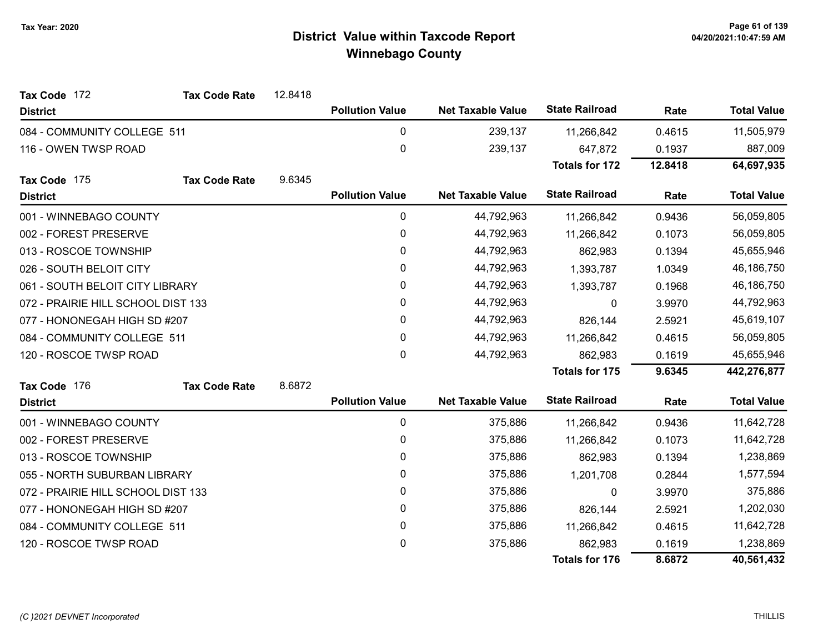| Tax Code 172                       | <b>Tax Code Rate</b> | 12.8418 |                        |                          |                       |            |                    |
|------------------------------------|----------------------|---------|------------------------|--------------------------|-----------------------|------------|--------------------|
| <b>District</b>                    |                      |         | <b>Pollution Value</b> | <b>Net Taxable Value</b> | <b>State Railroad</b> | Rate       | <b>Total Value</b> |
| 084 - COMMUNITY COLLEGE 511        |                      |         | 0                      | 239,137                  | 11,266,842            | 0.4615     | 11,505,979         |
| 116 - OWEN TWSP ROAD               |                      |         | $\pmb{0}$              | 239,137                  | 647,872               | 0.1937     | 887,009            |
|                                    |                      |         |                        |                          | <b>Totals for 172</b> | 12.8418    | 64,697,935         |
| Tax Code 175                       | <b>Tax Code Rate</b> | 9.6345  |                        |                          |                       |            |                    |
| <b>District</b>                    |                      |         | <b>Pollution Value</b> | <b>Net Taxable Value</b> | <b>State Railroad</b> | Rate       | <b>Total Value</b> |
| 001 - WINNEBAGO COUNTY             |                      |         | 0                      | 44,792,963               | 11,266,842            | 0.9436     | 56,059,805         |
| 002 - FOREST PRESERVE              |                      |         | 0                      | 44,792,963               | 11,266,842            | 0.1073     | 56,059,805         |
| 013 - ROSCOE TOWNSHIP              |                      |         | $\mathbf{0}$           | 44,792,963               | 862,983               | 0.1394     | 45,655,946         |
| 026 - SOUTH BELOIT CITY            |                      |         | 0                      | 44,792,963               | 1,393,787             | 1.0349     | 46,186,750         |
| 061 - SOUTH BELOIT CITY LIBRARY    |                      | 0       | 44,792,963             | 1,393,787                | 0.1968                | 46,186,750 |                    |
| 072 - PRAIRIE HILL SCHOOL DIST 133 |                      |         | 0                      | 44,792,963               | 0                     | 3.9970     | 44,792,963         |
| 077 - HONONEGAH HIGH SD #207       |                      | 0       | 44,792,963             | 826,144                  | 2.5921                | 45,619,107 |                    |
| 084 - COMMUNITY COLLEGE 511        |                      |         | 0                      | 44,792,963               | 11,266,842            | 0.4615     | 56,059,805         |
| 120 - ROSCOE TWSP ROAD             |                      |         | 0                      | 44,792,963               | 862,983               | 0.1619     | 45,655,946         |
|                                    |                      |         |                        |                          | <b>Totals for 175</b> | 9.6345     | 442,276,877        |
| Tax Code 176                       | <b>Tax Code Rate</b> | 8.6872  |                        |                          |                       |            |                    |
| <b>District</b>                    |                      |         | <b>Pollution Value</b> | <b>Net Taxable Value</b> | <b>State Railroad</b> | Rate       | <b>Total Value</b> |
| 001 - WINNEBAGO COUNTY             |                      |         | 0                      | 375,886                  | 11,266,842            | 0.9436     | 11,642,728         |
| 002 - FOREST PRESERVE              |                      |         | 0                      | 375,886                  | 11,266,842            | 0.1073     | 11,642,728         |
| 013 - ROSCOE TOWNSHIP              |                      |         | 0                      | 375,886                  | 862,983               | 0.1394     | 1,238,869          |
| 055 - NORTH SUBURBAN LIBRARY       |                      |         | 0                      | 375,886                  | 1,201,708             | 0.2844     | 1,577,594          |
| 072 - PRAIRIE HILL SCHOOL DIST 133 |                      |         | 0                      | 375,886                  | $\Omega$              | 3.9970     | 375,886            |
| 077 - HONONEGAH HIGH SD #207       |                      |         | 0                      | 375,886                  | 826,144               | 2.5921     | 1,202,030          |
| 084 - COMMUNITY COLLEGE 511        |                      |         | 0                      | 375,886                  | 11,266,842            | 0.4615     | 11,642,728         |
| 120 - ROSCOE TWSP ROAD             |                      |         | 0                      | 375,886                  | 862,983               | 0.1619     | 1,238,869          |
|                                    |                      |         |                        |                          | <b>Totals for 176</b> | 8.6872     | 40,561,432         |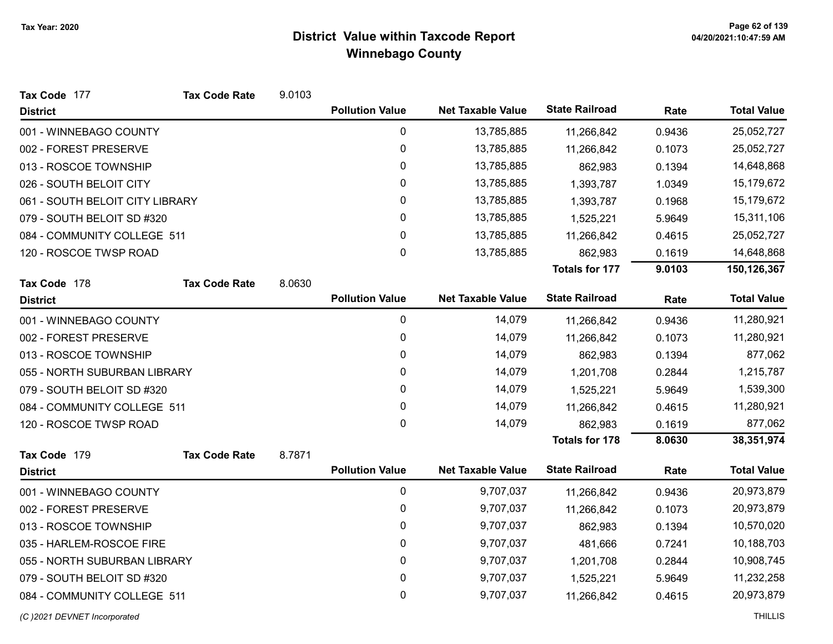| <b>Tax Code Rate</b>            | 9.0103                                       |                        |                                                  |                                                      |                                                |                    |
|---------------------------------|----------------------------------------------|------------------------|--------------------------------------------------|------------------------------------------------------|------------------------------------------------|--------------------|
|                                 |                                              | <b>Pollution Value</b> | <b>Net Taxable Value</b>                         | <b>State Railroad</b>                                | Rate                                           | <b>Total Value</b> |
|                                 |                                              | $\pmb{0}$              | 13,785,885                                       | 11,266,842                                           | 0.9436                                         | 25,052,727         |
|                                 |                                              | 0                      | 13,785,885                                       | 11,266,842                                           | 0.1073                                         | 25,052,727         |
|                                 |                                              | 0                      | 13,785,885                                       | 862,983                                              | 0.1394                                         | 14,648,868         |
|                                 |                                              | 0                      | 13,785,885                                       | 1,393,787                                            | 1.0349                                         | 15,179,672         |
| 061 - SOUTH BELOIT CITY LIBRARY |                                              | 0                      | 13,785,885                                       | 1,393,787                                            | 0.1968                                         | 15,179,672         |
|                                 |                                              | 0                      | 13,785,885                                       | 1,525,221                                            | 5.9649                                         | 15,311,106         |
| 084 - COMMUNITY COLLEGE 511     |                                              | 0                      | 13,785,885                                       | 11,266,842                                           | 0.4615                                         | 25,052,727         |
|                                 |                                              | 0                      | 13,785,885                                       | 862,983                                              | 0.1619                                         | 14,648,868         |
|                                 |                                              |                        |                                                  | <b>Totals for 177</b>                                | 9.0103                                         | 150,126,367        |
|                                 |                                              |                        |                                                  |                                                      |                                                |                    |
|                                 |                                              |                        |                                                  |                                                      |                                                | <b>Total Value</b> |
|                                 |                                              | 0                      | 14,079                                           | 11,266,842                                           | 0.9436                                         | 11,280,921         |
|                                 |                                              | 0                      | 14,079                                           | 11,266,842                                           | 0.1073                                         | 11,280,921         |
|                                 |                                              | 0                      | 14,079                                           | 862,983                                              | 0.1394                                         | 877,062            |
| 055 - NORTH SUBURBAN LIBRARY    |                                              | 0                      | 14,079                                           | 1,201,708                                            | 0.2844                                         | 1,215,787          |
|                                 |                                              | 0                      | 14,079                                           | 1,525,221                                            | 5.9649                                         | 1,539,300          |
| 084 - COMMUNITY COLLEGE 511     |                                              | 0                      | 14,079                                           | 11,266,842                                           | 0.4615                                         | 11,280,921         |
|                                 |                                              | 0                      | 14,079                                           | 862,983                                              | 0.1619                                         | 877,062            |
|                                 |                                              |                        |                                                  | <b>Totals for 178</b>                                | 8.0630                                         | 38,351,974         |
|                                 |                                              |                        |                                                  |                                                      |                                                |                    |
|                                 |                                              |                        |                                                  |                                                      |                                                | <b>Total Value</b> |
|                                 |                                              | $\pmb{0}$              | 9,707,037                                        | 11,266,842                                           | 0.9436                                         | 20,973,879         |
|                                 |                                              | 0                      | 9,707,037                                        | 11,266,842                                           | 0.1073                                         | 20,973,879         |
|                                 |                                              | $\mathbf 0$            | 9,707,037                                        | 862,983                                              | 0.1394                                         | 10,570,020         |
|                                 |                                              | $\mathbf{0}$           | 9,707,037                                        | 481,666                                              | 0.7241                                         | 10,188,703         |
| 055 - NORTH SUBURBAN LIBRARY    |                                              | $\pmb{0}$              | 9,707,037                                        | 1,201,708                                            | 0.2844                                         | 10,908,745         |
|                                 |                                              | 0                      | 9,707,037                                        | 1,525,221                                            | 5.9649                                         | 11,232,258         |
| 084 - COMMUNITY COLLEGE 511     |                                              | 0                      | 9,707,037                                        | 11,266,842                                           | 0.4615                                         | 20,973,879         |
|                                 | <b>Tax Code Rate</b><br><b>Tax Code Rate</b> | 8.0630<br>8.7871       | <b>Pollution Value</b><br><b>Pollution Value</b> | <b>Net Taxable Value</b><br><b>Net Taxable Value</b> | <b>State Railroad</b><br><b>State Railroad</b> | Rate<br>Rate       |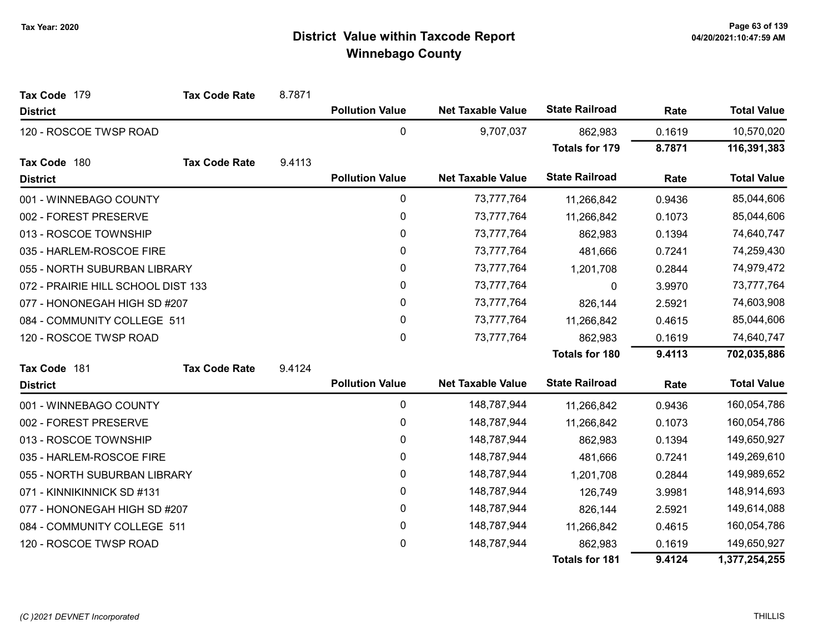| Tax Code 179                       | <b>Tax Code Rate</b> | 8.7871 |                        |                          |                       |            |                    |
|------------------------------------|----------------------|--------|------------------------|--------------------------|-----------------------|------------|--------------------|
| <b>District</b>                    |                      |        | <b>Pollution Value</b> | <b>Net Taxable Value</b> | <b>State Railroad</b> | Rate       | <b>Total Value</b> |
| 120 - ROSCOE TWSP ROAD             |                      |        | 0                      | 9,707,037                | 862,983               | 0.1619     | 10,570,020         |
|                                    |                      |        |                        |                          | <b>Totals for 179</b> | 8.7871     | 116,391,383        |
| Tax Code 180                       | <b>Tax Code Rate</b> | 9.4113 |                        |                          |                       |            |                    |
| <b>District</b>                    |                      |        | <b>Pollution Value</b> | <b>Net Taxable Value</b> | <b>State Railroad</b> | Rate       | <b>Total Value</b> |
| 001 - WINNEBAGO COUNTY             |                      |        | $\pmb{0}$              | 73,777,764               | 11,266,842            | 0.9436     | 85,044,606         |
| 002 - FOREST PRESERVE              |                      |        | $\pmb{0}$              | 73,777,764               | 11,266,842            | 0.1073     | 85,044,606         |
| 013 - ROSCOE TOWNSHIP              |                      |        | $\pmb{0}$              | 73,777,764               | 862,983               | 0.1394     | 74,640,747         |
| 035 - HARLEM-ROSCOE FIRE           |                      | 0      | 73,777,764             | 481,666                  | 0.7241                | 74,259,430 |                    |
| 055 - NORTH SUBURBAN LIBRARY       |                      |        | $\pmb{0}$              | 73,777,764               | 1,201,708             | 0.2844     | 74,979,472         |
| 072 - PRAIRIE HILL SCHOOL DIST 133 |                      |        | 0                      | 73,777,764               | 0                     | 3.9970     | 73,777,764         |
| 077 - HONONEGAH HIGH SD #207       |                      |        | 0                      | 73,777,764               | 826,144               | 2.5921     | 74,603,908         |
| 084 - COMMUNITY COLLEGE 511        |                      |        | $\mathbf 0$            | 73,777,764               | 11,266,842            | 0.4615     | 85,044,606         |
| 120 - ROSCOE TWSP ROAD             |                      |        | 0                      | 73,777,764               | 862,983               | 0.1619     | 74,640,747         |
|                                    |                      |        |                        |                          | <b>Totals for 180</b> | 9.4113     | 702,035,886        |
| Tax Code 181                       | <b>Tax Code Rate</b> | 9.4124 |                        |                          |                       |            |                    |
| <b>District</b>                    |                      |        | <b>Pollution Value</b> | <b>Net Taxable Value</b> | <b>State Railroad</b> | Rate       | <b>Total Value</b> |
| 001 - WINNEBAGO COUNTY             |                      |        | 0                      | 148,787,944              | 11,266,842            | 0.9436     | 160,054,786        |
| 002 - FOREST PRESERVE              |                      |        | $\pmb{0}$              | 148,787,944              | 11,266,842            | 0.1073     | 160,054,786        |
| 013 - ROSCOE TOWNSHIP              |                      |        | 0                      | 148,787,944              | 862,983               | 0.1394     | 149,650,927        |
| 035 - HARLEM-ROSCOE FIRE           |                      |        | $\mathbf{0}$           | 148,787,944              | 481,666               | 0.7241     | 149,269,610        |
| 055 - NORTH SUBURBAN LIBRARY       |                      |        | 0                      | 148,787,944              | 1,201,708             | 0.2844     | 149,989,652        |
| 071 - KINNIKINNICK SD #131         |                      |        | $\pmb{0}$              | 148,787,944              | 126,749               | 3.9981     | 148,914,693        |
| 077 - HONONEGAH HIGH SD #207       |                      |        | 0                      | 148,787,944              | 826,144               | 2.5921     | 149,614,088        |
| 084 - COMMUNITY COLLEGE 511        |                      |        | 0                      | 148,787,944              | 11,266,842            | 0.4615     | 160,054,786        |
| 120 - ROSCOE TWSP ROAD             |                      |        | 0                      | 148,787,944              | 862,983               | 0.1619     | 149,650,927        |
|                                    |                      |        |                        |                          | <b>Totals for 181</b> | 9.4124     | 1,377,254,255      |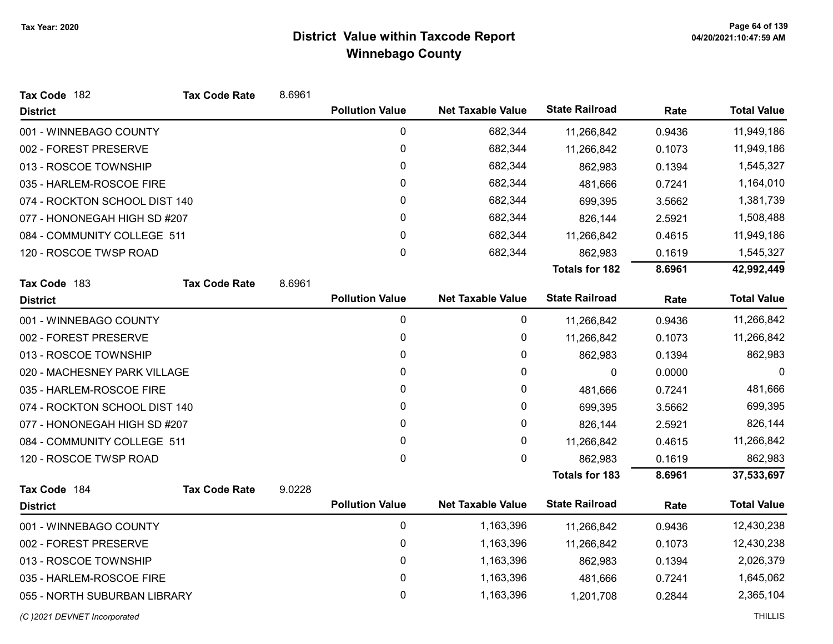| Tax Code 182                  | <b>Tax Code Rate</b> | 8.6961 |                        |                          |                       |        |                    |
|-------------------------------|----------------------|--------|------------------------|--------------------------|-----------------------|--------|--------------------|
| <b>District</b>               |                      |        | <b>Pollution Value</b> | <b>Net Taxable Value</b> | <b>State Railroad</b> | Rate   | <b>Total Value</b> |
| 001 - WINNEBAGO COUNTY        |                      |        | $\mathbf 0$            | 682,344                  | 11,266,842            | 0.9436 | 11,949,186         |
| 002 - FOREST PRESERVE         |                      |        | 0                      | 682,344                  | 11,266,842            | 0.1073 | 11,949,186         |
| 013 - ROSCOE TOWNSHIP         |                      |        | 0                      | 682,344                  | 862,983               | 0.1394 | 1,545,327          |
| 035 - HARLEM-ROSCOE FIRE      |                      |        | 0                      | 682,344                  | 481,666               | 0.7241 | 1,164,010          |
| 074 - ROCKTON SCHOOL DIST 140 |                      |        | 0                      | 682,344                  | 699,395               | 3.5662 | 1,381,739          |
| 077 - HONONEGAH HIGH SD #207  |                      |        | 0                      | 682,344                  | 826,144               | 2.5921 | 1,508,488          |
| 084 - COMMUNITY COLLEGE 511   |                      |        | 0                      | 682,344                  | 11,266,842            | 0.4615 | 11,949,186         |
| 120 - ROSCOE TWSP ROAD        |                      |        | 0                      | 682,344                  | 862,983               | 0.1619 | 1,545,327          |
|                               |                      |        |                        |                          | <b>Totals for 182</b> | 8.6961 | 42,992,449         |
| Tax Code 183                  | <b>Tax Code Rate</b> | 8.6961 |                        |                          |                       |        |                    |
| <b>District</b>               |                      |        | <b>Pollution Value</b> | <b>Net Taxable Value</b> | <b>State Railroad</b> | Rate   | <b>Total Value</b> |
| 001 - WINNEBAGO COUNTY        |                      |        | $\mathbf 0$            | 0                        | 11,266,842            | 0.9436 | 11,266,842         |
| 002 - FOREST PRESERVE         |                      |        | 0                      | 0                        | 11,266,842            | 0.1073 | 11,266,842         |
| 013 - ROSCOE TOWNSHIP         |                      |        | 0                      | 0                        | 862,983               | 0.1394 | 862,983            |
| 020 - MACHESNEY PARK VILLAGE  |                      |        | 0                      | 0                        | 0                     | 0.0000 | 0                  |
| 035 - HARLEM-ROSCOE FIRE      |                      |        | 0                      | 0                        | 481,666               | 0.7241 | 481,666            |
| 074 - ROCKTON SCHOOL DIST 140 |                      |        | 0                      | 0                        | 699,395               | 3.5662 | 699,395            |
| 077 - HONONEGAH HIGH SD #207  |                      |        | 0                      | 0                        | 826,144               | 2.5921 | 826,144            |
| 084 - COMMUNITY COLLEGE 511   |                      |        | 0                      | 0                        | 11,266,842            | 0.4615 | 11,266,842         |
| 120 - ROSCOE TWSP ROAD        |                      |        | $\pmb{0}$              | 0                        | 862,983               | 0.1619 | 862,983            |
|                               |                      |        |                        |                          | <b>Totals for 183</b> | 8.6961 | 37,533,697         |
| Tax Code 184                  | <b>Tax Code Rate</b> | 9.0228 |                        |                          |                       |        |                    |
| <b>District</b>               |                      |        | <b>Pollution Value</b> | <b>Net Taxable Value</b> | <b>State Railroad</b> | Rate   | <b>Total Value</b> |
| 001 - WINNEBAGO COUNTY        |                      |        | 0                      | 1,163,396                | 11,266,842            | 0.9436 | 12,430,238         |
| 002 - FOREST PRESERVE         |                      |        | 0                      | 1,163,396                | 11,266,842            | 0.1073 | 12,430,238         |
| 013 - ROSCOE TOWNSHIP         |                      |        | 0                      | 1,163,396                | 862,983               | 0.1394 | 2,026,379          |
| 035 - HARLEM-ROSCOE FIRE      |                      |        | 0                      | 1,163,396                | 481,666               | 0.7241 | 1,645,062          |
| 055 - NORTH SUBURBAN LIBRARY  |                      |        | 0                      | 1,163,396                | 1,201,708             | 0.2844 | 2,365,104          |
| (C) 2021 DEVNET Incorporated  |                      |        |                        |                          |                       |        | <b>THILLIS</b>     |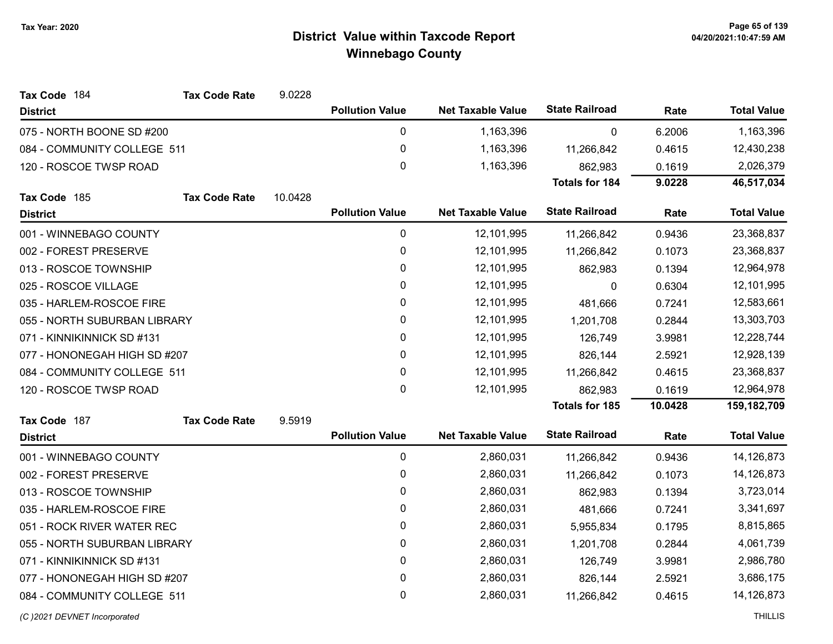| Tax Code 184                 | <b>Tax Code Rate</b> | 9.0228  |                        |                          |                       |         |                    |
|------------------------------|----------------------|---------|------------------------|--------------------------|-----------------------|---------|--------------------|
| <b>District</b>              |                      |         | <b>Pollution Value</b> | <b>Net Taxable Value</b> | <b>State Railroad</b> | Rate    | <b>Total Value</b> |
| 075 - NORTH BOONE SD #200    |                      |         | 0                      | 1,163,396                | $\mathbf 0$           | 6.2006  | 1,163,396          |
| 084 - COMMUNITY COLLEGE 511  |                      |         | 0                      | 1,163,396                | 11,266,842            | 0.4615  | 12,430,238         |
| 120 - ROSCOE TWSP ROAD       |                      |         | $\mathbf 0$            | 1,163,396                | 862,983               | 0.1619  | 2,026,379          |
|                              |                      |         |                        |                          | <b>Totals for 184</b> | 9.0228  | 46,517,034         |
| Tax Code 185                 | <b>Tax Code Rate</b> | 10.0428 |                        |                          |                       |         |                    |
| <b>District</b>              |                      |         | <b>Pollution Value</b> | <b>Net Taxable Value</b> | <b>State Railroad</b> | Rate    | <b>Total Value</b> |
| 001 - WINNEBAGO COUNTY       |                      |         | 0                      | 12,101,995               | 11,266,842            | 0.9436  | 23,368,837         |
| 002 - FOREST PRESERVE        |                      |         | 0                      | 12,101,995               | 11,266,842            | 0.1073  | 23,368,837         |
| 013 - ROSCOE TOWNSHIP        |                      |         | $\pmb{0}$              | 12,101,995               | 862,983               | 0.1394  | 12,964,978         |
| 025 - ROSCOE VILLAGE         |                      |         | 0                      | 12,101,995               | 0                     | 0.6304  | 12,101,995         |
| 035 - HARLEM-ROSCOE FIRE     |                      |         | $\mathbf 0$            | 12,101,995               | 481,666               | 0.7241  | 12,583,661         |
| 055 - NORTH SUBURBAN LIBRARY |                      |         | 0                      | 12,101,995               | 1,201,708             | 0.2844  | 13,303,703         |
| 071 - KINNIKINNICK SD #131   |                      |         | $\mathbf 0$            | 12,101,995               | 126,749               | 3.9981  | 12,228,744         |
| 077 - HONONEGAH HIGH SD #207 |                      |         | 0                      | 12,101,995               | 826,144               | 2.5921  | 12,928,139         |
| 084 - COMMUNITY COLLEGE 511  |                      |         | 0                      | 12,101,995               | 11,266,842            | 0.4615  | 23,368,837         |
| 120 - ROSCOE TWSP ROAD       |                      |         | $\mathbf 0$            | 12,101,995               | 862,983               | 0.1619  | 12,964,978         |
|                              |                      |         |                        |                          | <b>Totals for 185</b> | 10.0428 | 159,182,709        |
| Tax Code 187                 | <b>Tax Code Rate</b> | 9.5919  |                        |                          |                       |         |                    |
| <b>District</b>              |                      |         | <b>Pollution Value</b> | <b>Net Taxable Value</b> | <b>State Railroad</b> | Rate    | <b>Total Value</b> |
| 001 - WINNEBAGO COUNTY       |                      |         | $\mathbf 0$            | 2,860,031                | 11,266,842            | 0.9436  | 14,126,873         |
| 002 - FOREST PRESERVE        |                      |         | $\mathbf 0$            | 2,860,031                | 11,266,842            | 0.1073  | 14,126,873         |
| 013 - ROSCOE TOWNSHIP        |                      |         | $\mathbf 0$            | 2,860,031                | 862,983               | 0.1394  | 3,723,014          |
| 035 - HARLEM-ROSCOE FIRE     |                      |         | 0                      | 2,860,031                | 481,666               | 0.7241  | 3,341,697          |
| 051 - ROCK RIVER WATER REC   |                      |         | 0                      | 2,860,031                | 5,955,834             | 0.1795  | 8,815,865          |
| 055 - NORTH SUBURBAN LIBRARY |                      |         | 0                      | 2,860,031                | 1,201,708             | 0.2844  | 4,061,739          |
| 071 - KINNIKINNICK SD #131   |                      |         | $\mathbf 0$            | 2,860,031                | 126,749               | 3.9981  | 2,986,780          |
| 077 - HONONEGAH HIGH SD #207 |                      |         | $\mathbf 0$            | 2,860,031                | 826,144               | 2.5921  | 3,686,175          |
| 084 - COMMUNITY COLLEGE 511  |                      |         | 0                      | 2,860,031                | 11,266,842            | 0.4615  | 14,126,873         |
|                              |                      |         |                        |                          |                       |         |                    |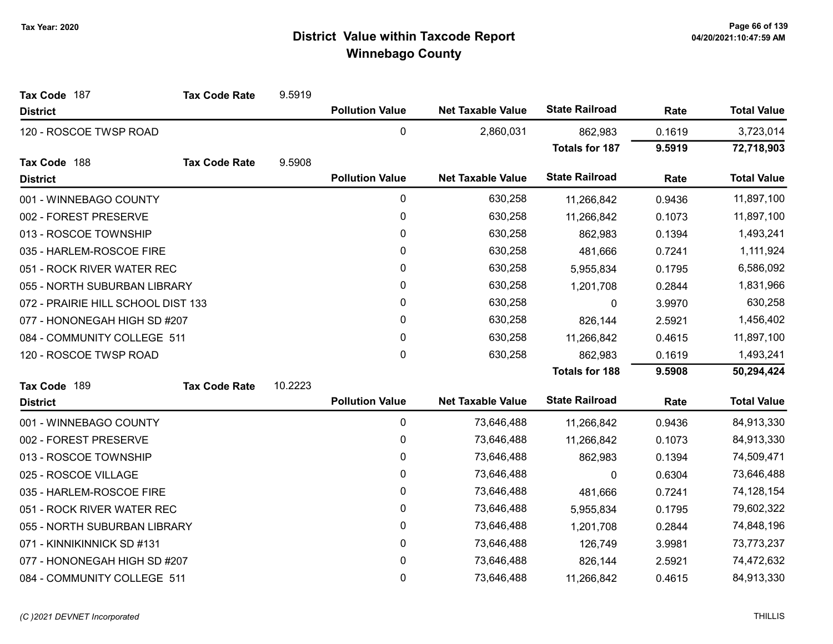| Tax Code 187                       | <b>Tax Code Rate</b> | 9.5919  |                        |                          |                       |           |                    |
|------------------------------------|----------------------|---------|------------------------|--------------------------|-----------------------|-----------|--------------------|
| <b>District</b>                    |                      |         | <b>Pollution Value</b> | <b>Net Taxable Value</b> | <b>State Railroad</b> | Rate      | <b>Total Value</b> |
| 120 - ROSCOE TWSP ROAD             |                      |         | $\mathbf{0}$           | 2,860,031                | 862,983               | 0.1619    | 3,723,014          |
|                                    |                      |         |                        |                          | <b>Totals for 187</b> | 9.5919    | 72,718,903         |
| Tax Code 188                       | <b>Tax Code Rate</b> | 9.5908  |                        |                          |                       |           |                    |
| <b>District</b>                    |                      |         | <b>Pollution Value</b> | <b>Net Taxable Value</b> | <b>State Railroad</b> | Rate      | <b>Total Value</b> |
| 001 - WINNEBAGO COUNTY             |                      |         | 0                      | 630,258                  | 11,266,842            | 0.9436    | 11,897,100         |
| 002 - FOREST PRESERVE              |                      |         | 0                      | 630,258                  | 11,266,842            | 0.1073    | 11,897,100         |
| 013 - ROSCOE TOWNSHIP              |                      |         | 0                      | 630,258                  | 862,983               | 0.1394    | 1,493,241          |
| 035 - HARLEM-ROSCOE FIRE           |                      |         | 0                      | 630,258                  | 481,666               | 0.7241    | 1,111,924          |
| 051 - ROCK RIVER WATER REC         |                      |         | 0                      | 630,258                  | 5,955,834             | 0.1795    | 6,586,092          |
| 055 - NORTH SUBURBAN LIBRARY       |                      | 0       | 630,258                | 1,201,708                | 0.2844                | 1,831,966 |                    |
| 072 - PRAIRIE HILL SCHOOL DIST 133 |                      | 0       | 630,258                | 0                        | 3.9970                | 630,258   |                    |
| 077 - HONONEGAH HIGH SD #207       |                      | 0       | 630,258                | 826,144                  | 2.5921                | 1,456,402 |                    |
| 084 - COMMUNITY COLLEGE 511        |                      |         | 0                      | 630,258                  | 11,266,842            | 0.4615    | 11,897,100         |
| 120 - ROSCOE TWSP ROAD             |                      |         | $\mathbf 0$            | 630,258                  | 862,983               | 0.1619    | 1,493,241          |
|                                    |                      |         |                        |                          | <b>Totals for 188</b> | 9.5908    | 50,294,424         |
| Tax Code 189                       | <b>Tax Code Rate</b> | 10.2223 |                        |                          |                       |           |                    |
| <b>District</b>                    |                      |         | <b>Pollution Value</b> | <b>Net Taxable Value</b> | <b>State Railroad</b> | Rate      | <b>Total Value</b> |
| 001 - WINNEBAGO COUNTY             |                      |         | 0                      | 73,646,488               | 11,266,842            | 0.9436    | 84,913,330         |
| 002 - FOREST PRESERVE              |                      |         | 0                      | 73,646,488               | 11,266,842            | 0.1073    | 84,913,330         |
| 013 - ROSCOE TOWNSHIP              |                      |         | 0                      | 73,646,488               | 862,983               | 0.1394    | 74,509,471         |
| 025 - ROSCOE VILLAGE               |                      |         | 0                      | 73,646,488               | 0                     | 0.6304    | 73,646,488         |
| 035 - HARLEM-ROSCOE FIRE           |                      |         | 0                      | 73,646,488               | 481,666               | 0.7241    | 74,128,154         |
| 051 - ROCK RIVER WATER REC         |                      |         | 0                      | 73,646,488               | 5,955,834             | 0.1795    | 79,602,322         |
| 055 - NORTH SUBURBAN LIBRARY       |                      |         | $\mathbf 0$            | 73,646,488               | 1,201,708             | 0.2844    | 74,848,196         |
| 071 - KINNIKINNICK SD #131         |                      |         | 0                      | 73,646,488               | 126,749               | 3.9981    | 73,773,237         |
| 077 - HONONEGAH HIGH SD #207       |                      |         | 0                      | 73,646,488               | 826,144               | 2.5921    | 74,472,632         |
| 084 - COMMUNITY COLLEGE 511        |                      |         | 0                      | 73,646,488               | 11,266,842            | 0.4615    | 84,913,330         |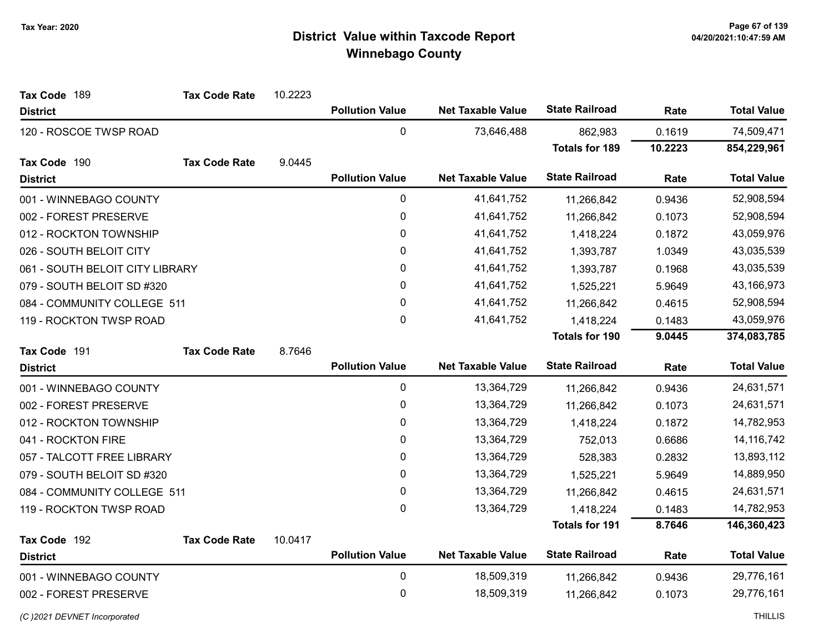| Tax Code 189                    | <b>Tax Code Rate</b> | 10.2223   |                        |                          |                       |            |                    |
|---------------------------------|----------------------|-----------|------------------------|--------------------------|-----------------------|------------|--------------------|
| <b>District</b>                 |                      |           | <b>Pollution Value</b> | <b>Net Taxable Value</b> | <b>State Railroad</b> | Rate       | <b>Total Value</b> |
| 120 - ROSCOE TWSP ROAD          |                      |           | 0                      | 73,646,488               | 862,983               | 0.1619     | 74,509,471         |
|                                 |                      |           |                        |                          | <b>Totals for 189</b> | 10.2223    | 854,229,961        |
| Tax Code 190                    | <b>Tax Code Rate</b> | 9.0445    |                        |                          |                       |            |                    |
| <b>District</b>                 |                      |           | <b>Pollution Value</b> | <b>Net Taxable Value</b> | <b>State Railroad</b> | Rate       | <b>Total Value</b> |
| 001 - WINNEBAGO COUNTY          |                      |           | 0                      | 41,641,752               | 11,266,842            | 0.9436     | 52,908,594         |
| 002 - FOREST PRESERVE           |                      |           | $\pmb{0}$              | 41,641,752               | 11,266,842            | 0.1073     | 52,908,594         |
| 012 - ROCKTON TOWNSHIP          |                      |           | $\pmb{0}$              | 41,641,752               | 1,418,224             | 0.1872     | 43,059,976         |
| 026 - SOUTH BELOIT CITY         |                      |           | $\pmb{0}$              | 41,641,752               | 1,393,787             | 1.0349     | 43,035,539         |
| 061 - SOUTH BELOIT CITY LIBRARY |                      |           | 0                      | 41,641,752               | 1,393,787             | 0.1968     | 43,035,539         |
| 079 - SOUTH BELOIT SD #320      |                      |           | 0                      | 41,641,752               | 1,525,221             | 5.9649     | 43,166,973         |
| 084 - COMMUNITY COLLEGE 511     |                      |           | 0                      | 41,641,752               | 11,266,842            | 0.4615     | 52,908,594         |
| 119 - ROCKTON TWSP ROAD         |                      |           | $\pmb{0}$              | 41,641,752               | 1,418,224             | 0.1483     | 43,059,976         |
|                                 |                      |           |                        |                          | <b>Totals for 190</b> | 9.0445     | 374,083,785        |
| Tax Code 191                    | <b>Tax Code Rate</b> | 8.7646    |                        |                          |                       |            |                    |
| <b>District</b>                 |                      |           | <b>Pollution Value</b> | <b>Net Taxable Value</b> | <b>State Railroad</b> | Rate       | <b>Total Value</b> |
| 001 - WINNEBAGO COUNTY          |                      |           | $\pmb{0}$              | 13,364,729               | 11,266,842            | 0.9436     | 24,631,571         |
| 002 - FOREST PRESERVE           |                      |           | $\pmb{0}$              | 13,364,729               | 11,266,842            | 0.1073     | 24,631,571         |
| 012 - ROCKTON TOWNSHIP          |                      |           | 0                      | 13,364,729               | 1,418,224             | 0.1872     | 14,782,953         |
| 041 - ROCKTON FIRE              |                      |           | 0                      | 13,364,729               | 752,013               | 0.6686     | 14, 116, 742       |
| 057 - TALCOTT FREE LIBRARY      |                      |           | 0                      | 13,364,729               | 528,383               | 0.2832     | 13,893,112         |
| 079 - SOUTH BELOIT SD #320      |                      |           | $\pmb{0}$              | 13,364,729               | 1,525,221             | 5.9649     | 14,889,950         |
| 084 - COMMUNITY COLLEGE 511     |                      |           | 0                      | 13,364,729               | 11,266,842            | 0.4615     | 24,631,571         |
| 119 - ROCKTON TWSP ROAD         |                      |           | 0                      | 13,364,729               | 1,418,224             | 0.1483     | 14,782,953         |
|                                 |                      |           |                        |                          | <b>Totals for 191</b> | 8.7646     | 146,360,423        |
| Tax Code 192                    | <b>Tax Code Rate</b> | 10.0417   |                        |                          |                       |            |                    |
| <b>District</b>                 |                      |           | <b>Pollution Value</b> | <b>Net Taxable Value</b> | <b>State Railroad</b> | Rate       | <b>Total Value</b> |
| 001 - WINNEBAGO COUNTY          |                      |           | $\mathbf 0$            | 18,509,319               | 11,266,842            | 0.9436     | 29,776,161         |
| 002 - FOREST PRESERVE           |                      | $\pmb{0}$ | 18,509,319             | 11,266,842               | 0.1073                | 29,776,161 |                    |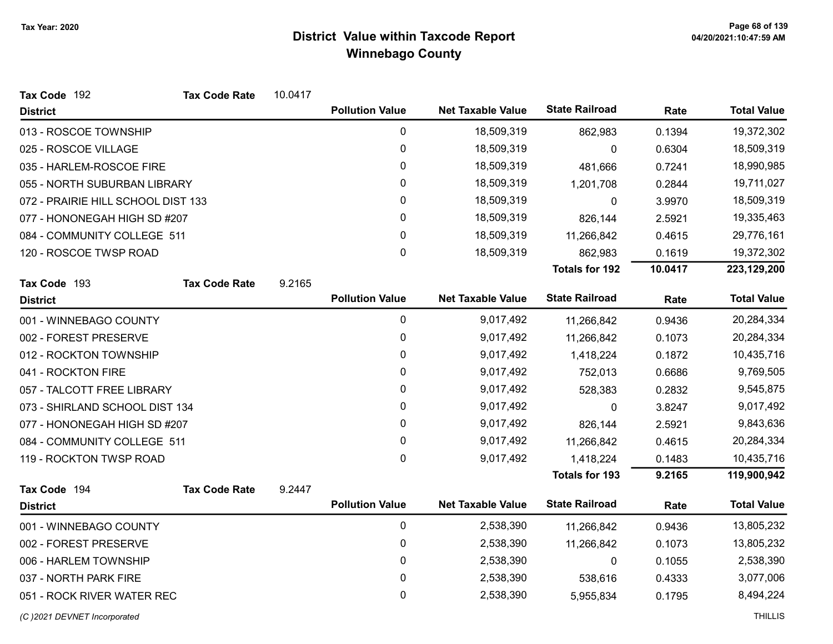| Tax Code 192                       | <b>Tax Code Rate</b> | 10.0417 |                        |                          |                       |         |                    |
|------------------------------------|----------------------|---------|------------------------|--------------------------|-----------------------|---------|--------------------|
| <b>District</b>                    |                      |         | <b>Pollution Value</b> | <b>Net Taxable Value</b> | <b>State Railroad</b> | Rate    | <b>Total Value</b> |
| 013 - ROSCOE TOWNSHIP              |                      |         | $\pmb{0}$              | 18,509,319               | 862,983               | 0.1394  | 19,372,302         |
| 025 - ROSCOE VILLAGE               |                      |         | 0                      | 18,509,319               | 0                     | 0.6304  | 18,509,319         |
| 035 - HARLEM-ROSCOE FIRE           |                      |         | 0                      | 18,509,319               | 481,666               | 0.7241  | 18,990,985         |
| 055 - NORTH SUBURBAN LIBRARY       |                      |         | 0                      | 18,509,319               | 1,201,708             | 0.2844  | 19,711,027         |
| 072 - PRAIRIE HILL SCHOOL DIST 133 |                      |         | 0                      | 18,509,319               | 0                     | 3.9970  | 18,509,319         |
| 077 - HONONEGAH HIGH SD #207       |                      |         | $\pmb{0}$              | 18,509,319               | 826,144               | 2.5921  | 19,335,463         |
| 084 - COMMUNITY COLLEGE 511        |                      |         | 0                      | 18,509,319               | 11,266,842            | 0.4615  | 29,776,161         |
| 120 - ROSCOE TWSP ROAD             |                      |         | 0                      | 18,509,319               | 862,983               | 0.1619  | 19,372,302         |
|                                    |                      |         |                        |                          | <b>Totals for 192</b> | 10.0417 | 223,129,200        |
| Tax Code 193                       | <b>Tax Code Rate</b> | 9.2165  |                        |                          |                       |         |                    |
| <b>District</b>                    |                      |         | <b>Pollution Value</b> | <b>Net Taxable Value</b> | <b>State Railroad</b> | Rate    | <b>Total Value</b> |
| 001 - WINNEBAGO COUNTY             |                      |         | 0                      | 9,017,492                | 11,266,842            | 0.9436  | 20,284,334         |
| 002 - FOREST PRESERVE              |                      |         | 0                      | 9,017,492                | 11,266,842            | 0.1073  | 20,284,334         |
| 012 - ROCKTON TOWNSHIP             |                      |         | $\pmb{0}$              | 9,017,492                | 1,418,224             | 0.1872  | 10,435,716         |
| 041 - ROCKTON FIRE                 |                      |         | 0                      | 9,017,492                | 752,013               | 0.6686  | 9,769,505          |
| 057 - TALCOTT FREE LIBRARY         |                      |         | 0                      | 9,017,492                | 528,383               | 0.2832  | 9,545,875          |
| 073 - SHIRLAND SCHOOL DIST 134     |                      |         | 0                      | 9,017,492                | 0                     | 3.8247  | 9,017,492          |
| 077 - HONONEGAH HIGH SD #207       |                      |         | 0                      | 9,017,492                | 826,144               | 2.5921  | 9,843,636          |
| 084 - COMMUNITY COLLEGE 511        |                      |         | 0                      | 9,017,492                | 11,266,842            | 0.4615  | 20,284,334         |
| 119 - ROCKTON TWSP ROAD            |                      |         | 0                      | 9,017,492                | 1,418,224             | 0.1483  | 10,435,716         |
|                                    |                      |         |                        |                          | <b>Totals for 193</b> | 9.2165  | 119,900,942        |
| Tax Code 194                       | <b>Tax Code Rate</b> | 9.2447  |                        |                          |                       |         |                    |
| <b>District</b>                    |                      |         | <b>Pollution Value</b> | <b>Net Taxable Value</b> | <b>State Railroad</b> | Rate    | <b>Total Value</b> |
| 001 - WINNEBAGO COUNTY             |                      |         | $\mathbf 0$            | 2,538,390                | 11,266,842            | 0.9436  | 13,805,232         |
| 002 - FOREST PRESERVE              |                      |         | $\pmb{0}$              | 2,538,390                | 11,266,842            | 0.1073  | 13,805,232         |
| 006 - HARLEM TOWNSHIP              |                      |         | $\pmb{0}$              | 2,538,390                | 0                     | 0.1055  | 2,538,390          |
| 037 - NORTH PARK FIRE              |                      |         | 0                      | 2,538,390                | 538,616               | 0.4333  | 3,077,006          |
| 051 - ROCK RIVER WATER REC         |                      |         | 0                      | 2,538,390                | 5,955,834             | 0.1795  | 8,494,224          |

(C)2021 DEVNET Incorporated THILLIS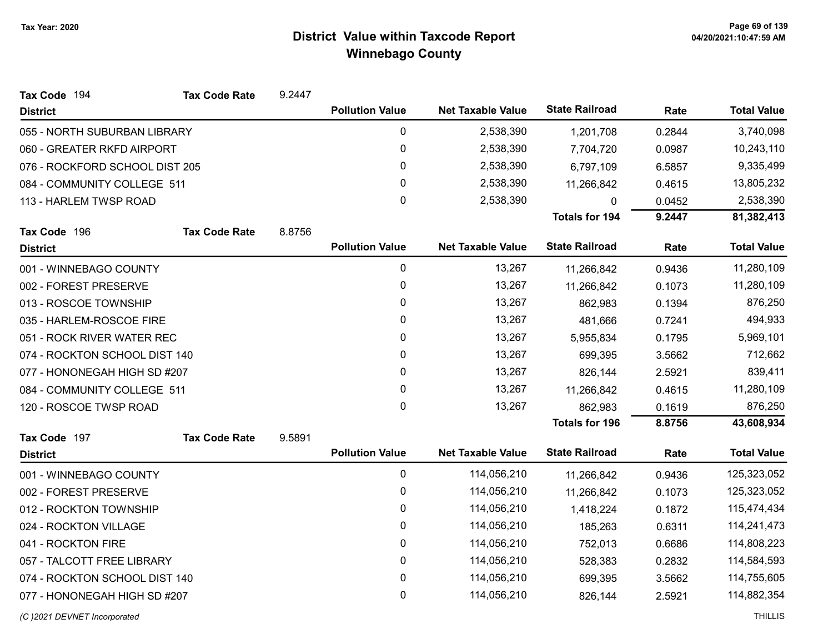| Tax Code 194                   | <b>Tax Code Rate</b> | 9.2447 |                        |                          |                       |           |                    |
|--------------------------------|----------------------|--------|------------------------|--------------------------|-----------------------|-----------|--------------------|
| <b>District</b>                |                      |        | <b>Pollution Value</b> | <b>Net Taxable Value</b> | <b>State Railroad</b> | Rate      | <b>Total Value</b> |
| 055 - NORTH SUBURBAN LIBRARY   |                      |        | $\mathbf 0$            | 2,538,390                | 1,201,708             | 0.2844    | 3,740,098          |
| 060 - GREATER RKFD AIRPORT     |                      |        | 0                      | 2,538,390                | 7,704,720             | 0.0987    | 10,243,110         |
| 076 - ROCKFORD SCHOOL DIST 205 |                      |        | $\mathbf 0$            | 2,538,390                | 6,797,109             | 6.5857    | 9,335,499          |
| 084 - COMMUNITY COLLEGE 511    |                      |        | 0                      | 2,538,390                | 11,266,842            | 0.4615    | 13,805,232         |
| 113 - HARLEM TWSP ROAD         |                      |        | 0                      | 2,538,390                | 0                     | 0.0452    | 2,538,390          |
|                                |                      |        |                        |                          | <b>Totals for 194</b> | 9.2447    | 81,382,413         |
| Tax Code 196                   | <b>Tax Code Rate</b> | 8.8756 |                        |                          |                       |           |                    |
| <b>District</b>                |                      |        | <b>Pollution Value</b> | <b>Net Taxable Value</b> | <b>State Railroad</b> | Rate      | <b>Total Value</b> |
| 001 - WINNEBAGO COUNTY         |                      |        | 0                      | 13,267                   | 11,266,842            | 0.9436    | 11,280,109         |
| 002 - FOREST PRESERVE          |                      |        | 0                      | 13,267                   | 11,266,842            | 0.1073    | 11,280,109         |
| 013 - ROSCOE TOWNSHIP          |                      |        | 0                      | 13,267                   | 862,983               | 0.1394    | 876,250            |
| 035 - HARLEM-ROSCOE FIRE       |                      |        | 0                      | 13,267                   | 481,666               | 0.7241    | 494,933            |
| 051 - ROCK RIVER WATER REC     |                      | 0      | 13,267                 | 5,955,834                | 0.1795                | 5,969,101 |                    |
| 074 - ROCKTON SCHOOL DIST 140  |                      | 0      | 13,267                 | 699,395                  | 3.5662                | 712,662   |                    |
| 077 - HONONEGAH HIGH SD #207   |                      |        | 0                      | 13,267                   | 826,144               | 2.5921    | 839,411            |
| 084 - COMMUNITY COLLEGE 511    |                      |        | 0                      | 13,267                   | 11,266,842            | 0.4615    | 11,280,109         |
| 120 - ROSCOE TWSP ROAD         |                      |        | 0                      | 13,267                   | 862,983               | 0.1619    | 876,250            |
|                                |                      |        |                        |                          | <b>Totals for 196</b> | 8.8756    | 43,608,934         |
| Tax Code 197                   | <b>Tax Code Rate</b> | 9.5891 |                        |                          |                       |           |                    |
| <b>District</b>                |                      |        | <b>Pollution Value</b> | <b>Net Taxable Value</b> | <b>State Railroad</b> | Rate      | <b>Total Value</b> |
| 001 - WINNEBAGO COUNTY         |                      |        | $\pmb{0}$              | 114,056,210              | 11,266,842            | 0.9436    | 125,323,052        |
| 002 - FOREST PRESERVE          |                      |        | $\mathbf{0}$           | 114,056,210              | 11,266,842            | 0.1073    | 125,323,052        |
| 012 - ROCKTON TOWNSHIP         |                      |        | 0                      | 114,056,210              | 1,418,224             | 0.1872    | 115,474,434        |
| 024 - ROCKTON VILLAGE          |                      |        | $\mathbf{0}$           | 114,056,210              | 185,263               | 0.6311    | 114,241,473        |
| 041 - ROCKTON FIRE             |                      |        | 0                      | 114,056,210              | 752,013               | 0.6686    | 114,808,223        |
| 057 - TALCOTT FREE LIBRARY     |                      |        | 0                      | 114,056,210              | 528,383               | 0.2832    | 114,584,593        |
| 074 - ROCKTON SCHOOL DIST 140  |                      |        | $\mathbf 0$            | 114,056,210              | 699,395               | 3.5662    | 114,755,605        |
| 077 - HONONEGAH HIGH SD #207   |                      |        | 0                      | 114,056,210              | 826,144               | 2.5921    | 114,882,354        |
| (C) 2021 DEVNET Incorporated   |                      |        |                        |                          |                       |           | <b>THILLIS</b>     |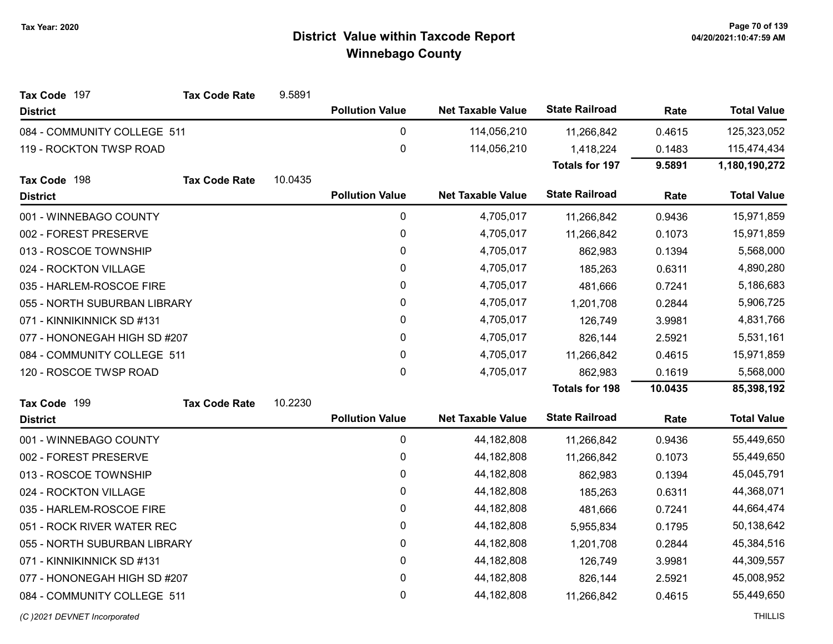| Tax Code 197                 | <b>Tax Code Rate</b> | 9.5891    |                        |                          |                       |           |                    |
|------------------------------|----------------------|-----------|------------------------|--------------------------|-----------------------|-----------|--------------------|
| <b>District</b>              |                      |           | <b>Pollution Value</b> | <b>Net Taxable Value</b> | <b>State Railroad</b> | Rate      | <b>Total Value</b> |
| 084 - COMMUNITY COLLEGE 511  |                      |           | $\mathbf 0$            | 114,056,210              | 11,266,842            | 0.4615    | 125,323,052        |
| 119 - ROCKTON TWSP ROAD      |                      |           | 0                      | 114,056,210              | 1,418,224             | 0.1483    | 115,474,434        |
|                              |                      |           |                        |                          | <b>Totals for 197</b> | 9.5891    | 1,180,190,272      |
| Tax Code 198                 | <b>Tax Code Rate</b> | 10.0435   |                        |                          |                       |           |                    |
| <b>District</b>              |                      |           | <b>Pollution Value</b> | <b>Net Taxable Value</b> | <b>State Railroad</b> | Rate      | <b>Total Value</b> |
| 001 - WINNEBAGO COUNTY       |                      |           | $\pmb{0}$              | 4,705,017                | 11,266,842            | 0.9436    | 15,971,859         |
| 002 - FOREST PRESERVE        |                      |           | $\mathbf 0$            | 4,705,017                | 11,266,842            | 0.1073    | 15,971,859         |
| 013 - ROSCOE TOWNSHIP        |                      |           | 0                      | 4,705,017                | 862,983               | 0.1394    | 5,568,000          |
| 024 - ROCKTON VILLAGE        |                      |           | $\pmb{0}$              | 4,705,017                | 185,263               | 0.6311    | 4,890,280          |
| 035 - HARLEM-ROSCOE FIRE     |                      |           | 0                      | 4,705,017                | 481,666               | 0.7241    | 5,186,683          |
| 055 - NORTH SUBURBAN LIBRARY |                      |           | 0                      | 4,705,017                | 1,201,708             | 0.2844    | 5,906,725          |
| 071 - KINNIKINNICK SD #131   |                      |           | 0                      | 4,705,017                | 126,749               | 3.9981    | 4,831,766          |
| 077 - HONONEGAH HIGH SD #207 |                      | $\pmb{0}$ | 4,705,017              | 826,144                  | 2.5921                | 5,531,161 |                    |
| 084 - COMMUNITY COLLEGE 511  |                      |           | 0                      | 4,705,017                | 11,266,842            | 0.4615    | 15,971,859         |
| 120 - ROSCOE TWSP ROAD       |                      |           | 0                      | 4,705,017                | 862,983               | 0.1619    | 5,568,000          |
|                              |                      |           |                        |                          | <b>Totals for 198</b> | 10.0435   | 85,398,192         |
| Tax Code 199                 | <b>Tax Code Rate</b> | 10.2230   |                        |                          |                       |           |                    |
| <b>District</b>              |                      |           | <b>Pollution Value</b> | <b>Net Taxable Value</b> | <b>State Railroad</b> | Rate      | <b>Total Value</b> |
| 001 - WINNEBAGO COUNTY       |                      |           | 0                      | 44, 182, 808             | 11,266,842            | 0.9436    | 55,449,650         |
| 002 - FOREST PRESERVE        |                      |           | 0                      | 44, 182, 808             | 11,266,842            | 0.1073    | 55,449,650         |
| 013 - ROSCOE TOWNSHIP        |                      |           | 0                      | 44, 182, 808             | 862,983               | 0.1394    | 45,045,791         |
| 024 - ROCKTON VILLAGE        |                      |           | $\pmb{0}$              | 44, 182, 808             | 185,263               | 0.6311    | 44,368,071         |
| 035 - HARLEM-ROSCOE FIRE     |                      |           | 0                      | 44, 182, 808             | 481,666               | 0.7241    | 44,664,474         |
| 051 - ROCK RIVER WATER REC   |                      |           | 0                      | 44, 182, 808             | 5,955,834             | 0.1795    | 50,138,642         |
| 055 - NORTH SUBURBAN LIBRARY |                      |           | 0                      | 44, 182, 808             | 1,201,708             | 0.2844    | 45,384,516         |
| 071 - KINNIKINNICK SD #131   |                      |           | $\mathbf 0$            | 44, 182, 808             | 126,749               | 3.9981    | 44,309,557         |
| 077 - HONONEGAH HIGH SD #207 |                      |           | 0                      | 44, 182, 808             | 826,144               | 2.5921    | 45,008,952         |
| 084 - COMMUNITY COLLEGE 511  |                      |           | 0                      | 44, 182, 808             | 11,266,842            | 0.4615    | 55,449,650         |
|                              |                      |           |                        |                          |                       |           |                    |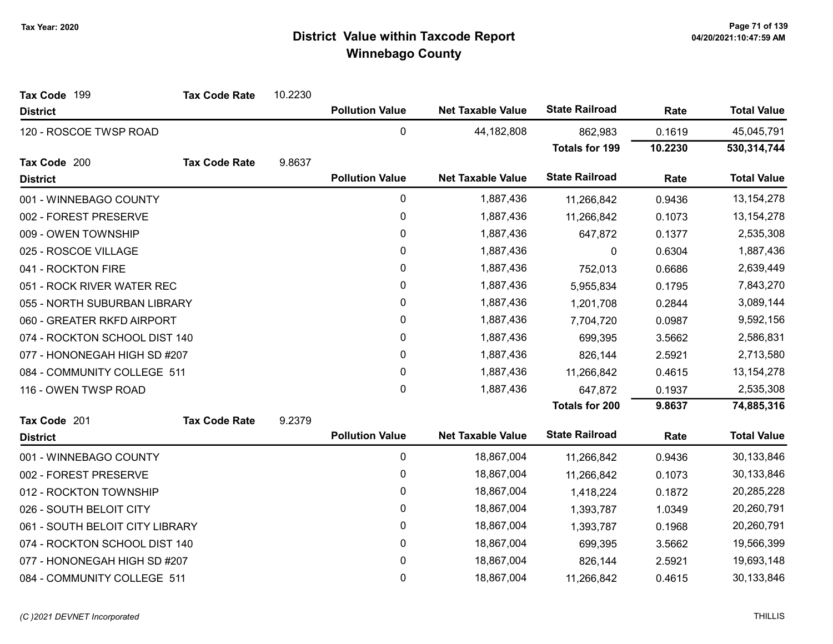| Tax Code 199                    | <b>Tax Code Rate</b> | 10.2230 |                        |                          |                       |         |                    |
|---------------------------------|----------------------|---------|------------------------|--------------------------|-----------------------|---------|--------------------|
| <b>District</b>                 |                      |         | <b>Pollution Value</b> | <b>Net Taxable Value</b> | <b>State Railroad</b> | Rate    | <b>Total Value</b> |
| 120 - ROSCOE TWSP ROAD          |                      |         | $\mathbf 0$            | 44,182,808               | 862,983               | 0.1619  | 45,045,791         |
|                                 |                      |         |                        |                          | <b>Totals for 199</b> | 10.2230 | 530,314,744        |
| Tax Code 200                    | <b>Tax Code Rate</b> | 9.8637  |                        |                          |                       |         |                    |
| <b>District</b>                 |                      |         | <b>Pollution Value</b> | <b>Net Taxable Value</b> | <b>State Railroad</b> | Rate    | <b>Total Value</b> |
| 001 - WINNEBAGO COUNTY          |                      |         | $\pmb{0}$              | 1,887,436                | 11,266,842            | 0.9436  | 13, 154, 278       |
| 002 - FOREST PRESERVE           |                      |         | $\pmb{0}$              | 1,887,436                | 11,266,842            | 0.1073  | 13, 154, 278       |
| 009 - OWEN TOWNSHIP             |                      |         | $\pmb{0}$              | 1,887,436                | 647,872               | 0.1377  | 2,535,308          |
| 025 - ROSCOE VILLAGE            |                      |         | 0                      | 1,887,436                | 0                     | 0.6304  | 1,887,436          |
| 041 - ROCKTON FIRE              |                      |         | 0                      | 1,887,436                | 752,013               | 0.6686  | 2,639,449          |
| 051 - ROCK RIVER WATER REC      |                      |         | 0                      | 1,887,436                | 5,955,834             | 0.1795  | 7,843,270          |
| 055 - NORTH SUBURBAN LIBRARY    |                      |         | 0                      | 1,887,436                | 1,201,708             | 0.2844  | 3,089,144          |
| 060 - GREATER RKFD AIRPORT      |                      |         | $\pmb{0}$              | 1,887,436                | 7,704,720             | 0.0987  | 9,592,156          |
| 074 - ROCKTON SCHOOL DIST 140   |                      |         | 0                      | 1,887,436                | 699,395               | 3.5662  | 2,586,831          |
| 077 - HONONEGAH HIGH SD #207    |                      |         | $\pmb{0}$              | 1,887,436                | 826,144               | 2.5921  | 2,713,580          |
| 084 - COMMUNITY COLLEGE 511     |                      |         | 0                      | 1,887,436                | 11,266,842            | 0.4615  | 13, 154, 278       |
| 116 - OWEN TWSP ROAD            |                      |         | 0                      | 1,887,436                | 647,872               | 0.1937  | 2,535,308          |
|                                 |                      |         |                        |                          | <b>Totals for 200</b> | 9.8637  | 74,885,316         |
| Tax Code 201                    | <b>Tax Code Rate</b> | 9.2379  |                        |                          |                       |         |                    |
| <b>District</b>                 |                      |         | <b>Pollution Value</b> | <b>Net Taxable Value</b> | <b>State Railroad</b> | Rate    | <b>Total Value</b> |
| 001 - WINNEBAGO COUNTY          |                      |         | $\pmb{0}$              | 18,867,004               | 11,266,842            | 0.9436  | 30,133,846         |
| 002 - FOREST PRESERVE           |                      |         | $\pmb{0}$              | 18,867,004               | 11,266,842            | 0.1073  | 30,133,846         |
| 012 - ROCKTON TOWNSHIP          |                      |         | 0                      | 18,867,004               | 1,418,224             | 0.1872  | 20,285,228         |
| 026 - SOUTH BELOIT CITY         |                      |         | 0                      | 18,867,004               | 1,393,787             | 1.0349  | 20,260,791         |
| 061 - SOUTH BELOIT CITY LIBRARY |                      |         | 0                      | 18,867,004               | 1,393,787             | 0.1968  | 20,260,791         |
| 074 - ROCKTON SCHOOL DIST 140   |                      |         | 0                      | 18,867,004               | 699,395               | 3.5662  | 19,566,399         |
| 077 - HONONEGAH HIGH SD #207    |                      |         | 0                      | 18,867,004               | 826,144               | 2.5921  | 19,693,148         |
| 084 - COMMUNITY COLLEGE 511     |                      |         | $\mathbf 0$            | 18,867,004               | 11,266,842            | 0.4615  | 30,133,846         |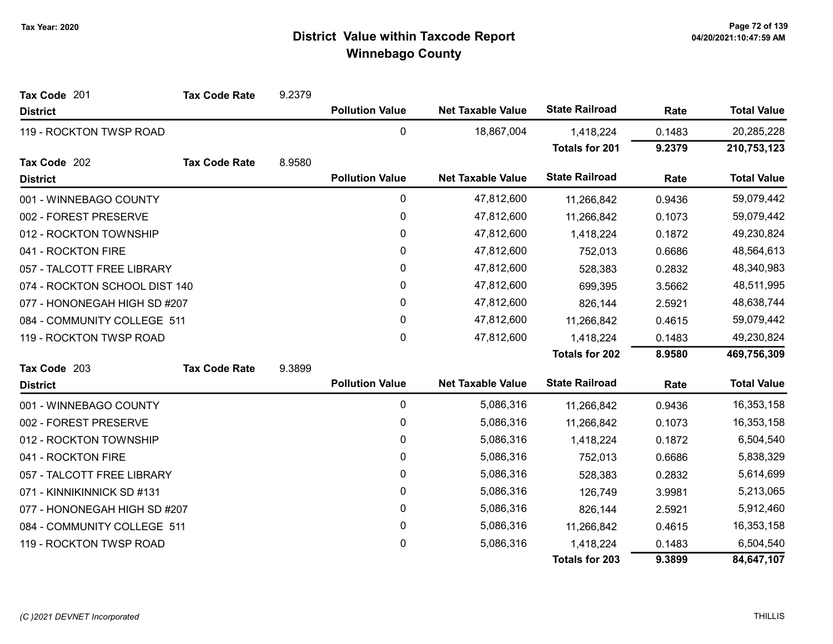| Tax Code 201                  | <b>Tax Code Rate</b> | 9.2379 |                        |                          |                       |        |                    |
|-------------------------------|----------------------|--------|------------------------|--------------------------|-----------------------|--------|--------------------|
| <b>District</b>               |                      |        | <b>Pollution Value</b> | <b>Net Taxable Value</b> | <b>State Railroad</b> | Rate   | <b>Total Value</b> |
| 119 - ROCKTON TWSP ROAD       |                      |        | 0                      | 18,867,004               | 1,418,224             | 0.1483 | 20,285,228         |
|                               |                      |        |                        |                          | <b>Totals for 201</b> | 9.2379 | 210,753,123        |
| Tax Code 202                  | <b>Tax Code Rate</b> | 8.9580 |                        |                          |                       |        |                    |
| <b>District</b>               |                      |        | <b>Pollution Value</b> | <b>Net Taxable Value</b> | <b>State Railroad</b> | Rate   | <b>Total Value</b> |
| 001 - WINNEBAGO COUNTY        |                      |        | 0                      | 47,812,600               | 11,266,842            | 0.9436 | 59,079,442         |
| 002 - FOREST PRESERVE         |                      |        | 0                      | 47,812,600               | 11,266,842            | 0.1073 | 59,079,442         |
| 012 - ROCKTON TOWNSHIP        |                      |        | $\mathbf 0$            | 47,812,600               | 1,418,224             | 0.1872 | 49,230,824         |
| 041 - ROCKTON FIRE            |                      |        | $\mathbf{0}$           | 47,812,600               | 752,013               | 0.6686 | 48,564,613         |
| 057 - TALCOTT FREE LIBRARY    |                      |        | 0                      | 47,812,600               | 528,383               | 0.2832 | 48,340,983         |
| 074 - ROCKTON SCHOOL DIST 140 |                      |        | 0                      | 47,812,600               | 699,395               | 3.5662 | 48,511,995         |
| 077 - HONONEGAH HIGH SD #207  |                      |        | $\mathbf{0}$           | 47,812,600               | 826,144               | 2.5921 | 48,638,744         |
| 084 - COMMUNITY COLLEGE 511   |                      |        | 0                      | 47,812,600               | 11,266,842            | 0.4615 | 59,079,442         |
| 119 - ROCKTON TWSP ROAD       |                      |        | 0                      | 47,812,600               | 1,418,224             | 0.1483 | 49,230,824         |
|                               |                      |        |                        |                          | <b>Totals for 202</b> | 8.9580 | 469,756,309        |
| Tax Code 203                  | <b>Tax Code Rate</b> | 9.3899 |                        |                          |                       |        |                    |
| <b>District</b>               |                      |        | <b>Pollution Value</b> | <b>Net Taxable Value</b> | <b>State Railroad</b> | Rate   | <b>Total Value</b> |
| 001 - WINNEBAGO COUNTY        |                      |        | 0                      | 5,086,316                | 11,266,842            | 0.9436 | 16,353,158         |
| 002 - FOREST PRESERVE         |                      |        | 0                      | 5,086,316                | 11,266,842            | 0.1073 | 16,353,158         |
| 012 - ROCKTON TOWNSHIP        |                      |        | 0                      | 5,086,316                | 1,418,224             | 0.1872 | 6,504,540          |
| 041 - ROCKTON FIRE            |                      |        | 0                      | 5,086,316                | 752,013               | 0.6686 | 5,838,329          |
| 057 - TALCOTT FREE LIBRARY    |                      |        | 0                      | 5,086,316                | 528,383               | 0.2832 | 5,614,699          |
| 071 - KINNIKINNICK SD #131    |                      |        | 0                      | 5,086,316                | 126,749               | 3.9981 | 5,213,065          |
| 077 - HONONEGAH HIGH SD #207  |                      |        | 0                      | 5,086,316                | 826,144               | 2.5921 | 5,912,460          |
| 084 - COMMUNITY COLLEGE 511   |                      |        | 0                      | 5,086,316                | 11,266,842            | 0.4615 | 16,353,158         |
| 119 - ROCKTON TWSP ROAD       |                      |        | 0                      | 5,086,316                | 1,418,224             | 0.1483 | 6,504,540          |
|                               |                      |        |                        |                          | <b>Totals for 203</b> | 9.3899 | 84,647,107         |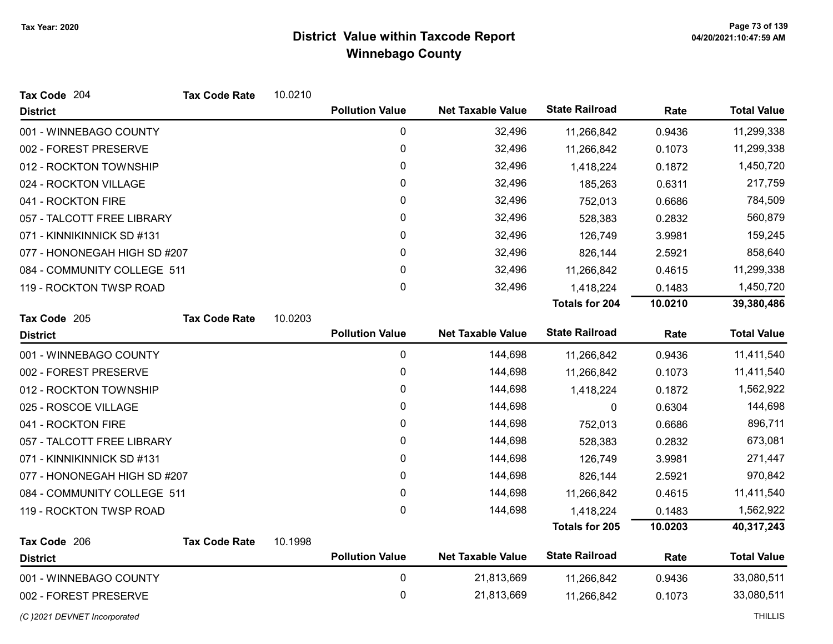| Tax Code 204                 | <b>Tax Code Rate</b> | 10.0210 |                        |                          |                       |         |                    |
|------------------------------|----------------------|---------|------------------------|--------------------------|-----------------------|---------|--------------------|
| <b>District</b>              |                      |         | <b>Pollution Value</b> | <b>Net Taxable Value</b> | <b>State Railroad</b> | Rate    | <b>Total Value</b> |
| 001 - WINNEBAGO COUNTY       |                      |         | $\mathbf 0$            | 32,496                   | 11,266,842            | 0.9436  | 11,299,338         |
| 002 - FOREST PRESERVE        |                      |         | 0                      | 32,496                   | 11,266,842            | 0.1073  | 11,299,338         |
| 012 - ROCKTON TOWNSHIP       |                      |         | 0                      | 32,496                   | 1,418,224             | 0.1872  | 1,450,720          |
| 024 - ROCKTON VILLAGE        |                      |         | $\mathbf{0}$           | 32,496                   | 185,263               | 0.6311  | 217,759            |
| 041 - ROCKTON FIRE           |                      |         | 0                      | 32,496                   | 752,013               | 0.6686  | 784,509            |
| 057 - TALCOTT FREE LIBRARY   |                      |         | 0                      | 32,496                   | 528,383               | 0.2832  | 560,879            |
| 071 - KINNIKINNICK SD #131   |                      |         | 0                      | 32,496                   | 126,749               | 3.9981  | 159,245            |
| 077 - HONONEGAH HIGH SD #207 |                      |         | 0                      | 32,496                   | 826,144               | 2.5921  | 858,640            |
| 084 - COMMUNITY COLLEGE 511  |                      |         | $\mathbf{0}$           | 32,496                   | 11,266,842            | 0.4615  | 11,299,338         |
| 119 - ROCKTON TWSP ROAD      |                      |         | $\pmb{0}$              | 32,496                   | 1,418,224             | 0.1483  | 1,450,720          |
|                              |                      |         |                        |                          | <b>Totals for 204</b> | 10.0210 | 39,380,486         |
| Tax Code 205                 | <b>Tax Code Rate</b> | 10.0203 |                        |                          |                       |         |                    |
| <b>District</b>              |                      |         | <b>Pollution Value</b> | <b>Net Taxable Value</b> | <b>State Railroad</b> | Rate    | <b>Total Value</b> |
| 001 - WINNEBAGO COUNTY       |                      |         | 0                      | 144,698                  | 11,266,842            | 0.9436  | 11,411,540         |
| 002 - FOREST PRESERVE        |                      |         | 0                      | 144,698                  | 11,266,842            | 0.1073  | 11,411,540         |
| 012 - ROCKTON TOWNSHIP       |                      |         | 0                      | 144,698                  | 1,418,224             | 0.1872  | 1,562,922          |
| 025 - ROSCOE VILLAGE         |                      |         | 0                      | 144,698                  | 0                     | 0.6304  | 144,698            |
| 041 - ROCKTON FIRE           |                      |         | 0                      | 144,698                  | 752,013               | 0.6686  | 896,711            |
| 057 - TALCOTT FREE LIBRARY   |                      |         | 0                      | 144,698                  | 528,383               | 0.2832  | 673,081            |
| 071 - KINNIKINNICK SD #131   |                      |         | 0                      | 144,698                  | 126,749               | 3.9981  | 271,447            |
| 077 - HONONEGAH HIGH SD #207 |                      |         | 0                      | 144,698                  | 826,144               | 2.5921  | 970,842            |
| 084 - COMMUNITY COLLEGE 511  |                      |         | 0                      | 144,698                  | 11,266,842            | 0.4615  | 11,411,540         |
| 119 - ROCKTON TWSP ROAD      |                      |         | 0                      | 144,698                  | 1,418,224             | 0.1483  | 1,562,922          |
|                              |                      |         |                        |                          | <b>Totals for 205</b> | 10.0203 | 40,317,243         |
| Tax Code 206                 | <b>Tax Code Rate</b> | 10.1998 |                        |                          |                       |         |                    |
| <b>District</b>              |                      |         | <b>Pollution Value</b> | <b>Net Taxable Value</b> | <b>State Railroad</b> | Rate    | <b>Total Value</b> |
| 001 - WINNEBAGO COUNTY       |                      |         | $\mathbf 0$            | 21,813,669               | 11,266,842            | 0.9436  | 33,080,511         |
| 002 - FOREST PRESERVE        |                      |         | 0                      | 21,813,669               | 11,266,842            | 0.1073  | 33,080,511         |
| (C) 2021 DEVNET Incorporated |                      |         |                        |                          |                       |         | <b>THILLIS</b>     |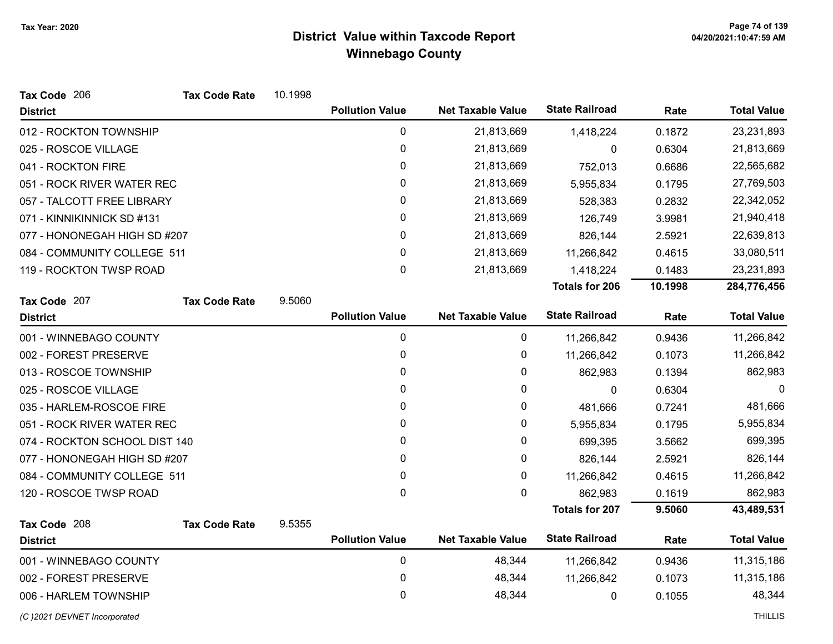| Tax Code 206                  | <b>Tax Code Rate</b> | 10.1998 |                        |                          |                       |         |                    |
|-------------------------------|----------------------|---------|------------------------|--------------------------|-----------------------|---------|--------------------|
| <b>District</b>               |                      |         | <b>Pollution Value</b> | <b>Net Taxable Value</b> | <b>State Railroad</b> | Rate    | <b>Total Value</b> |
| 012 - ROCKTON TOWNSHIP        |                      |         | 0                      | 21,813,669               | 1,418,224             | 0.1872  | 23,231,893         |
| 025 - ROSCOE VILLAGE          |                      |         | $\pmb{0}$              | 21,813,669               | 0                     | 0.6304  | 21,813,669         |
| 041 - ROCKTON FIRE            |                      |         | 0                      | 21,813,669               | 752,013               | 0.6686  | 22,565,682         |
| 051 - ROCK RIVER WATER REC    |                      |         | 0                      | 21,813,669               | 5,955,834             | 0.1795  | 27,769,503         |
| 057 - TALCOTT FREE LIBRARY    |                      |         | 0                      | 21,813,669               | 528,383               | 0.2832  | 22,342,052         |
| 071 - KINNIKINNICK SD #131    |                      |         | 0                      | 21,813,669               | 126,749               | 3.9981  | 21,940,418         |
| 077 - HONONEGAH HIGH SD #207  |                      |         | 0                      | 21,813,669               | 826,144               | 2.5921  | 22,639,813         |
| 084 - COMMUNITY COLLEGE 511   |                      |         | 0                      | 21,813,669               | 11,266,842            | 0.4615  | 33,080,511         |
| 119 - ROCKTON TWSP ROAD       |                      |         | $\mathbf 0$            | 21,813,669               | 1,418,224             | 0.1483  | 23,231,893         |
|                               |                      |         |                        |                          | <b>Totals for 206</b> | 10.1998 | 284,776,456        |
| Tax Code 207                  | <b>Tax Code Rate</b> | 9.5060  |                        |                          |                       |         |                    |
| <b>District</b>               |                      |         | <b>Pollution Value</b> | <b>Net Taxable Value</b> | <b>State Railroad</b> | Rate    | <b>Total Value</b> |
| 001 - WINNEBAGO COUNTY        |                      |         | 0                      | 0                        | 11,266,842            | 0.9436  | 11,266,842         |
| 002 - FOREST PRESERVE         |                      |         | 0                      | 0                        | 11,266,842            | 0.1073  | 11,266,842         |
| 013 - ROSCOE TOWNSHIP         |                      |         | 0                      | 0                        | 862,983               | 0.1394  | 862,983            |
| 025 - ROSCOE VILLAGE          |                      |         | 0                      | 0                        | 0                     | 0.6304  | $\Omega$           |
| 035 - HARLEM-ROSCOE FIRE      |                      |         | 0                      | 0                        | 481,666               | 0.7241  | 481,666            |
| 051 - ROCK RIVER WATER REC    |                      |         | 0                      | 0                        | 5,955,834             | 0.1795  | 5,955,834          |
| 074 - ROCKTON SCHOOL DIST 140 |                      |         | 0                      | 0                        | 699,395               | 3.5662  | 699,395            |
| 077 - HONONEGAH HIGH SD #207  |                      |         | 0                      | 0                        | 826,144               | 2.5921  | 826,144            |
| 084 - COMMUNITY COLLEGE 511   |                      |         | 0                      | 0                        | 11,266,842            | 0.4615  | 11,266,842         |
| 120 - ROSCOE TWSP ROAD        |                      |         | 0                      | 0                        | 862,983               | 0.1619  | 862,983            |
|                               |                      |         |                        |                          | <b>Totals for 207</b> | 9.5060  | 43,489,531         |
| Tax Code 208                  | <b>Tax Code Rate</b> | 9.5355  |                        |                          |                       |         |                    |
| <b>District</b>               |                      |         | <b>Pollution Value</b> | <b>Net Taxable Value</b> | <b>State Railroad</b> | Rate    | <b>Total Value</b> |
| 001 - WINNEBAGO COUNTY        |                      |         | 0                      | 48,344                   | 11,266,842            | 0.9436  | 11,315,186         |
| 002 - FOREST PRESERVE         |                      |         | 0                      | 48,344                   | 11,266,842            | 0.1073  | 11,315,186         |
| 006 - HARLEM TOWNSHIP         |                      |         | 0                      | 48,344                   | 0                     | 0.1055  | 48,344             |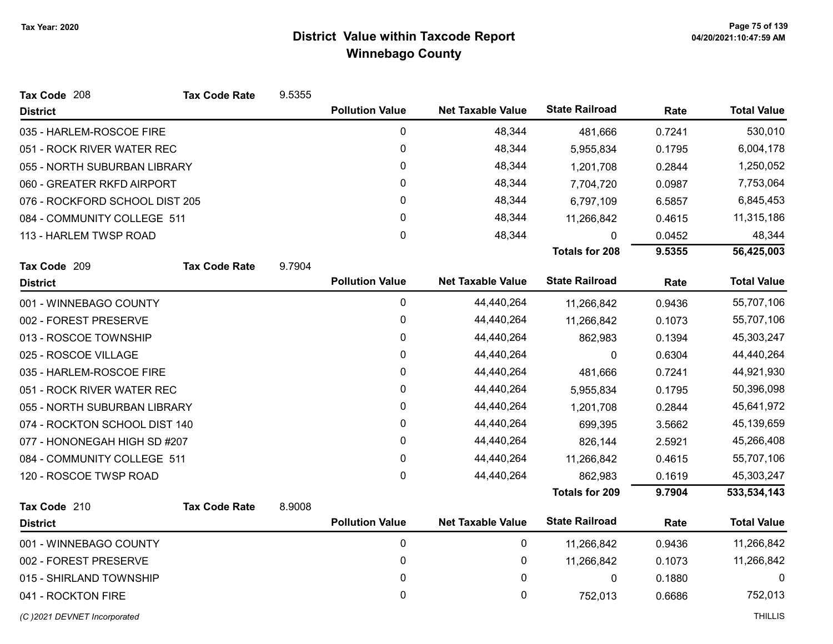| Tax Code 208                   | <b>Tax Code Rate</b> | 9.5355 |                        |                          |                       |        |                    |
|--------------------------------|----------------------|--------|------------------------|--------------------------|-----------------------|--------|--------------------|
| <b>District</b>                |                      |        | <b>Pollution Value</b> | <b>Net Taxable Value</b> | <b>State Railroad</b> | Rate   | <b>Total Value</b> |
| 035 - HARLEM-ROSCOE FIRE       |                      |        | $\pmb{0}$              | 48,344                   | 481,666               | 0.7241 | 530,010            |
| 051 - ROCK RIVER WATER REC     |                      |        | 0                      | 48,344                   | 5,955,834             | 0.1795 | 6,004,178          |
| 055 - NORTH SUBURBAN LIBRARY   |                      |        | 0                      | 48,344                   | 1,201,708             | 0.2844 | 1,250,052          |
| 060 - GREATER RKFD AIRPORT     |                      |        | $\pmb{0}$              | 48,344                   | 7,704,720             | 0.0987 | 7,753,064          |
| 076 - ROCKFORD SCHOOL DIST 205 |                      |        | $\mathbf{0}$           | 48,344                   | 6,797,109             | 6.5857 | 6,845,453          |
| 084 - COMMUNITY COLLEGE 511    |                      |        | 0                      | 48,344                   | 11,266,842            | 0.4615 | 11,315,186         |
| 113 - HARLEM TWSP ROAD         |                      |        | 0                      | 48,344                   | $\mathbf{0}$          | 0.0452 | 48,344             |
|                                |                      |        |                        |                          | <b>Totals for 208</b> | 9.5355 | 56,425,003         |
| Tax Code 209                   | <b>Tax Code Rate</b> | 9.7904 |                        |                          |                       |        |                    |
| <b>District</b>                |                      |        | <b>Pollution Value</b> | <b>Net Taxable Value</b> | <b>State Railroad</b> | Rate   | <b>Total Value</b> |
| 001 - WINNEBAGO COUNTY         |                      |        | $\pmb{0}$              | 44,440,264               | 11,266,842            | 0.9436 | 55,707,106         |
| 002 - FOREST PRESERVE          |                      |        | 0                      | 44,440,264               | 11,266,842            | 0.1073 | 55,707,106         |
| 013 - ROSCOE TOWNSHIP          |                      |        | $\pmb{0}$              | 44,440,264               | 862,983               | 0.1394 | 45,303,247         |
| 025 - ROSCOE VILLAGE           |                      |        | 0                      | 44,440,264               | $\Omega$              | 0.6304 | 44,440,264         |
| 035 - HARLEM-ROSCOE FIRE       |                      |        | 0                      | 44,440,264               | 481,666               | 0.7241 | 44,921,930         |
| 051 - ROCK RIVER WATER REC     |                      |        | $\pmb{0}$              | 44,440,264               | 5,955,834             | 0.1795 | 50,396,098         |
| 055 - NORTH SUBURBAN LIBRARY   |                      |        | 0                      | 44,440,264               | 1,201,708             | 0.2844 | 45,641,972         |
| 074 - ROCKTON SCHOOL DIST 140  |                      |        | $\pmb{0}$              | 44,440,264               | 699,395               | 3.5662 | 45,139,659         |
| 077 - HONONEGAH HIGH SD #207   |                      |        | $\mathbf{0}$           | 44,440,264               | 826,144               | 2.5921 | 45,266,408         |
| 084 - COMMUNITY COLLEGE 511    |                      |        | $\mathbf 0$            | 44,440,264               | 11,266,842            | 0.4615 | 55,707,106         |
| 120 - ROSCOE TWSP ROAD         |                      |        | 0                      | 44,440,264               | 862,983               | 0.1619 | 45,303,247         |
|                                |                      |        |                        |                          | <b>Totals for 209</b> | 9.7904 | 533,534,143        |
| Tax Code 210                   | <b>Tax Code Rate</b> | 8.9008 |                        |                          |                       |        |                    |
| <b>District</b>                |                      |        | <b>Pollution Value</b> | <b>Net Taxable Value</b> | <b>State Railroad</b> | Rate   | <b>Total Value</b> |
| 001 - WINNEBAGO COUNTY         |                      |        | $\pmb{0}$              | 0                        | 11,266,842            | 0.9436 | 11,266,842         |
| 002 - FOREST PRESERVE          |                      |        | $\pmb{0}$              | 0                        | 11,266,842            | 0.1073 | 11,266,842         |
| 015 - SHIRLAND TOWNSHIP        |                      |        | $\pmb{0}$              | 0                        | $\pmb{0}$             | 0.1880 | $\Omega$           |
| 041 - ROCKTON FIRE             |                      |        | 0                      | 0                        | 752,013               | 0.6686 | 752,013            |
| (C) 2021 DEVNET Incorporated   |                      |        |                        |                          |                       |        | <b>THILLIS</b>     |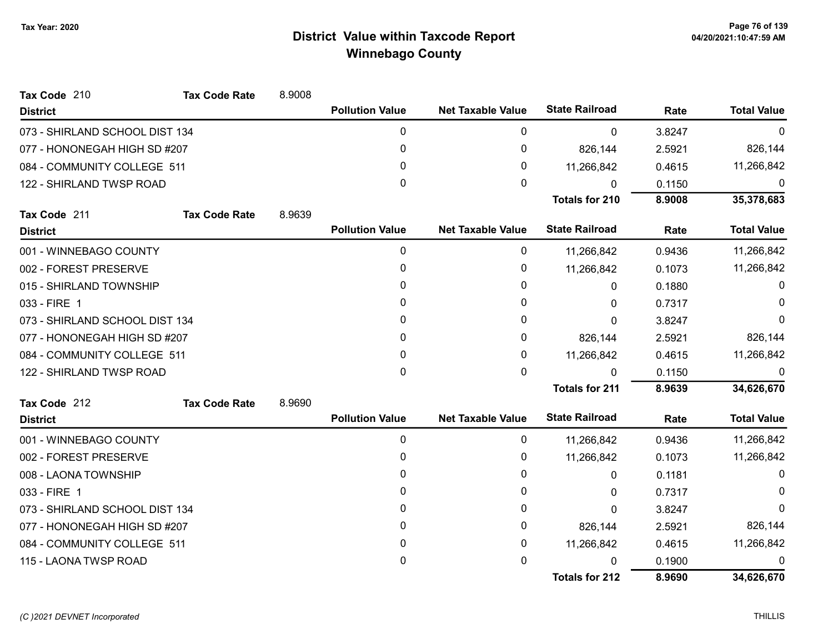| Tax Code 210                   | <b>Tax Code Rate</b> | 8.9008 |                        |                          |                       |        |                    |
|--------------------------------|----------------------|--------|------------------------|--------------------------|-----------------------|--------|--------------------|
| <b>District</b>                |                      |        | <b>Pollution Value</b> | <b>Net Taxable Value</b> | <b>State Railroad</b> | Rate   | <b>Total Value</b> |
| 073 - SHIRLAND SCHOOL DIST 134 |                      |        | 0                      | 0                        | $\mathbf 0$           | 3.8247 | $\mathbf{0}$       |
| 077 - HONONEGAH HIGH SD #207   |                      |        | $\mathbf{0}$           | 0                        | 826,144               | 2.5921 | 826,144            |
| 084 - COMMUNITY COLLEGE 511    |                      |        | 0                      | 0                        | 11,266,842            | 0.4615 | 11,266,842         |
| 122 - SHIRLAND TWSP ROAD       |                      |        | 0                      | 0                        | $\mathbf{0}$          | 0.1150 | 0                  |
|                                |                      |        |                        |                          | <b>Totals for 210</b> | 8.9008 | 35,378,683         |
| Tax Code 211                   | <b>Tax Code Rate</b> | 8.9639 |                        |                          |                       |        |                    |
| <b>District</b>                |                      |        | <b>Pollution Value</b> | <b>Net Taxable Value</b> | <b>State Railroad</b> | Rate   | <b>Total Value</b> |
| 001 - WINNEBAGO COUNTY         |                      |        | 0                      | 0                        | 11,266,842            | 0.9436 | 11,266,842         |
| 002 - FOREST PRESERVE          |                      |        | 0                      | 0                        | 11,266,842            | 0.1073 | 11,266,842         |
| 015 - SHIRLAND TOWNSHIP        |                      |        | 0                      | 0                        | 0                     | 0.1880 | 0                  |
| 033 - FIRE 1                   |                      |        | 0                      | 0                        | 0                     | 0.7317 | $\Omega$           |
| 073 - SHIRLAND SCHOOL DIST 134 |                      |        | 0                      | 0                        | $\Omega$              | 3.8247 | $\Omega$           |
| 077 - HONONEGAH HIGH SD #207   |                      |        | $\mathbf{0}$           | 0                        | 826,144               | 2.5921 | 826,144            |
| 084 - COMMUNITY COLLEGE 511    |                      |        | 0                      | 0                        | 11,266,842            | 0.4615 | 11,266,842         |
| 122 - SHIRLAND TWSP ROAD       |                      |        | $\mathbf{0}$           | 0                        | $\Omega$              | 0.1150 | 0                  |
|                                |                      |        |                        |                          | <b>Totals for 211</b> | 8.9639 | 34,626,670         |
| Tax Code 212                   | <b>Tax Code Rate</b> | 8.9690 |                        |                          |                       |        |                    |
| <b>District</b>                |                      |        | <b>Pollution Value</b> | <b>Net Taxable Value</b> | <b>State Railroad</b> | Rate   | <b>Total Value</b> |
| 001 - WINNEBAGO COUNTY         |                      |        | 0                      | 0                        | 11,266,842            | 0.9436 | 11,266,842         |
| 002 - FOREST PRESERVE          |                      |        | 0                      | 0                        | 11,266,842            | 0.1073 | 11,266,842         |
| 008 - LAONA TOWNSHIP           |                      |        | 0                      | 0                        | $\mathbf{0}$          | 0.1181 | $\Omega$           |
| 033 - FIRE 1                   |                      |        | 0                      | 0                        | 0                     | 0.7317 | 0                  |
| 073 - SHIRLAND SCHOOL DIST 134 |                      |        | $\mathbf{0}$           | 0                        | 0                     | 3.8247 | $\Omega$           |
| 077 - HONONEGAH HIGH SD #207   |                      |        | 0                      | 0                        | 826,144               | 2.5921 | 826,144            |
| 084 - COMMUNITY COLLEGE 511    |                      |        | 0                      | 0                        | 11,266,842            | 0.4615 | 11,266,842         |
| 115 - LAONA TWSP ROAD          |                      |        | 0                      | 0                        | $\Omega$              | 0.1900 | $\Omega$           |
|                                |                      |        |                        |                          | <b>Totals for 212</b> | 8.9690 | 34,626,670         |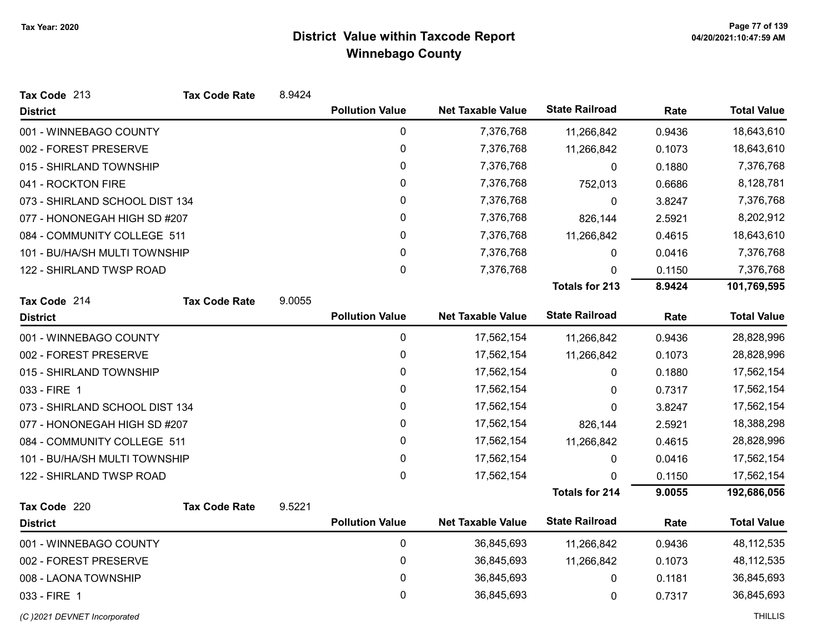| Tax Code 213                   | <b>Tax Code Rate</b> | 8.9424 |                        |                          |                       |        |                    |
|--------------------------------|----------------------|--------|------------------------|--------------------------|-----------------------|--------|--------------------|
| <b>District</b>                |                      |        | <b>Pollution Value</b> | <b>Net Taxable Value</b> | <b>State Railroad</b> | Rate   | <b>Total Value</b> |
| 001 - WINNEBAGO COUNTY         |                      |        | 0                      | 7,376,768                | 11,266,842            | 0.9436 | 18,643,610         |
| 002 - FOREST PRESERVE          |                      |        | 0                      | 7,376,768                | 11,266,842            | 0.1073 | 18,643,610         |
| 015 - SHIRLAND TOWNSHIP        |                      |        | 0                      | 7,376,768                | $\mathbf{0}$          | 0.1880 | 7,376,768          |
| 041 - ROCKTON FIRE             |                      |        | 0                      | 7,376,768                | 752,013               | 0.6686 | 8,128,781          |
| 073 - SHIRLAND SCHOOL DIST 134 |                      |        | 0                      | 7,376,768                | 0                     | 3.8247 | 7,376,768          |
| 077 - HONONEGAH HIGH SD #207   |                      |        | 0                      | 7,376,768                | 826,144               | 2.5921 | 8,202,912          |
| 084 - COMMUNITY COLLEGE 511    |                      |        | 0                      | 7,376,768                | 11,266,842            | 0.4615 | 18,643,610         |
| 101 - BU/HA/SH MULTI TOWNSHIP  |                      |        | 0                      | 7,376,768                | 0                     | 0.0416 | 7,376,768          |
| 122 - SHIRLAND TWSP ROAD       |                      |        | $\pmb{0}$              | 7,376,768                | 0                     | 0.1150 | 7,376,768          |
|                                |                      |        |                        |                          | <b>Totals for 213</b> | 8.9424 | 101,769,595        |
| Tax Code 214                   | <b>Tax Code Rate</b> | 9.0055 |                        |                          |                       |        |                    |
| <b>District</b>                |                      |        | <b>Pollution Value</b> | <b>Net Taxable Value</b> | <b>State Railroad</b> | Rate   | <b>Total Value</b> |
| 001 - WINNEBAGO COUNTY         |                      |        | $\mathbf 0$            | 17,562,154               | 11,266,842            | 0.9436 | 28,828,996         |
| 002 - FOREST PRESERVE          |                      |        | 0                      | 17,562,154               | 11,266,842            | 0.1073 | 28,828,996         |
| 015 - SHIRLAND TOWNSHIP        |                      |        | 0                      | 17,562,154               | 0                     | 0.1880 | 17,562,154         |
| 033 - FIRE 1                   |                      |        | 0                      | 17,562,154               | 0                     | 0.7317 | 17,562,154         |
| 073 - SHIRLAND SCHOOL DIST 134 |                      |        | 0                      | 17,562,154               | 0                     | 3.8247 | 17,562,154         |
| 077 - HONONEGAH HIGH SD #207   |                      |        | $\pmb{0}$              | 17,562,154               | 826,144               | 2.5921 | 18,388,298         |
| 084 - COMMUNITY COLLEGE 511    |                      |        | 0                      | 17,562,154               | 11,266,842            | 0.4615 | 28,828,996         |
| 101 - BU/HA/SH MULTI TOWNSHIP  |                      |        | $\mathbf 0$            | 17,562,154               | $\mathbf 0$           | 0.0416 | 17,562,154         |
| 122 - SHIRLAND TWSP ROAD       |                      |        | $\mathbf 0$            | 17,562,154               | 0                     | 0.1150 | 17,562,154         |
|                                |                      |        |                        |                          | <b>Totals for 214</b> | 9.0055 | 192,686,056        |
| Tax Code 220                   | <b>Tax Code Rate</b> | 9.5221 |                        |                          |                       |        |                    |
| <b>District</b>                |                      |        | <b>Pollution Value</b> | <b>Net Taxable Value</b> | <b>State Railroad</b> | Rate   | <b>Total Value</b> |
| 001 - WINNEBAGO COUNTY         |                      |        | 0                      | 36,845,693               | 11,266,842            | 0.9436 | 48, 112, 535       |
| 002 - FOREST PRESERVE          |                      |        | 0                      | 36,845,693               | 11,266,842            | 0.1073 | 48, 112, 535       |
| 008 - LAONA TOWNSHIP           |                      |        | $\pmb{0}$              | 36,845,693               | 0                     | 0.1181 | 36,845,693         |
| 033 - FIRE 1                   |                      |        | 0                      | 36,845,693               | 0                     | 0.7317 | 36,845,693         |

(C)2021 DEVNET Incorporated THILLIS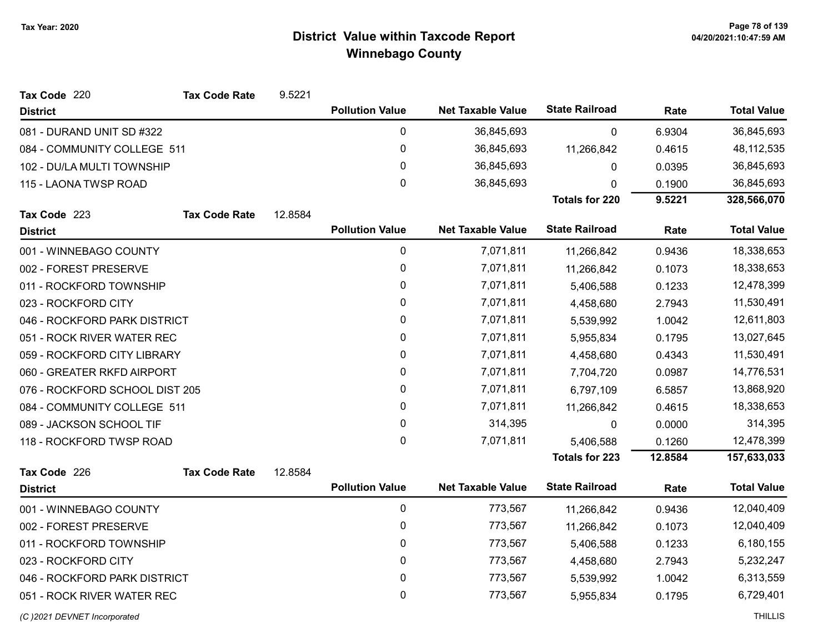| Tax Code 220<br><b>Tax Code Rate</b> | 9.5221  |                        |                          |                       |         |                    |
|--------------------------------------|---------|------------------------|--------------------------|-----------------------|---------|--------------------|
| <b>District</b>                      |         | <b>Pollution Value</b> | <b>Net Taxable Value</b> | <b>State Railroad</b> | Rate    | <b>Total Value</b> |
| 081 - DURAND UNIT SD #322            |         | 0                      | 36,845,693               | $\mathbf 0$           | 6.9304  | 36,845,693         |
| 084 - COMMUNITY COLLEGE 511          |         | $\mathbf 0$            | 36,845,693               | 11,266,842            | 0.4615  | 48, 112, 535       |
| 102 - DU/LA MULTI TOWNSHIP           |         | 0                      | 36,845,693               | 0                     | 0.0395  | 36,845,693         |
| 115 - LAONA TWSP ROAD                |         | $\mathbf 0$            | 36,845,693               | 0                     | 0.1900  | 36,845,693         |
|                                      |         |                        |                          | <b>Totals for 220</b> | 9.5221  | 328,566,070        |
| Tax Code 223<br><b>Tax Code Rate</b> | 12.8584 |                        |                          |                       |         |                    |
| <b>District</b>                      |         | <b>Pollution Value</b> | <b>Net Taxable Value</b> | <b>State Railroad</b> | Rate    | <b>Total Value</b> |
| 001 - WINNEBAGO COUNTY               |         | 0                      | 7,071,811                | 11,266,842            | 0.9436  | 18,338,653         |
| 002 - FOREST PRESERVE                |         | 0                      | 7,071,811                | 11,266,842            | 0.1073  | 18,338,653         |
| 011 - ROCKFORD TOWNSHIP              |         | 0                      | 7,071,811                | 5,406,588             | 0.1233  | 12,478,399         |
| 023 - ROCKFORD CITY                  |         | 0                      | 7,071,811                | 4,458,680             | 2.7943  | 11,530,491         |
| 046 - ROCKFORD PARK DISTRICT         |         | 0                      | 7,071,811                | 5,539,992             | 1.0042  | 12,611,803         |
| 051 - ROCK RIVER WATER REC           |         | $\mathbf 0$            | 7,071,811                | 5,955,834             | 0.1795  | 13,027,645         |
| 059 - ROCKFORD CITY LIBRARY          |         | 0                      | 7,071,811                | 4,458,680             | 0.4343  | 11,530,491         |
| 060 - GREATER RKFD AIRPORT           |         | $\mathbf 0$            | 7,071,811                | 7,704,720             | 0.0987  | 14,776,531         |
| 076 - ROCKFORD SCHOOL DIST 205       |         | 0                      | 7,071,811                | 6,797,109             | 6.5857  | 13,868,920         |
| 084 - COMMUNITY COLLEGE 511          |         | 0                      | 7,071,811                | 11,266,842            | 0.4615  | 18,338,653         |
| 089 - JACKSON SCHOOL TIF             |         | $\mathbf 0$            | 314,395                  | 0                     | 0.0000  | 314,395            |
| 118 - ROCKFORD TWSP ROAD             |         | $\mathbf 0$            | 7,071,811                | 5,406,588             | 0.1260  | 12,478,399         |
|                                      |         |                        |                          | <b>Totals for 223</b> | 12.8584 | 157,633,033        |
| Tax Code 226<br><b>Tax Code Rate</b> | 12.8584 |                        |                          |                       |         |                    |
| <b>District</b>                      |         | <b>Pollution Value</b> | <b>Net Taxable Value</b> | <b>State Railroad</b> | Rate    | <b>Total Value</b> |
| 001 - WINNEBAGO COUNTY               |         | 0                      | 773,567                  | 11,266,842            | 0.9436  | 12,040,409         |
| 002 - FOREST PRESERVE                |         | 0                      | 773,567                  | 11,266,842            | 0.1073  | 12,040,409         |
| 011 - ROCKFORD TOWNSHIP              |         | 0                      | 773,567                  | 5,406,588             | 0.1233  | 6,180,155          |
| 023 - ROCKFORD CITY                  |         | 0                      | 773,567                  | 4,458,680             | 2.7943  | 5,232,247          |
| 046 - ROCKFORD PARK DISTRICT         |         | 0                      | 773,567                  | 5,539,992             | 1.0042  | 6,313,559          |
| 051 - ROCK RIVER WATER REC           |         | 0                      | 773,567                  | 5,955,834             | 0.1795  | 6,729,401          |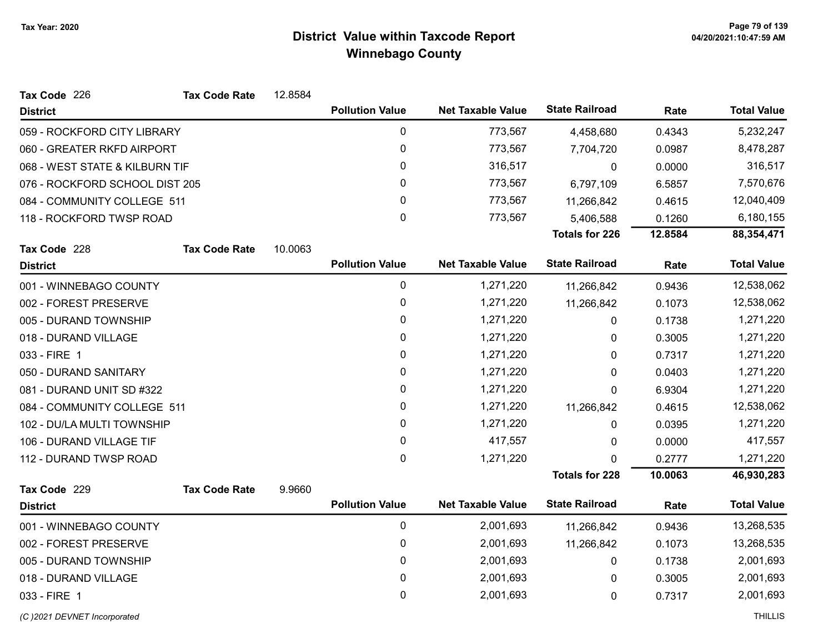| Tax Code 226                   | <b>Tax Code Rate</b> | 12.8584 |                        |                          |                       |         |                    |
|--------------------------------|----------------------|---------|------------------------|--------------------------|-----------------------|---------|--------------------|
| <b>District</b>                |                      |         | <b>Pollution Value</b> | <b>Net Taxable Value</b> | <b>State Railroad</b> | Rate    | <b>Total Value</b> |
| 059 - ROCKFORD CITY LIBRARY    |                      |         | $\pmb{0}$              | 773,567                  | 4,458,680             | 0.4343  | 5,232,247          |
| 060 - GREATER RKFD AIRPORT     |                      |         | $\pmb{0}$              | 773,567                  | 7,704,720             | 0.0987  | 8,478,287          |
| 068 - WEST STATE & KILBURN TIF |                      |         | 0                      | 316,517                  | 0                     | 0.0000  | 316,517            |
| 076 - ROCKFORD SCHOOL DIST 205 |                      |         | $\pmb{0}$              | 773,567                  | 6,797,109             | 6.5857  | 7,570,676          |
| 084 - COMMUNITY COLLEGE 511    |                      |         | 0                      | 773,567                  | 11,266,842            | 0.4615  | 12,040,409         |
| 118 - ROCKFORD TWSP ROAD       |                      |         | $\mathbf 0$            | 773,567                  | 5,406,588             | 0.1260  | 6,180,155          |
|                                |                      |         |                        |                          | <b>Totals for 226</b> | 12.8584 | 88,354,471         |
| Tax Code 228                   | <b>Tax Code Rate</b> | 10.0063 |                        |                          |                       |         |                    |
| <b>District</b>                |                      |         | <b>Pollution Value</b> | <b>Net Taxable Value</b> | <b>State Railroad</b> | Rate    | <b>Total Value</b> |
| 001 - WINNEBAGO COUNTY         |                      |         | 0                      | 1,271,220                | 11,266,842            | 0.9436  | 12,538,062         |
| 002 - FOREST PRESERVE          |                      |         | $\pmb{0}$              | 1,271,220                | 11,266,842            | 0.1073  | 12,538,062         |
| 005 - DURAND TOWNSHIP          |                      |         | 0                      | 1,271,220                | 0                     | 0.1738  | 1,271,220          |
| 018 - DURAND VILLAGE           |                      |         | $\pmb{0}$              | 1,271,220                | 0                     | 0.3005  | 1,271,220          |
| 033 - FIRE 1                   |                      |         | 0                      | 1,271,220                | 0                     | 0.7317  | 1,271,220          |
| 050 - DURAND SANITARY          |                      |         | $\mathbf 0$            | 1,271,220                | 0                     | 0.0403  | 1,271,220          |
| 081 - DURAND UNIT SD #322      |                      |         | 0                      | 1,271,220                | 0                     | 6.9304  | 1,271,220          |
| 084 - COMMUNITY COLLEGE 511    |                      |         | $\pmb{0}$              | 1,271,220                | 11,266,842            | 0.4615  | 12,538,062         |
| 102 - DU/LA MULTI TOWNSHIP     |                      |         | 0                      | 1,271,220                | $\mathbf{0}$          | 0.0395  | 1,271,220          |
| 106 - DURAND VILLAGE TIF       |                      |         | $\mathbf 0$            | 417,557                  | 0                     | 0.0000  | 417,557            |
| 112 - DURAND TWSP ROAD         |                      |         | 0                      | 1,271,220                | ŋ                     | 0.2777  | 1,271,220          |
|                                |                      |         |                        |                          | <b>Totals for 228</b> | 10.0063 | 46,930,283         |
| Tax Code 229                   | <b>Tax Code Rate</b> | 9.9660  |                        |                          |                       |         |                    |
| <b>District</b>                |                      |         | <b>Pollution Value</b> | <b>Net Taxable Value</b> | <b>State Railroad</b> | Rate    | <b>Total Value</b> |
| 001 - WINNEBAGO COUNTY         |                      |         | $\pmb{0}$              | 2,001,693                | 11,266,842            | 0.9436  | 13,268,535         |
| 002 - FOREST PRESERVE          |                      |         | $\pmb{0}$              | 2,001,693                | 11,266,842            | 0.1073  | 13,268,535         |
| 005 - DURAND TOWNSHIP          |                      |         | $\pmb{0}$              | 2,001,693                | 0                     | 0.1738  | 2,001,693          |
| 018 - DURAND VILLAGE           |                      |         | 0                      | 2,001,693                | 0                     | 0.3005  | 2,001,693          |
| 033 - FIRE 1                   |                      |         | 0                      | 2,001,693                | 0                     | 0.7317  | 2,001,693          |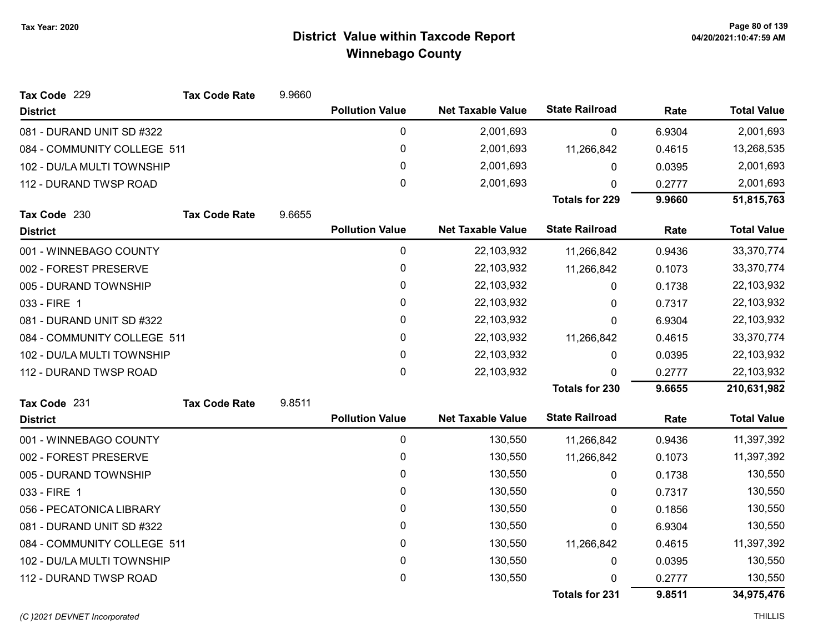| Tax Code 229                | <b>Tax Code Rate</b> | 9.9660 |                        |                          |                       |        |                    |
|-----------------------------|----------------------|--------|------------------------|--------------------------|-----------------------|--------|--------------------|
| <b>District</b>             |                      |        | <b>Pollution Value</b> | <b>Net Taxable Value</b> | <b>State Railroad</b> | Rate   | <b>Total Value</b> |
| 081 - DURAND UNIT SD #322   |                      |        | 0                      | 2,001,693                | 0                     | 6.9304 | 2,001,693          |
| 084 - COMMUNITY COLLEGE 511 |                      |        | 0                      | 2,001,693                | 11,266,842            | 0.4615 | 13,268,535         |
| 102 - DU/LA MULTI TOWNSHIP  |                      |        | 0                      | 2,001,693                | 0                     | 0.0395 | 2,001,693          |
| 112 - DURAND TWSP ROAD      |                      |        | 0                      | 2,001,693                | $\mathbf{0}$          | 0.2777 | 2,001,693          |
|                             |                      |        |                        |                          | <b>Totals for 229</b> | 9.9660 | 51,815,763         |
| Tax Code 230                | <b>Tax Code Rate</b> | 9.6655 |                        |                          |                       |        |                    |
| <b>District</b>             |                      |        | <b>Pollution Value</b> | <b>Net Taxable Value</b> | <b>State Railroad</b> | Rate   | <b>Total Value</b> |
| 001 - WINNEBAGO COUNTY      |                      |        | 0                      | 22,103,932               | 11,266,842            | 0.9436 | 33,370,774         |
| 002 - FOREST PRESERVE       |                      |        | 0                      | 22,103,932               | 11,266,842            | 0.1073 | 33,370,774         |
| 005 - DURAND TOWNSHIP       |                      |        | 0                      | 22,103,932               | 0                     | 0.1738 | 22,103,932         |
| 033 - FIRE 1                |                      |        | 0                      | 22,103,932               | 0                     | 0.7317 | 22,103,932         |
| 081 - DURAND UNIT SD #322   |                      |        | 0                      | 22,103,932               | 0                     | 6.9304 | 22,103,932         |
| 084 - COMMUNITY COLLEGE 511 |                      |        | 0                      | 22,103,932               | 11,266,842            | 0.4615 | 33,370,774         |
| 102 - DU/LA MULTI TOWNSHIP  |                      |        | 0                      | 22,103,932               | 0                     | 0.0395 | 22,103,932         |
| 112 - DURAND TWSP ROAD      |                      |        | 0                      | 22,103,932               | $\Omega$              | 0.2777 | 22,103,932         |
|                             |                      |        |                        |                          | <b>Totals for 230</b> | 9.6655 | 210,631,982        |
| Tax Code 231                | <b>Tax Code Rate</b> | 9.8511 |                        |                          |                       |        |                    |
| <b>District</b>             |                      |        | <b>Pollution Value</b> | <b>Net Taxable Value</b> | <b>State Railroad</b> | Rate   | <b>Total Value</b> |
| 001 - WINNEBAGO COUNTY      |                      |        | 0                      | 130,550                  | 11,266,842            | 0.9436 | 11,397,392         |
| 002 - FOREST PRESERVE       |                      |        | 0                      | 130,550                  | 11,266,842            | 0.1073 | 11,397,392         |
| 005 - DURAND TOWNSHIP       |                      |        | 0                      | 130,550                  | 0                     | 0.1738 | 130,550            |
| 033 - FIRE 1                |                      |        | 0                      | 130,550                  | 0                     | 0.7317 | 130,550            |
| 056 - PECATONICA LIBRARY    |                      |        | 0                      | 130,550                  | 0                     | 0.1856 | 130,550            |
| 081 - DURAND UNIT SD #322   |                      |        | 0                      | 130,550                  | 0                     | 6.9304 | 130,550            |
| 084 - COMMUNITY COLLEGE 511 |                      |        | 0                      | 130,550                  | 11,266,842            | 0.4615 | 11,397,392         |
| 102 - DU/LA MULTI TOWNSHIP  |                      |        | 0                      | 130,550                  | 0                     | 0.0395 | 130,550            |
| 112 - DURAND TWSP ROAD      |                      |        | 0                      | 130,550                  | $\Omega$              | 0.2777 | 130,550            |
|                             |                      |        |                        |                          | <b>Totals for 231</b> | 9.8511 | 34,975,476         |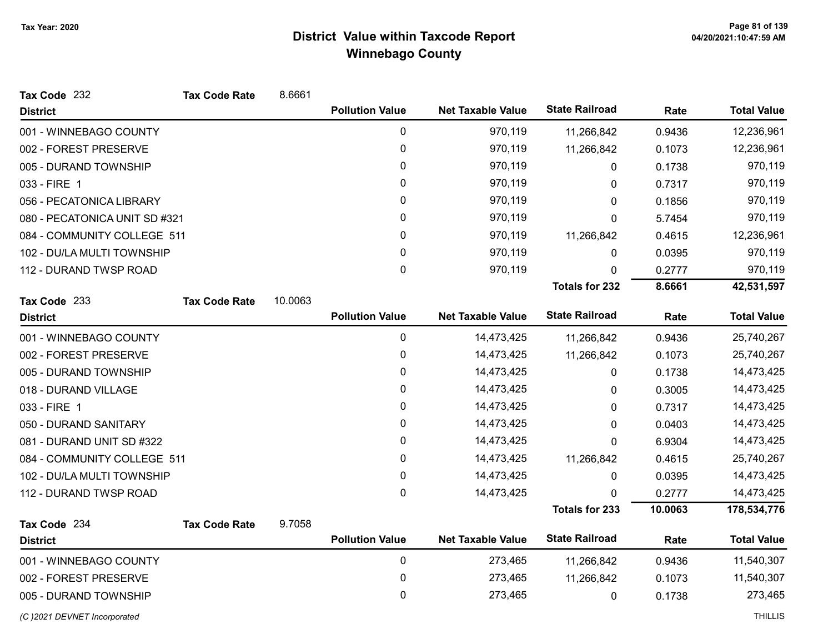| Tax Code 232                  | <b>Tax Code Rate</b> | 8.6661  |                        |                          |                       |         |                    |
|-------------------------------|----------------------|---------|------------------------|--------------------------|-----------------------|---------|--------------------|
| <b>District</b>               |                      |         | <b>Pollution Value</b> | <b>Net Taxable Value</b> | <b>State Railroad</b> | Rate    | <b>Total Value</b> |
| 001 - WINNEBAGO COUNTY        |                      |         | 0                      | 970,119                  | 11,266,842            | 0.9436  | 12,236,961         |
| 002 - FOREST PRESERVE         |                      |         | 0                      | 970,119                  | 11,266,842            | 0.1073  | 12,236,961         |
| 005 - DURAND TOWNSHIP         |                      |         | 0                      | 970,119                  | 0                     | 0.1738  | 970,119            |
| 033 - FIRE 1                  |                      |         | 0                      | 970,119                  | 0                     | 0.7317  | 970,119            |
| 056 - PECATONICA LIBRARY      |                      |         | 0                      | 970,119                  | 0                     | 0.1856  | 970,119            |
| 080 - PECATONICA UNIT SD #321 |                      |         | 0                      | 970,119                  | 0                     | 5.7454  | 970,119            |
| 084 - COMMUNITY COLLEGE 511   |                      |         | $\mathbf{0}$           | 970,119                  | 11,266,842            | 0.4615  | 12,236,961         |
| 102 - DU/LA MULTI TOWNSHIP    |                      |         | 0                      | 970,119                  | 0                     | 0.0395  | 970,119            |
| 112 - DURAND TWSP ROAD        |                      |         | $\mathbf 0$            | 970,119                  | 0                     | 0.2777  | 970,119            |
|                               |                      |         |                        |                          | <b>Totals for 232</b> | 8.6661  | 42,531,597         |
| Tax Code 233                  | <b>Tax Code Rate</b> | 10.0063 |                        |                          |                       |         |                    |
| <b>District</b>               |                      |         | <b>Pollution Value</b> | <b>Net Taxable Value</b> | <b>State Railroad</b> | Rate    | <b>Total Value</b> |
| 001 - WINNEBAGO COUNTY        |                      |         | 0                      | 14,473,425               | 11,266,842            | 0.9436  | 25,740,267         |
| 002 - FOREST PRESERVE         |                      |         | 0                      | 14,473,425               | 11,266,842            | 0.1073  | 25,740,267         |
| 005 - DURAND TOWNSHIP         |                      |         | 0                      | 14,473,425               | 0                     | 0.1738  | 14,473,425         |
| 018 - DURAND VILLAGE          |                      |         | 0                      | 14,473,425               | 0                     | 0.3005  | 14,473,425         |
| 033 - FIRE 1                  |                      |         | 0                      | 14,473,425               | 0                     | 0.7317  | 14,473,425         |
| 050 - DURAND SANITARY         |                      |         | 0                      | 14,473,425               | 0                     | 0.0403  | 14,473,425         |
| 081 - DURAND UNIT SD #322     |                      |         | 0                      | 14,473,425               | 0                     | 6.9304  | 14,473,425         |
| 084 - COMMUNITY COLLEGE 511   |                      |         | 0                      | 14,473,425               | 11,266,842            | 0.4615  | 25,740,267         |
| 102 - DU/LA MULTI TOWNSHIP    |                      |         | 0                      | 14,473,425               | 0                     | 0.0395  | 14,473,425         |
| 112 - DURAND TWSP ROAD        |                      |         | $\mathbf 0$            | 14,473,425               | 0                     | 0.2777  | 14,473,425         |
|                               |                      |         |                        |                          | <b>Totals for 233</b> | 10.0063 | 178,534,776        |
| Tax Code 234                  | <b>Tax Code Rate</b> | 9.7058  |                        |                          |                       |         |                    |
| <b>District</b>               |                      |         | <b>Pollution Value</b> | <b>Net Taxable Value</b> | <b>State Railroad</b> | Rate    | <b>Total Value</b> |
| 001 - WINNEBAGO COUNTY        |                      |         | 0                      | 273,465                  | 11,266,842            | 0.9436  | 11,540,307         |
| 002 - FOREST PRESERVE         |                      |         | $\pmb{0}$              | 273,465                  | 11,266,842            | 0.1073  | 11,540,307         |
| 005 - DURAND TOWNSHIP         |                      |         | 0                      | 273,465                  | 0                     | 0.1738  | 273,465            |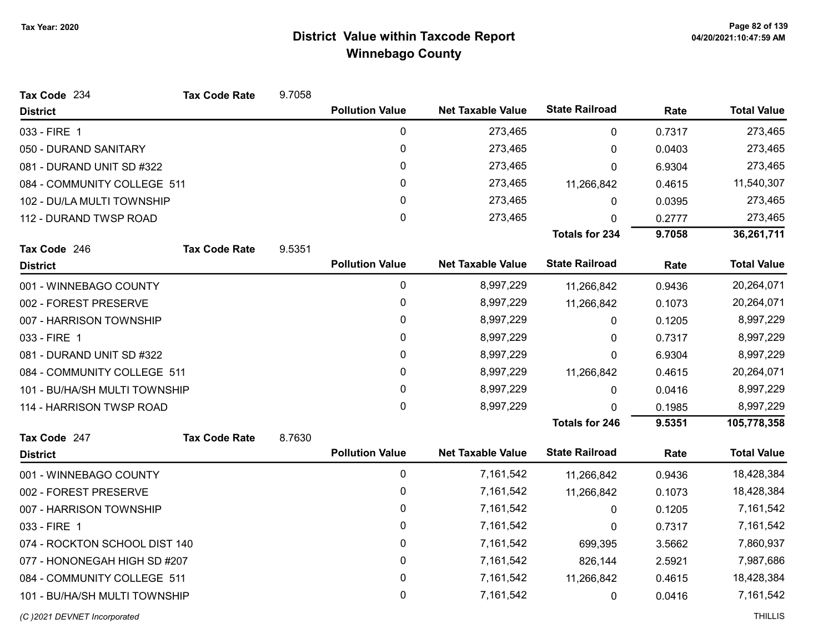| Tax Code 234                  | <b>Tax Code Rate</b> | 9.7058 |                        |                          |                       |        |                    |
|-------------------------------|----------------------|--------|------------------------|--------------------------|-----------------------|--------|--------------------|
| <b>District</b>               |                      |        | <b>Pollution Value</b> | <b>Net Taxable Value</b> | <b>State Railroad</b> | Rate   | <b>Total Value</b> |
| 033 - FIRE 1                  |                      |        | $\pmb{0}$              | 273,465                  | 0                     | 0.7317 | 273,465            |
| 050 - DURAND SANITARY         |                      |        | $\mathbf 0$            | 273,465                  | 0                     | 0.0403 | 273,465            |
| 081 - DURAND UNIT SD #322     |                      |        | 0                      | 273,465                  | 0                     | 6.9304 | 273,465            |
| 084 - COMMUNITY COLLEGE 511   |                      |        | 0                      | 273,465                  | 11,266,842            | 0.4615 | 11,540,307         |
| 102 - DU/LA MULTI TOWNSHIP    |                      |        | 0                      | 273,465                  | 0                     | 0.0395 | 273,465            |
| 112 - DURAND TWSP ROAD        |                      |        | 0                      | 273,465                  | 0                     | 0.2777 | 273,465            |
|                               |                      |        |                        |                          | <b>Totals for 234</b> | 9.7058 | 36,261,711         |
| Tax Code 246                  | <b>Tax Code Rate</b> | 9.5351 |                        |                          |                       |        |                    |
| <b>District</b>               |                      |        | <b>Pollution Value</b> | <b>Net Taxable Value</b> | <b>State Railroad</b> | Rate   | <b>Total Value</b> |
| 001 - WINNEBAGO COUNTY        |                      |        | 0                      | 8,997,229                | 11,266,842            | 0.9436 | 20,264,071         |
| 002 - FOREST PRESERVE         |                      |        | 0                      | 8,997,229                | 11,266,842            | 0.1073 | 20,264,071         |
| 007 - HARRISON TOWNSHIP       |                      |        | 0                      | 8,997,229                | 0                     | 0.1205 | 8,997,229          |
| 033 - FIRE 1                  |                      |        | 0                      | 8,997,229                | 0                     | 0.7317 | 8,997,229          |
| 081 - DURAND UNIT SD #322     |                      |        | 0                      | 8,997,229                | 0                     | 6.9304 | 8,997,229          |
| 084 - COMMUNITY COLLEGE 511   |                      |        | 0                      | 8,997,229                | 11,266,842            | 0.4615 | 20,264,071         |
| 101 - BU/HA/SH MULTI TOWNSHIP |                      |        | 0                      | 8,997,229                | $\Omega$              | 0.0416 | 8,997,229          |
| 114 - HARRISON TWSP ROAD      |                      |        | 0                      | 8,997,229                | 0                     | 0.1985 | 8,997,229          |
|                               |                      |        |                        |                          | <b>Totals for 246</b> | 9.5351 | 105,778,358        |
| Tax Code 247                  | <b>Tax Code Rate</b> | 8.7630 |                        |                          |                       |        |                    |
| <b>District</b>               |                      |        | <b>Pollution Value</b> | <b>Net Taxable Value</b> | <b>State Railroad</b> | Rate   | <b>Total Value</b> |
| 001 - WINNEBAGO COUNTY        |                      |        | $\pmb{0}$              | 7,161,542                | 11,266,842            | 0.9436 | 18,428,384         |
| 002 - FOREST PRESERVE         |                      |        | 0                      | 7,161,542                | 11,266,842            | 0.1073 | 18,428,384         |
| 007 - HARRISON TOWNSHIP       |                      |        | 0                      | 7,161,542                | 0                     | 0.1205 | 7,161,542          |
| 033 - FIRE 1                  |                      |        | 0                      | 7,161,542                | 0                     | 0.7317 | 7,161,542          |
| 074 - ROCKTON SCHOOL DIST 140 |                      |        | 0                      | 7,161,542                | 699,395               | 3.5662 | 7,860,937          |
| 077 - HONONEGAH HIGH SD #207  |                      |        | 0                      | 7,161,542                | 826,144               | 2.5921 | 7,987,686          |
| 084 - COMMUNITY COLLEGE 511   |                      |        | 0                      | 7,161,542                | 11,266,842            | 0.4615 | 18,428,384         |
| 101 - BU/HA/SH MULTI TOWNSHIP |                      |        | 0                      | 7,161,542                | 0                     | 0.0416 | 7,161,542          |

(C)2021 DEVNET Incorporated THILLIS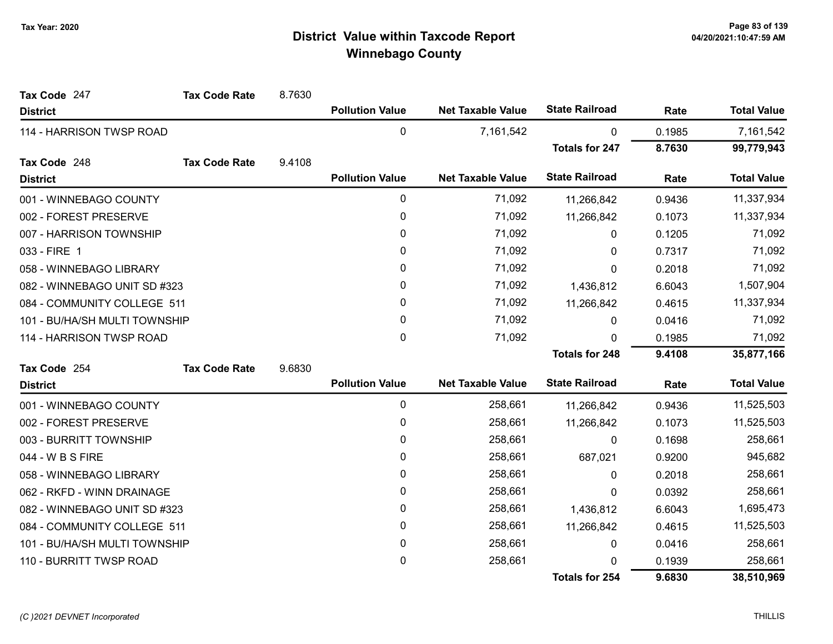| Tax Code 247                  | <b>Tax Code Rate</b> | 8.7630 |                        |                          |                       |        |                    |
|-------------------------------|----------------------|--------|------------------------|--------------------------|-----------------------|--------|--------------------|
| <b>District</b>               |                      |        | <b>Pollution Value</b> | <b>Net Taxable Value</b> | <b>State Railroad</b> | Rate   | <b>Total Value</b> |
| 114 - HARRISON TWSP ROAD      |                      |        | 0                      | 7,161,542                | 0                     | 0.1985 | 7,161,542          |
|                               |                      |        |                        |                          | <b>Totals for 247</b> | 8.7630 | 99,779,943         |
| Tax Code 248                  | <b>Tax Code Rate</b> | 9.4108 |                        |                          |                       |        |                    |
| <b>District</b>               |                      |        | <b>Pollution Value</b> | <b>Net Taxable Value</b> | <b>State Railroad</b> | Rate   | <b>Total Value</b> |
| 001 - WINNEBAGO COUNTY        |                      |        | $\pmb{0}$              | 71,092                   | 11,266,842            | 0.9436 | 11,337,934         |
| 002 - FOREST PRESERVE         |                      |        | $\pmb{0}$              | 71,092                   | 11,266,842            | 0.1073 | 11,337,934         |
| 007 - HARRISON TOWNSHIP       |                      |        | 0                      | 71,092                   | 0                     | 0.1205 | 71,092             |
| 033 - FIRE 1                  |                      |        | $\mathbf{0}$           | 71,092                   | 0                     | 0.7317 | 71,092             |
| 058 - WINNEBAGO LIBRARY       |                      |        | 0                      | 71,092                   | 0                     | 0.2018 | 71,092             |
| 082 - WINNEBAGO UNIT SD #323  |                      |        | 0                      | 71,092                   | 1,436,812             | 6.6043 | 1,507,904          |
| 084 - COMMUNITY COLLEGE 511   |                      |        | 0                      | 71,092                   | 11,266,842            | 0.4615 | 11,337,934         |
| 101 - BU/HA/SH MULTI TOWNSHIP |                      |        | 0                      | 71,092                   | 0                     | 0.0416 | 71,092             |
| 114 - HARRISON TWSP ROAD      |                      |        | $\mathbf{0}$           | 71,092                   | 0                     | 0.1985 | 71,092             |
|                               |                      |        |                        |                          | <b>Totals for 248</b> | 9.4108 | 35,877,166         |
| Tax Code 254                  | <b>Tax Code Rate</b> | 9.6830 |                        |                          |                       |        |                    |
| <b>District</b>               |                      |        | <b>Pollution Value</b> | <b>Net Taxable Value</b> | <b>State Railroad</b> | Rate   | <b>Total Value</b> |
| 001 - WINNEBAGO COUNTY        |                      |        | $\pmb{0}$              | 258,661                  | 11,266,842            | 0.9436 | 11,525,503         |
| 002 - FOREST PRESERVE         |                      |        | 0                      | 258,661                  | 11,266,842            | 0.1073 | 11,525,503         |
| 003 - BURRITT TOWNSHIP        |                      |        | 0                      | 258,661                  | $\Omega$              | 0.1698 | 258,661            |
| 044 - W B S FIRE              |                      |        | $\mathbf{0}$           | 258,661                  | 687,021               | 0.9200 | 945,682            |
| 058 - WINNEBAGO LIBRARY       |                      |        | 0                      | 258,661                  | 0                     | 0.2018 | 258,661            |
| 062 - RKFD - WINN DRAINAGE    |                      |        | 0                      | 258,661                  | $\mathbf{0}$          | 0.0392 | 258,661            |
| 082 - WINNEBAGO UNIT SD #323  |                      |        | 0                      | 258,661                  | 1,436,812             | 6.6043 | 1,695,473          |
| 084 - COMMUNITY COLLEGE 511   |                      |        | 0                      | 258,661                  | 11,266,842            | 0.4615 | 11,525,503         |
| 101 - BU/HA/SH MULTI TOWNSHIP |                      |        | 0                      | 258,661                  | 0                     | 0.0416 | 258,661            |
| 110 - BURRITT TWSP ROAD       |                      |        | 0                      | 258,661                  | 0                     | 0.1939 | 258,661            |
|                               |                      |        |                        |                          | <b>Totals for 254</b> | 9.6830 | 38,510,969         |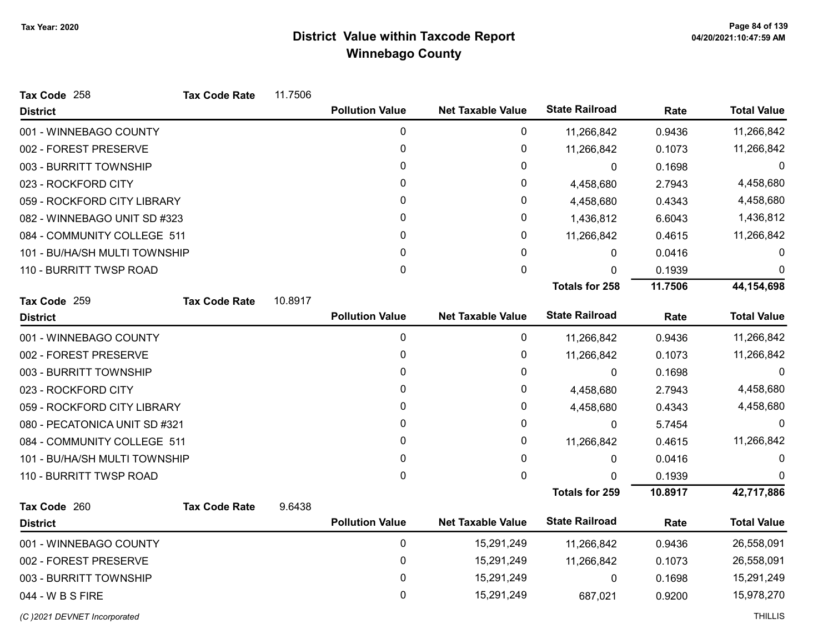| Tax Code 258                  | <b>Tax Code Rate</b> | 11.7506 |                        |                          |                       |         |                    |
|-------------------------------|----------------------|---------|------------------------|--------------------------|-----------------------|---------|--------------------|
| <b>District</b>               |                      |         | <b>Pollution Value</b> | <b>Net Taxable Value</b> | <b>State Railroad</b> | Rate    | <b>Total Value</b> |
| 001 - WINNEBAGO COUNTY        |                      |         | 0                      | 0                        | 11,266,842            | 0.9436  | 11,266,842         |
| 002 - FOREST PRESERVE         |                      |         | 0                      | 0                        | 11,266,842            | 0.1073  | 11,266,842         |
| 003 - BURRITT TOWNSHIP        |                      |         | 0                      | 0                        | $\Omega$              | 0.1698  | $\Omega$           |
| 023 - ROCKFORD CITY           |                      |         | 0                      | 0                        | 4,458,680             | 2.7943  | 4,458,680          |
| 059 - ROCKFORD CITY LIBRARY   |                      |         | 0                      | 0                        | 4,458,680             | 0.4343  | 4,458,680          |
| 082 - WINNEBAGO UNIT SD #323  |                      |         | 0                      | 0                        | 1,436,812             | 6.6043  | 1,436,812          |
| 084 - COMMUNITY COLLEGE 511   |                      |         | 0                      | 0                        | 11,266,842            | 0.4615  | 11,266,842         |
| 101 - BU/HA/SH MULTI TOWNSHIP |                      |         | 0                      | 0                        | 0                     | 0.0416  | 0                  |
| 110 - BURRITT TWSP ROAD       |                      |         | 0                      | 0                        | 0                     | 0.1939  | $\Omega$           |
|                               |                      |         |                        |                          | <b>Totals for 258</b> | 11.7506 | 44,154,698         |
| Tax Code 259                  | <b>Tax Code Rate</b> | 10.8917 |                        |                          |                       |         |                    |
| <b>District</b>               |                      |         | <b>Pollution Value</b> | <b>Net Taxable Value</b> | <b>State Railroad</b> | Rate    | <b>Total Value</b> |
| 001 - WINNEBAGO COUNTY        |                      |         | 0                      | $\mathbf 0$              | 11,266,842            | 0.9436  | 11,266,842         |
| 002 - FOREST PRESERVE         |                      |         | 0                      | 0                        | 11,266,842            | 0.1073  | 11,266,842         |
| 003 - BURRITT TOWNSHIP        |                      |         | 0                      | 0                        | 0                     | 0.1698  | 0                  |
| 023 - ROCKFORD CITY           |                      |         | 0                      | 0                        | 4,458,680             | 2.7943  | 4,458,680          |
| 059 - ROCKFORD CITY LIBRARY   |                      |         | 0                      | 0                        | 4,458,680             | 0.4343  | 4,458,680          |
| 080 - PECATONICA UNIT SD #321 |                      |         | 0                      | 0                        | 0                     | 5.7454  | 0                  |
| 084 - COMMUNITY COLLEGE 511   |                      |         | 0                      | 0                        | 11,266,842            | 0.4615  | 11,266,842         |
| 101 - BU/HA/SH MULTI TOWNSHIP |                      |         | 0                      | 0                        | 0                     | 0.0416  | 0                  |
| 110 - BURRITT TWSP ROAD       |                      |         | 0                      | 0                        | n                     | 0.1939  | <sup>0</sup>       |
|                               |                      |         |                        |                          | <b>Totals for 259</b> | 10.8917 | 42,717,886         |
| Tax Code 260                  | <b>Tax Code Rate</b> | 9.6438  |                        |                          |                       |         |                    |
| <b>District</b>               |                      |         | <b>Pollution Value</b> | <b>Net Taxable Value</b> | <b>State Railroad</b> | Rate    | <b>Total Value</b> |
| 001 - WINNEBAGO COUNTY        |                      |         | 0                      | 15,291,249               | 11,266,842            | 0.9436  | 26,558,091         |
| 002 - FOREST PRESERVE         |                      |         | 0                      | 15,291,249               | 11,266,842            | 0.1073  | 26,558,091         |
| 003 - BURRITT TOWNSHIP        |                      |         | 0                      | 15,291,249               | $\mathbf{0}$          | 0.1698  | 15,291,249         |
| 044 - W B S FIRE              |                      |         | 0                      | 15,291,249               | 687,021               | 0.9200  | 15,978,270         |
|                               |                      |         |                        |                          |                       |         |                    |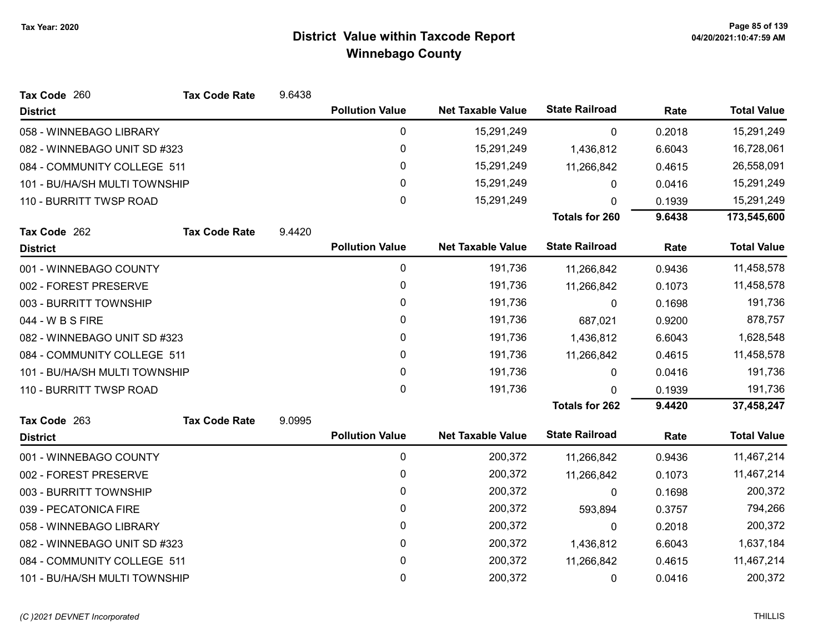| Tax Code 260                  | <b>Tax Code Rate</b> | 9.6438 |                        |                          |                       |        |                    |
|-------------------------------|----------------------|--------|------------------------|--------------------------|-----------------------|--------|--------------------|
| <b>District</b>               |                      |        | <b>Pollution Value</b> | <b>Net Taxable Value</b> | <b>State Railroad</b> | Rate   | <b>Total Value</b> |
| 058 - WINNEBAGO LIBRARY       |                      |        | 0                      | 15,291,249               | 0                     | 0.2018 | 15,291,249         |
| 082 - WINNEBAGO UNIT SD #323  |                      |        | 0                      | 15,291,249               | 1,436,812             | 6.6043 | 16,728,061         |
| 084 - COMMUNITY COLLEGE 511   |                      |        | 0                      | 15,291,249               | 11,266,842            | 0.4615 | 26,558,091         |
| 101 - BU/HA/SH MULTI TOWNSHIP |                      |        | 0                      | 15,291,249               | 0                     | 0.0416 | 15,291,249         |
| 110 - BURRITT TWSP ROAD       |                      |        | 0                      | 15,291,249               | 0                     | 0.1939 | 15,291,249         |
|                               |                      |        |                        |                          | <b>Totals for 260</b> | 9.6438 | 173,545,600        |
| Tax Code 262                  | <b>Tax Code Rate</b> | 9.4420 |                        |                          |                       |        |                    |
| <b>District</b>               |                      |        | <b>Pollution Value</b> | <b>Net Taxable Value</b> | <b>State Railroad</b> | Rate   | <b>Total Value</b> |
| 001 - WINNEBAGO COUNTY        |                      |        | $\mathbf 0$            | 191,736                  | 11,266,842            | 0.9436 | 11,458,578         |
| 002 - FOREST PRESERVE         |                      |        | 0                      | 191,736                  | 11,266,842            | 0.1073 | 11,458,578         |
| 003 - BURRITT TOWNSHIP        |                      |        | 0                      | 191,736                  | $\mathbf{0}$          | 0.1698 | 191,736            |
| 044 - W B S FIRE              |                      |        | 0                      | 191,736                  | 687,021               | 0.9200 | 878,757            |
| 082 - WINNEBAGO UNIT SD #323  |                      |        | 0                      | 191,736                  | 1,436,812             | 6.6043 | 1,628,548          |
| 084 - COMMUNITY COLLEGE 511   |                      |        | 0                      | 191,736                  | 11,266,842            | 0.4615 | 11,458,578         |
| 101 - BU/HA/SH MULTI TOWNSHIP |                      |        | 0                      | 191,736                  | 0                     | 0.0416 | 191,736            |
| 110 - BURRITT TWSP ROAD       |                      |        | 0                      | 191,736                  | <sup>n</sup>          | 0.1939 | 191,736            |
|                               |                      |        |                        |                          | <b>Totals for 262</b> | 9.4420 | 37,458,247         |
| Tax Code 263                  | <b>Tax Code Rate</b> | 9.0995 |                        |                          |                       |        |                    |
| <b>District</b>               |                      |        | <b>Pollution Value</b> | <b>Net Taxable Value</b> | <b>State Railroad</b> | Rate   | <b>Total Value</b> |
| 001 - WINNEBAGO COUNTY        |                      |        | $\pmb{0}$              | 200,372                  | 11,266,842            | 0.9436 | 11,467,214         |
| 002 - FOREST PRESERVE         |                      |        | 0                      | 200,372                  | 11,266,842            | 0.1073 | 11,467,214         |
| 003 - BURRITT TOWNSHIP        |                      |        | 0                      | 200,372                  | $\mathbf{0}$          | 0.1698 | 200,372            |
| 039 - PECATONICA FIRE         |                      |        | 0                      | 200,372                  | 593,894               | 0.3757 | 794,266            |
| 058 - WINNEBAGO LIBRARY       |                      |        | 0                      | 200,372                  | 0                     | 0.2018 | 200,372            |
| 082 - WINNEBAGO UNIT SD #323  |                      |        | 0                      | 200,372                  | 1,436,812             | 6.6043 | 1,637,184          |
| 084 - COMMUNITY COLLEGE 511   |                      |        | 0                      | 200,372                  | 11,266,842            | 0.4615 | 11,467,214         |
| 101 - BU/HA/SH MULTI TOWNSHIP |                      |        | 0                      | 200,372                  | 0                     | 0.0416 | 200,372            |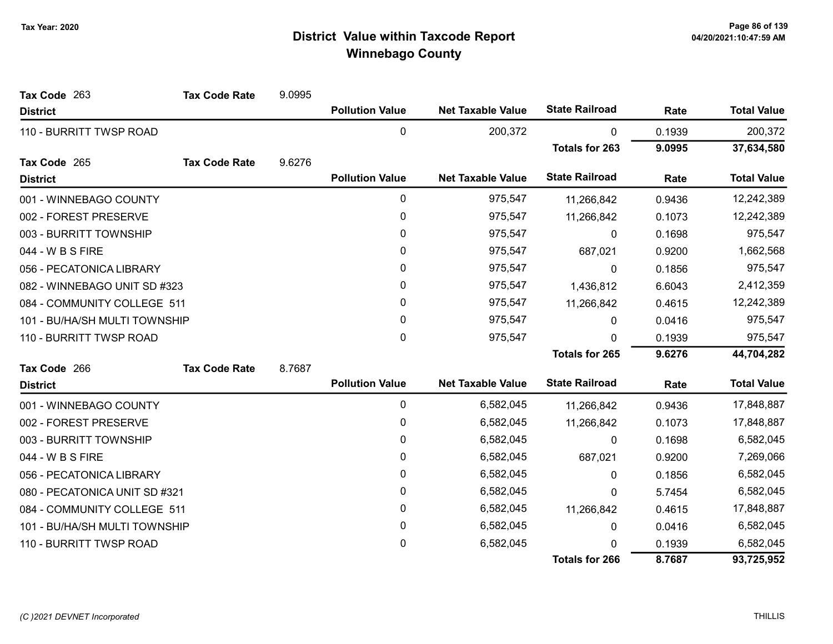| Tax Code 263                  | <b>Tax Code Rate</b> | 9.0995 |                        |                          |                       |        |                    |
|-------------------------------|----------------------|--------|------------------------|--------------------------|-----------------------|--------|--------------------|
| <b>District</b>               |                      |        | <b>Pollution Value</b> | <b>Net Taxable Value</b> | <b>State Railroad</b> | Rate   | <b>Total Value</b> |
| 110 - BURRITT TWSP ROAD       |                      |        | $\pmb{0}$              | 200,372                  | 0                     | 0.1939 | 200,372            |
|                               |                      |        |                        |                          | <b>Totals for 263</b> | 9.0995 | 37,634,580         |
| Tax Code 265                  | <b>Tax Code Rate</b> | 9.6276 |                        |                          |                       |        |                    |
| <b>District</b>               |                      |        | <b>Pollution Value</b> | <b>Net Taxable Value</b> | <b>State Railroad</b> | Rate   | <b>Total Value</b> |
| 001 - WINNEBAGO COUNTY        |                      |        | 0                      | 975,547                  | 11,266,842            | 0.9436 | 12,242,389         |
| 002 - FOREST PRESERVE         |                      |        | $\pmb{0}$              | 975,547                  | 11,266,842            | 0.1073 | 12,242,389         |
| 003 - BURRITT TOWNSHIP        |                      |        | $\mathbf{0}$           | 975,547                  | $\mathbf{0}$          | 0.1698 | 975,547            |
| 044 - W B S FIRE              |                      |        | 0                      | 975,547                  | 687,021               | 0.9200 | 1,662,568          |
| 056 - PECATONICA LIBRARY      |                      |        | $\pmb{0}$              | 975,547                  | 0                     | 0.1856 | 975,547            |
| 082 - WINNEBAGO UNIT SD #323  |                      |        | 0                      | 975,547                  | 1,436,812             | 6.6043 | 2,412,359          |
| 084 - COMMUNITY COLLEGE 511   |                      |        | 0                      | 975,547                  | 11,266,842            | 0.4615 | 12,242,389         |
| 101 - BU/HA/SH MULTI TOWNSHIP |                      |        | 0                      | 975,547                  | $\mathbf{0}$          | 0.0416 | 975,547            |
| 110 - BURRITT TWSP ROAD       |                      |        | 0                      | 975,547                  | 0                     | 0.1939 | 975,547            |
|                               |                      |        |                        |                          | Totals for 265        | 9.6276 | 44,704,282         |
| Tax Code 266                  | <b>Tax Code Rate</b> | 8.7687 |                        |                          |                       |        |                    |
| <b>District</b>               |                      |        | <b>Pollution Value</b> | <b>Net Taxable Value</b> | <b>State Railroad</b> | Rate   | <b>Total Value</b> |
| 001 - WINNEBAGO COUNTY        |                      |        | $\pmb{0}$              | 6,582,045                | 11,266,842            | 0.9436 | 17,848,887         |
| 002 - FOREST PRESERVE         |                      |        | 0                      | 6,582,045                | 11,266,842            | 0.1073 | 17,848,887         |
| 003 - BURRITT TOWNSHIP        |                      |        | 0                      | 6,582,045                | $\mathbf{0}$          | 0.1698 | 6,582,045          |
| 044 - W B S FIRE              |                      |        | 0                      | 6,582,045                | 687,021               | 0.9200 | 7,269,066          |
| 056 - PECATONICA LIBRARY      |                      |        | $\mathbf{0}$           | 6,582,045                | $\mathbf{0}$          | 0.1856 | 6,582,045          |
| 080 - PECATONICA UNIT SD #321 |                      |        | 0                      | 6,582,045                | 0                     | 5.7454 | 6,582,045          |
| 084 - COMMUNITY COLLEGE 511   |                      |        | 0                      | 6,582,045                | 11,266,842            | 0.4615 | 17,848,887         |
| 101 - BU/HA/SH MULTI TOWNSHIP |                      |        | $\pmb{0}$              | 6,582,045                | 0                     | 0.0416 | 6,582,045          |
| 110 - BURRITT TWSP ROAD       |                      |        | 0                      | 6,582,045                | U                     | 0.1939 | 6,582,045          |
|                               |                      |        |                        |                          | <b>Totals for 266</b> | 8.7687 | 93,725,952         |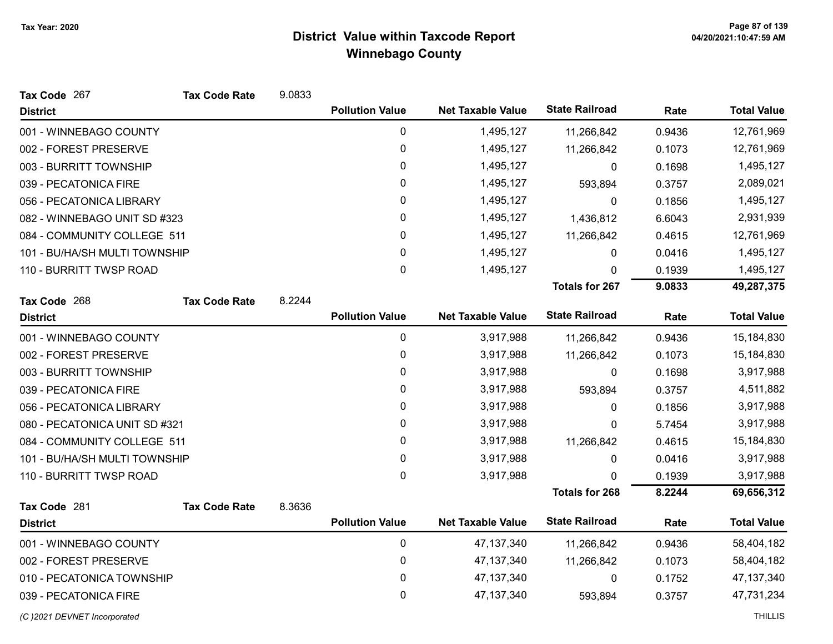| Tax Code 267                  | <b>Tax Code Rate</b> | 9.0833 |                        |                          |                       |        |                    |
|-------------------------------|----------------------|--------|------------------------|--------------------------|-----------------------|--------|--------------------|
| <b>District</b>               |                      |        | <b>Pollution Value</b> | <b>Net Taxable Value</b> | <b>State Railroad</b> | Rate   | <b>Total Value</b> |
| 001 - WINNEBAGO COUNTY        |                      |        | $\mathbf 0$            | 1,495,127                | 11,266,842            | 0.9436 | 12,761,969         |
| 002 - FOREST PRESERVE         |                      |        | 0                      | 1,495,127                | 11,266,842            | 0.1073 | 12,761,969         |
| 003 - BURRITT TOWNSHIP        |                      |        | 0                      | 1,495,127                | 0                     | 0.1698 | 1,495,127          |
| 039 - PECATONICA FIRE         |                      |        | 0                      | 1,495,127                | 593,894               | 0.3757 | 2,089,021          |
| 056 - PECATONICA LIBRARY      |                      |        | 0                      | 1,495,127                | 0                     | 0.1856 | 1,495,127          |
| 082 - WINNEBAGO UNIT SD #323  |                      |        | 0                      | 1,495,127                | 1,436,812             | 6.6043 | 2,931,939          |
| 084 - COMMUNITY COLLEGE 511   |                      |        | 0                      | 1,495,127                | 11,266,842            | 0.4615 | 12,761,969         |
| 101 - BU/HA/SH MULTI TOWNSHIP |                      |        | 0                      | 1,495,127                | 0                     | 0.0416 | 1,495,127          |
| 110 - BURRITT TWSP ROAD       |                      |        | 0                      | 1,495,127                | 0                     | 0.1939 | 1,495,127          |
|                               |                      |        |                        |                          | Totals for 267        | 9.0833 | 49,287,375         |
| Tax Code 268                  | <b>Tax Code Rate</b> | 8.2244 |                        |                          |                       |        |                    |
| <b>District</b>               |                      |        | <b>Pollution Value</b> | <b>Net Taxable Value</b> | <b>State Railroad</b> | Rate   | <b>Total Value</b> |
| 001 - WINNEBAGO COUNTY        |                      |        | 0                      | 3,917,988                | 11,266,842            | 0.9436 | 15,184,830         |
| 002 - FOREST PRESERVE         |                      |        | 0                      | 3,917,988                | 11,266,842            | 0.1073 | 15,184,830         |
| 003 - BURRITT TOWNSHIP        |                      |        | 0                      | 3,917,988                | 0                     | 0.1698 | 3,917,988          |
| 039 - PECATONICA FIRE         |                      |        | 0                      | 3,917,988                | 593,894               | 0.3757 | 4,511,882          |
| 056 - PECATONICA LIBRARY      |                      |        | 0                      | 3,917,988                | 0                     | 0.1856 | 3,917,988          |
| 080 - PECATONICA UNIT SD #321 |                      |        | 0                      | 3,917,988                | $\mathbf{0}$          | 5.7454 | 3,917,988          |
| 084 - COMMUNITY COLLEGE 511   |                      |        | 0                      | 3,917,988                | 11,266,842            | 0.4615 | 15,184,830         |
| 101 - BU/HA/SH MULTI TOWNSHIP |                      |        | 0                      | 3,917,988                | 0                     | 0.0416 | 3,917,988          |
| 110 - BURRITT TWSP ROAD       |                      |        | 0                      | 3,917,988                | 0                     | 0.1939 | 3,917,988          |
|                               |                      |        |                        |                          | <b>Totals for 268</b> | 8.2244 | 69,656,312         |
| Tax Code 281                  | <b>Tax Code Rate</b> | 8.3636 |                        |                          |                       |        |                    |
| <b>District</b>               |                      |        | <b>Pollution Value</b> | <b>Net Taxable Value</b> | <b>State Railroad</b> | Rate   | <b>Total Value</b> |
| 001 - WINNEBAGO COUNTY        |                      |        | $\pmb{0}$              | 47, 137, 340             | 11,266,842            | 0.9436 | 58,404,182         |
| 002 - FOREST PRESERVE         |                      |        | 0                      | 47, 137, 340             | 11,266,842            | 0.1073 | 58,404,182         |
| 010 - PECATONICA TOWNSHIP     |                      |        | $\pmb{0}$              | 47, 137, 340             | 0                     | 0.1752 | 47, 137, 340       |
| 039 - PECATONICA FIRE         |                      |        | 0                      | 47, 137, 340             | 593,894               | 0.3757 | 47,731,234         |
| (C) 2021 DEVNET Incorporated  |                      |        |                        |                          |                       |        | <b>THILLIS</b>     |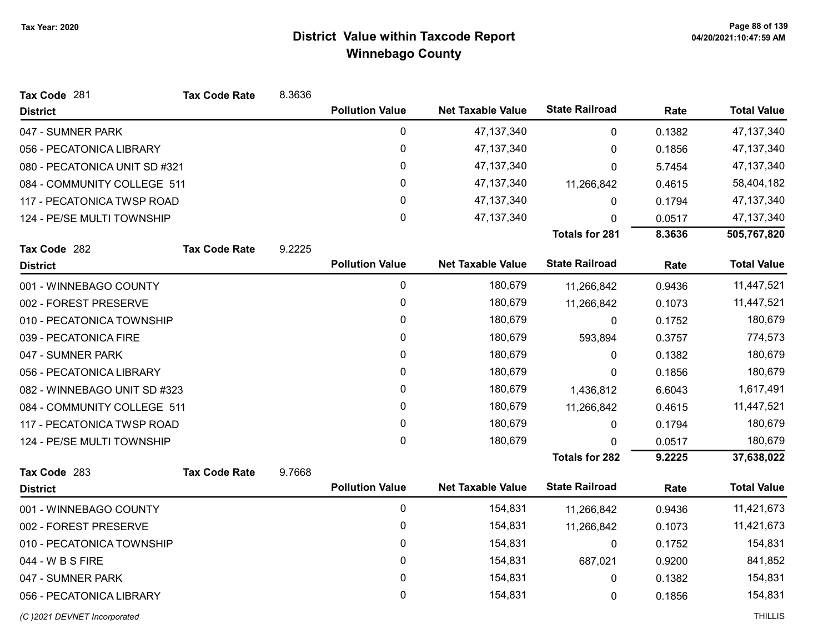| Tax Code 281                  | <b>Tax Code Rate</b> | 8.3636 |                        |                          |                       |        |                    |
|-------------------------------|----------------------|--------|------------------------|--------------------------|-----------------------|--------|--------------------|
| <b>District</b>               |                      |        | <b>Pollution Value</b> | <b>Net Taxable Value</b> | <b>State Railroad</b> | Rate   | <b>Total Value</b> |
| 047 - SUMNER PARK             |                      |        | $\mathbf 0$            | 47, 137, 340             | 0                     | 0.1382 | 47, 137, 340       |
| 056 - PECATONICA LIBRARY      |                      |        | $\pmb{0}$              | 47, 137, 340             | $\Omega$              | 0.1856 | 47, 137, 340       |
| 080 - PECATONICA UNIT SD #321 |                      |        | 0                      | 47, 137, 340             | 0                     | 5.7454 | 47, 137, 340       |
| 084 - COMMUNITY COLLEGE 511   |                      |        | 0                      | 47, 137, 340             | 11,266,842            | 0.4615 | 58,404,182         |
| 117 - PECATONICA TWSP ROAD    |                      |        | 0                      | 47, 137, 340             | 0                     | 0.1794 | 47, 137, 340       |
| 124 - PE/SE MULTI TOWNSHIP    |                      |        | 0                      | 47, 137, 340             | $\Omega$              | 0.0517 | 47, 137, 340       |
|                               |                      |        |                        |                          | <b>Totals for 281</b> | 8.3636 | 505,767,820        |
| Tax Code 282                  | <b>Tax Code Rate</b> | 9.2225 |                        |                          |                       |        |                    |
| <b>District</b>               |                      |        | <b>Pollution Value</b> | <b>Net Taxable Value</b> | <b>State Railroad</b> | Rate   | <b>Total Value</b> |
| 001 - WINNEBAGO COUNTY        |                      |        | $\mathbf 0$            | 180,679                  | 11,266,842            | 0.9436 | 11,447,521         |
| 002 - FOREST PRESERVE         |                      |        | 0                      | 180,679                  | 11,266,842            | 0.1073 | 11,447,521         |
| 010 - PECATONICA TOWNSHIP     |                      |        | 0                      | 180,679                  | 0                     | 0.1752 | 180,679            |
| 039 - PECATONICA FIRE         |                      |        | 0                      | 180,679                  | 593,894               | 0.3757 | 774,573            |
| 047 - SUMNER PARK             |                      |        | 0                      | 180,679                  | 0                     | 0.1382 | 180,679            |
| 056 - PECATONICA LIBRARY      |                      |        | 0                      | 180,679                  | 0                     | 0.1856 | 180,679            |
| 082 - WINNEBAGO UNIT SD #323  |                      |        | 0                      | 180,679                  | 1,436,812             | 6.6043 | 1,617,491          |
| 084 - COMMUNITY COLLEGE 511   |                      |        | 0                      | 180,679                  | 11,266,842            | 0.4615 | 11,447,521         |
| 117 - PECATONICA TWSP ROAD    |                      |        | 0                      | 180,679                  | 0                     | 0.1794 | 180,679            |
| 124 - PE/SE MULTI TOWNSHIP    |                      |        | 0                      | 180,679                  | $\Omega$              | 0.0517 | 180,679            |
|                               |                      |        |                        |                          | <b>Totals for 282</b> | 9.2225 | 37,638,022         |
| Tax Code 283                  | <b>Tax Code Rate</b> | 9.7668 |                        |                          |                       |        |                    |
| <b>District</b>               |                      |        | <b>Pollution Value</b> | <b>Net Taxable Value</b> | <b>State Railroad</b> | Rate   | <b>Total Value</b> |
| 001 - WINNEBAGO COUNTY        |                      |        | $\mathbf 0$            | 154,831                  | 11,266,842            | 0.9436 | 11,421,673         |
| 002 - FOREST PRESERVE         |                      |        | 0                      | 154,831                  | 11,266,842            | 0.1073 | 11,421,673         |
| 010 - PECATONICA TOWNSHIP     |                      |        | 0                      | 154,831                  | $\pmb{0}$             | 0.1752 | 154,831            |
| 044 - W B S FIRE              |                      |        | 0                      | 154,831                  | 687,021               | 0.9200 | 841,852            |
| 047 - SUMNER PARK             |                      |        | 0                      | 154,831                  | 0                     | 0.1382 | 154,831            |
| 056 - PECATONICA LIBRARY      |                      |        | 0                      | 154,831                  | 0                     | 0.1856 | 154,831            |
| (C) 2021 DEVNET Incorporated  |                      |        |                        |                          |                       |        | <b>THILLIS</b>     |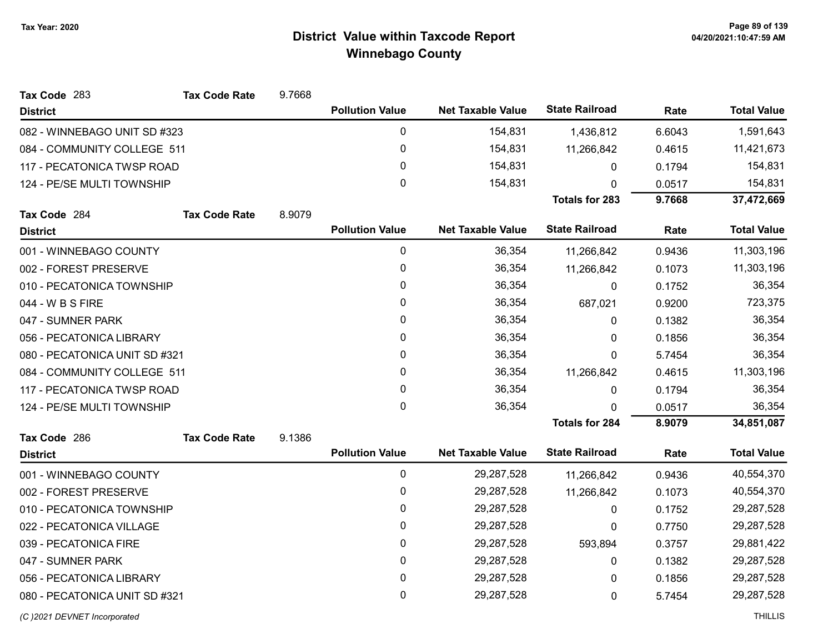| Tax Code 283                  | <b>Tax Code Rate</b> | 9.7668 |                        |                          |                       |        |                    |
|-------------------------------|----------------------|--------|------------------------|--------------------------|-----------------------|--------|--------------------|
| <b>District</b>               |                      |        | <b>Pollution Value</b> | <b>Net Taxable Value</b> | <b>State Railroad</b> | Rate   | <b>Total Value</b> |
| 082 - WINNEBAGO UNIT SD #323  |                      |        | 0                      | 154,831                  | 1,436,812             | 6.6043 | 1,591,643          |
| 084 - COMMUNITY COLLEGE 511   |                      |        | 0                      | 154,831                  | 11,266,842            | 0.4615 | 11,421,673         |
| 117 - PECATONICA TWSP ROAD    |                      |        | 0                      | 154,831                  | 0                     | 0.1794 | 154,831            |
| 124 - PE/SE MULTI TOWNSHIP    |                      |        | 0                      | 154,831                  | $\Omega$              | 0.0517 | 154,831            |
|                               |                      |        |                        |                          | <b>Totals for 283</b> | 9.7668 | 37,472,669         |
| Tax Code 284                  | <b>Tax Code Rate</b> | 8.9079 |                        |                          |                       |        |                    |
| <b>District</b>               |                      |        | <b>Pollution Value</b> | <b>Net Taxable Value</b> | <b>State Railroad</b> | Rate   | <b>Total Value</b> |
| 001 - WINNEBAGO COUNTY        |                      |        | 0                      | 36,354                   | 11,266,842            | 0.9436 | 11,303,196         |
| 002 - FOREST PRESERVE         |                      |        | 0                      | 36,354                   | 11,266,842            | 0.1073 | 11,303,196         |
| 010 - PECATONICA TOWNSHIP     |                      |        | 0                      | 36,354                   | 0                     | 0.1752 | 36,354             |
| 044 - W B S FIRE              |                      |        | 0                      | 36,354                   | 687,021               | 0.9200 | 723,375            |
| 047 - SUMNER PARK             |                      |        | 0                      | 36,354                   | 0                     | 0.1382 | 36,354             |
| 056 - PECATONICA LIBRARY      |                      |        | 0                      | 36,354                   | 0                     | 0.1856 | 36,354             |
| 080 - PECATONICA UNIT SD #321 |                      |        | 0                      | 36,354                   | 0                     | 5.7454 | 36,354             |
| 084 - COMMUNITY COLLEGE 511   |                      |        | 0                      | 36,354                   | 11,266,842            | 0.4615 | 11,303,196         |
| 117 - PECATONICA TWSP ROAD    |                      |        | 0                      | 36,354                   | 0                     | 0.1794 | 36,354             |
| 124 - PE/SE MULTI TOWNSHIP    |                      |        | 0                      | 36,354                   | 0                     | 0.0517 | 36,354             |
|                               |                      |        |                        |                          | <b>Totals for 284</b> | 8.9079 | 34,851,087         |
| Tax Code 286                  | <b>Tax Code Rate</b> | 9.1386 |                        |                          |                       |        |                    |
| <b>District</b>               |                      |        | <b>Pollution Value</b> | <b>Net Taxable Value</b> | <b>State Railroad</b> | Rate   | <b>Total Value</b> |
| 001 - WINNEBAGO COUNTY        |                      |        | 0                      | 29,287,528               | 11,266,842            | 0.9436 | 40,554,370         |
| 002 - FOREST PRESERVE         |                      |        | 0                      | 29,287,528               | 11,266,842            | 0.1073 | 40,554,370         |
| 010 - PECATONICA TOWNSHIP     |                      |        | 0                      | 29,287,528               | 0                     | 0.1752 | 29,287,528         |
| 022 - PECATONICA VILLAGE      |                      |        | 0                      | 29,287,528               | 0                     | 0.7750 | 29,287,528         |
| 039 - PECATONICA FIRE         |                      |        | 0                      | 29,287,528               | 593,894               | 0.3757 | 29,881,422         |
| 047 - SUMNER PARK             |                      |        | 0                      | 29,287,528               | $\pmb{0}$             | 0.1382 | 29,287,528         |
| 056 - PECATONICA LIBRARY      |                      |        | 0                      | 29,287,528               | 0                     | 0.1856 | 29,287,528         |
| 080 - PECATONICA UNIT SD #321 |                      |        | 0                      | 29,287,528               | 0                     | 5.7454 | 29,287,528         |
| (C) 2021 DEVNET Incorporated  |                      |        |                        |                          |                       |        | <b>THILLIS</b>     |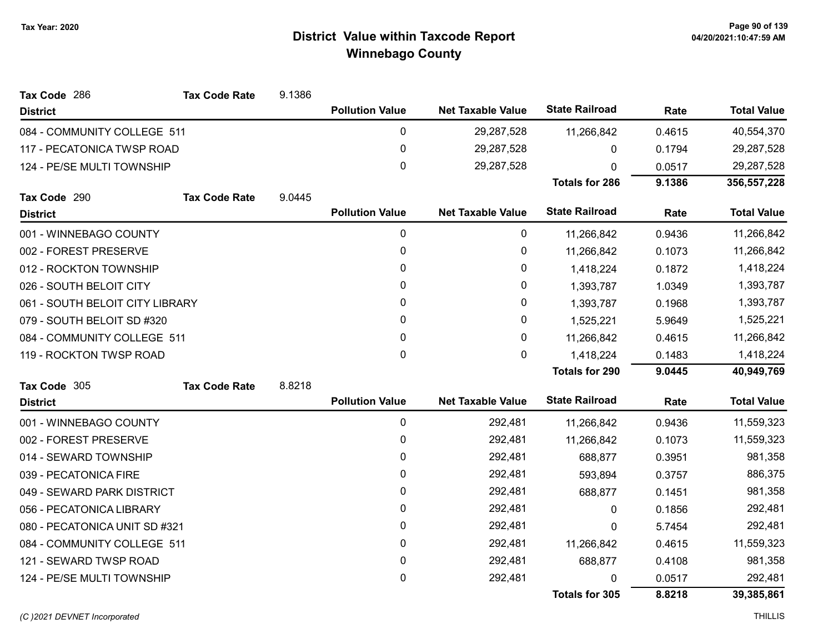| Tax Code 286                    | <b>Tax Code Rate</b> | 9.1386 |                        |                          |                       |        |                    |
|---------------------------------|----------------------|--------|------------------------|--------------------------|-----------------------|--------|--------------------|
| <b>District</b>                 |                      |        | <b>Pollution Value</b> | <b>Net Taxable Value</b> | <b>State Railroad</b> | Rate   | <b>Total Value</b> |
| 084 - COMMUNITY COLLEGE 511     |                      |        | 0                      | 29,287,528               | 11,266,842            | 0.4615 | 40,554,370         |
| 117 - PECATONICA TWSP ROAD      |                      |        | 0                      | 29,287,528               | 0                     | 0.1794 | 29,287,528         |
| 124 - PE/SE MULTI TOWNSHIP      |                      |        | 0                      | 29,287,528               | 0                     | 0.0517 | 29,287,528         |
|                                 |                      |        |                        |                          | <b>Totals for 286</b> | 9.1386 | 356,557,228        |
| Tax Code 290                    | <b>Tax Code Rate</b> | 9.0445 |                        |                          |                       |        |                    |
| <b>District</b>                 |                      |        | <b>Pollution Value</b> | <b>Net Taxable Value</b> | <b>State Railroad</b> | Rate   | <b>Total Value</b> |
| 001 - WINNEBAGO COUNTY          |                      |        | $\pmb{0}$              | 0                        | 11,266,842            | 0.9436 | 11,266,842         |
| 002 - FOREST PRESERVE           |                      |        | 0                      | $\pmb{0}$                | 11,266,842            | 0.1073 | 11,266,842         |
| 012 - ROCKTON TOWNSHIP          |                      |        | 0                      | 0                        | 1,418,224             | 0.1872 | 1,418,224          |
| 026 - SOUTH BELOIT CITY         |                      |        | 0                      | $\pmb{0}$                | 1,393,787             | 1.0349 | 1,393,787          |
| 061 - SOUTH BELOIT CITY LIBRARY |                      |        | 0                      | 0                        | 1,393,787             | 0.1968 | 1,393,787          |
| 079 - SOUTH BELOIT SD #320      |                      |        | $\mathbf{0}$           | $\pmb{0}$                | 1,525,221             | 5.9649 | 1,525,221          |
| 084 - COMMUNITY COLLEGE 511     |                      |        | 0                      | 0                        | 11,266,842            | 0.4615 | 11,266,842         |
| 119 - ROCKTON TWSP ROAD         |                      |        | 0                      | 0                        | 1,418,224             | 0.1483 | 1,418,224          |
|                                 |                      |        |                        |                          | <b>Totals for 290</b> | 9.0445 | 40,949,769         |
| Tax Code 305                    | <b>Tax Code Rate</b> | 8.8218 |                        |                          |                       |        |                    |
| <b>District</b>                 |                      |        | <b>Pollution Value</b> | <b>Net Taxable Value</b> | <b>State Railroad</b> | Rate   | <b>Total Value</b> |
| 001 - WINNEBAGO COUNTY          |                      |        | 0                      | 292,481                  | 11,266,842            | 0.9436 | 11,559,323         |
| 002 - FOREST PRESERVE           |                      |        | 0                      | 292,481                  | 11,266,842            | 0.1073 | 11,559,323         |
| 014 - SEWARD TOWNSHIP           |                      |        | 0                      | 292,481                  | 688,877               | 0.3951 | 981,358            |
| 039 - PECATONICA FIRE           |                      |        | $\mathbf{0}$           | 292,481                  | 593,894               | 0.3757 | 886,375            |
| 049 - SEWARD PARK DISTRICT      |                      |        | 0                      | 292,481                  | 688,877               | 0.1451 | 981,358            |
| 056 - PECATONICA LIBRARY        |                      |        | $\mathbf{0}$           | 292,481                  | $\mathbf{0}$          | 0.1856 | 292,481            |
| 080 - PECATONICA UNIT SD #321   |                      |        | 0                      | 292,481                  | $\pmb{0}$             | 5.7454 | 292,481            |
| 084 - COMMUNITY COLLEGE 511     |                      |        | 0                      | 292,481                  | 11,266,842            | 0.4615 | 11,559,323         |
| 121 - SEWARD TWSP ROAD          |                      |        | 0                      | 292,481                  | 688,877               | 0.4108 | 981,358            |
| 124 - PE/SE MULTI TOWNSHIP      |                      |        | 0                      | 292,481                  | 0                     | 0.0517 | 292,481            |
|                                 |                      |        |                        |                          | Totals for 305        | 8.8218 | 39,385,861         |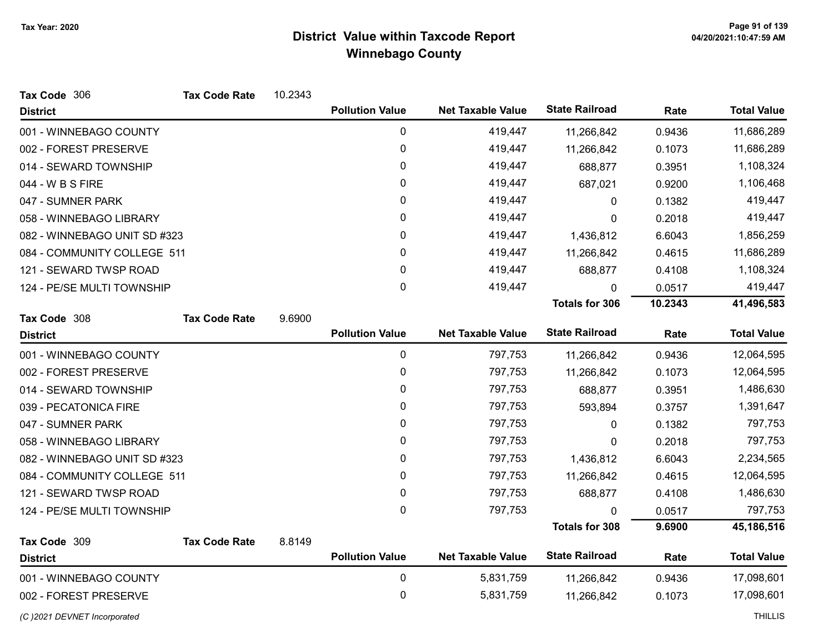| Tax Code 306                 | <b>Tax Code Rate</b> | 10.2343 |                        |                          |                       |         |                    |
|------------------------------|----------------------|---------|------------------------|--------------------------|-----------------------|---------|--------------------|
| <b>District</b>              |                      |         | <b>Pollution Value</b> | <b>Net Taxable Value</b> | <b>State Railroad</b> | Rate    | <b>Total Value</b> |
| 001 - WINNEBAGO COUNTY       |                      |         | $\mathbf 0$            | 419,447                  | 11,266,842            | 0.9436  | 11,686,289         |
| 002 - FOREST PRESERVE        |                      |         | $\pmb{0}$              | 419,447                  | 11,266,842            | 0.1073  | 11,686,289         |
| 014 - SEWARD TOWNSHIP        |                      |         | 0                      | 419,447                  | 688,877               | 0.3951  | 1,108,324          |
| 044 - W B S FIRE             |                      |         | 0                      | 419,447                  | 687,021               | 0.9200  | 1,106,468          |
| 047 - SUMNER PARK            |                      |         | 0                      | 419,447                  | 0                     | 0.1382  | 419,447            |
| 058 - WINNEBAGO LIBRARY      |                      |         | 0                      | 419,447                  | 0                     | 0.2018  | 419,447            |
| 082 - WINNEBAGO UNIT SD #323 |                      |         | 0                      | 419,447                  | 1,436,812             | 6.6043  | 1,856,259          |
| 084 - COMMUNITY COLLEGE 511  |                      |         | 0                      | 419,447                  | 11,266,842            | 0.4615  | 11,686,289         |
| 121 - SEWARD TWSP ROAD       |                      |         | $\mathbf 0$            | 419,447                  | 688,877               | 0.4108  | 1,108,324          |
| 124 - PE/SE MULTI TOWNSHIP   |                      |         | $\mathbf 0$            | 419,447                  | 0                     | 0.0517  | 419,447            |
|                              |                      |         |                        |                          | <b>Totals for 306</b> | 10.2343 | 41,496,583         |
| Tax Code 308                 | <b>Tax Code Rate</b> | 9.6900  |                        |                          |                       |         |                    |
| <b>District</b>              |                      |         | <b>Pollution Value</b> | <b>Net Taxable Value</b> | <b>State Railroad</b> | Rate    | <b>Total Value</b> |
| 001 - WINNEBAGO COUNTY       |                      |         | $\mathbf 0$            | 797,753                  | 11,266,842            | 0.9436  | 12,064,595         |
| 002 - FOREST PRESERVE        |                      |         | 0                      | 797,753                  | 11,266,842            | 0.1073  | 12,064,595         |
| 014 - SEWARD TOWNSHIP        |                      |         | 0                      | 797,753                  | 688,877               | 0.3951  | 1,486,630          |
| 039 - PECATONICA FIRE        |                      |         | 0                      | 797,753                  | 593,894               | 0.3757  | 1,391,647          |
| 047 - SUMNER PARK            |                      |         | 0                      | 797,753                  | 0                     | 0.1382  | 797,753            |
| 058 - WINNEBAGO LIBRARY      |                      |         | $\mathbf{0}$           | 797,753                  | $\mathbf{0}$          | 0.2018  | 797,753            |
| 082 - WINNEBAGO UNIT SD #323 |                      |         | 0                      | 797,753                  | 1,436,812             | 6.6043  | 2,234,565          |
| 084 - COMMUNITY COLLEGE 511  |                      |         | 0                      | 797,753                  | 11,266,842            | 0.4615  | 12,064,595         |
| 121 - SEWARD TWSP ROAD       |                      |         | 0                      | 797,753                  | 688,877               | 0.4108  | 1,486,630          |
| 124 - PE/SE MULTI TOWNSHIP   |                      |         | 0                      | 797,753                  | 0                     | 0.0517  | 797,753            |
|                              |                      |         |                        |                          | <b>Totals for 308</b> | 9.6900  | 45,186,516         |
| Tax Code 309                 | <b>Tax Code Rate</b> | 8.8149  |                        |                          |                       |         |                    |
| <b>District</b>              |                      |         | <b>Pollution Value</b> | <b>Net Taxable Value</b> | <b>State Railroad</b> | Rate    | <b>Total Value</b> |
| 001 - WINNEBAGO COUNTY       |                      |         | $\mathbf 0$            | 5,831,759                | 11,266,842            | 0.9436  | 17,098,601         |
| 002 - FOREST PRESERVE        |                      |         | 0                      | 5,831,759                | 11,266,842            | 0.1073  | 17,098,601         |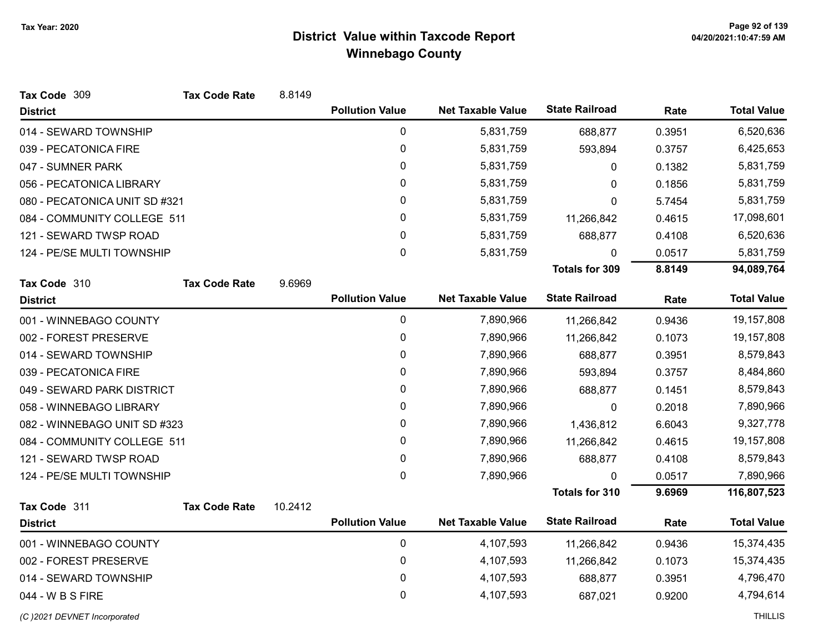| Tax Code 309                  | <b>Tax Code Rate</b> | 8.8149  |                        |                          |                       |        |                    |
|-------------------------------|----------------------|---------|------------------------|--------------------------|-----------------------|--------|--------------------|
| <b>District</b>               |                      |         | <b>Pollution Value</b> | <b>Net Taxable Value</b> | <b>State Railroad</b> | Rate   | <b>Total Value</b> |
| 014 - SEWARD TOWNSHIP         |                      |         | 0                      | 5,831,759                | 688,877               | 0.3951 | 6,520,636          |
| 039 - PECATONICA FIRE         |                      |         | 0                      | 5,831,759                | 593,894               | 0.3757 | 6,425,653          |
| 047 - SUMNER PARK             |                      |         | $\mathbf 0$            | 5,831,759                | 0                     | 0.1382 | 5,831,759          |
| 056 - PECATONICA LIBRARY      |                      |         | 0                      | 5,831,759                | 0                     | 0.1856 | 5,831,759          |
| 080 - PECATONICA UNIT SD #321 |                      |         | 0                      | 5,831,759                | 0                     | 5.7454 | 5,831,759          |
| 084 - COMMUNITY COLLEGE 511   |                      |         | 0                      | 5,831,759                | 11,266,842            | 0.4615 | 17,098,601         |
| 121 - SEWARD TWSP ROAD        |                      |         | 0                      | 5,831,759                | 688,877               | 0.4108 | 6,520,636          |
| 124 - PE/SE MULTI TOWNSHIP    |                      |         | 0                      | 5,831,759                | $\Omega$              | 0.0517 | 5,831,759          |
|                               |                      |         |                        |                          | <b>Totals for 309</b> | 8.8149 | 94,089,764         |
| Tax Code 310                  | <b>Tax Code Rate</b> | 9.6969  |                        |                          |                       |        |                    |
| <b>District</b>               |                      |         | <b>Pollution Value</b> | <b>Net Taxable Value</b> | <b>State Railroad</b> | Rate   | <b>Total Value</b> |
| 001 - WINNEBAGO COUNTY        |                      |         | $\mathbf 0$            | 7,890,966                | 11,266,842            | 0.9436 | 19,157,808         |
| 002 - FOREST PRESERVE         |                      |         | $\pmb{0}$              | 7,890,966                | 11,266,842            | 0.1073 | 19,157,808         |
| 014 - SEWARD TOWNSHIP         |                      |         | 0                      | 7,890,966                | 688,877               | 0.3951 | 8,579,843          |
| 039 - PECATONICA FIRE         |                      |         | 0                      | 7,890,966                | 593,894               | 0.3757 | 8,484,860          |
| 049 - SEWARD PARK DISTRICT    |                      |         | 0                      | 7,890,966                | 688,877               | 0.1451 | 8,579,843          |
| 058 - WINNEBAGO LIBRARY       |                      |         | 0                      | 7,890,966                | 0                     | 0.2018 | 7,890,966          |
| 082 - WINNEBAGO UNIT SD #323  |                      |         | 0                      | 7,890,966                | 1,436,812             | 6.6043 | 9,327,778          |
| 084 - COMMUNITY COLLEGE 511   |                      |         | 0                      | 7,890,966                | 11,266,842            | 0.4615 | 19,157,808         |
| 121 - SEWARD TWSP ROAD        |                      |         | $\pmb{0}$              | 7,890,966                | 688,877               | 0.4108 | 8,579,843          |
| 124 - PE/SE MULTI TOWNSHIP    |                      |         | $\mathbf{0}$           | 7,890,966                | 0                     | 0.0517 | 7,890,966          |
|                               |                      |         |                        |                          | <b>Totals for 310</b> | 9.6969 | 116,807,523        |
| Tax Code 311                  | <b>Tax Code Rate</b> | 10.2412 |                        |                          |                       |        |                    |
| <b>District</b>               |                      |         | <b>Pollution Value</b> | <b>Net Taxable Value</b> | <b>State Railroad</b> | Rate   | <b>Total Value</b> |
| 001 - WINNEBAGO COUNTY        |                      |         | $\mathbf 0$            | 4,107,593                | 11,266,842            | 0.9436 | 15,374,435         |
| 002 - FOREST PRESERVE         |                      |         | 0                      | 4,107,593                | 11,266,842            | 0.1073 | 15,374,435         |
| 014 - SEWARD TOWNSHIP         |                      |         | 0                      | 4,107,593                | 688,877               | 0.3951 | 4,796,470          |
| 044 - W B S FIRE              |                      |         | 0                      | 4,107,593                | 687,021               | 0.9200 | 4,794,614          |
| (C) 2021 DEVNET Incorporated  |                      |         |                        |                          |                       |        | <b>THILLIS</b>     |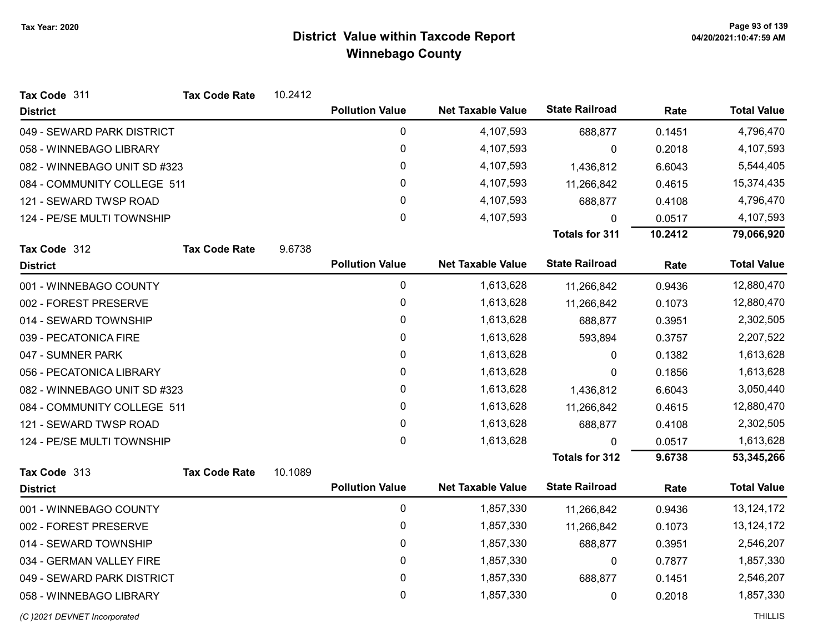| Tax Code 311                 | <b>Tax Code Rate</b> | 10.2412 |                        |                          |                       |         |                    |
|------------------------------|----------------------|---------|------------------------|--------------------------|-----------------------|---------|--------------------|
| <b>District</b>              |                      |         | <b>Pollution Value</b> | <b>Net Taxable Value</b> | <b>State Railroad</b> | Rate    | <b>Total Value</b> |
| 049 - SEWARD PARK DISTRICT   |                      |         | 0                      | 4,107,593                | 688,877               | 0.1451  | 4,796,470          |
| 058 - WINNEBAGO LIBRARY      |                      |         | 0                      | 4,107,593                | 0                     | 0.2018  | 4,107,593          |
| 082 - WINNEBAGO UNIT SD #323 |                      |         | 0                      | 4,107,593                | 1,436,812             | 6.6043  | 5,544,405          |
| 084 - COMMUNITY COLLEGE 511  |                      |         | 0                      | 4,107,593                | 11,266,842            | 0.4615  | 15,374,435         |
| 121 - SEWARD TWSP ROAD       |                      |         | 0                      | 4,107,593                | 688,877               | 0.4108  | 4,796,470          |
| 124 - PE/SE MULTI TOWNSHIP   |                      |         | 0                      | 4,107,593                | 0                     | 0.0517  | 4,107,593          |
|                              |                      |         |                        |                          | <b>Totals for 311</b> | 10.2412 | 79,066,920         |
| Tax Code 312                 | <b>Tax Code Rate</b> | 9.6738  |                        |                          |                       |         |                    |
| <b>District</b>              |                      |         | <b>Pollution Value</b> | <b>Net Taxable Value</b> | <b>State Railroad</b> | Rate    | <b>Total Value</b> |
| 001 - WINNEBAGO COUNTY       |                      |         | 0                      | 1,613,628                | 11,266,842            | 0.9436  | 12,880,470         |
| 002 - FOREST PRESERVE        |                      |         | $\pmb{0}$              | 1,613,628                | 11,266,842            | 0.1073  | 12,880,470         |
| 014 - SEWARD TOWNSHIP        |                      |         | 0                      | 1,613,628                | 688,877               | 0.3951  | 2,302,505          |
| 039 - PECATONICA FIRE        |                      |         | 0                      | 1,613,628                | 593,894               | 0.3757  | 2,207,522          |
| 047 - SUMNER PARK            |                      |         | 0                      | 1,613,628                | 0                     | 0.1382  | 1,613,628          |
| 056 - PECATONICA LIBRARY     |                      |         | 0                      | 1,613,628                | $\Omega$              | 0.1856  | 1,613,628          |
| 082 - WINNEBAGO UNIT SD #323 |                      |         | 0                      | 1,613,628                | 1,436,812             | 6.6043  | 3,050,440          |
| 084 - COMMUNITY COLLEGE 511  |                      |         | 0                      | 1,613,628                | 11,266,842            | 0.4615  | 12,880,470         |
| 121 - SEWARD TWSP ROAD       |                      |         | 0                      | 1,613,628                | 688,877               | 0.4108  | 2,302,505          |
| 124 - PE/SE MULTI TOWNSHIP   |                      |         | 0                      | 1,613,628                | $\Omega$              | 0.0517  | 1,613,628          |
|                              |                      |         |                        |                          | <b>Totals for 312</b> | 9.6738  | 53,345,266         |
| Tax Code 313                 | <b>Tax Code Rate</b> | 10.1089 |                        |                          |                       |         |                    |
| <b>District</b>              |                      |         | <b>Pollution Value</b> | <b>Net Taxable Value</b> | <b>State Railroad</b> | Rate    | <b>Total Value</b> |
| 001 - WINNEBAGO COUNTY       |                      |         | 0                      | 1,857,330                | 11,266,842            | 0.9436  | 13, 124, 172       |
| 002 - FOREST PRESERVE        |                      |         | 0                      | 1,857,330                | 11,266,842            | 0.1073  | 13,124,172         |
| 014 - SEWARD TOWNSHIP        |                      |         | 0                      | 1,857,330                | 688,877               | 0.3951  | 2,546,207          |
| 034 - GERMAN VALLEY FIRE     |                      |         | $\mathbf 0$            | 1,857,330                | 0                     | 0.7877  | 1,857,330          |
| 049 - SEWARD PARK DISTRICT   |                      |         | 0                      | 1,857,330                | 688,877               | 0.1451  | 2,546,207          |
| 058 - WINNEBAGO LIBRARY      |                      |         | 0                      | 1,857,330                | 0                     | 0.2018  | 1,857,330          |
|                              |                      |         |                        |                          |                       |         |                    |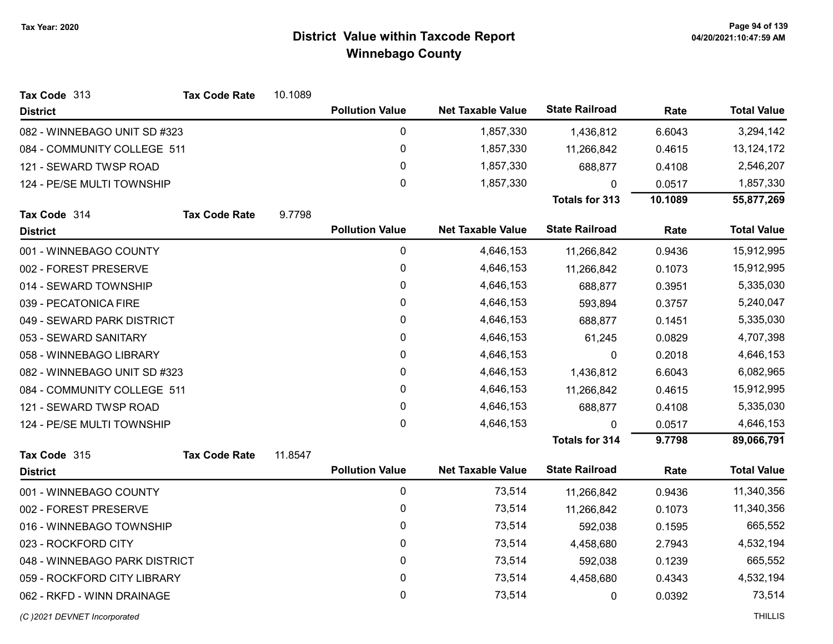| Tax Code 313<br><b>Tax Code Rate</b> | 10.1089 |                        |                          |                       |         |                    |
|--------------------------------------|---------|------------------------|--------------------------|-----------------------|---------|--------------------|
| <b>District</b>                      |         | <b>Pollution Value</b> | <b>Net Taxable Value</b> | <b>State Railroad</b> | Rate    | <b>Total Value</b> |
| 082 - WINNEBAGO UNIT SD #323         |         | 0                      | 1,857,330                | 1,436,812             | 6.6043  | 3,294,142          |
| 084 - COMMUNITY COLLEGE 511          |         | 0                      | 1,857,330                | 11,266,842            | 0.4615  | 13, 124, 172       |
| 121 - SEWARD TWSP ROAD               |         | 0                      | 1,857,330                | 688,877               | 0.4108  | 2,546,207          |
| 124 - PE/SE MULTI TOWNSHIP           |         | 0                      | 1,857,330                | 0                     | 0.0517  | 1,857,330          |
|                                      |         |                        |                          | <b>Totals for 313</b> | 10.1089 | 55,877,269         |
| <b>Tax Code Rate</b><br>Tax Code 314 | 9.7798  |                        |                          |                       |         |                    |
| <b>District</b>                      |         | <b>Pollution Value</b> | <b>Net Taxable Value</b> | <b>State Railroad</b> | Rate    | <b>Total Value</b> |
| 001 - WINNEBAGO COUNTY               |         | 0                      | 4,646,153                | 11,266,842            | 0.9436  | 15,912,995         |
| 002 - FOREST PRESERVE                |         | 0                      | 4,646,153                | 11,266,842            | 0.1073  | 15,912,995         |
| 014 - SEWARD TOWNSHIP                |         | 0                      | 4,646,153                | 688,877               | 0.3951  | 5,335,030          |
| 039 - PECATONICA FIRE                |         | 0                      | 4,646,153                | 593,894               | 0.3757  | 5,240,047          |
| 049 - SEWARD PARK DISTRICT           |         | 0                      | 4,646,153                | 688,877               | 0.1451  | 5,335,030          |
| 053 - SEWARD SANITARY                |         | 0                      | 4,646,153                | 61,245                | 0.0829  | 4,707,398          |
| 058 - WINNEBAGO LIBRARY              |         | 0                      | 4,646,153                | 0                     | 0.2018  | 4,646,153          |
| 082 - WINNEBAGO UNIT SD #323         |         | 0                      | 4,646,153                | 1,436,812             | 6.6043  | 6,082,965          |
| 084 - COMMUNITY COLLEGE 511          |         | 0                      | 4,646,153                | 11,266,842            | 0.4615  | 15,912,995         |
| 121 - SEWARD TWSP ROAD               |         | 0                      | 4,646,153                | 688,877               | 0.4108  | 5,335,030          |
| 124 - PE/SE MULTI TOWNSHIP           |         | $\mathbf 0$            | 4,646,153                | $\Omega$              | 0.0517  | 4,646,153          |
|                                      |         |                        |                          | <b>Totals for 314</b> | 9.7798  | 89,066,791         |
| <b>Tax Code Rate</b><br>Tax Code 315 | 11.8547 |                        |                          |                       |         |                    |
| <b>District</b>                      |         | <b>Pollution Value</b> | <b>Net Taxable Value</b> | <b>State Railroad</b> | Rate    | <b>Total Value</b> |
| 001 - WINNEBAGO COUNTY               |         | 0                      | 73,514                   | 11,266,842            | 0.9436  | 11,340,356         |
| 002 - FOREST PRESERVE                |         | 0                      | 73,514                   | 11,266,842            | 0.1073  | 11,340,356         |
| 016 - WINNEBAGO TOWNSHIP             |         | 0                      | 73,514                   | 592,038               | 0.1595  | 665,552            |
| 023 - ROCKFORD CITY                  |         | 0                      | 73,514                   | 4,458,680             | 2.7943  | 4,532,194          |
| 048 - WINNEBAGO PARK DISTRICT        |         | 0                      | 73,514                   | 592,038               | 0.1239  | 665,552            |
| 059 - ROCKFORD CITY LIBRARY          |         | 0                      | 73,514                   | 4,458,680             | 0.4343  | 4,532,194          |
| 062 - RKFD - WINN DRAINAGE           |         | 0                      | 73,514                   | 0                     | 0.0392  | 73,514             |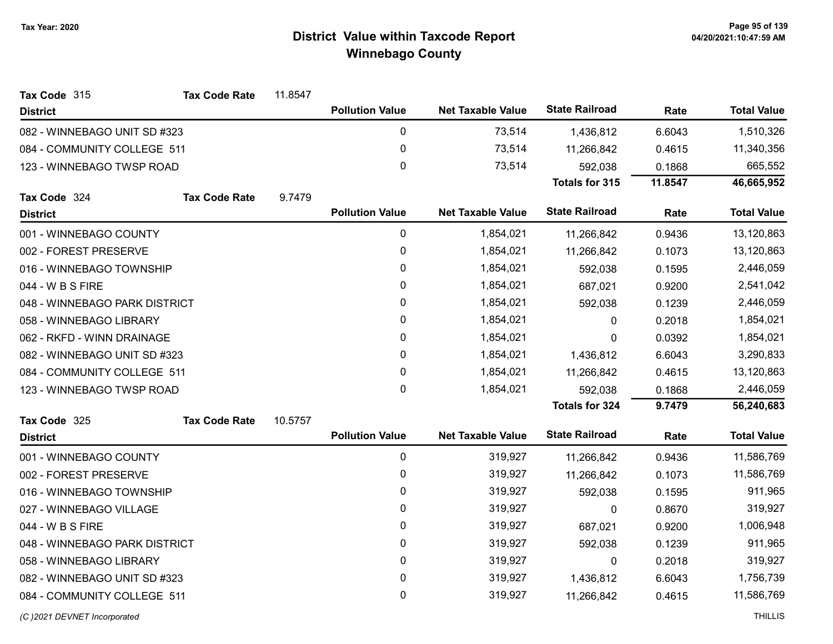| Tax Code 315                  | <b>Tax Code Rate</b> | 11.8547 |                        |                          |                       |         |                    |
|-------------------------------|----------------------|---------|------------------------|--------------------------|-----------------------|---------|--------------------|
| <b>District</b>               |                      |         | <b>Pollution Value</b> | <b>Net Taxable Value</b> | <b>State Railroad</b> | Rate    | <b>Total Value</b> |
| 082 - WINNEBAGO UNIT SD #323  |                      |         | $\pmb{0}$              | 73,514                   | 1,436,812             | 6.6043  | 1,510,326          |
| 084 - COMMUNITY COLLEGE 511   |                      |         | $\pmb{0}$              | 73,514                   | 11,266,842            | 0.4615  | 11,340,356         |
| 123 - WINNEBAGO TWSP ROAD     |                      |         | $\mathbf 0$            | 73,514                   | 592,038               | 0.1868  | 665,552            |
|                               |                      |         |                        |                          | Totals for 315        | 11.8547 | 46,665,952         |
| Tax Code 324                  | <b>Tax Code Rate</b> | 9.7479  |                        |                          |                       |         |                    |
| <b>District</b>               |                      |         | <b>Pollution Value</b> | <b>Net Taxable Value</b> | <b>State Railroad</b> | Rate    | <b>Total Value</b> |
| 001 - WINNEBAGO COUNTY        |                      |         | $\pmb{0}$              | 1,854,021                | 11,266,842            | 0.9436  | 13,120,863         |
| 002 - FOREST PRESERVE         |                      |         | $\pmb{0}$              | 1,854,021                | 11,266,842            | 0.1073  | 13,120,863         |
| 016 - WINNEBAGO TOWNSHIP      |                      |         | $\pmb{0}$              | 1,854,021                | 592,038               | 0.1595  | 2,446,059          |
| 044 - W B S FIRE              |                      |         | 0                      | 1,854,021                | 687,021               | 0.9200  | 2,541,042          |
| 048 - WINNEBAGO PARK DISTRICT |                      |         | $\pmb{0}$              | 1,854,021                | 592,038               | 0.1239  | 2,446,059          |
| 058 - WINNEBAGO LIBRARY       |                      |         | $\pmb{0}$              | 1,854,021                | 0                     | 0.2018  | 1,854,021          |
| 062 - RKFD - WINN DRAINAGE    |                      |         | $\pmb{0}$              | 1,854,021                | 0                     | 0.0392  | 1,854,021          |
| 082 - WINNEBAGO UNIT SD #323  |                      |         | $\mathbf 0$            | 1,854,021                | 1,436,812             | 6.6043  | 3,290,833          |
| 084 - COMMUNITY COLLEGE 511   |                      |         | $\pmb{0}$              | 1,854,021                | 11,266,842            | 0.4615  | 13,120,863         |
| 123 - WINNEBAGO TWSP ROAD     |                      |         | $\mathbf 0$            | 1,854,021                | 592,038               | 0.1868  | 2,446,059          |
|                               |                      |         |                        |                          | <b>Totals for 324</b> | 9.7479  | 56,240,683         |
| Tax Code 325                  | <b>Tax Code Rate</b> | 10.5757 |                        |                          |                       |         |                    |
| <b>District</b>               |                      |         | <b>Pollution Value</b> | <b>Net Taxable Value</b> | <b>State Railroad</b> | Rate    | <b>Total Value</b> |
| 001 - WINNEBAGO COUNTY        |                      |         | $\pmb{0}$              | 319,927                  | 11,266,842            | 0.9436  | 11,586,769         |
| 002 - FOREST PRESERVE         |                      |         | $\pmb{0}$              | 319,927                  | 11,266,842            | 0.1073  | 11,586,769         |
| 016 - WINNEBAGO TOWNSHIP      |                      |         | $\pmb{0}$              | 319,927                  | 592,038               | 0.1595  | 911,965            |
| 027 - WINNEBAGO VILLAGE       |                      |         | 0                      | 319,927                  | 0                     | 0.8670  | 319,927            |
| 044 - W B S FIRE              |                      |         | $\pmb{0}$              | 319,927                  | 687,021               | 0.9200  | 1,006,948          |
| 048 - WINNEBAGO PARK DISTRICT |                      |         | $\pmb{0}$              | 319,927                  | 592,038               | 0.1239  | 911,965            |
| 058 - WINNEBAGO LIBRARY       |                      |         | $\pmb{0}$              | 319,927                  | 0                     | 0.2018  | 319,927            |
| 082 - WINNEBAGO UNIT SD #323  |                      |         | 0                      | 319,927                  | 1,436,812             | 6.6043  | 1,756,739          |
| 084 - COMMUNITY COLLEGE 511   |                      |         | $\pmb{0}$              | 319,927                  | 11,266,842            | 0.4615  | 11,586,769         |
|                               |                      |         |                        |                          |                       |         |                    |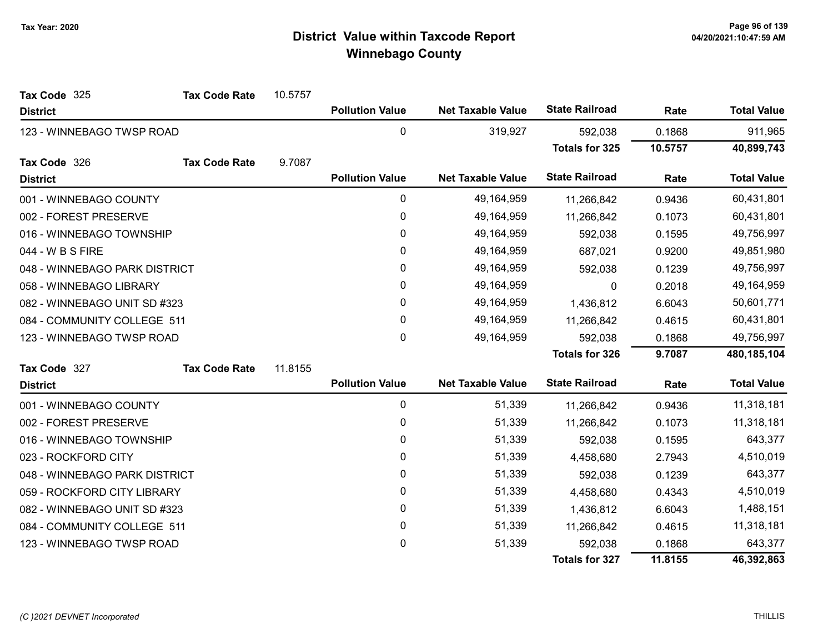| Tax Code 325                  | <b>Tax Code Rate</b> | 10.5757 |                        |                          |                       |            |                    |
|-------------------------------|----------------------|---------|------------------------|--------------------------|-----------------------|------------|--------------------|
| <b>District</b>               |                      |         | <b>Pollution Value</b> | <b>Net Taxable Value</b> | <b>State Railroad</b> | Rate       | <b>Total Value</b> |
| 123 - WINNEBAGO TWSP ROAD     |                      |         | $\mathbf 0$            | 319,927                  | 592,038               | 0.1868     | 911,965            |
|                               |                      |         |                        |                          | <b>Totals for 325</b> | 10.5757    | 40,899,743         |
| Tax Code 326                  | <b>Tax Code Rate</b> | 9.7087  |                        |                          |                       |            |                    |
| <b>District</b>               |                      |         | <b>Pollution Value</b> | <b>Net Taxable Value</b> | <b>State Railroad</b> | Rate       | <b>Total Value</b> |
| 001 - WINNEBAGO COUNTY        |                      |         | 0                      | 49,164,959               | 11,266,842            | 0.9436     | 60,431,801         |
| 002 - FOREST PRESERVE         |                      |         | 0                      | 49,164,959               | 11,266,842            | 0.1073     | 60,431,801         |
| 016 - WINNEBAGO TOWNSHIP      |                      |         | 0                      | 49,164,959               | 592,038               | 0.1595     | 49,756,997         |
| 044 - W B S FIRE              |                      |         | 0                      | 49,164,959               | 687,021               | 0.9200     | 49,851,980         |
| 048 - WINNEBAGO PARK DISTRICT |                      |         | 0                      | 49,164,959               | 592,038               | 0.1239     | 49,756,997         |
| 058 - WINNEBAGO LIBRARY       |                      | 0       | 49,164,959             | 0                        | 0.2018                | 49,164,959 |                    |
| 082 - WINNEBAGO UNIT SD #323  |                      | 0       | 49,164,959             | 1,436,812                | 6.6043                | 50,601,771 |                    |
| 084 - COMMUNITY COLLEGE 511   |                      |         | 0                      | 49,164,959               | 11,266,842            | 0.4615     | 60,431,801         |
| 123 - WINNEBAGO TWSP ROAD     |                      |         | 0                      | 49,164,959               | 592,038               | 0.1868     | 49,756,997         |
|                               |                      |         |                        |                          | <b>Totals for 326</b> | 9.7087     | 480,185,104        |
| Tax Code 327                  | <b>Tax Code Rate</b> | 11.8155 |                        |                          |                       |            |                    |
| <b>District</b>               |                      |         | <b>Pollution Value</b> | <b>Net Taxable Value</b> | <b>State Railroad</b> | Rate       | <b>Total Value</b> |
| 001 - WINNEBAGO COUNTY        |                      |         | $\pmb{0}$              | 51,339                   | 11,266,842            | 0.9436     | 11,318,181         |
| 002 - FOREST PRESERVE         |                      |         | 0                      | 51,339                   | 11,266,842            | 0.1073     | 11,318,181         |
| 016 - WINNEBAGO TOWNSHIP      |                      |         | 0                      | 51,339                   | 592,038               | 0.1595     | 643,377            |
| 023 - ROCKFORD CITY           |                      |         | 0                      | 51,339                   | 4,458,680             | 2.7943     | 4,510,019          |
| 048 - WINNEBAGO PARK DISTRICT |                      |         | 0                      | 51,339                   | 592,038               | 0.1239     | 643,377            |
| 059 - ROCKFORD CITY LIBRARY   |                      |         | 0                      | 51,339                   | 4,458,680             | 0.4343     | 4,510,019          |
| 082 - WINNEBAGO UNIT SD #323  |                      |         | 0                      | 51,339                   | 1,436,812             | 6.6043     | 1,488,151          |
| 084 - COMMUNITY COLLEGE 511   |                      |         | 0                      | 51,339                   | 11,266,842            | 0.4615     | 11,318,181         |
| 123 - WINNEBAGO TWSP ROAD     |                      |         | 0                      | 51,339                   | 592,038               | 0.1868     | 643,377            |
|                               |                      |         |                        |                          | <b>Totals for 327</b> | 11.8155    | 46,392,863         |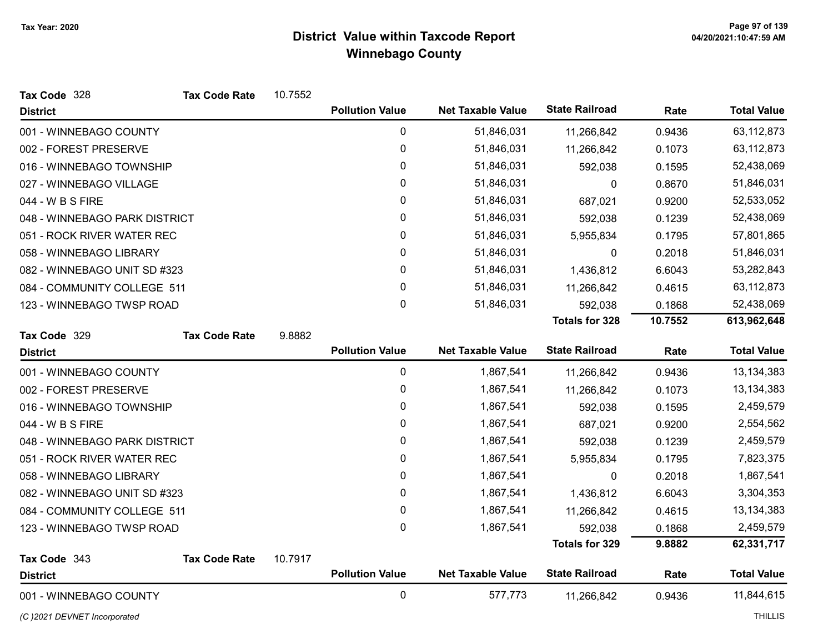| Tax Code 328<br><b>Tax Code Rate</b> | 10.7552 |                        |                          |                       |         |                    |
|--------------------------------------|---------|------------------------|--------------------------|-----------------------|---------|--------------------|
| <b>District</b>                      |         | <b>Pollution Value</b> | <b>Net Taxable Value</b> | <b>State Railroad</b> | Rate    | <b>Total Value</b> |
| 001 - WINNEBAGO COUNTY               |         | 0                      | 51,846,031               | 11,266,842            | 0.9436  | 63,112,873         |
| 002 - FOREST PRESERVE                |         | 0                      | 51,846,031               | 11,266,842            | 0.1073  | 63,112,873         |
| 016 - WINNEBAGO TOWNSHIP             |         | 0                      | 51,846,031               | 592,038               | 0.1595  | 52,438,069         |
| 027 - WINNEBAGO VILLAGE              |         | 0                      | 51,846,031               | 0                     | 0.8670  | 51,846,031         |
| 044 - W B S FIRE                     |         | 0                      | 51,846,031               | 687,021               | 0.9200  | 52,533,052         |
| 048 - WINNEBAGO PARK DISTRICT        |         | 0                      | 51,846,031               | 592,038               | 0.1239  | 52,438,069         |
| 051 - ROCK RIVER WATER REC           |         | 0                      | 51,846,031               | 5,955,834             | 0.1795  | 57,801,865         |
| 058 - WINNEBAGO LIBRARY              |         | 0                      | 51,846,031               | 0                     | 0.2018  | 51,846,031         |
| 082 - WINNEBAGO UNIT SD #323         |         | 0                      | 51,846,031               | 1,436,812             | 6.6043  | 53,282,843         |
| 084 - COMMUNITY COLLEGE 511          |         | 0                      | 51,846,031               | 11,266,842            | 0.4615  | 63,112,873         |
| 123 - WINNEBAGO TWSP ROAD            |         | 0                      | 51,846,031               | 592,038               | 0.1868  | 52,438,069         |
|                                      |         |                        |                          | <b>Totals for 328</b> | 10.7552 | 613,962,648        |
| Tax Code 329<br><b>Tax Code Rate</b> | 9.8882  |                        |                          |                       |         |                    |
| <b>District</b>                      |         | <b>Pollution Value</b> | <b>Net Taxable Value</b> | <b>State Railroad</b> | Rate    | <b>Total Value</b> |
| 001 - WINNEBAGO COUNTY               |         | 0                      | 1,867,541                | 11,266,842            | 0.9436  | 13,134,383         |
| 002 - FOREST PRESERVE                |         | 0                      | 1,867,541                | 11,266,842            | 0.1073  | 13,134,383         |
| 016 - WINNEBAGO TOWNSHIP             |         | 0                      | 1,867,541                | 592,038               | 0.1595  | 2,459,579          |
| 044 - W B S FIRE                     |         | 0                      | 1,867,541                | 687,021               | 0.9200  | 2,554,562          |
| 048 - WINNEBAGO PARK DISTRICT        |         | 0                      | 1,867,541                | 592,038               | 0.1239  | 2,459,579          |
| 051 - ROCK RIVER WATER REC           |         | 0                      | 1,867,541                | 5,955,834             | 0.1795  | 7,823,375          |
| 058 - WINNEBAGO LIBRARY              |         | 0                      | 1,867,541                | 0                     | 0.2018  | 1,867,541          |
| 082 - WINNEBAGO UNIT SD #323         |         | 0                      | 1,867,541                | 1,436,812             | 6.6043  | 3,304,353          |
| 084 - COMMUNITY COLLEGE 511          |         | 0                      | 1,867,541                | 11,266,842            | 0.4615  | 13,134,383         |
| 123 - WINNEBAGO TWSP ROAD            |         | 0                      | 1,867,541                | 592,038               | 0.1868  | 2,459,579          |
|                                      |         |                        |                          | <b>Totals for 329</b> | 9.8882  | 62,331,717         |
| Tax Code 343<br><b>Tax Code Rate</b> | 10.7917 |                        |                          |                       |         |                    |
| <b>District</b>                      |         | <b>Pollution Value</b> | <b>Net Taxable Value</b> | <b>State Railroad</b> | Rate    | <b>Total Value</b> |
| 001 - WINNEBAGO COUNTY               |         | 0                      | 577,773                  | 11,266,842            | 0.9436  | 11,844,615         |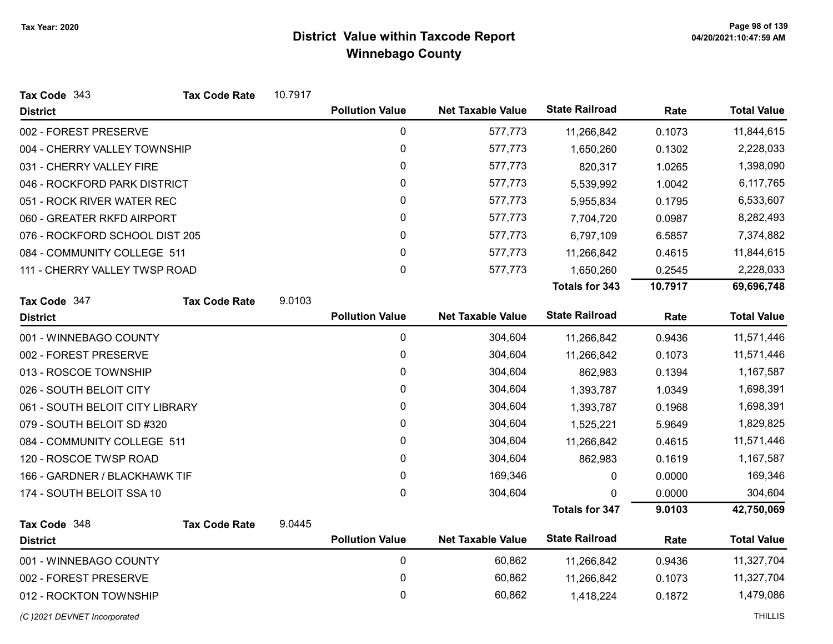| Tax Code 343                    | <b>Tax Code Rate</b> | 10.7917 |                        |                          |                       |         |                    |
|---------------------------------|----------------------|---------|------------------------|--------------------------|-----------------------|---------|--------------------|
| <b>District</b>                 |                      |         | <b>Pollution Value</b> | <b>Net Taxable Value</b> | <b>State Railroad</b> | Rate    | <b>Total Value</b> |
| 002 - FOREST PRESERVE           |                      |         | $\pmb{0}$              | 577,773                  | 11,266,842            | 0.1073  | 11,844,615         |
| 004 - CHERRY VALLEY TOWNSHIP    |                      |         | 0                      | 577,773                  | 1,650,260             | 0.1302  | 2,228,033          |
| 031 - CHERRY VALLEY FIRE        |                      |         | 0                      | 577,773                  | 820,317               | 1.0265  | 1,398,090          |
| 046 - ROCKFORD PARK DISTRICT    |                      |         | 0                      | 577,773                  | 5,539,992             | 1.0042  | 6,117,765          |
| 051 - ROCK RIVER WATER REC      |                      |         | 0                      | 577,773                  | 5,955,834             | 0.1795  | 6,533,607          |
| 060 - GREATER RKFD AIRPORT      |                      |         | 0                      | 577,773                  | 7,704,720             | 0.0987  | 8,282,493          |
| 076 - ROCKFORD SCHOOL DIST 205  |                      |         | 0                      | 577,773                  | 6,797,109             | 6.5857  | 7,374,882          |
| 084 - COMMUNITY COLLEGE 511     |                      |         | 0                      | 577,773                  | 11,266,842            | 0.4615  | 11,844,615         |
| 111 - CHERRY VALLEY TWSP ROAD   |                      |         | 0                      | 577,773                  | 1,650,260             | 0.2545  | 2,228,033          |
|                                 |                      |         |                        |                          | Totals for 343        | 10.7917 | 69,696,748         |
| Tax Code 347                    | <b>Tax Code Rate</b> | 9.0103  |                        |                          |                       |         |                    |
| <b>District</b>                 |                      |         | <b>Pollution Value</b> | <b>Net Taxable Value</b> | <b>State Railroad</b> | Rate    | <b>Total Value</b> |
| 001 - WINNEBAGO COUNTY          |                      |         | $\pmb{0}$              | 304,604                  | 11,266,842            | 0.9436  | 11,571,446         |
| 002 - FOREST PRESERVE           |                      |         | $\pmb{0}$              | 304,604                  | 11,266,842            | 0.1073  | 11,571,446         |
| 013 - ROSCOE TOWNSHIP           |                      |         | 0                      | 304,604                  | 862,983               | 0.1394  | 1,167,587          |
| 026 - SOUTH BELOIT CITY         |                      |         | 0                      | 304,604                  | 1,393,787             | 1.0349  | 1,698,391          |
| 061 - SOUTH BELOIT CITY LIBRARY |                      |         | 0                      | 304,604                  | 1,393,787             | 0.1968  | 1,698,391          |
| 079 - SOUTH BELOIT SD #320      |                      |         | 0                      | 304,604                  | 1,525,221             | 5.9649  | 1,829,825          |
| 084 - COMMUNITY COLLEGE 511     |                      |         | 0                      | 304,604                  | 11,266,842            | 0.4615  | 11,571,446         |
| 120 - ROSCOE TWSP ROAD          |                      |         | 0                      | 304,604                  | 862,983               | 0.1619  | 1,167,587          |
| 166 - GARDNER / BLACKHAWK TIF   |                      |         | 0                      | 169,346                  | 0                     | 0.0000  | 169,346            |
| 174 - SOUTH BELOIT SSA 10       |                      |         | 0                      | 304,604                  | 0                     | 0.0000  | 304,604            |
|                                 |                      |         |                        |                          | <b>Totals for 347</b> | 9.0103  | 42,750,069         |
| Tax Code 348                    | <b>Tax Code Rate</b> | 9.0445  |                        |                          |                       |         |                    |
| <b>District</b>                 |                      |         | <b>Pollution Value</b> | <b>Net Taxable Value</b> | <b>State Railroad</b> | Rate    | <b>Total Value</b> |
| 001 - WINNEBAGO COUNTY          |                      |         | $\pmb{0}$              | 60,862                   | 11,266,842            | 0.9436  | 11,327,704         |
| 002 - FOREST PRESERVE           |                      |         | $\pmb{0}$              | 60,862                   | 11,266,842            | 0.1073  | 11,327,704         |
| 012 - ROCKTON TOWNSHIP          |                      |         | 0                      | 60,862                   | 1,418,224             | 0.1872  | 1,479,086          |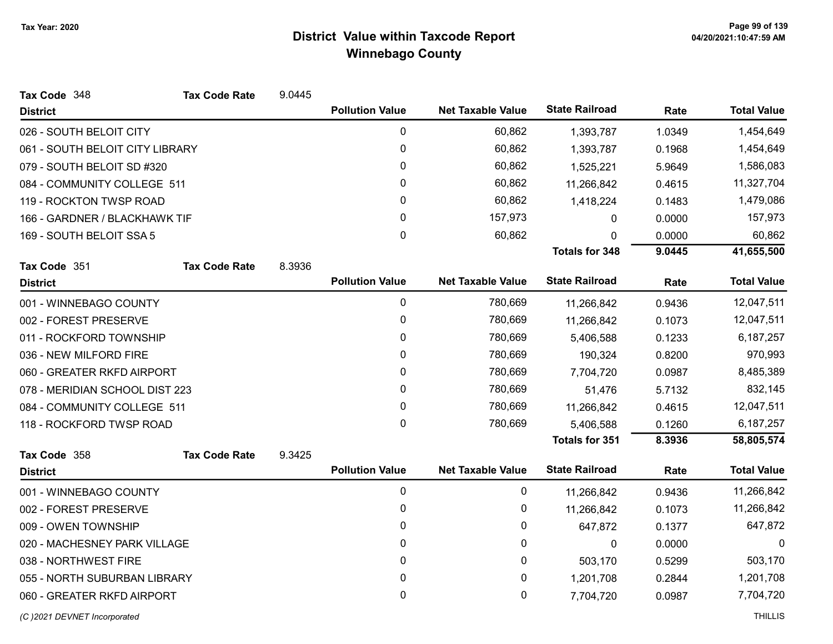| Tax Code 348                    | <b>Tax Code Rate</b>         | 9.0445 |                        |                          |                       |        |                    |
|---------------------------------|------------------------------|--------|------------------------|--------------------------|-----------------------|--------|--------------------|
| <b>District</b>                 |                              |        | <b>Pollution Value</b> | <b>Net Taxable Value</b> | <b>State Railroad</b> | Rate   | <b>Total Value</b> |
| 026 - SOUTH BELOIT CITY         |                              |        | $\pmb{0}$              | 60,862                   | 1,393,787             | 1.0349 | 1,454,649          |
| 061 - SOUTH BELOIT CITY LIBRARY |                              |        | 0                      | 60,862                   | 1,393,787             | 0.1968 | 1,454,649          |
| 079 - SOUTH BELOIT SD #320      |                              |        | 0                      | 60,862                   | 1,525,221             | 5.9649 | 1,586,083          |
| 084 - COMMUNITY COLLEGE 511     |                              |        | 0                      | 60,862                   | 11,266,842            | 0.4615 | 11,327,704         |
| 119 - ROCKTON TWSP ROAD         |                              |        | 0                      | 60,862                   | 1,418,224             | 0.1483 | 1,479,086          |
| 166 - GARDNER / BLACKHAWK TIF   |                              |        | $\pmb{0}$              | 157,973                  | 0                     | 0.0000 | 157,973            |
| 169 - SOUTH BELOIT SSA 5        |                              |        | $\mathbf 0$            | 60,862                   | 0                     | 0.0000 | 60,862             |
|                                 |                              |        |                        |                          | <b>Totals for 348</b> | 9.0445 | 41,655,500         |
| Tax Code 351                    | <b>Tax Code Rate</b>         | 8.3936 |                        |                          |                       |        |                    |
| <b>District</b>                 |                              |        | <b>Pollution Value</b> | <b>Net Taxable Value</b> | <b>State Railroad</b> | Rate   | <b>Total Value</b> |
| 001 - WINNEBAGO COUNTY          |                              |        | $\pmb{0}$              | 780,669                  | 11,266,842            | 0.9436 | 12,047,511         |
| 002 - FOREST PRESERVE           |                              |        | 0                      | 780,669                  | 11,266,842            | 0.1073 | 12,047,511         |
| 011 - ROCKFORD TOWNSHIP         |                              |        | 0                      | 780,669                  | 5,406,588             | 0.1233 | 6,187,257          |
| 036 - NEW MILFORD FIRE          |                              |        | 0                      | 780,669                  | 190,324               | 0.8200 | 970,993            |
| 060 - GREATER RKFD AIRPORT      |                              |        | 0                      | 780,669                  | 7,704,720             | 0.0987 | 8,485,389          |
| 078 - MERIDIAN SCHOOL DIST 223  |                              |        | 0                      | 780,669                  | 51,476                | 5.7132 | 832,145            |
| 084 - COMMUNITY COLLEGE 511     |                              |        | 0                      | 780,669                  | 11,266,842            | 0.4615 | 12,047,511         |
| 118 - ROCKFORD TWSP ROAD        |                              |        | $\mathbf 0$            | 780,669                  | 5,406,588             | 0.1260 | 6,187,257          |
|                                 |                              |        |                        |                          | Totals for 351        | 8.3936 | 58,805,574         |
| Tax Code 358                    | <b>Tax Code Rate</b>         | 9.3425 |                        |                          |                       |        |                    |
| <b>District</b>                 |                              |        | <b>Pollution Value</b> | <b>Net Taxable Value</b> | <b>State Railroad</b> | Rate   | <b>Total Value</b> |
| 001 - WINNEBAGO COUNTY          |                              |        | 0                      | 0                        | 11,266,842            | 0.9436 | 11,266,842         |
| 002 - FOREST PRESERVE           |                              |        | 0                      | 0                        | 11,266,842            | 0.1073 | 11,266,842         |
| 009 - OWEN TOWNSHIP             |                              |        | 0                      | 0                        | 647,872               | 0.1377 | 647,872            |
|                                 | 020 - MACHESNEY PARK VILLAGE |        | 0                      | 0                        | $\mathbf 0$           | 0.0000 | 0                  |
| 038 - NORTHWEST FIRE            |                              |        | $\mathbf{0}$           | 0                        | 503,170               | 0.5299 | 503,170            |
| 055 - NORTH SUBURBAN LIBRARY    |                              |        | $\mathbf 0$            | 0                        | 1,201,708             | 0.2844 | 1,201,708          |
| 060 - GREATER RKFD AIRPORT      |                              |        | 0                      | 0                        | 7,704,720             | 0.0987 | 7,704,720          |
| (C) 2021 DEVNET Incorporated    |                              |        |                        |                          |                       |        | <b>THILLIS</b>     |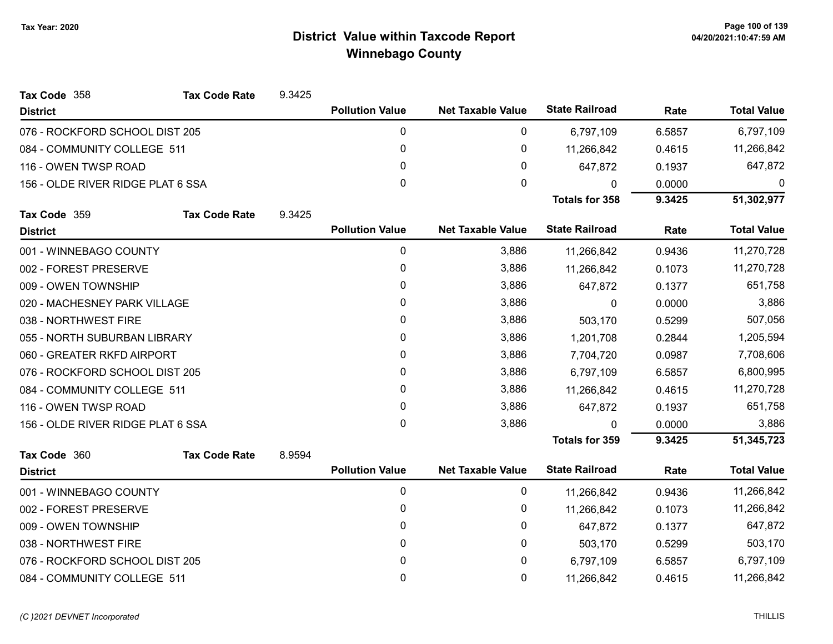| Tax Code 358                      | <b>Tax Code Rate</b> | 9.3425 |                        |                          |                       |        |                    |
|-----------------------------------|----------------------|--------|------------------------|--------------------------|-----------------------|--------|--------------------|
| <b>District</b>                   |                      |        | <b>Pollution Value</b> | <b>Net Taxable Value</b> | <b>State Railroad</b> | Rate   | <b>Total Value</b> |
| 076 - ROCKFORD SCHOOL DIST 205    |                      |        | 0                      | 0                        | 6,797,109             | 6.5857 | 6,797,109          |
| 084 - COMMUNITY COLLEGE 511       |                      |        | 0                      | 0                        | 11,266,842            | 0.4615 | 11,266,842         |
| 116 - OWEN TWSP ROAD              |                      |        | $\Omega$               | 0                        | 647,872               | 0.1937 | 647,872            |
| 156 - OLDE RIVER RIDGE PLAT 6 SSA |                      |        | 0                      | 0                        | 0                     | 0.0000 | 0                  |
|                                   |                      |        |                        |                          | <b>Totals for 358</b> | 9.3425 | 51,302,977         |
| Tax Code 359                      | <b>Tax Code Rate</b> | 9.3425 |                        |                          |                       |        |                    |
| <b>District</b>                   |                      |        | <b>Pollution Value</b> | <b>Net Taxable Value</b> | <b>State Railroad</b> | Rate   | <b>Total Value</b> |
| 001 - WINNEBAGO COUNTY            |                      |        | 0                      | 3,886                    | 11,266,842            | 0.9436 | 11,270,728         |
| 002 - FOREST PRESERVE             |                      |        | 0                      | 3,886                    | 11,266,842            | 0.1073 | 11,270,728         |
| 009 - OWEN TOWNSHIP               |                      |        | 0                      | 3,886                    | 647,872               | 0.1377 | 651,758            |
| 020 - MACHESNEY PARK VILLAGE      |                      |        | 0                      | 3,886                    | $\mathbf{0}$          | 0.0000 | 3,886              |
| 038 - NORTHWEST FIRE              |                      |        | 0                      | 3,886                    | 503,170               | 0.5299 | 507,056            |
| 055 - NORTH SUBURBAN LIBRARY      |                      |        | 0                      | 3,886                    | 1,201,708             | 0.2844 | 1,205,594          |
| 060 - GREATER RKFD AIRPORT        |                      |        | 0                      | 3,886                    | 7,704,720             | 0.0987 | 7,708,606          |
| 076 - ROCKFORD SCHOOL DIST 205    |                      |        | 0                      | 3,886                    | 6,797,109             | 6.5857 | 6,800,995          |
| 084 - COMMUNITY COLLEGE 511       |                      |        | 0                      | 3,886                    | 11,266,842            | 0.4615 | 11,270,728         |
| 116 - OWEN TWSP ROAD              |                      |        | 0                      | 3,886                    | 647,872               | 0.1937 | 651,758            |
| 156 - OLDE RIVER RIDGE PLAT 6 SSA |                      |        | 0                      | 3,886                    | 0                     | 0.0000 | 3,886              |
|                                   |                      |        |                        |                          | <b>Totals for 359</b> | 9.3425 | 51,345,723         |
| Tax Code 360                      | <b>Tax Code Rate</b> | 8.9594 |                        |                          |                       |        |                    |
| <b>District</b>                   |                      |        | <b>Pollution Value</b> | <b>Net Taxable Value</b> | <b>State Railroad</b> | Rate   | <b>Total Value</b> |
| 001 - WINNEBAGO COUNTY            |                      |        | 0                      | $\pmb{0}$                | 11,266,842            | 0.9436 | 11,266,842         |
| 002 - FOREST PRESERVE             |                      |        | 0                      | 0                        | 11,266,842            | 0.1073 | 11,266,842         |
| 009 - OWEN TOWNSHIP               |                      |        | 0                      | 0                        | 647,872               | 0.1377 | 647,872            |
| 038 - NORTHWEST FIRE              |                      |        | 0                      | 0                        | 503,170               | 0.5299 | 503,170            |
| 076 - ROCKFORD SCHOOL DIST 205    |                      |        | 0                      | 0                        | 6,797,109             | 6.5857 | 6,797,109          |
| 084 - COMMUNITY COLLEGE 511       |                      |        | 0                      | 0                        | 11,266,842            | 0.4615 | 11,266,842         |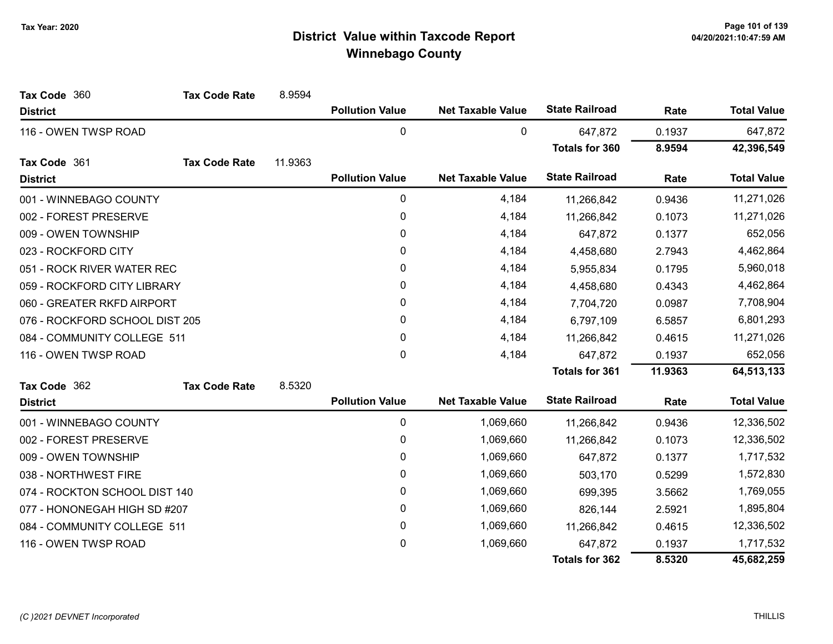| Tax Code 360                   | <b>Tax Code Rate</b> | 8.9594  |                        |                          |                       |           |                    |
|--------------------------------|----------------------|---------|------------------------|--------------------------|-----------------------|-----------|--------------------|
| <b>District</b>                |                      |         | <b>Pollution Value</b> | <b>Net Taxable Value</b> | <b>State Railroad</b> | Rate      | <b>Total Value</b> |
| 116 - OWEN TWSP ROAD           |                      |         | 0                      | 0                        | 647,872               | 0.1937    | 647,872            |
|                                |                      |         |                        |                          | <b>Totals for 360</b> | 8.9594    | 42,396,549         |
| Tax Code 361                   | <b>Tax Code Rate</b> | 11.9363 |                        |                          |                       |           |                    |
| <b>District</b>                |                      |         | <b>Pollution Value</b> | <b>Net Taxable Value</b> | <b>State Railroad</b> | Rate      | <b>Total Value</b> |
| 001 - WINNEBAGO COUNTY         |                      |         | $\pmb{0}$              | 4,184                    | 11,266,842            | 0.9436    | 11,271,026         |
| 002 - FOREST PRESERVE          |                      |         | $\pmb{0}$              | 4,184                    | 11,266,842            | 0.1073    | 11,271,026         |
| 009 - OWEN TOWNSHIP            |                      |         | $\mathbf{0}$           | 4,184                    | 647,872               | 0.1377    | 652,056            |
| 023 - ROCKFORD CITY            |                      |         | 0                      | 4,184                    | 4,458,680             | 2.7943    | 4,462,864          |
| 051 - ROCK RIVER WATER REC     |                      |         | $\pmb{0}$              | 4,184                    | 5,955,834             | 0.1795    | 5,960,018          |
| 059 - ROCKFORD CITY LIBRARY    |                      |         | 0                      | 4,184                    | 4,458,680             | 0.4343    | 4,462,864          |
| 060 - GREATER RKFD AIRPORT     |                      | 0       | 4,184                  | 7,704,720                | 0.0987                | 7,708,904 |                    |
| 076 - ROCKFORD SCHOOL DIST 205 |                      |         | 0                      | 4,184                    | 6,797,109             | 6.5857    | 6,801,293          |
| 084 - COMMUNITY COLLEGE 511    |                      |         | 0                      | 4,184                    | 11,266,842<br>0.4615  |           | 11,271,026         |
| 116 - OWEN TWSP ROAD           |                      |         | $\pmb{0}$              | 4,184                    | 647,872               | 0.1937    | 652,056            |
|                                |                      |         |                        |                          | <b>Totals for 361</b> | 11.9363   | 64,513,133         |
| Tax Code 362                   | <b>Tax Code Rate</b> | 8.5320  |                        |                          |                       |           |                    |
| <b>District</b>                |                      |         | <b>Pollution Value</b> | <b>Net Taxable Value</b> | <b>State Railroad</b> | Rate      | <b>Total Value</b> |
| 001 - WINNEBAGO COUNTY         |                      |         | 0                      | 1,069,660                | 11,266,842            | 0.9436    | 12,336,502         |
| 002 - FOREST PRESERVE          |                      |         | $\pmb{0}$              | 1,069,660                | 11,266,842            | 0.1073    | 12,336,502         |
| 009 - OWEN TOWNSHIP            |                      |         | $\pmb{0}$              | 1,069,660                | 647,872               | 0.1377    | 1,717,532          |
| 038 - NORTHWEST FIRE           |                      |         | 0                      | 1,069,660                | 503,170               | 0.5299    | 1,572,830          |
| 074 - ROCKTON SCHOOL DIST 140  |                      |         | 0                      | 1,069,660                | 699,395               | 3.5662    | 1,769,055          |
| 077 - HONONEGAH HIGH SD #207   |                      |         | 0                      | 1,069,660                | 826,144               | 2.5921    | 1,895,804          |
| 084 - COMMUNITY COLLEGE 511    |                      |         | 0                      | 1,069,660                | 11,266,842            | 0.4615    | 12,336,502         |
| 116 - OWEN TWSP ROAD           |                      |         | 0                      | 1,069,660                | 647,872               | 0.1937    | 1,717,532          |
|                                |                      |         |                        |                          | <b>Totals for 362</b> | 8.5320    | 45,682,259         |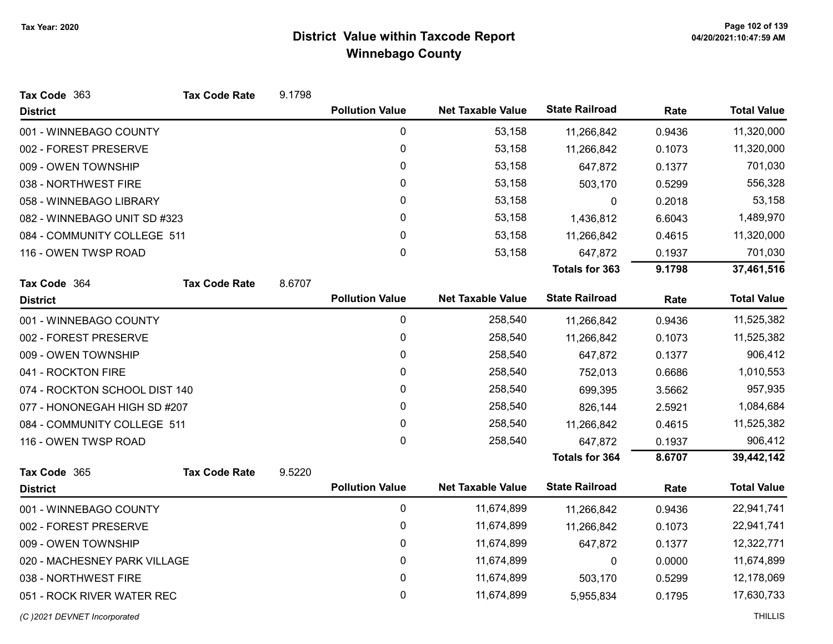| Tax Code 363                  | <b>Tax Code Rate</b> | 9.1798 |                        |                          |                       |        |                    |
|-------------------------------|----------------------|--------|------------------------|--------------------------|-----------------------|--------|--------------------|
| <b>District</b>               |                      |        | <b>Pollution Value</b> | <b>Net Taxable Value</b> | <b>State Railroad</b> | Rate   | <b>Total Value</b> |
| 001 - WINNEBAGO COUNTY        |                      |        | 0                      | 53,158                   | 11,266,842            | 0.9436 | 11,320,000         |
| 002 - FOREST PRESERVE         |                      |        | 0                      | 53,158                   | 11,266,842            | 0.1073 | 11,320,000         |
| 009 - OWEN TOWNSHIP           |                      |        | 0                      | 53,158                   | 647,872               | 0.1377 | 701,030            |
| 038 - NORTHWEST FIRE          |                      |        | $\mathbf{0}$           | 53,158                   | 503,170               | 0.5299 | 556,328            |
| 058 - WINNEBAGO LIBRARY       |                      |        | 0                      | 53,158                   | 0                     | 0.2018 | 53,158             |
| 082 - WINNEBAGO UNIT SD #323  |                      |        | 0                      | 53,158                   | 1,436,812             | 6.6043 | 1,489,970          |
| 084 - COMMUNITY COLLEGE 511   |                      |        | $\pmb{0}$              | 53,158                   | 11,266,842            | 0.4615 | 11,320,000         |
| 116 - OWEN TWSP ROAD          |                      |        | 0                      | 53,158                   | 647,872               | 0.1937 | 701,030            |
|                               |                      |        |                        |                          | <b>Totals for 363</b> | 9.1798 | 37,461,516         |
| Tax Code 364                  | <b>Tax Code Rate</b> | 8.6707 |                        |                          |                       |        |                    |
| <b>District</b>               |                      |        | <b>Pollution Value</b> | <b>Net Taxable Value</b> | <b>State Railroad</b> | Rate   | <b>Total Value</b> |
| 001 - WINNEBAGO COUNTY        |                      |        | $\pmb{0}$              | 258,540                  | 11,266,842            | 0.9436 | 11,525,382         |
| 002 - FOREST PRESERVE         |                      |        | 0                      | 258,540                  | 11,266,842            | 0.1073 | 11,525,382         |
| 009 - OWEN TOWNSHIP           |                      |        | 0                      | 258,540                  | 647,872               | 0.1377 | 906,412            |
| 041 - ROCKTON FIRE            |                      |        | 0                      | 258,540                  | 752,013               | 0.6686 | 1,010,553          |
| 074 - ROCKTON SCHOOL DIST 140 |                      |        | 0                      | 258,540                  | 699,395               | 3.5662 | 957,935            |
| 077 - HONONEGAH HIGH SD #207  |                      |        | 0                      | 258,540                  | 826,144               | 2.5921 | 1,084,684          |
| 084 - COMMUNITY COLLEGE 511   |                      |        | 0                      | 258,540                  | 11,266,842            | 0.4615 | 11,525,382         |
| 116 - OWEN TWSP ROAD          |                      |        | 0                      | 258,540                  | 647,872               | 0.1937 | 906,412            |
|                               |                      |        |                        |                          | <b>Totals for 364</b> | 8.6707 | 39,442,142         |
| Tax Code 365                  | <b>Tax Code Rate</b> | 9.5220 |                        |                          |                       |        |                    |
| <b>District</b>               |                      |        | <b>Pollution Value</b> | <b>Net Taxable Value</b> | <b>State Railroad</b> | Rate   | <b>Total Value</b> |
| 001 - WINNEBAGO COUNTY        |                      |        | 0                      | 11,674,899               | 11,266,842            | 0.9436 | 22,941,741         |
| 002 - FOREST PRESERVE         |                      |        | $\pmb{0}$              | 11,674,899               | 11,266,842            | 0.1073 | 22,941,741         |
| 009 - OWEN TOWNSHIP           |                      |        | $\pmb{0}$              | 11,674,899               | 647,872               | 0.1377 | 12,322,771         |
| 020 - MACHESNEY PARK VILLAGE  |                      |        | 0                      | 11,674,899               | 0                     | 0.0000 | 11,674,899         |
| 038 - NORTHWEST FIRE          |                      |        | 0                      | 11,674,899               | 503,170               | 0.5299 | 12,178,069         |
| 051 - ROCK RIVER WATER REC    |                      |        | 0                      | 11,674,899               | 5,955,834             | 0.1795 | 17,630,733         |
| (C) 2021 DEVNET Incorporated  |                      |        |                        |                          |                       |        | <b>THILLIS</b>     |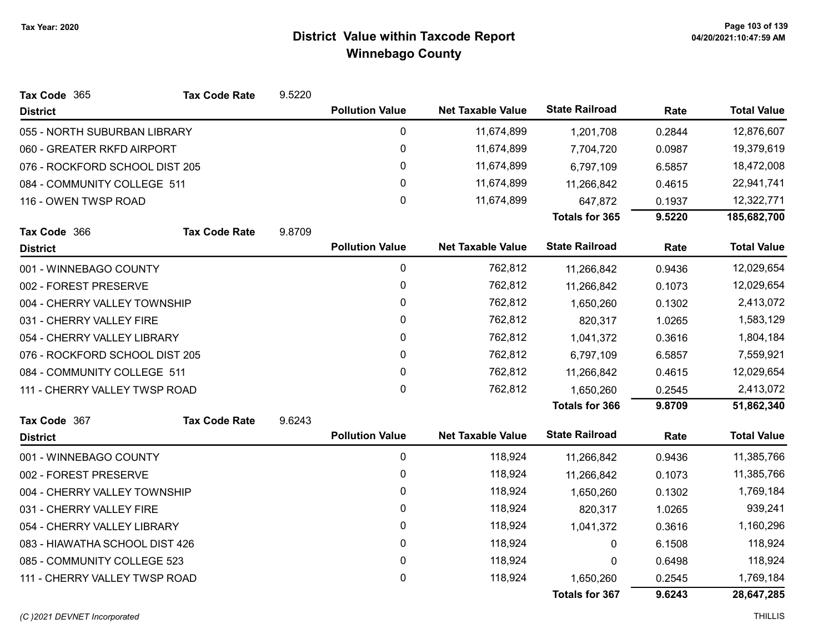| Tax Code 365                   | <b>Tax Code Rate</b> | 9.5220 |                        |                          |                       |        |                    |
|--------------------------------|----------------------|--------|------------------------|--------------------------|-----------------------|--------|--------------------|
| <b>District</b>                |                      |        | <b>Pollution Value</b> | <b>Net Taxable Value</b> | <b>State Railroad</b> | Rate   | <b>Total Value</b> |
| 055 - NORTH SUBURBAN LIBRARY   |                      |        | 0                      | 11,674,899               | 1,201,708             | 0.2844 | 12,876,607         |
| 060 - GREATER RKFD AIRPORT     |                      |        | 0                      | 11,674,899               | 7,704,720             | 0.0987 | 19,379,619         |
| 076 - ROCKFORD SCHOOL DIST 205 |                      |        | 0                      | 11,674,899               | 6,797,109             | 6.5857 | 18,472,008         |
| 084 - COMMUNITY COLLEGE 511    |                      |        | $\mathbf{0}$           | 11,674,899               | 11,266,842            | 0.4615 | 22,941,741         |
| 116 - OWEN TWSP ROAD           |                      |        | 0                      | 11,674,899               | 647,872               | 0.1937 | 12,322,771         |
|                                |                      |        |                        |                          | Totals for 365        | 9.5220 | 185,682,700        |
| Tax Code 366                   | <b>Tax Code Rate</b> | 9.8709 |                        |                          |                       |        |                    |
| <b>District</b>                |                      |        | <b>Pollution Value</b> | <b>Net Taxable Value</b> | <b>State Railroad</b> | Rate   | <b>Total Value</b> |
| 001 - WINNEBAGO COUNTY         |                      |        | $\mathbf 0$            | 762,812                  | 11,266,842            | 0.9436 | 12,029,654         |
| 002 - FOREST PRESERVE          |                      |        | 0                      | 762,812                  | 11,266,842            | 0.1073 | 12,029,654         |
| 004 - CHERRY VALLEY TOWNSHIP   |                      |        | 0                      | 762,812                  | 1,650,260             | 0.1302 | 2,413,072          |
| 031 - CHERRY VALLEY FIRE       |                      |        | $\mathbf 0$            | 762,812                  | 820,317               | 1.0265 | 1,583,129          |
| 054 - CHERRY VALLEY LIBRARY    |                      |        | $\mathbf{0}$           | 762,812                  | 1,041,372             | 0.3616 | 1,804,184          |
| 076 - ROCKFORD SCHOOL DIST 205 |                      |        | 0                      | 762,812                  | 6,797,109             | 6.5857 | 7,559,921          |
| 084 - COMMUNITY COLLEGE 511    |                      |        | 0                      | 762,812                  | 11,266,842            | 0.4615 | 12,029,654         |
| 111 - CHERRY VALLEY TWSP ROAD  |                      |        | 0                      | 762,812                  | 1,650,260             | 0.2545 | 2,413,072          |
|                                |                      |        |                        |                          | <b>Totals for 366</b> | 9.8709 | 51,862,340         |
| Tax Code 367                   | <b>Tax Code Rate</b> | 9.6243 |                        |                          |                       |        |                    |
| <b>District</b>                |                      |        | <b>Pollution Value</b> | <b>Net Taxable Value</b> | <b>State Railroad</b> | Rate   | <b>Total Value</b> |
| 001 - WINNEBAGO COUNTY         |                      |        | $\mathbf 0$            | 118,924                  | 11,266,842            | 0.9436 | 11,385,766         |
| 002 - FOREST PRESERVE          |                      |        | 0                      | 118,924                  | 11,266,842            | 0.1073 | 11,385,766         |
| 004 - CHERRY VALLEY TOWNSHIP   |                      |        | 0                      | 118,924                  | 1,650,260             | 0.1302 | 1,769,184          |
| 031 - CHERRY VALLEY FIRE       |                      |        | $\mathbf{0}$           | 118,924                  | 820,317               | 1.0265 | 939,241            |
| 054 - CHERRY VALLEY LIBRARY    |                      |        | $\pmb{0}$              | 118,924                  | 1,041,372             | 0.3616 | 1,160,296          |
| 083 - HIAWATHA SCHOOL DIST 426 |                      |        | 0                      | 118,924                  | 0                     | 6.1508 | 118,924            |
| 085 - COMMUNITY COLLEGE 523    |                      |        | 0                      | 118,924                  | 0                     | 0.6498 | 118,924            |
| 111 - CHERRY VALLEY TWSP ROAD  |                      |        | 0                      | 118,924                  | 1,650,260             | 0.2545 | 1,769,184          |
|                                |                      |        |                        |                          | <b>Totals for 367</b> | 9.6243 | 28,647,285         |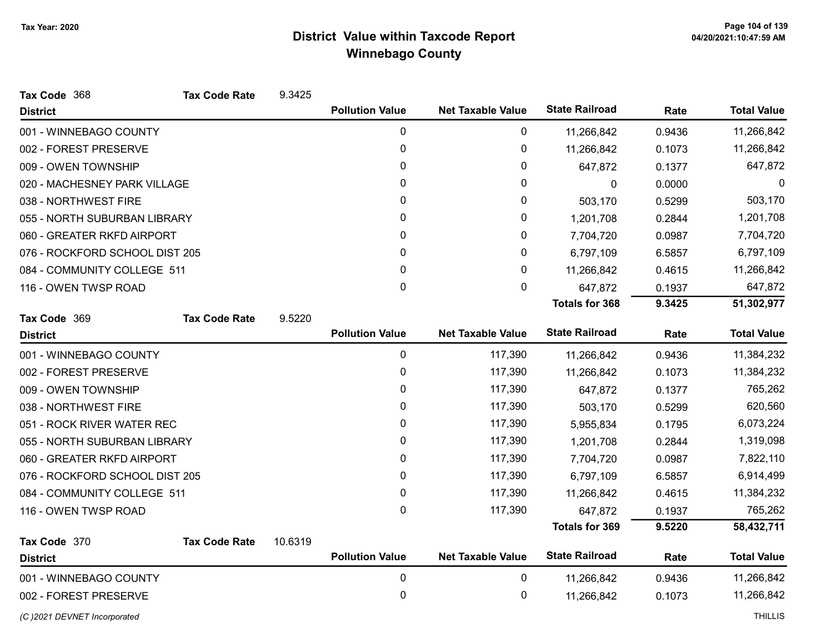| Tax Code 368                   | <b>Tax Code Rate</b> | 9.3425  |                        |                          |                       |        |                    |
|--------------------------------|----------------------|---------|------------------------|--------------------------|-----------------------|--------|--------------------|
| <b>District</b>                |                      |         | <b>Pollution Value</b> | <b>Net Taxable Value</b> | <b>State Railroad</b> | Rate   | <b>Total Value</b> |
| 001 - WINNEBAGO COUNTY         |                      |         | 0                      | 0                        | 11,266,842            | 0.9436 | 11,266,842         |
| 002 - FOREST PRESERVE          |                      |         | 0                      | 0                        | 11,266,842            | 0.1073 | 11,266,842         |
| 009 - OWEN TOWNSHIP            |                      |         | 0                      | 0                        | 647,872               | 0.1377 | 647,872            |
| 020 - MACHESNEY PARK VILLAGE   |                      |         | $\mathbf{0}$           | 0                        | 0                     | 0.0000 | $\Omega$           |
| 038 - NORTHWEST FIRE           |                      |         | 0                      | 0                        | 503,170               | 0.5299 | 503,170            |
| 055 - NORTH SUBURBAN LIBRARY   |                      |         | 0                      | 0                        | 1,201,708             | 0.2844 | 1,201,708          |
| 060 - GREATER RKFD AIRPORT     |                      |         | 0                      | 0                        | 7,704,720             | 0.0987 | 7,704,720          |
| 076 - ROCKFORD SCHOOL DIST 205 |                      |         | 0                      | 0                        | 6,797,109             | 6.5857 | 6,797,109          |
| 084 - COMMUNITY COLLEGE 511    |                      |         | $\mathbf{0}$           | 0                        | 11,266,842            | 0.4615 | 11,266,842         |
| 116 - OWEN TWSP ROAD           |                      |         | 0                      | 0                        | 647,872               | 0.1937 | 647,872            |
|                                |                      |         |                        |                          | <b>Totals for 368</b> | 9.3425 | 51,302,977         |
| Tax Code 369                   | <b>Tax Code Rate</b> | 9.5220  |                        |                          |                       |        |                    |
| <b>District</b>                |                      |         | <b>Pollution Value</b> | <b>Net Taxable Value</b> | <b>State Railroad</b> | Rate   | <b>Total Value</b> |
| 001 - WINNEBAGO COUNTY         |                      |         | 0                      | 117,390                  | 11,266,842            | 0.9436 | 11,384,232         |
| 002 - FOREST PRESERVE          |                      |         | 0                      | 117,390                  | 11,266,842            | 0.1073 | 11,384,232         |
| 009 - OWEN TOWNSHIP            |                      |         | 0                      | 117,390                  | 647,872               | 0.1377 | 765,262            |
| 038 - NORTHWEST FIRE           |                      |         | 0                      | 117,390                  | 503,170               | 0.5299 | 620,560            |
| 051 - ROCK RIVER WATER REC     |                      |         | 0                      | 117,390                  | 5,955,834             | 0.1795 | 6,073,224          |
| 055 - NORTH SUBURBAN LIBRARY   |                      |         | 0                      | 117,390                  | 1,201,708             | 0.2844 | 1,319,098          |
| 060 - GREATER RKFD AIRPORT     |                      |         | 0                      | 117,390                  | 7,704,720             | 0.0987 | 7,822,110          |
| 076 - ROCKFORD SCHOOL DIST 205 |                      |         | 0                      | 117,390                  | 6,797,109             | 6.5857 | 6,914,499          |
| 084 - COMMUNITY COLLEGE 511    |                      |         | 0                      | 117,390                  | 11,266,842            | 0.4615 | 11,384,232         |
| 116 - OWEN TWSP ROAD           |                      |         | $\Omega$               | 117,390                  | 647,872               | 0.1937 | 765,262            |
|                                |                      |         |                        |                          | <b>Totals for 369</b> | 9.5220 | 58,432,711         |
| Tax Code 370                   | <b>Tax Code Rate</b> | 10.6319 |                        |                          |                       |        |                    |
| <b>District</b>                |                      |         | <b>Pollution Value</b> | <b>Net Taxable Value</b> | <b>State Railroad</b> | Rate   | <b>Total Value</b> |
| 001 - WINNEBAGO COUNTY         |                      |         | 0                      | 0                        | 11,266,842            | 0.9436 | 11,266,842         |
| 002 - FOREST PRESERVE          |                      |         | 0                      | 0                        | 11,266,842            | 0.1073 | 11,266,842         |
| (C) 2021 DEVNET Incorporated   |                      |         |                        |                          |                       |        | <b>THILLIS</b>     |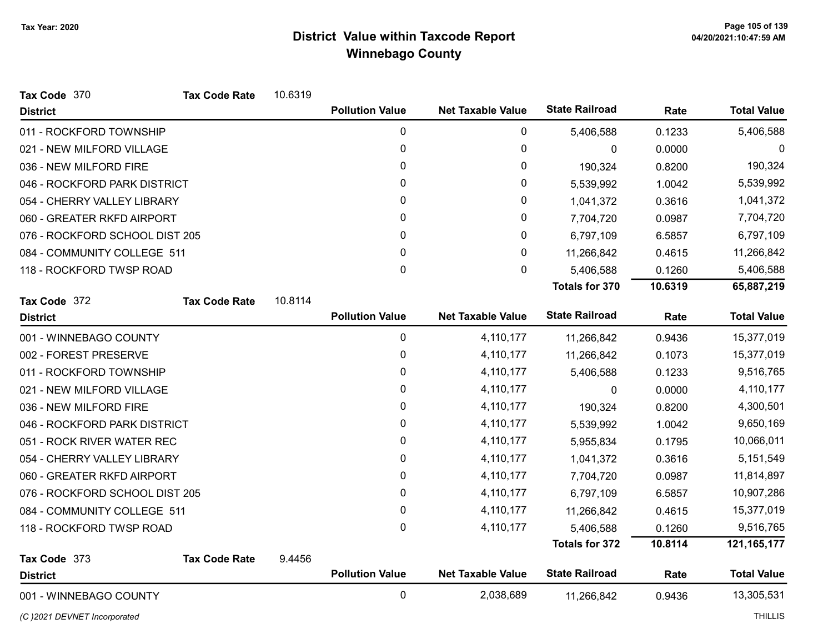| Tax Code 370                   | <b>Tax Code Rate</b> | 10.6319 |                        |                          |                       |         |                    |
|--------------------------------|----------------------|---------|------------------------|--------------------------|-----------------------|---------|--------------------|
| <b>District</b>                |                      |         | <b>Pollution Value</b> | <b>Net Taxable Value</b> | <b>State Railroad</b> | Rate    | <b>Total Value</b> |
| 011 - ROCKFORD TOWNSHIP        |                      |         | 0                      | 0                        | 5,406,588             | 0.1233  | 5,406,588          |
| 021 - NEW MILFORD VILLAGE      |                      |         | 0                      | $\pmb{0}$                | $\mathbf{0}$          | 0.0000  | 0                  |
| 036 - NEW MILFORD FIRE         |                      |         | 0                      | 0                        | 190,324               | 0.8200  | 190,324            |
| 046 - ROCKFORD PARK DISTRICT   |                      |         | $\mathbf{0}$           | 0                        | 5,539,992             | 1.0042  | 5,539,992          |
| 054 - CHERRY VALLEY LIBRARY    |                      |         | 0                      | 0                        | 1,041,372             | 0.3616  | 1,041,372          |
| 060 - GREATER RKFD AIRPORT     |                      |         | 0                      | 0                        | 7,704,720             | 0.0987  | 7,704,720          |
| 076 - ROCKFORD SCHOOL DIST 205 |                      |         | 0                      | 0                        | 6,797,109             | 6.5857  | 6,797,109          |
| 084 - COMMUNITY COLLEGE 511    |                      |         | $\mathbf{0}$           | 0                        | 11,266,842            | 0.4615  | 11,266,842         |
| 118 - ROCKFORD TWSP ROAD       |                      |         | $\pmb{0}$              | $\mathbf 0$              | 5,406,588             | 0.1260  | 5,406,588          |
|                                |                      |         |                        |                          | <b>Totals for 370</b> | 10.6319 | 65,887,219         |
| Tax Code 372                   | <b>Tax Code Rate</b> | 10.8114 |                        |                          |                       |         |                    |
| <b>District</b>                |                      |         | <b>Pollution Value</b> | <b>Net Taxable Value</b> | <b>State Railroad</b> | Rate    | <b>Total Value</b> |
| 001 - WINNEBAGO COUNTY         |                      |         | 0                      | 4,110,177                | 11,266,842            | 0.9436  | 15,377,019         |
| 002 - FOREST PRESERVE          |                      |         | 0                      | 4,110,177                | 11,266,842            | 0.1073  | 15,377,019         |
| 011 - ROCKFORD TOWNSHIP        |                      |         | 0                      | 4,110,177                | 5,406,588             | 0.1233  | 9,516,765          |
| 021 - NEW MILFORD VILLAGE      |                      |         | 0                      | 4,110,177                | 0                     | 0.0000  | 4,110,177          |
| 036 - NEW MILFORD FIRE         |                      |         | 0                      | 4,110,177                | 190,324               | 0.8200  | 4,300,501          |
| 046 - ROCKFORD PARK DISTRICT   |                      |         | 0                      | 4,110,177                | 5,539,992             | 1.0042  | 9,650,169          |
| 051 - ROCK RIVER WATER REC     |                      |         | 0                      | 4,110,177                | 5,955,834             | 0.1795  | 10,066,011         |
| 054 - CHERRY VALLEY LIBRARY    |                      |         | 0                      | 4,110,177                | 1,041,372             | 0.3616  | 5,151,549          |
| 060 - GREATER RKFD AIRPORT     |                      |         | 0                      | 4,110,177                | 7,704,720             | 0.0987  | 11,814,897         |
| 076 - ROCKFORD SCHOOL DIST 205 |                      |         | 0                      | 4,110,177                | 6,797,109             | 6.5857  | 10,907,286         |
| 084 - COMMUNITY COLLEGE 511    |                      |         | 0                      | 4,110,177                | 11,266,842            | 0.4615  | 15,377,019         |
| 118 - ROCKFORD TWSP ROAD       |                      |         | $\mathbf 0$            | 4,110,177                | 5,406,588             | 0.1260  | 9,516,765          |
|                                |                      |         |                        |                          | <b>Totals for 372</b> | 10.8114 | 121, 165, 177      |
| Tax Code 373                   | <b>Tax Code Rate</b> | 9.4456  |                        |                          |                       |         |                    |
| <b>District</b>                |                      |         | <b>Pollution Value</b> | <b>Net Taxable Value</b> | <b>State Railroad</b> | Rate    | <b>Total Value</b> |
| 001 - WINNEBAGO COUNTY         |                      |         | 0                      | 2,038,689                | 11,266,842            | 0.9436  | 13,305,531         |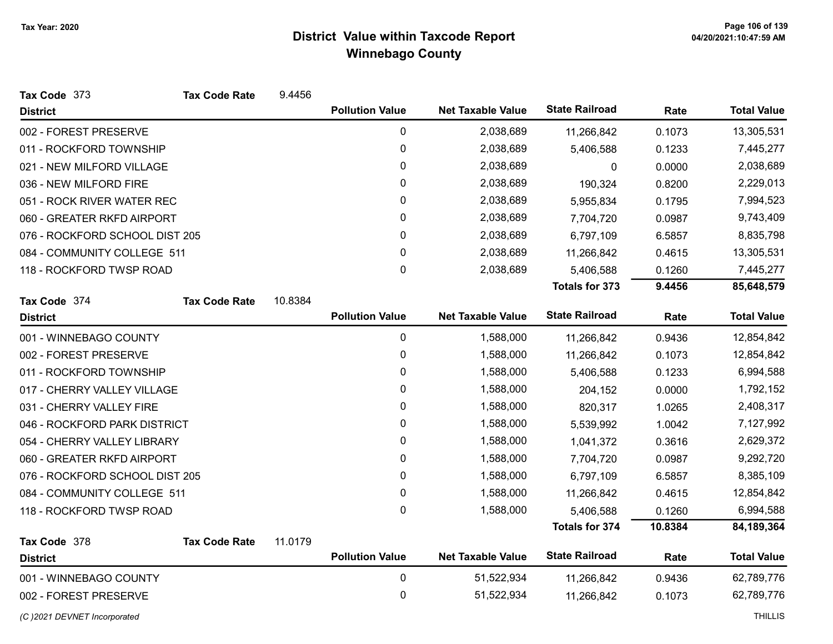| Tax Code 373                   | <b>Tax Code Rate</b> | 9.4456  |                        |                          |                       |         |                    |
|--------------------------------|----------------------|---------|------------------------|--------------------------|-----------------------|---------|--------------------|
| <b>District</b>                |                      |         | <b>Pollution Value</b> | <b>Net Taxable Value</b> | <b>State Railroad</b> | Rate    | <b>Total Value</b> |
| 002 - FOREST PRESERVE          |                      |         | 0                      | 2,038,689                | 11,266,842            | 0.1073  | 13,305,531         |
| 011 - ROCKFORD TOWNSHIP        |                      |         | $\mathbf 0$            | 2,038,689                | 5,406,588             | 0.1233  | 7,445,277          |
| 021 - NEW MILFORD VILLAGE      |                      |         | $\pmb{0}$              | 2,038,689                | 0                     | 0.0000  | 2,038,689          |
| 036 - NEW MILFORD FIRE         |                      |         | 0                      | 2,038,689                | 190,324               | 0.8200  | 2,229,013          |
| 051 - ROCK RIVER WATER REC     |                      |         | $\mathbf 0$            | 2,038,689                | 5,955,834             | 0.1795  | 7,994,523          |
| 060 - GREATER RKFD AIRPORT     |                      |         | 0                      | 2,038,689                | 7,704,720             | 0.0987  | 9,743,409          |
| 076 - ROCKFORD SCHOOL DIST 205 |                      |         | 0                      | 2,038,689                | 6,797,109             | 6.5857  | 8,835,798          |
| 084 - COMMUNITY COLLEGE 511    |                      |         | 0                      | 2,038,689                | 11,266,842            | 0.4615  | 13,305,531         |
| 118 - ROCKFORD TWSP ROAD       |                      |         | $\mathbf 0$            | 2,038,689                | 5,406,588             | 0.1260  | 7,445,277          |
|                                |                      |         |                        |                          | <b>Totals for 373</b> | 9.4456  | 85,648,579         |
| Tax Code 374                   | <b>Tax Code Rate</b> | 10.8384 |                        |                          |                       |         |                    |
| <b>District</b>                |                      |         | <b>Pollution Value</b> | <b>Net Taxable Value</b> | <b>State Railroad</b> | Rate    | <b>Total Value</b> |
| 001 - WINNEBAGO COUNTY         |                      |         | 0                      | 1,588,000                | 11,266,842            | 0.9436  | 12,854,842         |
| 002 - FOREST PRESERVE          |                      |         | 0                      | 1,588,000                | 11,266,842            | 0.1073  | 12,854,842         |
| 011 - ROCKFORD TOWNSHIP        |                      |         | 0                      | 1,588,000                | 5,406,588             | 0.1233  | 6,994,588          |
| 017 - CHERRY VALLEY VILLAGE    |                      |         | 0                      | 1,588,000                | 204,152               | 0.0000  | 1,792,152          |
| 031 - CHERRY VALLEY FIRE       |                      |         | 0                      | 1,588,000                | 820,317               | 1.0265  | 2,408,317          |
| 046 - ROCKFORD PARK DISTRICT   |                      |         | 0                      | 1,588,000                | 5,539,992             | 1.0042  | 7,127,992          |
| 054 - CHERRY VALLEY LIBRARY    |                      |         | 0                      | 1,588,000                | 1,041,372             | 0.3616  | 2,629,372          |
| 060 - GREATER RKFD AIRPORT     |                      |         | 0                      | 1,588,000                | 7,704,720             | 0.0987  | 9,292,720          |
| 076 - ROCKFORD SCHOOL DIST 205 |                      |         | 0                      | 1,588,000                | 6,797,109             | 6.5857  | 8,385,109          |
| 084 - COMMUNITY COLLEGE 511    |                      |         | 0                      | 1,588,000                | 11,266,842            | 0.4615  | 12,854,842         |
| 118 - ROCKFORD TWSP ROAD       |                      |         | $\mathbf 0$            | 1,588,000                | 5,406,588             | 0.1260  | 6,994,588          |
|                                |                      |         |                        |                          | <b>Totals for 374</b> | 10.8384 | 84,189,364         |
| Tax Code 378                   | <b>Tax Code Rate</b> | 11.0179 |                        |                          |                       |         |                    |
| <b>District</b>                |                      |         | <b>Pollution Value</b> | <b>Net Taxable Value</b> | <b>State Railroad</b> | Rate    | <b>Total Value</b> |
| 001 - WINNEBAGO COUNTY         |                      |         | $\mathbf 0$            | 51,522,934               | 11,266,842            | 0.9436  | 62,789,776         |
| 002 - FOREST PRESERVE          |                      |         | 0                      | 51,522,934               | 11,266,842            | 0.1073  | 62,789,776         |
| (C) 2021 DEVNET Incorporated   |                      |         |                        |                          |                       |         | <b>THILLIS</b>     |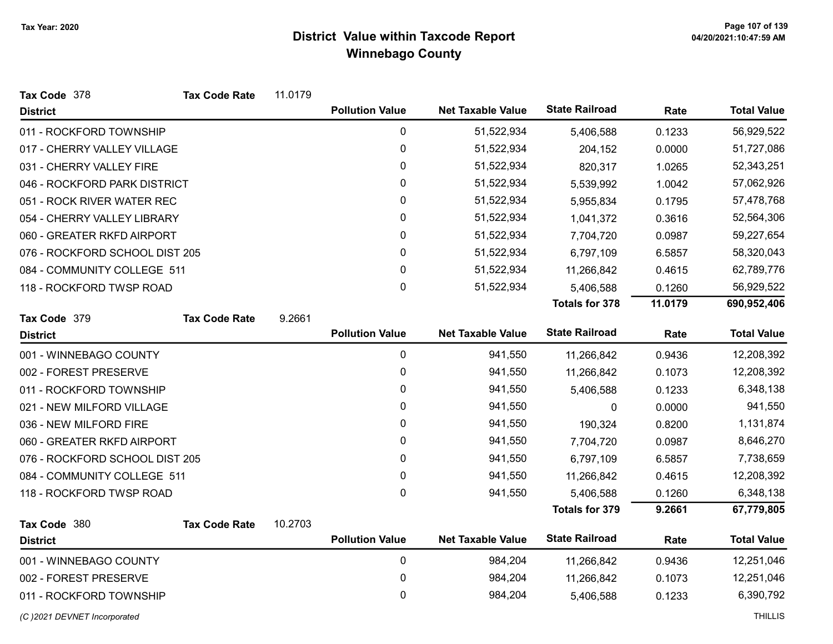| Tax Code 378                   | <b>Tax Code Rate</b> | 11.0179 |                        |                          |                       |         |                    |
|--------------------------------|----------------------|---------|------------------------|--------------------------|-----------------------|---------|--------------------|
| <b>District</b>                |                      |         | <b>Pollution Value</b> | <b>Net Taxable Value</b> | <b>State Railroad</b> | Rate    | <b>Total Value</b> |
| 011 - ROCKFORD TOWNSHIP        |                      |         | 0                      | 51,522,934               | 5,406,588             | 0.1233  | 56,929,522         |
| 017 - CHERRY VALLEY VILLAGE    |                      |         | $\pmb{0}$              | 51,522,934               | 204,152               | 0.0000  | 51,727,086         |
| 031 - CHERRY VALLEY FIRE       |                      |         | 0                      | 51,522,934               | 820,317               | 1.0265  | 52,343,251         |
| 046 - ROCKFORD PARK DISTRICT   |                      |         | 0                      | 51,522,934               | 5,539,992             | 1.0042  | 57,062,926         |
| 051 - ROCK RIVER WATER REC     |                      |         | 0                      | 51,522,934               | 5,955,834             | 0.1795  | 57,478,768         |
| 054 - CHERRY VALLEY LIBRARY    |                      |         | 0                      | 51,522,934               | 1,041,372             | 0.3616  | 52,564,306         |
| 060 - GREATER RKFD AIRPORT     |                      |         | 0                      | 51,522,934               | 7,704,720             | 0.0987  | 59,227,654         |
| 076 - ROCKFORD SCHOOL DIST 205 |                      |         | 0                      | 51,522,934               | 6,797,109             | 6.5857  | 58,320,043         |
| 084 - COMMUNITY COLLEGE 511    |                      |         | 0                      | 51,522,934               | 11,266,842            | 0.4615  | 62,789,776         |
| 118 - ROCKFORD TWSP ROAD       |                      |         | 0                      | 51,522,934               | 5,406,588             | 0.1260  | 56,929,522         |
|                                |                      |         |                        |                          | <b>Totals for 378</b> | 11.0179 | 690,952,406        |
| Tax Code 379                   | <b>Tax Code Rate</b> | 9.2661  |                        |                          |                       |         |                    |
| <b>District</b>                |                      |         | <b>Pollution Value</b> | <b>Net Taxable Value</b> | <b>State Railroad</b> | Rate    | <b>Total Value</b> |
| 001 - WINNEBAGO COUNTY         |                      |         | $\mathbf 0$            | 941,550                  | 11,266,842            | 0.9436  | 12,208,392         |
| 002 - FOREST PRESERVE          |                      |         | 0                      | 941,550                  | 11,266,842            | 0.1073  | 12,208,392         |
| 011 - ROCKFORD TOWNSHIP        |                      |         | 0                      | 941,550                  | 5,406,588             | 0.1233  | 6,348,138          |
| 021 - NEW MILFORD VILLAGE      |                      |         | 0                      | 941,550                  | 0                     | 0.0000  | 941,550            |
| 036 - NEW MILFORD FIRE         |                      |         | 0                      | 941,550                  | 190,324               | 0.8200  | 1,131,874          |
| 060 - GREATER RKFD AIRPORT     |                      |         | 0                      | 941,550                  | 7,704,720             | 0.0987  | 8,646,270          |
| 076 - ROCKFORD SCHOOL DIST 205 |                      |         | 0                      | 941,550                  | 6,797,109             | 6.5857  | 7,738,659          |
| 084 - COMMUNITY COLLEGE 511    |                      |         | $\mathbf 0$            | 941,550                  | 11,266,842            | 0.4615  | 12,208,392         |
| 118 - ROCKFORD TWSP ROAD       |                      |         | 0                      | 941,550                  | 5,406,588             | 0.1260  | 6,348,138          |
|                                |                      |         |                        |                          | <b>Totals for 379</b> | 9.2661  | 67,779,805         |
| Tax Code 380                   | <b>Tax Code Rate</b> | 10.2703 |                        |                          |                       |         |                    |
| <b>District</b>                |                      |         | <b>Pollution Value</b> | <b>Net Taxable Value</b> | <b>State Railroad</b> | Rate    | <b>Total Value</b> |
| 001 - WINNEBAGO COUNTY         |                      |         | 0                      | 984,204                  | 11,266,842            | 0.9436  | 12,251,046         |
| 002 - FOREST PRESERVE          |                      |         | $\mathbf 0$            | 984,204                  | 11,266,842            | 0.1073  | 12,251,046         |
| 011 - ROCKFORD TOWNSHIP        |                      |         | 0                      | 984,204                  | 5,406,588             | 0.1233  | 6,390,792          |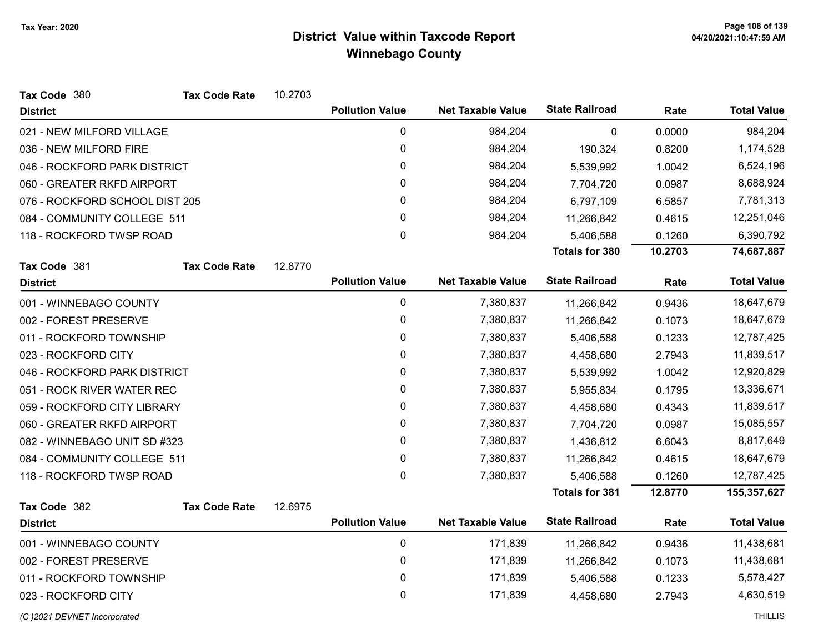| Tax Code 380                   | <b>Tax Code Rate</b> | 10.2703 |                        |                          |                       |         |                    |
|--------------------------------|----------------------|---------|------------------------|--------------------------|-----------------------|---------|--------------------|
| <b>District</b>                |                      |         | <b>Pollution Value</b> | <b>Net Taxable Value</b> | <b>State Railroad</b> | Rate    | <b>Total Value</b> |
| 021 - NEW MILFORD VILLAGE      |                      |         | $\pmb{0}$              | 984,204                  | $\pmb{0}$             | 0.0000  | 984,204            |
| 036 - NEW MILFORD FIRE         |                      |         | 0                      | 984,204                  | 190,324               | 0.8200  | 1,174,528          |
| 046 - ROCKFORD PARK DISTRICT   |                      |         | 0                      | 984,204                  | 5,539,992             | 1.0042  | 6,524,196          |
| 060 - GREATER RKFD AIRPORT     |                      |         | $\mathbf{0}$           | 984,204                  | 7,704,720             | 0.0987  | 8,688,924          |
| 076 - ROCKFORD SCHOOL DIST 205 |                      |         | 0                      | 984,204                  | 6,797,109             | 6.5857  | 7,781,313          |
| 084 - COMMUNITY COLLEGE 511    |                      |         | 0                      | 984,204                  | 11,266,842            | 0.4615  | 12,251,046         |
| 118 - ROCKFORD TWSP ROAD       |                      |         | 0                      | 984,204                  | 5,406,588             | 0.1260  | 6,390,792          |
|                                |                      |         |                        |                          | <b>Totals for 380</b> | 10.2703 | 74,687,887         |
| Tax Code 381                   | <b>Tax Code Rate</b> | 12.8770 |                        |                          |                       |         |                    |
| <b>District</b>                |                      |         | <b>Pollution Value</b> | <b>Net Taxable Value</b> | <b>State Railroad</b> | Rate    | <b>Total Value</b> |
| 001 - WINNEBAGO COUNTY         |                      |         | $\pmb{0}$              | 7,380,837                | 11,266,842            | 0.9436  | 18,647,679         |
| 002 - FOREST PRESERVE          |                      |         | $\pmb{0}$              | 7,380,837                | 11,266,842            | 0.1073  | 18,647,679         |
| 011 - ROCKFORD TOWNSHIP        |                      |         | 0                      | 7,380,837                | 5,406,588             | 0.1233  | 12,787,425         |
| 023 - ROCKFORD CITY            |                      |         | 0                      | 7,380,837                | 4,458,680             | 2.7943  | 11,839,517         |
| 046 - ROCKFORD PARK DISTRICT   |                      |         | $\pmb{0}$              | 7,380,837                | 5,539,992             | 1.0042  | 12,920,829         |
| 051 - ROCK RIVER WATER REC     |                      |         | $\pmb{0}$              | 7,380,837                | 5,955,834             | 0.1795  | 13,336,671         |
| 059 - ROCKFORD CITY LIBRARY    |                      |         | $\pmb{0}$              | 7,380,837                | 4,458,680             | 0.4343  | 11,839,517         |
| 060 - GREATER RKFD AIRPORT     |                      |         | 0                      | 7,380,837                | 7,704,720             | 0.0987  | 15,085,557         |
| 082 - WINNEBAGO UNIT SD #323   |                      |         | $\pmb{0}$              | 7,380,837                | 1,436,812             | 6.6043  | 8,817,649          |
| 084 - COMMUNITY COLLEGE 511    |                      |         | $\pmb{0}$              | 7,380,837                | 11,266,842            | 0.4615  | 18,647,679         |
| 118 - ROCKFORD TWSP ROAD       |                      |         | $\mathbf 0$            | 7,380,837                | 5,406,588             | 0.1260  | 12,787,425         |
|                                |                      |         |                        |                          | <b>Totals for 381</b> | 12.8770 | 155,357,627        |
| Tax Code 382                   | <b>Tax Code Rate</b> | 12.6975 |                        |                          |                       |         |                    |
| <b>District</b>                |                      |         | <b>Pollution Value</b> | <b>Net Taxable Value</b> | <b>State Railroad</b> | Rate    | <b>Total Value</b> |
| 001 - WINNEBAGO COUNTY         |                      |         | $\pmb{0}$              | 171,839                  | 11,266,842            | 0.9436  | 11,438,681         |
| 002 - FOREST PRESERVE          |                      |         | 0                      | 171,839                  | 11,266,842            | 0.1073  | 11,438,681         |
| 011 - ROCKFORD TOWNSHIP        |                      |         | $\boldsymbol{0}$       | 171,839                  | 5,406,588             | 0.1233  | 5,578,427          |
| 023 - ROCKFORD CITY            |                      |         | 0                      | 171,839                  | 4,458,680             | 2.7943  | 4,630,519          |
| (C) 2021 DEVNET Incorporated   |                      |         |                        |                          |                       |         | <b>THILLIS</b>     |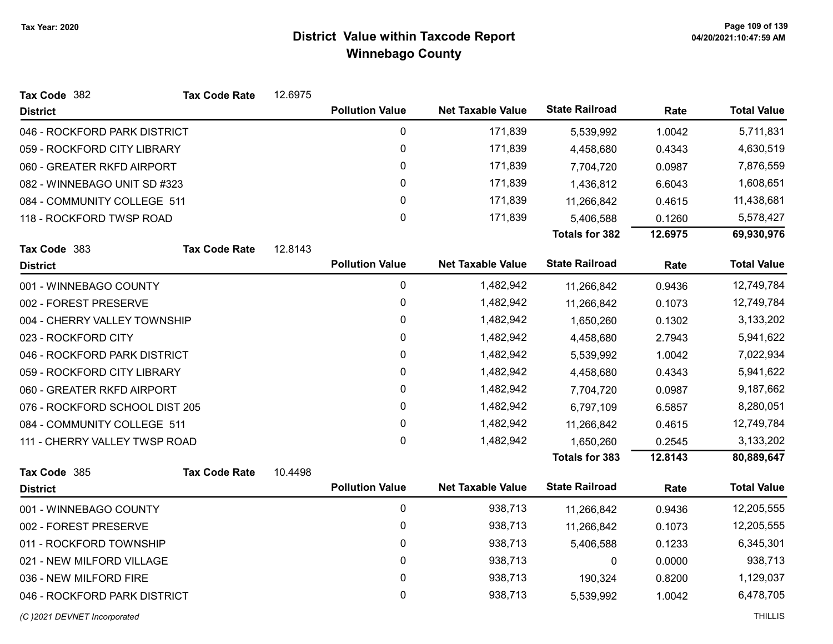| Tax Code 382                   | <b>Tax Code Rate</b> | 12.6975 |                        |                          |                       |         |                    |
|--------------------------------|----------------------|---------|------------------------|--------------------------|-----------------------|---------|--------------------|
| <b>District</b>                |                      |         | <b>Pollution Value</b> | <b>Net Taxable Value</b> | <b>State Railroad</b> | Rate    | <b>Total Value</b> |
| 046 - ROCKFORD PARK DISTRICT   |                      |         | 0                      | 171,839                  | 5,539,992             | 1.0042  | 5,711,831          |
| 059 - ROCKFORD CITY LIBRARY    |                      |         | 0                      | 171,839                  | 4,458,680             | 0.4343  | 4,630,519          |
| 060 - GREATER RKFD AIRPORT     |                      |         | $\mathbf 0$            | 171,839                  | 7,704,720             | 0.0987  | 7,876,559          |
| 082 - WINNEBAGO UNIT SD #323   |                      |         | $\mathbf{0}$           | 171,839                  | 1,436,812             | 6.6043  | 1,608,651          |
| 084 - COMMUNITY COLLEGE 511    |                      |         | 0                      | 171,839                  | 11,266,842            | 0.4615  | 11,438,681         |
| 118 - ROCKFORD TWSP ROAD       |                      |         | $\mathbf 0$            | 171,839                  | 5,406,588             | 0.1260  | 5,578,427          |
|                                |                      |         |                        |                          | <b>Totals for 382</b> | 12.6975 | 69,930,976         |
| Tax Code 383                   | <b>Tax Code Rate</b> | 12.8143 |                        |                          |                       |         |                    |
| <b>District</b>                |                      |         | <b>Pollution Value</b> | <b>Net Taxable Value</b> | <b>State Railroad</b> | Rate    | <b>Total Value</b> |
| 001 - WINNEBAGO COUNTY         |                      |         | $\mathbf 0$            | 1,482,942                | 11,266,842            | 0.9436  | 12,749,784         |
| 002 - FOREST PRESERVE          |                      |         | 0                      | 1,482,942                | 11,266,842            | 0.1073  | 12,749,784         |
| 004 - CHERRY VALLEY TOWNSHIP   |                      |         | 0                      | 1,482,942                | 1,650,260             | 0.1302  | 3,133,202          |
| 023 - ROCKFORD CITY            |                      |         | $\mathbf 0$            | 1,482,942                | 4,458,680             | 2.7943  | 5,941,622          |
| 046 - ROCKFORD PARK DISTRICT   |                      |         | 0                      | 1,482,942                | 5,539,992             | 1.0042  | 7,022,934          |
| 059 - ROCKFORD CITY LIBRARY    |                      |         | 0                      | 1,482,942                | 4,458,680             | 0.4343  | 5,941,622          |
| 060 - GREATER RKFD AIRPORT     |                      |         | 0                      | 1,482,942                | 7,704,720             | 0.0987  | 9,187,662          |
| 076 - ROCKFORD SCHOOL DIST 205 |                      |         | 0                      | 1,482,942                | 6,797,109             | 6.5857  | 8,280,051          |
| 084 - COMMUNITY COLLEGE 511    |                      |         | 0                      | 1,482,942                | 11,266,842            | 0.4615  | 12,749,784         |
| 111 - CHERRY VALLEY TWSP ROAD  |                      |         | 0                      | 1,482,942                | 1,650,260             | 0.2545  | 3,133,202          |
|                                |                      |         |                        |                          | Totals for 383        | 12.8143 | 80,889,647         |
| Tax Code 385                   | <b>Tax Code Rate</b> | 10.4498 |                        |                          |                       |         |                    |
| <b>District</b>                |                      |         | <b>Pollution Value</b> | <b>Net Taxable Value</b> | <b>State Railroad</b> | Rate    | <b>Total Value</b> |
| 001 - WINNEBAGO COUNTY         |                      |         | 0                      | 938,713                  | 11,266,842            | 0.9436  | 12,205,555         |
| 002 - FOREST PRESERVE          |                      |         | 0                      | 938,713                  | 11,266,842            | 0.1073  | 12,205,555         |
| 011 - ROCKFORD TOWNSHIP        |                      |         | 0                      | 938,713                  | 5,406,588             | 0.1233  | 6,345,301          |
| 021 - NEW MILFORD VILLAGE      |                      |         | 0                      | 938,713                  | 0                     | 0.0000  | 938,713            |
| 036 - NEW MILFORD FIRE         |                      |         | 0                      | 938,713                  | 190,324               | 0.8200  | 1,129,037          |
| 046 - ROCKFORD PARK DISTRICT   |                      |         | 0                      | 938,713                  | 5,539,992             | 1.0042  | 6,478,705          |
| (C) 2021 DEVNET Incorporated   |                      |         |                        |                          |                       |         | <b>THILLIS</b>     |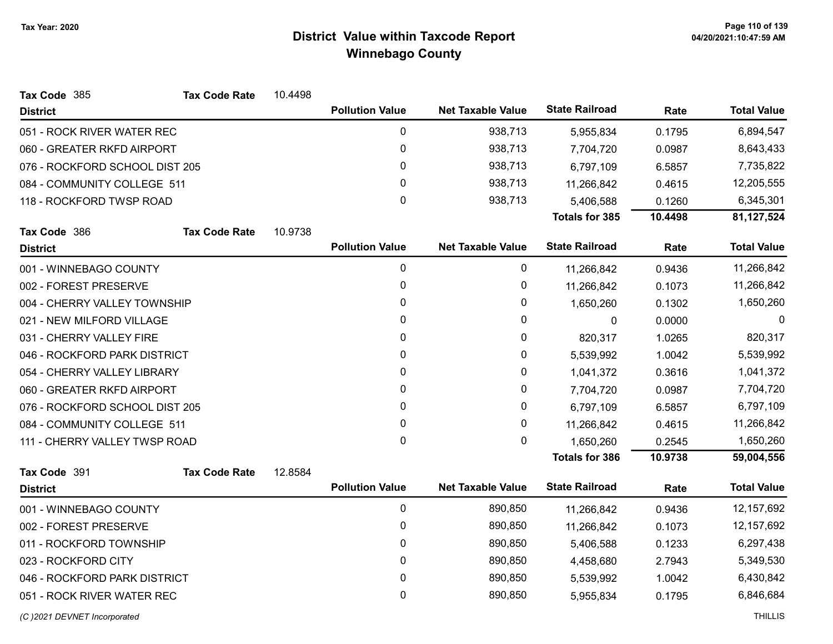| <b>State Railroad</b><br><b>Pollution Value</b><br><b>Net Taxable Value</b><br>Rate<br><b>District</b><br>$\mathbf 0$<br>938,713<br>051 - ROCK RIVER WATER REC<br>0.1795<br>5,955,834 | <b>Total Value</b> |
|---------------------------------------------------------------------------------------------------------------------------------------------------------------------------------------|--------------------|
|                                                                                                                                                                                       |                    |
|                                                                                                                                                                                       | 6,894,547          |
| 0<br>938,713<br>060 - GREATER RKFD AIRPORT<br>7,704,720<br>0.0987                                                                                                                     | 8,643,433          |
| 0<br>938,713<br>076 - ROCKFORD SCHOOL DIST 205<br>6,797,109<br>6.5857                                                                                                                 | 7,735,822          |
| 0<br>938,713<br>0.4615<br>084 - COMMUNITY COLLEGE 511<br>11,266,842                                                                                                                   | 12,205,555         |
| $\mathbf 0$<br>938,713<br>118 - ROCKFORD TWSP ROAD<br>5,406,588<br>0.1260                                                                                                             | 6,345,301          |
| <b>Totals for 385</b><br>10.4498                                                                                                                                                      | 81,127,524         |
| 10.9738<br>Tax Code 386<br><b>Tax Code Rate</b>                                                                                                                                       |                    |
| <b>State Railroad</b><br><b>Pollution Value</b><br><b>Net Taxable Value</b><br>Rate<br><b>District</b>                                                                                | <b>Total Value</b> |
| $\mathbf 0$<br>0<br>001 - WINNEBAGO COUNTY<br>0.9436<br>11,266,842                                                                                                                    | 11,266,842         |
| 0<br>002 - FOREST PRESERVE<br>0<br>11,266,842<br>0.1073                                                                                                                               | 11,266,842         |
| 0<br>004 - CHERRY VALLEY TOWNSHIP<br>0<br>0.1302<br>1,650,260                                                                                                                         | 1,650,260          |
| 0<br>0<br>0.0000<br>021 - NEW MILFORD VILLAGE<br>$\mathbf 0$                                                                                                                          | $\Omega$           |
| 0<br>031 - CHERRY VALLEY FIRE<br>0<br>1.0265<br>820,317                                                                                                                               | 820,317            |
| 0<br>0<br>046 - ROCKFORD PARK DISTRICT<br>1.0042<br>5,539,992                                                                                                                         | 5,539,992          |
| 0<br>0<br>054 - CHERRY VALLEY LIBRARY<br>0.3616<br>1,041,372                                                                                                                          | 1,041,372          |
| 0<br>0<br>060 - GREATER RKFD AIRPORT<br>7,704,720<br>0.0987                                                                                                                           | 7,704,720          |
| 0<br>076 - ROCKFORD SCHOOL DIST 205<br>0<br>6,797,109<br>6.5857                                                                                                                       | 6,797,109          |
| 0<br>0<br>084 - COMMUNITY COLLEGE 511<br>11,266,842<br>0.4615                                                                                                                         | 11,266,842         |
| 0<br>$\mathbf{0}$<br>111 - CHERRY VALLEY TWSP ROAD<br>0.2545<br>1,650,260                                                                                                             | 1,650,260          |
| <b>Totals for 386</b><br>10.9738                                                                                                                                                      | 59,004,556         |
| 12.8584<br>Tax Code 391<br><b>Tax Code Rate</b>                                                                                                                                       |                    |
| <b>State Railroad</b><br><b>Pollution Value</b><br><b>Net Taxable Value</b><br>Rate<br><b>District</b>                                                                                | <b>Total Value</b> |
| $\mathbf 0$<br>890,850<br>001 - WINNEBAGO COUNTY<br>11,266,842<br>0.9436                                                                                                              | 12, 157, 692       |
| 0<br>890,850<br>002 - FOREST PRESERVE<br>11,266,842<br>0.1073                                                                                                                         | 12,157,692         |
| 0<br>890,850<br>011 - ROCKFORD TOWNSHIP<br>5,406,588<br>0.1233                                                                                                                        | 6,297,438          |
| 0<br>890,850<br>023 - ROCKFORD CITY<br>4,458,680<br>2.7943                                                                                                                            | 5,349,530          |
| 0<br>046 - ROCKFORD PARK DISTRICT<br>890,850<br>1.0042<br>5,539,992                                                                                                                   | 6,430,842          |
| 0<br>890,850<br>051 - ROCK RIVER WATER REC<br>0.1795<br>5,955,834                                                                                                                     | 6,846,684          |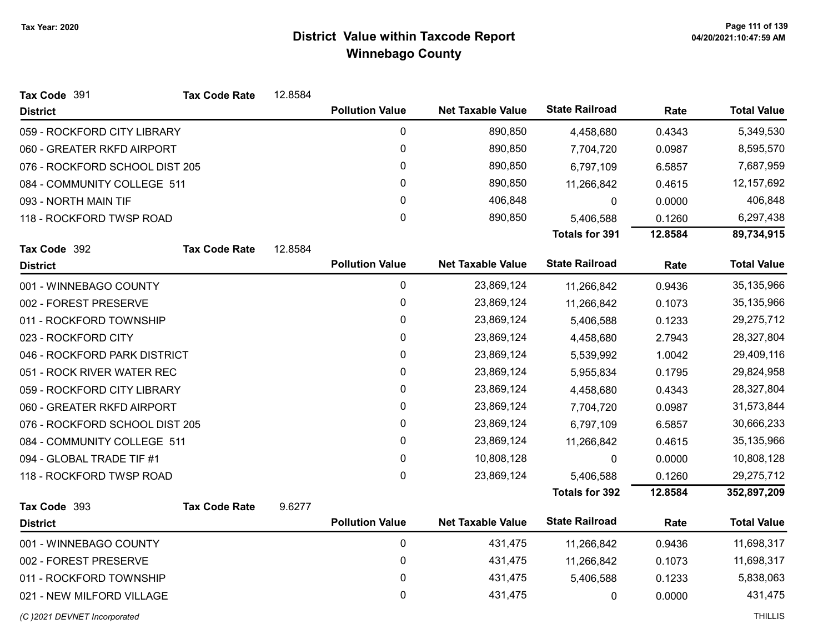| Tax Code 391                   | <b>Tax Code Rate</b> | 12.8584 |                        |                          |                       |         |                    |
|--------------------------------|----------------------|---------|------------------------|--------------------------|-----------------------|---------|--------------------|
| <b>District</b>                |                      |         | <b>Pollution Value</b> | <b>Net Taxable Value</b> | <b>State Railroad</b> | Rate    | <b>Total Value</b> |
| 059 - ROCKFORD CITY LIBRARY    |                      |         | 0                      | 890,850                  | 4,458,680             | 0.4343  | 5,349,530          |
| 060 - GREATER RKFD AIRPORT     |                      |         | $\pmb{0}$              | 890,850                  | 7,704,720             | 0.0987  | 8,595,570          |
| 076 - ROCKFORD SCHOOL DIST 205 |                      |         | 0                      | 890,850                  | 6,797,109             | 6.5857  | 7,687,959          |
| 084 - COMMUNITY COLLEGE 511    |                      |         | 0                      | 890,850                  | 11,266,842            | 0.4615  | 12, 157, 692       |
| 093 - NORTH MAIN TIF           |                      |         | 0                      | 406,848                  | 0                     | 0.0000  | 406,848            |
| 118 - ROCKFORD TWSP ROAD       |                      |         | 0                      | 890,850                  | 5,406,588             | 0.1260  | 6,297,438          |
|                                |                      |         |                        |                          | <b>Totals for 391</b> | 12.8584 | 89,734,915         |
| Tax Code 392                   | <b>Tax Code Rate</b> | 12.8584 |                        |                          |                       |         |                    |
| <b>District</b>                |                      |         | <b>Pollution Value</b> | <b>Net Taxable Value</b> | <b>State Railroad</b> | Rate    | <b>Total Value</b> |
| 001 - WINNEBAGO COUNTY         |                      |         | 0                      | 23,869,124               | 11,266,842            | 0.9436  | 35,135,966         |
| 002 - FOREST PRESERVE          |                      |         | $\pmb{0}$              | 23,869,124               | 11,266,842            | 0.1073  | 35,135,966         |
| 011 - ROCKFORD TOWNSHIP        |                      |         | 0                      | 23,869,124               | 5,406,588             | 0.1233  | 29,275,712         |
| 023 - ROCKFORD CITY            |                      |         | $\pmb{0}$              | 23,869,124               | 4,458,680             | 2.7943  | 28,327,804         |
| 046 - ROCKFORD PARK DISTRICT   |                      |         | $\pmb{0}$              | 23,869,124               | 5,539,992             | 1.0042  | 29,409,116         |
| 051 - ROCK RIVER WATER REC     |                      |         | 0                      | 23,869,124               | 5,955,834             | 0.1795  | 29,824,958         |
| 059 - ROCKFORD CITY LIBRARY    |                      |         | 0                      | 23,869,124               | 4,458,680             | 0.4343  | 28,327,804         |
| 060 - GREATER RKFD AIRPORT     |                      |         | 0                      | 23,869,124               | 7,704,720             | 0.0987  | 31,573,844         |
| 076 - ROCKFORD SCHOOL DIST 205 |                      |         | 0                      | 23,869,124               | 6,797,109             | 6.5857  | 30,666,233         |
| 084 - COMMUNITY COLLEGE 511    |                      |         | 0                      | 23,869,124               | 11,266,842            | 0.4615  | 35,135,966         |
| 094 - GLOBAL TRADE TIF #1      |                      |         | 0                      | 10,808,128               | $\mathbf{0}$          | 0.0000  | 10,808,128         |
| 118 - ROCKFORD TWSP ROAD       |                      |         | 0                      | 23,869,124               | 5,406,588             | 0.1260  | 29,275,712         |
|                                |                      |         |                        |                          | <b>Totals for 392</b> | 12.8584 | 352,897,209        |
| Tax Code 393                   | <b>Tax Code Rate</b> | 9.6277  |                        |                          |                       |         |                    |
| <b>District</b>                |                      |         | <b>Pollution Value</b> | <b>Net Taxable Value</b> | <b>State Railroad</b> | Rate    | <b>Total Value</b> |
| 001 - WINNEBAGO COUNTY         |                      |         | $\pmb{0}$              | 431,475                  | 11,266,842            | 0.9436  | 11,698,317         |
| 002 - FOREST PRESERVE          |                      |         | 0                      | 431,475                  | 11,266,842            | 0.1073  | 11,698,317         |
| 011 - ROCKFORD TOWNSHIP        |                      |         | 0                      | 431,475                  | 5,406,588             | 0.1233  | 5,838,063          |
| 021 - NEW MILFORD VILLAGE      |                      |         | 0                      | 431,475                  | 0                     | 0.0000  | 431,475            |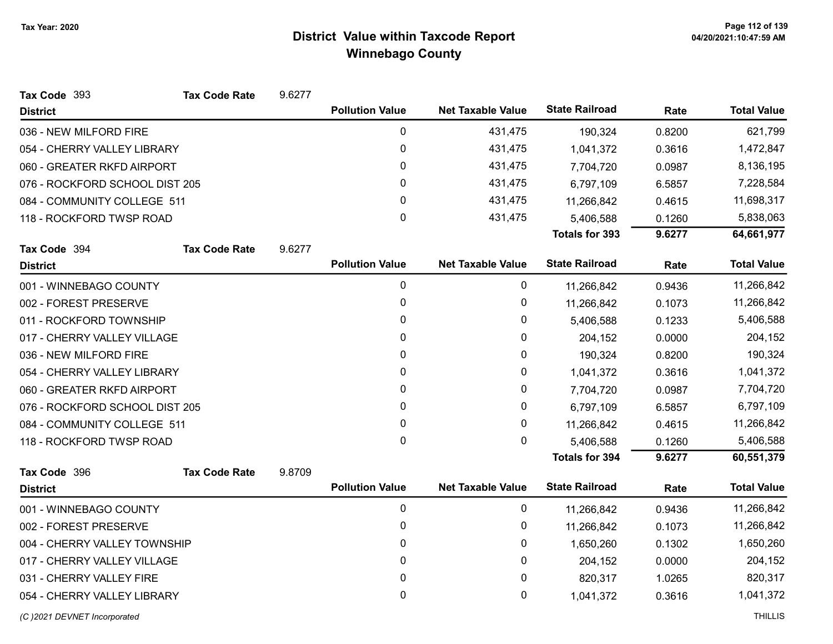| Tax Code 393                   | <b>Tax Code Rate</b> | 9.6277 |                        |                          |                       |        |                    |
|--------------------------------|----------------------|--------|------------------------|--------------------------|-----------------------|--------|--------------------|
| <b>District</b>                |                      |        | <b>Pollution Value</b> | <b>Net Taxable Value</b> | <b>State Railroad</b> | Rate   | <b>Total Value</b> |
| 036 - NEW MILFORD FIRE         |                      |        | $\mathbf 0$            | 431,475                  | 190,324               | 0.8200 | 621,799            |
| 054 - CHERRY VALLEY LIBRARY    |                      |        | 0                      | 431,475                  | 1,041,372             | 0.3616 | 1,472,847          |
| 060 - GREATER RKFD AIRPORT     |                      |        | 0                      | 431,475                  | 7,704,720             | 0.0987 | 8,136,195          |
| 076 - ROCKFORD SCHOOL DIST 205 |                      |        | $\mathbf{0}$           | 431,475                  | 6,797,109             | 6.5857 | 7,228,584          |
| 084 - COMMUNITY COLLEGE 511    |                      |        | 0                      | 431,475                  | 11,266,842            | 0.4615 | 11,698,317         |
| 118 - ROCKFORD TWSP ROAD       |                      |        | 0                      | 431,475                  | 5,406,588             | 0.1260 | 5,838,063          |
|                                |                      |        |                        |                          | <b>Totals for 393</b> | 9.6277 | 64,661,977         |
| Tax Code 394                   | <b>Tax Code Rate</b> | 9.6277 |                        |                          |                       |        |                    |
| <b>District</b>                |                      |        | <b>Pollution Value</b> | <b>Net Taxable Value</b> | <b>State Railroad</b> | Rate   | <b>Total Value</b> |
| 001 - WINNEBAGO COUNTY         |                      |        | $\pmb{0}$              | 0                        | 11,266,842            | 0.9436 | 11,266,842         |
| 002 - FOREST PRESERVE          |                      |        | $\pmb{0}$              | 0                        | 11,266,842            | 0.1073 | 11,266,842         |
| 011 - ROCKFORD TOWNSHIP        |                      |        | 0                      | 0                        | 5,406,588             | 0.1233 | 5,406,588          |
| 017 - CHERRY VALLEY VILLAGE    |                      |        | 0                      | 0                        | 204,152               | 0.0000 | 204,152            |
| 036 - NEW MILFORD FIRE         |                      |        | 0                      | 0                        | 190,324               | 0.8200 | 190,324            |
| 054 - CHERRY VALLEY LIBRARY    |                      |        | $\pmb{0}$              | 0                        | 1,041,372             | 0.3616 | 1,041,372          |
| 060 - GREATER RKFD AIRPORT     |                      |        | 0                      | 0                        | 7,704,720             | 0.0987 | 7,704,720          |
| 076 - ROCKFORD SCHOOL DIST 205 |                      |        | 0                      | 0                        | 6,797,109             | 6.5857 | 6,797,109          |
| 084 - COMMUNITY COLLEGE 511    |                      |        | 0                      | 0                        | 11,266,842            | 0.4615 | 11,266,842         |
| 118 - ROCKFORD TWSP ROAD       |                      |        | 0                      | 0                        | 5,406,588             | 0.1260 | 5,406,588          |
|                                |                      |        |                        |                          | <b>Totals for 394</b> | 9.6277 | 60,551,379         |
| Tax Code 396                   | <b>Tax Code Rate</b> | 9.8709 |                        |                          |                       |        |                    |
| <b>District</b>                |                      |        | <b>Pollution Value</b> | <b>Net Taxable Value</b> | <b>State Railroad</b> | Rate   | <b>Total Value</b> |
| 001 - WINNEBAGO COUNTY         |                      |        | 0                      | 0                        | 11,266,842            | 0.9436 | 11,266,842         |
| 002 - FOREST PRESERVE          |                      |        | 0                      | 0                        | 11,266,842            | 0.1073 | 11,266,842         |
| 004 - CHERRY VALLEY TOWNSHIP   |                      |        | 0                      | 0                        | 1,650,260             | 0.1302 | 1,650,260          |
| 017 - CHERRY VALLEY VILLAGE    |                      |        | 0                      | 0                        | 204,152               | 0.0000 | 204,152            |
| 031 - CHERRY VALLEY FIRE       |                      |        | $\pmb{0}$              | 0                        | 820,317               | 1.0265 | 820,317            |
| 054 - CHERRY VALLEY LIBRARY    |                      |        | 0                      | 0                        | 1,041,372             | 0.3616 | 1,041,372          |
| (C)2021 DEVNET Incorporated    |                      |        |                        |                          |                       |        | <b>THILLIS</b>     |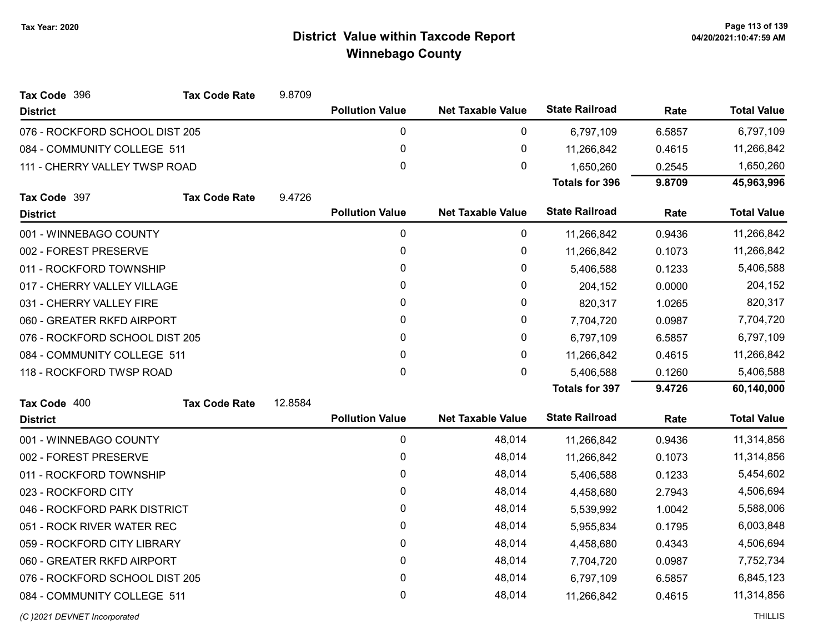| Tax Code 396                   | <b>Tax Code Rate</b> | 9.8709  |                        |                          |                       |        |                    |
|--------------------------------|----------------------|---------|------------------------|--------------------------|-----------------------|--------|--------------------|
| <b>District</b>                |                      |         | <b>Pollution Value</b> | <b>Net Taxable Value</b> | <b>State Railroad</b> | Rate   | <b>Total Value</b> |
| 076 - ROCKFORD SCHOOL DIST 205 |                      |         | $\pmb{0}$              | 0                        | 6,797,109             | 6.5857 | 6,797,109          |
| 084 - COMMUNITY COLLEGE 511    |                      |         | $\pmb{0}$              | $\pmb{0}$                | 11,266,842            | 0.4615 | 11,266,842         |
| 111 - CHERRY VALLEY TWSP ROAD  |                      |         | 0                      | 0                        | 1,650,260             | 0.2545 | 1,650,260          |
|                                |                      |         |                        |                          | <b>Totals for 396</b> | 9.8709 | 45,963,996         |
| Tax Code 397                   | <b>Tax Code Rate</b> | 9.4726  |                        |                          |                       |        |                    |
| <b>District</b>                |                      |         | <b>Pollution Value</b> | <b>Net Taxable Value</b> | <b>State Railroad</b> | Rate   | <b>Total Value</b> |
| 001 - WINNEBAGO COUNTY         |                      |         | $\mathbf 0$            | 0                        | 11,266,842            | 0.9436 | 11,266,842         |
| 002 - FOREST PRESERVE          |                      |         | 0                      | 0                        | 11,266,842            | 0.1073 | 11,266,842         |
| 011 - ROCKFORD TOWNSHIP        |                      |         | 0                      | $\pmb{0}$                | 5,406,588             | 0.1233 | 5,406,588          |
| 017 - CHERRY VALLEY VILLAGE    |                      |         | 0                      | 0                        | 204,152               | 0.0000 | 204,152            |
| 031 - CHERRY VALLEY FIRE       |                      |         | 0                      | 0                        | 820,317               | 1.0265 | 820,317            |
| 060 - GREATER RKFD AIRPORT     |                      |         | 0                      | 0                        | 7,704,720             | 0.0987 | 7,704,720          |
| 076 - ROCKFORD SCHOOL DIST 205 |                      |         | 0                      | $\pmb{0}$                | 6,797,109             | 6.5857 | 6,797,109          |
| 084 - COMMUNITY COLLEGE 511    |                      |         | 0                      | 0                        | 11,266,842            | 0.4615 | 11,266,842         |
| 118 - ROCKFORD TWSP ROAD       |                      |         | 0                      | $\pmb{0}$                | 5,406,588             | 0.1260 | 5,406,588          |
|                                |                      |         |                        |                          | <b>Totals for 397</b> | 9.4726 | 60,140,000         |
| Tax Code 400                   | <b>Tax Code Rate</b> | 12.8584 |                        |                          |                       |        |                    |
| <b>District</b>                |                      |         | <b>Pollution Value</b> | <b>Net Taxable Value</b> | <b>State Railroad</b> | Rate   | <b>Total Value</b> |
| 001 - WINNEBAGO COUNTY         |                      |         | $\pmb{0}$              | 48,014                   | 11,266,842            | 0.9436 | 11,314,856         |
| 002 - FOREST PRESERVE          |                      |         | 0                      | 48,014                   | 11,266,842            | 0.1073 | 11,314,856         |
| 011 - ROCKFORD TOWNSHIP        |                      |         | 0                      | 48,014                   | 5,406,588             | 0.1233 | 5,454,602          |
| 023 - ROCKFORD CITY            |                      |         | $\pmb{0}$              | 48,014                   | 4,458,680             | 2.7943 | 4,506,694          |
| 046 - ROCKFORD PARK DISTRICT   |                      |         | 0                      | 48,014                   | 5,539,992             | 1.0042 | 5,588,006          |
| 051 - ROCK RIVER WATER REC     |                      |         | 0                      | 48,014                   | 5,955,834             | 0.1795 | 6,003,848          |
| 059 - ROCKFORD CITY LIBRARY    |                      |         | 0                      | 48,014                   | 4,458,680             | 0.4343 | 4,506,694          |
| 060 - GREATER RKFD AIRPORT     |                      |         | $\pmb{0}$              | 48,014                   | 7,704,720             | 0.0987 | 7,752,734          |
| 076 - ROCKFORD SCHOOL DIST 205 |                      |         | 0                      | 48,014                   | 6,797,109             | 6.5857 | 6,845,123          |
| 084 - COMMUNITY COLLEGE 511    |                      |         | 0                      | 48,014                   | 11,266,842            | 0.4615 | 11,314,856         |
|                                |                      |         |                        |                          |                       |        |                    |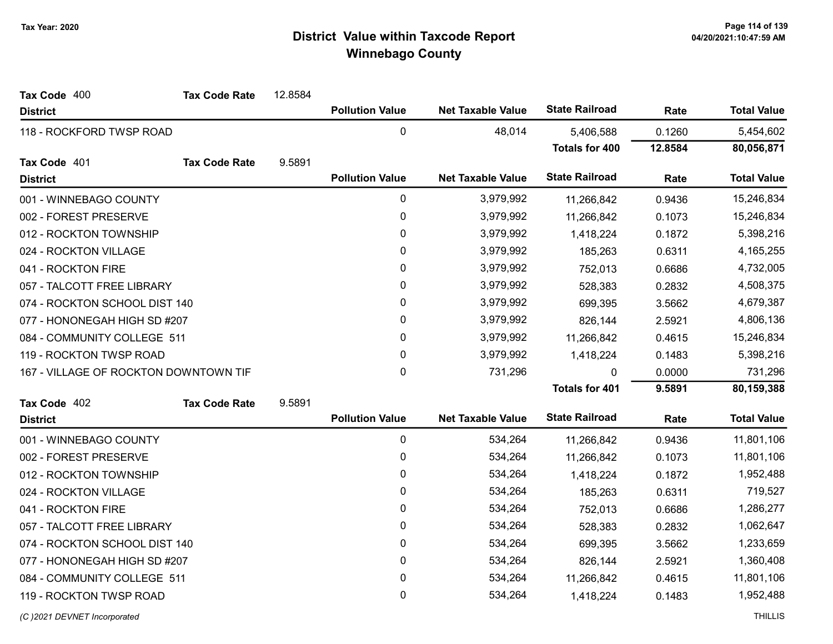| Tax Code 400                          | <b>Tax Code Rate</b> | 12.8584      |                        |                          |                       |           |                    |
|---------------------------------------|----------------------|--------------|------------------------|--------------------------|-----------------------|-----------|--------------------|
| <b>District</b>                       |                      |              | <b>Pollution Value</b> | <b>Net Taxable Value</b> | <b>State Railroad</b> | Rate      | <b>Total Value</b> |
| 118 - ROCKFORD TWSP ROAD              |                      |              | $\pmb{0}$              | 48,014                   | 5,406,588             | 0.1260    | 5,454,602          |
|                                       |                      |              |                        |                          | <b>Totals for 400</b> | 12.8584   | 80,056,871         |
| Tax Code 401                          | <b>Tax Code Rate</b> | 9.5891       |                        |                          |                       |           |                    |
| <b>District</b>                       |                      |              | <b>Pollution Value</b> | <b>Net Taxable Value</b> | <b>State Railroad</b> | Rate      | <b>Total Value</b> |
| 001 - WINNEBAGO COUNTY                |                      |              | 0                      | 3,979,992                | 11,266,842            | 0.9436    | 15,246,834         |
| 002 - FOREST PRESERVE                 |                      |              | 0                      | 3,979,992                | 11,266,842            | 0.1073    | 15,246,834         |
| 012 - ROCKTON TOWNSHIP                |                      |              | 0                      | 3,979,992                | 1,418,224             | 0.1872    | 5,398,216          |
| 024 - ROCKTON VILLAGE                 |                      |              | $\mathbf{0}$           | 3,979,992                | 185,263               | 0.6311    | 4,165,255          |
| 041 - ROCKTON FIRE                    |                      |              | 0                      | 3,979,992                | 752,013               | 0.6686    | 4,732,005          |
| 057 - TALCOTT FREE LIBRARY            |                      |              | 0                      | 3,979,992                | 528,383               | 0.2832    | 4,508,375          |
| 074 - ROCKTON SCHOOL DIST 140         |                      |              | 0                      | 3,979,992                | 699,395               | 3.5662    | 4,679,387          |
| 077 - HONONEGAH HIGH SD #207          |                      | $\mathbf{0}$ | 3,979,992              | 826,144                  | 2.5921                | 4,806,136 |                    |
| 084 - COMMUNITY COLLEGE 511           |                      |              | $\pmb{0}$              | 3,979,992                | 11,266,842            | 0.4615    | 15,246,834         |
| 119 - ROCKTON TWSP ROAD               |                      |              | $\mathbf{0}$           | 3,979,992                | 1,418,224             | 0.1483    | 5,398,216          |
| 167 - VILLAGE OF ROCKTON DOWNTOWN TIF |                      |              | 0                      | 731,296                  | 0                     | 0.0000    | 731,296            |
|                                       |                      |              |                        |                          | <b>Totals for 401</b> | 9.5891    | 80,159,388         |
| Tax Code 402                          | <b>Tax Code Rate</b> | 9.5891       |                        |                          |                       |           |                    |
| <b>District</b>                       |                      |              | <b>Pollution Value</b> | <b>Net Taxable Value</b> | <b>State Railroad</b> | Rate      | <b>Total Value</b> |
| 001 - WINNEBAGO COUNTY                |                      |              | $\mathbf 0$            | 534,264                  | 11,266,842            | 0.9436    | 11,801,106         |
| 002 - FOREST PRESERVE                 |                      |              | 0                      | 534,264                  | 11,266,842            | 0.1073    | 11,801,106         |
| 012 - ROCKTON TOWNSHIP                |                      |              | 0                      | 534,264                  | 1,418,224             | 0.1872    | 1,952,488          |
| 024 - ROCKTON VILLAGE                 |                      |              | 0                      | 534,264                  | 185,263               | 0.6311    | 719,527            |
| 041 - ROCKTON FIRE                    |                      |              | 0                      | 534,264                  | 752,013               | 0.6686    | 1,286,277          |
| 057 - TALCOTT FREE LIBRARY            |                      |              | 0                      | 534,264                  | 528,383               | 0.2832    | 1,062,647          |
| 074 - ROCKTON SCHOOL DIST 140         |                      |              | 0                      | 534,264                  | 699,395               | 3.5662    | 1,233,659          |
| 077 - HONONEGAH HIGH SD #207          |                      |              | 0                      | 534,264                  | 826,144               | 2.5921    | 1,360,408          |
| 084 - COMMUNITY COLLEGE 511           |                      |              | 0                      | 534,264                  | 11,266,842            | 0.4615    | 11,801,106         |
| 119 - ROCKTON TWSP ROAD               |                      |              | 0                      | 534,264                  | 1,418,224             | 0.1483    | 1,952,488          |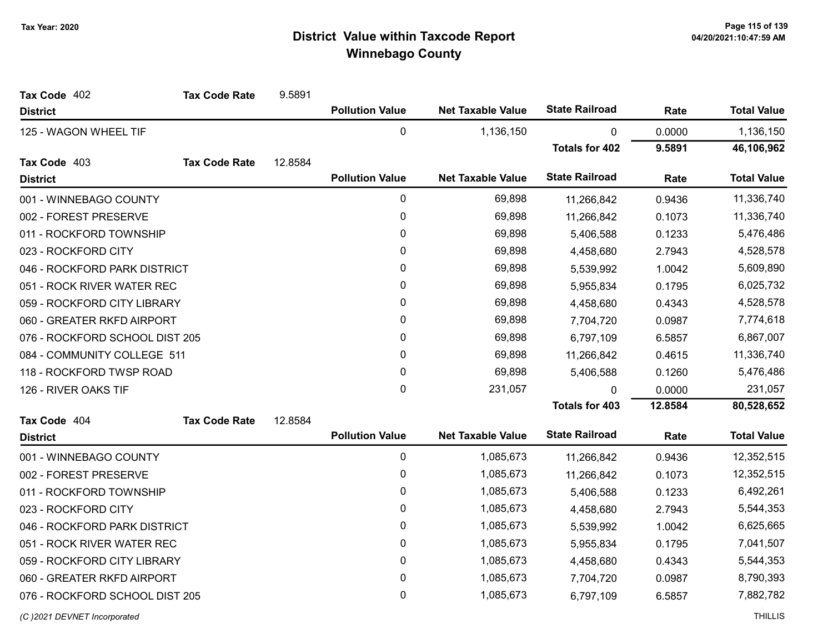| Tax Code 402                   | <b>Tax Code Rate</b> | 9.5891  |                        |                          |                       |           |                    |
|--------------------------------|----------------------|---------|------------------------|--------------------------|-----------------------|-----------|--------------------|
| <b>District</b>                |                      |         | <b>Pollution Value</b> | <b>Net Taxable Value</b> | <b>State Railroad</b> | Rate      | <b>Total Value</b> |
| 125 - WAGON WHEEL TIF          |                      |         | $\mathbf 0$            | 1,136,150                | 0                     | 0.0000    | 1,136,150          |
|                                |                      |         |                        |                          | <b>Totals for 402</b> | 9.5891    | 46,106,962         |
| Tax Code 403                   | <b>Tax Code Rate</b> | 12.8584 |                        |                          |                       |           |                    |
| <b>District</b>                |                      |         | <b>Pollution Value</b> | <b>Net Taxable Value</b> | <b>State Railroad</b> | Rate      | <b>Total Value</b> |
| 001 - WINNEBAGO COUNTY         |                      |         | 0                      | 69,898                   | 11,266,842            | 0.9436    | 11,336,740         |
| 002 - FOREST PRESERVE          |                      |         | 0                      | 69,898                   | 11,266,842            | 0.1073    | 11,336,740         |
| 011 - ROCKFORD TOWNSHIP        |                      |         | 0                      | 69,898                   | 5,406,588             | 0.1233    | 5,476,486          |
| 023 - ROCKFORD CITY            |                      |         | 0                      | 69,898                   | 4,458,680             | 2.7943    | 4,528,578          |
| 046 - ROCKFORD PARK DISTRICT   |                      | 0       | 69,898                 | 5,539,992                | 1.0042                | 5,609,890 |                    |
| 051 - ROCK RIVER WATER REC     |                      |         | 0                      | 69,898                   | 5,955,834             | 0.1795    | 6,025,732          |
| 059 - ROCKFORD CITY LIBRARY    |                      |         | 0                      | 69,898                   | 4,458,680             | 0.4343    | 4,528,578          |
| 060 - GREATER RKFD AIRPORT     |                      |         | 0                      | 69,898                   | 7,704,720             | 0.0987    | 7,774,618          |
| 076 - ROCKFORD SCHOOL DIST 205 |                      |         | 0                      | 69,898                   | 6,797,109             | 6.5857    | 6,867,007          |
| 084 - COMMUNITY COLLEGE 511    |                      |         | 0                      | 69,898                   | 11,266,842            | 0.4615    | 11,336,740         |
| 118 - ROCKFORD TWSP ROAD       |                      |         | $\mathbf 0$            | 69,898                   | 5,406,588             | 0.1260    | 5,476,486          |
| 126 - RIVER OAKS TIF           |                      |         | $\mathbf 0$            | 231,057                  | <sup>0</sup>          | 0.0000    | 231,057            |
|                                |                      |         |                        |                          | <b>Totals for 403</b> | 12.8584   | 80,528,652         |
| Tax Code 404                   | <b>Tax Code Rate</b> | 12.8584 |                        |                          |                       |           |                    |
| <b>District</b>                |                      |         | <b>Pollution Value</b> | <b>Net Taxable Value</b> | <b>State Railroad</b> | Rate      | <b>Total Value</b> |
| 001 - WINNEBAGO COUNTY         |                      |         | 0                      | 1,085,673                | 11,266,842            | 0.9436    | 12,352,515         |
| 002 - FOREST PRESERVE          |                      |         | 0                      | 1,085,673                | 11,266,842            | 0.1073    | 12,352,515         |
| 011 - ROCKFORD TOWNSHIP        |                      |         | 0                      | 1,085,673                | 5,406,588             | 0.1233    | 6,492,261          |
| 023 - ROCKFORD CITY            |                      |         | 0                      | 1,085,673                | 4,458,680             | 2.7943    | 5,544,353          |
| 046 - ROCKFORD PARK DISTRICT   |                      |         | 0                      | 1,085,673                | 5,539,992             | 1.0042    | 6,625,665          |
| 051 - ROCK RIVER WATER REC     |                      |         | 0                      | 1,085,673                | 5,955,834             | 0.1795    | 7,041,507          |
| 059 - ROCKFORD CITY LIBRARY    |                      |         | $\mathbf 0$            | 1,085,673                | 4,458,680             | 0.4343    | 5,544,353          |
| 060 - GREATER RKFD AIRPORT     |                      |         | 0                      | 1,085,673                | 7,704,720             | 0.0987    | 8,790,393          |
| 076 - ROCKFORD SCHOOL DIST 205 |                      |         | 0                      | 1,085,673                | 6,797,109             | 6.5857    | 7,882,782          |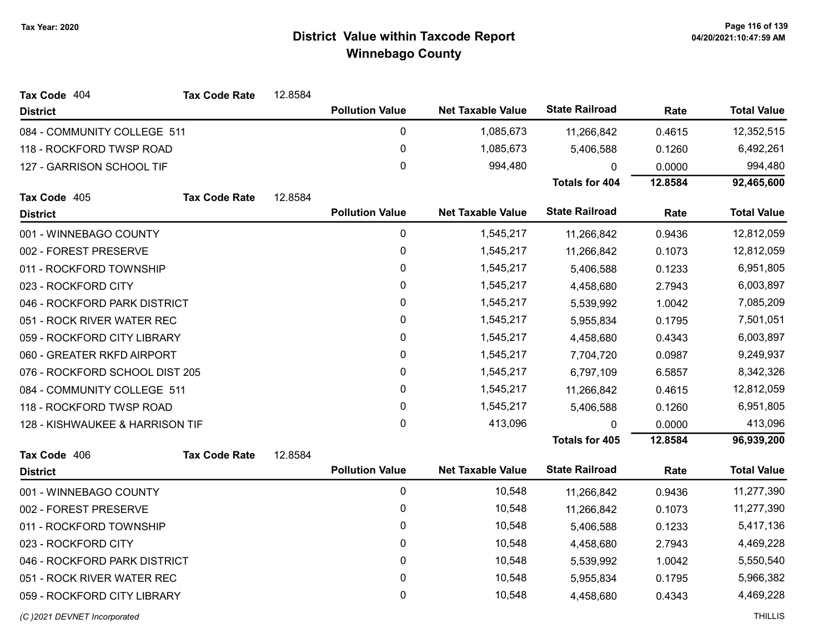| Tax Code 404                    | <b>Tax Code Rate</b> | 12.8584   |                        |                          |                       |           |                    |
|---------------------------------|----------------------|-----------|------------------------|--------------------------|-----------------------|-----------|--------------------|
| <b>District</b>                 |                      |           | <b>Pollution Value</b> | <b>Net Taxable Value</b> | <b>State Railroad</b> | Rate      | <b>Total Value</b> |
| 084 - COMMUNITY COLLEGE 511     |                      |           | $\pmb{0}$              | 1,085,673                | 11,266,842            | 0.4615    | 12,352,515         |
| 118 - ROCKFORD TWSP ROAD        |                      |           | $\pmb{0}$              | 1,085,673                | 5,406,588             | 0.1260    | 6,492,261          |
| 127 - GARRISON SCHOOL TIF       |                      |           | $\mathbf 0$            | 994,480                  | 0                     | 0.0000    | 994,480            |
|                                 |                      |           |                        |                          | <b>Totals for 404</b> | 12.8584   | 92,465,600         |
| Tax Code 405                    | <b>Tax Code Rate</b> | 12.8584   |                        |                          |                       |           |                    |
| <b>District</b>                 |                      |           | <b>Pollution Value</b> | <b>Net Taxable Value</b> | <b>State Railroad</b> | Rate      | <b>Total Value</b> |
| 001 - WINNEBAGO COUNTY          |                      |           | 0                      | 1,545,217                | 11,266,842            | 0.9436    | 12,812,059         |
| 002 - FOREST PRESERVE           |                      |           | 0                      | 1,545,217                | 11,266,842            | 0.1073    | 12,812,059         |
| 011 - ROCKFORD TOWNSHIP         |                      | $\pmb{0}$ | 1,545,217              | 5,406,588                | 0.1233                | 6,951,805 |                    |
| 023 - ROCKFORD CITY             |                      |           | 0                      | 1,545,217                | 4,458,680             | 2.7943    | 6,003,897          |
| 046 - ROCKFORD PARK DISTRICT    |                      |           | $\pmb{0}$              | 1,545,217                | 5,539,992             | 1.0042    | 7,085,209          |
| 051 - ROCK RIVER WATER REC      |                      |           | 0                      | 1,545,217                | 5,955,834             | 0.1795    | 7,501,051          |
| 059 - ROCKFORD CITY LIBRARY     |                      |           | $\pmb{0}$              | 1,545,217                | 4,458,680             | 0.4343    | 6,003,897          |
| 060 - GREATER RKFD AIRPORT      |                      |           | 0                      | 1,545,217                | 7,704,720             | 0.0987    | 9,249,937          |
| 076 - ROCKFORD SCHOOL DIST 205  |                      |           | $\pmb{0}$              | 1,545,217                | 6,797,109             | 6.5857    | 8,342,326          |
| 084 - COMMUNITY COLLEGE 511     |                      |           | 0                      | 1,545,217                | 11,266,842            | 0.4615    | 12,812,059         |
| 118 - ROCKFORD TWSP ROAD        |                      |           | 0                      | 1,545,217                | 5,406,588             | 0.1260    | 6,951,805          |
| 128 - KISHWAUKEE & HARRISON TIF |                      |           | $\pmb{0}$              | 413,096                  | 0                     | 0.0000    | 413,096            |
|                                 |                      |           |                        |                          | <b>Totals for 405</b> | 12.8584   | 96,939,200         |
| Tax Code 406                    | <b>Tax Code Rate</b> | 12.8584   |                        |                          |                       |           |                    |
| <b>District</b>                 |                      |           | <b>Pollution Value</b> | <b>Net Taxable Value</b> | <b>State Railroad</b> | Rate      | <b>Total Value</b> |
| 001 - WINNEBAGO COUNTY          |                      |           | $\pmb{0}$              | 10,548                   | 11,266,842            | 0.9436    | 11,277,390         |
| 002 - FOREST PRESERVE           |                      |           | 0                      | 10,548                   | 11,266,842            | 0.1073    | 11,277,390         |
| 011 - ROCKFORD TOWNSHIP         |                      |           | $\pmb{0}$              | 10,548                   | 5,406,588             | 0.1233    | 5,417,136          |
| 023 - ROCKFORD CITY             |                      |           | 0                      | 10,548                   | 4,458,680             | 2.7943    | 4,469,228          |
| 046 - ROCKFORD PARK DISTRICT    |                      |           | $\pmb{0}$              | 10,548                   | 5,539,992             | 1.0042    | 5,550,540          |
| 051 - ROCK RIVER WATER REC      |                      |           | 0                      | 10,548                   | 5,955,834             | 0.1795    | 5,966,382          |
| 059 - ROCKFORD CITY LIBRARY     |                      |           | 0                      | 10,548                   | 4,458,680             | 0.4343    | 4,469,228          |
|                                 |                      |           |                        |                          |                       |           |                    |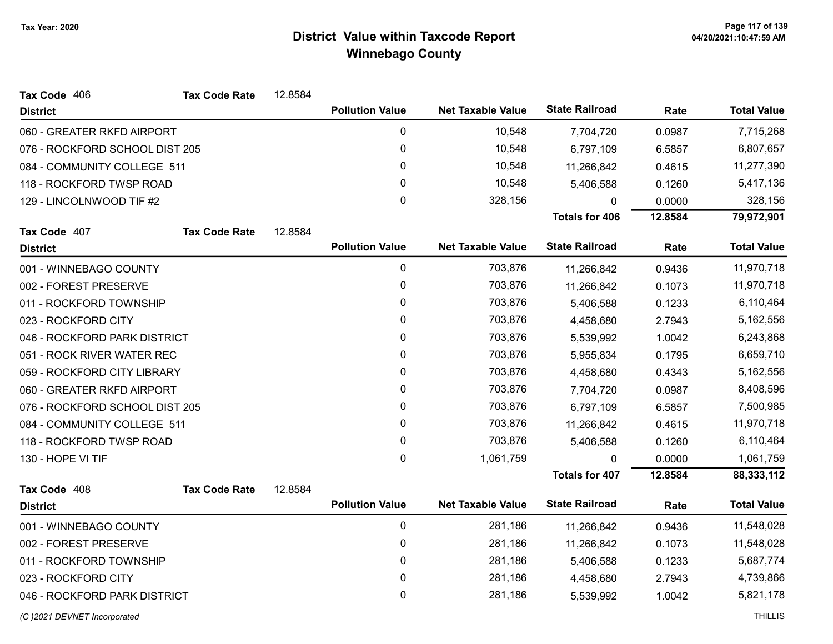| Tax Code 406                   | <b>Tax Code Rate</b> | 12.8584 |                        |                          |                       |         |                    |
|--------------------------------|----------------------|---------|------------------------|--------------------------|-----------------------|---------|--------------------|
| <b>District</b>                |                      |         | <b>Pollution Value</b> | <b>Net Taxable Value</b> | <b>State Railroad</b> | Rate    | <b>Total Value</b> |
| 060 - GREATER RKFD AIRPORT     |                      |         | 0                      | 10,548                   | 7,704,720             | 0.0987  | 7,715,268          |
| 076 - ROCKFORD SCHOOL DIST 205 |                      |         | $\pmb{0}$              | 10,548                   | 6,797,109             | 6.5857  | 6,807,657          |
| 084 - COMMUNITY COLLEGE 511    |                      |         | $\mathbf{0}$           | 10,548                   | 11,266,842            | 0.4615  | 11,277,390         |
| 118 - ROCKFORD TWSP ROAD       |                      |         | 0                      | 10,548                   | 5,406,588             | 0.1260  | 5,417,136          |
| 129 - LINCOLNWOOD TIF #2       |                      |         | $\mathbf 0$            | 328,156                  | $\Omega$              | 0.0000  | 328,156            |
|                                |                      |         |                        |                          | <b>Totals for 406</b> | 12.8584 | 79,972,901         |
| Tax Code 407                   | <b>Tax Code Rate</b> | 12.8584 |                        |                          |                       |         |                    |
| <b>District</b>                |                      |         | <b>Pollution Value</b> | <b>Net Taxable Value</b> | <b>State Railroad</b> | Rate    | <b>Total Value</b> |
| 001 - WINNEBAGO COUNTY         |                      |         | $\mathbf 0$            | 703,876                  | 11,266,842            | 0.9436  | 11,970,718         |
| 002 - FOREST PRESERVE          |                      |         | 0                      | 703,876                  | 11,266,842            | 0.1073  | 11,970,718         |
| 011 - ROCKFORD TOWNSHIP        |                      |         | 0                      | 703,876                  | 5,406,588             | 0.1233  | 6,110,464          |
| 023 - ROCKFORD CITY            |                      |         | $\mathbf{0}$           | 703,876                  | 4,458,680             | 2.7943  | 5,162,556          |
| 046 - ROCKFORD PARK DISTRICT   |                      |         | 0                      | 703,876                  | 5,539,992             | 1.0042  | 6,243,868          |
| 051 - ROCK RIVER WATER REC     |                      |         | 0                      | 703,876                  | 5,955,834             | 0.1795  | 6,659,710          |
| 059 - ROCKFORD CITY LIBRARY    |                      |         | 0                      | 703,876                  | 4,458,680             | 0.4343  | 5,162,556          |
| 060 - GREATER RKFD AIRPORT     |                      |         | 0                      | 703,876                  | 7,704,720             | 0.0987  | 8,408,596          |
| 076 - ROCKFORD SCHOOL DIST 205 |                      |         | 0                      | 703,876                  | 6,797,109             | 6.5857  | 7,500,985          |
| 084 - COMMUNITY COLLEGE 511    |                      |         | 0                      | 703,876                  | 11,266,842            | 0.4615  | 11,970,718         |
| 118 - ROCKFORD TWSP ROAD       |                      |         | $\mathbf 0$            | 703,876                  | 5,406,588             | 0.1260  | 6,110,464          |
| 130 - HOPE VI TIF              |                      |         | 0                      | 1,061,759                | 0                     | 0.0000  | 1,061,759          |
|                                |                      |         |                        |                          | <b>Totals for 407</b> | 12.8584 | 88,333,112         |
| Tax Code 408                   | <b>Tax Code Rate</b> | 12.8584 |                        |                          |                       |         |                    |
| <b>District</b>                |                      |         | <b>Pollution Value</b> | <b>Net Taxable Value</b> | <b>State Railroad</b> | Rate    | <b>Total Value</b> |
| 001 - WINNEBAGO COUNTY         |                      |         | $\pmb{0}$              | 281,186                  | 11,266,842            | 0.9436  | 11,548,028         |
| 002 - FOREST PRESERVE          |                      |         | 0                      | 281,186                  | 11,266,842            | 0.1073  | 11,548,028         |
| 011 - ROCKFORD TOWNSHIP        |                      |         | $\pmb{0}$              | 281,186                  | 5,406,588             | 0.1233  | 5,687,774          |
| 023 - ROCKFORD CITY            |                      |         | 0                      | 281,186                  | 4,458,680             | 2.7943  | 4,739,866          |
| 046 - ROCKFORD PARK DISTRICT   |                      |         | 0                      | 281,186                  | 5,539,992             | 1.0042  | 5,821,178          |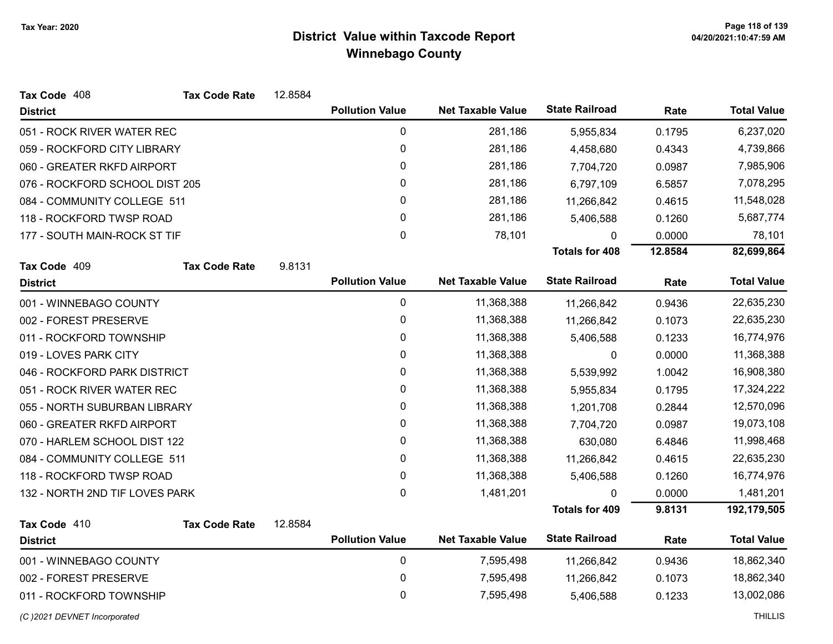| Tax Code 408                   | <b>Tax Code Rate</b> | 12.8584 |                        |                          |                       |         |                    |
|--------------------------------|----------------------|---------|------------------------|--------------------------|-----------------------|---------|--------------------|
| <b>District</b>                |                      |         | <b>Pollution Value</b> | <b>Net Taxable Value</b> | <b>State Railroad</b> | Rate    | <b>Total Value</b> |
| 051 - ROCK RIVER WATER REC     |                      |         | $\pmb{0}$              | 281,186                  | 5,955,834             | 0.1795  | 6,237,020          |
| 059 - ROCKFORD CITY LIBRARY    |                      |         | 0                      | 281,186                  | 4,458,680             | 0.4343  | 4,739,866          |
| 060 - GREATER RKFD AIRPORT     |                      |         | 0                      | 281,186                  | 7,704,720             | 0.0987  | 7,985,906          |
| 076 - ROCKFORD SCHOOL DIST 205 |                      |         | 0                      | 281,186                  | 6,797,109             | 6.5857  | 7,078,295          |
| 084 - COMMUNITY COLLEGE 511    |                      |         | $\pmb{0}$              | 281,186                  | 11,266,842            | 0.4615  | 11,548,028         |
| 118 - ROCKFORD TWSP ROAD       |                      |         | 0                      | 281,186                  | 5,406,588             | 0.1260  | 5,687,774          |
| 177 - SOUTH MAIN-ROCK ST TIF   |                      |         | $\mathbf 0$            | 78,101                   | 0                     | 0.0000  | 78,101             |
|                                |                      |         |                        |                          | <b>Totals for 408</b> | 12.8584 | 82,699,864         |
| Tax Code 409                   | <b>Tax Code Rate</b> | 9.8131  |                        |                          |                       |         |                    |
| <b>District</b>                |                      |         | <b>Pollution Value</b> | <b>Net Taxable Value</b> | <b>State Railroad</b> | Rate    | <b>Total Value</b> |
| 001 - WINNEBAGO COUNTY         |                      |         | $\mathbf 0$            | 11,368,388               | 11,266,842            | 0.9436  | 22,635,230         |
| 002 - FOREST PRESERVE          |                      |         | 0                      | 11,368,388               | 11,266,842            | 0.1073  | 22,635,230         |
| 011 - ROCKFORD TOWNSHIP        |                      |         | 0                      | 11,368,388               | 5,406,588             | 0.1233  | 16,774,976         |
| 019 - LOVES PARK CITY          |                      |         | 0                      | 11,368,388               | 0                     | 0.0000  | 11,368,388         |
| 046 - ROCKFORD PARK DISTRICT   |                      |         | 0                      | 11,368,388               | 5,539,992             | 1.0042  | 16,908,380         |
| 051 - ROCK RIVER WATER REC     |                      |         | 0                      | 11,368,388               | 5,955,834             | 0.1795  | 17,324,222         |
| 055 - NORTH SUBURBAN LIBRARY   |                      |         | 0                      | 11,368,388               | 1,201,708             | 0.2844  | 12,570,096         |
| 060 - GREATER RKFD AIRPORT     |                      |         | 0                      | 11,368,388               | 7,704,720             | 0.0987  | 19,073,108         |
| 070 - HARLEM SCHOOL DIST 122   |                      |         | 0                      | 11,368,388               | 630,080               | 6.4846  | 11,998,468         |
| 084 - COMMUNITY COLLEGE 511    |                      |         | 0                      | 11,368,388               | 11,266,842            | 0.4615  | 22,635,230         |
| 118 - ROCKFORD TWSP ROAD       |                      |         | 0                      | 11,368,388               | 5,406,588             | 0.1260  | 16,774,976         |
| 132 - NORTH 2ND TIF LOVES PARK |                      |         | 0                      | 1,481,201                | 0                     | 0.0000  | 1,481,201          |
|                                |                      |         |                        |                          | <b>Totals for 409</b> | 9.8131  | 192,179,505        |
| Tax Code 410                   | <b>Tax Code Rate</b> | 12.8584 |                        |                          |                       |         |                    |
| <b>District</b>                |                      |         | <b>Pollution Value</b> | <b>Net Taxable Value</b> | <b>State Railroad</b> | Rate    | <b>Total Value</b> |
| 001 - WINNEBAGO COUNTY         |                      |         | $\mathbf 0$            | 7,595,498                | 11,266,842            | 0.9436  | 18,862,340         |
| 002 - FOREST PRESERVE          |                      |         | 0                      | 7,595,498                | 11,266,842            | 0.1073  | 18,862,340         |
| 011 - ROCKFORD TOWNSHIP        |                      |         | $\mathbf 0$            | 7,595,498                | 5,406,588             | 0.1233  | 13,002,086         |
|                                |                      |         |                        |                          |                       |         |                    |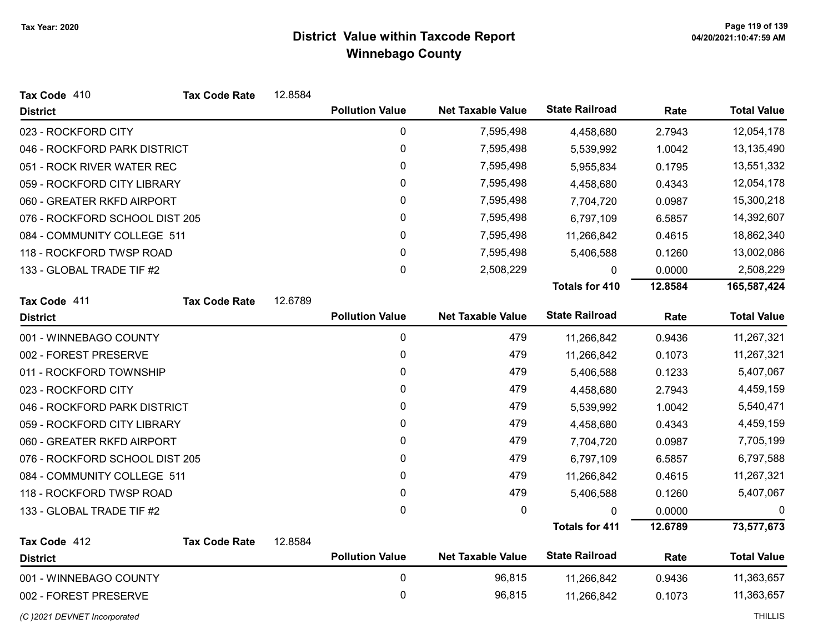| Tax Code 410                   | <b>Tax Code Rate</b> | 12.8584 |                        |                          |                       |         |                    |
|--------------------------------|----------------------|---------|------------------------|--------------------------|-----------------------|---------|--------------------|
| <b>District</b>                |                      |         | <b>Pollution Value</b> | <b>Net Taxable Value</b> | <b>State Railroad</b> | Rate    | <b>Total Value</b> |
| 023 - ROCKFORD CITY            |                      |         | $\mathbf 0$            | 7,595,498                | 4,458,680             | 2.7943  | 12,054,178         |
| 046 - ROCKFORD PARK DISTRICT   |                      |         | $\pmb{0}$              | 7,595,498                | 5,539,992             | 1.0042  | 13,135,490         |
| 051 - ROCK RIVER WATER REC     |                      |         | 0                      | 7,595,498                | 5,955,834             | 0.1795  | 13,551,332         |
| 059 - ROCKFORD CITY LIBRARY    |                      |         | 0                      | 7,595,498                | 4,458,680             | 0.4343  | 12,054,178         |
| 060 - GREATER RKFD AIRPORT     |                      |         | $\pmb{0}$              | 7,595,498                | 7,704,720             | 0.0987  | 15,300,218         |
| 076 - ROCKFORD SCHOOL DIST 205 |                      |         | 0                      | 7,595,498                | 6,797,109             | 6.5857  | 14,392,607         |
| 084 - COMMUNITY COLLEGE 511    |                      |         | 0                      | 7,595,498                | 11,266,842            | 0.4615  | 18,862,340         |
| 118 - ROCKFORD TWSP ROAD       |                      |         | $\mathbf{0}$           | 7,595,498                | 5,406,588             | 0.1260  | 13,002,086         |
| 133 - GLOBAL TRADE TIF #2      |                      |         | $\pmb{0}$              | 2,508,229                | 0                     | 0.0000  | 2,508,229          |
|                                |                      |         |                        |                          | <b>Totals for 410</b> | 12.8584 | 165,587,424        |
| Tax Code 411                   | <b>Tax Code Rate</b> | 12.6789 |                        |                          |                       |         |                    |
| <b>District</b>                |                      |         | <b>Pollution Value</b> | <b>Net Taxable Value</b> | <b>State Railroad</b> | Rate    | <b>Total Value</b> |
| 001 - WINNEBAGO COUNTY         |                      |         | $\pmb{0}$              | 479                      | 11,266,842            | 0.9436  | 11,267,321         |
| 002 - FOREST PRESERVE          |                      |         | $\pmb{0}$              | 479                      | 11,266,842            | 0.1073  | 11,267,321         |
| 011 - ROCKFORD TOWNSHIP        |                      |         | 0                      | 479                      | 5,406,588             | 0.1233  | 5,407,067          |
| 023 - ROCKFORD CITY            |                      |         | 0                      | 479                      | 4,458,680             | 2.7943  | 4,459,159          |
| 046 - ROCKFORD PARK DISTRICT   |                      |         | 0                      | 479                      | 5,539,992             | 1.0042  | 5,540,471          |
| 059 - ROCKFORD CITY LIBRARY    |                      |         | $\pmb{0}$              | 479                      | 4,458,680             | 0.4343  | 4,459,159          |
| 060 - GREATER RKFD AIRPORT     |                      |         | 0                      | 479                      | 7,704,720             | 0.0987  | 7,705,199          |
| 076 - ROCKFORD SCHOOL DIST 205 |                      |         | 0                      | 479                      | 6,797,109             | 6.5857  | 6,797,588          |
| 084 - COMMUNITY COLLEGE 511    |                      |         | 0                      | 479                      | 11,266,842            | 0.4615  | 11,267,321         |
| 118 - ROCKFORD TWSP ROAD       |                      |         | 0                      | 479                      | 5,406,588             | 0.1260  | 5,407,067          |
| 133 - GLOBAL TRADE TIF #2      |                      |         | $\mathbf{0}$           | 0                        | $\Omega$              | 0.0000  | 0                  |
|                                |                      |         |                        |                          | <b>Totals for 411</b> | 12.6789 | 73,577,673         |
| Tax Code 412                   | <b>Tax Code Rate</b> | 12.8584 |                        |                          |                       |         |                    |
| <b>District</b>                |                      |         | <b>Pollution Value</b> | <b>Net Taxable Value</b> | <b>State Railroad</b> | Rate    | <b>Total Value</b> |
| 001 - WINNEBAGO COUNTY         |                      |         | 0                      | 96,815                   | 11,266,842            | 0.9436  | 11,363,657         |
| 002 - FOREST PRESERVE          |                      |         | 0                      | 96,815                   | 11,266,842            | 0.1073  | 11,363,657         |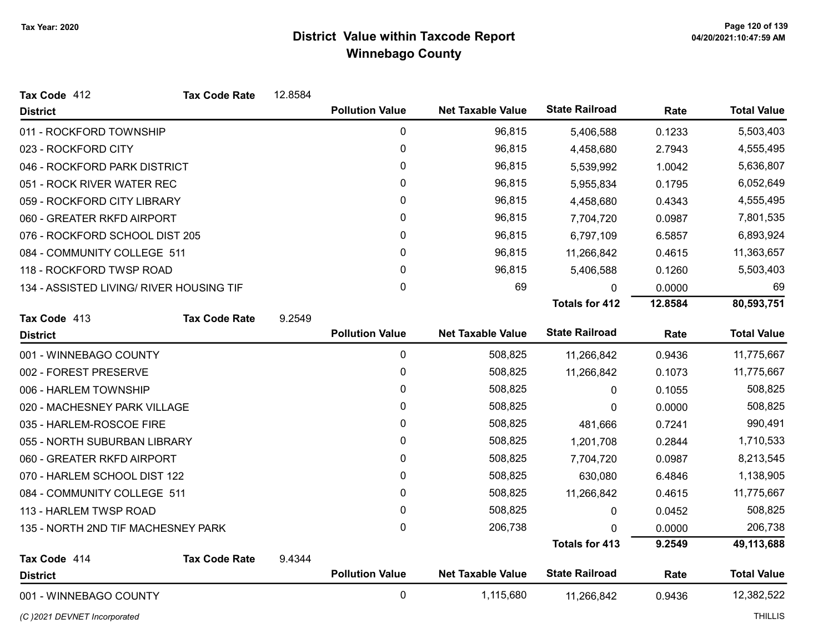| Tax Code 412                             | <b>Tax Code Rate</b> | 12.8584 |                        |                          |                       |         |                    |
|------------------------------------------|----------------------|---------|------------------------|--------------------------|-----------------------|---------|--------------------|
| <b>District</b>                          |                      |         | <b>Pollution Value</b> | <b>Net Taxable Value</b> | <b>State Railroad</b> | Rate    | <b>Total Value</b> |
| 011 - ROCKFORD TOWNSHIP                  |                      |         | 0                      | 96,815                   | 5,406,588             | 0.1233  | 5,503,403          |
| 023 - ROCKFORD CITY                      |                      |         | 0                      | 96,815                   | 4,458,680             | 2.7943  | 4,555,495          |
| 046 - ROCKFORD PARK DISTRICT             |                      |         | 0                      | 96,815                   | 5,539,992             | 1.0042  | 5,636,807          |
| 051 - ROCK RIVER WATER REC               |                      |         | 0                      | 96,815                   | 5,955,834             | 0.1795  | 6,052,649          |
| 059 - ROCKFORD CITY LIBRARY              |                      |         | 0                      | 96,815                   | 4,458,680             | 0.4343  | 4,555,495          |
| 060 - GREATER RKFD AIRPORT               |                      |         | $\mathbf{0}$           | 96,815                   | 7,704,720             | 0.0987  | 7,801,535          |
| 076 - ROCKFORD SCHOOL DIST 205           |                      |         | 0                      | 96,815                   | 6,797,109             | 6.5857  | 6,893,924          |
| 084 - COMMUNITY COLLEGE 511              |                      |         | 0                      | 96,815                   | 11,266,842            | 0.4615  | 11,363,657         |
| 118 - ROCKFORD TWSP ROAD                 |                      |         | $\mathbf 0$            | 96,815                   | 5,406,588             | 0.1260  | 5,503,403          |
| 134 - ASSISTED LIVING/ RIVER HOUSING TIF |                      |         | $\mathbf 0$            | 69                       | 0                     | 0.0000  | 69                 |
|                                          |                      |         |                        |                          | <b>Totals for 412</b> | 12.8584 | 80,593,751         |
| Tax Code 413                             | <b>Tax Code Rate</b> | 9.2549  |                        |                          |                       |         |                    |
| <b>District</b>                          |                      |         | <b>Pollution Value</b> | <b>Net Taxable Value</b> | <b>State Railroad</b> | Rate    | <b>Total Value</b> |
| 001 - WINNEBAGO COUNTY                   |                      |         | 0                      | 508,825                  | 11,266,842            | 0.9436  | 11,775,667         |
| 002 - FOREST PRESERVE                    |                      |         | 0                      | 508,825                  | 11,266,842            | 0.1073  | 11,775,667         |
| 006 - HARLEM TOWNSHIP                    |                      |         | 0                      | 508,825                  | 0                     | 0.1055  | 508,825            |
| 020 - MACHESNEY PARK VILLAGE             |                      |         | $\mathbf{0}$           | 508,825                  | $\mathbf{0}$          | 0.0000  | 508,825            |
| 035 - HARLEM-ROSCOE FIRE                 |                      |         | 0                      | 508,825                  | 481,666               | 0.7241  | 990,491            |
| 055 - NORTH SUBURBAN LIBRARY             |                      |         | 0                      | 508,825                  | 1,201,708             | 0.2844  | 1,710,533          |
| 060 - GREATER RKFD AIRPORT               |                      |         | $\mathbf 0$            | 508,825                  | 7,704,720             | 0.0987  | 8,213,545          |
| 070 - HARLEM SCHOOL DIST 122             |                      |         | $\mathbf{0}$           | 508,825                  | 630,080               | 6.4846  | 1,138,905          |
| 084 - COMMUNITY COLLEGE 511              |                      |         | 0                      | 508,825                  | 11,266,842            | 0.4615  | 11,775,667         |
| 113 - HARLEM TWSP ROAD                   |                      |         | 0                      | 508,825                  | 0                     | 0.0452  | 508,825            |
| 135 - NORTH 2ND TIF MACHESNEY PARK       |                      |         | 0                      | 206,738                  | 0                     | 0.0000  | 206,738            |
|                                          |                      |         |                        |                          | <b>Totals for 413</b> | 9.2549  | 49,113,688         |
| Tax Code 414                             | <b>Tax Code Rate</b> | 9.4344  |                        |                          |                       |         |                    |
| <b>District</b>                          |                      |         | <b>Pollution Value</b> | <b>Net Taxable Value</b> | <b>State Railroad</b> | Rate    | <b>Total Value</b> |
| 001 - WINNEBAGO COUNTY                   |                      |         | $\mathbf 0$            | 1,115,680                | 11,266,842            | 0.9436  | 12,382,522         |

(C)2021 DEVNET Incorporated THILLIS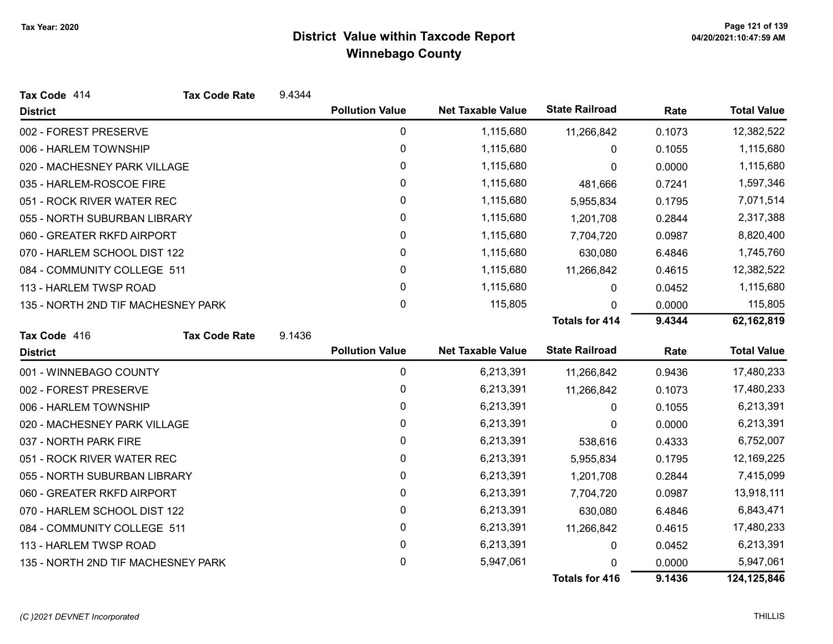| Tax Code 414                       | <b>Tax Code Rate</b> | 9.4344 |                        |                          |                       |        |                    |
|------------------------------------|----------------------|--------|------------------------|--------------------------|-----------------------|--------|--------------------|
| <b>District</b>                    |                      |        | <b>Pollution Value</b> | <b>Net Taxable Value</b> | <b>State Railroad</b> | Rate   | <b>Total Value</b> |
| 002 - FOREST PRESERVE              |                      |        | 0                      | 1,115,680                | 11,266,842            | 0.1073 | 12,382,522         |
| 006 - HARLEM TOWNSHIP              |                      |        | 0                      | 1,115,680                | 0                     | 0.1055 | 1,115,680          |
| 020 - MACHESNEY PARK VILLAGE       |                      |        | 0                      | 1,115,680                | 0                     | 0.0000 | 1,115,680          |
| 035 - HARLEM-ROSCOE FIRE           |                      |        | 0                      | 1,115,680                | 481,666               | 0.7241 | 1,597,346          |
| 051 - ROCK RIVER WATER REC         |                      |        | 0                      | 1,115,680                | 5,955,834             | 0.1795 | 7,071,514          |
| 055 - NORTH SUBURBAN LIBRARY       |                      |        | 0                      | 1,115,680                | 1,201,708             | 0.2844 | 2,317,388          |
| 060 - GREATER RKFD AIRPORT         |                      |        | 0                      | 1,115,680                | 7,704,720             | 0.0987 | 8,820,400          |
| 070 - HARLEM SCHOOL DIST 122       |                      |        | 0                      | 1,115,680                | 630,080               | 6.4846 | 1,745,760          |
| 084 - COMMUNITY COLLEGE 511        |                      |        | 0                      | 1,115,680                | 11,266,842            | 0.4615 | 12,382,522         |
| 113 - HARLEM TWSP ROAD             |                      |        | $\mathbf{0}$           | 1,115,680                | 0                     | 0.0452 | 1,115,680          |
| 135 - NORTH 2ND TIF MACHESNEY PARK |                      |        | 0                      | 115,805                  | 0                     | 0.0000 | 115,805            |
|                                    |                      |        |                        |                          | <b>Totals for 414</b> | 9.4344 | 62,162,819         |
| Tax Code 416                       | <b>Tax Code Rate</b> | 9.1436 |                        |                          |                       |        |                    |
| <b>District</b>                    |                      |        | <b>Pollution Value</b> | <b>Net Taxable Value</b> | <b>State Railroad</b> | Rate   | <b>Total Value</b> |
| 001 - WINNEBAGO COUNTY             |                      |        | $\pmb{0}$              | 6,213,391                | 11,266,842            | 0.9436 | 17,480,233         |
| 002 - FOREST PRESERVE              |                      |        | 0                      | 6,213,391                | 11,266,842            | 0.1073 | 17,480,233         |
| 006 - HARLEM TOWNSHIP              |                      |        | 0                      | 6,213,391                | 0                     | 0.1055 | 6,213,391          |
| 020 - MACHESNEY PARK VILLAGE       |                      |        | 0                      | 6,213,391                | 0                     | 0.0000 | 6,213,391          |
| 037 - NORTH PARK FIRE              |                      |        | 0                      | 6,213,391                | 538,616               | 0.4333 | 6,752,007          |
| 051 - ROCK RIVER WATER REC         |                      |        | 0                      | 6,213,391                | 5,955,834             | 0.1795 | 12,169,225         |
| 055 - NORTH SUBURBAN LIBRARY       |                      |        | 0                      | 6,213,391                | 1,201,708             | 0.2844 | 7,415,099          |
| 060 - GREATER RKFD AIRPORT         |                      |        | 0                      | 6,213,391                | 7,704,720             | 0.0987 | 13,918,111         |
| 070 - HARLEM SCHOOL DIST 122       |                      |        | 0                      | 6,213,391                | 630,080               | 6.4846 | 6,843,471          |
| 084 - COMMUNITY COLLEGE 511        |                      |        | 0                      | 6,213,391                | 11,266,842            | 0.4615 | 17,480,233         |
| 113 - HARLEM TWSP ROAD             |                      |        | 0                      | 6,213,391                | 0                     | 0.0452 | 6,213,391          |
| 135 - NORTH 2ND TIF MACHESNEY PARK |                      |        | 0                      | 5,947,061                |                       | 0.0000 | 5,947,061          |
|                                    |                      |        |                        |                          | <b>Totals for 416</b> | 9.1436 | 124,125,846        |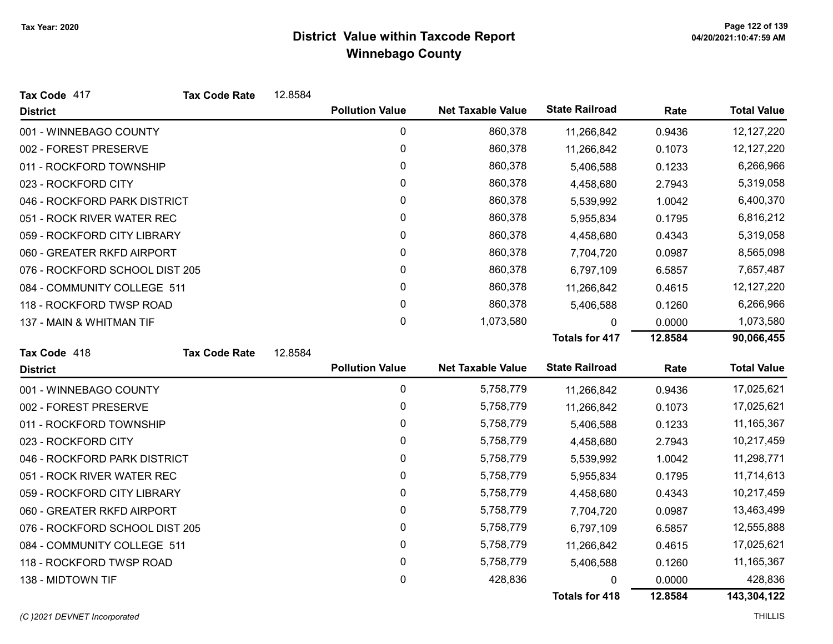| Tax Code 417                   | <b>Tax Code Rate</b> | 12.8584 |                        |                          |                       |         |                    |
|--------------------------------|----------------------|---------|------------------------|--------------------------|-----------------------|---------|--------------------|
| <b>District</b>                |                      |         | <b>Pollution Value</b> | <b>Net Taxable Value</b> | <b>State Railroad</b> | Rate    | <b>Total Value</b> |
| 001 - WINNEBAGO COUNTY         |                      |         | $\mathbf 0$            | 860,378                  | 11,266,842            | 0.9436  | 12,127,220         |
| 002 - FOREST PRESERVE          |                      |         | 0                      | 860,378                  | 11,266,842            | 0.1073  | 12,127,220         |
| 011 - ROCKFORD TOWNSHIP        |                      |         | 0                      | 860,378                  | 5,406,588             | 0.1233  | 6,266,966          |
| 023 - ROCKFORD CITY            |                      |         | 0                      | 860,378                  | 4,458,680             | 2.7943  | 5,319,058          |
| 046 - ROCKFORD PARK DISTRICT   |                      |         | 0                      | 860,378                  | 5,539,992             | 1.0042  | 6,400,370          |
| 051 - ROCK RIVER WATER REC     |                      |         | 0                      | 860,378                  | 5,955,834             | 0.1795  | 6,816,212          |
| 059 - ROCKFORD CITY LIBRARY    |                      |         | 0                      | 860,378                  | 4,458,680             | 0.4343  | 5,319,058          |
| 060 - GREATER RKFD AIRPORT     |                      |         | 0                      | 860,378                  | 7,704,720             | 0.0987  | 8,565,098          |
| 076 - ROCKFORD SCHOOL DIST 205 |                      |         | 0                      | 860,378                  | 6,797,109             | 6.5857  | 7,657,487          |
| 084 - COMMUNITY COLLEGE 511    |                      |         | 0                      | 860,378                  | 11,266,842            | 0.4615  | 12,127,220         |
| 118 - ROCKFORD TWSP ROAD       |                      |         | 0                      | 860,378                  | 5,406,588             | 0.1260  | 6,266,966          |
| 137 - MAIN & WHITMAN TIF       |                      |         | 0                      | 1,073,580                | 0                     | 0.0000  | 1,073,580          |
|                                |                      |         |                        |                          | <b>Totals for 417</b> | 12.8584 | 90,066,455         |
| Tax Code 418                   | <b>Tax Code Rate</b> | 12.8584 |                        |                          |                       |         |                    |
|                                |                      |         |                        |                          |                       |         |                    |
| <b>District</b>                |                      |         | <b>Pollution Value</b> | <b>Net Taxable Value</b> | <b>State Railroad</b> | Rate    | <b>Total Value</b> |
| 001 - WINNEBAGO COUNTY         |                      |         | 0                      | 5,758,779                | 11,266,842            | 0.9436  | 17,025,621         |
| 002 - FOREST PRESERVE          |                      |         | 0                      | 5,758,779                | 11,266,842            | 0.1073  | 17,025,621         |
| 011 - ROCKFORD TOWNSHIP        |                      |         | 0                      | 5,758,779                | 5,406,588             | 0.1233  | 11,165,367         |
| 023 - ROCKFORD CITY            |                      |         | 0                      | 5,758,779                | 4,458,680             | 2.7943  | 10,217,459         |
| 046 - ROCKFORD PARK DISTRICT   |                      |         | 0                      | 5,758,779                | 5,539,992             | 1.0042  | 11,298,771         |
| 051 - ROCK RIVER WATER REC     |                      |         | 0                      | 5,758,779                | 5,955,834             | 0.1795  | 11,714,613         |
| 059 - ROCKFORD CITY LIBRARY    |                      |         | 0                      | 5,758,779                | 4,458,680             | 0.4343  | 10,217,459         |
| 060 - GREATER RKFD AIRPORT     |                      |         | 0                      | 5,758,779                | 7,704,720             | 0.0987  | 13,463,499         |
| 076 - ROCKFORD SCHOOL DIST 205 |                      |         | $\pmb{0}$              | 5,758,779                | 6,797,109             | 6.5857  | 12,555,888         |
| 084 - COMMUNITY COLLEGE 511    |                      |         | 0                      | 5,758,779                | 11,266,842            | 0.4615  | 17,025,621         |
| 118 - ROCKFORD TWSP ROAD       |                      |         | 0                      | 5,758,779                | 5,406,588             | 0.1260  | 11,165,367         |
| 138 - MIDTOWN TIF              |                      |         | 0                      | 428,836                  |                       | 0.0000  | 428,836            |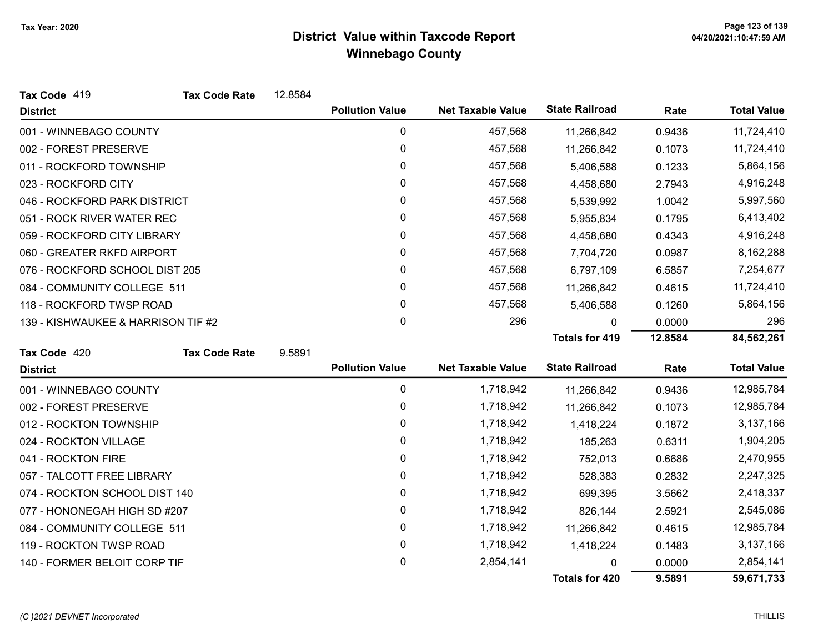| Tax Code 419                       | <b>Tax Code Rate</b> | 12.8584 |                        |                          |                       |         |                    |
|------------------------------------|----------------------|---------|------------------------|--------------------------|-----------------------|---------|--------------------|
| <b>District</b>                    |                      |         | <b>Pollution Value</b> | <b>Net Taxable Value</b> | <b>State Railroad</b> | Rate    | <b>Total Value</b> |
| 001 - WINNEBAGO COUNTY             |                      |         | 0                      | 457,568                  | 11,266,842            | 0.9436  | 11,724,410         |
| 002 - FOREST PRESERVE              |                      |         | $\mathbf 0$            | 457,568                  | 11,266,842            | 0.1073  | 11,724,410         |
| 011 - ROCKFORD TOWNSHIP            |                      |         | 0                      | 457,568                  | 5,406,588             | 0.1233  | 5,864,156          |
| 023 - ROCKFORD CITY                |                      |         | 0                      | 457,568                  | 4,458,680             | 2.7943  | 4,916,248          |
| 046 - ROCKFORD PARK DISTRICT       |                      |         | 0                      | 457,568                  | 5,539,992             | 1.0042  | 5,997,560          |
| 051 - ROCK RIVER WATER REC         |                      |         | 0                      | 457,568                  | 5,955,834             | 0.1795  | 6,413,402          |
| 059 - ROCKFORD CITY LIBRARY        |                      |         | $\pmb{0}$              | 457,568                  | 4,458,680             | 0.4343  | 4,916,248          |
| 060 - GREATER RKFD AIRPORT         |                      |         | 0                      | 457,568                  | 7,704,720             | 0.0987  | 8,162,288          |
| 076 - ROCKFORD SCHOOL DIST 205     |                      |         | 0                      | 457,568                  | 6,797,109             | 6.5857  | 7,254,677          |
| 084 - COMMUNITY COLLEGE 511        |                      |         | 0                      | 457,568                  | 11,266,842            | 0.4615  | 11,724,410         |
| 118 - ROCKFORD TWSP ROAD           |                      |         | 0                      | 457,568                  | 5,406,588             | 0.1260  | 5,864,156          |
| 139 - KISHWAUKEE & HARRISON TIF #2 |                      |         | 0                      | 296                      | $\Omega$              | 0.0000  | 296                |
|                                    |                      |         |                        |                          | <b>Totals for 419</b> | 12.8584 | 84,562,261         |
| Tax Code 420                       | <b>Tax Code Rate</b> | 9.5891  |                        |                          |                       |         |                    |
| <b>District</b>                    |                      |         | <b>Pollution Value</b> | <b>Net Taxable Value</b> | <b>State Railroad</b> | Rate    | <b>Total Value</b> |
| 001 - WINNEBAGO COUNTY             |                      |         | 0                      | 1,718,942                | 11,266,842            | 0.9436  | 12,985,784         |
| 002 - FOREST PRESERVE              |                      |         | $\mathbf 0$            | 1,718,942                | 11,266,842            | 0.1073  | 12,985,784         |
| 012 - ROCKTON TOWNSHIP             |                      |         | 0                      | 1,718,942                | 1,418,224             | 0.1872  | 3,137,166          |
| 024 - ROCKTON VILLAGE              |                      |         | 0                      | 1,718,942                | 185,263               | 0.6311  | 1,904,205          |
| 041 - ROCKTON FIRE                 |                      |         | $\pmb{0}$              | 1,718,942                | 752,013               | 0.6686  | 2,470,955          |
| 057 - TALCOTT FREE LIBRARY         |                      |         | 0                      | 1,718,942                | 528,383               | 0.2832  | 2,247,325          |
| 074 - ROCKTON SCHOOL DIST 140      |                      |         | $\pmb{0}$              | 1,718,942                | 699,395               | 3.5662  | 2,418,337          |
| 077 - HONONEGAH HIGH SD #207       |                      |         | 0                      | 1,718,942                | 826,144               | 2.5921  | 2,545,086          |
| 084 - COMMUNITY COLLEGE 511        |                      |         | 0                      | 1,718,942                | 11,266,842            | 0.4615  | 12,985,784         |
| 119 - ROCKTON TWSP ROAD            |                      |         | $\pmb{0}$              | 1,718,942                | 1,418,224             | 0.1483  | 3,137,166          |
| 140 - FORMER BELOIT CORP TIF       |                      |         | 0                      | 2,854,141                | $\Omega$              | 0.0000  | 2,854,141          |
|                                    |                      |         |                        |                          | <b>Totals for 420</b> | 9.5891  | 59,671,733         |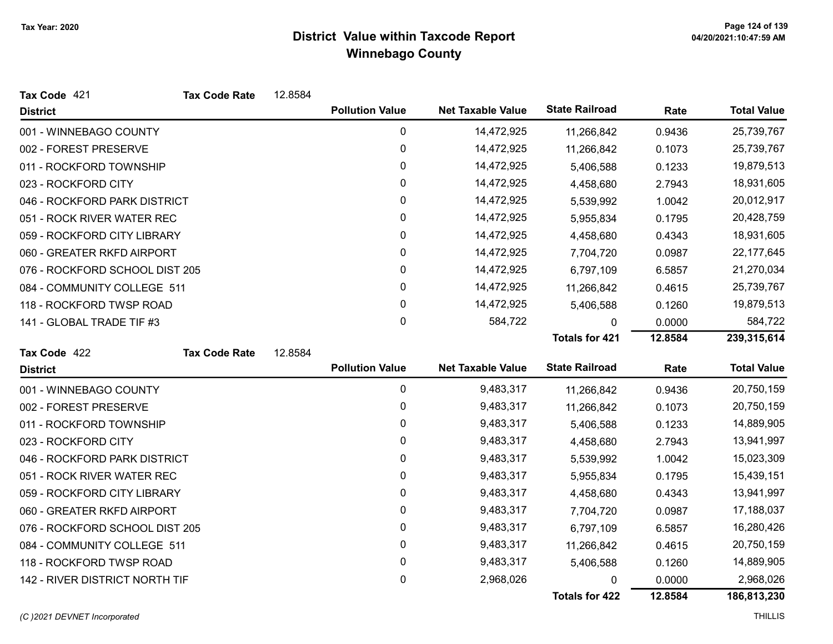| Tax Code 421                   | <b>Tax Code Rate</b> | 12.8584 |                        |                          |                       |         |                    |
|--------------------------------|----------------------|---------|------------------------|--------------------------|-----------------------|---------|--------------------|
| <b>District</b>                |                      |         | <b>Pollution Value</b> | <b>Net Taxable Value</b> | <b>State Railroad</b> | Rate    | <b>Total Value</b> |
| 001 - WINNEBAGO COUNTY         |                      |         | $\mathbf 0$            | 14,472,925               | 11,266,842            | 0.9436  | 25,739,767         |
| 002 - FOREST PRESERVE          |                      |         | 0                      | 14,472,925               | 11,266,842            | 0.1073  | 25,739,767         |
| 011 - ROCKFORD TOWNSHIP        |                      |         | 0                      | 14,472,925               | 5,406,588             | 0.1233  | 19,879,513         |
| 023 - ROCKFORD CITY            |                      |         | 0                      | 14,472,925               | 4,458,680             | 2.7943  | 18,931,605         |
| 046 - ROCKFORD PARK DISTRICT   |                      |         | 0                      | 14,472,925               | 5,539,992             | 1.0042  | 20,012,917         |
| 051 - ROCK RIVER WATER REC     |                      |         | $\mathbf 0$            | 14,472,925               | 5,955,834             | 0.1795  | 20,428,759         |
| 059 - ROCKFORD CITY LIBRARY    |                      |         | 0                      | 14,472,925               | 4,458,680             | 0.4343  | 18,931,605         |
| 060 - GREATER RKFD AIRPORT     |                      |         | 0                      | 14,472,925               | 7,704,720             | 0.0987  | 22, 177, 645       |
| 076 - ROCKFORD SCHOOL DIST 205 |                      |         | 0                      | 14,472,925               | 6,797,109             | 6.5857  | 21,270,034         |
| 084 - COMMUNITY COLLEGE 511    |                      |         | $\pmb{0}$              | 14,472,925               | 11,266,842            | 0.4615  | 25,739,767         |
| 118 - ROCKFORD TWSP ROAD       |                      |         | 0                      | 14,472,925               | 5,406,588             | 0.1260  | 19,879,513         |
| 141 - GLOBAL TRADE TIF #3      |                      |         | $\pmb{0}$              | 584,722                  | 0                     | 0.0000  | 584,722            |
|                                |                      |         |                        |                          | <b>Totals for 421</b> | 12.8584 | 239,315,614        |
| Tax Code 422                   | <b>Tax Code Rate</b> | 12.8584 |                        |                          |                       |         |                    |
| <b>District</b>                |                      |         | <b>Pollution Value</b> | <b>Net Taxable Value</b> | <b>State Railroad</b> | Rate    | <b>Total Value</b> |
| 001 - WINNEBAGO COUNTY         |                      |         | $\mathbf 0$            | 9,483,317                | 11,266,842            | 0.9436  | 20,750,159         |
| 002 - FOREST PRESERVE          |                      |         | 0                      | 9,483,317                | 11,266,842            | 0.1073  | 20,750,159         |
| 011 - ROCKFORD TOWNSHIP        |                      |         | $\pmb{0}$              | 9,483,317                | 5,406,588             | 0.1233  | 14,889,905         |
| 023 - ROCKFORD CITY            |                      |         | 0                      | 9,483,317                | 4,458,680             | 2.7943  | 13,941,997         |
| 046 - ROCKFORD PARK DISTRICT   |                      |         | $\pmb{0}$              | 9,483,317                | 5,539,992             | 1.0042  | 15,023,309         |
| 051 - ROCK RIVER WATER REC     |                      |         | 0                      | 9,483,317                | 5,955,834             | 0.1795  | 15,439,151         |
| 059 - ROCKFORD CITY LIBRARY    |                      |         | 0                      | 9,483,317                | 4,458,680             | 0.4343  | 13,941,997         |
| 060 - GREATER RKFD AIRPORT     |                      |         | 0                      | 9,483,317                | 7,704,720             | 0.0987  | 17,188,037         |
| 076 - ROCKFORD SCHOOL DIST 205 |                      |         | 0                      | 9,483,317                | 6,797,109             | 6.5857  | 16,280,426         |
| 084 - COMMUNITY COLLEGE 511    |                      |         | 0                      | 9,483,317                | 11,266,842            | 0.4615  | 20,750,159         |
| 118 - ROCKFORD TWSP ROAD       |                      |         | 0                      | 9,483,317                | 5,406,588             | 0.1260  | 14,889,905         |
| 142 - RIVER DISTRICT NORTH TIF |                      |         | 0                      | 2,968,026                | 0                     | 0.0000  | 2,968,026          |
|                                |                      |         |                        |                          | Totals for 422        | 12.8584 | 186,813,230        |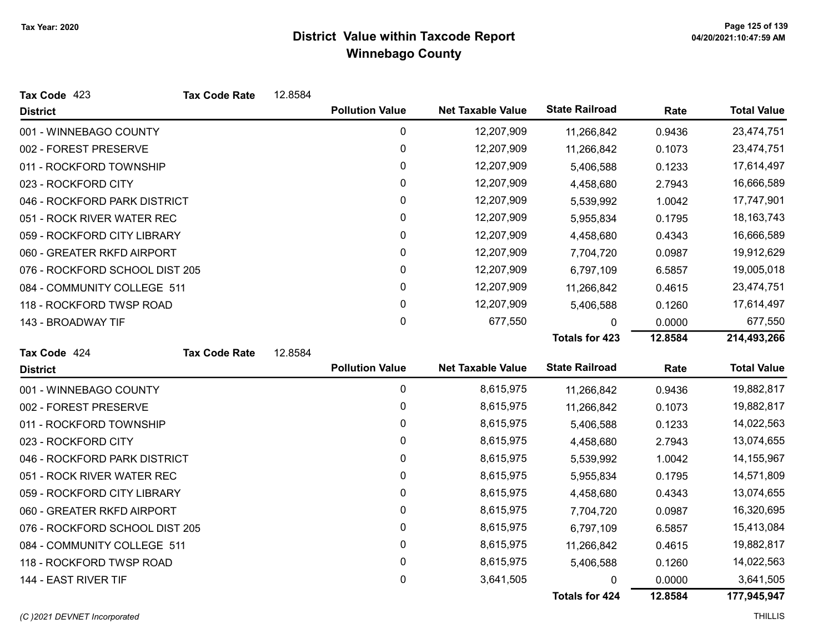| Tax Code 423                   | <b>Tax Code Rate</b> | 12.8584 |                        |                          |                       |         |                    |
|--------------------------------|----------------------|---------|------------------------|--------------------------|-----------------------|---------|--------------------|
| <b>District</b>                |                      |         | <b>Pollution Value</b> | <b>Net Taxable Value</b> | <b>State Railroad</b> | Rate    | <b>Total Value</b> |
| 001 - WINNEBAGO COUNTY         |                      |         | 0                      | 12,207,909               | 11,266,842            | 0.9436  | 23,474,751         |
| 002 - FOREST PRESERVE          |                      |         | 0                      | 12,207,909               | 11,266,842            | 0.1073  | 23,474,751         |
| 011 - ROCKFORD TOWNSHIP        |                      |         | 0                      | 12,207,909               | 5,406,588             | 0.1233  | 17,614,497         |
| 023 - ROCKFORD CITY            |                      |         | 0                      | 12,207,909               | 4,458,680             | 2.7943  | 16,666,589         |
| 046 - ROCKFORD PARK DISTRICT   |                      |         | 0                      | 12,207,909               | 5,539,992             | 1.0042  | 17,747,901         |
| 051 - ROCK RIVER WATER REC     |                      |         | 0                      | 12,207,909               | 5,955,834             | 0.1795  | 18, 163, 743       |
| 059 - ROCKFORD CITY LIBRARY    |                      |         | 0                      | 12,207,909               | 4,458,680             | 0.4343  | 16,666,589         |
| 060 - GREATER RKFD AIRPORT     |                      |         | 0                      | 12,207,909               | 7,704,720             | 0.0987  | 19,912,629         |
| 076 - ROCKFORD SCHOOL DIST 205 |                      |         | 0                      | 12,207,909               | 6,797,109             | 6.5857  | 19,005,018         |
| 084 - COMMUNITY COLLEGE 511    |                      |         | 0                      | 12,207,909               | 11,266,842            | 0.4615  | 23,474,751         |
| 118 - ROCKFORD TWSP ROAD       |                      |         | 0                      | 12,207,909               | 5,406,588             | 0.1260  | 17,614,497         |
| 143 - BROADWAY TIF             |                      |         | $\mathbf 0$            | 677,550                  | 0                     | 0.0000  | 677,550            |
|                                |                      |         |                        |                          | <b>Totals for 423</b> | 12.8584 | 214,493,266        |
| Tax Code 424                   | <b>Tax Code Rate</b> | 12.8584 |                        |                          |                       |         |                    |
| <b>District</b>                |                      |         | <b>Pollution Value</b> | <b>Net Taxable Value</b> | <b>State Railroad</b> | Rate    | <b>Total Value</b> |
| 001 - WINNEBAGO COUNTY         |                      |         | $\pmb{0}$              | 8,615,975                | 11,266,842            | 0.9436  | 19,882,817         |
| 002 - FOREST PRESERVE          |                      |         | 0                      | 8,615,975                | 11,266,842            | 0.1073  | 19,882,817         |
| 011 - ROCKFORD TOWNSHIP        |                      |         | 0                      | 8,615,975                | 5,406,588             | 0.1233  | 14,022,563         |
| 023 - ROCKFORD CITY            |                      |         | 0                      | 8,615,975                | 4,458,680             | 2.7943  | 13,074,655         |
| 046 - ROCKFORD PARK DISTRICT   |                      |         | $\pmb{0}$              | 8,615,975                | 5,539,992             | 1.0042  | 14, 155, 967       |
| 051 - ROCK RIVER WATER REC     |                      |         | 0                      | 8,615,975                | 5,955,834             | 0.1795  | 14,571,809         |
| 059 - ROCKFORD CITY LIBRARY    |                      |         | 0                      | 8,615,975                | 4,458,680             | 0.4343  | 13,074,655         |
| 060 - GREATER RKFD AIRPORT     |                      |         | 0                      | 8,615,975                | 7,704,720             | 0.0987  | 16,320,695         |
| 076 - ROCKFORD SCHOOL DIST 205 |                      |         | 0                      | 8,615,975                | 6,797,109             | 6.5857  | 15,413,084         |
| 084 - COMMUNITY COLLEGE 511    |                      |         | 0                      | 8,615,975                | 11,266,842            | 0.4615  | 19,882,817         |
|                                |                      |         |                        |                          |                       |         |                    |
| 118 - ROCKFORD TWSP ROAD       |                      |         | 0                      | 8,615,975                | 5,406,588             | 0.1260  | 14,022,563         |
| 144 - EAST RIVER TIF           |                      |         | 0                      | 3,641,505                | 0                     | 0.0000  | 3,641,505          |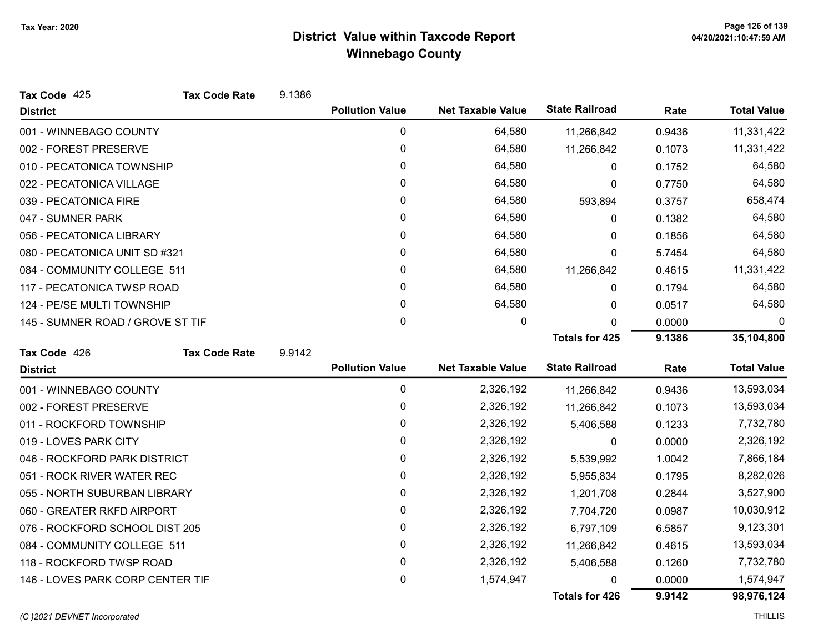| Tax Code 425                     | <b>Tax Code Rate</b> | 9.1386 |                        |                          |                       |        |                    |
|----------------------------------|----------------------|--------|------------------------|--------------------------|-----------------------|--------|--------------------|
| <b>District</b>                  |                      |        | <b>Pollution Value</b> | <b>Net Taxable Value</b> | <b>State Railroad</b> | Rate   | <b>Total Value</b> |
| 001 - WINNEBAGO COUNTY           |                      |        | 0                      | 64,580                   | 11,266,842            | 0.9436 | 11,331,422         |
| 002 - FOREST PRESERVE            |                      |        | 0                      | 64,580                   | 11,266,842            | 0.1073 | 11,331,422         |
| 010 - PECATONICA TOWNSHIP        |                      |        | 0                      | 64,580                   | 0                     | 0.1752 | 64,580             |
| 022 - PECATONICA VILLAGE         |                      |        | 0                      | 64,580                   | 0                     | 0.7750 | 64,580             |
| 039 - PECATONICA FIRE            |                      |        | 0                      | 64,580                   | 593,894               | 0.3757 | 658,474            |
| 047 - SUMNER PARK                |                      |        | 0                      | 64,580                   | 0                     | 0.1382 | 64,580             |
| 056 - PECATONICA LIBRARY         |                      |        | 0                      | 64,580                   | 0                     | 0.1856 | 64,580             |
| 080 - PECATONICA UNIT SD #321    |                      |        | 0                      | 64,580                   | 0                     | 5.7454 | 64,580             |
| 084 - COMMUNITY COLLEGE 511      |                      |        | 0                      | 64,580                   | 11,266,842            | 0.4615 | 11,331,422         |
| 117 - PECATONICA TWSP ROAD       |                      |        | 0                      | 64,580                   | 0                     | 0.1794 | 64,580             |
| 124 - PE/SE MULTI TOWNSHIP       |                      |        | 0                      | 64,580                   | 0                     | 0.0517 | 64,580             |
| 145 - SUMNER ROAD / GROVE ST TIF |                      |        | $\pmb{0}$              | 0                        | $\mathbf{0}$          | 0.0000 | 0                  |
|                                  |                      |        |                        |                          | <b>Totals for 425</b> | 9.1386 | 35,104,800         |
| Tax Code 426                     | <b>Tax Code Rate</b> | 9.9142 |                        |                          |                       |        |                    |
| <b>District</b>                  |                      |        | <b>Pollution Value</b> | <b>Net Taxable Value</b> | <b>State Railroad</b> | Rate   | <b>Total Value</b> |
| 001 - WINNEBAGO COUNTY           |                      |        | 0                      | 2,326,192                | 11,266,842            | 0.9436 | 13,593,034         |
| 002 - FOREST PRESERVE            |                      |        | 0                      | 2,326,192                | 11,266,842            | 0.1073 | 13,593,034         |
| 011 - ROCKFORD TOWNSHIP          |                      |        | 0                      | 2,326,192                | 5,406,588             | 0.1233 | 7,732,780          |
| 019 - LOVES PARK CITY            |                      |        | 0                      | 2,326,192                | $\mathbf{0}$          | 0.0000 | 2,326,192          |
| 046 - ROCKFORD PARK DISTRICT     |                      |        | $\pmb{0}$              | 2,326,192                | 5,539,992             | 1.0042 | 7,866,184          |
| 051 - ROCK RIVER WATER REC       |                      |        | 0                      | 2,326,192                | 5,955,834             | 0.1795 | 8,282,026          |
| 055 - NORTH SUBURBAN LIBRARY     |                      |        | 0                      | 2,326,192                | 1,201,708             | 0.2844 | 3,527,900          |
| 060 - GREATER RKFD AIRPORT       |                      |        | 0                      | 2,326,192                | 7,704,720             | 0.0987 | 10,030,912         |
| 076 - ROCKFORD SCHOOL DIST 205   |                      |        | $\pmb{0}$              | 2,326,192                | 6,797,109             | 6.5857 | 9,123,301          |
| 084 - COMMUNITY COLLEGE 511      |                      |        | 0                      | 2,326,192                | 11,266,842            | 0.4615 | 13,593,034         |
| 118 - ROCKFORD TWSP ROAD         |                      |        | 0                      | 2,326,192                | 5,406,588             | 0.1260 | 7,732,780          |
| 146 - LOVES PARK CORP CENTER TIF |                      |        | 0                      | 1,574,947                | 0                     | 0.0000 | 1,574,947          |
|                                  |                      |        |                        |                          | <b>Totals for 426</b> | 9.9142 | 98,976,124         |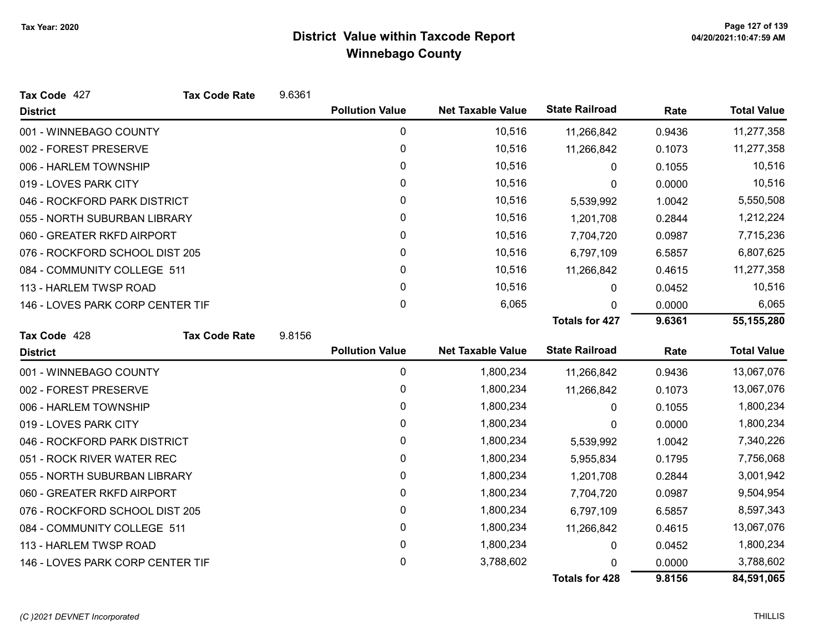| Tax Code 427                     | <b>Tax Code Rate</b> | 9.6361 |                        |                          |                       |        |                    |
|----------------------------------|----------------------|--------|------------------------|--------------------------|-----------------------|--------|--------------------|
| <b>District</b>                  |                      |        | <b>Pollution Value</b> | <b>Net Taxable Value</b> | <b>State Railroad</b> | Rate   | <b>Total Value</b> |
| 001 - WINNEBAGO COUNTY           |                      |        | 0                      | 10,516                   | 11,266,842            | 0.9436 | 11,277,358         |
| 002 - FOREST PRESERVE            |                      |        | $\pmb{0}$              | 10,516                   | 11,266,842            | 0.1073 | 11,277,358         |
| 006 - HARLEM TOWNSHIP            |                      |        | 0                      | 10,516                   | 0                     | 0.1055 | 10,516             |
| 019 - LOVES PARK CITY            |                      |        | 0                      | 10,516                   | 0                     | 0.0000 | 10,516             |
| 046 - ROCKFORD PARK DISTRICT     |                      |        | 0                      | 10,516                   | 5,539,992             | 1.0042 | 5,550,508          |
| 055 - NORTH SUBURBAN LIBRARY     |                      |        | 0                      | 10,516                   | 1,201,708             | 0.2844 | 1,212,224          |
| 060 - GREATER RKFD AIRPORT       |                      |        | $\pmb{0}$              | 10,516                   | 7,704,720             | 0.0987 | 7,715,236          |
| 076 - ROCKFORD SCHOOL DIST 205   |                      |        | 0                      | 10,516                   | 6,797,109             | 6.5857 | 6,807,625          |
| 084 - COMMUNITY COLLEGE 511      |                      |        | 0                      | 10,516                   | 11,266,842            | 0.4615 | 11,277,358         |
| 113 - HARLEM TWSP ROAD           |                      |        | 0                      | 10,516                   | 0                     | 0.0452 | 10,516             |
| 146 - LOVES PARK CORP CENTER TIF |                      |        | $\mathbf 0$            | 6,065                    | 0                     | 0.0000 | 6,065              |
|                                  |                      |        |                        |                          | <b>Totals for 427</b> | 9.6361 | 55,155,280         |
| Tax Code 428                     | <b>Tax Code Rate</b> | 9.8156 |                        |                          |                       |        |                    |
| <b>District</b>                  |                      |        | <b>Pollution Value</b> | <b>Net Taxable Value</b> | <b>State Railroad</b> | Rate   | <b>Total Value</b> |
| 001 - WINNEBAGO COUNTY           |                      |        | 0                      | 1,800,234                | 11,266,842            | 0.9436 | 13,067,076         |
| 002 - FOREST PRESERVE            |                      |        | 0                      | 1,800,234                | 11,266,842            | 0.1073 | 13,067,076         |
| 006 - HARLEM TOWNSHIP            |                      |        | $\pmb{0}$              | 1,800,234                | 0                     | 0.1055 | 1,800,234          |
| 019 - LOVES PARK CITY            |                      |        | $\mathbf{0}$           | 1,800,234                | 0                     | 0.0000 | 1,800,234          |
| 046 - ROCKFORD PARK DISTRICT     |                      |        | 0                      | 1,800,234                | 5,539,992             | 1.0042 | 7,340,226          |
| 051 - ROCK RIVER WATER REC       |                      |        | 0                      | 1,800,234                | 5,955,834             | 0.1795 | 7,756,068          |
| 055 - NORTH SUBURBAN LIBRARY     |                      |        | 0                      | 1,800,234                | 1,201,708             | 0.2844 | 3,001,942          |
| 060 - GREATER RKFD AIRPORT       |                      |        | 0                      | 1,800,234                | 7,704,720             | 0.0987 | 9,504,954          |
| 076 - ROCKFORD SCHOOL DIST 205   |                      |        | 0                      | 1,800,234                | 6,797,109             | 6.5857 | 8,597,343          |
| 084 - COMMUNITY COLLEGE 511      |                      |        | 0                      | 1,800,234                | 11,266,842            | 0.4615 | 13,067,076         |
| 113 - HARLEM TWSP ROAD           |                      |        | $\pmb{0}$              | 1,800,234                | $\mathbf{0}$          | 0.0452 | 1,800,234          |
| 146 - LOVES PARK CORP CENTER TIF |                      |        | 0                      | 3,788,602                |                       | 0.0000 | 3,788,602          |
|                                  |                      |        |                        |                          | <b>Totals for 428</b> | 9.8156 | 84,591,065         |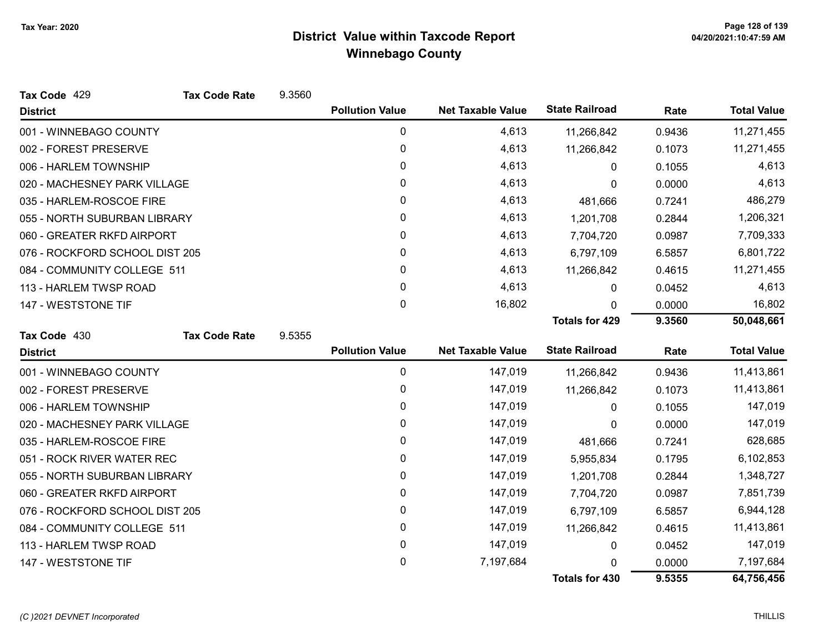| Tax Code 429                   | <b>Tax Code Rate</b> | 9.3560 |                        |                          |                       |        |                    |
|--------------------------------|----------------------|--------|------------------------|--------------------------|-----------------------|--------|--------------------|
| <b>District</b>                |                      |        | <b>Pollution Value</b> | <b>Net Taxable Value</b> | <b>State Railroad</b> | Rate   | <b>Total Value</b> |
| 001 - WINNEBAGO COUNTY         |                      |        | 0                      | 4,613                    | 11,266,842            | 0.9436 | 11,271,455         |
| 002 - FOREST PRESERVE          |                      |        | 0                      | 4,613                    | 11,266,842            | 0.1073 | 11,271,455         |
| 006 - HARLEM TOWNSHIP          |                      |        | 0                      | 4,613                    | 0                     | 0.1055 | 4,613              |
| 020 - MACHESNEY PARK VILLAGE   |                      |        | 0                      | 4,613                    | 0                     | 0.0000 | 4,613              |
| 035 - HARLEM-ROSCOE FIRE       |                      |        | 0                      | 4,613                    | 481,666               | 0.7241 | 486,279            |
| 055 - NORTH SUBURBAN LIBRARY   |                      |        | 0                      | 4,613                    | 1,201,708             | 0.2844 | 1,206,321          |
| 060 - GREATER RKFD AIRPORT     |                      |        | 0                      | 4,613                    | 7,704,720             | 0.0987 | 7,709,333          |
| 076 - ROCKFORD SCHOOL DIST 205 |                      |        | 0                      | 4,613                    | 6,797,109             | 6.5857 | 6,801,722          |
| 084 - COMMUNITY COLLEGE 511    |                      |        | 0                      | 4,613                    | 11,266,842            | 0.4615 | 11,271,455         |
| 113 - HARLEM TWSP ROAD         |                      |        | 0                      | 4,613                    | 0                     | 0.0452 | 4,613              |
| 147 - WESTSTONE TIF            |                      |        | $\mathbf{0}$           | 16,802                   | $\Omega$              | 0.0000 | 16,802             |
|                                |                      |        |                        |                          | <b>Totals for 429</b> | 9.3560 | 50,048,661         |
| Tax Code 430                   | <b>Tax Code Rate</b> | 9.5355 |                        |                          |                       |        |                    |
| <b>District</b>                |                      |        | <b>Pollution Value</b> | <b>Net Taxable Value</b> | <b>State Railroad</b> | Rate   | <b>Total Value</b> |
| 001 - WINNEBAGO COUNTY         |                      |        | 0                      | 147,019                  | 11,266,842            | 0.9436 | 11,413,861         |
| 002 - FOREST PRESERVE          |                      |        | 0                      | 147,019                  | 11,266,842            | 0.1073 | 11,413,861         |
| 006 - HARLEM TOWNSHIP          |                      |        | 0                      | 147,019                  | 0                     | 0.1055 | 147,019            |
| 020 - MACHESNEY PARK VILLAGE   |                      |        | $\mathbf{0}$           | 147,019                  | 0                     | 0.0000 | 147,019            |
| 035 - HARLEM-ROSCOE FIRE       |                      |        | 0                      | 147,019                  | 481,666               | 0.7241 | 628,685            |
| 051 - ROCK RIVER WATER REC     |                      |        | 0                      | 147,019                  | 5,955,834             | 0.1795 | 6,102,853          |
| 055 - NORTH SUBURBAN LIBRARY   |                      |        | $\mathbf{0}$           | 147,019                  | 1,201,708             | 0.2844 | 1,348,727          |
| 060 - GREATER RKFD AIRPORT     |                      |        | 0                      | 147,019                  | 7,704,720             | 0.0987 | 7,851,739          |
| 076 - ROCKFORD SCHOOL DIST 205 |                      |        | 0                      | 147,019                  | 6,797,109             | 6.5857 | 6,944,128          |
| 084 - COMMUNITY COLLEGE 511    |                      |        | 0                      | 147,019                  | 11,266,842            | 0.4615 | 11,413,861         |
| 113 - HARLEM TWSP ROAD         |                      |        | 0                      | 147,019                  | 0                     | 0.0452 | 147,019            |
| 147 - WESTSTONE TIF            |                      |        | 0                      | 7,197,684                | n                     | 0.0000 | 7,197,684          |
|                                |                      |        |                        |                          | <b>Totals for 430</b> | 9.5355 | 64,756,456         |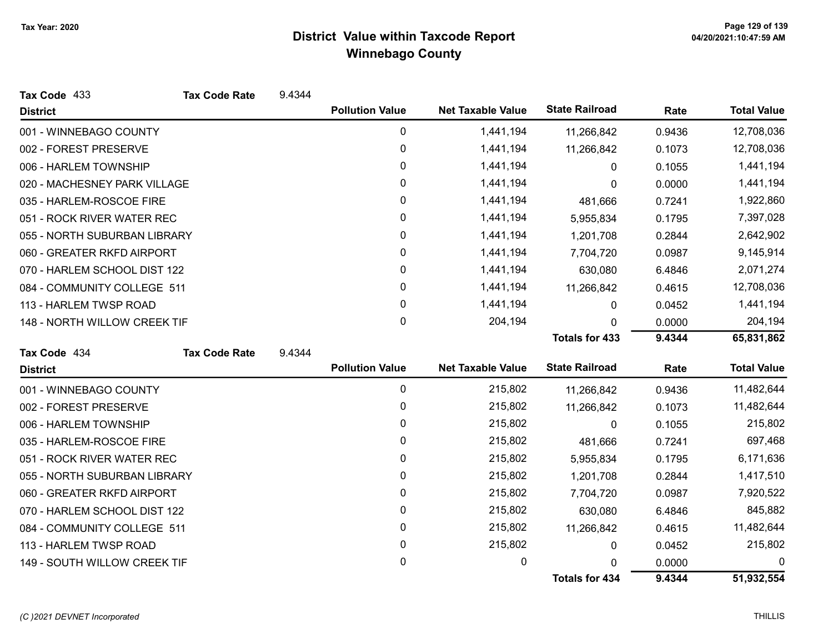| Tax Code 433                 | <b>Tax Code Rate</b> | 9.4344 |                        |                          |                       |        |                    |
|------------------------------|----------------------|--------|------------------------|--------------------------|-----------------------|--------|--------------------|
| <b>District</b>              |                      |        | <b>Pollution Value</b> | <b>Net Taxable Value</b> | <b>State Railroad</b> | Rate   | <b>Total Value</b> |
| 001 - WINNEBAGO COUNTY       |                      |        | 0                      | 1,441,194                | 11,266,842            | 0.9436 | 12,708,036         |
| 002 - FOREST PRESERVE        |                      |        | 0                      | 1,441,194                | 11,266,842            | 0.1073 | 12,708,036         |
| 006 - HARLEM TOWNSHIP        |                      |        | 0                      | 1,441,194                | 0                     | 0.1055 | 1,441,194          |
| 020 - MACHESNEY PARK VILLAGE |                      |        | 0                      | 1,441,194                | 0                     | 0.0000 | 1,441,194          |
| 035 - HARLEM-ROSCOE FIRE     |                      |        | 0                      | 1,441,194                | 481,666               | 0.7241 | 1,922,860          |
| 051 - ROCK RIVER WATER REC   |                      |        | 0                      | 1,441,194                | 5,955,834             | 0.1795 | 7,397,028          |
| 055 - NORTH SUBURBAN LIBRARY |                      |        | 0                      | 1,441,194                | 1,201,708             | 0.2844 | 2,642,902          |
| 060 - GREATER RKFD AIRPORT   |                      |        | 0                      | 1,441,194                | 7,704,720             | 0.0987 | 9,145,914          |
| 070 - HARLEM SCHOOL DIST 122 |                      |        | 0                      | 1,441,194                | 630,080               | 6.4846 | 2,071,274          |
| 084 - COMMUNITY COLLEGE 511  |                      |        | 0                      | 1,441,194                | 11,266,842            | 0.4615 | 12,708,036         |
| 113 - HARLEM TWSP ROAD       |                      |        | 0                      | 1,441,194                | 0                     | 0.0452 | 1,441,194          |
| 148 - NORTH WILLOW CREEK TIF |                      |        | 0                      | 204,194                  | 0                     | 0.0000 | 204,194            |
|                              |                      |        |                        |                          | <b>Totals for 433</b> | 9.4344 | 65,831,862         |
| Tax Code 434                 | <b>Tax Code Rate</b> | 9.4344 |                        |                          |                       |        |                    |
| <b>District</b>              |                      |        | <b>Pollution Value</b> | <b>Net Taxable Value</b> | <b>State Railroad</b> | Rate   | <b>Total Value</b> |
| 001 - WINNEBAGO COUNTY       |                      |        | $\pmb{0}$              | 215,802                  | 11,266,842            | 0.9436 | 11,482,644         |
| 002 - FOREST PRESERVE        |                      |        | 0                      | 215,802                  | 11,266,842            | 0.1073 | 11,482,644         |
| 006 - HARLEM TOWNSHIP        |                      |        | 0                      | 215,802                  | $\Omega$              | 0.1055 | 215,802            |
| 035 - HARLEM-ROSCOE FIRE     |                      |        | 0                      | 215,802                  | 481,666               | 0.7241 | 697,468            |
| 051 - ROCK RIVER WATER REC   |                      |        | 0                      | 215,802                  | 5,955,834             | 0.1795 | 6,171,636          |
| 055 - NORTH SUBURBAN LIBRARY |                      |        | 0                      | 215,802                  | 1,201,708             | 0.2844 | 1,417,510          |
| 060 - GREATER RKFD AIRPORT   |                      |        | 0                      | 215,802                  | 7,704,720             | 0.0987 | 7,920,522          |
| 070 - HARLEM SCHOOL DIST 122 |                      |        | 0                      | 215,802                  | 630,080               | 6.4846 | 845,882            |
| 084 - COMMUNITY COLLEGE 511  |                      |        | $\pmb{0}$              | 215,802                  | 11,266,842            | 0.4615 | 11,482,644         |
| 113 - HARLEM TWSP ROAD       |                      |        |                        |                          |                       |        |                    |
|                              |                      |        | 0                      | 215,802                  | 0                     | 0.0452 | 215,802            |
| 149 - SOUTH WILLOW CREEK TIF |                      |        | 0                      | 0                        | $\Omega$              | 0.0000 | 0                  |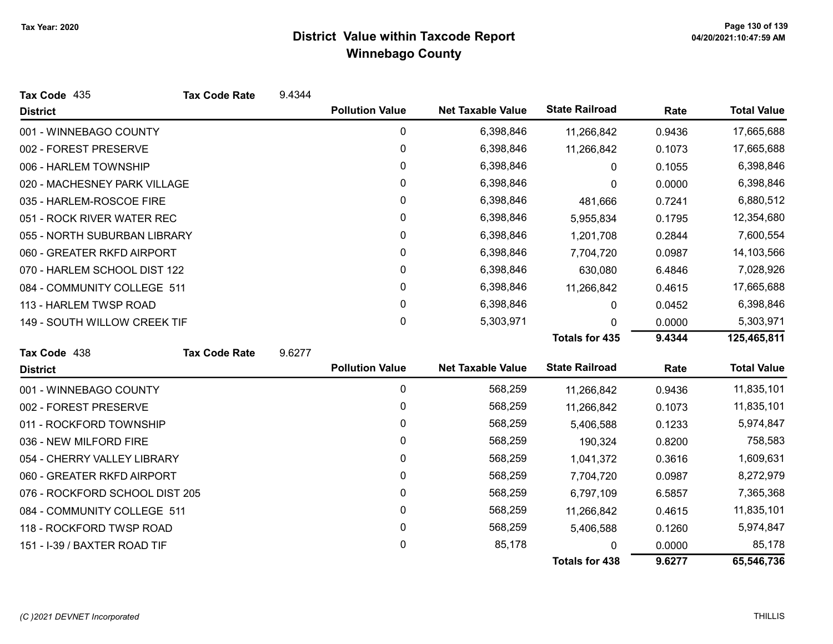| Tax Code 435                   | <b>Tax Code Rate</b> | 9.4344 |                        |                          |                       |        |                    |
|--------------------------------|----------------------|--------|------------------------|--------------------------|-----------------------|--------|--------------------|
| <b>District</b>                |                      |        | <b>Pollution Value</b> | <b>Net Taxable Value</b> | <b>State Railroad</b> | Rate   | <b>Total Value</b> |
| 001 - WINNEBAGO COUNTY         |                      |        | 0                      | 6,398,846                | 11,266,842            | 0.9436 | 17,665,688         |
| 002 - FOREST PRESERVE          |                      |        | $\mathbf 0$            | 6,398,846                | 11,266,842            | 0.1073 | 17,665,688         |
| 006 - HARLEM TOWNSHIP          |                      |        | 0                      | 6,398,846                | 0                     | 0.1055 | 6,398,846          |
| 020 - MACHESNEY PARK VILLAGE   |                      |        | 0                      | 6,398,846                | 0                     | 0.0000 | 6,398,846          |
| 035 - HARLEM-ROSCOE FIRE       |                      |        | 0                      | 6,398,846                | 481,666               | 0.7241 | 6,880,512          |
| 051 - ROCK RIVER WATER REC     |                      |        | 0                      | 6,398,846                | 5,955,834             | 0.1795 | 12,354,680         |
| 055 - NORTH SUBURBAN LIBRARY   |                      |        | 0                      | 6,398,846                | 1,201,708             | 0.2844 | 7,600,554          |
| 060 - GREATER RKFD AIRPORT     |                      |        | 0                      | 6,398,846                | 7,704,720             | 0.0987 | 14,103,566         |
| 070 - HARLEM SCHOOL DIST 122   |                      |        | 0                      | 6,398,846                | 630,080               | 6.4846 | 7,028,926          |
| 084 - COMMUNITY COLLEGE 511    |                      |        | $\mathbf 0$            | 6,398,846                | 11,266,842            | 0.4615 | 17,665,688         |
| 113 - HARLEM TWSP ROAD         |                      |        | $\mathbf{0}$           | 6,398,846                | 0                     | 0.0452 | 6,398,846          |
| 149 - SOUTH WILLOW CREEK TIF   |                      |        | 0                      | 5,303,971                | 0                     | 0.0000 | 5,303,971          |
|                                |                      |        |                        |                          | <b>Totals for 435</b> | 9.4344 | 125,465,811        |
| Tax Code 438                   | <b>Tax Code Rate</b> | 9.6277 |                        |                          |                       |        |                    |
| <b>District</b>                |                      |        | <b>Pollution Value</b> | <b>Net Taxable Value</b> | <b>State Railroad</b> | Rate   | <b>Total Value</b> |
| 001 - WINNEBAGO COUNTY         |                      |        | 0                      | 568,259                  | 11,266,842            | 0.9436 | 11,835,101         |
| 002 - FOREST PRESERVE          |                      |        | 0                      | 568,259                  | 11,266,842            | 0.1073 | 11,835,101         |
| 011 - ROCKFORD TOWNSHIP        |                      |        | 0                      | 568,259                  | 5,406,588             | 0.1233 | 5,974,847          |
| 036 - NEW MILFORD FIRE         |                      |        | 0                      | 568,259                  | 190,324               | 0.8200 | 758,583            |
| 054 - CHERRY VALLEY LIBRARY    |                      |        | 0                      | 568,259                  | 1,041,372             | 0.3616 | 1,609,631          |
| 060 - GREATER RKFD AIRPORT     |                      |        | 0                      | 568,259                  | 7,704,720             | 0.0987 | 8,272,979          |
| 076 - ROCKFORD SCHOOL DIST 205 |                      |        | 0                      | 568,259                  | 6,797,109             | 6.5857 | 7,365,368          |
| 084 - COMMUNITY COLLEGE 511    |                      |        | $\pmb{0}$              | 568,259                  | 11,266,842            | 0.4615 | 11,835,101         |
| 118 - ROCKFORD TWSP ROAD       |                      |        | 0                      | 568,259                  | 5,406,588             | 0.1260 | 5,974,847          |
| 151 - I-39 / BAXTER ROAD TIF   |                      |        | 0                      | 85,178                   |                       | 0.0000 | 85,178             |
|                                |                      |        |                        |                          | <b>Totals for 438</b> | 9.6277 | 65,546,736         |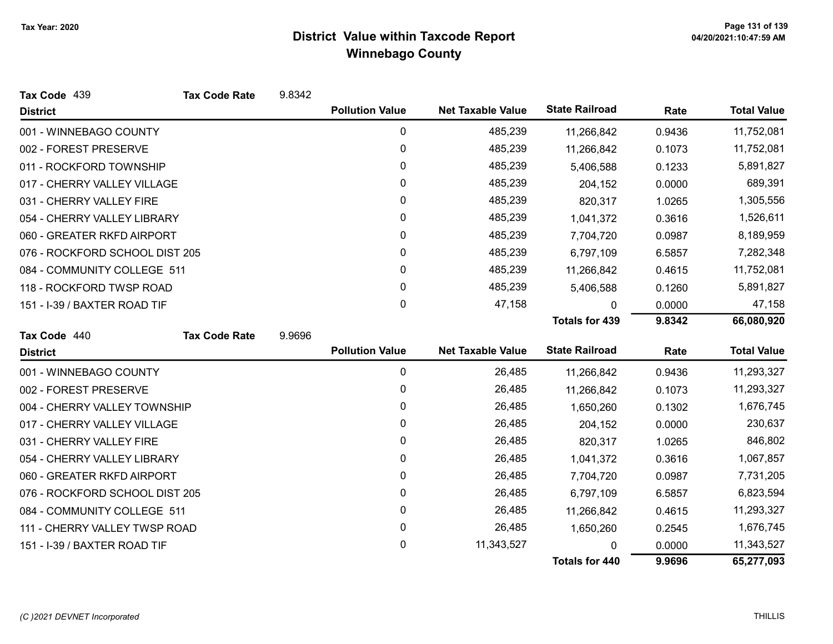| Tax Code 439                   | <b>Tax Code Rate</b> | 9.8342 |                        |                          |                       |        |                    |
|--------------------------------|----------------------|--------|------------------------|--------------------------|-----------------------|--------|--------------------|
| <b>District</b>                |                      |        | <b>Pollution Value</b> | <b>Net Taxable Value</b> | <b>State Railroad</b> | Rate   | <b>Total Value</b> |
| 001 - WINNEBAGO COUNTY         |                      |        | 0                      | 485,239                  | 11,266,842            | 0.9436 | 11,752,081         |
| 002 - FOREST PRESERVE          |                      |        | 0                      | 485,239                  | 11,266,842            | 0.1073 | 11,752,081         |
| 011 - ROCKFORD TOWNSHIP        |                      |        | 0                      | 485,239                  | 5,406,588             | 0.1233 | 5,891,827          |
| 017 - CHERRY VALLEY VILLAGE    |                      |        | 0                      | 485,239                  | 204,152               | 0.0000 | 689,391            |
| 031 - CHERRY VALLEY FIRE       |                      |        | 0                      | 485,239                  | 820,317               | 1.0265 | 1,305,556          |
| 054 - CHERRY VALLEY LIBRARY    |                      |        | 0                      | 485,239                  | 1,041,372             | 0.3616 | 1,526,611          |
| 060 - GREATER RKFD AIRPORT     |                      |        | 0                      | 485,239                  | 7,704,720             | 0.0987 | 8,189,959          |
| 076 - ROCKFORD SCHOOL DIST 205 |                      |        | 0                      | 485,239                  | 6,797,109             | 6.5857 | 7,282,348          |
| 084 - COMMUNITY COLLEGE 511    |                      |        | 0                      | 485,239                  | 11,266,842            | 0.4615 | 11,752,081         |
| 118 - ROCKFORD TWSP ROAD       |                      |        | 0                      | 485,239                  | 5,406,588             | 0.1260 | 5,891,827          |
| 151 - I-39 / BAXTER ROAD TIF   |                      |        | 0                      | 47,158                   | 0                     | 0.0000 | 47,158             |
|                                |                      |        |                        |                          | <b>Totals for 439</b> | 9.8342 | 66,080,920         |
| Tax Code 440                   | <b>Tax Code Rate</b> | 9.9696 |                        |                          |                       |        |                    |
| <b>District</b>                |                      |        | <b>Pollution Value</b> | <b>Net Taxable Value</b> | <b>State Railroad</b> | Rate   | <b>Total Value</b> |
| 001 - WINNEBAGO COUNTY         |                      |        | 0                      | 26,485                   | 11,266,842            | 0.9436 | 11,293,327         |
| 002 - FOREST PRESERVE          |                      |        | $\mathbf 0$            | 26,485                   | 11,266,842            | 0.1073 | 11,293,327         |
| 004 - CHERRY VALLEY TOWNSHIP   |                      |        | 0                      | 26,485                   | 1,650,260             | 0.1302 | 1,676,745          |
| 017 - CHERRY VALLEY VILLAGE    |                      |        | 0                      | 26,485                   | 204,152               | 0.0000 | 230,637            |
| 031 - CHERRY VALLEY FIRE       |                      |        | 0                      | 26,485                   | 820,317               | 1.0265 | 846,802            |
| 054 - CHERRY VALLEY LIBRARY    |                      |        | 0                      | 26,485                   | 1,041,372             | 0.3616 | 1,067,857          |
| 060 - GREATER RKFD AIRPORT     |                      |        | 0                      | 26,485                   | 7,704,720             | 0.0987 | 7,731,205          |
| 076 - ROCKFORD SCHOOL DIST 205 |                      |        | 0                      | 26,485                   | 6,797,109             | 6.5857 | 6,823,594          |
| 084 - COMMUNITY COLLEGE 511    |                      |        | $\pmb{0}$              | 26,485                   | 11,266,842            | 0.4615 | 11,293,327         |
| 111 - CHERRY VALLEY TWSP ROAD  |                      |        | 0                      | 26,485                   | 1,650,260             | 0.2545 | 1,676,745          |
| 151 - I-39 / BAXTER ROAD TIF   |                      |        | 0                      | 11,343,527               | 0                     | 0.0000 | 11,343,527         |
|                                |                      |        |                        |                          | <b>Totals for 440</b> | 9.9696 | 65,277,093         |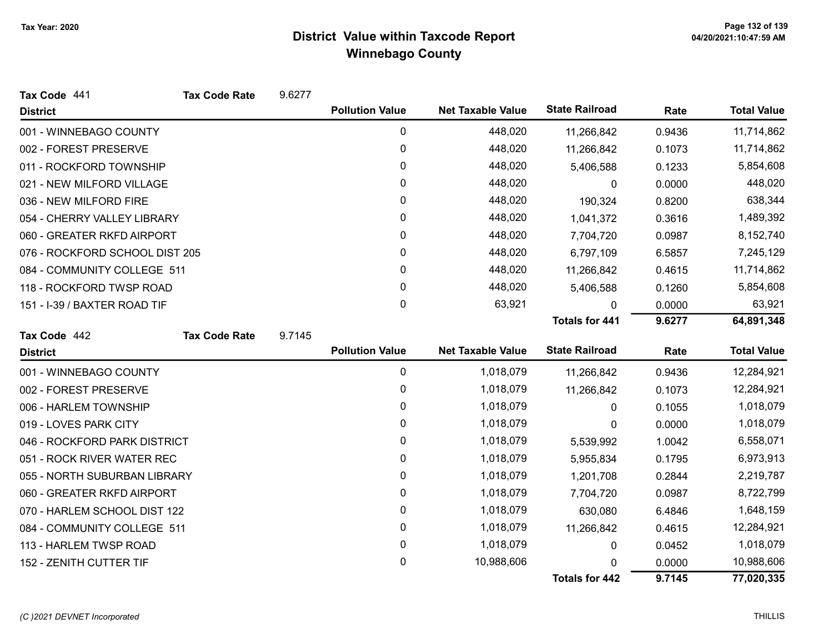| Tax Code 441                   | <b>Tax Code Rate</b> | 9.6277 |                        |                          |                       |        |                    |
|--------------------------------|----------------------|--------|------------------------|--------------------------|-----------------------|--------|--------------------|
| <b>District</b>                |                      |        | <b>Pollution Value</b> | <b>Net Taxable Value</b> | <b>State Railroad</b> | Rate   | <b>Total Value</b> |
| 001 - WINNEBAGO COUNTY         |                      |        | 0                      | 448,020                  | 11,266,842            | 0.9436 | 11,714,862         |
| 002 - FOREST PRESERVE          |                      |        | 0                      | 448,020                  | 11,266,842            | 0.1073 | 11,714,862         |
| 011 - ROCKFORD TOWNSHIP        |                      |        | 0                      | 448,020                  | 5,406,588             | 0.1233 | 5,854,608          |
| 021 - NEW MILFORD VILLAGE      |                      |        | 0                      | 448,020                  | 0                     | 0.0000 | 448,020            |
| 036 - NEW MILFORD FIRE         |                      |        | 0                      | 448,020                  | 190,324               | 0.8200 | 638,344            |
| 054 - CHERRY VALLEY LIBRARY    |                      |        | 0                      | 448,020                  | 1,041,372             | 0.3616 | 1,489,392          |
| 060 - GREATER RKFD AIRPORT     |                      |        | 0                      | 448,020                  | 7,704,720             | 0.0987 | 8,152,740          |
| 076 - ROCKFORD SCHOOL DIST 205 |                      |        | 0                      | 448,020                  | 6,797,109             | 6.5857 | 7,245,129          |
| 084 - COMMUNITY COLLEGE 511    |                      |        | 0                      | 448,020                  | 11,266,842            | 0.4615 | 11,714,862         |
| 118 - ROCKFORD TWSP ROAD       |                      |        | 0                      | 448,020                  | 5,406,588             | 0.1260 | 5,854,608          |
| 151 - I-39 / BAXTER ROAD TIF   |                      |        | 0                      | 63,921                   | 0                     | 0.0000 | 63,921             |
|                                |                      |        |                        |                          | <b>Totals for 441</b> | 9.6277 | 64,891,348         |
| Tax Code 442                   | <b>Tax Code Rate</b> | 9.7145 |                        |                          |                       |        |                    |
| <b>District</b>                |                      |        | <b>Pollution Value</b> | <b>Net Taxable Value</b> | <b>State Railroad</b> | Rate   | <b>Total Value</b> |
| 001 - WINNEBAGO COUNTY         |                      |        | 0                      | 1,018,079                | 11,266,842            | 0.9436 | 12,284,921         |
| 002 - FOREST PRESERVE          |                      |        | 0                      | 1,018,079                | 11,266,842            | 0.1073 | 12,284,921         |
| 006 - HARLEM TOWNSHIP          |                      |        | 0                      | 1,018,079                | 0                     | 0.1055 | 1,018,079          |
| 019 - LOVES PARK CITY          |                      |        | 0                      | 1,018,079                | 0                     | 0.0000 | 1,018,079          |
| 046 - ROCKFORD PARK DISTRICT   |                      |        | 0                      | 1,018,079                | 5,539,992             | 1.0042 | 6,558,071          |
| 051 - ROCK RIVER WATER REC     |                      |        | 0                      | 1,018,079                | 5,955,834             | 0.1795 | 6,973,913          |
| 055 - NORTH SUBURBAN LIBRARY   |                      |        | 0                      | 1,018,079                | 1,201,708             | 0.2844 | 2,219,787          |
| 060 - GREATER RKFD AIRPORT     |                      |        | 0                      | 1,018,079                | 7,704,720             | 0.0987 | 8,722,799          |
| 070 - HARLEM SCHOOL DIST 122   |                      |        | 0                      | 1,018,079                | 630,080               | 6.4846 | 1,648,159          |
| 084 - COMMUNITY COLLEGE 511    |                      |        | 0                      | 1,018,079                | 11,266,842            | 0.4615 | 12,284,921         |
| 113 - HARLEM TWSP ROAD         |                      |        | 0                      | 1,018,079                | 0                     | 0.0452 | 1,018,079          |
| 152 - ZENITH CUTTER TIF        |                      |        | 0                      | 10,988,606               |                       | 0.0000 | 10,988,606         |
|                                |                      |        |                        |                          | <b>Totals for 442</b> | 9.7145 | 77,020,335         |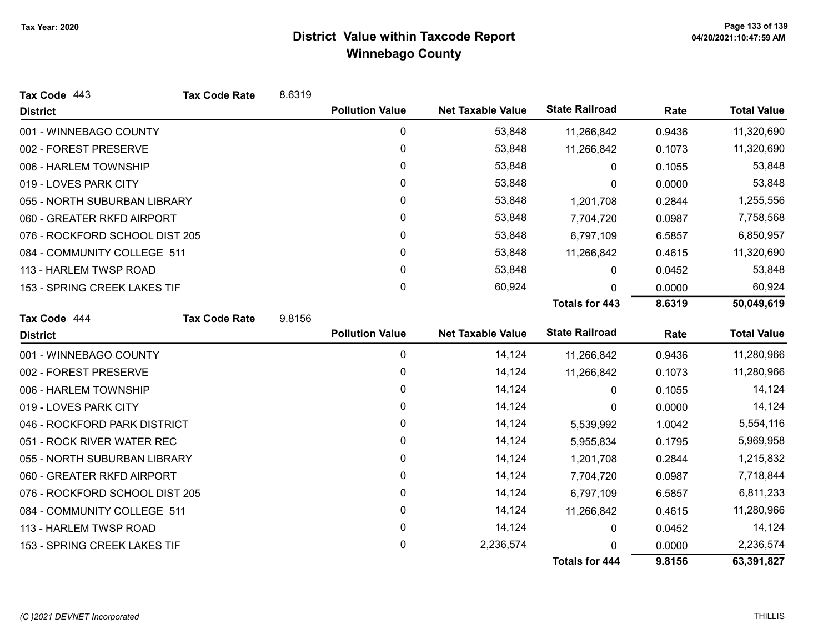| Tax Code 443                   | <b>Tax Code Rate</b> | 8.6319 |                        |                          |                       |           |                    |
|--------------------------------|----------------------|--------|------------------------|--------------------------|-----------------------|-----------|--------------------|
| <b>District</b>                |                      |        | <b>Pollution Value</b> | <b>Net Taxable Value</b> | <b>State Railroad</b> | Rate      | <b>Total Value</b> |
| 001 - WINNEBAGO COUNTY         |                      |        | 0                      | 53,848                   | 11,266,842            | 0.9436    | 11,320,690         |
| 002 - FOREST PRESERVE          |                      |        | 0                      | 53,848                   | 11,266,842            | 0.1073    | 11,320,690         |
| 006 - HARLEM TOWNSHIP          |                      |        | 0                      | 53,848                   | 0                     | 0.1055    | 53,848             |
| 019 - LOVES PARK CITY          |                      |        | 0                      | 53,848                   | 0                     | 0.0000    | 53,848             |
| 055 - NORTH SUBURBAN LIBRARY   |                      |        | $\mathbf{0}$           | 53,848                   | 1,201,708             | 0.2844    | 1,255,556          |
| 060 - GREATER RKFD AIRPORT     |                      |        | 0                      | 53,848                   | 7,704,720             | 0.0987    | 7,758,568          |
| 076 - ROCKFORD SCHOOL DIST 205 |                      |        | 0                      | 53,848                   | 6,797,109             | 6.5857    | 6,850,957          |
| 084 - COMMUNITY COLLEGE 511    |                      |        | 0                      | 53,848                   | 11,266,842            | 0.4615    | 11,320,690         |
| 113 - HARLEM TWSP ROAD         |                      |        | 0                      | 53,848                   | 0                     | 0.0452    | 53,848             |
| 153 - SPRING CREEK LAKES TIF   |                      |        | 0                      | 60,924                   | $\Omega$              | 0.0000    | 60,924             |
|                                |                      |        |                        |                          | <b>Totals for 443</b> | 8.6319    | 50,049,619         |
| Tax Code 444                   | <b>Tax Code Rate</b> | 9.8156 |                        |                          |                       |           |                    |
| <b>District</b>                |                      |        | <b>Pollution Value</b> | <b>Net Taxable Value</b> | <b>State Railroad</b> | Rate      | <b>Total Value</b> |
| 001 - WINNEBAGO COUNTY         |                      |        | $\pmb{0}$              | 14,124                   | 11,266,842            | 0.9436    | 11,280,966         |
| 002 - FOREST PRESERVE          |                      |        | 0                      | 14,124                   | 11,266,842            | 0.1073    | 11,280,966         |
| 006 - HARLEM TOWNSHIP          |                      |        | 0                      | 14,124                   | 0                     | 0.1055    | 14,124             |
| 019 - LOVES PARK CITY          |                      |        | 0                      | 14,124                   | 0                     | 0.0000    | 14,124             |
| 046 - ROCKFORD PARK DISTRICT   |                      |        | 0                      | 14,124                   | 5,539,992             | 1.0042    | 5,554,116          |
| 051 - ROCK RIVER WATER REC     |                      |        | 0                      | 14,124                   | 5,955,834             | 0.1795    | 5,969,958          |
| 055 - NORTH SUBURBAN LIBRARY   |                      |        | 0                      | 14,124                   | 1,201,708             | 0.2844    | 1,215,832          |
| 060 - GREATER RKFD AIRPORT     |                      |        | 0                      | 14,124                   | 7,704,720             | 0.0987    | 7,718,844          |
| 076 - ROCKFORD SCHOOL DIST 205 |                      | 0      | 14,124                 | 6,797,109                | 6.5857                | 6,811,233 |                    |
| 084 - COMMUNITY COLLEGE 511    |                      |        | $\pmb{0}$              | 14,124                   | 11,266,842            | 0.4615    | 11,280,966         |
| 113 - HARLEM TWSP ROAD         |                      |        | 0                      | 14,124                   | 0                     | 0.0452    | 14,124             |
| 153 - SPRING CREEK LAKES TIF   |                      |        | 0                      | 2,236,574                | <sup>0</sup>          | 0.0000    | 2,236,574          |
|                                |                      |        |                        |                          | <b>Totals for 444</b> | 9.8156    | 63,391,827         |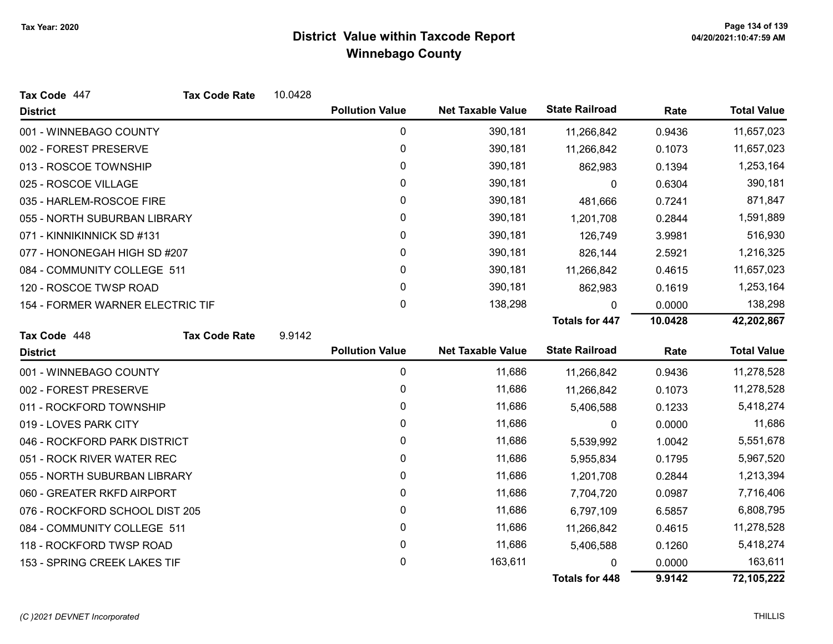| Tax Code 447                     | <b>Tax Code Rate</b> | 10.0428 |                        |                          |                       |         |                    |
|----------------------------------|----------------------|---------|------------------------|--------------------------|-----------------------|---------|--------------------|
| <b>District</b>                  |                      |         | <b>Pollution Value</b> | <b>Net Taxable Value</b> | <b>State Railroad</b> | Rate    | <b>Total Value</b> |
| 001 - WINNEBAGO COUNTY           |                      |         | 0                      | 390,181                  | 11,266,842            | 0.9436  | 11,657,023         |
| 002 - FOREST PRESERVE            |                      |         | 0                      | 390,181                  | 11,266,842            | 0.1073  | 11,657,023         |
| 013 - ROSCOE TOWNSHIP            |                      |         | 0                      | 390,181                  | 862,983               | 0.1394  | 1,253,164          |
| 025 - ROSCOE VILLAGE             |                      |         | 0                      | 390,181                  | 0                     | 0.6304  | 390,181            |
| 035 - HARLEM-ROSCOE FIRE         |                      |         | 0                      | 390,181                  | 481,666               | 0.7241  | 871,847            |
| 055 - NORTH SUBURBAN LIBRARY     |                      |         | $\mathbf{0}$           | 390,181                  | 1,201,708             | 0.2844  | 1,591,889          |
| 071 - KINNIKINNICK SD #131       |                      |         | 0                      | 390,181                  | 126,749               | 3.9981  | 516,930            |
| 077 - HONONEGAH HIGH SD #207     |                      |         | 0                      | 390,181                  | 826,144               | 2.5921  | 1,216,325          |
| 084 - COMMUNITY COLLEGE 511      |                      |         | 0                      | 390,181                  | 11,266,842            | 0.4615  | 11,657,023         |
| 120 - ROSCOE TWSP ROAD           |                      |         | 0                      | 390,181                  | 862,983               | 0.1619  | 1,253,164          |
| 154 - FORMER WARNER ELECTRIC TIF |                      |         | $\mathbf{0}$           | 138,298                  | $\Omega$              | 0.0000  | 138,298            |
|                                  |                      |         |                        |                          | <b>Totals for 447</b> | 10.0428 | 42,202,867         |
| Tax Code 448                     | <b>Tax Code Rate</b> | 9.9142  |                        |                          |                       |         |                    |
| <b>District</b>                  |                      |         | <b>Pollution Value</b> | <b>Net Taxable Value</b> | <b>State Railroad</b> | Rate    | <b>Total Value</b> |
| 001 - WINNEBAGO COUNTY           |                      |         | 0                      | 11,686                   | 11,266,842            | 0.9436  | 11,278,528         |
| 002 - FOREST PRESERVE            |                      |         | 0                      | 11,686                   | 11,266,842            | 0.1073  | 11,278,528         |
| 011 - ROCKFORD TOWNSHIP          |                      |         | 0                      | 11,686                   | 5,406,588             | 0.1233  | 5,418,274          |
| 019 - LOVES PARK CITY            |                      |         | 0                      | 11,686                   | 0                     | 0.0000  | 11,686             |
| 046 - ROCKFORD PARK DISTRICT     |                      |         | 0                      | 11,686                   | 5,539,992             | 1.0042  | 5,551,678          |
| 051 - ROCK RIVER WATER REC       |                      |         | 0                      | 11,686                   | 5,955,834             | 0.1795  | 5,967,520          |
| 055 - NORTH SUBURBAN LIBRARY     |                      |         |                        |                          |                       |         |                    |
|                                  |                      |         | 0                      | 11,686                   | 1,201,708             | 0.2844  | 1,213,394          |
| 060 - GREATER RKFD AIRPORT       |                      |         | 0                      | 11,686                   | 7,704,720             | 0.0987  | 7,716,406          |
| 076 - ROCKFORD SCHOOL DIST 205   |                      |         | $\mathbf 0$            | 11,686                   | 6,797,109             | 6.5857  | 6,808,795          |
| 084 - COMMUNITY COLLEGE 511      |                      |         | 0                      | 11,686                   | 11,266,842            | 0.4615  | 11,278,528         |
| 118 - ROCKFORD TWSP ROAD         |                      |         | 0                      | 11,686                   | 5,406,588             | 0.1260  | 5,418,274          |
| 153 - SPRING CREEK LAKES TIF     |                      |         | 0                      | 163,611                  |                       | 0.0000  | 163,611            |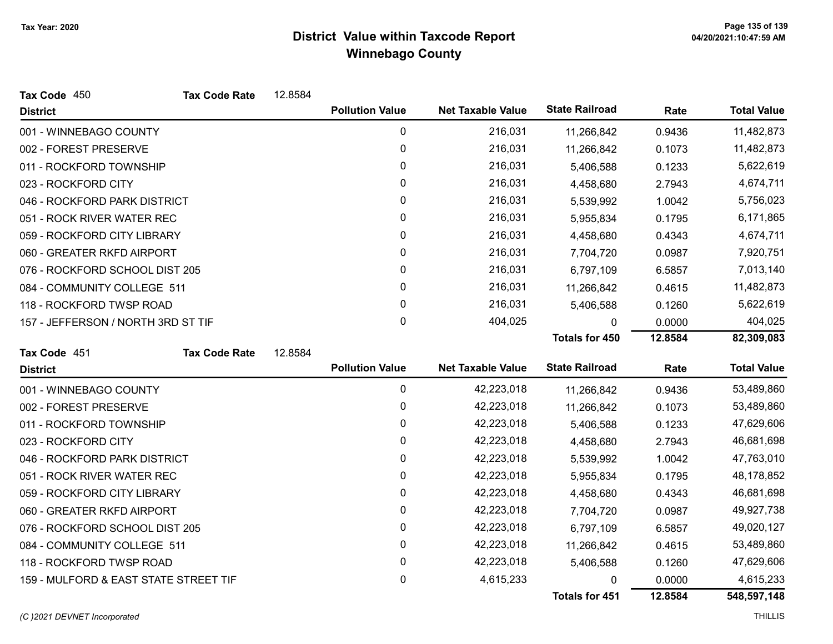| Tax Code 450                          | <b>Tax Code Rate</b> | 12.8584 |                        |                          |                       |         |                    |
|---------------------------------------|----------------------|---------|------------------------|--------------------------|-----------------------|---------|--------------------|
| <b>District</b>                       |                      |         | <b>Pollution Value</b> | <b>Net Taxable Value</b> | <b>State Railroad</b> | Rate    | <b>Total Value</b> |
| 001 - WINNEBAGO COUNTY                |                      |         | 0                      | 216,031                  | 11,266,842            | 0.9436  | 11,482,873         |
| 002 - FOREST PRESERVE                 |                      |         | 0                      | 216,031                  | 11,266,842            | 0.1073  | 11,482,873         |
| 011 - ROCKFORD TOWNSHIP               |                      |         | 0                      | 216,031                  | 5,406,588             | 0.1233  | 5,622,619          |
| 023 - ROCKFORD CITY                   |                      |         | 0                      | 216,031                  | 4,458,680             | 2.7943  | 4,674,711          |
| 046 - ROCKFORD PARK DISTRICT          |                      |         | 0                      | 216,031                  | 5,539,992             | 1.0042  | 5,756,023          |
| 051 - ROCK RIVER WATER REC            |                      |         | 0                      | 216,031                  | 5,955,834             | 0.1795  | 6,171,865          |
| 059 - ROCKFORD CITY LIBRARY           |                      |         | 0                      | 216,031                  | 4,458,680             | 0.4343  | 4,674,711          |
| 060 - GREATER RKFD AIRPORT            |                      |         | 0                      | 216,031                  | 7,704,720             | 0.0987  | 7,920,751          |
| 076 - ROCKFORD SCHOOL DIST 205        |                      |         | 0                      | 216,031                  | 6,797,109             | 6.5857  | 7,013,140          |
| 084 - COMMUNITY COLLEGE 511           |                      |         | 0                      | 216,031                  | 11,266,842            | 0.4615  | 11,482,873         |
| 118 - ROCKFORD TWSP ROAD              |                      |         | 0                      | 216,031                  | 5,406,588             | 0.1260  | 5,622,619          |
| 157 - JEFFERSON / NORTH 3RD ST TIF    |                      |         | 0                      | 404,025                  | 0                     | 0.0000  | 404,025            |
|                                       |                      |         |                        |                          | <b>Totals for 450</b> | 12.8584 | 82,309,083         |
| Tax Code 451                          | <b>Tax Code Rate</b> | 12.8584 |                        |                          |                       |         |                    |
| <b>District</b>                       |                      |         | <b>Pollution Value</b> | <b>Net Taxable Value</b> | <b>State Railroad</b> | Rate    | <b>Total Value</b> |
| 001 - WINNEBAGO COUNTY                |                      |         | $\pmb{0}$              | 42,223,018               | 11,266,842            | 0.9436  | 53,489,860         |
| 002 - FOREST PRESERVE                 |                      |         | 0                      | 42,223,018               | 11,266,842            | 0.1073  | 53,489,860         |
| 011 - ROCKFORD TOWNSHIP               |                      |         | 0                      | 42,223,018               | 5,406,588             | 0.1233  | 47,629,606         |
| 023 - ROCKFORD CITY                   |                      |         | 0                      | 42,223,018               | 4,458,680             | 2.7943  | 46,681,698         |
| 046 - ROCKFORD PARK DISTRICT          |                      |         | 0                      | 42,223,018               | 5,539,992             | 1.0042  | 47,763,010         |
| 051 - ROCK RIVER WATER REC            |                      |         | 0                      | 42,223,018               | 5,955,834             | 0.1795  | 48,178,852         |
| 059 - ROCKFORD CITY LIBRARY           |                      |         | 0                      | 42,223,018               | 4,458,680             | 0.4343  | 46,681,698         |
| 060 - GREATER RKFD AIRPORT            |                      |         | 0                      | 42,223,018               | 7,704,720             | 0.0987  | 49,927,738         |
| 076 - ROCKFORD SCHOOL DIST 205        |                      |         | 0                      | 42,223,018               | 6,797,109             | 6.5857  | 49,020,127         |
| 084 - COMMUNITY COLLEGE 511           |                      |         | 0                      | 42,223,018               | 11,266,842            | 0.4615  | 53,489,860         |
| 118 - ROCKFORD TWSP ROAD              |                      |         | 0                      | 42,223,018               | 5,406,588             | 0.1260  | 47,629,606         |
| 159 - MULFORD & EAST STATE STREET TIF |                      |         | 0                      | 4,615,233                | 0                     | 0.0000  | 4,615,233          |
|                                       |                      |         |                        |                          | <b>Totals for 451</b> | 12.8584 | 548,597,148        |

(C)2021 DEVNET Incorporated THILLIS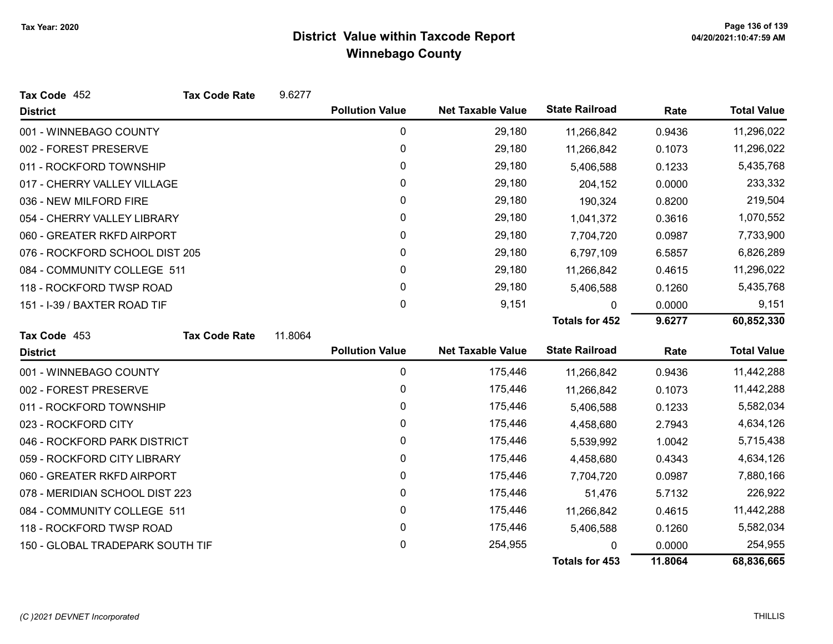| Tax Code 452                     | <b>Tax Code Rate</b> | 9.6277  |                        |                          |                       |           |                    |
|----------------------------------|----------------------|---------|------------------------|--------------------------|-----------------------|-----------|--------------------|
| <b>District</b>                  |                      |         | <b>Pollution Value</b> | <b>Net Taxable Value</b> | <b>State Railroad</b> | Rate      | <b>Total Value</b> |
| 001 - WINNEBAGO COUNTY           |                      |         | 0                      | 29,180                   | 11,266,842            | 0.9436    | 11,296,022         |
| 002 - FOREST PRESERVE            |                      |         | 0                      | 29,180                   | 11,266,842            | 0.1073    | 11,296,022         |
| 011 - ROCKFORD TOWNSHIP          |                      | 0       | 29,180                 | 5,406,588                | 0.1233                | 5,435,768 |                    |
| 017 - CHERRY VALLEY VILLAGE      |                      |         | 0                      | 29,180                   | 204,152               | 0.0000    | 233,332            |
| 036 - NEW MILFORD FIRE           |                      |         | 0                      | 29,180                   | 190,324               | 0.8200    | 219,504            |
| 054 - CHERRY VALLEY LIBRARY      |                      |         | 0                      | 29,180                   | 1,041,372             | 0.3616    | 1,070,552          |
| 060 - GREATER RKFD AIRPORT       |                      |         | 0                      | 29,180                   | 7,704,720             | 0.0987    | 7,733,900          |
| 076 - ROCKFORD SCHOOL DIST 205   |                      |         | 0                      | 29,180                   | 6,797,109             | 6.5857    | 6,826,289          |
| 084 - COMMUNITY COLLEGE 511      |                      |         | 0                      | 29,180                   | 11,266,842            | 0.4615    | 11,296,022         |
| 118 - ROCKFORD TWSP ROAD         |                      |         | 0                      | 29,180                   | 5,406,588             | 0.1260    | 5,435,768          |
| 151 - I-39 / BAXTER ROAD TIF     |                      |         | 0                      | 9,151                    | $\mathbf{0}$          | 0.0000    | 9,151              |
|                                  |                      |         |                        |                          | <b>Totals for 452</b> | 9.6277    | 60,852,330         |
| Tax Code 453                     | <b>Tax Code Rate</b> | 11.8064 |                        |                          |                       |           |                    |
| <b>District</b>                  |                      |         | <b>Pollution Value</b> | <b>Net Taxable Value</b> | <b>State Railroad</b> | Rate      | <b>Total Value</b> |
| 001 - WINNEBAGO COUNTY           |                      |         | 0                      | 175,446                  | 11,266,842            | 0.9436    | 11,442,288         |
| 002 - FOREST PRESERVE            |                      |         | 0                      | 175,446                  | 11,266,842            | 0.1073    | 11,442,288         |
| 011 - ROCKFORD TOWNSHIP          |                      |         | 0                      | 175,446                  | 5,406,588             | 0.1233    | 5,582,034          |
| 023 - ROCKFORD CITY              |                      |         | 0                      | 175,446                  | 4,458,680             | 2.7943    | 4,634,126          |
| 046 - ROCKFORD PARK DISTRICT     |                      |         | 0                      | 175,446                  | 5,539,992             | 1.0042    | 5,715,438          |
| 059 - ROCKFORD CITY LIBRARY      |                      |         | 0                      | 175,446                  | 4,458,680             | 0.4343    | 4,634,126          |
| 060 - GREATER RKFD AIRPORT       |                      | 0       | 175,446                | 7,704,720                | 0.0987                | 7,880,166 |                    |
| 078 - MERIDIAN SCHOOL DIST 223   |                      | 0       | 175,446                | 51,476                   | 5.7132                | 226,922   |                    |
| 084 - COMMUNITY COLLEGE 511      |                      |         | 0                      | 175,446                  | 11,266,842            | 0.4615    | 11,442,288         |
| 118 - ROCKFORD TWSP ROAD         |                      |         | 0                      | 175,446                  | 5,406,588             | 0.1260    | 5,582,034          |
| 150 - GLOBAL TRADEPARK SOUTH TIF |                      |         | 0                      | 254,955                  |                       | 0.0000    | 254,955            |
|                                  |                      |         |                        |                          | <b>Totals for 453</b> | 11.8064   | 68,836,665         |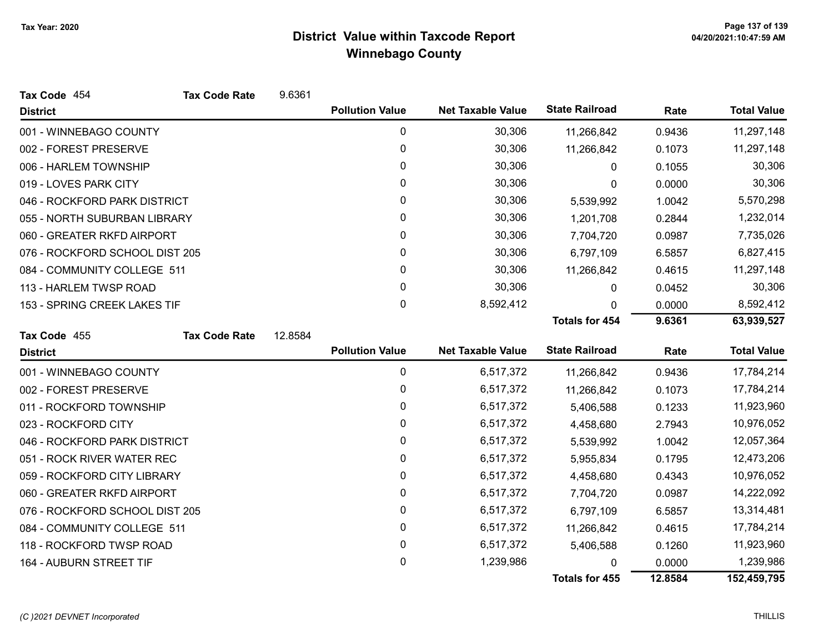| Tax Code 454                   | <b>Tax Code Rate</b> | 9.6361  |                        |                          |                       |         |                    |
|--------------------------------|----------------------|---------|------------------------|--------------------------|-----------------------|---------|--------------------|
| <b>District</b>                |                      |         | <b>Pollution Value</b> | <b>Net Taxable Value</b> | <b>State Railroad</b> | Rate    | <b>Total Value</b> |
| 001 - WINNEBAGO COUNTY         |                      |         | 0                      | 30,306                   | 11,266,842            | 0.9436  | 11,297,148         |
| 002 - FOREST PRESERVE          |                      |         | 0                      | 30,306                   | 11,266,842            | 0.1073  | 11,297,148         |
| 006 - HARLEM TOWNSHIP          |                      |         | 0                      | 30,306                   | 0                     | 0.1055  | 30,306             |
| 019 - LOVES PARK CITY          |                      |         | 0                      | 30,306                   | 0                     | 0.0000  | 30,306             |
| 046 - ROCKFORD PARK DISTRICT   |                      |         | 0                      | 30,306                   | 5,539,992             | 1.0042  | 5,570,298          |
| 055 - NORTH SUBURBAN LIBRARY   |                      |         | 0                      | 30,306                   | 1,201,708             | 0.2844  | 1,232,014          |
| 060 - GREATER RKFD AIRPORT     |                      |         | 0                      | 30,306                   | 7,704,720             | 0.0987  | 7,735,026          |
| 076 - ROCKFORD SCHOOL DIST 205 |                      |         | 0                      | 30,306                   | 6,797,109             | 6.5857  | 6,827,415          |
| 084 - COMMUNITY COLLEGE 511    |                      |         | 0                      | 30,306                   | 11,266,842            | 0.4615  | 11,297,148         |
| 113 - HARLEM TWSP ROAD         |                      |         | $\mathbf{0}$           | 30,306                   | 0                     | 0.0452  | 30,306             |
| 153 - SPRING CREEK LAKES TIF   |                      |         | 0                      | 8,592,412                | 0                     | 0.0000  | 8,592,412          |
|                                |                      |         |                        |                          | <b>Totals for 454</b> | 9.6361  | 63,939,527         |
| Tax Code 455                   | <b>Tax Code Rate</b> | 12.8584 |                        |                          |                       |         |                    |
| <b>District</b>                |                      |         | <b>Pollution Value</b> | <b>Net Taxable Value</b> | <b>State Railroad</b> | Rate    | <b>Total Value</b> |
| 001 - WINNEBAGO COUNTY         |                      |         | 0                      | 6,517,372                | 11,266,842            | 0.9436  | 17,784,214         |
| 002 - FOREST PRESERVE          |                      |         | 0                      | 6,517,372                | 11,266,842            | 0.1073  | 17,784,214         |
| 011 - ROCKFORD TOWNSHIP        |                      |         | 0                      | 6,517,372                | 5,406,588             | 0.1233  | 11,923,960         |
| 023 - ROCKFORD CITY            |                      |         | 0                      | 6,517,372                | 4,458,680             | 2.7943  | 10,976,052         |
| 046 - ROCKFORD PARK DISTRICT   |                      |         | 0                      | 6,517,372                | 5,539,992             | 1.0042  | 12,057,364         |
| 051 - ROCK RIVER WATER REC     |                      |         | 0                      | 6,517,372                | 5,955,834             | 0.1795  | 12,473,206         |
| 059 - ROCKFORD CITY LIBRARY    |                      |         | 0                      | 6,517,372                | 4,458,680             | 0.4343  | 10,976,052         |
| 060 - GREATER RKFD AIRPORT     |                      |         | 0                      | 6,517,372                | 7,704,720             | 0.0987  | 14,222,092         |
| 076 - ROCKFORD SCHOOL DIST 205 |                      |         | 0                      | 6,517,372                | 6,797,109             | 6.5857  | 13,314,481         |
| 084 - COMMUNITY COLLEGE 511    |                      |         | 0                      | 6,517,372                | 11,266,842            | 0.4615  | 17,784,214         |
| 118 - ROCKFORD TWSP ROAD       |                      |         | 0                      | 6,517,372                | 5,406,588             | 0.1260  | 11,923,960         |
| 164 - AUBURN STREET TIF        |                      |         | 0                      | 1,239,986                |                       | 0.0000  | 1,239,986          |
|                                |                      |         |                        |                          | <b>Totals for 455</b> | 12.8584 | 152,459,795        |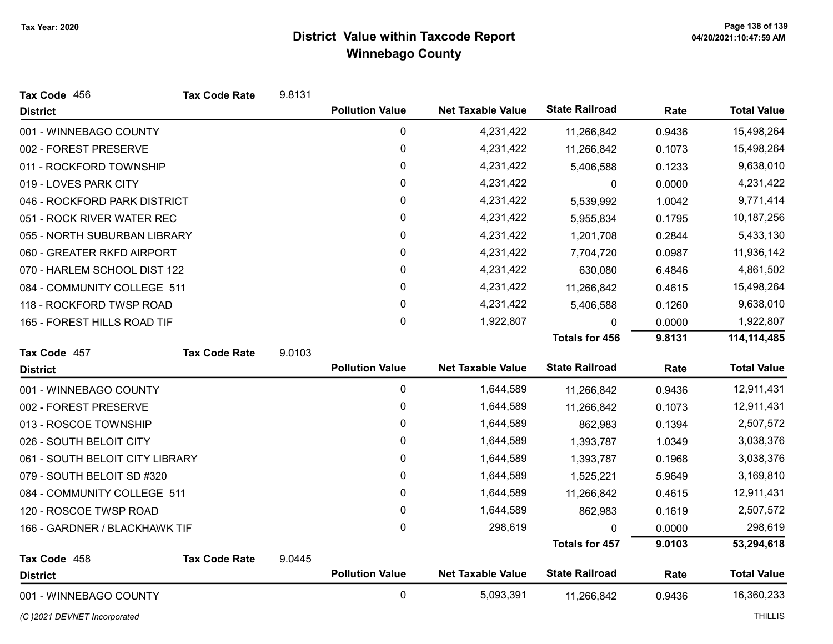| Tax Code 456                    | <b>Tax Code Rate</b> | 9.8131 |                        |                          |                       |        |                    |
|---------------------------------|----------------------|--------|------------------------|--------------------------|-----------------------|--------|--------------------|
| <b>District</b>                 |                      |        | <b>Pollution Value</b> | <b>Net Taxable Value</b> | <b>State Railroad</b> | Rate   | <b>Total Value</b> |
| 001 - WINNEBAGO COUNTY          |                      |        | 0                      | 4,231,422                | 11,266,842            | 0.9436 | 15,498,264         |
| 002 - FOREST PRESERVE           |                      |        | $\pmb{0}$              | 4,231,422                | 11,266,842            | 0.1073 | 15,498,264         |
| 011 - ROCKFORD TOWNSHIP         |                      |        | 0                      | 4,231,422                | 5,406,588             | 0.1233 | 9,638,010          |
| 019 - LOVES PARK CITY           |                      |        | 0                      | 4,231,422                | 0                     | 0.0000 | 4,231,422          |
| 046 - ROCKFORD PARK DISTRICT    |                      |        | 0                      | 4,231,422                | 5,539,992             | 1.0042 | 9,771,414          |
| 051 - ROCK RIVER WATER REC      |                      |        | 0                      | 4,231,422                | 5,955,834             | 0.1795 | 10,187,256         |
| 055 - NORTH SUBURBAN LIBRARY    |                      |        | 0                      | 4,231,422                | 1,201,708             | 0.2844 | 5,433,130          |
| 060 - GREATER RKFD AIRPORT      |                      |        | 0                      | 4,231,422                | 7,704,720             | 0.0987 | 11,936,142         |
| 070 - HARLEM SCHOOL DIST 122    |                      |        | 0                      | 4,231,422                | 630,080               | 6.4846 | 4,861,502          |
| 084 - COMMUNITY COLLEGE 511     |                      |        | 0                      | 4,231,422                | 11,266,842            | 0.4615 | 15,498,264         |
| 118 - ROCKFORD TWSP ROAD        |                      |        | 0                      | 4,231,422                | 5,406,588             | 0.1260 | 9,638,010          |
| 165 - FOREST HILLS ROAD TIF     |                      |        | 0                      | 1,922,807                | 0                     | 0.0000 | 1,922,807          |
|                                 |                      |        |                        |                          | <b>Totals for 456</b> | 9.8131 | 114, 114, 485      |
| Tax Code 457                    | <b>Tax Code Rate</b> | 9.0103 |                        |                          |                       |        |                    |
| <b>District</b>                 |                      |        | <b>Pollution Value</b> | <b>Net Taxable Value</b> | <b>State Railroad</b> | Rate   | <b>Total Value</b> |
| 001 - WINNEBAGO COUNTY          |                      |        | 0                      | 1,644,589                | 11,266,842            | 0.9436 | 12,911,431         |
| 002 - FOREST PRESERVE           |                      |        | 0                      | 1,644,589                | 11,266,842            | 0.1073 | 12,911,431         |
| 013 - ROSCOE TOWNSHIP           |                      |        | 0                      | 1,644,589                | 862,983               | 0.1394 | 2,507,572          |
| 026 - SOUTH BELOIT CITY         |                      |        | 0                      | 1,644,589                | 1,393,787             | 1.0349 | 3,038,376          |
| 061 - SOUTH BELOIT CITY LIBRARY |                      |        | 0                      | 1,644,589                | 1,393,787             | 0.1968 | 3,038,376          |
| 079 - SOUTH BELOIT SD #320      |                      |        | 0                      | 1,644,589                | 1,525,221             | 5.9649 | 3,169,810          |
| 084 - COMMUNITY COLLEGE 511     |                      |        | 0                      | 1,644,589                | 11,266,842            | 0.4615 | 12,911,431         |
| 120 - ROSCOE TWSP ROAD          |                      |        | 0                      | 1,644,589                | 862,983               | 0.1619 | 2,507,572          |
| 166 - GARDNER / BLACKHAWK TIF   |                      |        | 0                      | 298,619                  | 0                     | 0.0000 | 298,619            |
|                                 |                      |        |                        |                          | <b>Totals for 457</b> | 9.0103 | 53,294,618         |
| Tax Code 458                    | <b>Tax Code Rate</b> | 9.0445 |                        |                          |                       |        |                    |
| <b>District</b>                 |                      |        | <b>Pollution Value</b> | <b>Net Taxable Value</b> | <b>State Railroad</b> | Rate   | <b>Total Value</b> |
| 001 - WINNEBAGO COUNTY          |                      |        | $\mathbf 0$            | 5,093,391                | 11,266,842            | 0.9436 | 16,360,233         |